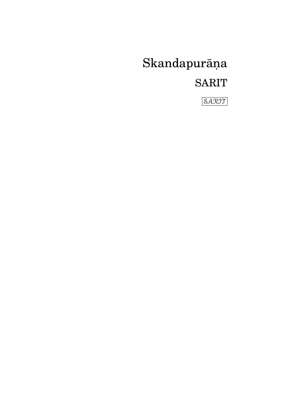Skandapurāņa **SARIT** 

SARIT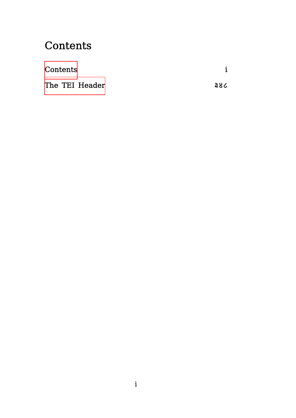## **Contents**

<span id="page-2-0"></span>

| Contents       |     |
|----------------|-----|
| The TEI Header | 386 |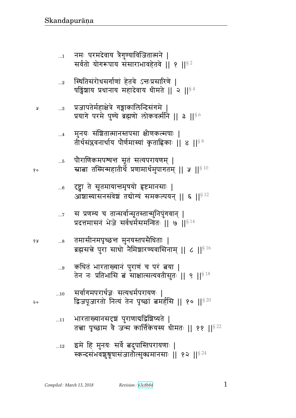$...12$ 

- भारताख्यानसदृषं पुराणाद्यद्विशिष्यते |  $\dots11$ तत्त्वा पृच्छाम वे जन्म कार्त्तिकेयस्य धीमतः || ११ ||<sup>§ 22</sup>
- सर्वागमपरार्थज्ञः सत्यधर्मपरायणः |  $...10$ द्विजपूजारतो नित्यं तेन पृच्छां बमर्हसि || १० || 920
- कथितं भारताख्यानं पुराणं च परं त्नया |  $\ldots\!9$ तेन नः प्रतिभासि बं साक्षात्सत्यवतीसुतः || ९ || $^{\$$ 18
- तमासीनमपृच्छन्त मुनयस्तपसैधिताः | 6 A  $\ldots\!8$ ब्रह्मसत्ने पुरा साधो नैमिञ्चारण्यवासिनाम् || ८ || $^{\S\,16}$
- स प्रणम्य च तान्सर्वान्सूतस्तान्मुनिपुंगवान् |  $\dots 7$ प्रदत्तमासनं भेजे सर्वधर्मसमन्वितः || ७ ||<sup>§ 14</sup>
- ्टष्ट्वा ते सूतमायान्तमृषयो हृष्टमानसाः |  $...6$ आशास्यासनसंवेशं तद्योग्यं समकल्पयन् || ६ || 812
- पौराणिकमपश्यन्तं सूतं सत्यपरायणम् |  $\ldots 5$ स्नाबा तस्मिन्महातीर्थे प्रणामार्थमुपागतम् || ५ || $^{\$40}$
- मुनयः संशितात्मानस्तपसा क्षीणकल्मषाः |  $\dots$ 4 तीर्थसंप्लवनार्थाय पौर्णमास्यां कृताह्निकाः || ४ ||<sup>§ 8</sup>
- प्रजापतेर्महाक्षेत्रे गङ्गाकालिन्दिसंगमे |  $\ldots\!3$ प्रयागे परमे पुण्ये ब्रह्मणो लोकवर्त्मनि || ३ || 66
- स्थितिसंरोधसर्गाणां हेतवे ऽन्तःप्रसारिणे |  $...2$ षड्विंशाय प्रधानाय महादेवाय धीमते || २ ||<sup>§ 4</sup>
- नमः परमदेवाय त्रैगुण्याविजितात्मने |  $...1\,$ सर्वतो योगरूपाय संसाराभावहेतवे || १ ||<sup>§2</sup>

१०

 $\mathsf{a}$ 

Å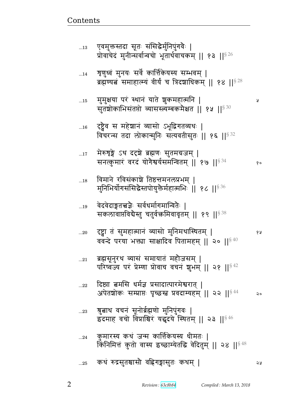|            | ब्रह्मण्यत्नं समाहात्म्यं वीर्यं च त्रिदशाधिकम् ॥ १४ ॥ २२                                                            |    |
|------------|----------------------------------------------------------------------------------------------------------------------|----|
| $\dots15$  | मुमुक्षया पर स्थान याते शुकमहात्मनि  <br>सुतशोकाभिसंतप्तो व्यासस्त्यम्बकमैक्षत    १५    <sup>§ 30</sup>              | Ã  |
| $\dots16$  | टृष्ट्वेव स महेशानं व्यासो ऽभूद्विगतव्यथः  <br>विचरन्स तदा लोकान्मुनिः सत्यवतीसुतः    १६    § 32                     |    |
| $\dots17$  | मेरुश्चङ्गे ऽथ दद्द्ये ब्रह्मणः सुतमग्रजम्  <br>सनत्कुमारं वरदं योगैश्वर्यसमन्वितम्    १७    834                     | १० |
| $\dots18$  | विमाने रविसंकाशे तिष्ठत्तमनलप्रभम्  <br>मुनिभिर्योगसंसिद्धैस्तपोयुक्तैर्महात्मभिः    १८    <sup>§ 36</sup>           |    |
| 19         | वेदवेदाङ्गतत्त्वज्ञैः सर्वधर्मागमान्वितैः  <br>सकलावाप्तविद्येस्तु चतुर्वक्तमिवावृतम् ॥ १९ ॥ <sup>§ 38</sup>         |    |
| $20$       | ऱ्ष्ट्वा तं सुमहात्मानं व्यासो मुनिमथास्थितम्  <br>ववन्दे परया भक्त्या साक्षादिव पितामहम्    २०    $^{\$~40}$        | १५ |
| $21\,$     | ब्रह्मसूनुरथ व्यासं समायातं महोजसम्  <br>परिष्वज्य परं प्रेम्णा प्रोवाच वचनं शुभम्    २१   § 42                      |    |
| $22$       | दिष्ट्या बमसि धर्मज्ञ प्रसादात्पारमेश्वरात्  <br>अपेतशोकः सम्प्राप्तः पृच्छस्त प्रवदाम्यहम् ॥ २२ ॥ $^{\S\,44}$       | २० |
| 23         | ्त्रुबाथ वचनं सूनोर्ब्रह्मणो मुनिपुंगवः  <br>इदमाह वचो विप्राश्चिरं यद्धदये स्थितम् ॥ २३ ॥ $^{\S\,46}$               |    |
| $\dots$ 24 | ्कुमारस्य कथं जन्म कार्त्तिकेयस्य धीमतः  <br>किंनिमित्तं कुतो वास्य इच्छाम्येतद्धि वेदितुम्    २४    <sup>§ 48</sup> |    |
| 25         | कथं रुद्रसुतश्चासौ वहिगङ्गासुतः कथम्                                                                                 | ২५ |

<u>Contents and Contents are the contents of the contents of the contents of the contents of the contents of the contents of the contents of the contents of the contents of the contents of the contents of the contents of the</u>

...13 एवमुक्तस्तदा सूतः सांसद्धमुनिपुगवः ।

 $_{\ldots 14}$  शृणुध्वं मुनयः सर्वे कार्त्तिकेयस्य सम्भवम् |

प्रोवाचेदं मुनीन्सर्वान्वचो भूतार्थवाचकम् || १३ || $^{\$ \, 26}$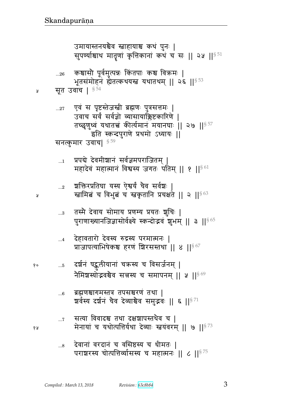- देवानां वरदानं च वसिष्ठस्य च धीमतः |  $...8$ पराशरस्य चोत्पत्तिर्व्यासस्य च महात्मनः || ८ ||<sup>§ 75</sup>
- सत्या विवादश्च तथा दक्षश्चापस्तथैव च |  $\dots 7$ मेनायां च यथोत्पत्तिर्यथा देव्याः स्तयंवरम् || ७ || 573
- ब्रह्मणश्चागमस्तत्र तपसश्चरणं तथा |  $...6$ शर्वस्य दर्शनं चैव देव्याश्चेव समुद्भवः || ६ ||  $^{\S\,71}$
- दर्शनं षद्कुलीयानां चक्रस्य च विसर्जनम् |  $\dots 5$ नैमिशस्योद्भवश्चैव सत्तस्य च समापनम् ॥ ४ ॥ $^{\$69}$
- देहावतारो देवस्य रुद्रस्य परमात्मनः |  $\dots$ 4 प्राजापत्याभिषेकश्च हरणं शिरसस्तथा || ४ ||§67
- तस्मै देवाय सोमाय प्रणम्य प्रयतः शुचिः |  $\ldots 3$ पुराणाख्यानजिज्ञासोर्वक्ष्ये स्कन्दोद्भवं शुभम् || ३ ||<sup>§ 65</sup>
- शक्तिरप्रतिघा यस्य ऐश्वर्यं चैव सर्वशः |  $\ldots$ 2 स्त्रामित्नं च विभुत्नं च स्त्रकृतानि प्रचक्षते || २ ||<sup>§ 63</sup>
- प्रपद्ये देवमीशानं सर्वज्ञमपराजितम् |  $\ldots\!1$ महादेवं महात्मानं विश्वस्य जगतः पतिम् ॥ १ ॥ $861$

```
सनत्कुमार उवाच| 859
```
- एवं स पृष्टस्तेजस्त्री ब्रह्मणः पुत्रसत्तमः |  $...27$ उवाच सर्वं सर्वज्ञो व्यासायाक्लिष्टकारिणे | तच्छृणुध्वं यथातत्त्वं कीर्त्यमानं मयानघाः || २७ || $^{\S\,57}$ इति स्कन्दपुराणे प्रथमो ऽध्यायः ||
- सूत उवाच |  $^{\S\,54}$ Å

Ã

१०

१५

कश्चासौ पूर्वमुत्पन्नः किंतपाः कश्च विक्रमः |  $...26\,$ भूतसंमोहनं ह्येतत्कथयस्त्रं यथातथम् || २६ || 53

उमायास्तनयश्चैव स्ताहायाश्च कथं पुनः | सुपर्ण्याश्चाथ मातृणां कृत्तिकानां कथं च सः || २५ || 51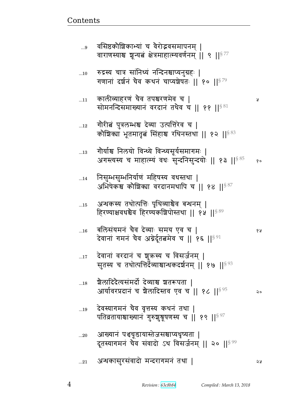| $10$       | रुद्रस्य चात्र सांनिध्यं नन्दिनश्चाप्यनुग्रहः  <br>गणानां दर्शनं चैव कथनं चाप्यशेषतः ॥ १० ॥ $^{\S\,79}$               |     |
|------------|-----------------------------------------------------------------------------------------------------------------------|-----|
| $\dots 11$ | कालीव्याहरणं चैव तपश्चरणमेव च  <br>सोमनन्दिसमाख्यानं वरदानं तथैव च    ११    $^{\$81}$                                 | प्र |
| $\dots12$  | गौरीबं पुत्रलम्भश्च देव्या उत्पत्तिरेव च  <br>कौशिक्या भूतमातृत्वं सिंहाश्च रथिनस्तथा    १२    $^{\$83}$              |     |
| $\dots13$  | गौर्याश्च निलयो विन्ध्ये विन्ध्यसूर्यसमागमः  <br>अगस्त्यस्य च माहात्म्यं वधः सुन्दनिसुन्दयोः    १३    <sup>§ 85</sup> | १०  |
| $\dots$ 14 | निसुम्भसुम्भनिर्याणं महिषस्य वधस्तथा  <br>अभिषेकश्च कौशिक्या वरदानमथापि च    १४    <sup>§ 87</sup>                    |     |
| 15         | अन्धकस्य तथोत्पत्तिः पृथिव्याश्चैव बन्धनम्  <br>हिरण्याक्षवधश्चैव हिरण्यकश्चिपोस्तथा ।। १५ ।। $8^{89}$                |     |
| 16         | बलिसंयमनं चैव देव्याः समय एव च  <br>देवानां गमनं चैव अग्नेर्दूतत्वमेव च    १६    $^{\S\,91}$                          | १५  |
| $17$       | देवानां वरदानं च शुक्रस्य च विसर्जनम्  <br>सुतस्य च तथोत्पत्तिर्देव्याश्चान्धकदर्शनम्    १७    <sup>§ 93</sup>        |     |
| 18         | ग्रैलादिदैत्यसंमर्दो देव्याश्च शतरूपता  <br>आर्यावरप्रदानं च ग्रैलादिस्तव एव च    १८    <sup>§ 95</sup>               |     |
| 19         | देवस्यागमनं चैव वृत्तस्य कथनं तथा  <br>पतिव्रतायाश्चाख्यानं गुरुशुश्रूषणस्य च    १९    १९                             |     |
| 20         | आख्यानं पश्चचूडायास्तेजसश्चाप्यधृष्यता  <br>दूतस्यागमनं चैव संवादो ऽथ विसर्जनम्    २०    <sup>§ 99</sup>              |     |
| $21$       | अन्धकासुरसंवादो मन्दरागमनं तथा                                                                                        | ১ম  |

...9 वासष्ठकााश्चिकाभ्या च् वराद्भवसमापूनम् |

वाराणस्याश्च ञ्चून्यत्वं क्षेत्रमाहात्म्यवर्णनम् || ९ || $^{\mathrm{S}\, 77}$ 

<u>Contents and Contents are the contents of the contents of the contents of the contents of the contents of the contents of the contents of the contents of the contents of the contents of the contents of the contents of the</u>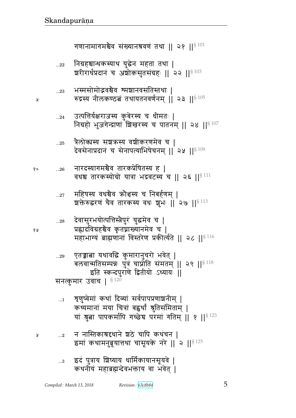...2 d d%ɕpfÔڪsdF |mF bt fqBbd ᅖ NxB fqxd4Î5yீq b~5yfF d^F ᅖᅖ 
ᅖᅖ§ 125

...1 श्रुणुष्वमा कथा दिव्या सवपापप्रणाशनाम् | कथ्यमाना मया चित्रा बह्वथा श्रुतिसामताम् | यां श्रुत्ना पापकर्मापि गच्छेच परमां गतिम् || १ || $^{\S\,123}$ 

~dɊf4 x^ P{b ᅖ § 120

...29 Xpசଉ yq{ f4 x^d4b^/ w{Fp> ᅖ ve{xp~אtਯ1 t4ÈB bऺ/p ~Bxpx> ᅖᅖ 
ᅖᅖ§ 118 Np ɕfɄrt4^\_F जp&y/ զyy1 ᅖᅖ

...28 rF{~4^wy/ɊtீɕGt4^B y4xF{ b ᅖ  Ì࢝r{¸ுG{ f6 pਰɇydxF{ b ᅖ xwþyB Îഐ\_dB {ɕp^F\_ Ìf,Ɋy@pF ᅖᅖ 
ᅖᅖ§ 116

...27 x}״y {sுG{ ¾0ૄ״y b dv@\_x> ᅖ |୯F ؇^\_B bG{ p^f״y {s1 |4w1 ᅖᅖ 
ᅖᅖ§ 113

 ...26 d^r״y`xுG{ p^fÌF}p״y ᅖ {sு p^f״y/¸/ yÈ wÊ{l״y b ᅖᅖ 
ᅖᅖ§ 111

...25 ÈGe/ຯ״y ~|¾״y {|&f^\_xF{ b ᅖ rF{~FdÌrdB b ~FdtɊyw}Fbdx> ᅖᅖ 
ᅖᅖ§ 109

...24 PɊtீy@^a״y f4 vF^״y b s&xp1 ᅖ d¸/ w4a`FɄÊ\_B |g^״y b tpdx> ᅖᅖ 
ᅖᅖ§ 107

...23 w״x~/x/ె{ுG{ ͉x|d{~pɕpq ᅖ ؇Ê״y d&efýmଉB pqypd{\_@dx> ᅖᅖ 
ᅖᅖ§ 105

...22 d¸ு̺sf״yq y4Fd xp pq ᅖ |^)^s@ÌrdB b L|/f~4p~B¸1 ᅖᅖ 

ᅖᅖ§ 103

गणानामागमश्चेव संख्यानश्रवणं तथा || २१ || ${}^{8\,101}$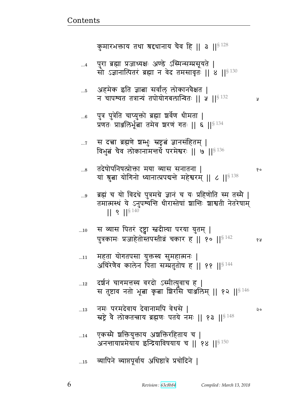१०

- व्यापिने व्याप्तपूर्वाय अधिष्ठात्रे प्रचोदिने |  $...15$
- एकस्मै शक्तियुक्ताय अशक्तिरहिताय च |  $...14$ अनन्तायाप्रमेयाय इन्द्रियाविषयाय च | १४ | | < 150
- नमः परमदेवाय देवानामपि वेधसे |  $\dots 13$ २० स्रष्टे वे लोकतन्त्राय ब्रह्मणः पतये नमः ॥ १३ ॥  $$^{148}$
- दर्शनं चागमत्तस्य वरदो ऽस्मीत्युवाच ह |  $\dots$ 12 स तुष्टाव नतो भूबा कृबा शिराँसे चार्ज़ालेम् || १२ || $\frac{18}{146}$
- महता योगतपसा युक्तस्य सुमहात्मनः |  $...11$ अचिरेणैव कालेन पिता सम्प्रतुतोष ह || ११ ||<sup>§ 144</sup>
- स व्यास पितरं दृष्ट्वा स्तदीत्या परया युतम् |  $...10$ पुत्रकामः प्रजाहेतोस्तपस्तीव्रं चकार ह || १० ||<sup>§ 142</sup> 68
- ब्रह्मं च यो विदधे पुत्रमग्रे ज्ञानं च यः प्रहिणोति स्म तस्मै |  $...9$ तमात्मस्थं ये ऽनुपर्य्यन्ति धीरास्तेषां शान्तिः शाश्वती नेतरेषाम्  $|| 9 ||^{\$ 140}$
- तदेषोपनिषत्प्रोक्ता मया व्यास सनातना |  $...8$ यां श्रुता योगिनो ध्यानात्प्रपद्यन्ते महेश्वरम् || ८ || § 138
- स दत्त्वा ब्रह्मणे शम्भुः स्रष्टूत्वं ज्ञानसंहितम् |  $\dots 7$ विभुबं चैव लोकानामन्तर्थे परमेश्वरः || ७ ||  $^{8\,136}$
- पुत्र पुत्रेति चाप्युक्तो ब्रह्मा शर्वेण धीमता |  $...6$ प्रणतः प्राञ्जलिर्भूत्वा तमेव शरणं गतः || ६ ||<sup>§ 134</sup>
- अहमेक इति ज्ञाबा सर्वांल् लोकानवेक्षत |  $\dots 5$ न चापश्यत तत्रान्यं तपोयोगबलान्वितः || ५ ||  $$^{132}$ R
- पुरा ब्रह्मा प्रजाध्यक्षः अण्डे ऽस्मिन्सम्प्रसूयते |  $\dots4$ सो ऽज्ञानात्पितरं ब्रह्मा न वेद तमसावृतः || 8 ||§ 130

कुमारभक्ताय तथा श्रद्दधानाय चैव हि || ३ || 5 128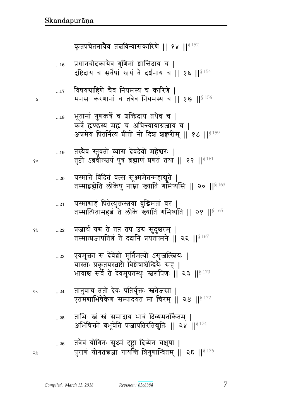|    | 18          | भूतानां गुणकर्त्रे च ञक्तिदाय तथैव च  <br>कर्त्रे ह्यण्डस्य मह्यं च अचिन्त्यायाग्रजाय च  <br>अप्रमेय पितर्नित्यं प्रीतो नो दिश शक्वरीम्    १८   § 159                  |
|----|-------------|------------------------------------------------------------------------------------------------------------------------------------------------------------------------|
| १० | $\dots$ 19  | तस्यैवं स्तुवतो व्यास देवदेवो महेश्वरः  <br>तुष्टो ऽब्रवीत्स्त्वयं पुत्रं ब्रह्माणं प्रणतं तथा    १९   § 161                                                           |
|    | $20$        | यस्मात्ते विदितं वत्स सूक्ष्ममेतन्महाबुते  <br>तस्माद्भह्मेति लोकेषु नाम्ना ख्यातिं गमिष्यसि    २०    $^{\$463}$                                                       |
|    | $\ldots 21$ | यस्माचाहं पितेत्युक्तस्त्वया बुद्धिमतां वर  <br>तस्मात्पितामहबं ते लोके ख्यातिं गमिष्यति    २१    <sup>§ 165</sup>                                                     |
| १५ | 22          | प्रजार्थं यच ते तप्तं तप उग्रं सुदुश्चरम्  <br>तस्मात्प्रजापतित्वं ते ददानि प्रयतात्मने    २२    $^{\S\,167}$                                                          |
|    | 23          | एवमुक्ता स देवेशो मूर्तिमत्यो ऽसृजत्स्त्रियः  <br>यास्ताः प्रकृतयस्त्रष्टौ विशेषाश्चेन्द्रियैः सह  <br>भावाश्च सर्वे ते देवमुपतस्थुः स्त्ररूपिणः    २३    $^{\S\,170}$ |
| २० | 24          | तानुवाच ततो देवः पतिर्युक्तः स्वतेजसा  <br>एतमबाभिषेकेण सम्पादयंत मा चिरम्    २४   § 172                                                                               |
|    | 25          | ताभिः स्त्रं स्त्रं समादाय भावं दिव्यमतर्कितम्  <br>अभिषिक्तो बभूवेति प्रजापतिरतिद्युतिः    २५    $^{\S\,174}$                                                         |
| ২५ | 26          | तत्रैवं योगिनः सूक्ष्मं दृष्ट्वा दिव्येन चक्षुषा  <br>पुराणं योगतत्त्वज्ञा गायन्ति त्रिगुणान्वितम्    २६    $^{\S\,176}$                                               |

Å

- विषयग्राहिणे चैव नियमस्य च कारिणे |<br>मनसः करणानां च तत्रैव नियमस्य च || १७ ||<sup>§ 156</sup>  $\dots$ 17
- प्रधानचोदकायैव गुणिनां शान्तिदाय च |<br>दृष्टिदाय च सर्वेषां स्त्वयं वे दर्शनाय च || १६ ||<sup>§ 154</sup>  $\dots16$

कृतप्रचेतनायैव तत्त्वविन्यासकारिणे || १५ ||<sup>§ 152</sup>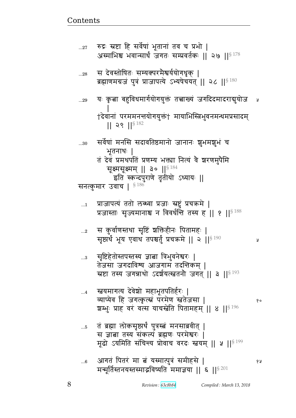¥

१५

तं ब्रह्मा लोकसृष्ट्यर्थं पुत्रस्त्वं मनसाब्रवीत् |  $\dots\!5$ स ज्ञात्ना तस्य संकल्पं ब्रह्मणः परमेश्वरः | मूढो ऽयमिति संचिन्त्य प्रोवाच वरदः स्तवम् || ५ || \$ 199

**ख्वयमागत्य देवेश्चो महाभूतपतिर्हरः |**  $\dots$ 4 व्याप्येव हि जगत्कृत्सं परमेण स्वतेजसा | १० श्वम्भुः प्राह वरं वत्स याचस्त्रेति पितामहम् || ४ ||  $^{8}$  196

सृष्टिहेतोस्तपस्तस्य ज्ञात्ना त्रिभुवनेश्वर<del>ः</del>  $\ldots 3$ तेजसा जगदाविश्य आजगामं तदन्तिकम् | स्रष्टा तस्य जगन्नाथो ऽदर्शयत्स्त्वतनौ जगत् || ३ || \$ 193

- स कुर्वाणस्तथा सृष्टिं शक्तिहीनः पितामहः |  $...2$ सृष्टार्थ भूय एवाथ तपश्चर्तुं प्रचक्रमे || २ || 3 190
- प्राजापत्यं ततो लब्ध्वा प्रजाः स्रष्टुं प्रचक्रमे |  $\dots$ 1 प्रजास्ताः सृज्यमानाश्च न विवर्धन्ति तस्य ह || १ || $^{\$~188}$

सर्वेषां मनसि सदावतिष्ठमानो जानानः शुभमशुभं च  $...30$ भूतनाथः | तं देवं प्रमथपतिं प्रणम्य भक्त्या नित्यं वै श्वरणमुपैमि सूक्ष्मसूक्ष्मम् || ३० ||<sup>§ 184</sup> इति स्कन्दपुराणे तृतीयो ऽध्यायः || सनत्कुमार उवाच |  $^{\S\,186}$ 

यः कृत्वा बहुविधमार्गयोगयुक्तं तत्त्वाख्यं जगदिदमादराद्युयोज  $...29$ †देवानां परममनत्तयोगयुक्तं† मायाभिस्त्रिभुवनमन्धमप्रसादम्  $|| 29 ||$ <sup>§ 182</sup>

स देवस्तोषितः सम्यक्परमैश्वर्ययोगधृक् |  $...28$ ब्रह्माणमग्रजं पुत्रं प्राजापत्ये ऽभ्यषेचयत् || २८ ||§ 180

रुद्रः स्रष्टा हि सर्वेषां भूतानां तव च प्रभो |  $...27$ अस्माभिश्च भवान्सार्धं जगतः सम्प्रवर्तकः || २७ || $^{\$\,178}$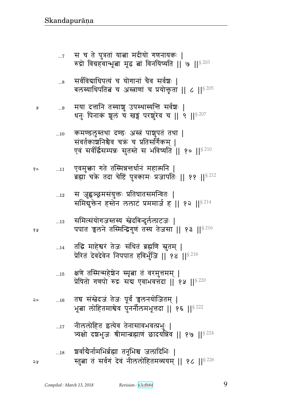- नीललोहित इत्येव तेनासावभवत्प्रभुः |  $\dots17$ त्र्यक्षो दशभुजः श्रीमान्ब्रह्माणं छादयन्निव || १७ || $^{8\,224}$ श्वर्वाद्येर्नामभिर्ब्रह्मा तनूभिश्च जलादिभिः ।  $\dots18$ स्तुबा तं सर्वगं देवं नीललोहितमव्ययम् || १८ || १९ || २२ จม
- तद्य संस्त्रेदजं तेजः पूर्वं चलनयोजितम् | २०  $\dots16$ भूबा लोहितमाश्वेव पुनर्नीलमभूत्तदा || १६ ||<sup>§ 222</sup>
- क्षणे तस्मिन्महेश्रेन स्मृत्वा तं वरमुत्तमम् |  $\ldots\!15$ प्रेषितो गणपो रुद्रः सद्य एवाभवत्तदा || १५ ||  $s^{220}$
- तद्धि माहेश्वरं तेजः संधितं ब्रह्मणि स्नुतम् |  $...14$ प्रेरितं देवदेवेन निपपात हविर्भुजि || १४ || 8218
- समित्संयोगजस्तस्य स्नेदबिन्दुर्ललाटजः ।  $\dots 13$ पपात चलने तस्मिन्द्विगुणं तस्य तेजसा || १३ ||<sup>§ 216</sup>
- स जुह्वञ्छ्रमसंयुक्तः प्रतिघातसमन्वितः |  $...12$ समियुक्तेन हस्तेन ललाटं प्रममार्ज ह || १२ ||  $8^{214}$
- एवमुक्ता गते तस्मिन्नत्तर्धानं महात्मनि | १०  $\dots 11$ ब्रह्मा चक्रे तदा चेष्टिं पुत्रकामः प्रजापतिः || ११ ||§<sup>212</sup>
- कमण्डलुस्तथा दण्डः अस्त्रं पाशुपतं तथा |  $...10$ संवर्तकाशनिश्चैव चक्रं च प्रतिसर्गिकम् । एवं सर्वर्द्धिसम्पन्नः सुतस्ते स भविष्यति || १० || $^{\S\,210}$
- मया दत्तानि तस्याशु उपस्थास्यन्ति सर्वश्चः |  $\ldots 9$ धनुः पिनाकं शूलं च खड़ परशुरेव च || ९ || 9207
- सर्वविद्याधिपत्यं च योगानां चैव सर्वश्चः |  $\ldots$ 8 बलस्याधिपतित्वं च अस्त्राणां च प्रयोक्तृता || ८ || ${}^{8\,205}$
- स च ते पुत्रतां यात्ना मदीयो गणनायकः |  $\dots 7$ रुद्रो विग्रहवान्भूत्वा मूढ त्नां विनयिष्यति || ७ || $^{\$203}$

Å

१५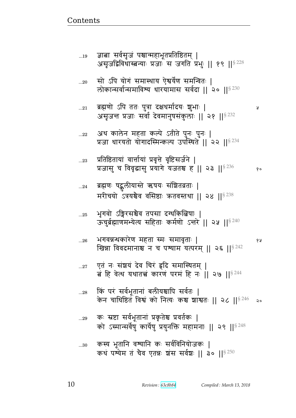Ã

कस्य भूतानि वश्यानि कः सर्वविनियोजकः |  $\ldots 30$ कथं पश्येम तं चैव एतन्नः शंस सर्वशः || ३० || \$ 250

- कः स्रष्टा सर्वभूतानां प्रकृतेश्च प्रवर्तकः |  $...29$ को ऽस्मान्सर्वेषु कार्येषु प्रयुनक्ति महामनाः || २९ ||<sup>§ 248</sup>
- किं परं सर्वभूतानां बलीयश्चापि सर्वतः |  $...28$ केन चाधिष्ठित विश्व को नित्यः कश्च शाश्वतः || २८ ||§246 २०
- एतं नः संशयं देव चिरं हृदि समास्थितम् |  $...27$ बं हि वेत्थ यथातच्चं कारणं परमं हि नः || २७ ||  $8^{244}$
- भगवन्नन्थकारेण महता स्मः समावृताः |  $...26$ १५ खिन्ना विवदमानाश्च न च पथ्याम यत्परम् || २६ || 8242
- भूगवो ऽङ्गिरसञ्चैव तपसा दग्धकित्बिषाः |  $...25$ ऊचुर्ब्रह्माणमभ्येत्य सहिताः कर्मणो ऽन्तरे || २५ ||<sup>§ 240</sup>
- ब्रह्मणः षद्भुलीयास्ते ऋषयः संशितव्रताः |  $...24\,$ मरीचयो ऽत्रयश्चैव वसिष्ठाः कृतवस्तथा || २४ || 5238
- प्रतिष्ठितायां वार्त्तायां प्रवृत्ते वृष्टिसर्जने |  $...23$ प्रजासु च विवृद्धासु प्रयागे यजतश्च ह || २३ || \$ 236  $\delta$  o
- अथ कालेन महता कल्पे ऽतीते पुनः पुनः |  $...22$ प्रजा धारयतो योगादस्मिन्कल्प उपस्थिते || २२ ||§<sup>234</sup>
- ब्रह्मणो ऽपि ततः पुत्रा दक्षधर्मादयः श्चुभाः |  $\dots 21$ असृजन्त प्रजाः सर्वा देवमानुषसंकुलाः || २१ || 5232
- सो ऽपि योगं समास्थाय ऐश्वर्येण समन्वितः |  $...20$ लोकान्सर्वान्समाविश्य धारयामास सर्वदा || २० || § 230
- ज्ञाबा सर्वसृजं पश्चान्महाभूतप्रतिष्ठितम् |  $...19$ असुजद्विविधास्त्वन्याः प्रजाः स जगति प्रभुः || १९ ||<sup>§ 228</sup>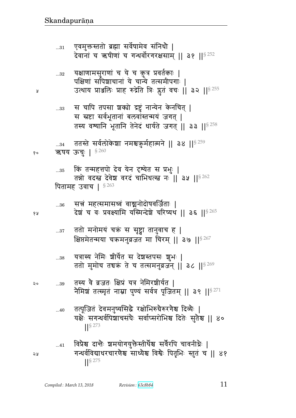विप्रैश्च दान्तैः श्वमयोगयुक्तैस्तीर्थैश्च सर्वैरपि चावनीधैः |  $...41$ गन्धर्वविद्याधरचारणेश्च साध्येश्च विश्वैः पितृभिः स्तुतं च || ४१  $\frac{1}{5}$  275

- तत्पूजितं देवमनुष्यसिद्धे रक्षोभिरुग्रेरुरगेश्च दिव्यैः |  $...40$ यक्षे सगन्धर्वपिशाचसंघे सर्वाप्सरोभिश्च दिते सुतैश्च || ४०  $\left| \right|$  \  $\left| \right|$  \  $\left| \right|$  273
- तस्य वे व्रजतः क्षिप्रं यत्र नेमिरशीर्यत | २० ...39 नैमिश्चं तत्स्मृतं नाम्ना पुण्यं सर्वत्र पूजितम् || ३९ || $^{\$271}$
- यत्रास्य नेमिः श्रीर्येत स देशस्तपसः शुभः |  $...38$ ततो मुमोच तचक्रं ते च तत्समनुव्रजन् || ३८ ||<sup>§ 269</sup>
- ततो मनोमयं चक्रं स सृष्ट्वा तानुवाच ह |  $\ldots 37$ क्षिप्तमेतन्मया चक्रमनुव्रजत मा चिरम् || ३७ || 8267
- सत्नं महत्समासध्वं वाञ्चनोदोषवर्जिताः |  $...36$ देशं च वः प्रवक्ष्यामि यस्मिन्देशे चरिष्यथ || ३६ ||§ 265
- किं तन्महत्तपो देव येन दृश्येत स प्रभुः |  $...35$ तन्नो वदस्त देवेश वरदं चाभिधत्स्त नः || ३५ || $8\,262$ पितामह उवाच |  $$^{263}$
- ततस्ते सर्वलोकेशा नमश्चऋुर्महात्मने || ३४ || 5259 ऋषय ऊचुः | § 260 १०
- स चापि तपसा शक्यो द्रष्टुं नान्येन केनचित् |  $\ldots 33$ स स्रष्टा सर्वभूतानां बलवांस्तन्मयं जगत् | तस्य वश्यानि भूतानि तेनेदं धार्यते जगत् || ३३ || $^{\$258}$
- यक्षाणामसुराणां च ये च कुत्र प्रवर्तकाः |  $...32\,$ पक्षिणां सौंपेशाचानां ये चान्ये तत्समीपगाः | उत्थाय प्राञ्जलिः प्राह रुद्रेति त्रिः प्लुतं वचः || ३२ ||<sup>§ 255</sup>
- एवमुक्तस्ततो ब्रह्मा सर्वेषामेव संनिधौ |  $...31$

१५

১ম

५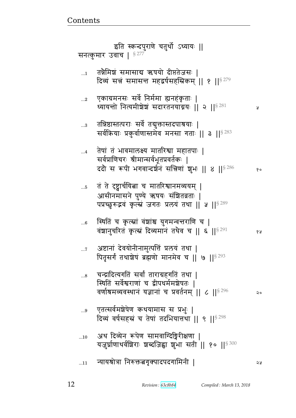|            | इति स्कन्दपुराणे चतुर्थो ऽध्यायः   <br>सनत्कुमार उवाच   §277                                                                                              |    |
|------------|-----------------------------------------------------------------------------------------------------------------------------------------------------------|----|
| $\dots$ 1  | तन्नैमिश्चं समासाद्य ऋषयो दीप्ततेजसः  <br>दिव्यं सत्नं समासन्त महद्वर्षसहस्रिकम् ॥ १ ॥ $^{\mathrm{S}\,279}$                                               |    |
| $\ldots$ 2 | एकाग्रमनसः सर्वे निर्ममा ह्यनहंकृताः  <br>ध्यायन्तो नित्यमीशेशं सदारतनयाग्नयः    २    $^{\$281}$                                                          | A  |
| $\ldots$ 3 | तन्निष्ठास्तत्पराः सर्वे तद्युक्तास्तदपाश्रयाः  <br>सर्वक्रियाः प्रकुर्वाणास्तमेव मनसा गताः    ३    <sup>§ 283</sup>                                      |    |
| $\dots$ 4  | तेषां तं भावमालक्ष्य मातरिश्वा महातपाः<br>सर्वप्राणिचरः श्रीमान्सर्वभूतप्रवर्तकः  <br>ददौ स रूपी भगवान्दर्शनं सन्निणां शुभः    ४    $^{8\,286}$           | १० |
| $\dots5$   | तं ते दृष्ट्वार्चयित्ना च मातरिश्वानमव्ययम्  <br>आसीनमासने पुण्ये ऋषयः संशितव्रताः  <br>पप्रच्छुरुद्भवं कृत्सं जगतः प्रलयं तथा    ५    \$ 289             |    |
| $6$        | स्थितिं च कृत्स्नां वंशांश्च युगमन्वन्तराणि च  <br>वंशानुचरितं कृत्सं दिव्यमानं तथैव च    ६    $^{\circ\,291}$                                            | १५ |
| $\dots 7$  | अष्टानां देवयोनीनामुत्पत्तिं प्रलयं तथा  <br>पितृसर्गं तथाशेषं ब्रह्मणो मानमेव च    ७    $^{8\,293}$                                                      |    |
| $\ldots 8$ | चन्द्रादित्यगतिं सर्वां ताराग्रहगतिं तथा  <br>स्थितिं सर्वेश्वराणां च द्वीपधर्ममञ्जेषतः  <br>वर्णाश्रमव्यवस्थानं यज्ञानां च प्रवर्तनम्    ८    $^{\$296}$ | ఎం |
| 9          | एतत्सर्वमशेषेण कथयामास स प्रभुः  <br>दिव्यं वर्षसहस्रं च तेषां तदभियात्तथा    ९    <sup>§ 298</sup>                                                       |    |
| 10         | अथ दिव्येन रूपेण सामवाग्दिङ्गिरीक्षणा  <br>यज़ुर्घाणाथर्वशिराः शब्दजिह्वा शुभा सती    १०    <sup>§ 300</sup>                                              |    |
| 11         | ऱ्यायश्रोत्रा निरुक्तत्नगृक्पादपदगामिनी                                                                                                                   | จง |

<u>Contents and Contents are the contents of the contents of the contents of the contents of the contents of the contents of the contents of the contents of the contents of the contents of the contents of the contents of the</u>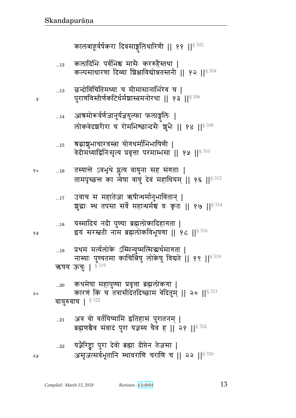- अत्र वो वर्तयिष्यामि इतिहासं पुरातनम् |  $...21\,$ ब्रह्मणश्चेव संवादं पुरा यज्ञस्य चैव ह || २१ || \$ 324 यज्ञैरिष्ट्वा पुरा देवो ब्रह्मा दीप्तेन तेजसा |  $...22\,$ असृजत्सर्वभूतानि स्थावराणि चराणि च || २२ ||§ 326
- कथमेषा महापुण्या प्रवृत्ता ब्रह्मलोकगा |  $...20$ कारणं किं च तत्रासीदेतदिच्छाम वेदितुम् || २० || ${}^{8\,321}$ वायुरुवाच |  $$^{322}$
- प्रथमं मर्त्यलोके ऽस्मिन्युष्मत्सिद्धर्थमागता |  $\dots 19$ नास्याः पुण्यतमा काचिन्निषु लोकेषु विद्यते || १९ ||  $$^{318}$ ऋषय ऊचुः | §<sup>319</sup>
- यस्मादियं नदी पुण्या ब्रह्मलोकादिहागता |  $\dots18$ इयं सरस्तृती नाम ब्रह्मलोकविभूषणा || १८ ||  $$^{316}$
- उवाच स महातेजा ऋषीन्धर्मानुभावितान् |  $\dots$ 17 शुद्धाः स्थ तपसा सर्वे महान्धर्मश्च वः कृतः || १७ ||  $^{8314}$
- तस्यान्ते ऽवभृथे प्लूत्य वायुना सह संगताः |  $\dots16$ १० तामपृच्छन्त का न्वेषा वायुं देवं महाधियम् || १६ || 8312
- त्रद्धाशुभाचारवस्त्रा योगधर्माभिभाषिणी |  $\dots15$ वेदीमध्याद्विनिःसृत्य प्रवृत्ता परमाम्भसा || १५ ||§310
- आश्रमोरूर्वर्णजानुर्यज्ञगुल्फा फलाङ्गलिः |  $...14$ लोकवेदशरीरा च रोमभिश्छान्दसैः शुभैः || १४ || \$308
- छन्दोविचितिमध्या च मीमांसानाभिरेव च |  $...13$ पुराणविस्तीर्णकटिर्धर्मशास्त्रमनोरथा || १३ ||<sup>§ 306</sup>

Å

१५

 $\mathsf{Q} \circ$ 

२५

कलादिभिः पर्वभिश्च मासैः कररुहैस्तथा |  $\dots 12$ कल्पसाधारणा दिव्या शिक्षाविद्योन्नतस्तनी || १२ || 5304

कालबाहूर्वर्षकरा दिवसाङ्गलिधारिणी || ११ || 5302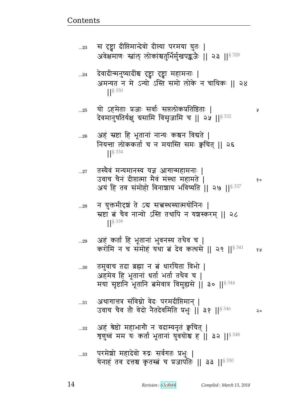Ã

१५

परमेशो महादेवो रुद्रः सर्वगतः प्रभुः |  $...33$ येनाहं तव दत्तश्च कृतस्त्वं च प्रजापतिः || ३३ ||§ 350

- अहं श्रेष्ठो महाभागौ न वदाम्यनृतं क्वचित् |  $...32$ त्रृणुध्वं मम यः कर्ता भूतानां युवयोश्च ह || ३२ ||<sup>§ 348</sup>
- अथागात्तत्र संविग्नो वेदः परमदीप्तिमान् ।  $...31$ उवाच चैव तो वेदो नैतदेवमिति प्रभुः ॥ ३१ ॥  $^{8346}$  $\mathsf{Q} \circ$
- तमुवाच तदा ब्रह्मा न बं धारयिता विभो | अहमेव हि भूतानां धर्ता भर्ता तथैव च | मया सृष्टानि भूतानि बमेवात्र विमुह्यसे || ३० || 344
- अहं कर्ता हि भूतानां भुवनस्य तथैव च |  $...29$ करोमि न च संमोहं यथा बं देव कत्थसे || २९ || \$ 341
- न युक्तमीदृषं ते ऽब सत्त्वस्थस्यात्मयोनिनः |  $...28$ स्रष्टा बं चैव नान्यो ऽस्ति तथापि न यशस्करम् || २८  $\left| \right|$  \$ 339
- उवाच चैनं दीप्तात्मा मैवं मंस्था महामते | १० अयं हि तव संमोहो विनाशाय भविष्यति || २७ || $^{\$337}$
- $\left| \right|^{§ \, 334}$ तस्यैवं मन्यमानस्य यज्ञ आगान्महामनाः |

नियन्ता लोककर्ता च न मयास्ति समः क्वचित् || २६

यो ऽहमेताः प्रजाः सर्वाः सप्तलोकप्रतिष्ठिताः |  $...25$ देवमानुषतिर्यक्षु ग्रसामि विसृजामि च || २५ ||  $\frac{332}{2}$ 

अहं स्रष्टा हि भूतानां नान्यः कश्चन विद्यते |

देवादीन्मनुष्यादींश्च दृष्ट्वा दृष्ट्वा महामनाः |  $...24$ अमन्यत न मे ऽन्यो ऽस्ति समो लोके न चाधिकः || २४ 

अवेक्षमाणः स्त्रांल् लोकांश्चतुर्भिर्मुखपङ्कजैः || २३ ||<sup>§ 328</sup>

स दृष्ट्वा दीप्तिमान्देवो दीप्त्या परमया युतः |

 $...23$ 

 $...26$ 

 $...27$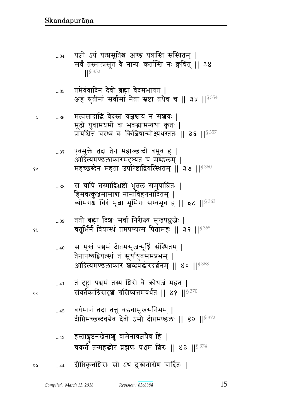- हस्ताङ्गुष्ठनखेनाशु वामेनावज्ञयेव हि |  $...43$
- वर्धमानं तदा तत्तु वडवामुखसंनिभम् |  $...42$ दीप्तिमच्छब्दवचैव देवो ऽसौ दीप्तमण्डलः || ४२ || ९ 372
- तं दृष्ट्वा पञ्चमं तस्य शिरो वै कोधजं महत् |  $...41$ संवर्तकाग्निसदृषां ग्रसिष्यत्तमवर्धत || ४१ ||<sup>§ 370</sup>
- स मुखं पञ्चमं दीप्तमसृजन्मूर्ध्नि संस्थितम् |  $...40$ तेनापश्यद्वियत्स्थं तं सूर्यायुतसमप्रभम् | आदित्यमण्डलाकारं शब्दवद्धोरदर्शनम् || ४० || 5368
- ततो ब्रह्मा दिशः सर्वा निरीक्ष्य मुखपङ्कजैः |  $...39$ चतुर्भिर्न वियत्स्थं तमपश्यत्स पितामहः || ३९ ||<sup>§ 365</sup>
- स चापि तस्माद्रिभ्रष्टो भूतलं समुपाश्रितः |  $...38$ हिमवत्कुञ्जमासाद्य नानाविहगनादितम् | व्योमगश्च चिरं भूला भूमिगः सम्बभूव ह || ३८ || 5363
- एवमुक्ते तदा तेन महाञ्छब्दो बभूव ह |  $...37$ आदित्यमण्डलाकारमदृष्यत च मण्डलम् । महच्छब्देन महता उपरिष्टाद्वियत्स्थितम् || ३७ ||<sup>§ 360</sup>
- मत्प्रसादाद्धि वेदस्तं यज्ञश्चायं न संशयः |  $...36$ मूढौ युवामधर्मो वा भवद्भामन्यथा कृतः | प्रायश्चित्तं चरध्वं वः किल्बिषान्मोक्ष्यथस्ततः || ३६ ||<sup>§ 357</sup>
- तमेवंवादिनं देवो ब्रह्मा वेदमभाषत |  $...35$ अहं श्रुतीनां सर्वासां नेता स्रष्टा तथैव च || ३५ ||<sup>§ 354</sup>
- यज्ञो ऽयं यत्प्रसूतिश्च अण्डं यत्रास्ति संस्थितम् |  $...34$ सर्वं तस्मात्प्रसूतं वे नान्यः कर्तास्ति नः क्वचित् || ३४  $\frac{1}{5}$  352

१५

२०

Å

१०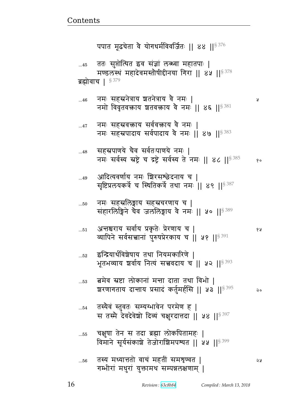| 55 | चक्षुषा तेन स तदा ब्रह्मा लोकपितामहः  <br>विमाने सूर्यसंकाशे तेजोराशिमपश्यत    ५५    5399 |    |
|----|-------------------------------------------------------------------------------------------|----|
| 56 | तस्य मध्यात्ततो वाचं महतीं समशृण्वत  <br>गम्भीरां मधुरां युक्तामथ सम्पन्नलक्षणाम्         | จง |

तस्यैवं स्तुवतः सम्यग्भावेन परमेण ह |  $\dots 54$ म तस्मै देवदेवेशो दिव्यं चक्षरदात्तदा ।। ५४ ।। $\S$   $^{397}$ 

- बमेव स्रष्टा लोकानां मन्ता दाता तथा विभो |  $...53$ शरणागताय दान्ताय प्रसादं कर्तुमर्हसि || ५३ || 5395 २०
- इन्द्रियार्थविशेषाय तथा नियमकारिणे ।  $...52$ भूतभव्याय शर्वाय नित्यं सत्त्ववदाय च || ५२ || 5393
- अन्तश्चराय सर्वाय प्रकृतेः प्रेरणाय च |  $\dots51$ व्यापिने सर्वसत्तानां पुरुषप्रेरकाय च || ५१ || 5391

नमः सहस्रलिङ्गाय सहस्रचरणाय च |  $...50$ संहारलिङ्गिने चैव जललिङ्गाय वे नमः || ५० || 5389

- आदित्यवर्णाय नमः शिरसश्छेदनाय च | ...49 सृष्टिप्रलयकर्त्रे च स्थितिकर्त्रे तथा नमः ॥ ४९ ॥ 5387
- सहस्रपाणये चैव सर्वतःपाणये नमः |  $...48$ नमः सर्वस्य स्रष्ट्रे च द्रष्ट्रे सर्वस्य ते नमः || ४८ || \$ 385  $90$
- नमः सहस्रवक्ताय सर्ववक्ताय वै नमः |  $\dots 47$ नमः सहस्रपादाय सर्वपादाय वे नमः | ४७ || १९३३
- नमः सहस्रनेत्राय शतनेत्राय वै नमः |  $...46$ नमो विवृतवक्ताय शतवक्ताय वे नम<sup>2</sup> || ४६ ||  $s^{381}$

Ã

१५

ब्रह्मोवाच ।  $$^{379}$ 

ततः सुप्तोत्थित इव संज्ञां लब्ध्वा महातपाः |  $...45$ मण्डलस्थं महादेवमस्तौषीद्दीनया गिरा || ४५ || 5378

पपात मूढचेता वे योगधर्मविवर्जितः || ४४ ||<sup>§ 376</sup>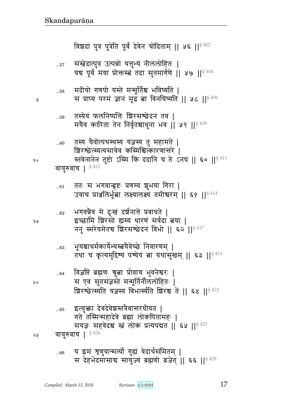| ४ प्र | $62$ | भगवन्नैव मे दुःखं दर्शनात्ते प्रबाधते  <br>इच्छामि शिरसो ह्यस्य धारणं सर्वदा तया  <br>ननु स्मरेयमेतच शिरसश्छेदनं विभो    ६२    $^{8417}$                                     |
|-------|------|------------------------------------------------------------------------------------------------------------------------------------------------------------------------------|
|       | 63   | भूयश्चाधर्मकार्येभ्यस्त्वयैवेच्छे निवारणम्  <br>तथा च कृत्यमुद्दिश्य पश्येयं ता यथासुखम्    ६३    $8419$                                                                     |
| २०    | $64$ | विज्ञप्तिं ब्रह्मणः श्रुत्वा प्रोवाच भुवनेश्वरः  <br>स एव सुतसंज्ञस्ते मन्मूर्तिर्नीललोहितः  <br>ग्रिरश्छेत्स्यति यज्ञस्य बिभर्त्स्यति ग्रिरश्च ते    ६४    <sup>§ 422</sup> |
|       | 65   | इत्युक्ता देवदेवेशस्तत्रेवान्तरधीयत  <br>गते तस्मिन्महादेवे ब्रह्मा लोकपितामहः ।<br>सयज्ञः सहवेदश्च स्तं लोकं प्रत्यपद्यत    ६५    § 425<br>$\S$ 426                         |
| 58    |      | वायुरुवाच  <br><u>ग टर्म बालमानार्को गर्ना देशशैरांगिरम् ।</u>                                                                                                               |

ततः स भगवान्हृष्टः प्रणम्य शुभया गिरा |  $...61$ उवाच प्राअलिर्भूत्वा लक्ष्यालक्ष्यं तमीश्वरम् || ६१ ||<sup>§ 414</sup>

वायुरुवाच |  $§$ <sup>412</sup>

y

१०

तस्य चैवोत्पथस्थस्य यज्ञस्य तु महामते |  $...60$ शिरश्छेत्स्यत्यसावेव कस्मिंश्चित्कारणात्तरे | स्तवेनानेन तुष्टो ऽस्मि किं ददानि च ते ऽनघ || ६० || \$ 411

तस्येयं फलनिष्पत्तिः शिरसश्छेदनं तव |  $\dots59$ मयैव कारिता तेन निर्वृतश्चाधुना भव | | ५९ | |  $\frac{8408}{9}$ 

मदीयो गणपो यस्ते मन्मूर्तिश्च भविष्यति |  $...58$ स प्राप्य परमं ज्ञानं मूढं बा विनयिष्यति || ५८ ||  $$^{406}$ 

संखेदात्पुत्र उत्पन्नो यत्तुभ्यं नीललोहितः |  $\dots57$ यच पूर्वं मया प्रोक्तस्त्वं तदा सुतमार्गणे || ५७ ||  $$^{404}$ 

विश्वदां पुत्र पुत्रेति पूर्वं देवेन चोदिताम् || ५६ || § 402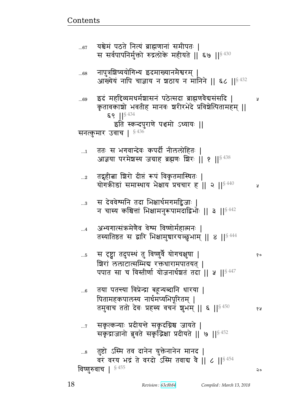¥

कृतावकाशो भवतीह मानवः शरीरभेदे प्रविशेत्पितामहम् ||  $89$  || $8434$ इति स्कन्दपुराणे पञ्चमो ऽध्यायः || सनत्कुमार उवाच |  $$^{436}$ ततः स भगवान्देवः कपर्दी नीललोहितः |  $\dots$ 1 आज्ञया परमेशस्य जग्राह ब्रह्मणः शिरः || १ ||<sup>§ 438</sup> तद्गृहीत्वा शिरो दीप्तं रूपं विकृतमास्थितः |  $\ldots 2$ योगकीडां समास्थाय भेक्षाय प्रचचार ह ।। २ ।।<sup>§ 440</sup> Ã स देववेश्मनि तदा भिक्षार्थमगमद्विजाः |  $\ldots 3$ न चास्य कश्चित्तां भिक्षामनुरूपामदाद्विभोः || ३ || $8\,442$ अभ्यगात्संक्रमेणैव वेश्म विष्णोर्महात्मनः |  $\dots$ 4 तस्यातिष्ठत स द्वारि भिक्षामुचारयञ्छुभाम् || ४ || 3444 स दृष्ट्वा तदुपस्थं तु विष्णुर्वे योगचक्षुषा |  $...5$  $90$ शिरां ललाटात्सम्भिब रक्तधारामपातयत् । पपात सा च विस्तीर्णा योजनार्धशतं तदा || ५ || § 447 तया पतन्त्या विप्रेन्द्रा बहून्यब्दानि धारया |  $...6$ पितामहकपालस्य नार्धमप्यभिपूरितम् | तमुवाच ततो देवः प्रहस्य वचनं शुभम् || ६ || §  $^{450}$ १५ सकृत्कन्याः प्रदीयन्ते सकृदग्निश्च जायते |  $\ldots 7$ सकृद्राजानो ब्रुवते सकृद्भिक्षा प्रदीयते || ७ || \$452 ... $\,$  तुष्टो ऽस्मि तव दानेन युक्तेनानेन मानद | वरं वरय भद्रं ते वरदो ऽस्मि तवाद्य वै || ८ ||  $s^{454}$ विष्णुरुवाच |  $§455$ २०

यश्चेमं पठते नित्यं ब्राह्मणानां समीपतः |

नापुत्रशिष्ययोगिभ्य इदमाख्यानमैश्वरम् |

स सर्वपापनिर्मुक्तो रुद्रलोके महीयते || ६७ ||  $$^{430}$ 

इदं महद्दिव्यमधर्मशासनं पठेत्सदा ब्राह्मणवैद्यसंसदि |

आंख्येयं नापि चाज्ञाय न शठाय न मानिने || ६८ ||§432

 $...67$ 

 $...68$ 

 $...69$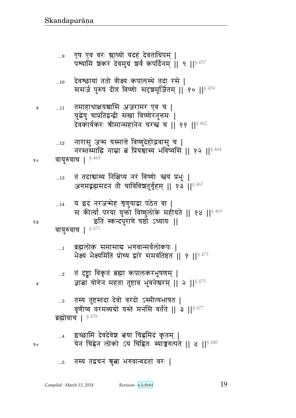## तस्य तद्वचनं श्रुत्वा भगवान्वदतां वरः |  $...5$

- इच्छामि देवदेवेश बया चिह्नमिदं कृतम् |  $\dots 4$ येन चिह्नेन लोको ऽयं चिह्नितः स्याज़ुगत्पते || ४ || $^{\S\,480}$
- तस्य तुष्टस्तदा देवो वरदो ऽस्मीत्यभाषत |  $\ldots\!3$ वृणीष्व वरमव्यग्रो यस्ते मनसि वर्तते || ३ ||<sup>§ 477</sup> ब्रह्मोवाच |  $$478$
- तं दृष्ट्वा विकृतं ब्रह्मा कपालकरभूषणम् |  $\ldots 2$ ज्ञाबा योगेन महता तुष्टाव भुवनेश्वरम् || २ || \$475
- ब्रह्मलोकं समासाद्य भगवान्सर्वलोकपः |  $\ldots 1$ भेक्ष्यं भेक्ष्यमिति प्रोच्य द्वारे समवतिष्ठत || १ || $5\,473$

वायुरुवाच |  $$471$ 

- य इदं नरजन्मेह शृणुयाद्वा पठेत वा |  $\dots$ 14 स कीर्त्या परया युक्तो विष्णुलोके महीयते || १४ || $^{\frac{6}{3}469}$ इति स्कन्दपुराणे षष्ठो ऽध्यायः ||
- तं तदाश्वास्य निक्षिप्य नरं विष्णोः स्तयं प्रभुः |  $\dots 13$ अगमद्भझसदनं तो चाविविशतुर्गृहम् || १३ || \$467

## वायुरुवाच | 5465 १०

Å

१५

Å

१०

- नारासु जन्म यस्मात्ते विष्णुदेहोद्भवासु च |  $...12$ नरस्तस्माद्धि नाम्ना बं प्रियश्चास्य भविष्यसि ॥ १२ ॥ $8464$
- तमाहाथाक्षयश्चासि अजरामर एव च |  $...11$ युद्धेषु चाप्रतिद्वन्द्वी सखा विष्णोरनुत्तमः | देवकार्यकरः श्रीमान्सहानेन चरस्त्व च || ११ ||  $^{8\,462}$
- देवश्छायां ततो वीक्ष्य कपालस्थे तदा रसे |  $\dots10$ ससर्ज पुरुषं दीप्तं विष्णोः सदृशमूर्जितम् || १० || \$459
- एष एव वरः श्लाघ्यो यदहं देवताधिपम् |  $...9$ पश्यामि शंकरं देवमुग्रं शर्वं कपर्दिनम् || ९ || \$457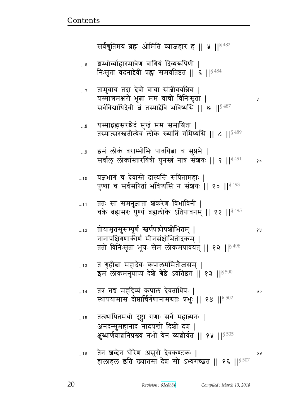Ã

१५

२०

|            | क्षुब्धार्णवाशनिप्रख्यं नभो येन व्यशीर्यत    १५   § 505 |    |
|------------|---------------------------------------------------------|----|
| $\dots 16$ | तेन शब्देन घोरेण असुरो देवकण्टकः                        | จง |
|            | हालाहल इति ख्यातस्तं देश सो ऽभ्यगच्छत    १६    507      |    |

- तत्स्थापितमथो दृष्ट्वा गणाः सर्वे महात्मनः |  $\dots$ 15 अनदन्सुमहानादं नादयन्तो दिशो दश |
- तत्र तच महद्दिव्यं कपालं देवताधिपः |  $...14$ स्थापयामास दीप्तार्चिर्गणानामग्रतः प्रभुः || १४ || \$ 502
- तं गृहीत्ना महादेवः कपालममितौजसम् |  $...13$ इम लोकमनुप्राप्य देशे श्रेष्ठे ऽवतिष्ठत | १३ | | ९८
- तोयामृतसुसम्पूर्णं स्त्रर्णपद्मोपञ्चोभितम् |  $...12$ नानापक्षिगणाकीर्णं मीनसंक्षोभितोदकम् । ततो विनिःसृता भूयः सेमं लोकमपावयत् || १२ ||<sup>§ 498</sup>
- ततः सा समनुज्ञाता शंकरेण विभाविनी |  $...11$ चके ब्रह्मसरः पुण्यं ब्रह्मलोके ऽतिपावनम् || ११ || \$495
- यज्ञभागं च देवास्ते दास्यन्ति सपितामहाः ।  $...10$ पुण्या च सर्वसरितां भविष्यसि न संशयः || १० ||§ 493
- इमं लोकं वराम्भोभिः पावयित्ना च सुप्रभे | ...9 सर्वांल् लोकांस्तारयित्री पुनस्त्वं नात्र संशयः || ९ || <sup>§ 491</sup> १०
- यस्माद्भह्मसरश्चेदं मुखं मम समाश्रिता |  $...8$ तस्मात्सरस्ततीत्येव लोके ख्यातिं गमिष्यसि || ८ || § 489
- तामुवाच तदा देवो वाचा संजीवयन्निव |  $\dots 7$ यस्मात्त्वमक्षरो भूत्वा मम वाचो विनिःसृता | सर्वविद्याधिदेवी बं तस्माद्देवि भविष्यसि ॥ ७ ॥ $$^{487}$
- श्वम्भोर्व्याहारमात्रेण वागियं दिव्यरूपिणी |  $...6$ निःसृता वदनादेवी प्रह्वा समवतिष्ठत || ६ ||  $$^{484}$

सर्वश्नुतिमयं ब्रह्म ओमिति व्याजहार ह || ५ ||  $\frac{8482}{ }$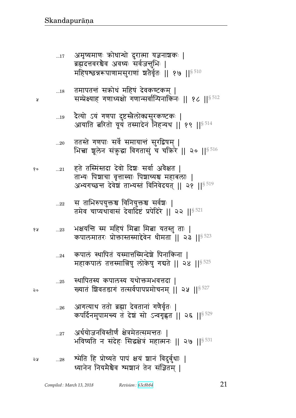$\lambda$ 

 $\mathsf{Q}\circ$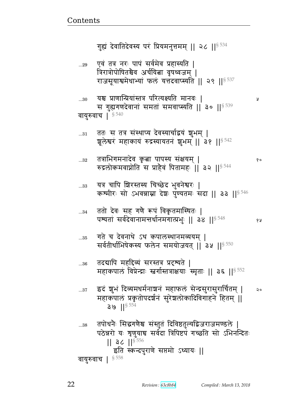एवं तत्र नरः पापं सर्वमेव प्रहास्यति |  $...29$ त्रिरात्रोपोषितश्चेव अर्चयिता वृषध्वजम् | राजसूयाश्वमेधाभ्यां फलं यत्तदवाप्स्यति || २९ ||§ 537 यश्च प्राणान्प्रियांस्तत्र परित्यक्ष्यति मानवः ।  $...30$ Ã स गुह्यगणदेवानां समतां समवाप्स्यति || ३० || \$539 वायुरुवाच | \$540 ततः स तत्र संस्थाप्य देवस्यार्चाद्वयं शुभम् |  $\ldots 31$ शूलेश्वरं महाकायं रुद्रस्यायतनं शुभम् || ३१ || 542 तत्राभिगमनादेव कृत्वा पापस्य संक्षयम् |  $...32$ १० रुद्रलोकमवाप्नोति स प्राहैवं पितामहः || ३२ ||<sup>§ 544</sup> यत्र चापि शिरस्तस्य चिच्छेद भुवनेश्वरः |  $...33$ कश्मीरः सो ऽभवन्नाम्ना देशः पुण्यतमः सदा || ३३ || ${}^{5\,46}$ ततो देवः सह गणै रूपं विकृतमास्थितः |  $...34$ पश्यतां सर्वदेवानामन्तर्धानमगात्प्रभुः || ३४ || 548 68 गते च देवनाथे ऽथ कपालस्थानमव्ययम् |  $...35$ सर्वतीर्थाभिषेकस्य फलेन समयोजयत् || ३५ ||§ 550 तदद्यापि महद्दिव्यं सरस्तत्र प्रदृश्यते |  $...36$ महाकपालं विप्रेन्द्राः स्तर्गास्तत्राक्षयाः स्मृताः || ३६ ||<sup>§ 552</sup> इदं शुभं दिव्यमधर्मनाशनं महाफलं सेन्द्रसुरासुरार्चितम् ।  $\mathsf{a}\mathsf{c}$  $...37$ महाकपालं प्रकृतोपदर्शनं सुरेशलोकादिविगाहने हितम् ||  $39$   $15^{554}$ तपोधनैः सिद्धगणैश्च संस्तुतं दिविष्ठतुल्यद्विजराजमण्डले |  $...38$ पठेन्नरो यः शृणुयाच सर्वदा त्रिपिष्टपं गच्छति सो ऽभिनन्दितः  $||$  36  $||$ <sup>§ 556</sup> इति स्कन्दपुराणे सप्तमो ऽध्यायः || वायुरुवाच | § 558

गुह्यं देवातिदेवस्य परं प्रियमनुत्तमम् || २८ || \$534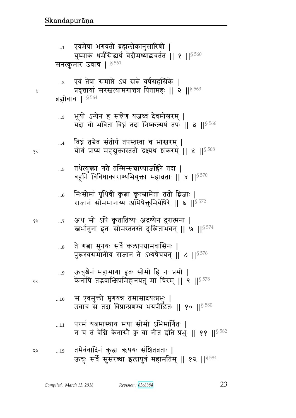- परमं यत्नमास्थाय मया सोमो ऽभिमार्गितः |  $...11$ न च तं वेग्नि केनासौ क्व वा नीत इति प्रभुः || ११ || \$ 582
- स एवमुक्तो मृगयन्न तमासादयत्प्रभुः |  $\ldots 10$ उवाच स तदा विप्रान्प्रणम्य भयपीडितः || १० ||§ 580
- ऊचुश्चैनं महाभागा हृतः सोमो हि नः प्रभो |  $\ldots\!9$ केनापि तद्भवान्क्षिप्रमिहानयतु मा चिरम् || ९ || 578
- ते गत्ना मुनयः सर्वे कलापग्रामवासिनः |  $\ldots\!8$ पुरूरवसमानीय राजानं ते ऽभ्यपेचयन् || ८ || 576
- अथ सो ऽपि कृतातिथ्यः अदृश्येन दुरात्मना | १५  $\dots 7$ खर्भानुना हृतः सोमस्ततस्ते दुःखिताभवन् || ७ || 574
- निःसोमां पृथिवीं कृबा कृत्स्नामेतां ततो द्विजाः |  $...6$ राजानं सोममानाय्य अभिषेक्तुमियेषिरे || ६ || $^{\$~572}$
- तथेत्युक्ता गते तस्मिन्सन्नाण्याजहिरे तदा |  $\dots5$ बहूनि विविधाकाराण्यभियुक्ता महाव्रताः || ५ ||<sup>§ 570</sup>
- विघ्नं तचैव संतीर्य तपस्तप्त्वा च भास्त्वरम् |  $\dots$ 4 योगं प्राप्य महबुक्तास्ततो द्रक्ष्यथ शंकरम् ॥ ४ ॥  $8^{568}$
- भूयो ऽन्येन ह सत्नेण यजध्वं देवमीश्वरम् |  $\ldots 3$ यदा वो भविता विघ्नं तदा निष्कल्मषं तपः || ३ || 566
- एवं तेषां समाप्ते ऽथ सन्ने वर्षसहस्रिके |  $\ldots$ 2 प्रवृत्तायां सरस्त्वत्यामगात्तत्र पितामहः || २ || \$ 563 ब्रह्मोवाच ।  $$^{564}$

Å

१०

२०

एवमेषा भगवती ब्रह्मलोकानुसारिणी | युष्माकं धर्मसिद्धर्थं वेदीमध्याद्यवर्तत || १ ||<sup>§ 560</sup> सनत्कुमार उवाच | 8561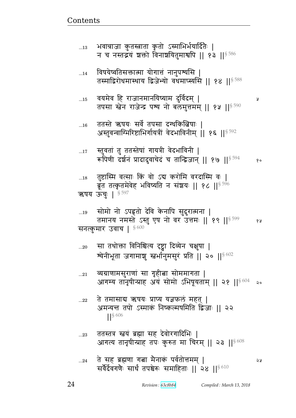১১

Ã

- ततस्तत्र स्त्रयं ब्रह्मा सह देवोरगादिभिः |  $...23$ आगत्य तानृषीन्प्राह तपः कुरुत मा चिरम् || २३ || $^{\$608}$
- ते तमासाद्य ऋषयः प्राप्य यज्ञफलं महत् |  $...22$ अमन्यन्त तपो ऽस्माकं निष्कल्मषमिति द्विजाः || २२  $\left| \right|$  \  $\left| \right|$  \ 606
- व्यग्राणामसुराणां सा गृहीत्ना सोममागता |  $\ldots 21$ आगम्य तानृषीन्प्राह अयं सोमो ऽभिषूयताम् || २१ ||<sup>§ 604</sup> २०
- सा तथोक्ता विनिश्चित्य दृष्ट्वा दिव्येन चक्षुषा |  $...20$ श्येनीभूता जगामाशु स्तर्भानुमसुरं प्रति || २० || १८०२

सनत्कुमार उवाच |  $$600$ 

सोमो नो ऽपहृतो देवि केनापि सुदुरात्मना |  $...19$ तमानय नमस्ते ऽस्तु एष नो वर उत्तमः || १९ || \$599 १५

तुष्टास्मि वत्साः किं वो ऽद्य करोमि वरदास्मि वः |  $\dots18$ ब्रूत तत्कृतमेवेह भविष्यति न संश्रयः || १८ ||<sup>§ 596</sup> ऋषय ऊंचुः | § 597

- स्तुवतां तु ततस्तेषां गायत्री वेदभाविनी |  $...17$ रूपिणी दर्शनं प्रादादुवाचेदं च तान्द्विजान् || १७ ||<sup>§ 594</sup>  $90$
- ततस्ते ऋषयः सर्वे तपसा दग्धकित्विषाः |  $...16$ अस्तुवन्वाग्भिरिष्टाभिर्गायत्रीं वेदभाविनीम् || १६ ||§ 592
- वयमेव हि राजानमानयिष्याम दुर्विदम् |  $...15$ तपसा स्तेन राजेन्द्र पश्य नो बलमुत्तमम् || १५ || \$ 590
- विषयेष्वतिसक्तात्मा योगात्तं नानुपर्श्यसि |  $...14$ तस्माद्विरोधमास्थाय द्विजेभ्यो वधमाप्स्यसि || १४ ||§ 588
- भवात्राजा कुतस्त्राता कृतो ऽस्माभिर्भयादितैः |  $...13$ न च नस्तद्भयं शक्तो विनाशयितुमाश्वपि || १३ ||  $$^{586}$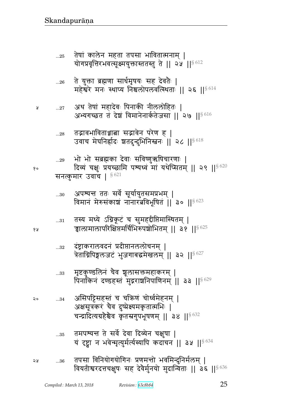तमपश्यन्त ते सर्वे देवा दिव्येन चक्षुषा | ...35 यं दृष्ट्वा न भवेन्मृत्युर्मर्त्यस्यापि कदाचन || ३५ || § 634

असिपट्टिसहस्तं च चक्रिणं चोर्ध्वमेहनम् |  $...34$ अक्षसूत्रकरं चैव दुष्प्रेक्ष्यमकृतात्मभिः | चन्द्रादित्यग्रहेश्चेव कृतस्रगुपभूषणम् || ३४ || $$^{632}$ 

मृष्टकुण्डलिनं चैव शूलासक्तमहाकरम् |  $\ldots 33$ पिनांकिन दण्डहस्त सुद्रराशनिपाणिनम् || ३३ || $8629$ 

दंष्ट्राकरालवदनं प्रदीप्तानललोचनम् ।  $...32$ त्रेताग्निपिङ्गलजटं भुजगाबद्धमेखलम् || ३२ ||<sup>§ 627</sup>

तस्य मध्ये ऽग्निकूटं च सुमहद्दीप्तिमास्थितम् |  $...31\,$ चालामालापरिक्षिप्तमर्चिभिरुपश्चोभितम् || ३१ || § 625

अपश्यन्त ततः सर्वे सूर्यायुतसमप्रभम् |  $...30$ विमानं मेरुसंकाशं नानारत्नविभूषितं || ३० ||  $^{6623}$ 

सनत्कुमार उवाच |  $$^{621}$ 

भो भो सब्रह्मका देवाः सविष्णुऋषिचारणाः |  $\ldots 29$ दिव्यं चक्षुः प्रयच्छामि पश्यध्वं मां यथेप्सितम् || २९ || $^{8\,620}$ 

तद्भावभाविताञ्चात्ना सद्भावेन परेण ह |  $...28$ उवाच मेघनिर्हादः शतदुन्दुभिनिस्तनः || २८ || 8618

अथ तेषां महादेवः पिनाकी नीललोहितः |  $...27$ अभ्यगच्छत तं देशं विमानेनार्कतेजसा || २७ || $8\,616$ 

ते युक्ता ब्रह्मणा सार्धमृषयः सह देवतैः |  $\ldots 26$ महेश्वरे मनः स्थाप्य निश्चलोपलवत्स्थिताः || २६ ||§614

तेषां कालेन महता तपसा भावितात्मनाम् |  $...25$ योगप्रवृत्तिरभवत्सूक्ष्मयुक्तास्ततस्तु ते || २५ || ९ / 19

१५

 $\mathsf{Q}$ 

प्र

१०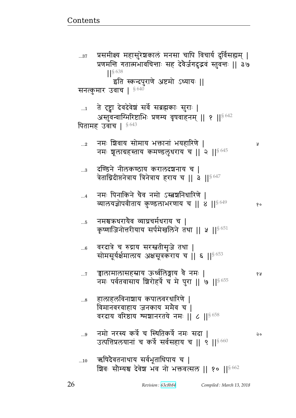Ã

१५

२०

न्नालामालासहस्राय ऊर्ध्वलिङ्गाय वै नमः |  $\dots 7$ नमः पर्वतवासाय शिरोहर्त्रे च मे पुरा || ७ || \$655 हालाहलविनाशाय कपालवरधारिणे |  $\ldots\!8$ विमानवरवाहाय जनकाय ममैव च | वरदाय वरिष्ठाय श्मशानरतये नमः || ८ ||  $\frac{8658}{9658}$ नमो नरस्य कर्त्रे च स्थितिकर्त्रे नमः सदा |  $\ldots\!9$ उत्पत्तिप्रलयानां च कर्त्रे सर्वसहाय च || ९ || 6600 ऋषिदेवतनाथाय सर्वभूताधिपाय च |  $...10$ 

शिवः सौम्यश्च देवेश भव नो भक्तवत्सल || १० ||§662

- वरदात्रे च रुद्राय सरस्त्रतीसृजे तथा |  $...6$ सोमसूर्यर्क्षमालाय अक्षसूत्रकराय च || ६ ||§ 653
- नमश्चऋधरायैव व्याघ्रचर्मधराय च ।  $...5$ कृष्णाजिनोत्तरीयाय सर्पमेखलिने तथा || ५ || § 651
- नमः पिनाकिने चैव नमो ऽस्त्वशनिधारिणे |  $\dots 4$ व्यालयज्ञोपवीताय कुण्डलाभरणाय च || ४ || ९ %  $80$
- दण्डिने नीलकण्ठाय करालदशनाय च |  $\ldots 3$ त्रेताग्निदीप्तनेत्राय त्रिनेत्राय हराय च || a ||§ 647
- नमः शिवाय सोमाय भक्तानां भयहारिणे |  $\ldots 2$ नमः शूलाग्रहस्ताय कमण्डलुधराय च || २ || 8645
- ते दृष्ट्वा देवदेवेशं सर्वे सब्रह्मकाः सुराः |  $\dots$ 1 अस्तुवन्वाग्मिरिष्टाभिः प्रणम्य वृषवाहनम् || १ || 9642 पितामह उवाच | § 643
- 
- इति स्कन्दपुराणे अष्टमो ऽध्यायः || सनत्कुमार उवाच | § 640

 $...37$ 

- प्रणमन्ति गतात्मभावचिन्ताः सह देवैर्जगदुद्भवं स्तुवन्तः || ३७
- प्रसमीक्ष्य महासुरेश्चकालं मनसा चापि विचार्य दुर्विसह्यम् |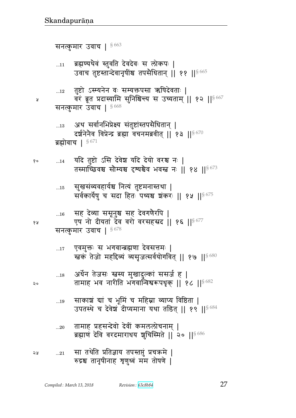|     | 20         | तामाह प्रहसन्देवो देवीं कमललोचनाम्  <br>ब्रह्माणं देवि वरदमाराधय शुचिस्मिते    २०    5686 |
|-----|------------|-------------------------------------------------------------------------------------------|
| ೨ శ | $\dots 21$ | सा तथेति प्रतिज्ञाय तपस्तप्तुं प्रचक्रमे  <br>रुद्रश्च तानृषीनाह त्रृणुध्वं मम तोषणे      |

- साकाशं द्यां च भूमिं च महिम्ना व्याप्य विष्ठिता |  $\dots 19$ उपतस्थे च देवेश दीप्यमाना यथा तडित् || १९ || $8684$
- अर्धेन तेजसः स्त्रस्य मुखादुल्कां ससर्ज ह |  $\dots18$ तामाह भव नारीति भगवान्विश्वरूपधृक् || १८ ||§682
- एवमुक्तः स भगवान्त्रह्मणा देवसत्तमः |  $...17$ खकं तेजो महद्दिव्यं व्यसृजत्सर्वयोगवित् || १७ || ९७ %

सनत्कुमार उवाच |  $$^{678}$ 

- सह देव्या ससूनुश्च सह देवगणैरपि |  $\dots16$ एष नो दीयतां देव वरो वरसहस्रद || १६ || 8677
- सुखसंव्यवहार्यश्च नित्यं तुष्टमनास्तथा |  $\dots15$ सर्वकार्येषु च सदा हितः पथ्यश्च शंकरः || १५ || ९८
- यदि तुष्टो ऽसि देवेश यदि देयो वरश्च नः | १०  $\dots14$ तस्माच्छिवश्च सौम्यश्च दृश्यश्चेव भवस्त नः || १४ || § 673

अथ सर्वानभिप्रेक्ष्य संतुष्टांस्तपसैधितान् |  $\dots 13$ दर्शनेनेव विप्रेन्द्र ब्रह्मा वचनमब्रवीत् || १३ ||  $8670$ ब्रह्मोवाच | § 671

- सनत्कुमार उवाच |  $§ 668$
- तुष्टो ऽस्म्यनेन वः सम्यक्तपसा ऋषिदेवताः |  $...12$ वरं ब्रूत प्रदास्यामि सुनिश्चिन्त्य स उच्यताम् || १२ || 667
- ब्रह्मण्यथैवं स्तुवति देवदेवः स लोकपः |  $\dots 11$ उवाच तुष्टस्तान्देवानृषींश्च तपसैधितान् || ११ || 665

सनत्कुमार उवाच |  $$^{663}$ 

 $\mathsf{a}$ 

y

१५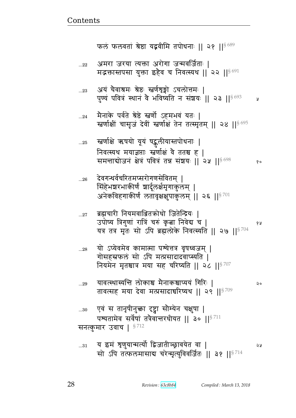पुण्यं पवित्रं स्थानं वे भविष्यति न संशयः || २३ ||§ 693 y मैनाके पर्वते श्रेष्ठे स्त्रर्णो ऽहमभवं यतः |  $...24$ रत्नर्णाक्षीं चासृजं देवीं स्त्रर्णाक्षं तेन तत्स्मृतम् || २४ ||<sup>§ 695</sup> स्तर्णाक्षे ऋषयो यूयं षट्कुलीयास्तपोधनाः |  $\ldots 25$ निवत्स्यथ मयाज्ञप्ताः स्त्रणीक्षं वे ततश्च ह | समन्ताबोजनं क्षेत्रं पवित्रं तन्न संशयः || २५ || \$698 १० देवगन्धर्वचरितमप्सरोगणसेवितम् |  $...26$ सिंहेभशरभाकीर्णं शार्दूलर्क्षमृगाकुलम् | अनेकविहगाकीर्णं लतावृक्षक्षुपाकुलम् ॥ २६ ॥  $\mathrm{s}^{701}$ ब्रह्मचारी नियमवाञ्जितक्रोधो जितेन्द्रियः |  $\dots 27$ उपोष्य त्रिगुणां रात्रिं चरुं कृता निवेद्य च | १५ यत्र तत्र मृतः सो ऽपि ब्रह्मलोके निवत्स्यति || २७ || $^{8704}$ यो ऽप्येवमेव कामात्मा पश्येत्तत्र वृषध्वजम् |  $...28$ गोसहस्रफलं सो ऽपि मत्प्रसादादवाप्स्यति । नियमेन मृतश्चात्र मया सह चरिष्यति || २८ || ${}^{8707}$ यावत्स्थास्यन्ति लोकाश्च मैनाकश्चाप्ययं गिरिः |  $...29$ २० तावत्सह मया देवा मत्प्रसादार्चारेष्यथ || २९ || 8709 एवं स तानृषीनुक्ता दृष्ट्वा सौम्येन चक्षुषा |  $\ldots 30$ पश्यतामेव सर्वेषां तत्रैवान्तरधीयत || ३० || ${}^{8711}$ सनत्कुमार उवाच |  $$^{712}$ य इमं शृणुयान्मर्त्यो द्विजातीञ्छावयेत वा |  $...31$ ১১ सो ऽपि तत्फलमासाब चरेन्मृत्युविवर्जितः || ३१ ||<sup>§ 714</sup>

अयं चैवाश्रमः श्रेष्ठः स्तर्णशृङ्गो ऽचलोत्तमः |  $\ldots 23$ 

अमरा जरया त्यक्ता अरोगा जन्मवर्जिताः |  $\ldots$ 22 मद्भक्तास्तपसा युक्ता इहैव च निवत्स्यथ || २२ ||  $8\,691$ 

फलं फलवतां श्रेष्ठा यद्भवीमि तपोधनाः || २१ ||  $\frac{8689}{9}$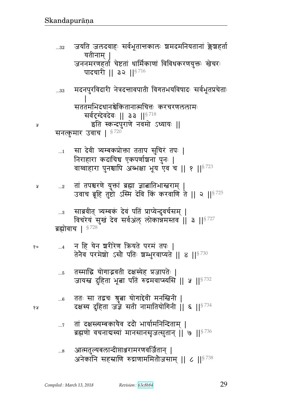$\ldots 8$ 

- तां दक्षस्त्यम्बकायैव ददौ भार्यामनिन्दिताम् |  $\dots 7$ ब्रह्मणो वचनाद्यस्यां मानसानसृजत्सुतान् | ७ | | 5736
- ततः सा तद्वचः श्रुत्ना योगादेवी मनस्त्विनी |  $...6$ दक्षस्य दुहिता जर्ज्ञे सती नामातियोगिनी  $|$ । ६ ।। $^{\mathrm{S}\,734}$
- तस्माद्धि योगाद्भवती दक्षस्येह प्रजापतेः |  $\ldots$ 5 जायस्त्र दुहिता भूत्वा पतिं रुद्रमवाप्स्यसि || ५ || ९ 732
- न हि येन शरीरेण क्रियते परमं तपः |  $\dots 4$ १० तेनैव परमेशो ऽसौ पतिः शम्भुरवाप्यते || ४ || 3730
- ब्रह्मोवाच | §728
- साब्रवीत् त्र्यम्बकं देवं पतिं प्राप्येन्दुवर्चसम् |  $\ldots\!3$ विचरेय सुखं देव सर्वअल् लोकान्नमस्तव | 3 || \$ 727
- तां तपश्चरणे युक्तां ब्रह्मा ज्ञात्नातिभास्त्वराम् |  $\dots 2$ उवाच ब्रूहि तुष्टो ऽस्मि देवि किं करवाणि ते || २ || \$ 725
- सा देवी त्र्यम्बकप्रोक्ता तताप सुचिरं तपः |  $\dots$ 1 निराहारा कदाचिच एकपर्णाञ्चना पुनः | वाय्वाहारा पुनश्चापि अब्भक्षा भूय एव च || १ || \$ 723
- पादचारी || ३२ ||  $8716$ मदनपुरविदारी नेत्रदत्तावपाती विगतभयविषादः सर्वभूतप्रचेताः  $...33$ सततमभिदधानश्चेकितानात्मचित्तः करचरणललामः सर्वदृग्देवदेवः ॥ ३३ ॥  $^{8718}$ इति स्कन्दपुराणे नवमो ऽध्यायः || सनत्कुमार उवाच |  $$^{720}$
- जयति जलदवाहः सर्वभूतान्तकालः शमदमनियतानां क्लेश्चहर्ता  $...32$ यतीनाम् | जननमरणहर्ता चेष्टतां धार्मिकाणां विविधकरणयुक्तः खेचरः

68

Å

Å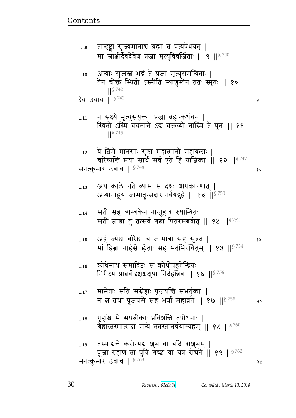| $\ldots\!9$ | तान्टष्ट्वा सृज्यमानांश्च ब्रह्मा तं प्रत्यपेधयत्  <br>मा स्राक्षीर्देवदेवेश प्रजा मृत्युविवर्जिताः    ९    $^{8\,740}$                     |    |
|-------------|---------------------------------------------------------------------------------------------------------------------------------------------|----|
| 10          | अन्याः सृजस्व भद्रं ते प्रजा मृत्युसमन्विताः  <br>तेन चोक्तं स्थितो ऽस्मीति स्थाणुस्तेन ततः स्मृतः    १०<br>$18^{742}$                      |    |
|             | देव उवाच   $$^{743}$                                                                                                                        | R  |
| 11          | न स्रक्ष्ये मृत्युसंयुक्ताः प्रजा ब्रह्मन्कथंचन  <br>स्थितो ऽस्मि वचनात्ते ऽद्य वक्तव्यो नास्मि ते पुनः    ११<br>$\frac{1}{5}$ 745          |    |
| $\dots 12$  | ये बिमे मानसाः सृष्टा महात्मानो महाबलाः  <br>चरिष्यन्ति मया सार्थं सर्व एते हि याज्ञिकाः    १२    ${}^{8\,747}$<br>सनत्कुमार उवाच  <br>§748 | १० |
| 13          | अथ काले गते व्यास स दक्षः शापकारणात्  <br>अन्यानाहूय जामातृन्सदारानर्चयद्गृहे    १३    $^{\S\,750}$                                         |    |
| 14          | सतीं सह त्र्यम्बकेन नाज़ुहाव रुषान्वितः  <br>सती ज्ञाबा तु तत्सर्वं गबा पितरमब्रवीत्    १४    <sup>§ 752</sup>                              |    |
| 15          | अहं ज्येष्ठा वरिष्ठा च जामात्रा सह सुव्रत  <br>मां हित्ना नार्हसे ह्येताः सह भर्तृभिरर्चितुम्    १५    <sup>§ 754</sup>                     | १५ |
| 16          | क्रोधेनाथ समाविष्टः स क्रोधोपहतेन्द्रियः  <br>निरीक्ष्य प्राब्रवीदृक्षश्चक्षुषा निर्दहन्निव    १६    $8756$                                 |    |
| $\dots17$   | मामेताः सति सस्नेहाः पूजयन्ति सभर्तृकाः  <br>न बं तथा पूजयसे सह भर्त्रा महाव्रते    १७    $$^{758}$                                         | २० |
| 18          | गृहांश्च मे सपत्नीकाः प्रविश्वन्ति तपोधनाः  <br>त्रेष्ठांस्तस्मात्सदा मन्ये ततस्तानर्चयाम्यहम् ॥ १८ ॥ $^{\mathrm{8}\,760}$                  |    |
| 19          | तस्माद्यत्ते करोम्यद्य शुभं वा यदि वाशुभम्  <br>पूजां गृहाण तां पुत्रि गच्छ वा यत्र रोचते   १९    8762<br>सनत्कुमार उवाच   8763             | ২५ |
|             |                                                                                                                                             |    |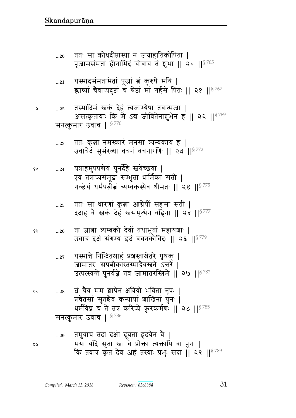|        | $_{21}$ यस्मादसंमतामेतां पूजां त्नं कुरुषे मयि  <br>श्लाघ्यां चैवाप्यदुष्टां च श्रेष्ठां मां गर्हसे पितः    २१    <sup>§ 767</sup>                                        |
|--------|---------------------------------------------------------------------------------------------------------------------------------------------------------------------------|
| $22\,$ | तस्मादिमं स्त्वकं देहं त्यजाम्येषा तवात्मजा  <br>असत्कृतायाः कि मे ऽब जीवितेनाशुभेन ह    २२    5769<br>सनत्कुमार उवाच  <br>§ 770                                          |
| $23$   | ततः कृबा नमस्कारं मनसा त्र्यम्बकाय ह  <br>उवाचेदं सुसंरब्धा वचनं वचनारणिः    २३    <sup>§ 772</sup>                                                                       |
|        | 24    यत्राहमुपपद्येयं पुनर्देहे  स्नयेच्छया   <br>एवं तत्राप्यसंमूढा सम्भूता धार्मिका सती  <br>गच्छेयं धर्मपत्नीतं त्र्यम्बकस्यैव धीमतः    २४    <sup>§ 775</sup>        |
| 25     | ततः सा धारणां कृता आग्नेयीं सहसा सती  <br>ददाह वे स्वकं देहं स्वसमुत्थेन वहिना    २५    <sup>§ 777</sup>                                                                  |
| 26     | तां ज्ञाबा त्र्यम्बको देवीं तथाभूतां महायञ्चाः  <br>उवाच दक्षं संगम्य इदं वचनकोविदः    २६    <sup>§ 779</sup>                                                             |
| $27$   | यस्मात्ते निन्दितश्चाहं प्रश्चस्ताश्चेतरे पृथक्  <br>जामातरः सपत्नीकास्तस्माद्वैवस्त्रते ऽन्तरे  <br>उत्पत्स्यन्ते पुनर्यज्ञे तव जामातरस्त्विमे    २७    <sup>§ 782</sup> |
| 28     | त्नं चैव मम शापेन क्षत्रियो भविता नृपः  <br>प्रचेतसां सुतश्चैव कन्यायां शाखिनां पुनः  <br>धर्मविघ्नं च ते तत्र करिष्ये क्रूरकर्मणः    २८    $^{\S\,785}$                  |
|        | §786<br>सनत्कुमार उवाच                                                                                                                                                    |
|        | उटा दशो दशवा तदरोग दे ।                                                                                                                                                   |

ततः सा कोधदीप्तास्या न जग्राहातिकोपिता |<br>पूजामसंमतां हीनामिदं चोवाच तं शुभा || २० ||<sup>§ 765</sup>

 $...{\bf 20}$ 

 $\pmb{\mathsf{y}}$ 

 $\delta$ o

४ प्र

২०

तमुवाच तदा दक्षो दूयता हृदयेन वै |<br>मया यदि सुता स्ना वै प्रोक्ता त्यक्तापि वा पुनः |<br>किं तवात्र कृतं देव अहं तस्याः प्रभुः सदा || २९ ||<sup>§ 789</sup>  $...29$ ২५

31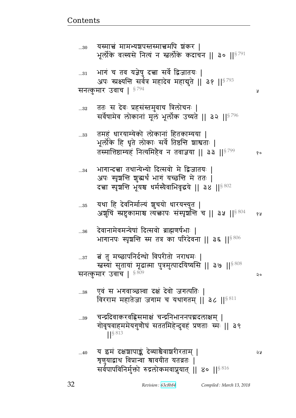...40  $\,$  य इमं दक्षशापाङ्कं देव्याश्चेवाशरीरताम् | $\,$ ेष्ट्रणुयाद्वाथ विप्रान्वा श्रावयीत यतव्रतः | सर्वपापविनिर्मुक्तो रुद्रलोकमवाप्नुयात् || ४० || $^{\$816}$ 

...39 वन्द्रदिवाकरवह्निसमाक्षं चन्द्रनिभाननपद्मदलाक्षम् । गोवृषवाहममेयगुणोघं सततमिहेन्दुवहं प्रणताः स्मः || ३९  $\frac{1}{5}$  813

...38 एवं स भगवाञ्छस्वा दक्षं देवो जगत्पतिः | विरराम महातेजा जगाम च यथागतम् || ३८ || $8811$ 

...37 बं तु मच्छापनिर्दग्धो विपरीतो नराधमः | रत्नस्यां सुतायां मूढात्मा पुत्रमुत्पादयिष्यसि || ३७ ||§ 808 सनत्कुमार उवाच |  $^{8809}$  |  $^{12}$  P |  $^{12}$  |  $^{12}$  |  $^{12}$  |  $^{12}$  |  $^{12}$  |  $^{12}$  |  $^{12}$  |  $^{12}$  |  $^{12}$  |  $^{12}$  |  $^{12}$  |  $^{12}$  |  $^{12}$  |  $^{12}$  |  $^{12}$  |  $^{12}$  |  $^{12}$  |  $^{12}$  |  $^{12}$  |  $^{12}$  |

... $_{36}$  देवानामेवमन्येषां दित्सवो ब्राह्मणर्षभाः | भागानपः स्पृशन्ति स्म तत्र का परिदेवना || ३६ || $8\,806$ 

 $_{\rm ...35}$  यथा हि देवनिर्माल्यं ज्ञुचयो धारयन्त्युत | अशुचिं स्प्रष्टुकामाश्च त्यक्तापः संस्पृर्शन्ति च || ३५ ||<sup>§ 804</sup> १५

...34 भागान्दत्ता तथान्येभ्यो दित्सवो मे द्विजातयः | अपः स्पृञ्चन्ति शुद्धर्थं भागं यच्छन्ति मे ततः | दच्चा स्पृशन्ति भूयश्च धर्मस्यैवाभिवृद्धये || ३४ ||  $8802$ 

...33 तमहं धारयाम्येको लोकानां हितकाम्यया । भूर्लोके हि धृते लोकाः सर्वे तिष्ठन्ति शाश्वताः | p״xீहɑyB dɊyxG{ d p{y ᅖᅖ ᅖᅖ§ 799 

...32 वतः स देवः प्रहसंस्तमुवाच त्रिलोचनः | सर्वेषामेव लोकानां मूलं भूर्लोक उच्यते || ३२ ||<sup>§ 796</sup>

... $31$  भागं च तव यज्ञेषु दत्त्वा सर्वे द्विजातयः | अपः स्प्रक्ष्यन्ति सर्वत्र महादेव महाबुते || ३१ ||§ 793 सनत्कुमार उवाच |  $^{\S\,794}$  |  $^{\S\,794}$  |  $^{\S\,794}$  |  $^{\S\,794}$  |  $^{\S\,794}$  |  $^{\S\,794}$  |  $^{\S\,794}$  |  $^{\S\,794}$  |  $^{\S\,794}$  |  $^{\S\,794}$  |  $^{\S\,794}$  |  $^{\S\,794}$  |  $^{\S\,794}$  |  $^{\S\,794}$  |  $^{\S\,7$ 

...30 यस्मात्नं मामभ्यञ्चपस्तस्मात्तमपि ञ्चकर । भूर्लोके वत्स्यसे नित्यं न स्तर्लोके कदाचन || ३० || $^{\$791}$ 

<u>Contents and Contents are the contents of the contents of the contents of the contents of the contents of the contents of the contents of the contents of the contents of the contents of the contents of the contents of the</u>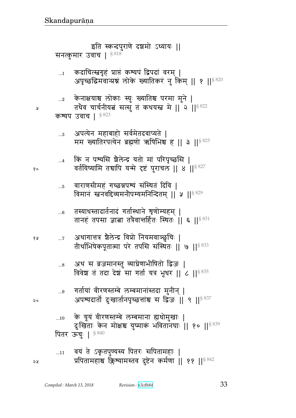- वयं ते ऽकृतपुण्यस्य पितरः सपितामहाः |  $\dots11$ प्रपितामहाश्च क्लिश्यामस्तव दुष्टेन कर्मणा || ११ || 842
- के यूयं वीरणस्तम्बे लम्बमाना ह्यधोमुखाः |  $\ldots 10$ दुःखिताः केन मोक्षश्च युष्माकं भवितानघाः || १० ||<sup>§ 839</sup> पितर ऊचुः | 5840
- गर्तायां वीरणस्तम्बे लम्बमानांस्तदा मुनीन् |  $\ldots\!9$ अपश्यदार्तो दुःखार्तानपृच्छत्तांश्च स द्विजः || ९ ||<sup>§ 837</sup>
- अथ स व्रजमानस्तु व्याघ्रेणाभीषितो द्विजः |  $\ldots\!8$ विवेश तं तदा देश सा गर्ता यत्र भूथर || ८ ||  $\frac{8835}{1}$
- अथागात्तत्र शैलेन्द्र विप्रो नियमवाञ्छुचिः |  $\ldots 7$ १५ तीर्थाभिषेकपूतात्मा परे तपसि संस्थितः || ७ ||<sup>§ 833</sup>
- तस्याधस्तादार्तनादं गर्तास्थाने त्रृणोम्यहम् |  $...6$ तानहं तपसा ज्ञाबा तत्रैवान्तर्हितः स्थितः || ६ ||<sup>§ 831</sup>
- वाराणसीमहं गच्छन्नपत्र्यं संस्थितं दिवि |  $\dots 5$ विमानं स्ननवद्दिव्यमनौपम्यमनिन्दितम् ॥ ५ ॥ $8^{829}$
- किं न पश्यसि शैलेन्द्र यतो मां परिपृच्छसि |  $\dots$ 4 वर्तयिष्यामि तद्यापि यन्मे दृष्टं पुराचल || ४ || \$ 327
- अपत्येन महाबाहो सर्वमेतदवाप्यते |  $\ldots$ 3 मम ख्यातिरपत्येन ब्रह्मणो ऋषिभिश्च ह || ३ ||<sup>§ 825</sup>
- कश्यप उवाच | § 823
- $\ldots 2$ तथैव चार्चनीयत सत्सु तं कथयस्त्र मे || २ || 822
- केनाक्षयाश्च लोकाः स्युः ख्यातिश्च परमा मुने |
- कदाचित्स्नगृहं प्राप्तं कश्यपं द्विपदां वरम् |  $\dots$ 1 अपृच्छद्विमवान्प्रश्नं लोके ख्यातिकरं नु किम् || १ || ९ 320
- सनत्कुमार उवाच |  $$^{818}$
- इति स्कन्दपुराणे दञ्चमो ऽध्यायः ||

१०

 $\mathsf{Q}$ 

२५

Å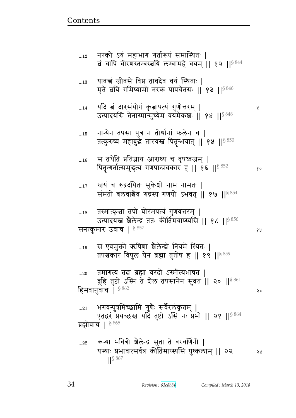त्नं चापि वीरणस्तम्बस्त्वयि लम्बामहे वयम् || १२ || <sup>§ 844</sup> यावच्चं जीवसे विप्र तावदेव वयं स्थिताः |  $...13$ मृते बयि गमिष्यामो नरकं पापचेतसः || १३ || § 846 यदि त्नं दारसंयोगं कृत्नापत्यं गुणोत्तरम् |  $...14$ Ã उत्पादयसि तेनास्मान्मुच्येम वयमेकशः ॥ १४ ॥  $8^{848}$ नान्येन तपसा पुत्र न तीर्थानां फलेन च |  $\dots15$ तत्कुरुष्व महाबुद्धे तारयस्त्र पितृन्भयात् || १५ || 850 स तथेति प्रतिज्ञाय आराध्य च वृषध्वजम् |  $\dots16$ पितृन्गर्तात्समुद्धत्य गणपान्प्रचकार ह || १६ || ९८ 52 १० रत्नयं च रुद्रदयितः सुकेशो नाम नामतः |  $...17$ समतो बलवांश्चेव रुद्रस्य गणपो ऽभवत् || १७ || 854 तस्मात्कृत्ना तपो घोरमपत्यं गुणवत्तरम् |  $\dots18$ उत्पादयस्त शैलेन्द्र ततः कीर्तिमवाप्स्यसि || १८ || § 856 सनत्कुमार उवाच |  $^{\$~857}$ १५ स एवमुक्तो ऋषिणा ग्रैलेन्द्रो नियमे स्थितः |  $...19$ तपश्चकार विपुलं येन ब्रह्मा तुतोष ह || १९ || \$859 तमागत्य तदा ब्रह्मा वरदो ऽस्मीत्यभाषत |  $...20$ ब्रूहि तुष्टो ऽस्मि ते शैल तपसानेन सुव्रत || २० || ९८८ हिमवानुवाच |  $$^{862}$  $\mathsf{Q}$ भगवन्पुत्रमिच्छामि गुणैः सर्वैरलंकृतम् |  $...21$ एतद्वरं प्रयच्छस्त यदि तुष्टो ऽसि नः प्रभो || २१ ||§ 864 ब्रह्मोवाच |  $$865$ कन्या भवित्री शैलेन्द्र सुता ते वरवर्णिनी |  $...22$ यस्याः प्रभावात्सर्वत्र कीर्तिमाप्स्यसि पुष्कलाम् || २२ จะ  $\left| \right|$  \  $\left| \right.$  \  $\left| \right.$  \  $\left| \right.$  \  $\left| \right.$  \  $\left| \right.$  \  $\left| \right.$  \  $\left| \right.$ 

नरको ऽयं महाभाग गर्तारूपं समास्थितः |

 $...12$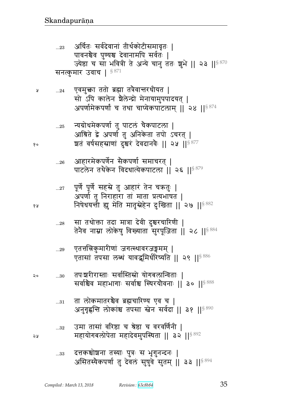- उमा तासां वरिष्ठा च श्रेष्ठा च वरवर्णिनी |  $...32\,$ महायोगबलोपेता महादेवमुपस्थिता || ३२ ||<sup>§ 892</sup>
- ता लोकमातरश्चैव ब्रह्मचारिण्य एव च |  $\ldots 31$ अनुगृह्णन्ति लोकांश्च तपसा स्तेन सर्वदा || ३१ || § 890
- तपःश्वरीरास्ताः सर्वास्तिस्रो योगबलान्विताः | २०  $...30\,$ सर्वाश्चेव महाभागाः सर्वाश्च स्थिरयोवनाः ॥ ३० ॥ $^{\mathrm{8\,888}}$
- एतत्तत्निकुमारीणां जगत्स्थावरजङ्गमम् |  $...29$ एतासां तपसा लब्धं यावद्भमिर्धरिष्यति || २९ ||<sup>§ 886</sup>
- सा तथोक्ता तदा मात्रा देवी दुश्चरचारिणी |  $\dots28$ तेनैव नाम्ना लोकेषु विख्याता सुरपूजिता || २८ ||<sup>§ 884</sup>
- पूर्णे पूर्णे सहस्रे तु आहारं तेन चक्रतुः |  $...27$ अपर्णा तु निराहारा तां माता प्रत्यभाषत | निषेधयन्ती ह्यू मेति मातृस्नेहेन दुःखिता || २७ ||<sup>§ 882</sup>
- आहारमेकपर्णेन सैकपर्णा समाचरत् |  $...26$ पाटलेन तथैकेन विदधात्येकपाटला || २६ ||§ 879
- न्यग्रोधमेकपर्णा तु पाटलं चैकपाटला |  $...25$ आश्रिते द्वे अपर्णा तु अनिकेता तपो ऽचरत् | ञ्चतं वर्षसहस्राणां दुश्चरं देवदानवैः || २५ ||<sup>§ 877</sup>
- एवमुक्ता ततो ब्रह्मा तत्रैवान्तरधीयत |  $...24$ सो ऽपि कालेन शैलेन्द्रो मेनायामुपपादयत् । अपर्णामेकपर्णां च तथा चाप्येकपाटलाम् ॥ २४ ॥  $8^{874}$

Å

१०

१५

২५

अर्चितः सर्वदेवानां तीर्थकोटीसमावृतः ।  $...23$ पावनश्चेव पुण्यश्च देवानामपि सर्वतः | ज्येष्ठा च सा भवित्री ते अन्ये चानु ततः शुभे || २३ || \$870 सनत्कुमार उवाच |  $$^{871}$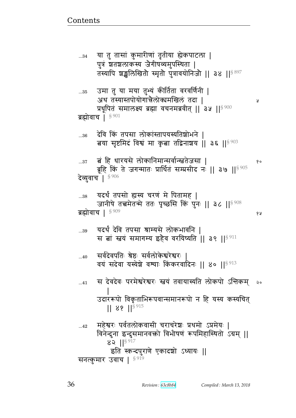¥ प्रधूपितं समालक्ष्य ब्रह्मा वचनमब्रवीत् || ३५ || ९ 900 ब्रह्मोवाच |  $$901$ देवि किं तपसा लोकांस्तापयस्यतिशोभने ।  $...36$ बया सृष्टमिदं विश्वं मा कृबा तद्विनाशय || ३६ ||  $8903$ बं हि धारयसे लोकानिमान्सर्वान्स्नतेजसा |  $...37$ १० ब्रूहि किं ते जगन्मातः प्रार्थितं सम्प्रसीद नः || ३७ || 5905 देव्युवाच | 8906 यदर्थं तपसो ह्यस्य चरणं मे पितामह | ..38 जानीषे तत्त्वमेतन्मे ततः पृच्छसि किं पुनः || ३८ || ९ 908 ब्रह्मोवाच | 8909 ४ ह यदर्थं देवि तपसा श्राम्यसे लोकभावनि | ...39 स बां स्तवं समागम्य इहैव वरयिष्यति ॥ ३९ ॥ 8911 सर्वदेवपतिः श्रेष्ठः सर्वलोकेश्वरेश्वरः  $...40$ वयं सदेवा यस्येशे वश्याः किंकरवादिनः ॥ ४० ॥ ९ 913 स देवदेवः परमेश्वरेश्वरः स्त्वयं तवायास्यति लोकपो ऽन्तिकम् २०  $...41$ उदाररूपो विकृताभिरूपवान्समानरूपो न हि यस्य कस्यचित्  $|| 89 ||$ <sup>§ 915</sup> महेश्वरः पर्वतलोकवासी चराचरेशः प्रथमो ऽप्रमेयः |  $...42$ विनेन्दुना इन्दुसमानवक्तो विभीषणं रूपमिहास्थितो ऽग्रम् ||  $82$   $||^{8917}$ इति स्कन्दपुराणे एकादशो ऽध्यायः || सनत्कुमार उवाच | § 919

तस्यापि शञ्चलिखितौ स्मृतौ पुत्रावयोनिजौ ।। ३४ ।।<sup>§ 897</sup> उमा तु या मया तुभ्यं कीर्तिता वरवर्णिनी |  $...35$ अथ तस्यास्तपोयोगाचेलोकामखिलं तदा |

या तु तासां कुमारीणां तृतीया ह्येकपाटला |  $...34$ पुत्रं शतशलाकस्य जैगीषव्यमुपस्थिता |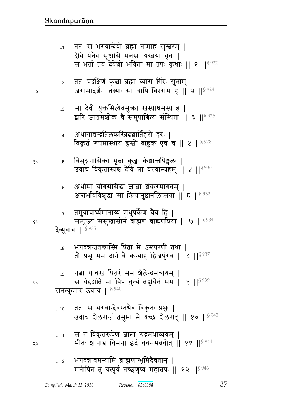- भगवन्नावमन्यामि ब्राह्मणान्भूमिदैवतान् ।  $...12$ मनीषितं तु यत्पूर्वं तच्छुणुष्व महातपः || १२ || $^{\$946}$
- स तं विकृतरूपेण ज्ञात्ना रुद्रमथाव्ययम् |  $\dots 11$ भीतः शापाच विमना इदं वचनमब्रवीत् || ११ || १९ ||
- ततः स भगवान्देवस्तथैव विकृतः प्रभुः |  $...10$ उवाच शैलराजं तमुमां मे यच्छ शैलराट् || १० || 5942
- सनत्कुमार उवाच | 5940
- गत्ना याचस्त्र पितरं मम शैलेन्द्रमव्ययम् ।  $\ldots$ 9 स चेद्दाति मां विप्र तुभ्यं तद्रुचितं मम || ९ ||<sup>§ 939</sup>
- भगवन्नस्ततन्त्रास्मि पिता मे ऽस्त्यरणी तथा |  $\ldots\!8$ तौ प्रभू मम दाने वै कन्याहं द्विजपुंगव || ८ ||  $\frac{8}{937}$

## देव्युवाच | <sup>§ 935</sup>

१५

२०

২১

Ã

- तमुवाचार्घ्यमानाय्य मधुपर्केण चैव हि |  $\dots 7$ सम्पूज्य ससुखासीनं ब्राह्मणं ब्राह्मणप्रिया || ७ ||<sup>§ 934</sup>
- अथोमा योगसंसिद्धा ज्ञाबा शंकरमागतम् |  $...6$ अन्तर्भावविशुद्धा सा क्रियानुष्ठानलिप्सया || ६ ||<sup>§ 932</sup>
- विभुग्ननासिको भूबा कुडुः केशान्तपिङ्गलः | १०  $\dots\!5$ उवाच विकृतास्यश्च देवि तां वरयाम्यहम् || ५ || 930
- अथागाचन्द्रतिलकस्त्रिदशार्तिहरो हरः |  $\dots$ 4 विकृतं रूपमास्थाय हस्तो बाहुक एव च || ४ ||  $8$  ||  $928$
- सा देवी युक्तमित्येवमुक्ता स्नस्याश्रमस्य ह |  $\ldots 3$ द्वारि जातमशोकं वे समुपाश्रित्य संस्थिता || ३ ||<sup>§ 926</sup>
- ततः प्रदक्षिणं कृत्वा ब्रह्मा व्यास गिरेः सुताम् |  $...2$ जगामादर्शनं तस्याः सा चापि विरराम ह || २ ||<sup>§ 924</sup>
- ततः स भगवान्देवो ब्रह्मा तामाह सुस्तरम् |  $\dots$ 1 देवि येनैव सृष्टासि मनसा यस्त्वया वृतः | स भर्ता तव देवेशो भविता मा तपः कथाः ॥ १ ॥<sup>§ 922</sup>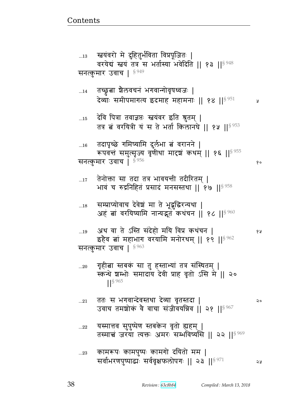$\lambda$ 

| 15           | देवि पित्रा तवाज्ञप्तः स्त्वयंवर इति श्रुतम्  <br>तत्र बं वरयित्री यं स ते भर्ता किलानघे    १५    <sup>§ 953</sup>              |    |
|--------------|---------------------------------------------------------------------------------------------------------------------------------|----|
| $\ldots\!16$ | तदापृच्छे गमिष्यामि दुर्लभा बं वरानने  <br>रूपवत्तं समुत्सृज्य वृणीथा मादृषं कथम्    १६    ९ 55<br>सनत्कुमार उवाच   8956        | १० |
| $17$         | तेनोक्ता सा तदा तत्र भावयन्ती तदीरितम्  <br>भावं च रुद्रनिहितं प्रसादं मनसस्तथा    १७    <sup>§ 958</sup>                       |    |
| $\dots 18$   | सम्प्राप्योवाच देवेश मा ते भूद्धुद्धिरन्यथा  <br>अहं बां वरयिष्यामि नान्यद्भूतं कथंचन    १८    $^{\$ \, 960}$                   |    |
| 19           | अथ वा ते ऽस्ति संदेहो मयि विप्र कथंचन  <br>इहैव बां महाभाग वरयामि मनोरथम्    १९    १९ %<br>सनत्कुमार उवाच   8963                | १५ |
| $20$         | गृहीत्ना स्तबक सा तु हस्ताभ्या तत्र संस्थितम्  <br>स्कन्धे श्रम्भोः समादाय देवी प्राह वृतो ऽसि मे    २०<br>$1$ <sup>S</sup> 965 |    |
| $21\,$       | ततः स भगवान्देवस्तथा देव्या वृतस्तदा  <br>उवाच तमशोकं वे वाचा संजीवयन्निव    २१    <sup>§ 967</sup>                             | २० |
| $22$         | यस्मात्तव सुपुष्पेण स्तबकेन वृतो ह्यहम्  <br>तस्मात्नं जरया त्यक्तः अमरः सम्भविष्यसि    २२    <sup>§ 969</sup>                  |    |
| $23\,$       | कामरूपः कामपुष्पः कामगो दयितो मम  <br>सर्वाभरणपुष्पाद्धः सर्ववृक्षफलोपगः    २३    <sup>§ 971</sup>                              | ১১ |
|              |                                                                                                                                 |    |

तच्छ्रुत्वा शैलवचनं भगवान्गोवृषध्वजः |<br>देव्याः समीपमागत्य इदमाह महामनाः || १४ ||<sup>§ 951</sup>  $...14$ 

सनत्कुमार उवाच | 8949

स्त्रयंवरो मे दुहितुर्भविता विप्रपूजितः |  $...13$ वरयेदां स्तयं तत्र स भर्तास्या भवेदिति || १३ ||§ 948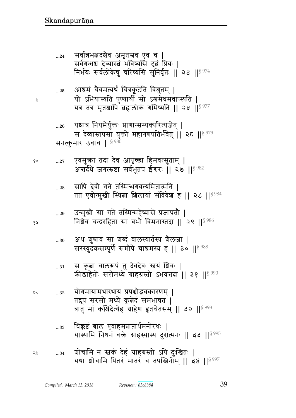- यास्यामि निधनं वक्ते ग्राहस्यास्य दुरात्मनः || ३३ || 995
- त्रातु मां कश्चिदेत्येह ग्राहेण हृतचेतसम् || ३२ ||<sup>§ 993</sup> धिक्कष्टं बाल एवाहमप्राप्तार्थमनोरथः |  $\dots33$
- योगमायामथास्थाय प्रपञ्चोद्भवकारणम् | २०  $...32\,$ तद्रूपं सरसो मध्ये कुबेदं समभाषत ।
- स कृता बालरूपं तु देवदेवः स्त्रयं शिवः |  $\ldots 31$ कीडाहेतोः सरोमध्ये ग्राहग्रस्तो ऽभवत्तदा || ३१ ||§ 990
- अथ शुश्राव सा शब्दं बालस्यार्तस्य शैलजा |  $\ldots 30$ सरस्युदंकसम्पूर्णे समीपे चात्रमस्य ह || ३० || \$988
- उन्मुखी सा गते तस्मिन्महेष्वासे प्रजापतौ |  $...29\,$ निशेव चन्द्ररहिता सा बभौ विमनास्तदा || २९ ||<sup>§ 986</sup>
- सापि देवी गते तस्मिन्भगवत्यमितात्मनि ।  $\ldots 28$ तत एवोन्मुखी स्थिता शिलायां संविवेश ह || २८ || ९ %
- एवमुक्ता तदा देव आपृच्छा हिमवत्सुताम् | १०  $...27$ अत्तर्दधे जगत्स्रष्टा सर्वभूतप ईश्वरः || २७ ||<sup>§ 982</sup>

¥

४ प्र

- यश्चात्र नियमैर्युक्तः प्राणान्सम्यक्परित्यजेत् |  $\ldots 26$ स देव्यास्तपसा युक्तो महागणपतिर्भवेत् | २६ || \$979 सनत्कुमार उवाच |  $$^{980}$
- आश्रमं चैवमत्यर्थं चित्रकूटेति विश्रुतम् |  $\ldots 25$ यो ऽभियास्यति पुण्यार्थी सो ऽश्वमेधमवाप्स्यति | यत्र तत्र मृतश्चापि ब्रह्मलोकं गमिष्यति || २५ ||<sup>§ 977</sup>
- सर्वान्नभक्षदश्चैव अमृतस्रव एव च |  $...24$ सर्वगन्धश्च देव्यास्त्रं भविष्यसि दृढं प्रियः | निर्भयः सर्वलोकेषु चरिष्यसि सुनिर्वृतः || २४ ||<sup>§ 974</sup>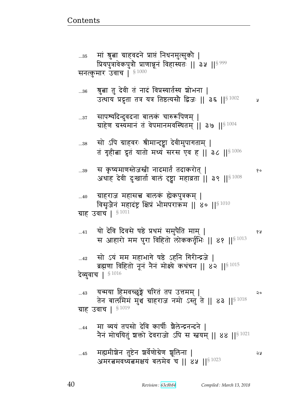y

 $90$ 

| $\dots45$ | मह्यमीञ्चेन तुष्टेन ञर्वेणोग्रेण ञूलिना             | จม |
|-----------|-----------------------------------------------------|----|
|           | अमरत्नमवध्यत्नमक्षयं बलमेव च    ४५    $^{\S\,1023}$ |    |

मा व्ययं तपसो देवि कार्षीः शैलेन्द्रनन्दने |  $...44$ नैनं मोचयितुं शक्तो देवराजो ऽपि स स्तवम् || ४४ ||  $$^{1021}$ 

यन्मया हिमवच्छूङ्गे चरितं तप उत्तमम् |  $...43$ २० तेन बालमिमं मुंश ग्राहराज नमो ऽस्तुं ते || ४३ ||  $^{8\,1018}$ ग्राह उवाच |  $§1019$ 

सो ऽयं मम महाभागे षष्ठे ऽहनि गिरीन्द्रजे |  $\ldots$ 42 ब्रह्मणा विहितो नून नैन मोक्ष्ये कथंचन || ४२ ||<sup>§ 1015</sup> देव्युवाच | 81016

यो देवि दिवसे षष्ठे प्रथमं समुपैति माम् |  $...41$ ४ ह स आहारो मम पुरा विहितो लोककर्तृभिः || ४१ ||<sup>§ 1013</sup>

ग्राह उवाच |  $\S\,1011$ 

ग्राहराज महासच्च बालकं ह्येकपुत्रकम् |  $...40$ विसृजेनं महादंष्ट्र क्षिप्रं भीमपराक्रम || ४० ||  $\frac{1}{3}$  1010

स कृष्यमाणस्तेजस्त्री नादमार्तं तदाकरोत् |  $...39$ अथाह देवी दुःखार्ता बालं दृष्ट्वा महाव्रता || ३९ ||<sup>§ 1008</sup>

सो ऽपि ग्राहवरः श्रीमान्ट्ट्वा देवीमुपागताम् |  $\dots38$ तं गृहीबा द्रुतं यातो मध्यं सरस एव ह || ३८ || \$1006

सापश्यदिन्दुवदना बालकं चारुरूपिणम् |  $...37$ ग्राहेण ग्रस्यमानं तं वेपमानमवस्थितम् || ३७ || 81004

श्रुत्वा तु देवी तं नादं विप्रस्यार्तस्य शोभना |  $...36$ उत्थाय प्रद्रुता तत्र यत्र तिष्ठत्यसौ द्विजः || ३६ ||<sup>§ 1002</sup>

मां श्रुत्ना ग्राहवदने प्राप्तं निधनमुत्सुको |  $...35$ प्रियपुत्रावेकपुत्रौ प्राणान्नूनं विहास्यतः || ३५ || ९ ९९९ सनत्कुमार उवाच | \$1000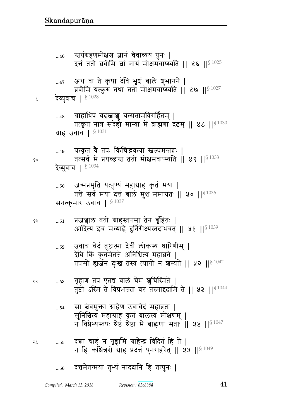- दच्चा चाहं न गृह्णामि ग्राहेन्द्र विदितं हि ते | ২५  $...55$ न हि कश्चिन्नरो ग्राह प्रदत्तं पुनराहरेत् || ५५ || $^{\$1049}$
- सा त्वेवमुक्ता ग्राहेण उवाचेदं महाव्रता |  $...54$ सुनिश्चित्य महाग्राह कृतं बालस्य मोक्षणम् | न विप्रेभ्यस्तपः श्रेष्ठं श्रेष्ठा मे ब्राह्मणा मताः || ५४ || $\S$  1047
- गृहाण तप एतच बाल चेम शूचिस्मिते | २०  $\dots53$ तुष्टो ऽस्मि ते विप्रभक्त्या वरं तस्माद्ददामि ते || ५३ || $^{\$1044}$
- उवाच चेदं तुष्टात्मा देवीं लोकस्य धारिणीम् |  $\dots52$ देवि किं कृतमेतत्ते अनिश्चित्य महाव्रते | तपसो ह्यर्जनं दुःखं तस्य त्यागो न शस्यते || ५२ || 91042
- प्रजन्नाल ततो ग्राहस्तपसा तेन बृहितः | १५  $...51$ आदित्य इव मध्याह्ने दुर्निरीक्ष्यस्तदाभवत् || ५१ ||<sup>§ 1039</sup>
- जन्मप्रभृति यत्पुण्यं महाग्राह कृतं मया |  $...50\,$ तत्ते सर्वं मया दत्तं बालं मुञ्च ममाग्रतः || ५० ||  $$^{1036}$ सनत्कुमार उवाच |  $$^{1037}$
- यत्कृतं वै तपः किंचिद्भवत्या स्तल्पमन्तशः | ...49 तत्सर्वं मे प्रयच्छन्त ततो मोक्षमवाप्स्यति || ४९ || ${}^{8\,1033}$ देव्युवाच | §1034
- ग्राहाधिप वदस्त्राश्च यत्सतामविगर्हितम् |  $...48$ तत्कृतं नात्र संदेहो मान्या मे ब्राह्मणा दृढम् || ४८ ||  $$^{1030}$ ग्राह उवाच |  $$^{1031}$
- देव्युवाच | 81028 Å

- अथ वा ते कृपा देवि भृषं बाले शुभानने |  $\dots 47$ ब्रवीमि यत्कुरु तथा ततो मोक्षमवाप्स्यति || ४७ || $^{\$~1027}$
- स्त्वयंग्रहणमोक्षश्च ज्ञानं चैवाव्ययं पुनः |  $...46$ दत्तं ततो ब्रवीमि तां नायं मोक्षमवाप्स्यति || ४६ ||<sup>§ 1025</sup>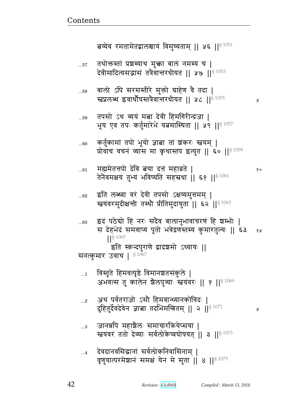y

१०

Ã

42

| देवदानवसिद्धानां सर्वलोकनिवासिनाम्               |  |
|--------------------------------------------------|--|
|                                                  |  |
| वृणुयात्परमेशानं समक्षं येन मे सुता ॥ ४ ॥ 8 1075 |  |
|                                                  |  |

- जानन्नपि महाशैलः समाचारक्रियेप्सया |  $\ldots 3$ स्त्वयंवरं ततो देव्याः सर्वलोकेष्वघोषयत् || ३ ||<sup>§ 1073</sup>
- अथ पर्वतराजो ऽसौ हिमवान्ध्यानकोविदः |  $\ldots$ 2 दुहितुर्देवदेवेन ज्ञाबा तदभिमन्त्रितम् || २ ||<sup>§ 1071</sup>
- विस्तृते हिमवत्पृष्ठे विमानशतसंकुले |  $\dots$ 1 अभवत्स तु कालेन शैलपुत्र्याः स्तयंवरः || १ || 81069
- इदं पठेद्यो हि नरः सदैव बालानुभावाचरणं हि श्रम्भोः |  $...63$ स देहभेदं समवाप्य पूतो भवेद्रणस्तस्य कुमारतुल्यः || ६३ १५  $\frac{1}{5}$  1065 इति स्कन्दपुराणे द्वादशमो ऽध्यायः || सनत्कुमार उवाच |  $^{\$1067}$
- इति लब्ध्वा वरं देवी तपसो ऽक्षय्यमुत्तमम् |  $...62$ स्त्रयंवरमुदीक्षन्ती तस्थौ प्रीतिमुदायुता || ६२ ||<sup>§ 1063</sup>
- मह्यमेतत्तपो देवि तया दत्तं महाव्रते |  $\dots61$ तेनैवमक्षयं तुभ्यं भविष्यति सहस्रधा || ६१ ||<sup>§ 1061</sup>
- कर्तुकामां तपो भूयो ज्ञाबा तां शंकरः स्वयम् |  $...60$ प्रोवाच वचन व्यास मा कृथास्तप इत्युत || ६० || 81059
- तपसो ऽथ व्ययं मत्ना देवी हिमगिरीन्द्रजा | ..59 भूय एव तपः कर्तुमारेभे यत्नमास्थिता || ५९ || 91057
- बालो ऽपि सरसस्तीरे मुक्तो ग्राहेण वै तदा |  $...58$ स्तप्रलब्ध इवार्थोघस्तत्रेवान्तरधीयत || ५८ || 91055
- तथोक्तस्तां प्रशस्याथ मुक्ता बालं नमस्य च |  $...57$ देवीमादित्यसद्भासं तत्रैवान्तरधीयत || ५७ || ${}^{8\,1053}$

बय्येव रमतामेतद्वालश्चायं विमुच्यताम् || ५६ ||<sup>§ 1051</sup>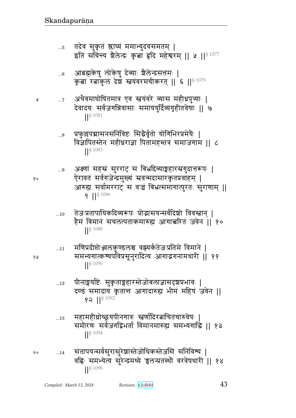- तदेव सुकृतं श्लाघ्यं ममाभ्युदयसंमतम् | ...5 इति संचिन्त्य शैलेन्द्रः कृता हृदि महेश्वरम् || ५ ||<sup>§ 1077</sup>
- आब्रह्मकेषु लोकेषु देव्याः श्रैलेन्द्रसत्तमः |  $...6$ कबा रत्नाकुलं देशं स्तवंवरमचीकरतु || ६ ||  $^{8\,1079}$
- अथैवमाघोषितमात्र एव स्तयंवरे व्यास महीध्रपुत्र्याः | ¥  $\dots 7$ देवादयः सर्वजगन्निवासाः समाययुर्दिव्यगृहीतवेषाः || ७  $||\S 1081$ 
	- प्रफुल्लपद्मासनसंनिविष्टः सिद्धैर्वृतो योगिभिरप्रमेयैः |  $...8$ विज्ञापितस्तेन महीधराज्ञा पितामहस्तत्र समाजगाम || ८  $\left| \right|^{§}$  1083
	- अक्ष्णां सहस्रं सुरराट् स बिभ्रदिव्याङ्गहारस्रगुदात्तरूपः |  $\ldots\!9$ ऐरावतं सर्वगजेन्द्रमुख्यं स्रवन्मदासारकृतप्रवाहम् | आरुह्य सर्वामरराट् स वज्रं बिभ्रत्समागात्पुरतः सुराणाम् ||  $\left| \right|^{5\,1086}$
	- तेजःप्रतापाधिकदिव्यरूपः प्रोद्भासयन्सर्वदिशो विवस्नान् ।  $...10$ हैमं विमानं सचलत्पताकमारुह्य आगात्तरितं जवेन ॥ १०  $|| \frac{1}{5} 1088$
	- मणिप्रदीप्तोञ्जलकुण्डलश्च वह्यर्कतेजःप्रतिमे विमाने |  $...11$ समभ्यगात्कश्यपविप्रसूनुरादित्य आगाद्भगनामधारी ॥ ११ ||S 1090
	- पीनाङ्गयष्टिः सुकृताङ्गहारस्तेजोबलाज्ञासदृशप्रभावः |  $\dots 12$ दण्डं समादाय कृतान्त आगादारुह्य भीमं महिषं जवेन ||  $92$   $15^{1092}$
	- महामहीध्रोच्छयपीनगात्रः स्नर्णादिरत्नाचितचारुवेषः  $...13$ समीरणः सर्वजगद्विभर्ता विमानमारुह्य समभ्यगाद्धि || १३  $\left| \right|^{§}$  1094
- संतापयन्सर्वसुरासुरेशांस्तेजोधिकस्तेजसि संनिविश्य | २०  $...14$ वहिः समभ्येत्य सुरेन्द्रमध्ये चलन्प्रतस्थौ वरवेषधारी || १४  $\frac{1}{5}$  1096

१०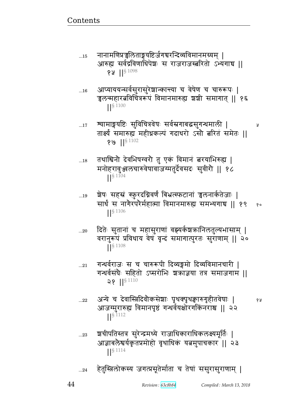नानामणिप्रञ्चलिताङ्गयष्टिर्जगचरन्दिव्यविमानमग्र्यम् ।  $...15$ आरुह्य सर्वद्रविणाधिपेशः स राजराजस्त्ररितो ऽभ्यगाच ॥  $92$  || $$1098$ 

- आप्याययन्सर्वसुरासुरेशान्कान्त्या च वेषेण च चारुरूपः |  $\dots\!16$ च्चलन्महारत्नविचित्ररूपं विमानमारुह्य शशी समागात् || १६  $\frac{1}{5}$  1100
- त्र्यामाङ्गयष्टिः सुविचित्रवेषः सर्वस्रगाबद्धसुगन्धमाली |  $\dots 17$ तार्क्ष्यं समारुह्य महीध्रकल्पं गदाधरो ऽसौ त्नरितं समेतः ॥ १७ || $§$ <sup>1102</sup>
- तथाश्विनौ देवभिषग्वरौ तु एकं विमानं बरयाभिरुह्य |  $...18$ मनोहरावुञ्जलचारुवेषावाजग्मतुर्देवसदः सुवीरौ || १८  $1$ <sup>S 1104</sup>
- श्वेषः सहस्रं स्फूरदग्निवर्णं बिभ्रत्स्फटानां चलनार्कतेजाः |  $...19$ सार्धं स नागैरपरैर्महात्मा विमानमारुह्य समभ्यगाच || १९ १०  $\left| \right|^{§}$  1106
- दितेः सुतानां च महासुराणां वह्यर्कश्चक्रानिलतुल्यभासाम् |  $...20$ वरानुरूपं प्रविधाय वेषं वृन्दं समागात्पुरतः सुराणाम् || २०  $\left| \right| ^{§}$  1108
- गन्धर्वराजः स च चारुरूपी दिव्यङ्गमो दिव्यविमानचारी |  $...21$ गन्धर्वसंघैः सहितो ऽप्सरोभिः श्रक्राज्ञया तत्र समाजगाम ||  $28$  || $81110$
- अन्ये च देवास्त्रिदिवौकसेशाः पृथक्पृथक्वारुगृहीतवेषाः |  $...22$ आजग्मुरारुह्य विमानपृष्ठं गन्धर्वयक्षोरगकिंनराश्च || २२  $\frac{\sqrt{2}}{3}$
- श्वचीपतिस्तत्र सुरेन्द्रमध्ये राजाधिकाराधिकलक्ष्यमूर्तिः |  $...23$ आज्ञाबलेश्वर्यकृतप्रमोहो वृथाधिक यत्नमुपाचकार || २३  $\frac{1}{5}$  1114
- हेतुस्त्रिलोकस्य जगत्प्रसूतेर्माता च तेषां ससुरासुराणाम् |  $...24$

Revision: 63c8b84

Å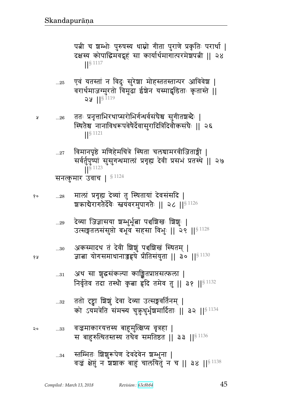पत्नी च शम्भोः पुरुषस्य धाम्नो गीता पुराणे प्रकृतिः परार्था | दक्षस्य कोपाद्धिमवद्गृहं सा कार्यार्थमागात्परमेशपत्नी || २४ ᅖᅖ§ 1117

- ...25 एवं यतस्तां न विदुः सुरेशा मोहस्ततस्तान्पर आविवेश | वरार्थमाजग्मुरतो विमूढा ईश्वेन यस्माद्धृडिताः कृतास्ते || จะ  $\| \mathbf{S} 1119 \|$
- ...26 pp1 Ìd6ீw^qɍ~^/w`@̺s{@~BhGு ~4`&p|ɏrG1 ᅖ स्थितेश्च नानाविधरूपवेषैर्देवासुरादित्रिदिवोकसंघैः || २६ ᅖᅖ§ 1121
	- ... $\rm{z}_{7}$   $\,$  विमानपृष्ठे मणिहेमचित्रे स्थिता चलचामरवीजिताङ्गी । सर्वर्तुपुष्पां सुसुगन्धमालां प्रगृह्य देवी प्रसभं प्रतस्थे ॥ २७  $\frac{1}{5}$  1123 सनत्कुमार उवाच |  $\$$ <sup>1124</sup>

 ...28 xeB Ì`6എ rFɓyB p4 %͋qpyB rF{~B~r ᅖ श्चक्राबेरागतेर्देवेः स्तयंवरमुपागतेः || २८ || $^{\$\,1126}$ 

> ...29 देव्या जिज्ञासया शम्भुर्भूत्वा पञ्चशिखः शिशुः | उत्सङ्गतलसंसुप्तो बभूव सहसा विभुः || २९ || $^{\S\,1128}$

...30 Lf״xrq pB rF{& ||4B tૄ|gB %͋qpx> ᅖ  ଉ y/`~xsd؛{F Ì&p~By4p ᅖᅖ ᅖᅖ§ 1130

- ...31 अथ सा शुद्धसंकल्पा काङ्क्षितप्राप्तसत्फला | निर्वृतेव तदा तस्थौ कृबा हृदि तमेव तु || ३१ || § 1132
- ...32 ततो दृष्ट्वा ग्रिश्चं देवा देव्या उत्सङ्गवर्तिनम् | को ऽयमत्रेति संमन्त्य चुक़ुधुर्भृश्रमार्दिताः || ३२ ||<sup>§ 1134</sup>
- ...33 {¹xf^yீ״y vؙx4%Ɋɍy {6È ᅖ स बाहुरुत्थितस्तस्य तथैव समतिष्ठत || ३३ || $$^{1136}$ 
	- ... $\scriptstyle{34}$   $\,$  स्तम्भितः श्रिशूरूपेण देवदेवेन श्रम्भुना | वज्र क्षेप्तुं न शशाक बाहुं चालयितुं न च || ३४ ||  $$^{1138}$

*Compiled : March 13, 2018 Revision : 63c8b84* 45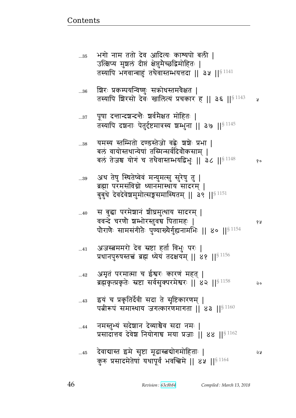| $\dots36$    | ष्ठिरः प्रकम्पयन्विष्णुः सक्रोधस्तमवेक्षत  <br>तस्यापि शिरसो देवः खालित्यं प्रचकार हू    ३६    <sup>§ 1143</sup>                                              | प्र   |
|--------------|---------------------------------------------------------------------------------------------------------------------------------------------------------------|-------|
| $\ldots\!37$ | पूषा दन्तान्दञ्चन्दन्तैः ञ्चर्वमैक्षत मोहितः  <br>तस्यापि दञ्चनाः पेतुर्दृष्टमात्रस्य ञ्चम्भुना    ३७    $^{\S\,1145}$                                        |       |
| $\dots38$    | यमस्य स्तम्भितो दण्डस्तेजो वह्रेः शशेः प्रभा  <br>बलं वायोस्तथान्येषां तस्मिन्सर्वदिवौकसाम्  <br>बलं तेजश्च योगं च तथैवास्तम्भयद्विभुः    ३८    $^{\S\,1148}$ | १०    |
| $\ldots 39$  | अथ तेषु स्थितेष्वेवं मन्युमत्सु सुरेषु तु  <br>ब्रह्मा परमसंविग्नो ध्यानमास्थाय सादरम्  <br>बुबुधे देवदेवेश्वमुमोत्सङ्गसमास्थितम्    ३९    <sup>§ 1151</sup>  |       |
| 40           | स बुद्धा परमेशानं शीघ्रमुत्थाय सादरम्  <br>ववन्दे चरणौ श्रम्भोरस्तुवच पितामहः  <br>पौराणैः सामसंगीतैः पुण्याख्यैर्गुह्यनामभिः    ४०    $^{\S\,1154}$          | ४ प्र |
| $41$         | अजस्त्वममरो देव स्रष्टा हर्ता विभुः परः  <br>प्रधानपुरुषस्तच्चं ब्रह्म ध्येयं तदक्षयम्    ४१    <sup>§ 1156</sup>                                             |       |
| 42           | अमृत परमात्मा च ईश्वरः कारणं महत्  <br>ब्रह्मकृत्प्रकृतेः स्रष्टा सर्वसुक्परमेश्वरः ॥ ४२ ॥ $^{\$4158}$                                                        | २०    |
| $43$         | इयं च प्रकृतिर्देवी सदा ते सृष्टिकारणम्  <br>पत्नीरूपं समास्थाय जगत्कारणमागता    ४३    $^{\S\,1160}$                                                          |       |
| 44           | नमस्तुभ्यं सदेशान देव्याश्चैव सदा नमः  <br>प्रसादात्तव देवेश नियोगाच मया प्रजाः ॥ ४४ ॥ $162$                                                                  |       |
| 45           | देवाद्यास्त इमे सृष्टा मूढास्त्रद्योगमोहिताः  <br>कुरु प्रसादमेतेषां यथापूर्वं भवन्त्विमे ॥ ४५ ॥ $^{\$4164}$                                                  | ১ম    |

भगो नाम ततो देव आदित्यः काश्यपो बली |<br>उत्क्षिप्य मुश्चलं दीप्तं क्षेप्तुमैच्छद्विमोहितः |<br>तस्यापि भगवान्बाहुं तथैवास्तम्भयत्तदा || ३५ ||<sup>§ 1141</sup>

 $...35$ 

 $...36$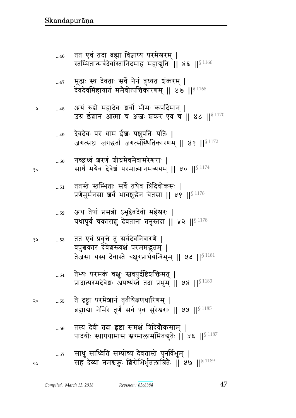- तस्य देवी तदा हृष्टा समक्षं त्रिदिवौकसाम् |  $\dots56$ पादयोः स्थापयामास स्नग्मालाममितदातेः || ५६ ||<sup>§ 1187</sup>
- ते दृष्ट्वा परमेशानं तृतीयेक्षणधारिणम् | २०  $\dots55$ ब्रह्माद्या नेमिरे तूर्णं सर्व एव सुरेश्वराः || ५५ || \$ 1185
- तेभ्यः परमकं चक्षुः स्नवपुर्दष्टिशक्तिमत् |  $\dots54$ प्रादात्परमदेवेशः अपश्यस्ते तदा प्रभुम् || ५४ || 81183
- तत एवं प्रवृत्ते तु सर्वदेवनिवारणे |  $\dots53$ वपुश्चकार देवेशस्त्यक्षं परममद्भुतम् | तेजसा यस्य देवास्ते चक्षुरप्रार्थयन्विभुम् || ५३ || 91181
- अथ तेषां प्रसन्नो ऽभूद्देवदेवो महेश्वरः |  $...52\,$ यथापूर्वं चकाराशू देवतानां तनूस्तदा || ५२ || 8 1178
- ततस्ते स्तम्भिताः सर्वे तथैव त्रिदिवौकसः |  $\dots51$ प्रणेमुर्मनसा श्चर्वं भावशुद्धेन चेतसा || ५१ ||<sup>§ 1176</sup>
- गच्छध्वं शरणं शीघ्रमेवमेवामरेश्वराः |  $...50\,$ सार्धं मयैव देवेशं परमात्मानमव्ययम् ॥ ५० ॥  $^{\$1174}$
- देवदेवः परं धाम ईश्वः पशुपतिः पतिः |  $...49$ जगत्स्रष्टा जगद्धर्ता जगत्संस्थितिकारणम् ॥ ४९ ॥ 8 1172
- अयं रुद्रो महादेवः श्चर्वो भीमः कपर्दिमान् |  $...48$ उग्र ईशान आत्मा च अजः शंकर एव च || ४८ || $^{\$~1170}$
- मूढाः स्थ देवताः सर्वे नैनं बुध्यत शंकरम् |  $...47$ देवदेवमिहायातं ममैवोत्पत्तिकारणम् ॥ ४७ ॥ $^{\$4168}$
- तत एवं तदा ब्रह्मा विज्ञाप्य परमेश्वरम् |  $...46$ स्तम्भितान्सर्वदेवांस्तानिदमाह महाद्मुतिः || ४६ ||<sup>§ 1166</sup>

१०

6 A

24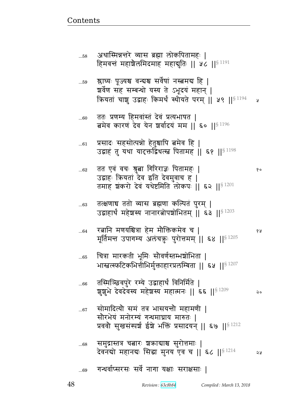| $\ldots\!61$ | प्रसादः सहसोत्पन्नो हेतुश्चापि त्नमेव हि  <br>उद्वाहं तु यथा यादक्तद्विधत्स्त्व पितामह    ६१    $^{\S\,1198}$                                          |    |
|--------------|--------------------------------------------------------------------------------------------------------------------------------------------------------|----|
| $62$         | तत एवं वचः श्रुत्वा गिरिराज्ञः पितामहः  <br>उद्वाहः क्रियतां देव इति देवमुवाच ह  <br>तमाह शंकरो देवं यथेष्टमिति लोकपः    ६२    <sup>§ 1201</sup>       | १० |
| $\dots63$    | तत्क्षणाच ततो व्यास ब्रह्मणा कल्पितं पुरम्  <br>उद्वाहार्थं महेशस्य नानारत्नोपशोभितम्    ६३    $^{\S\,1203}$                                           |    |
| $64$         | रत्नानि मणयश्चित्रा हेम मौक्तिकमेव च  <br>मूर्तिमन्त उपागम्य अलंचक्तः पुरोत्तमम्    ६४    <sup>§ 1205</sup>                                            | १५ |
| 65           | चित्रा मारकती भूमिः सौवर्णस्तम्भञ्चोभिता  <br>भास्त्रत्स्फटिकभित्तीभिर्मुक्ताहारप्रलम्बिता    ६५    <sup>§ 1207</sup>                                  |    |
| 66           | तस्मिञ्छिवपुरे रम्ये उद्वाहार्थं विनिर्मिते  <br>श्रुशुभे देवदेवस्य महेशस्य महात्मनः    ६६    <sup>§ 1209</sup>                                        | २० |
| $67$         | सोमादित्यौ समं तत्र भासयन्तौ महामणी  <br>सौरभेयं मनोरम्यं गन्धमाघ्राय मारुतः  <br>प्रववौ सुखसंस्पर्श ईश्वे भक्तिं प्रसादयन्    ६७    <sup>§ 1212</sup> |    |
| $68$         | समुद्रास्तत्र चत्नारः शकाबाश्च सुरोत्तमाः  <br>देवनद्यो महानद्यः सिद्धा मुनय एव च    ६८    <sup>§ 1214</sup>                                           | २५ |
| 69           | गन्धर्वाप्सरसः सर्वे नागा यक्षाः सराक्षसाः                                                                                                             |    |

अथास्मिन्नन्तरे व्यास ब्रह्मा लोकपितामहः |<br>हिमवन्तं महाश्रैलमिदमाह महाद्युतिः || ५८ ||<sup>§ 1191</sup>

ततः प्रणम्य हिमवांस्तं देवं प्रत्यभाषत |<br>बमेव कारणं देव येन शर्वादयं मम || ६० ||<sup>§ 1196</sup>

क्रियतां चाशु उद्वाहः किमर्थं स्थोयते परम् | ५९ | | \$1194

 $\lambda$ 

श्लाघ्यः पूज्यश्च वन्यश्च सर्वेषां नस्त्वमय हि |

शर्वेण सह सम्बन्धो यस्य ते ऽभूदयं महान् |

 $\dots58$ 

 $...59$ 

 $...60$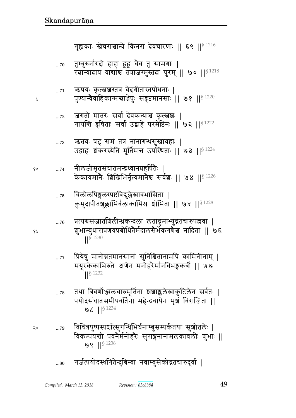$99$   $1$ <sup>§ 1236</sup>

- गर्जत्पयोदस्थगितेन्दुबिम्बा नवाम्बुसेकोद्गतचारुदूर्वा | ...80
- $96$   $|$ <sup>§ 1234</sup> विचित्रपुष्पस्पर्शात्सुगन्धिभिर्घनाम्बुसम्पर्कतया सुशीतलैः |  $\dots79$ विकम्पयन्ती पवनैर्मनोहरैः सुराङ्गनानामलकावलीः शुभाः ||
- तथा त्रिवर्णोञ्ज्वलचारुमूर्तिना श्रश्राङ्कलेखाकुटिलेन सर्वतः |  $\dots78$ पयोदसंघातसमीपवर्तिना महेन्द्रचापेन भृष्ठां विराजिता ||
- प्रियेषु मानोन्नतमानसानां सुनिश्चितानामपि कामिनीनाम् |  $...77$ मयूरकेकाभिरुतैः क्षणेन मनोहरैर्मानविभङ्गकर्त्री || ७७ ||§ 1232
- प्रत्यग्रसंजातंशिलीन्धकन्दला लताद्रुमाभ्युद्रतचारुपल्लवा |  $\dots76$ शुभाम्बुधाराप्रणयप्रबोधितैर्मदालसैर्भेकगणैश्च नादिता || ७६  $\frac{1}{5}$  1230
- विलोलपिङ्गलस्पष्टविद्युल्लेखावभासिता ।  $...75$ कुमुदापीतशुक्लाभिर्बलाकाभिश्च शोभिता || ७५ ||<sup>§ 1228</sup>
- नीलजीमृतसंघातमन्द्रध्वानप्रहर्षितैः | १०  $\dots 74$ केकायमानैः शिखिभिर्नृत्यमानैश्च सर्वश्चः ॥ ७४ ॥ $^{\$}$  1226
- ऋतवः षट् सम तत्र नानागन्धसुखावहाः |  $...73$ उद्वाहः शंकरस्येति मूर्तिमन्त उपस्थिताः ॥ ७३ ॥<sup>§ 1224</sup>
- जगतो मातरः सर्वा देवकन्याश्च कृत्स्नशः |  $\dots 72$ गायन्ति हृषिताः सर्वा उद्वाहे परमेष्ठिनः || ७२ ||<sup>§ 1222</sup>
- ऋषयः कृत्स्रञ्चस्तत्र वेदगीतांस्तपोधनाः |  $\dots 71$ पुण्यान्वैवाहिकान्मन्त्राञ्जेपुः संहृष्टमानसाः || ७१ ||<sup>§ 1220</sup>
- तुम्बुरुर्नारदो हाहा हूहू चैव तु सामगाः |  $\dots70$ रत्नान्यादाय वाद्याश्च तत्राजग्मुस्तदा पुरम् || ७० || 91218

गह्यकाः खेचराश्चान्ये किंनरा देवचारणाः ॥ ६९ ॥ 8 1216

१५

२०

Å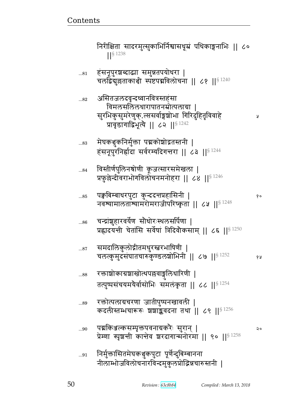| $\ldots81$  | हसनूपुरशब्दाढ्या समुन्नतपयोधरा  <br>चलद्विद्युल्लताकाश्ची स्पष्टपद्मविलोचना    ८१    <sup>§ 1240</sup>                                                                   |      |
|-------------|--------------------------------------------------------------------------------------------------------------------------------------------------------------------------|------|
| $\ldots82$  | असितजलदवृन्दध्वानवित्रस्तहंसा<br>विमलसलिलधारापातनम्रोत्पलाग्रा ।<br>सुरभिकुसुमरेणुक्.ल्ससर्वाङ्गशोभा गिरिदुहितृविवाहे<br>प्रावृडागाद्विभूत्ये ।। ८२ ।। <sup>§ 1242</sup> | ¥    |
| 83          | मेघकञ्चुकनिर्मुक्ता पद्मकोशोद्गतस्तनी  <br>हंसनूपुरनिर्हादा सर्वरम्यदिगत्तरा    ८३    <sup>§ 1244</sup>                                                                  |      |
| 84          | विस्तीर्णपुलिनश्रोणी कूजत्सारसमेखला  <br>प्रफुल्ले दीवराभोगविलोचनमनोहरा    ८४    <sup>§ 1246</sup>                                                                       |      |
| $\dots\!85$ | पक्वविम्बाधरपुटा कुन्ददत्तप्रहासिनी  <br>नवश्यामालताश्यामरोमराजीपरिष्कृता    ८५    <sup>§ 1248</sup>                                                                     | δo   |
| $\dots86$   | चन्द्रांशुहारवर्येण सौधोरःस्थलसर्पिणा  <br>प्रह्लादयन्ती चेतांसि सर्वेषां त्रिदिवौकसाम्    ८६    <sup>§ 1250</sup>                                                       |      |
| $\dots 87$  | समदालिकुलोद्गीतमधुरस्त्वरभाषिणी  <br>चलत्कुमुदसंघातचारुकुण्डलश्रोभिनी    ८७    $^{\$~1252}$                                                                              | १५   |
| $\dots88$   | रक्ताञ्चोकाग्रज्ञाखोत्थपल्लवाङ्गुलिधारिणी  <br>तत्पुष्पसंचयमयैर्वासोभिः समलंकृता    ८८    <sup>§ 1254</sup>                                                              |      |
| 89          | रक्तोत्पलाग्रचरणा जातीपुष्पनखावली  <br>कदलीस्तम्भचारूरुः शशाङ्कवदना तथा    ८९    $^{8\,1256}$                                                                            |      |
| 90          | पद्मकिञ्जल्कसम्पृक्तपवनाग्रकरैः सुरान्  <br>प्रेम्णा स्पृशन्ती कान्तेव शरदागान्मनोरमा    ९०    $$^{1258}$                                                                | ನಿ c |
| 91          | निर्मुक्तासितमेघकञ्चुकपुटा पूर्णेन्दुबिम्बानना<br>नीलाम्भोजविलोचनारविन्दमुकुलप्रोद्धिन्नचारुस्तनी                                                                        |      |

निरीक्षिता सादरमुत्सुकाभिर्निश्वासधूम्रं पथिकाङ्गनाभिः || ८०

 $||\S$  1238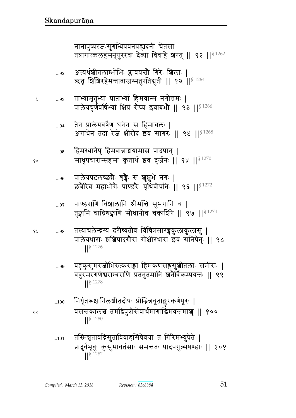- तस्मिन्नृतावद्रिसुताविवाहसिषेवया तं गिरिमभ्युपेते |  $...101$ प्रादुर्बभूवुः कुसुमावतसाः समन्ततः पादपगुल्मषण्डाः || १०१  $||\hat{\mathbf{S}}||^{282}$
- निर्धृतरूक्षानिलशीतदोषः प्रोद्भिन्नचूताङ्करकर्णपूरः |  $...100$ वसन्तकालश्च तमद्रिपुत्रीसेवार्थमागाद्धिमवन्तमाशु || १००  $\frac{1}{5}$  1280
- बहुकुसुमरजोभिरुत्कराङ्गा हिमकणसङ्गसुश्रीतलाः समीराः | ...99 ववुरमरगणेश्वराम्बराणि प्रतनुतमानि ष्रनैर्विकम्पयन्तः || ९९  $\frac{1}{5}$  1278
- तस्याचलेन्द्रस्य दरीष्वतीव विचित्रसारङ्गकुलाकुलासु | १५ ...98 प्रालेयधाराः श्रशिपादगौरा गोक्षीरधारा इव संनिपेतुः || ९८  $\frac{1}{5}$  1276
- पाण्डराणि विशालानि श्रीमन्ति सुभगानि च |  $...97$ तुङ्गानि चाद्रिशृङ्गाणि सौधानीव चकाशिरे || ९७ ||<sup>§ 1274</sup>
- प्रालेयपटलच्छन्नैः शृङ्गैः स शृशूभे नगः | ...96 छत्रैरिव महाभोगैः पाण्डरैः पृथिवीपतिः || ९६ ||§ 1272
- हिमस्थानेषु हिमवान्नाञ्चयामास पादपान् |  $\ldots\!95$ साधूपचारान्सहसा कृतार्थ इव दुर्जनः || ९५ || १९
- तेन प्रालेयवर्षेण घनेन स हिमाचलः |  $...94$ अगाधेन तदा रेजे क्षीरोद इव सागरः || ९४ || 81268
- ताभ्यामृतुभ्यां प्राप्ताभ्यां हिमवान्स नगोत्तमः | ...93 प्रालेयचूर्णवर्षिभ्यां क्षिप्रं रौप्य इवाबभौ || ९३ ||<sup>§ 1266</sup>
- अत्यर्थश्रीतलाम्भोभिः प्लावयन्तौ गिरेः शिलाः |  $\ldots\!92$ ऋतू शिशिरहेमन्तावाजग्मतुरतिद्युती || ९२ ||<sup>§ 1264</sup>

नानापुष्परजःसुगन्धिपवनप्रह्लादनी चेतसां तत्रागात्कलहंसनूपुरखा देव्या विवाहे शरत् || ९१ ||<sup>§ 1262</sup>

- 
- 

Å

१०

 $\mathsf{a}$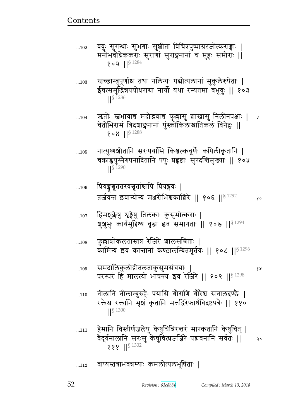वाप्यस्तत्राभवत्रम्याः कमलोत्पलभूषिताः |  $...112$ 

### हैमानि विस्तीर्णजलेषु केषुचिन्निरन्तरं मारकतानि केषुचित् |  $...111$ वैदूर्यनालानि सरःसु केषुचित्प्रजज्ञिरे पद्मवनानि सर्वतः || २० **???** ||<sup>§ 1302</sup>

- नीलानि नीलाम्बुरुहैः पयांसि गौराणि गौरेश्च सनालदण्डैः |  $...110$ रक्तैश्च रक्तानि भृष्ठां कृतानि मत्तद्विरेफार्धविदष्टपत्रैः || ११०  $||\S 1300$
- $...109$ परस्परं हिं मालत्यो भाषन्य इव रेजिरे ।। १०९ ।।<sup>§ 1298</sup>
- समदालिकुलोद्गीतलताकुसुमसंचयाः |

कामिन्य इव कान्तानां कण्ठालम्बितमूर्तयः || १०८ ||<sup>§ 1296</sup>

- फुल्लाशोकलतास्तत्र रेजिरे शालसंश्रिताः |  $...108$
- हिमशुक्लेषु शृङ्गेषु तिलकाः कुसुमोत्कराः |  $...107$ शुशुभुः कार्यमुद्दिश्य वृद्धा इव समागताः ॥ १०७ ॥  $\mathsf{S}^{1294}$
- तर्जयन्त इवान्योन्यं मञ्जरीभिश्चकाशिरे || १०६ ||<sup>§ 1292</sup>

१०

१५

્ર પ્ર

स्तच्छाम्बुपूर्णाश्च तथा नलिन्यः पद्मोत्पलानां मुकुलैरुपेताः |  $...103$ ईपत्समुद्रिन्नपयोधराग्रा नार्यो यथा रम्यतमा बभूवुः || १०३  $\frac{1}{5}$  1286

ऋतोः स्तभावाच मदोद्भवाच फुल्लासु श्राखासु निलीनपक्षाः |

चेतोभिरामं त्रिदशाङ्गनानां पुंस्कोकिलाश्चातिकलं विनेदुः ॥

नात्युष्णश्रीतानि सरःपयांसि किञ्जल्कचूर्णैः कपिलीकृतानि |

चक्राह्वयुग्मेरुपनादितानि पपुः प्रहृष्टाः सुरदन्तिमुख्याः || १०५

ववुः सुगन्धाः सुभगाः सुष्ठीता विचित्रपुष्पाग्ररजोत्कराङ्गाः |  $...102$ मनोभवोद्रेककराः सुराणां सुराङ्गनानां च मुहुः समीराः || १०२ || $§$ <sup>1284</sup>

 $...104$ 

 $...105$ 

 $...106$ 

 $908$  || $$^{1288}$ 

प्रियङ्गश्रूततरवश्रूताश्चापि प्रियङ्गवः |

 $\frac{1}{5}$  1290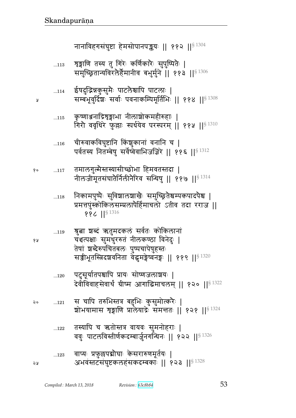Å

ò

१

 $\mathbf{Q}$ 

 $\mathbf{c}$ 

| o | 117 | तमालगुल्मैस्तस्यासीच्छोभा हिमवतस्तदा  <br>नीलजीमूतसंघातेर्निलीनेरिव सन्धिषु    ११७    <sup>§ 1314</sup>                                                                                           |
|---|-----|---------------------------------------------------------------------------------------------------------------------------------------------------------------------------------------------------|
|   | 118 | निकामपुष्पैः सुविशालशाखैः समुच्छ्रितेश्वम्पकपादपैश्च  <br>प्रमत्तपुंस्कोकिलसम्प्रलापेर्हिमाचलो ऽतीव तदा रराज ॥<br>886   §1316                                                                     |
|   | 119 | श्रुत्वा शब्दं ऋतुमदकलं सर्वतः कोकिलानां<br>चंशत्पक्षाः सुमधुररुतं नीलकण्ठा विनेदुः  <br>तेषां शब्देरुपचितबलः पुष्पचापेषुहस्तः<br>सज्जीभूतस्त्रिदशवनिता वेद्धमङ्गेष्वनङ्गः ।। ११९ ।। $^{8\,1320}$ |
|   | 120 | पटुसूर्यातपश्चापि प्रायः सोष्णजलाञ्चयः  <br>देवीविवाहसेवार्थं ग्रीष्म आगाद्धिमाचलम् ॥ १२० ॥ $^{\mathrm{S}\,1322}$                                                                                 |
| o | 121 | स चापि तरुभिस्तत्र बहुभिः कुसुमोत्करैः  <br>श्रोभयामास शृङ्गाणि प्रालेयाद्रेः समन्ततः    १२१    <sup>§ 1324</sup>                                                                                 |
|   | 122 | तस्यापि च ऋतोस्तत्र वायवः सुमनोहराः  <br>ववुः पाटलविस्तीर्णकदम्बार्जुनगन्धिनः    १२२    <sup>§ 1326</sup>                                                                                         |
|   | 123 | वाप्यः प्रफुल्लपद्मौघाः केसरारुणमूर्तयः  <br>अभवंस्तटसंघुष्टकलहंसकदम्बकाः    १२३    <sup>§ 1328</sup>                                                                                             |

- चीरुवाकविघुष्टानि किंशुकानां वनानि च |  $...116$ पर्वतस्य नितम्बेषु सर्वेष्वैवाभिजज्ञिरे ॥ ११६ ॥ 8 1312
- कृष्णाञ्जनाद्रिशृङ्गाभा नीलाशोकमहीरुहाः |  $...115$ गिरौ ववृधिरे फुल्लाः स्पर्धयेव परस्परम् | ११५ || \$1310
- ईषदुद्रिन्नकुसुमैः पाटलैश्चापि पाटलाः |  $...114$ सम्बभूवुर्दिशः सर्वाः पवनाकम्पिमूर्तिभिः || ११४ || \$ 1308
- ग्रुङ्गाणि तस्य तु गिरेः कर्णिकारैः सुपुष्पितैः |  $\dots113$ समुच्छ्रितान्यविरलैर्हैमानीव बभुर्मुने | ११३ || \$1306

नानाविहगसंघुष्टा हेमसोपानपङ्कयः || ११२ ||<sup>§ 1304</sup>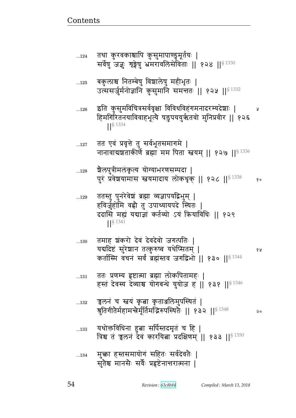## मुक्ता हस्तसमायोगं सहितः सर्वदेवतेः |  $\dots 134$ सुतेश्च मानसे सर्वे प्रहष्टेनात्तरात्मना |

- यथोक्तविधिना हुत्ना सर्पिस्तदमृतं च हि |  $...133$ त्रिश्च तं चलनं देवं कारयिता प्रदक्षिणम् || १३३ ||§ 1350
- 'ञ्चलन' च 'स्नय' कृता कृतार्श्वालेमुपस्थित |  $\dots132$ श्रुतिगीतैर्महामन्त्रैर्मूर्तिमद्भिरुपस्थितैः || १३२ ||<sup>§ 1348</sup> २०
- ततः प्रणम्य हृष्टात्मा ब्रह्मा लोकपितामहः |  $...131$ हस्तं देवस्य देव्याश्च योगबन्धे युयोज ह || १३१ || 81346
- तमाह शंकरो देवं देवदेवो जगत्पतिः |  $...130$ यद्यदिष्टं सुरेशान तत्कुरुष्व यथेप्सितम् | १५ कर्तास्मि वचनं सर्वं ब्रह्मंस्तव जगद्विभो || १३० ||<sup>§ 1344</sup>
- ततस्तु पुनरेवेशं ब्रह्मा व्यज्ञापर्याद्वेभुम् |  $...129$ हविर्जुहोमि वह्रौ तु उपाध्यायपदे स्थितः | ददासि मह्यं यद्याज्ञां कर्तव्यो ऽयं क्रियाविधिः || १२९  $\frac{1}{5}$  1341
- शैलपुत्रीमलंकृत्य योग्याभरणसम्पदा |  $...128$ पुरं प्रवेशयामास स्वयमादाय लोकधृक् || १२८ || 81338  $90$
- तत एवं प्रवृत्ते तु सर्वभूतसमागमे |  $\dots 127$ नानावाद्यञ्चताकीर्णे ब्रह्मा मम पिता स्तवम् || १२७ || 5 1336
- इति कुसुमविचित्रसर्ववृक्षा विविधविहंगमनादरम्यदेशाः |  $...126$ हिमगिरितनयाविवाहभूत्ये षडुपययुर्ऋतवो मुनिप्रवीर || १२६  $\frac{1}{5}$  1334
- बकुलाश्च नितम्बेषु विश्वालेषु महीभृतः |  $\dots125$ उत्ससर्जुर्मनोज्ञानि कुसुमानि समन्ततः || १२५ ||<sup>§ 1332</sup>
- तथा कुरवकाश्चापि कुसुमापाण्डुमूर्तयः |  $\dots124$ सर्वेषु जज्ञुः शृङ्गेषु भ्रमरावलिसेविताः || १२४ || 5 1330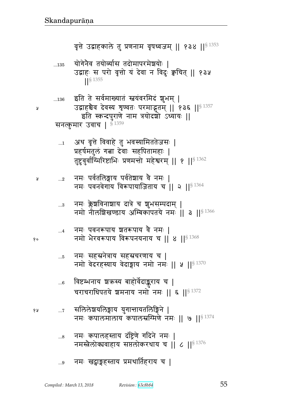# ...9 नमः खट्वाङ्गहस्ताय प्रमथातिहराय च |

- ... $s$  विमः कपालहस्ताय दंष्ट्रिणे गदिने नमः | नमस्त्रैलोकावाहाय सप्तलोकरथाय च || ८ ||  $\frac{8^{1376}}{200}$
- १४ ...7 सलिलेश्चयलिङ्गाय युगान्तायतलिङ्गिने नमः कपालमालाय कपालस्रग्मिणे नमः || ७ || $^{\$~1374}$
- <u>...</u>6 विष्टम्भनाय ञ्चऋस्य बाहोर्वेदाङ्कराय च | चराचराधिपतये शमनाय नमो नमः || ६ ||  ${}^{8\,1372}$
- ... $_5$   $\,$  नमः सहस्रनेत्राय सहस्रचरणाय च  $\,$ नमो वेदरहस्याय वेदाङ्गाय नमो नमः || ५ ||  $$^{1370}$
- ... $_4$  विमः पवनरूपाय ञ्चतरूपाय वै नमः |  $\alpha$ , we can be well as a set of  $\alpha$  and  $\alpha$  is the matrix b  $\alpha$  of  $\beta$   $1368$
- ... $_{\rm a}$  विमः क्लेशविनाशाय दात्रे च शुभसम्पदाम् | नमो नीलंशिखण्डाय अम्बिकॉपतये नमः || ३ ||<sup>§ 1366</sup>
- ...2 नमः पर्वतलिङ्गाय पर्वतेशाय वे नमः | नमः पवनवेगाय विरूपायाजिताय च || २ || $$^{1364}$
- ...1 अथ वृत्ते विवाहे तु भवस्यामिततेजसः | प्रहर्षमतुलं गत्ना देवाः सहपितामहाः | तुष्टुवुर्वाग्मिरिष्टाभिः प्रणमन्तो महेश्वरम् || १ ||  $^{8\ 1362}$
- ...136 इति ते सर्वमाख्यातं स्नयंवरमिदं ञ्चभम् | ४ उद्वाहश्चैव देवस्य शृण्वतः परमाद्भुतम् || १३६ || $^{\S\,1357}$ इति स्कन्दपुराणे नाम त्रयोदशो ऽध्यायः ॥ सनत्कुमार उवाच |  $$^{1359}$
- ...135 योगेनैव तयोर्व्यास तदोमापरमेशयोः | उद्वाहः स परो वृत्तो यं देवा न विदुः क्वचित् || १३५ ᅖᅖ§ 1355

वृत्ते उद्वाहकाले तु प्रणनाम वृषध्वजम् ॥ १३४ ॥ $8^{1353}$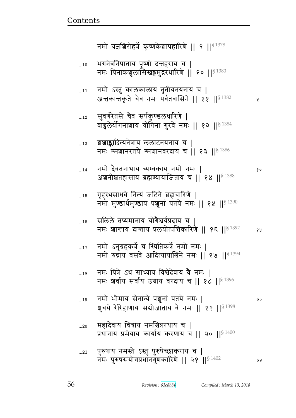|             | नमो यज्ञशिरोहर्त्रे कृष्णकेशापहारिणे    ९    $^{\$}$ 1378                                                       |    |
|-------------|-----------------------------------------------------------------------------------------------------------------|----|
| 10          | भगनेत्रनिपाताय पूष्णो दन्तहराय च  <br>नमः पिनाकशूलासिखङ्गमुद्ररधारिणे    १०    \$1380                           |    |
| 11          | नमो ऽस्तु कालकालाय तृतीयनयनाय च  <br>अत्तकात्तकृते चैव नमः पर्वतवासिने    ११    <sup>§ 1382</sup>               | Я  |
| 12          | सुवर्णरेतसे चैव सर्पकुण्डलधारिणे  <br>वाङ्गलेर्योगनाशाय योगिनां गुरवे नमः    १२    81384                        |    |
| 13          | शशाङ्कादित्यनेत्राय ललाटनयनाय च  <br>नमः श्मशानरतये श्मशानवरदाय च    १३    $$^{1386}$                           |    |
| 14          | नमो दैवतनाथाय त्र्यम्बकाय नमो नमः  <br>अञ्चनीञ्चतहासाय ब्रह्मण्यायाजिताय च    १४    $^{\S\,1388}$               | १० |
| 15          | गृहस्थसाधवे नित्यं जटिने ब्रह्मचारिणे  <br>नमो मुण्डार्धमुण्डाय पशूनां पतये नमः    १५    \$1390                 |    |
| 16          | सलिले तप्यमानाय योगैश्वर्यप्रदाय च  <br>नमः शान्ताय दान्ताय प्रलयोत्पत्तिकारिणे    १६    <sup>§ 1392</sup>      | १५ |
| $\dots 17$  | नमो ऽनुग्रहकर्त्रे च स्थितिकर्त्रे नमो नमः  <br>नमो रुद्राय वसवे आदित्यायाश्विने नमः    १७    <sup>§ 1394</sup> |    |
| 18          | नमः पित्रे ऽथ साध्याय विश्वेदेवाय वै नमः  <br>नमः शर्वाय सर्वाय उग्राय वरदाय च    १८    $^{8\,1396}$            |    |
| 19          | नमो भीमाय सेनान्ये पशूनां पतये नमः  <br>शुचये रेरिहाणाय सबोजाताय वे नमः    १९    <sup>§ 1398</sup>              | २० |
| 20          | महादेवाय चित्राय नमश्चित्ररथाय च  <br>प्रधानाय प्रमेयाय कार्याय करणाय च    २०    <sup>§ 1400</sup>              |    |
| $\ldots 21$ | पुरुषाय नमस्ते ऽस्तु पुरुषेच्छाकराय च  <br>नमः पुरुषसंयोगप्रधानगुणकारिणे    २१    <sup>§ 1402</sup>             | จร |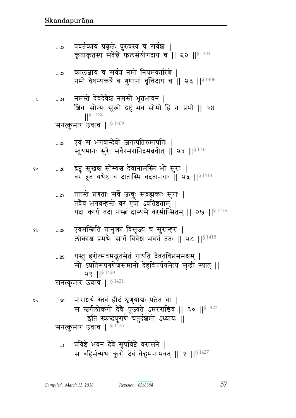$...29\,$ 

२०

Å

प्रविष्टे भवनं देवे सूपविष्टे वरासने |  $\dots$ 1 स बहिर्मन्मथः क्रूरो देवं वेद्धमनाभवत् || १ || \$ 1427

सो ऽप्रतिरूपगणेशसमानो देहविपर्ययमेत्य सुखी स्यात् ||  $29$  || $8^{1420}$ सनत्कुमार उवाच |  $$^{1421}$ पाराशर्य स्तवं हीदं शृणुयाद्यः पठेत वा |  $...30\,$ स स्तर्गलोकगो देवैः पूज्यते ऽमरराडिव || ३० || 8 1423 इति स्कन्दपुराणे चतुर्दशमो ऽध्यायः || सनत्कुमार उवाच | §<sup>1425</sup>

एवमस्त्रिति तानुक्ता विसृज्य च सुरान्हरः | 68  $...28$ लोकांश्च प्रमथैः सार्धं विवेश भवनं ततः || २८ ||<sup>§ 1418</sup>

यस्तु हरोत्सवमद्भुतमेतं गायति दैवतविप्रसमक्षम् |

- ततस्ते प्रणताः सर्वे ऊचुः सब्रह्मकाः सुराः |  $...27$ तवैव भगवन्हस्ते वर एषो ऽवतिष्ठताम् | यदा कार्यं तदा नस्त्वं दास्यसे वरमीप्सितम् || २७ ||  $^{8\,1416}$
- "द्रष्टुं सुखश्च सौम्यश्च देवानामस्मि भो सुराः | १०  $...26\,$ वरं ब्रूत यथेष्टं च दातास्मि वदतानघाः | २६ || 8 1413
- एवं स भगवान्देवो जगत्पतिरुमापतिः |  $\ldots 25$ स्तूयमानः सुरैः सर्वैरमरानिदमब्रवीत् || २५ ||<sup>§ 1411</sup>
- नमस्ते देवदेवेश नमस्ते भूतभावन |  $...24$ श्रिवः सौम्यः सुखो द्रष्टुं भव सोमो हि नः प्रभो || २४  $|$   $|$  \$ 1408 सनत्कुमार उवाच | §1409
- कालज्ञाय च सर्वत्र नमो नियमकारिणे |  $\ldots 23$ नमो वैषम्यकर्त्रे च गुणानां वृत्तिदाय च | २३ | |  $$^{1406}$
- प्रवर्तकाय प्रकृतेः पुरुषस्य च सर्वशः |  $...22$ कृताकृतस्य संवेन्ने फलसंयोगदाय च || २२ ||  $^{8\,1404}$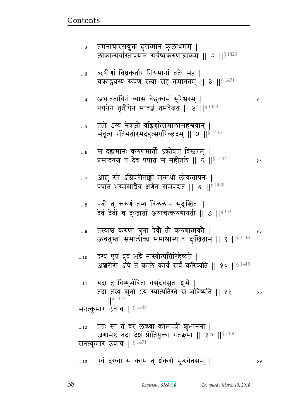प्र

| 5          | ततो ऽस्य नेत्रजो वहिर्ज्वालामालासहस्रवान्  <br>संवृत्य रतिभर्तारमदहत्सपरिच्छदम् ॥ ४ ॥ ९ 1435                                                  |    |
|------------|-----------------------------------------------------------------------------------------------------------------------------------------------|----|
| 6          | स दह्यमानः करुणमार्तो ऽक्रोश्चत विस्तरम्  <br>प्रसादयंश्व तं देवं पपात स महीतले    ६    <sup>§ 1437</sup>                                     | १० |
| $\dots 7$  | आशु सो ऽग्निपरीताङ्गो मन्मथो लोकतापनः  <br>पपात भस्मसाचैव क्षणेन समपद्यत    ७    $^{\S\,1439}$                                                |    |
| 8          | पत्नी तु करुणं तस्य विललाप सुदुःखिता  <br>देवं देवीं च दुःखार्ता अयाचत्करुणायती    ८    $^{\S\ 1441}$                                         |    |
| $\ldots$ 9 | तस्याश्च करुणां श्रुत्वा देवौ तौ करुणात्मकौ  <br>ऊचतुस्ता समालोका समाश्वास्य च दुःखिताम्    ९    <sup>§ 1443</sup>                            | १५ |
| 10         | दग्ध एष ध्रुवं भद्रे नास्योत्पत्तिरिहेष्यते  <br>अग्ररीरो ऽपि ते काले कार्यं सर्वं करिष्यति    १०    <sup>§ 1445</sup>                        |    |
| $\dots$ 11 | यदा तु विष्णुर्भविता वसुदेवसुतः शुभे  <br>तदा तस्य सुंतो ऽयं स्यात्पतिस्ते सं भविष्यति    ११<br>$\frac{1}{5}$ 1447<br>सनत्कुमार उवाच   § 1448 | २० |
| $\dots12$  | ततः सा तं वरं लब्ध्वा कामपत्नी शुभानना  <br>जगामेष्टं तदा देश प्रीतियुक्ता गतक्लमा    १२    <sup>§ 1450</sup><br>सनत्कुमार उवाच   § 1451      |    |
| $\dots 13$ | एवं दग्ध्वा स कामं तु शंकरो मूढचेतसम्                                                                                                         | ২५ |

अथाततायिनं व्यास वेद्धुकामं सुरेश्वरम् |<br>नयनेन तृतीयेन सावज्ञं तमवैक्षत || ४ ||<sup>§ 1433</sup>  $\dots 4$ 

ऋषीणां विघ्नकर्तारं नियमानां व्रतैः सह |<br>चक्राह्वयस्य रूपेण रत्या सह तमागतम् || ३ ||<sup>§ 1431</sup>  $\ldots 3$ 

तमनाचारसंयुक्तं दुरात्मानं कुलाधमम् |<br>लोकान्सर्वांस्तापयानं सर्वेष्वकरुणात्मकम् || २ ||<sup>§ 1429</sup>  $\ldots$ 2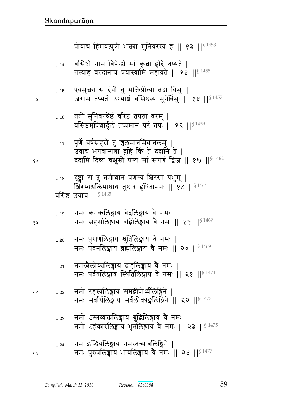| Ã  |             | जगाम तप्यतो ऽभ्याञ्चं वसिष्ठस्य मुनेर्विभुः    १५    <sup>§ 1457</sup>                                                                                  |
|----|-------------|---------------------------------------------------------------------------------------------------------------------------------------------------------|
|    | $\dots16$   | ततो मुनिवरश्रेष्ठं वरिष्ठं तपतां वरम्  <br>वसिष्ठमृषिशार्दूलं तप्यमानं परं तपः    १६    <sup>§ 1459</sup>                                               |
| १० | $17$        | पूर्णे वर्षसहस्रे तु च्चलमानमिवानलम्  <br>उवाच भगवान्गत्ना ब्रूहि किं ते ददानि ते  <br>ददामि दिव्यं चक्षुस्ते पश्य मां सगणं द्विज    १७    $^{8\,1462}$ |
|    | $\dots18$   | दृष्ट्वा स तु तमीशानं प्रणम्य शिरसा प्रभुम्  <br>ग्रिरस्यअलिमाधाय तुष्टाव हृषिताननः    १८    <sup>§ 1464</sup><br>$\S 1465$<br>वसिष्ठ उवाच              |
| १५ | 19          | नमः कनकलिङ्गाय वेदलिङ्गाय वै नमः  <br>नमः सहस्रलिङ्गाय वहिलिङ्गाय वे नमः    १९    <sup>§ 1467</sup>                                                     |
|    | $20$        | ्नमः पुराणलिङ्गाय श्रुतिलिङ्गाय वे नमः  <br>नमः पवनलिङ्गाय ब्रह्मलिङ्गाय वे नमः    २०    $$^{1469}$                                                     |
|    | $21\,$      | नमस्त्रेलोक्यलिङ्गाय दाहलिङ्गाय वे नमः  <br>नमः पर्वतलिङ्गाय स्थितिलिङ्गाय वै नमः ॥ २१ ॥ <sup>§ 1471</sup>                                              |
| २० | $\ldots$ 22 | नमो रहस्यलिङ्गाय सप्तद्वीपोर्ध्वलिङ्गिने  <br>नमः सर्वार्थलिङ्गाय सर्वलोकाङ्गलिङ्गिने    २२    $^{\$473}$                                               |
|    | 23          | नमो ऽस्बव्यक्तलिङ्गाय बुद्धिलिङ्गाय वे नमः  <br>नमो ऽहकारलिङ्गाय भूतलिङ्गाय वै नमः    २३    <sup>§ 1475</sup>                                           |
| ১ম | 24          | नम इन्द्रियोलेङ्गाय नमस्तन्मात्रोलेङ्गिने  <br>नमः पुरुषलिङ्गाय भावलिङ्गाय वे नमः    २४    <sup>§ 1477</sup>                                            |
|    |             |                                                                                                                                                         |

...14 = वासष्ठा नाम विप्रन्द्रा मा कृत्वा ह्वाद् तप्यत | तस्याहं वरदानाय प्रयास्यामि महाव्रते || १४ || $^{\mathrm{S}\,1455}$ 

...15 एवमुक्ता स दवा तु भाक्तप्रात्या तदा विभुः |

प्रोवाच हिमवत्पुत्रीं भक्त्या मुनिवरस्य ह || १३ || $8^{1453}$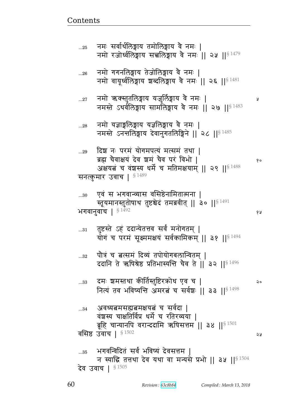नमो रजोर्ध्वलिङ्गाय सच्चलिङ्गाय वे नमः || २५ || ${}^{8\,1479}$ ...26 नमो गगनलिङ्गाय तेजोलिङ्गाय वे नमः | नमो वायूर्ध्वलिङ्गाय शब्दलिङ्गाय वे नमः || २६ || ${}^{S\ 1481}$ ...27 dx/ RɆɕp4pey ya4e@y {G dx1 ᅖ नमस्ते ऽथर्वलिङ्गाय सामलिङ्गाय वे नमः || २७ || ${}^{8\,1483}$ ...28 विमो यज्ञाङ्गलिङ्गाय पज्ञलिङ्गाय वे नमः | नमस्ते ऽनन्तलिङ्गाय देवानुगतलिङ्गिने || २८ || $8^{1485}$ ...29 दिश नः परमं योगमपत्यं मत्समं तथा | ब्रह्म चैवाक्षयं देव श्रमं चैव परं विभो | स्रोत कर्णाटक २० अक्षयत च वंशस्य धर्मे च मतिमक्षयाम् || २९ || $$^{1488}$ सनत्कुमार उवाच |  $$^{1489}$ ...30 एवं स भगवान्व्यास वसिष्ठेनामितात्मना | स्तूयमानस्तुतोषाथ तुष्टश्चेदं तमब्रवीत् || ३० || $^{\$~1491}$ भगवानुवाच |  $^{\S\ 1492}$  १४ ... $\mathrm{_{11}}$  तुष्टस्ते ऽहं ददान्येतत्तव सर्वं मनोगतम् | योगं च परमं सूक्ष्ममक्षयं सर्वकामिकम् || ३१ || ${}^{S\ 1494}$  $_{\mathrm{...32}}$  पौत्रं च तत्समं दिव्यं तपोयोगबलान्वितम् | ददानि ते ऋषिश्रेष्ठ प्रतिभास्यन्ति चैव ते || ३२ ||  $$^{1496}$ ...33 दमः शमस्तथा कीर्तिस्तुष्टिरकोध एव च | २० नित्यं तव भविष्यन्ति अमरतं च सर्वशः || ३३ || $81498$ ... $_{34}$  ad अवध्यत्नमसह्यत्नमक्षयत्नं च सर्वदा | वंशस्य चाक्षतिर्विप्र धर्मे च रतिरव्यया | ब्रूहि चान्यानपि वरान्ददामि ऋषिसत्तम || ३४ || $^{\$~1501}$ वसिष्ठ उवाच |  $\frac{8}{1502}$  |  $\frac{2}{3}$  $_{\rm ...35}$  ) भगवन्विदितं सर्वं भविष्यं देवसत्तम | न स्याद्धि तत्तथा देव यथा वा मन्यसे प्रभो || ३५ ||  $$^{1504}$ देव उवाच |  $\$^{\,1505}$ 

<u>Contents and Contents are the contents of the contents of the contents of the contents of the contents of the contents of the contents of the contents of the contents of the contents of the contents of the contents of the</u>

...25 नमः सर्वार्थलिङ्गाय तमोलिङ्गाय वे नमः |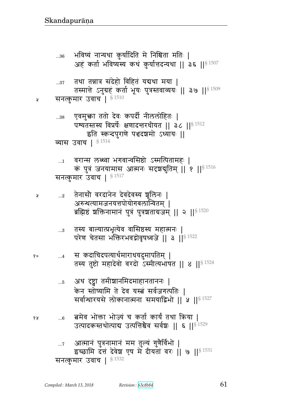आत्मानं पुत्रनामानं मम तुल्यं गुणैर्विभो |  $\dots 7$ इच्छामि दत्तं देवेश एष में दीयतां वरः || ७ || \$ 1531 सनत्कुमार उवाच |  $$^{1532}$ 

- बमेव भोक्ता भोज्यं च कर्ता कार्यं तथा किया |  $\ldots 6$ उत्पादकस्तथोत्पाद्य उत्पत्तिश्चैव सर्वश्चः || ६ ||<sup>§ 1529</sup>
- अथ दृष्ट्वा तमीशानमिदमाहानताननः |  $\dots 5$ केन स्तोष्यामि ते देव यस्त्वं सर्वजगत्पतिः | सर्वान्धारयसे लोकानात्मना समयाद्विभो || ५ ||<sup>§ 1527</sup>
- स कदाचिदपत्यार्थमाराधयदुमापतिम् | १०  $\dots 4$ तस्य तुष्टो महादेवो वरदो ऽस्मीत्यभाषत || ४ || $^{\$}$  1524
- तस्य बाल्यात्प्रभृत्येव वासिष्ठस्य महात्मनः |  $...3$ परेण चेतसा भक्तिरभवद्गोवृषध्वजे || ३ || 51522
- तेनासौ वरदानेन देवदेवस्य ञ्चलिनः |  $\dots 2$ अरुन्थत्यामजनयत्तपोयोगबलान्वितम् | ब्रह्मिष्ठं शक्तिनामानं पुत्रं पुत्रशताग्रजम् || २ ||  $^{8\,1520}$

```
'वरान्स लब्ध्वा भगवान्वसिष्ठो ऽस्मत्पितामहः |
 \dots1
       कं पुत्रं जनयामास आत्मनः सदृशबुतिम् || १ || $ 1516
सनत्कुमार उवाच | §1517
```

```
एवमुक्ता ततो देवः कपर्दी नीललोहितः |
...38पश्यतस्तस्य विप्रर्षेः क्षणादन्तरधीयत || ३८ ||<sup>§ 1512</sup>
            इति स्कन्दपुराणे पञ्चदञ्चमो ऽध्यायः ||
व्यास उवाच | 81514
```

```
तथा तन्नात्र संदेहो विहितं यद्यथा मया |
        तस्मात्ते ऽनुग्रहं कर्ता भूयः पुत्रस्तवाव्ययः || ३७ ||{}^{8\,1509}सनत्कुमार उवाच<sup>1 § 1510</sup>
```
 $...37$ 

Ã

Å

१५

भविष्यं नान्यथा कुर्यादिति मे निश्चिता मतिः |  $...36$ अहं कर्ता भविष्यस्य कथं कुर्यात्तदन्यथा | ३६ |  $\mathsf{S}^{1507}$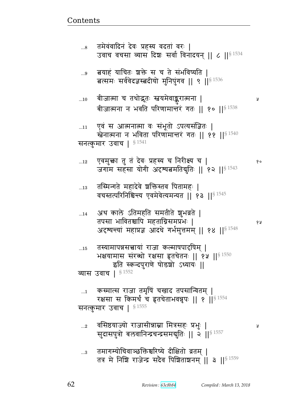Ã

१०

१५

Ã

तमागम्योचिवाञ्छक्तिश्चरिष्ये दीक्षितो व्रतम् |  $...3$ तत्र मे निशि राजेन्द्र सदैव पिशिताशनम् | 3 | |  $\frac{1}{3}$  1559

वसिष्ठयाज्यो राजासीन्नाम्ना मित्रसहः प्रभुः |  $\ldots$ <sup>2</sup> सुदासपुत्रो बलवानिन्द्रचन्द्रसमयुतिः || २ ||<sup>§ 1557</sup>

कस्मात्स राजा तमृषिं चखाद तपसान्वितम् |  $\dots$ 1 रक्षसा स किमर्थं च हृतचेताभवन्नृपः || १ || § 1554 सनत्कुमार उवाच |  $^{\$1555}$ 

- तस्यामापन्नसत्त्वायां राजा कल्माषपादृषिम् |  $\dots15$ भक्षयामास संरब्धो रक्षसा हृतचेतनः || १५ || \$ 1550 इति स्कन्दपुराणे षोडशो ऽध्यायः || व्यास उवाच | § 1552
- अथ काले ऽतिमहति समतीते शुभव्रते |  $...14$ तपसा भावितश्चापि महताग्निसमप्रभः | अदृष्यन्त्यां महाप्रज्ञ आदधे गर्भमुत्तमम् || १४ || $^{\S\ 1548}$
- तस्मिन्गते महादेवे शक्तिस्तव पितामहः |  $...13$ वचस्तत्परिनिश्चिन्त्य एवमेवेत्यमन्यत || १३ ||<sup>§ 1545</sup>
- एवमुक्ता तु तं देवः प्रहस्य च निरीक्ष्य च |  $...12$ जगाम सहसा योगी अदृश्यतमतिबुतिः || १२ ||<sup>§ 1543</sup>
- एवं स आत्मनात्मा वः संभूतो ऽपत्यसंज्ञितः |  $...11$ खेनात्मना न भविता परिणामान्तरं गतः || ११ ||<sup>§ 1540</sup> सनत्कुमार उवाच | §1541
- बीजात्मा च तथोद्भूतः स्तवयमेवाङ्करात्मना |  $\dots10$ बीजात्मना न भवति परिणामान्तरं गतः || १० || ${}^{8\,1538}$
- बयाहं याचितः शक्ते स च ते संभविष्यति |  $\ldots$ 9 बत्समः सर्ववेदज्ञस्बदीयो मुनिपुगव || ९ || 81536
- तमेवंवादिनं देवः प्रहस्य वदतां वरः |  $\ldots 8$ उवाच वचसा व्यास दिशः सर्वा विनादयन् || ८ || § 1534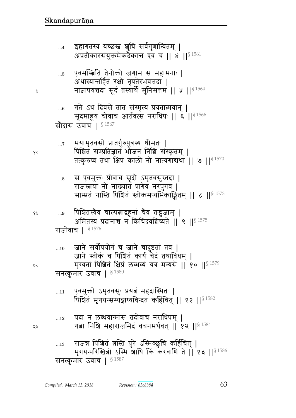राजन्न पिश्चितं बस्ति पुरे ऽस्मिञ्छुचि कर्हिचित् |  $...13$ मृगयन्परिखिन्नो ऽस्मि शाधि किं करवाणि ते | १३ | | \$1586 सनत्कुमार उवाच |  $$^{1587}$ 

- यदा न लब्धवान्मांसं तदोवाच नराधिपम् |  $...12$ गत्ना निष्ठि महाराजमिदं वचनमर्थवत् || १२ || $^{\$}$ <sup>1584</sup>
- एवमुक्तो ऽमृतवसुः प्रयत्नं महदास्थितः |  $...11$ पिशितं मृगयन्सम्यङ्गाप्यविन्दत कर्हिचित् || ११ || \$ 1582

```
जाने स्तोक च पिशित कार्य चेद तथाविधम् |
       मृग्यतां पिशितं क्षिप्रं लब्धव्यं यत्र मन्यसे || १० ||§ 1579
सनत्कुमार उवाच | $^{1580}
```

```
जाने सर्वोपयोगं च जाने चादुष्टतां तव |
...10
```

```
पिशितस्यैव चाल्पत्नाद्बहूनां चैव तद्भुजाम् |
 ...9अमितस्य प्रदानाच न किंचिदवशिष्यते || ९ || 51575
राजोवाच | §1576
```
- स एवमुक्तः प्रोवाच सूदो ऽमृतवसुस्तदा |  $\ldots 8$ राजंस्त्रया नो नाख्यातं प्रागेव नरपुंगव | साम्प्रतं नास्ति पिश्चितं स्तोकमप्यभिकाङ्क्षितम् || ८ ||<sup>§ 1573</sup>
- मयामृतवसो प्रातर्गुरुपुत्रस्य धीमतः |  $\dots 7$ पिशितं सम्प्रतिज्ञातं भोजनं निशि संस्कृतम् | तत्कुरुष्व तथा क्षिप्रं कालो नो नात्यगाद्यथा || ७ ||<sup>§ 1570</sup>
- गते ऽथ दिवसे तात संस्मृत्य प्रयतात्मवान् |  $...6$ सूदमाहूय चोवाच आर्तवत्स नराधिपः || ६ ||<sup>§ 1566</sup> सौदास उवाच | §1567
- एवमस्बिति तेनोक्तो जगाम स महामनाः |  $...5$ अथास्यान्तर्हितं रक्षो नृपतेरभवत्तदा | नाज्ञापयत्तदा सूदं तस्यार्थे मुनिसत्तम || ५ ||<sup>§ 1564</sup>
- इहागतस्य यच्छस्त शुचि सर्वगुणान्वितम् |  $\dots4$ अप्रतीकारसंयुक्तमेकदैकान्त एव च || ४ || \$ 1561

২५

Å

१०

१५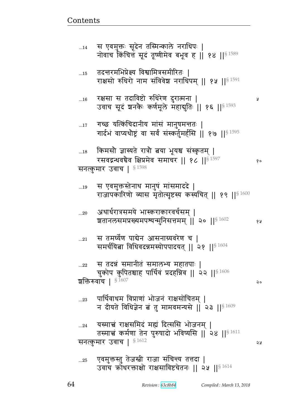...25 एवमुक्तस्तु तेजस्त्री राजा संचिन्त्य तत्तदा | उवाच क्रोधरक्ताक्षो राक्षसाविष्टचेतनः || २५ || $§$  1614

...22 स तदन्नं समानीतं समालभ्य महातपाः | चुकोप कुपितश्चाह पार्थिवं प्रदहन्निव || २२ || $^{\$~1606}$ शक्तिरुवाच |  $\frac{$1607}{}$ ... $^{23}$  पार्थिवाधम विप्राणां भोजनं राक्षसोचितम् | न दीयते विधिज्ञेन बं तु मामवमन्यसे || २३ || $^{\$4609}$ ...24 यस्माच्चं राक्षसमिदं मह्यं दित्ससि भोजनम् | तस्माचं कर्मणा तेन पुरुषादो भविष्यसि || २४ || ${}^{S \; 1611}$ सनत्कुमार उवाच |  $^{8\,1612}$   $\qquad \qquad$  2

 $_{\ldots 21}$   $\;$  स तमर्घेण पाद्येन आसनाग्र्यवरेण च | समर्चयिता विधिवदन्नमस्योपपादयत् || २१ || $$^{1604}$ 

...20 अथार्धरात्रसमये भास्कराकारवर्चसम् । श्वतानलसमप्रख्यमपश्यन्मुनिसत्तमम् || २० || $^{\S~1602}$  १४

...19 स एवमुक्तस्तेनाथ मानुष मांसमाददे | राजापकारिणो व्यास मृतोत्सृष्टस्य कस्यचित् || १९ || $$^{1600}$ 

...18 किमसौ ज्ञास्यते रात्रौ बया भूयश्च संस्कृतम् | रसवद्गन्धवचेव क्षिप्रमेव समाचर || १८ || ${}^{8\,1597}$  || १९ || सनत्कुमार उवाच |  $$^{1598}$ 

...17 गच्छ यत्किंचिदानीय मांसं मानुषमन्ततः | गार्दभं वाप्यथौष्ट्रं वा सर्वं संस्कर्तुमर्हसि || १७ || ${}^{8\,1595}$ 

...16 ^~ ~ pr{स/ ؇s^F\_ r^դxd ᅖ 4 उवाच सूदं शनकैः कर्णमूले महायुतिः || १६ || $^{\$~1593}$ 

 $_{\rm ...15}$   $\:$ तदन्तरमभिप्रेक्ष्य विश्वामित्रसमीरितः | राक्षसो रुधिरो नाम संविवेश नराधिपम् || १५ || $^{\$~1591}$ 

...14 स एवमुक्तः सूदेन तस्मिन्काले नराधिपः | नोवाच किंचित्तं सूदं तूष्णीमेव बभूव ह || १४ ||  ${}^{8\,1589}$ 

<u>Contents and Contents are the contents of the contents of the contents of the contents of the contents of the contents of the contents of the contents of the contents of the contents of the contents of the contents of the</u>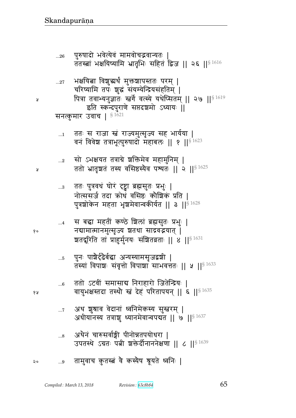- अथैनं चारुसर्वाङ्गी पीनोन्नतपयोधरा |  $...8$ उपतस्थे ऽग्रतः पत्नी शक्तेर्दीनाननेक्षणा || ८ || \$ 1639
- अथ शुश्राव वेदानां ध्वनिमेकस्य सुम्बरम् |  $\dots 7$ अधीयानस्य तत्राशु ध्यानमेवान्वपद्यत || ७ || 1637
- ततो ऽटवीं समासाब निराहारो जितेन्द्रियः |  $...6$ वायुभक्षस्तदा तस्थौ स्तं देहं परितापयन् || ६ || $^{\$4635}$
- पुनः पाश्चैर्दृढैर्बद्धा अन्यस्यामसृजद्वशी |  $...5$ तस्यां विपाशः संवृत्तो विपाशा साभवत्ततः || ५ || 91633
- स बद्धा महतीं कण्ठे शिलां ब्रह्मसुतः प्रभुः |  $\dots 4$ नद्यामात्मानमुत्सृज्य शतथा साद्रवद्भयात् | ञ्चतदूरिति तां प्राहुर्मुनयः संज्ञितव्रताः || ४ ||<sup>§ 1631</sup>
- ततः पुत्रवधं घोरं दृष्ट्वा ब्रह्मसुतः प्रभुः |  $\ldots$ 3 नोत्ससर्ज तदा क्रोधं वसिष्ठः कौशिकं प्रति | पुत्रशोकेन महता भृशमेवान्वकीर्यत || ३ ||<sup>§ 1628</sup>
- सो ऽभक्षयत तत्राग्रे शक्तिमेव महामुनिम् |  $\ldots 2$ ततो भ्रातृशतं तस्य वसिष्ठस्यैव पश्यतः || २ || $^{\$~1625}$
- ततः स राजा स्तं राज्यमुत्सृज्य सह भार्यया |  $\dots$ 1 वनं विवेश तत्राभूत्पुरुषादो महाबलः || १ || 93/ 1623

भक्षयित्वा विशुद्धर्थं मुक्तश्चापस्ततः परम् | चरिष्यामि तपः शुद्धं संयम्येन्द्रियसंहतिम् | पित्रा तवाभ्यनुज्ञातः स्त्वर्गे वत्स्ये यथेप्सितम् || २७ ||<sup>§ 1619</sup> इति स्कन्दपुराणे सप्तदशमो ऽध्यायः ॥ सनत्कुमार उवाच | 81621

 $...27$ 

Я

Ã

१०

१५

पुरुषादो भवेत्येवं मामवोचद्भवान्यतः  $...26$ ततस्त्वां भक्षयिष्यामि भ्रातृभिः सहितं द्विज || २६ ||<sup>§ 1616</sup>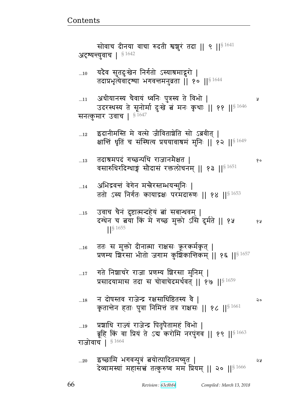5Ã

 $\dots 19$ 

प्रशाधि राज्य राजेन्द्र पितृपैतामहं विभो |

सोवाच दीनया वाचा रुदती श्वशुरं तदा || ९ || $^{\S\,1641}$ अटृष्यन्त्युवाच |  $^{\S\,1642}$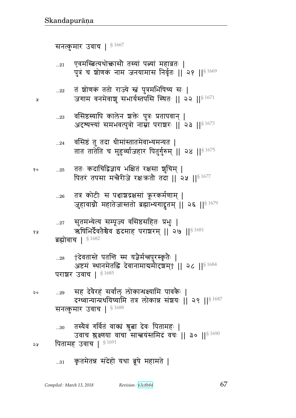#### कृतमेतन्न संदेहो यथा ब्रूषे महामते |  $...31$

तस्यैवं गर्वितं वाक्यं श्रुत्ना देवः पितामहः |  $...30$ उवाच श्लक्ष्णया वाचा सान्त्वयंस्तमिदं वचः || ३० || 31690 पितामह उवाच |  $$^{1691}$ २५

सह देवैरहं सर्वांल लोकान्धक्ष्यामि पावकैः |  $...29$ दग्ध्वान्यान्प्रथयिष्यामि तत्र लोकान्न संशयः || २९ || $$^{1687}$ सनत्कुमार उवाच |  $$^{1688}$ 

†देवतास्ते पतन्ति स्म यज्ञैर्मन्नपुरस्कृतेः |  $...28$ अष्टमं स्थानमेतद्धि देवानामाद्यमीदृशम् || २८ || § 1684 पराशर उवाच | \$1685

सुतमभ्येत्य सम्पूज्य वसिष्ठसहितः प्रभुः |  $...27$ ऋषिभिर्दैवतेश्चेव इदमाह पराशरम् || २७ ||  $^{8\,1681}$ ब्रह्मोवाच |  $$1682$ 

तत्र कोटीः स पञ्चाश्चद्रक्षसां क्रूरकर्मणाम् |  $...26$ जुहावाग्नौ महातेजास्ततो ब्रह्माभ्यगाद्रूतम् || २६ ||<sup>§ 1679</sup>

ततः कदाचिद्विज्ञाय भक्षितं रक्षसा शुचिम् |  $\dots25$ पितरं तपसा मन्त्रैरीजे रक्षःक्रतौ तदा || २५ || $^{\$4677}$ 

वसिष्ठं तु तदा धीमांस्तातमेवाभ्यमन्यत |  $...24$ तात तातेति च मुहुर्व्याजहार पितुर्गुरुम् || २४ ||<sup>§ 1675</sup>

वसिष्ठस्यापि कालेन शक्तेः पुत्रः प्रतापवान् |  $...23$ अदृष्यन्त्यां समभवत्पुत्रो नाम्ना पराशरः || २३ || 91673

तं शोणकं ततो राज्ये स्तं पुत्रमभिषिच्य सः |  $...22\,$ जगाम वनमेवाशु सभार्यस्तपसि स्थितः ॥ २२ ॥  $^{8\,1671}$ 

एवमस्त्रित्यथोक्तासौ तस्यां पत्न्यां महाव्रतः |  $...21$ पुत्रं च शोणकं नाम जनयामास निर्वृतः || २१ ||<sup>§ 1669</sup>

सनत्कुमार उवाच | §1667

Я

१०

१५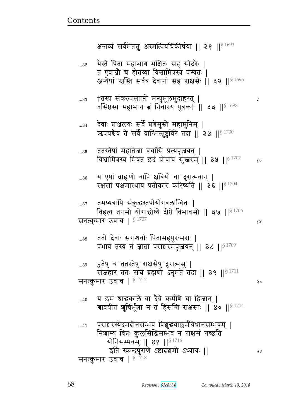देवाः प्राञ्जलयः सर्वे प्रणेमुस्ते महामुनिम् | ऋषयश्चेव ते सर्वे वाग्भिस्तुष्टविरे तदा | ३४ || \$1700 ततस्तेषां महातेजा वचांसि प्रत्यपूजयत् |  $...35$ विश्वामित्रस्य मिषत इदं प्रोवाच सुस्तरम् || ३५ || 91702  $90$ य एषां ब्राह्मणो वापि क्षत्रियो वा दुरात्मवान् |  $...36$ रक्षसां पक्षमास्थाय प्रतीकारं करिष्यति || ३६ ||<sup>§ 1704</sup> तमप्यत्रापि संकुद्धस्तपोयोगबलान्वितः |  $...37$ विहत्य तपसो योगाद्धोष्ये दीप्ते विभावसौ || ३७ ||  $$^{1706}$ सनत्कुमार उवाच |  $$^{1707}$ १५ ततो देवाः सगन्धर्वाः पितामहपुरःसराः |  $...38$ प्रभावं तस्य तं ज्ञाबा पराशरमपूजयन् || ३८ || 81709 हुतेषु च ततस्तेषु राक्षसेषु दुरात्मसु |  $\ldots 39$ संजहार ततः सच्चं ब्रह्मणो ऽनुमते तदा || ३९ || ${}^{8\,1711}$ सनत्कुमार उवाच |  $$^{1712}$ २० य इमं श्राद्धकाले वा दैवे कर्मणि वा द्विजान् |  $...40$ श्रावयीत शुचिर्भूत्वा न तं हिंसन्ति राक्षसाः || ४० ||<sup>§ 1714</sup> पराशरस्येदमदीनसम्भवं विशुद्धवाक्कर्मविधानसम्भवम् ।  $...41$ निशाम्य विप्रः कुलसिद्धिसम्भवं न राक्षसं गच्छति योनिसम्भवम् || ४१ ||<sup>§ 1716</sup> इति स्कन्दपुराणे ऽष्टादशमो ऽध्यायः || จง सनत्कुमार उवाच |  $$^{1718}$ 

†तस्य संकल्पसंतप्तो मन्युमूलमुदाहरत् |  $...33$ वसिष्ठस्य महाभाग बं निवारय पुत्रक† || ३३ || \$ 1698

Ã

यैस्ते पिता महाभाग भक्षितः सह सोदरैः | ...32 त एवाग्नौ च होतव्या विश्वामित्रस्य पश्यतः | अन्येषां स्त्रस्ति सर्वत्र देवानां सह राक्षसैः || ३२ || 51696

क्षन्तव्यं सर्वमेतत्तु अस्मत्प्रियचिकीर्षया || ३१ ||<sup>§ 1693</sup>

 $...34$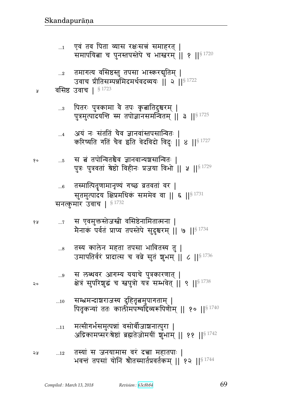- मत्सीगर्भसमुत्पन्नां वसोर्बीजाञ्चनात्पुरा |  $\dots11$ अद्रिकामप्सरःश्रेष्ठां ब्रह्मतेजोमयीं शुभाम् || ११ ||<sup>§ 1742</sup>
- सम्भ्रमन्दाञ्चराजस्य दुहितृत्वमुपागताम् |  $...10$ पितृकन्यां ततः कालीमपश्यदिव्यरूपिणीम् || १० || 81740
- स लब्धवर आगम्य ययाचे पुत्रकारणात् |  $\ldots\!9$ क्षेत्रं सुपरिशुद्धं च स्त्वपुत्रो यत्र सम्भवेत् || ९ || 9/ 1738
- तस्य कालेन महता तपसा भावितस्य तु |  $\ldots\!8$ उमापतिर्वरं प्रादात्स च वव्रे सुतं शुभम् || ८ ||§ 1736
- स एवमुक्तस्तेजस्त्री वसिष्ठेनामितात्मना |  $\dots 7$ १५ मैनाकं पर्वतं प्राप्य तपस्तेपे सुदुश्चरम् || ७ ||  $^{8\,1734}$
- तस्मात्पितॄणामानृण्यं गच्छ व्रतवतां वर |  $\dots 6$ सुतमुत्पादय क्षिप्रमधिकं सममेव वा || ६ ||<sup>§ 1731</sup> सनत्कुमार उवाच | § 1732
- स बं तपोन्वितश्चैव ज्ञानवान्यश्चसान्वितः | १०  $\dots 5$ पुत्रः पुत्रवतां श्रेष्ठो विहीनः प्रजया विभो || ५ || 91729
- अयं नः संततिं चैव ज्ञानवांस्तपसान्वितः ।  $\dots$ 4 करिष्यति गतिं चैव इति वेदविदो विदुः || ४ || § 1727
- पितरः पुत्रकामा वै तपः कृत्नातिदुश्चरम् |  $\ldots\!3$ पुत्रमुत्पादयन्ति स्म तपोज्ञानसमन्वितम् || ३ ||<sup>§ 1725</sup>
- वसिष्ठ उवाच |  $$^{1723}$ Å

२०

- तमागत्य वसिष्ठस्तु तपसा भास्करद्युतिम् |  $\ldots 2$ उवाच प्रीतिसम्पन्नमिदमर्थवदव्ययः || २ ||<sup>§ 1722</sup>
- एवं तव पिता व्यास रक्षःसच्चं समाहरत् |  $\dots$ 1 समापयिता च पुनस्तपस्तेपे च भास्तरम् | १ | | \$ 1720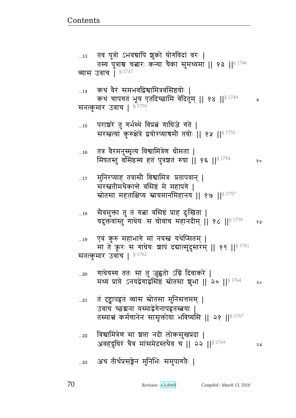- ...23 अथ तीर्थप्रसङ्गेन मुनिभिः समुपागतैः |
- ...22 विश्वामित्रेण सा ञ्चप्ता नदी लोकसुखप्रदा | अवहद्रुधिरं चैव मांसमेदस्तथैव च || २२ || $^{\S\,1769}$  २४
- ...21 वं दृष्ट्वापहृतं व्यास स्रोतसा मुनिसत्तमम् | उवाच च्छद्मना यस्माद्वेगेनापहृतस्त्वया | तस्मात्तं कर्मणानेन सासृक्तोया भविष्यसि || २१ || $^{\$~1767}$
- ...20 गाधेयस्य ततः सा तु जुह्वतो ऽग्निं दिवाकरे | मध्यं प्राप्ते ऽनयद्वेगाद्वसिष्ठं स्रोतसा शुभा || २० || $^{\$~1764}$  २०
- ...19 एवं कुरु महाभागे मां नयस्त्र यथेप्सितम् | मा ते क्रूरः स गाधेयः शापं दद्यात्सुदुस्तरम् || १९ || $^{\S\,1761}$ सनत्कुमार उवाच |  $$^{1762}$
- ... $_{18}$   $\,$  सैवमुक्ता तु तं गत्ना वसिष्ठं प्राह दुःखिता | यदुक्तवांस्तु गाधेयः स चोवाच महानदीम् || १८ ||<sup>§ 1759</sup> १५
- ...17 मुनिरप्याह तत्रासौ विश्वामित्रः प्रतापवान् | सरस्त्रतीमथैकान्ते वसिष्ठं मे महापगे | स्रोतसा महताक्षिप्य स्नायमानमिहानय || १७ || $^{\S\,1757}$
- ... $\scriptstyle\rm 16$   $\,$  तत्र वैरमनुस्मृत्य विश्वामित्रेण धीमता | x}pɕp4 {!~ह״y pB t4È|pB ؇} ᅖᅖ  ᅖᅖ§ 1754
- $_{\rm ...15}$  पराञ्चरे तु गर्भस्थे विप्रत्नं गाथिजे गते | सरस्तत्यां कुरुक्षेत्रे द्वयोरप्याश्रमौ तयोः || १५ ||  $s^{1752}$
- $_{\rm m14}$  ) कथं वैरं समभवद्विश्वामित्रवसिष्ठयोः | कथं चापगतं भूय एतदिच्छामि वेदितुम् || १४ || ${}^{8\,1749}$  || सनत्कुमार उवाच |  $^{\$ \, 1750}$
- ...13 ) तव पुत्रो ऽभवद्यापि शुको योगविदां वरः | तस्य पुत्राश्च चत्नारः कन्या चैका सुमध्यमा || १३ || ${}^{§\,1746}$ व्यास उवाच |  $§$ <sup>1747</sup>

<u>Contents and Contents are the contents of the contents of the contents of the contents of the contents of the contents of the contents of the contents of the contents of the contents of the contents of the contents of the</u>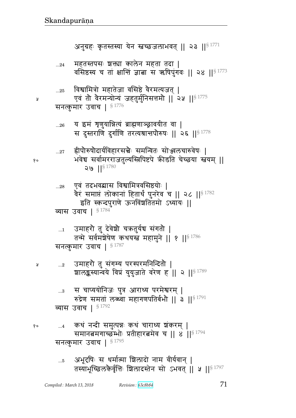...5 अभूदृषिः स धर्मात्मा शिलादो नाम वीर्यवान् | तस्याभूच्छिलकैर्वृत्तिः शिलादस्तेन सो ऽभवत् || ५ || $^{\$~1797}$ 

<sub>१० …4</sub> कथं नन्दी समुत्पन्नः कथं चाराध्य शकरम् | समानबमगाच्छंम्भोः प्रतीहारबमेव च || ४ ||  $8^{1794}$ सनत्कुमार उवाच |  $$^{1795}$ 

... $_{\rm a}$  = स=चाप्ययोनिजः पुत्र आराध्य परमेश्वरम् | रुद्रेण समतां लब्ख्या महागणपतिर्बभौ || ३ || $^{\$~1791}$ व्यास उवाच |  $$^{1792}$ 

...2 उमाहरौ तु संगम्य परस्परमनिन्दितौ | शालङ्कस्यान्वये विप्रं युयुजाते वरेण ह | २ | | \$ 1789

सनत्कुमार उवाच |  $$^{1787}$ 

 $_{\rm ...1}$   $\,$  उमाहरो तु देवेश्रो चऋतुर्यच संगतो | तन्मे सर्वमञ्जेषेण कथयस्त महामुने || १ || ${}^{8\,1786}$ 

 $_{\rm ...28}$  एवं तदभवद्यास विश्वामित्रवसिष्ठयोः | वैरं समाप्तं लोकानां हितार्थं पुनरेव च || २८ || $^{\$~1782}$ इति स्कन्दपुराणे ऊनविंशतितमो ऽध्यायः || व्यास उवाच |  $$^{1784}$ 

...27 ह्रीपौरुषौदार्यविहारसच्चेः समन्वितः सोञ्ज्ञलचारुवेषः | १० भवेच सर्वामरराजतुल्यस्त्रिपिष्टपे क्रीडति चेच्छया स्नयम् ॥  $9 | \, | \, \frac{1780}{3}$ 

...26 य इम शृणुयान्नित्यं ब्राह्मणाञ्छ्रावयीत वा | स दुस्तराणि दुर्गाणि तरत्यश्रान्तपौरुषः || २६ || $^{\S\,1778}$ 

...25 विश्वामित्रो महातेजा वसिष्ठे वैरमत्यजत् | ४ एवं तौ वैरमन्योन्यं जहतुर्मुनिसत्तमौ || २५ || $^{\S\,1775}$ सनत्कुमार उवाच |  $$^{1776}$ 

...24 महतस्तपसः श्वक्ता कालेन महता तदा | वसिष्ठस्य च तां क्षान्तिं ज्ञाबा स ऋषिपुंगवः || २४ || $$^{1773}$ 

अनुग्रहः कृतस्तस्या येन स्तच्छजलाभवत् || २३ || $8^{1771}$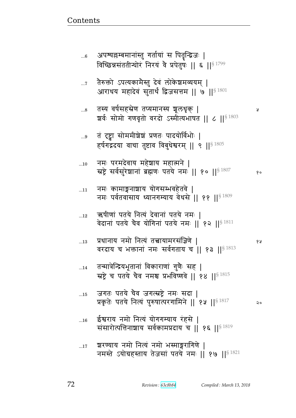| 6          | अपश्यल्लम्बमानांस्तु गर्तायां स पितृन्द्विजः  <br>विच्छिन्नसंततीन्योरं निरयं वै प्रपेतुषः    ६    $^{\S\,1799}$ |    |
|------------|-----------------------------------------------------------------------------------------------------------------|----|
| $\dots 7$  | तैरुक्तो ऽपत्यकामैस्तु देवं लोकेश्वमव्ययम्  <br>आराधय महादेवं सुतार्थं द्विजसत्तम    ७    $^{\$~1801}$          |    |
| 8          | तस्य वर्षसहस्रेण तप्यमानस्य शूलधृक्  <br>ष्ठार्वः सोमो गणवृतो वरदो ऽस्मीत्यभाषत    ८    <sup>§ 1803</sup>       | R  |
| $9$        | तं दृष्ट्वा सोममीशेशं प्रणतः पादयोर्विभोः  <br>हर्षगद्गदया वाचा तुष्टाव विबुधेश्वरम्    ९    $^{\$4805}$        |    |
| 10         | नमः परमदेवाय महेशाय महात्मने  <br>स्रष्ट्रे सर्वसुरेशानां ब्रह्मणः पतये नमः    १०    $$^{1807}$                 | १० |
| 11         | नमः कामाङ्गनाशाय योगसम्भवहेतवे  <br>नमः पर्वतवासाय ध्यानगम्याय वेधसे    ११    \$ 1809                           |    |
| 12         | ऋषीणां पतये नित्यं देवानां पतये नमः  <br>वेदानां पतये चैव योगिनां पतये नमः    १२    $\S$ <sup>1811</sup>        |    |
| 13         | प्रधानाय नमो नित्यं तत्त्वायामरसंज्ञिणे  <br>वरदाय च भक्तानां नमः सर्वगताय च    १३    ${}^{8\,1813}$            | १५ |
| 14         | तन्मात्रेन्द्रियभूतानां विकाराणां गुणैः सह  <br>स्रष्ट्रे च पतये चैव नमश्च प्रभविष्णवे    १४    $$^{1815}$      |    |
| 15         | जगतः पतये चैव जगत्स्रष्ट्रे नमः सदा  <br>प्रकृतेः पतये नित्यं पुरुषात्परगामिने    १५    81817                   | २० |
| 16         | ईश्वराय नमो नित्यं योगगम्याय रंहसे  <br>संसारोत्पत्तिनाशाय सर्वकामप्रदाय च    १६    < 1819                      |    |
| $\dots 17$ | श्वरण्याय नमो नित्यं नमो भस्माङ्गरागिणे  <br>नमस्ते ऽयोग्रहस्ताय तेजसां पतये नमः    १७    <sup>§ 1821</sup>     |    |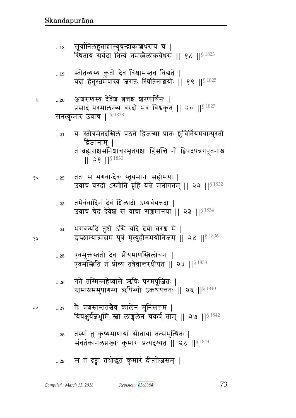- तस्यां तु कृष्यमाणायां सीतायां तत्समुत्थितः |  $...28$ संवर्तकानलप्रख्यः कुमारः प्रत्यदृश्यत | २८ | | 81844
- तैः प्रशस्तस्ततश्चैव कालेन मुनिसत्तम | २०  $...27$ यियक्षुर्यज्ञभूमिं स्त्रां लाङ्गलेन चकर्ष ताम् || २७ ||<sup>§ 1842</sup>
- गते तस्मिन्महेष्वासे ऋषिः परमपूजितः |  $...26$ स्त्वमाश्रममुपागम्य ऋषिभ्यो ऽकथयत्ततः || २६ || 81840
- एवमुक्तस्ततो देवः प्रीयमाणस्त्रिलोचनः |  $\ldots 25$ एवमस्बिति तं प्रोच्य तत्रैवान्तरधीयत || २५ || \$ 1838
- भगवन्यदि तुष्टो ऽसि यदि देयो वरश्च मे |  $...24$ इच्छाम्यात्मसमं पुत्रं मृत्युहीनमयोनिजम् || २४ ||<sup>§ 1836</sup>
- तमेवंवादिनं देवं शिलादो ऽभ्यर्चयत्तदा |  $...23$ उवाच चेदं देवेश स वाचा सञ्जमानया || २३ ||<sup>§ 1834</sup>
- ततः स भगवान्देवः स्तूयमानः सहोमया |  $\dots 22$ १० उवाच वरदो ऽस्मीति ब्रूहि यत्ते मनोगतम् || २२ || \$ 1832
- द्विजानाम् । तं ब्रह्मराक्षसनिशाचरभूतयक्षा हिंसन्ति नो द्विपदपन्नगपूतनाश्च  $|| 28 ||$ <sup>\$ 1830</sup>
- यः स्तोत्रमेतदखिलं पठते द्विजन्मा प्रातः शुचिर्नियमवान्पुरतो  $...21$
- सनत्कुमार उवाच |  $$^{1828}$
- अशरण्यस्य देवेश बत्तश्च शरणार्थिनः |  $...20$ प्रसादं परमालम्ब्य वरदो भव विश्वकृत् || २० || 81827
- स्तोतव्यस्य कुतो देव विश्रामस्तव विद्यते |  $...19$ यदा हेतुस्त्वमेवास्य जगतः स्थितिनाशयोः ॥ १९ ॥<sup>§ 1825</sup>
- सूर्यानिलहुताशाम्बुचन्द्राकाश्चराय च |  $...18$ स्थिताय सर्वदा नित्यं नमस्त्रेलोकवेधसे || १८ || 81823

१५

Å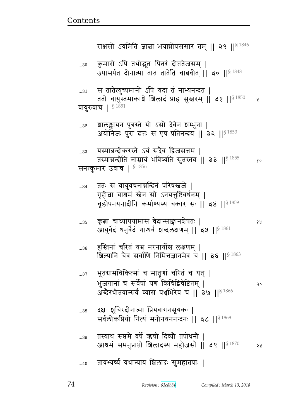y

१५

১১

|             | अब्दरधातवान्सव व्यास पञ्चाभरव च ॥ ३७ ॥४                                                                   |
|-------------|-----------------------------------------------------------------------------------------------------------|
| $\ldots 38$ | दक्षः शुचिरदीनात्मा प्रियवागनसूयकः  <br>सर्वलोकप्रियो नित्यं मनोनयननन्दनः    ३८    81868                  |
| 39          | तस्याथ सप्तमे वर्षे ऋषी दिव्यौ तपोधनौ  <br>आश्रमं समनुप्राप्तौ शिलादस्य महौजसौ    ३९    <sup>§ 1870</sup> |
| 40          | तावभ्यर्च्य यथान्यायं शिलादः सुमहातपाः                                                                    |

- भूतग्रामचिकित्सां च मातृणां चरितं च यत् |  $...37$ भुजंगानां च सर्वेषां यच किंचिद्विचेष्टितम् | २०  $C$  1066
- हस्तिनां चरितं यच नरनार्योश्च लक्षणम् |  $...36$ शिल्पानि चैव सर्वाणि निमित्तज्ञानमेव च || ३६ || \$ 1863
- कृत्वा चाध्यापयामास वेदान्साङ्गानशेषतः । ..35 आयुर्वेदं धनुर्वेदं गान्धर्वं शब्दलक्षणम् || ३५ || 81861

ततः स वायुवचनान्नन्दिनं परिषस्त्वजे |  $...34$ गृहीत्ना चात्रमं स्तेन सो ऽनयत्तुष्टिवर्धनम् | चूडोपनयनादीनि कर्माण्यस्य चकार सः ॥ ३४ ॥ 8 1859

- यस्मान्नन्दीकरस्ते ऽयं सदैव द्विजसत्तम |  $...33$ तस्मान्नन्दीति नाम्नायं भविष्यति सुतस्तव || ३३ ||<sup>§ 1855</sup>  $90$ सनत्कुमार उवाच |  $$^{1856}$
- शालङ्कायन पुत्रस्ते यो ऽसौ देवेन श्रम्भुना |  $\ldots 32$ अयोनिजः पुरा दत्तः स एष प्रतिनन्दय || ३२ ||<sup>§ 1853</sup>
- स तातेत्युच्यमानो ऽपि यदा तं नाभ्यनन्दत |  $\ldots 31$ ततो वायुस्तमाकाशे शिलादं प्राह सुस्तरम् | ३१ || \$ 1850 वायुरुवाच | §<sup>1851</sup>
- कुमारो ऽपि तथोद्भुतः पितरं दीप्ततेजसम् |  $...30$ उपासर्पत दीनात्मा तात तातेति चाब्रवीत् || ३० ||<sup>§ 1848</sup>

राक्षसो ऽयमिति ज्ञाबा भयान्नोपससार तम् || २९ || $$^{1846}$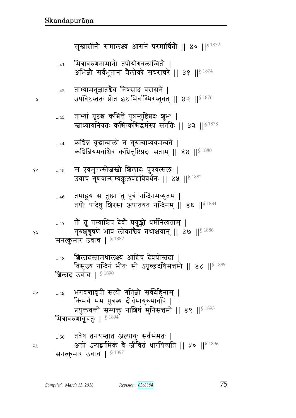तवैष तनयस्तात अल्पायुः सर्वसंमतः |  $...50$ अतो ऽन्यद्वर्षमेकं वे जीवितं धारयिष्यति || ५० ||<sup>§ 1896</sup> सनत्कुमार उवाच | \$1897

भगवन्तावृषी सत्यौ गतिज्ञौ सर्वदेहिनाम् |  $...49$ किमर्थं मम पुत्रस्य दीर्घमायुरुभावपि | प्रयुक्तवन्तौ सम्यक्तु नाशिषं मुनिसत्तमौ || ४९ ||<sup>§ 1893</sup> मित्रावरुणावूचतुः | § 1894

शिलादस्तामथालक्ष्य आशिषं देवयोस्तदा |  $...48$ विसृज्य नन्दिनं भीतः सो ऽपृच्छदृषिसत्तमौ || ४८ || 81889 शिलाद उवाच | §1890

सनत्कुमार उवाच | §1887

- तो तु तस्याशिषं देवो प्रयुङ्को धर्मनित्यताम् |  $...47$ गुरुशुश्रूषणे भावं लोकांश्चैव तथाक्षयान् || ४७ ||<sup>§ 1886</sup>
- तमाहूय स तुष्ठा तु पुत्रं नन्दिनमच्युतम् |  $...46$ तयोः पादेषु शिरसा अपातयत नन्दिनम् || ४६ ||<sup>§ 1884</sup>
- स एवमुक्तस्तेजस्त्री शिलादः पुत्रवत्सलः |  $...45$ उवाच गुणवान्सम्यक्कुलवंशविवर्धनः || ४५ || ९५ 3882
- कचिन्न वृद्धान्वालो न गुरून्वाप्यवमन्यते |  $...44$ कचिन्नियमवांश्वेव कचित्तुष्टिप्रदः सताम् || ४४ ||  $^{8\,1880}$
- ताभ्यां पृष्टश्च कचित्ते पुत्रस्तुष्टिप्रदः शुभः |  $...43$ स्त्राध्यायनियतः कचित्कचिद्धर्मस्य संततिः || ४३ ||<sup>§ 1878</sup>
- ताभ्यामनुज्ञातश्चेव निषसाद वरासने |  $...42$ उपविष्टस्ततः प्रीत इष्टाभिर्वाग्भिरस्तुवत् || ४२ || $^{\$1876}$
- मित्रावरुणनामानौ तपोयोगबलान्वितौ |  $...41$ अभिज्ञो सर्वभूतानां त्रैलोको सचराचरे || ४१ || $^{\$1874}$

सुखासीनौ समालक्ष्य आसने परमार्चितौ || ४० || 51872

१५

२०

১ম

१०

y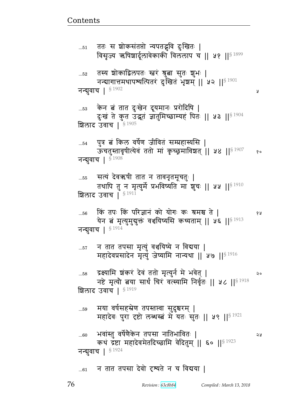Revision: 63c8b84

तस्य शोकाद्विलपतः स्वरं श्रुत्वा सुतः शुभः |  $...52$ नन्यागात्तमथापश्यत्पितरं दुर्गेखेतं भृषम् || ५२ || 81901 नन्बुवाच | \$1902 Ã केन बं तात दुःखेन दूयमानः प्ररोदिषि |  $\dots53$ दुःखं ते कुत उद्भूतं ज्ञातुमिच्छाम्यहं पितः || ५३ ||<sup>§ 1904</sup> शिलाद उवाच | \$1905 पुत्र बं किल वर्षेण जीवितं सम्प्रहास्यसि |  $...54$ ऊंचतुस्तावृषीत्येवं ततो मां कृच्छ्रमाविशत् || ५४ || 907  $90$ नन्बुवाच |  $^{\S\,1908}$ सत्यं देवऋषी तात न तावनृतमूचतुः |  $...55$ तथापि तु न मृत्युर्मे प्रभविष्यति मा शुचः || ५५ ||<sup>§ 1910</sup> शिलाद उवाच |  $\S$ <sup>1911</sup> किं तपः किं परिज्ञानं को योगः कः श्रमश्च ते |  $...56$ ४ ह येन बं मृत्युमुद्युक्तं वश्वयिष्यसि कथ्यताम् || ५६ || 913 नन्बुवाच | § 1914 न तात तपसा मृत्युं वृञ्चयिष्ये न विद्यया |  $\dots57$ महादेवप्रसादेन मृत्युं जेष्यामि नान्यथा || ५७ || 916 द्रक्ष्यामि शंकरं देवं ततो मृत्युर्न मे भवेत् |  $...58$ २० नष्टे मृत्यौ बया सार्थं चिरं वर्त्स्यामि निर्वृतः || ५८ || \$ 1918 शिलाद उवाच | 81919 मया वर्षसहस्रेण तपस्तप्त्वा सुदुश्चरम् |<br>महादेवः पुरा दृष्टो लब्धस्त्वं मे यतः सुतः || ५९ ||<sup>§ 1921</sup> ..59 भवांस्तु वर्षेणैकेन तपसा नातिभावितः |  $...60$ 58 कथं द्रष्टा महादेवमेतदिच्छामि वेदितुम् || ६० || 81923 नन्बुवाच | § 1924

ततः स शोकसंतप्तो न्यपतद्भवि दुःखितः |  $...51$ विसृज्य ऋषिशार्दूलावेकाकी विललाप च || ५१ || 81899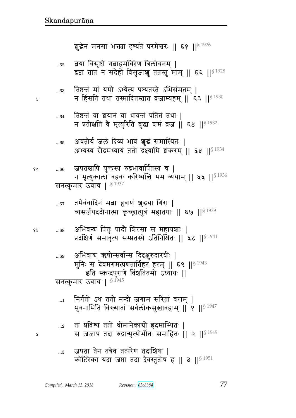- जपता तेन तत्रैव तत्परेण तदाशिषा |  $\ldots$ 3 कोटिरेका यदा जप्ता तदा देवस्तुतोष ह || ३ ||<sup>§ 1951</sup>
- तां प्रविश्य ततो धीमानेकाग्रो ह्रदमास्थितः |  $...2$ स जजाप तदा रुद्रान्मृत्योर्भीतः समाहितः || २ ||<sup>§ 1949</sup>
- निर्गतो ऽथ ततो नन्दी जगाम सरितां वराम् |  $\ldots 1$ भुवनामिति विख्यातां सर्वलोकसुखावहाम् ॥ १ ॥ $^{\mathrm{S}\ 1947}$
- अभिवाद्य ऋषीन्सर्वान्स दिदृक्षुरुदारधीः | मुनिः स देवमगमत्प्रणतार्तिहरं हरम् || ६९ ||<sup>§ 1943</sup> इति स्कन्दपुराणे विंशतितमो ऽध्यायः ॥ सनत्कुमार उवाच | §<sup>1945</sup>
- अभिवन्य पितुः पादौ शिरसा स महायशाः | १५  $...68$ प्रदक्षिणं समावृत्य सम्प्रतस्थे ऽतिनिश्चितः || ६८ ||<sup>§ 1941</sup>
- तमेवंवादिनं मत्ना ब्रुवाणं शुद्धया गिरा |  $...67$ व्यसर्जयददीनात्मा कृच्छ्रात्पुत्रं महातपाः || ६७ ||<sup>§ 1939</sup>

जपतश्चापि युक्तस्य रुद्रभावार्पितस्य च |  $...66$ न मृत्युकाला बहवः करिष्यत्ति मम व्यथाम् || ६६ ||<sup>§ 1936</sup> सनत्कुमार उवाच | §1937

- अवतीर्य जलं दिव्यं भावं शुद्धं समास्थितः |  $...65$ अभ्यस्य रौद्रमध्यायं ततो द्रक्ष्यामि शंकरम् || ६५ ||<sup>§ 1934</sup>
- तिष्ठन्तं वा ञ्चयानं वा धावन्तं पतितं तथा |  $...64$ न प्रतीक्षति वे मृत्युरिति बुद्धा शमं व्रज || ६४ ||<sup>§ 1932</sup>
- तिष्ठत्तं मां यमो ऽभ्येत्य पश्यतस्ते ऽभिसंमतम् |  $...63$ न हिंसति तथा तस्मादितस्तात व्रजाम्यहम् || ६३ ||<sup>§ 1930</sup>
- बया विसृष्टो गबाहमचिरेण त्रिलोचनम् |  $...62$ द्रष्टा तात न संदेहो विसृजाशु ततस्तु माम् || ६२ ||<sup>§ 1928</sup>

शुद्धेन मनसा भक्त्या दृष्यते परमेश्वरः || ६१ || 51926

y

..69

१०

Å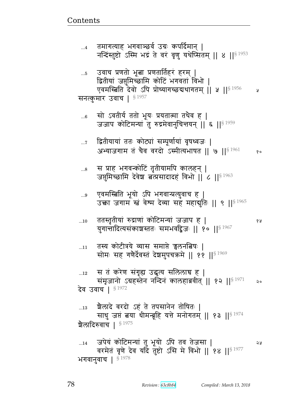जपेयं कोटिमन्यां तु भूयो ऽपि तव तेजसा |  $...14$ 2 y वरमेतं वृणे देव यदि तुष्टो ऽसि मे विभो || १४ || 91977 भगवानुवाच |  $$^{1978}$ 

ग्रैलादे वरदो ऽहं ते तपसानेन तोषितः |  $\dots 13$ साधु जप्तं बया धीमन्बूहि यत्ते मनोगतम् || १३ ||<sup>§ 1974</sup> श्रेलादिरुवाच |  $^{\S\,1975}$ 

Revision: 63c8b84

स तं करेण संगृह्य उद्धृत्य सलिलाच ह |  $\dots 12$ संमृजानो ऽग्रहस्तेन नन्दिनं कालहाब्रवीत् || १२ ||<sup>§ 1971</sup> २० देव उवाच | § 1972

- तस्य कोटीत्रये व्यास समाप्ते न्नलनत्निषः |  $...11$ सोमः सह गणेर्देवस्तं देशमुपचक्रमे || ११ || १९
- ततस्तृतीयां रुद्राणां कोटिमन्यां जजाप ह |  $\dots10$ युगान्तादित्यसंकाशस्ततः समभवद्विजः ॥ १० ॥  ${}^{8\,1967}$
- एवमस्बिति भूयो ऽपि भगवान्प्रत्युवाच ह |  $\ldots 9$ उक्ता जगाम खं वेश्म देव्या सह महाद्गुतिः || ९ ||<sup>§ 1965</sup>
- स प्राह भगवन्कोटिं तृतीयामपि कालहन् |  $\ldots\!8$ जपुमिच्छामि देवेश बत्प्रसादादहं विभो || ८ ||§ 1963
- द्वितीयायां ततः कोट्यां सम्पूर्णायां वृषध्वजः |  $\dots 7$ अभ्याजगाम तं चैव वरदो ऽस्मीत्यभाषत || ७ || ${}^{8\,1961}$  $90$
- सो ऽवतीर्य ततो भूयः प्रयतात्मा तथैव ह |  $...6$ जजाप कोटिमन्यां तु रुद्रमेवानुचित्तयन् || ६ ||<sup>§ 1959</sup>

सनत्कुमार उवाच |  $^{\$~1957}$ 

- उवाच प्रणतो भूबा प्रणतार्तिहरं हरम् |  $\ldots 5$ द्वितीयां जसुमिच्छामि कोटिं भगवतां विभो | एवमस्त्रिति देवो ऽपि प्रोच्यागच्छद्यथागतम् ।। ५ ।। $^{\$~1956}$ ¥
- तमागत्याह भगवाञ्छर्व उग्रः कपर्दिमान् |  $\dots 4$ नन्दिंस्तुष्टो ऽस्मि भद्रं ते वरं वृणु यथेप्सितम् || ४ || 3 1953

१५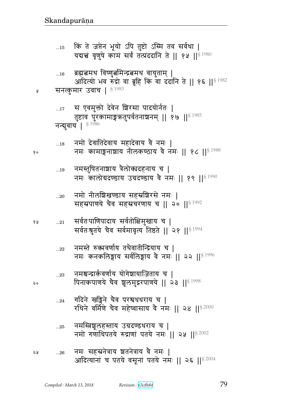- ...25 नमस्तिञ्चलहस्ताय उग्रदण्डधराय च | नमो गणाधिपतये रुद्राणां पतये नमः || २५ || $$^{2002}$
- $\overline{\phantom{a}}$ ...24 गदिने खड्गिने चैव परश्वधधराय च | रथिने वर्मिणे चैव महेष्वासाय वे नमः || २४ || ${}^{8\,2000}$
- ... $_{23}$  विमश्चन्द्रार्कवर्णाय योगेशायाजिताय च | २० पिनाकपाणये चैव शूलमुद्गरपाणये || २३ || $^{\S\,1998}$
- $_{\rm ...22}$   $\,$  नमस्ते रुकावर्णाय तथैवातीन्द्रियाय च | नमः कनकलिङ्गाय सर्वलिङ्गाय वै नमः || २२ || $^{\$~1996}$
- १४ ...21 सर्वतःपाणिपादाय सर्वतोक्षिमुखाय च | सर्वतःश्रुतये चैव सर्वमावृत्य तिष्ठते || २१ ||  $^{\$1994}$
- ...20 नमो नीलशिखण्डाय सहस्रशिरसे नमः | सहस्रपाणये चैव सहस्रचरणाय च || २० || $81992$
- ...19 विमस्तुषितनाशाय त्रैलोक्यदहनाय च | नमः कालोग्रदण्डाय उग्रदण्डाय वै नमः || १९ ||  $$^{1990}$
- ... $18$  नमो देवातिदेवाय महादेवाय वै नमः |  dx1 fxd|y d&efýmy {G dx1 ᅖᅖ  ᅖᅖ§ 1988
- ...17 स एवमुक्तो देवेन बिरसा पादयोर्नतः | तुष्टाव पुरकामाङ्गऋतुपर्वतनाञ्चनम् ॥ १७ ॥ $^{\$~1985}$ नन्बुवाच |  $$1986$
- ४ सनत्कुमार उवाच |  $$^{1983}$
- ...16 ब्रह्मबमथ विष्णुबमिन्द्रबम्थ वायुताम् | आदित्यो भव रुँद्रो वा ब्रूहि किं वा दंदानि ते || १६ ||§ 1982
- ...15 किं ते जप्तेन भूयो ऽपि तुष्टो ऽस्मि तव सर्वथा | यदान्तं वृणुषे कामं सर्वं तत्प्रददानि ते || १५ ||  $$^{1980}$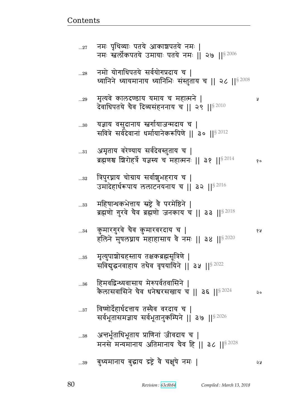| $27\,$      | नमः पृथिव्याः पतये आकाशपतये नमः  <br>नमः स्तर्लोकपतये उमायाः पतये नमः    २७    <sup>§ 2006</sup>               |      |
|-------------|----------------------------------------------------------------------------------------------------------------|------|
| 28          | नमो योगाधिपतये सर्वयोगप्रदाय च  <br>ध्यानिने ध्यायमानाय ध्यानिभिः संस्तुताय च    २८    <sup>§ 2008</sup>       |      |
| 29          | मृत्यवे कालदण्डाय यमाय च महात्मने  <br>देवाधिपतये चैव दिव्यसंहननाय च    २९    $^{\$2010}$                      | R    |
| $30$        | यज्ञाय वसुदानाय स्त्रगोयाजन्मदाय च  <br>सवित्रे सर्वदेवानां धर्मायानेकरूपिणे    ३०    <sup>§ 2012</sup>        |      |
| $\ldots 31$ | अमृताय वरेण्याय सर्वदेवस्तुताय च  <br>ब्रह्मणश्च शिरोहर्त्रे यज्ञस्य च महात्मनः    ३१    $^{\mathrm{S}\,2014}$ | १०   |
| $32\,$      | त्रिपुरघ्नाय चोग्राय सर्वाशुभहराय च  <br>उमादेहार्धरूपाय ललाटनयनाय च    ३२    <sup>§ 2016</sup>                |      |
| 33          | महिषान्धकभेत्ताय स्रष्ट्रे वै परमेष्ठिने  <br>ब्रह्मणो गुरवे चैव ब्रह्मणो जनकाय च    ३३    $^{\S\,2018}$       |      |
| $34\,$      | कुमारगुरवे चैव कुमारवरदाय च  <br>हलिने मुषलघ्नाय महाहासाय वै नमः    ३४    $^{\$}$ $^{2020}$                    | १५   |
| $35\,$      | मृत्युपाशोग्रहस्ताय तक्षकब्रह्मसूत्रिणे  <br>सविद्युद्धनवाहाय तथैव वृषयायिने    ३५    5 2022                   |      |
| 36          | हिमवद्विन्ध्यवासाय मेरुपर्वतवासिने  <br>कैलासवासिने चैव धनेश्वरसखाय च    ३६   § 2024                           | ನಿ ೦ |
| $\ldots 37$ | विष्णोदेहार्धदत्ताय तस्यैव वरदाय च  <br>सर्वभूतासमज्ञाय सर्वभूतानुकम्पिने    ३७    <sup>§ 2026</sup>           |      |
| 38          | अत्तर्भूताधिभूताय प्राणिनां जीवदाय च  <br>मनसे मन्यमानाय अतिमानाय चैव हि    ३८    <sup>§ 2028</sup>            |      |
| 39          | बुध्यमानाय बुद्धाय द्रष्ट्रे वै चक्षुषे नमः                                                                    | ২५   |

<u>Contents and Contents are the contents of the contents of the contents of the contents of the contents of the contents of the contents of the contents of the contents of the contents of the contents of the contents of the</u>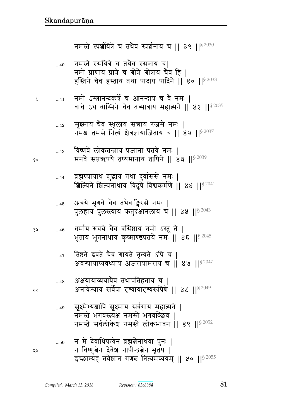१०

२०

จะ

सूक्ष्मेभ्यश्चापि सूक्ष्माय सर्वगाय महात्मने |  $...49$ नमस्ते भगवंस्त्यक्ष नमस्ते भगवञ्छिव । नमस्ते सर्वलोकेश नमस्ते लोकभावन || ४९ ||<sup>§ 2052</sup> न मे देवाधिपत्येन ब्रह्मबेनाथवा पुनः |  $...50\,$ न विष्णुत्नेन देवेश नापीन्द्रत्नेन भूतप | इच्छाम्यहं तवेशान गणतं नित्यमव्ययम् || ५० || 82055

- अक्षयायाव्ययायैव तथाप्रतिहताय च |  $...48$ अनावेश्याय सर्वेषां दृश्यायादृश्यरूपिणे || ४८ ||§ 2049
- तिष्ठते द्रवते चैव गायते नृत्यते ऽपि च |  $...47$ अवश्यायाप्यवध्याय अजरायामराय च | ४७ | | 5 2047
- धर्माय रुचये चैव वसिष्ठाय नमो ऽस्तु ते | १५  $...46$ भूताय भूतनाथाय कुष्माण्डपतये नमः || ४६ || 82045
- अत्रये भूगवे चैव तथैवाङ्गिरसे नमः |  $...45$ पुलहाय पुलस्त्याय कतुदक्षानलाय च || ४५ || १९२०
- ब्रह्मण्यायाथ शुद्धाय तथा दुर्वाससे नमः |  $...44$ श्चिल्पिने शिल्पनाथाय विदुषे विश्वकर्मणे | ४४ | | \$ 2041
- विष्णवे लोकतन्त्राय प्रजानां पतये नमः ।  $...43$ मनवे सप्तऋषये तप्यमानाय तापिने || ४३ ||  $$^{2039}$
- सूक्ष्माय चैव स्थूलाय सत्त्वाय रजसे नमः |  $...42$ नमश्च तमसे नित्यं क्षेत्रज्ञायाजिताय च || ४२ || १२०७७
- नमो ऽस्त्वानन्दकर्त्रे च आनन्दाय च वै नमः |  $\dots 41$ Å वाचे ऽथ वाग्मिने चैव तन्मात्राय महात्मने || ४१ || 82035
- नमस्ते रसयित्रे च तथैव रसनाय च|  $...40$ नमो घ्राणाय घ्रात्रे च श्रोत्रे श्रोत्राय चैव हि | हस्तिने चैव हस्ताय तथा पादाय पादिने || ४० ||§ 2033

नमस्ते स्पर्शयित्रे च तथैव स्पर्शनाय च || ३९ || $82030$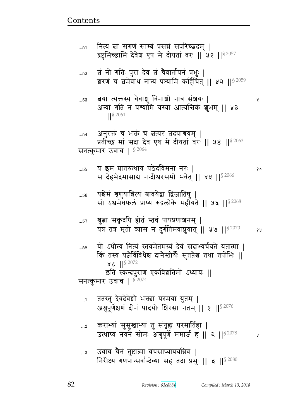Ã

१०

- उवाच चैनं तुष्टात्मा वचसाप्याययन्निव |  $\ldots\!3$ निरीक्ष्य गणपान्सर्वान्देव्या सह तदा प्रभुः || ३ || 5 2080
- कराभ्यां सुसुखाभ्यां तु संगृह्य परमातिहा |  $...2$ उत्थाप्य नयने सोमः अश्नुपूर्णे ममार्ज ह || २ || 92078 У
- अश्रुपूर्णेक्षणं दीनं पादयोः शिरसा नतम् || १ || 82076
- ततस्तु देवदेवेशो भक्त्या परमया युतम् |  $\dots$ 1
- इति स्कन्दपुराण एकविंशतिमो ऽध्यायः || सनत्कुमार उवाच |  $$^{2074}$
- यो ऽधीत्य नित्यं स्तवमेतमग्र्यं देवं सदाभ्यर्चयते यतात्मा |  $...58$ कि तस्य यज्ञैर्विविधेश्च दानैस्तीर्थैः सुतप्तैश्च तथा तपोभिः ॥  $46$   $||$ <sup>§ 2072</sup>
- श्रुत्वा सकृदपि ह्येतं स्तवं पापप्रणाशनम् |  $...57$ यत्र तत्र मृतो व्यास न दुर्गतिमवाप्नुयात् || ५७ || ${}^{8\,2070}$ १५
- यश्चेमं शृणुयान्नित्यं श्रावयेद्वा द्विजातिषु |  $...56$ सो ऽश्वमेथफलं प्राप्य रुद्रलोके महीयते || ५६ ||<sup>§ 2068</sup>
- य इमं प्रातरुत्थाय पठेदविमना नरः |  $...55$ स देहभेदमासाद्य नन्दीश्वरसमो भवेत् || ५५ || \$ 2066
- अनुरक्तं च भक्तं च बत्परं बदपाश्रयम् | प्रतीच्छ मां सदा देव एष मे दीयतां वरः || ५४ || ९२०६३ सनत्कुमार उवाच |  $$^{2064}$
- बया त्यक्तस्य चैवाशु विनाशो नात्र संशयः |  $...53$ अन्यां गतिं न पश्यामि यस्या आत्यन्तिकं शुभम् || ५३  $\frac{1}{5}$  2061
- बं नो गतिः पुरा देव बं चैवार्तायनं प्रभुः |  $\dots52$ शरणं च बमेवाथ नान्यं पश्यामि कर्हिचित् || ५२ || \$ 2059
- नित्यं बां सगणं साम्बं प्रसन्नं सपरिच्छदम् ।  $...51$ द्रष्टुमिच्छामि देवेश एष मे दीयतां वरः || ५१ || \$ 2057

 $...54$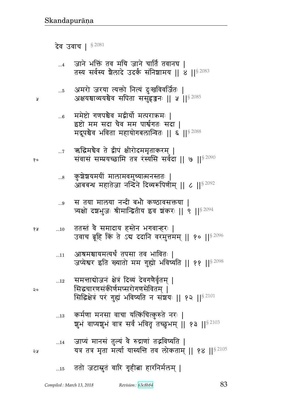# ...15 ततो जटास्नुतं वारि गृहीत्ना हारनिर्मलम् |

|       | $\ldots 8$ | ्कुशेशयमयीं मालामवमुच्यात्मनस्ततः  <br>आबबन्ध महातेजा नन्दिने दिव्यरूपिणीम्    ८    5 2092                                                     |
|-------|------------|------------------------------------------------------------------------------------------------------------------------------------------------|
|       | $\ldots$ 9 | स तया मालया नन्दी बभौ कण्ठावसक्तया  <br>त्र्यक्षो दशभुजः श्रीमान्द्वितीय इव शकरः    ९    92094                                                 |
| ४ प्र | 10         | ततस्तं वै समादाय हस्तेन भगवान्हरः  <br>उवाच ब्रूहि किं ते ऽब ददानि वरमुत्तमम्    १०    32096                                                   |
|       | 11         | आश्रमश्चायमत्यर्थं तपसा तव भावितः  <br>जप्येश्वर इति ख्यातो मम गुह्यो भविष्यति    ११    52098                                                  |
| २०    | $\dots$ 12 | समन्ताद्योजनं क्षेत्रं दिव्यं देवगणैर्वृतम्  <br>सिद्धचारणसंकीर्णमप्सरोगणसेवितम्  <br>सिद्धिक्षेत्रं परं गुह्यं भविष्यति न संशयः    १२   §2101 |
|       | $\dots$ 13 | कर्मणा मनसा वाचा यत्किंचित्कुरुते नरः  <br>शूभं वाप्यशूभं वात्र सर्वं भवितृ तच्छुभम्    १३   § 2103                                            |
| ১ম    | $\dots$ 14 | जाप्यं मानसं तुल्यं वै रुद्राणां तद्भविष्यति  <br>यत्र तत्र मृता मर्त्या यास्यन्ति तव लोकताम् ।। १४ ।। $^{8\,2105}$                            |
|       |            |                                                                                                                                                |

 $\;$ ... $\tau$  ऋद्धिमचैव ते द्वीपं क्षीरोदममृताकरम् |  $~\ddotsc$  , which we result that the set of the set of  $\mathbb{R}^{B~2090}$ 

...6 ममेष्टो गणपश्चेव मद्वीर्यो मत्पराक्रमः | इष्टो मम सदा चैव मम पार्श्वगतः सदा | मद्रूपश्चेव भविता महायोगबलान्वितः || ६ ||<sup>§ 2088</sup>

...5 अमरो जरया त्यक्तो नित्यं दुःखविवर्जितः | <sub>४</sub> अश्वयश्चाव्ययश्चेव सपिता ससुहृज्जनः || ५ ||<sup>§ 2085</sup>

...4 जाने भक्तिं तव मयि जाने चार्तिं तवानघ | तस्य सर्वस्य शैलादे उदर्कं संनिशामय || 8 || \$ 2083

देव उवाच |  $$^{2081}$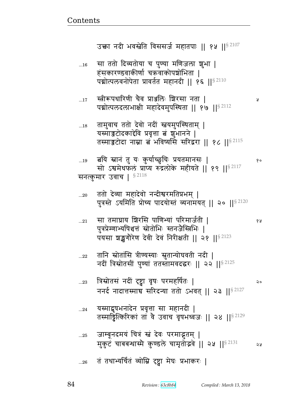Я

१०

१५

- तं तथाभ्यर्चितं व्योम्नि दृष्ट्वा मेघः प्रभाकरः |  $...26$
- जाम्बूनदमयं चित्रं स्तं देवः परमाद्भुतम् |  $\dots25$ मुकुटं चाबबन्धास्मै कुण्डले चामृतोद्भवे || २५ || 82131 २५
- यस्माद्दूषभनादेन प्रवृत्ता सा महानदी |  $\ldots$ 24 तस्माड्टित्किरिकां तां वे उवाच वृषभध्वजः ॥ २४ ॥  $s^{2129}$
- त्रिस्रोतसं नदीं दृष्ट्वा वृषः परमहर्षितः |  $\ldots 23$ २० ननर्द नादात्तस्माच सरिदन्या ततो ऽभवत् || २३ || 82127
- तानि स्रोतांसि त्रीण्यस्याः सूतान्योघवती नदी |  $...22$ नदीं त्रिस्रोतसीं पुण्यां ततस्तामवदद्धरः || २२ || $^{8\,2125}$
- सा तमाघ्राय शिरसि पाणिभ्यां परिमार्जती |  $...21$ पुत्रप्रेम्णाभ्यषिधत्तं स्रोतोभिः स्तनजैस्त्रिभिः | पयसा श्रञ्जश्वगौरेण देवी देवं निरीक्षती || २१ ||§ 2123
- ततो देव्या महादेवो नन्दीश्वरमतिप्रभम् |  $...20$ पुत्रस्ते ऽयमिति प्रोच्य पादयोस्तं व्यनामयत् || २० || 82120
- त्नयि स्नानं तु यः कुर्याच्छुचिः प्रयतमानसः |  $...19$ सो ऽश्वमेधफलं प्राप्य रुद्रलोके महीयते || १९ || 82117 सनत्कुमार उवाच |  $$^{2118}$
- तामुवाच ततो देवो नदीं स्तवयमुपस्थिताम् |  $\dots18$ यस्माञ्जटोदकाद्देवि प्रवृत्ता त्नं शुभानने | तस्माज़टोदा नाम्ना बं भविष्यसिं सरिद्वरा || १८ || 32115
- स्त्रीरूपधारिणी चैव प्राञ्जलिः शिरसा नता ।  $...17$ पद्मोत्पलदलाभाक्षी महादेवमुपस्थिता || १७ ||<sup>§ 2112</sup>
- सा ततो दिव्यतोया च पुण्या मणिजला शुभा |  $...16$ हंसकारण्डवाकीर्णा चऋवाकोपश्चोभिता | पद्मोत्पलवनोपेता प्रावर्तत महानदी || १६ || ${}^{8\,2110}$

उक्ता नदी भवस्त्रेति विससर्ज महातपाः ॥ १५ ॥  $82107$ 

84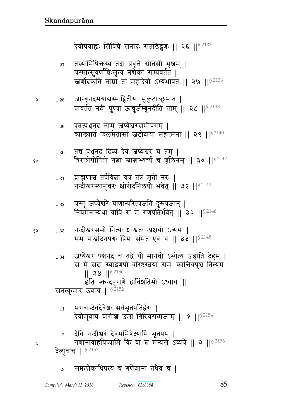- सप्तलोकाधिपत्यं च गणेशानां तथैव च ।  $\ldots$ 3
- देव्युवाच | §2157
- देवि नन्दीश्वरं देवमभिषेक्ष्यामि भूतपम् ।  $\ldots$ <sup>2</sup> गणानावाहयिष्यामि किं वा बं मन्यसे ऽव्यये || २ ||  $^{8\,2156}$
- भगवान्देवदेवेशः सर्वभूतपतिर्हरः |  $\dots$ 1 देवीमुवाच वागीश उमां गिरिवरात्मजाम् ॥ १ ॥  $8^{2154}$
- जप्येश्वरं पञ्चनदं च तद्वै यो मानवो ऽभ्येत्य जहाति देहम् |  $...34$ स मे सदा स्याद्रणपो वरिष्ठस्त्रया समः कान्तिवपुश्च नित्यम्  $||$  38  $||$ <sup>§ 2150</sup> इति स्कन्दपुराणे द्वाविंशतिमो ऽध्यायः || सनत्कुमार उवाच | §<sup>2152</sup>
- नन्दीश्वरसमो नित्यः शाश्वतः अक्षयो ऽव्ययः |  $\dots33$ मम पार्श्वादनपगः प्रियः संमत एव च || ३३ ||<sup>§ 2148</sup>
- यस्तु जप्येश्वरे प्राणान्परित्यजति दुस्त्यजान् |  $...32\,$ नियमेनान्यथा वापि स मे गणपतिर्भवेत् | 32  $11^{\$2146}$
- ब्राह्मणांश्च तर्पयित्ना यत्र तत्र मृतो नरः |  $...31$ नन्दीश्वरस्यानुचरः क्षीरोदनिलयो भवेत् || ३१ ||<sup>§ 2144</sup>
- तद्य पञ्चनदं दिव्यं देवं जप्येश्वरं च तम् |  $...30\,$ त्रिरात्रोपोषितो गत्ना स्नाताभ्यर्ष्य च शूलिनम् || ३० ||<sup>§ 2142</sup>
- एतत्पञ्चनदं नाम जप्येश्वरसमीपगम् |  $...29$ व्याख्यातं फलमेतासां जटोदायां महात्मना || २९ ||<sup>§ 2140</sup>
- जाम्बूनदमयाबस्माद्वितीया मुकुटाच्छुभात् |  $...28$ प्रावर्तत नदी पुण्या ऊचुर्जम्बूनदीति ताम् || २८ ||<sup>§ 2138</sup>
- तस्याभिषिक्तस्य तदा प्रवृत्ते स्रोतसी भृषयम् |  $...27$ यस्मात्सुवर्णान्निःसृत्य नद्येका सम्प्रवर्तत | रत्नर्णोदकेति नाम्ना तां महादेवो ऽभ्यभाषत || २७ ||<sup>§ 2136</sup>

देवोपवाह्यः सिषिचे सनादः सतडिद्रुणः ॥ २६ ॥  $^{\$2133}$ 

१५

Ã

१०

Å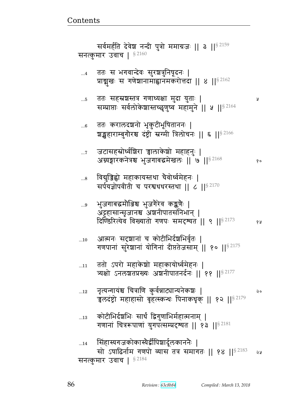Ã

| 12         | ्नृत्यन्गायश्च चित्राणि कुर्वन्नाट्यान्यनेकशः  <br>चलदंष्ट्रो महाहासो बृहत्स्कन्धः पिनाकधृक्    १२    १२    3        | Q٥ |
|------------|----------------------------------------------------------------------------------------------------------------------|----|
| $\dots 13$ | कोटीभिर्दश्रभिः सार्धं द्विगुणाभिर्महात्मनाम्  <br>गणानां चित्ररूपाणां युगपत्सम्प्रदृश्यत    १३    <sup>§ 2181</sup> |    |
| 14         | सिंहास्यगजकोकास्यैर्द्वीपिशार्दूलकाननैः  <br>सो ऽषाढिर्नाम गणपो व्यास तत्र समागतः    १४    ${}^{8\,2183}$            | ২५ |
|            | सनत्कुमार उवाच   82184                                                                                               |    |

- 
- ततो ऽपरो महाकेशो महाकायोर्ध्वमेहनः |  $...11$ त्र्यक्षो ऽनलशतप्रख्यः अशनीपातनर्दनः || ११ || 82177
- आत्मनः सदृशानां च कोटीभिर्दशभिर्वृतः |  $...10$ गणपानां सुरेशानां योगिनां दीप्ततेजसाम् || १० || \$ 2175
- भुजगाबद्धमौञ्जिश्च भुजगेरेव कङ्कणैः |  $\ldots\!9$ अट्टहासान्सृजानश्च अञ्चनीपातसंनिभान् | दिण्डिरित्येव विख्यातो गणपः समदृश्यत || ९ || ${}^{8\,2173}$ १५
- विद्मुञ्जिह्वो महाकायस्तथा चैवोर्ध्वमेहनः |  $...8$ सर्पयज्ञोपवीती च परश्वधधरस्तथा | ८ | |  $\frac{1}{5}$  2170
- जटासहस्रोर्ध्वशिरा चालाकेशो महाहनुः |  $\dots 7$ अग्न्यङ्गारकनेत्रश्च भुजगाबद्धमेखलः || ७ ||  $^{8\,2168}$  $80$
- ततः करालदञ्चनो भृकुटीभूषिताननः |  $...6$ श्चङ्खहाराम्बुगौरश्च दंष्ट्री स्नर्ग्मी त्रिलोचनः || ६ || 8 2166
- ततः सहस्रशस्तत्र गणाध्यक्षा मुदा युताः |  $\dots 5$ सम्प्राप्ताः सर्वलोकेशास्तच्छृणुष्व महामुने || ५ || २२ 164
- ततः स भगवान्देवः सुरश्चत्रुनिषूदनः |  $\dots 4$ प्राञ्चुखः स गणेशानामाह्वानमकरोत्तदा || ४ || 3 2162

सर्वमर्हति देवेश नन्दी पुत्रो ममाग्रजः || ३ ||<sup>§ 2159</sup> सनत्कुमार उवाच |  $$^{2160}$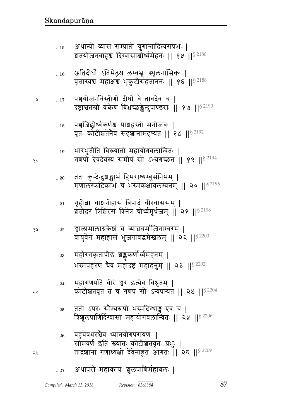#### अथापरो महाकायः श्रूलपाणिर्महाबलः |  $...27$

- बहुवेषधरश्चैव ध्यानयोगपरायणः |  $\ldots 26$ सोमवर्ण इति ख्यातः कोटीशतवृतः प्रभुः | तादशानां गणाध्यक्षो देवेनाहूत आगतः | २६ | | 5 2209
- ततो ऽपरः सौम्यरूपो भस्मदिग्धाङ्ग एव च |  $...25$ त्रिशूलपाणिर्दिग्वासा महायोगबलान्वितः || २५ || 8 2206
- महागणपतिं वीरं चुर इत्येव विश्रुतम् |  $...24$ कोटीशतवृतं तं च गणपं सो ऽन्वपश्यत || २४ || \$ 2204
- महोरगकृतापीडं श्रङ्ककर्णोर्ध्वमेहनम् |  $\ldots 23$ भस्मप्रहरणं चैव महादंष्ट्रं महाहनुम् || २३ || 82202
- ञ्चालामालाग्रकेशं च व्याघ्रचर्माजिनाम्बरम् । १५  $...22\,$ वायुवेगं महाहासं भुजगाबद्धमेखलम् ॥ २२ ॥  $8^{2200}$
- गृहीत्ना चाञ्चनीहासं त्रिपादं चीरवाससम् |  $...21$ शतोदरं त्रिशिरसं त्रिनेत्रं चोर्ध्वमूर्धजम् || २१ ||<sup>§ 2198</sup>
- ततः कुन्देन्दुशङ्खाभं हिमराश्यम्बुसनिभम् |  $...{\bf 20}$ मृणालस्फटिकाभं च भस्मकक्षावलम्बनम् || २० || 82196
- भारभूतीति विख्यातो महायोगबलान्वितः |  $...19$ गणपों देवदेवस्य समीपं सो ऽभ्यगच्छत || १९ ||§2194
- पञ्चजिह्वोर्ध्वकर्णश्च पाञ्चहस्तो मनोजवः |  $\dots18$ वृतः कोटीशतेनैव सदृशानामदृश्यत || १८ ||<sup>§ 2192</sup>
- पञ्चयोजनविस्तीर्णो दीर्घो वै तावदेव च ।  $...17$ दंष्ट्राश्चतस्रो वक्तेण विभ्रच्छङ्केन्दुपाण्डराः || १७ || १९ %

Å

१०

२०

24

- अतिदीर्घो ऽतिमेद्रश्च लम्बभ्न्ः स्थूलनासिकः |  $...16$ वृत्तास्यश्च महाक्षश्च भृकुटीसंहताननः || १६ ||<sup>§ 2188</sup>
- अथान्यो व्यास सम्प्राप्तो युगान्तादित्यसप्रभः |  $...15$ शतयोजनबाहुश्च दिग्वासाश्चोर्ध्वमेहनः || १५ ||<sup>§ 2186</sup>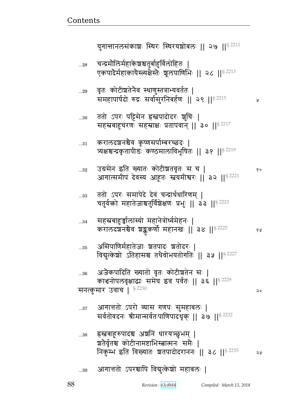y

 $\mathsf{Q}$ 

| 39 आगात्ततो ऽपरश्चापि विद्युत्केशो महाबलः |  |  |
|-------------------------------------------|--|--|

- हस्नबाहरुपादश्च अञ्चनिं धारयञ्छुभम् | ...38 श्वतेर्वृतश्च कोटीनामष्टाभिस्त्वात्मनः समैः | निकुम्भ इति विख्यातः शतपादोदराननः || ३८ || 8 2235 2 y
- आगात्ततो ऽपरो व्यास गणपः सुमहाबलः |  $...37$ सर्वतोवदनः श्रीमान्सर्वतःपाणिपादधृक् || ३७ || 8 2232
- अजैकपादिति ख्यातो वृतः कोटीशतेन सः |  $...36$ काञ्चनोपलवृक्षाद्यः समेघ इव पर्वतः || ३६ ||<sup>§ 2229</sup> सनत्कुमार उवाच |  $$^{2230}$
- असिपाणिर्महातेजाः श्वतपादः श्वतोदरः | ...35 विद्युत्केशो ऽतिहासश्च तथैवोभयतोगतिः || ३५ ||<sup>§ 2227</sup>
- सहस्रबाहुर्ज्ञालास्यो महानेत्रोर्ध्वमेहनः | ...34 करालदशनश्चेव शङ्ककर्णो महानखः || ३४ || 32225 १५
- ततो ऽपरः समापेदे देवं चन्द्रार्धधारिणम् |  $...33$ चतुर्वक्रो महातेजाश्चतुर्विशेक्षणः प्रभुः || ३३ ||<sup>§ 2223</sup>
- उग्रसेन इति ख्यातः कोटीशतवृतः स च |  $...32$ १० आगात्समीपं देवस्य आहूतः स्त्वयमीश्वरः ॥ ३२ ॥ 8 2221
- करालदञ्चनश्चैव कृष्णसर्पाम्बरच्छदः |  $\ldots 31$ त्र्यक्षश्चन्द्रकृतापीडः कण्ठमालाविभूषितः || ३१ || 8 2219
- ततो ऽपरः पट्टिसेन ह्रस्तपादोदरः शुचिः |  $...30$ सहस्रबाहुचरणः सहस्राक्षः प्रतापवान् || ३० || 8 2217
- ृवतः कोटीञ्चतेनैव स्थाणुस्तत्राभ्यवर्तत |  $...29$ समहापार्षदो रुद्रः सर्वासुरनिबर्हणः || २९ ||<sup>§ 2215</sup>
- चन्द्रमौलिर्महाकेश्चश्चतुर्बाहुर्विलोहितः |  $...28$ एकपादेर्महाकायैस्त्यक्षेस्तैः शूलपाणिभिः || २८ || 82213

युगान्तानलसंकाशः स्थिरः स्थिरयशोबलः ॥ २७ ॥  $s^{2211}$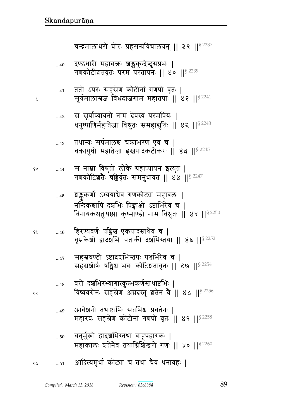५

२०

- आदित्यमूर्धा कोट्या च तथा चैव धनावहः | จะ  $\dots51$
- चतुर्मुखो द्वादशभिस्तथा बाहूपहारकः |  $...50$ महाकालः श्वतेनैव तथाग्निशिखरो गणः || ५० || \$ 2260
- आवेशनी तथाष्टाभिः सप्तभिश्च प्रवर्तनः |  $...49$ महारवः सहस्रेण कोटीनां गणपो वृतः || ४९ || 82258
- वरो दशभिरभ्यागात्कुम्भकर्णस्तथाष्टभिः |  $...48$ विष्वक्सेनः सहस्रेण अन्नदस्तु श्रतेन वे || ४८ || 82256
- सहस्रघण्टो ऽष्टादश्चभिस्तपः पञ्चभिरेव च |  $...47$ सहस्रशीर्षः षड्विश्च भवः कोटिशतावृतः ॥ ४७ ॥<sup>§ 2254</sup>
- हिरण्यवर्णः षड्मिश्च एकपादस्तथैव च | १५  $...46$ धूम्रकेशो द्वादशभिः पताकी दशभिस्तथा || ४६ ||§ 2252
- श्चङ्ककर्णो ऽभ्ययाचेव गणकोट्या महाबलः |  $...45\,$ नन्दिकश्चापि दश्चभिः पिङ्गाक्षो ऽष्टाभिरेव च । विनायकश्चतुःषष्ठ्या कुष्माण्डो नाम विश्रुतः || ४५ || 82250
- स नाम्ना विश्रुतो लोके ग्रहाप्यायन इत्युत | १०  $...44$ गणकोटिशतेः षड्मिर्वृतः समनुधावत || ४४ || 82247
- तथान्यः सर्पमालश्च चक्राभरण एव च |  $...43$ चक्रायुधो महातेजा हस्तपादकटीकरः || ४३ ||  $8^{2245}$
- स सूर्याप्यायनो नाम देवस्य परमप्रियः |  $...42$ धनुष्पाणिर्महातेजा विश्रुतः समहाद्युतिः || ४२ || 82243
- ततो ऽपरः सहस्रेण कोटीनां गणपो वृतः |  $...41$ सूर्यमालास्रजं बिभ्रदाजगाम महातपाः ॥ ४१ ॥§<sup>2241</sup>
- दण्डधारी महावक्तः श्रङ्खकुन्देन्दुसप्रभः |  $...40$ गणकोटीशतवृतः परमं परतापनः || ४० || 82239

चन्द्रमालाधरो घोरः प्रहसन्प्रविचालयन् || ३९ || 32237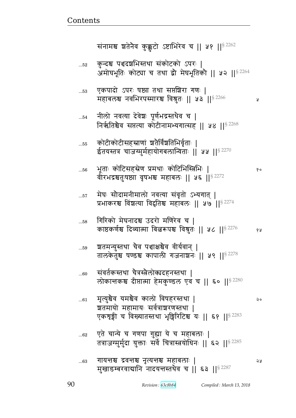१०

 $\mathsf{a}$ 

১ম

| 63 | गायन्तश्च द्रवन्तश्च नृत्यन्तश्च महाबलाः                 |  |
|----|----------------------------------------------------------|--|
|    | मुखाडम्बरवाद्यानि नादयन्तस्तथैव च    ६३    $^{\S\,2287}$ |  |

- एते चान्ये च गणपा गुह्या ये च महाबलाः |  $...62$ तत्राजग्मुर्मुदा युक्ताः सर्वे चित्रास्त्रयोधिनः || ६२ ||<sup>§ 2285</sup>
- मृत्युश्चैव यमश्चैव कालो विषहरस्तथा |  $\ldots61$ श्वतमायो महामायः सर्वत्राशरणस्तथा | एकशृङ्गी च विख्यातस्तथा भूङ्गिरिटिश्च यः || ६१ ||<sup>§ 2283</sup>
- संवर्तकस्तथा चैत्रस्त्रैलोक्यदहनस्तथा |  $...60$ लोकान्तकश्च दीप्तात्मा हेमकुण्डल एव च || ६० || 8 2280
- श्वतमन्युस्तथा चैव पञ्चाक्षश्चैव वीर्यवान् | ..59 तालकेतुश्च षण्डश्च कापाली गजनाशनः || ५९ || 82278
- गिरिको मेघनादश्च उदरो मणिरेव च |  $...58$ काष्ठकर्णश्च दिव्यात्मा बिल्लरूपश्च विश्रुतः || ५८ ||§ 2276 १५
- मेघः सौदामनीमालो नवत्या संवृतो ऽभ्यगात् |  $...57$ प्रभाकरश्च विश्वत्या विद्वतिश्च महाबलः || ५७ || \$2274
- भूताः कोटिसहस्रेण प्रमथाः कोटिभिस्त्रिभिः |  $\dots56$ वीरभद्रश्चतुःषष्ठ्या वृषभश्च महाबलः || ५६ || § 2272
- कोटीकोटीसहस्राणां श्रतैर्विंशतिभिर्वृताः |  $...55$ ईतयस्तत्र चाजग्मुर्महायोगबलान्विताः || ५५ || \$2270
- नीलो नवत्या देवेशः पूर्णभद्रस्तथैव च |  $...54$ निर्ऋतिश्चैव सप्तत्या कोटीनामभ्यगात्सह || ५४ ||§ 2268
- एकपादो ऽपरः षष्ट्या तथा सप्तश्चिरा गणः |  $...53$ महाबलश्च नवभिरपस्मारश्च विश्रुतः || ५३ || 8 2266 У
- कुन्दश्च पश्चदशभिस्तथा संकोटको ऽपरः |  $\dots52$ अमोघभूतिः कोट्या च तथा द्वौ मेघभूतिकौ || ५२ ||<sup>§ 2264</sup>

संनामश्च श्वतेनैव कुक्कुटो ऽष्टाभिरेव च || ५१ || 82262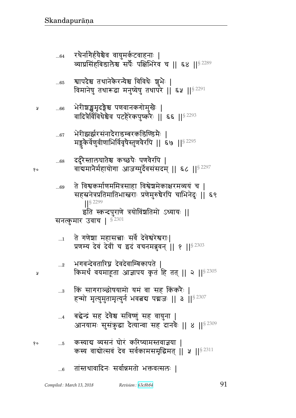- ...6 तांस्तथावादिनः सर्वान्नमतो भक्तवत्सलः ।
- <sub>१० ...5</sub> कस्याद्य व्यसनं घोरं करिष्यामस्तवाज्ञया | कस्य वाद्योत्सवं देव सर्वकामसमृद्धिमत् || ५ || $S^{2311}$
- ... $_4$  ) बद्धेन्द्रं सह देवैश्व सविष्णुं सह वायुना | आनयामः सुसंकुद्धा दैत्यान्वा सह दानवैः || ४ ||<sup>§ 2309</sup>
- ...3 किं सागराञ्छोषयामो यमं वा सह किंकरैः | हन्मो मृत्युमुतामृत्युर्न भवत्वय पद्मजः || ३ ||  $^{8\,2307}$
- $_{\rm ...2}$  ) भगवन्देवतारिघ्न देवदेवाम्बिकापते | <sub>थ</sub> किमर्थं वयमाहूता आज्ञापय कृतं हि तत् || २ ||<sup>§ 2305</sup>
- $_{\rm \ldots 1}$   $\,$  ते गणेशा महासच्चाः सर्वे देवेश्वरेश्वराः| प्रणम्य देवं देवीं च इदं वचनमब्रुवन् || ? ||  $$^{2303}$

सनत्कुमार उवाच |  $^{\rm g}$ <sup>2301</sup>

- ...69 वे विश्वकर्माणममित्रसाहा विश्वेशमेकाक्षरमव्ययं च | सहस्रनेत्रप्रतिमातिभास्त्रराः प्रणेमुरुचैरपि चाभिनेदुः || ६९ ||§ 2299 इति स्कन्दपुराणे त्रयोविंशतिमो ऽध्यायः ||
- ...68 दर्दुरेस्तालघातेश्च कच्छपैः पणवेरपि |  ${}_{\text{8}}\circ$  and and angle and the substantial model of  ${}_{\text{8}}$  and  ${}_{\text{8}}$   $\sim$  118  $^{2297}$
- ...67 भेरीझर्झरसंनादेराडम्बरकडिण्डिमैः | मड्डुकेर्वेणुवीणाभिर्विवृषेस्तुणवेरपि || ६७ || $^{\circ}$   $^{2295}$
- $_{\rm y}$  ...66 भेरीश्चङ्खमृदङ्गैश्च पणवानकगोमुखेः | वादित्रेर्विविधेश्चेव पटहेरेकपुष्करैः || ६६ ||  $s$   $^{2293}$
- ...65 ब्यापदेश्च तथानेकेरन्येश्च विविधैः शूभैः | विमानेषु तथारूढा मनुष्येषु तथापरे || ६५ ||<sup>§ 2291</sup>
- ... $_{64}$  रथैर्नागैर्हयैश्चैव वायुमर्कटवाहनाः | व्याप्रसिंहबिडालेश्व सर्पैः पक्षिभिरेव च || ६४ ||<sup>§ 2289</sup>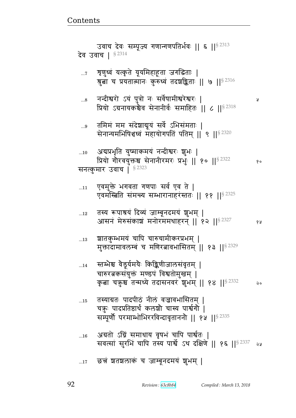Ã

## छत्तं शतशलाकं च जाम्बूनदमयं शुभम् |  $...17$

| 16 अग्रतो ऽग्निं समाधाय वृषभं चापि पार्श्वतः                   |  |
|----------------------------------------------------------------|--|
| सवत्सां सुरभिं चापि तस्य पार्श्वे ऽथ दक्षिणे    १६   § 2337 28 |  |

- तस्याग्रतः पादपीठं नीलं वज्रावभासितम् |  $\dots15$ चक़्ः पादप्रतिष्ठार्थं कलशो चास्य पार्श्वगो | सम्पूर्णौ परमाम्भोभिररविन्दावृताननौ || १५ || 8 2335
- स्तम्भेश्च वैडूर्यमयैः किङ्किणीजालसंवृतम् |  $...14$ चारुरत्नकसंयुक्तं मण्डपं विश्वतोमुखम् | कृता चक्रुश्च तन्मध्ये तदासनवरं शुभम् || १४ || 82332  $\mathsf{Q}$
- श्वातकुम्भमयं चापि चारुचामीकरप्रभम् |  $...13$ मुक्तादामावलम्बं च मणिरत्नावभासितम् || १३ || १२ 3229
- तस्य रूपाश्रयं दिव्यं जाम्बूनदमयं शुभम् |  $\dots 12$ आसनं मेरुसंकाशं मनोरममथाहरन् || १२ ||  $^{8}$  2327 १५
- एवमुक्ते भगवता गणपाः सर्व एव ते |  $...11$ एवमस्त्रिति समन्त्य सम्भारानाहरस्ततः || ११ || 82325
- अद्यप्रभृति युष्माकमयं नन्दीश्वरः शुभः |  $...10$ प्रियो गौरवयुक्तश्च सेनानीरमरः प्रभुः || १० || 8 2322  $80$ सनत्कुमार उवाच | § 2323
- तमिमं मम संदेशाद्यूयं सर्वे ऽभिसंमताः |  $\ldots\!9$ सेनान्यमभिषिधध्वं महायोगपतिं पतिम् || ९ || 32320
- नन्दीश्वरो ऽयं पुत्रो नः सर्वेषामीश्वरेश्वरः |  $...8$ प्रियो ऽग्रनायकश्चैव सेनानीर्वः समाहितः || ८ ||<sup>§ 2318</sup>
- ्रयुष्वं यत्कृते यूयमिहाहूता जगद्धिताः |  $\dots 7$ श्रुत्वा च प्रयतात्मानः कुरुध्वं तदश्रद्धिताः || ७ || § 2316

उवाच देवः सम्पूज्य गणान्गणपतिर्भवः || ६ || § 2313 **देव उवाच | § 2314**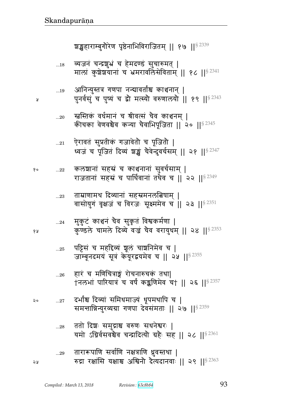- ततो दिशः समुद्राश्च वरुणः सधनेश्वरः |  $\ldots 28$ यमो ऽग्निर्वसवश्चैव चन्द्रादित्यौ ग्रहैः सह || २८ ||<sup>§ 2361</sup>
- दर्भांश्च दिव्यां समिधमाज्यं धूपमथापि च |  $...27$ २० समत्तान्निन्युरव्यग्रा गणपा देवसंमताः || २७ ||§<sup>2359</sup>
- हारं च मणिचित्राङ्गं रोचनारुचकं तथा।  $...26\,$ †नलभां पारियात्रं च वर्षं कङ्कणिमेव च† || २६ ||§ 2357
- पट्टिसं च महद्दिव्यं श्रूलं चाशनिमेव च |  $\dots25$ जाम्बूनदमयं सूत्रं केयूरद्वयमेव च || २५ || 82355
- मुकुटं काञ्चनं चैव सुकृतं विश्वकर्मणा |  $...24\,$ कुण्डले चामले दिव्ये वज्रं चैव वरायुधम् || २४ || \$ 2353
- ताम्राणामथ दिव्यानां सहस्रमनलबिषाम् |  $...23$ वासोयुगं वृक्षजं च विरजः सूक्ष्ममेव च || २३ ||<sup>§ 2351</sup>
- कलशानां सहस्रं च काश्चनानां सुवर्चसाम् | १०  $...22\,$ राजतानां सहस्रं च पार्थिवानां तथैव च || २२ || $^{8\,2349}$
- ऐरावतं सुप्रतीकं गजावेतौ च पूजितौ |  $...21$ ध्वजं च पूजितं दिव्यं श्रङ्खं चैवेन्दुवर्चसम् || २१ || 32347
- म्बस्तिकं वर्धमानं च श्रीवत्सं चैव काश्चनम् ।  $...20\,$ कीचका वेणवश्चैव कन्या चैवाभिपूजिता || २० ||§ 2345
- आनिन्युस्तत्र गणपा नन्द्यावर्ताश्च काञ्चनान् |  $...19$ पुनर्वसुं च पुष्यं च द्वौ मत्स्यौ वरुणालयौ || १९ || 32343
- व्यजनं चन्द्रशुभ्रं च हेमदण्डं सुचारुमत् |  $\dots18$ मालां कुशेशयानां च भ्रमरावलिसेविताम् || १८ || 8 2341

श्चङ्कहाराम्बुगौरेण पृष्ठेनाभिविराजितम् ॥ १७ ॥  $\frac{82339}{900}$ 

y

१५

১ম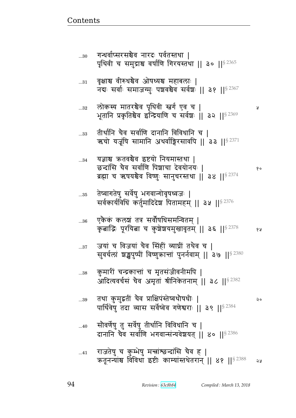| $\ldots 31$ | वृक्षाश्च वीरुधश्चैव ओषध्यश्च महाबलाः  <br>नद्यः सर्वाः समाजग्मुः पञ्चवश्चैव सर्वश्चः ॥ ३१ ॥ <sup>§ 2367</sup>                                       |    |
|-------------|------------------------------------------------------------------------------------------------------------------------------------------------------|----|
| 32          | लोकस्य मातरश्चैव पृथिवी स्तर्ग एव च  <br>भूतानि प्रकृतिश्चैव इन्द्रियाणि च सर्वश्चः ।। ३२ ।। <sup>§ 2369</sup>                                       | R  |
| 33          | तीर्थानि चैव सर्वाणि दानानि विविधानि च  <br>ऋचो यजूषि सामानि अथर्वाङ्गिरसावपि    ३३    $^{\$}$ $^{2371}$                                             |    |
| $34\,$      | यज्ञाश्च क्रतवश्चैव इष्टयो नियमास्तथा  <br>छन्दांसि चैव सर्वाणि पिश्चाचा देवयोनयः  <br>ब्रह्मा च ऋषयश्चेव विष्णुः सानुचरस्तथा    ३४    $^{\S\,2374}$ | १० |
| 35          | तेष्वागतेषु सर्वेषु भगवान्गोवृषध्वजः  <br>सर्वकार्यविधिं कर्तुमादिदेश पितामहम्    ३५    8 2376                                                       |    |
| 36          | एकैकं कलश्चं तत्र सर्वौपधिसमन्वितम्  <br>कृताद्रिः पूरयिता च कुशेशयमुखावृतम्    ३६    32378                                                          | १५ |
| $\ldots 37$ | जयां च विजयां चैव सिंहीं व्याप्रीं तथैव च  <br>सुवर्चलां श्चङ्खपुष्पीं विष्णुक्रान्तां पुनर्नवाम्    ३७    <sup>§ 2380</sup>                         |    |
| 38          | कुमारों चन्द्रकात्ता च मृतसंजीवनीमपि  <br>आदित्यवर्चसं चैव अमृतां श्रीनिकेतनाम्    ३८    <sup>§ 2382</sup>                                           |    |
| $\dots39$   | तथा कुमुद्रतीं चैव प्राक्षिपंस्तेष्वथौषधीः  <br>पार्थिवेषु तदा व्यास सर्वेष्वेव गणेश्वराः    ३९    52384                                             | २० |
| 40          | सौवर्णेषु तु सर्वेषु तीर्थानि विविधानि च  <br>दानानि चैव सर्वाणि भगवान्संन्यवेशयत्    ४०    82386                                                    |    |
| $41$        | राजतेषु च कुम्भेषु मन्त्रांश्छन्दांसि चैव ह  <br>ऋतूनन्यांश्च विविधा इष्टीः काम्यांस्तथेतरान्    ४१    32388                                         | 58 |

गन्धर्वाप्सरसञ्चेव नारदः पर्वतस्तथा |<br>पृथिवी च समुद्राश्च वर्षाणि गिरयस्तथा || ३० ||<sup>§ 2365</sup>

 $...30$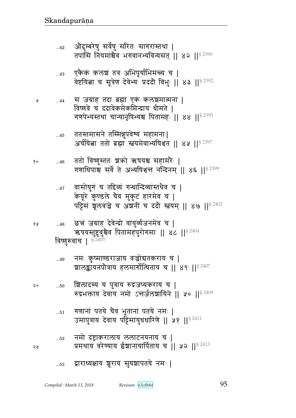$\mathbf{\mathsf{y}}$ 

१५

ನಿ ಗ

## द्वाराध्यक्षाय शूराय सुयशापतये नमः |  $\dots53$

 $\overline{1}$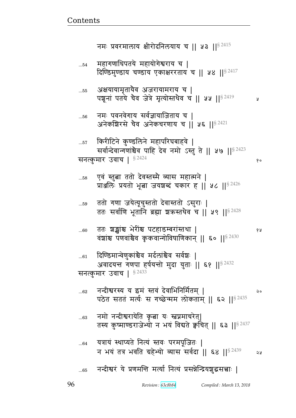१०

१५

|  |  | $_{65}$ वन्दीश्वरं ये प्रणमन्ति मर्त्या नित्यं प्रसन्नेन्द्रियशुद्धसत्त्वाः |  |
|--|--|-----------------------------------------------------------------------------|--|
|  |  |                                                                             |  |

- यत्रायं स्थाप्यते नित्यं स्तवः परमपूजितः |  $...64$ न भयं तत्र भवति ग्रहेभ्यो व्यास सर्वदा || ६४ ||§ 2439 2 y
- नमो नन्दीश्वरायेति कृत्वा यः स्तप्नमाचरेत्| ..63 तस्य कुष्माण्डराजेभ्यो न भयं विद्यते क्वचित् || ६३ ||§ 2437
- नन्दीश्वरस्य य इमं स्तवं देवाभिनिर्मितम् |  $...62$ २० पठेत सततं मर्त्यः स गच्छेन्मम लोकताम् || ६२ || 82435
- दिण्डिमान्वेणुकांश्चेव मर्दलांश्चेव सर्वशः |  $...61\,$ अवादयन्त गणपा हर्षयन्तो मुदा युताः || ६१ ||<sup>§ 2432</sup> सनत्कुमार उवाच |  $$^{2433}$
- ततः शङ्खांश्च भेरींश्च पटहाडम्बरांस्तथा |  $...60$ वंशांश्च पणवांश्चेव कृकवान्गोविषाणिकान् || ६० || 8 2430
- ततो गणा जयेत्यूचुस्ततो देवास्ततो ऽसुराः | ...59 ततः सर्वाणि भूतानि ब्रह्मा शकस्तथैव च || ५९ || 8 2428
- एवं स्तुत्वा ततो देवस्तस्मै व्यास महात्मने |  $...58$ प्राअलिः प्रयतो भूबा जयशब्दं चकार ह || ५८ || 8 2426
- किरीटिने कुण्डलिने महापरिघबाहवे |  $...57$ सर्वान्देवान्गणांश्चैव पाहि देव नमो ऽस्तु ते || ५७ ||<sup>§ 2423</sup> सनत्कुमार उवाच | § 2424
- नमः पवनवेगाय सर्वज्ञायाजिताय च |  $...56$ अनेकशिरसे चैव अनेकचरणाय च || ५६ ||<sup>§ 2421</sup>
- अक्षयायामृतायैव अजरायामराय च |  $...55$ पशूनां पतये चैव जेत्रे मृत्योस्तथैव च || ५५ || \$ 2419 y
- महागणाधिपतये महायोगेश्वराय च |  $...54$ दिण्डिमुण्डाय चण्डाय एकाक्षररताय च | ५४ || 8 2417

नमः प्रवरमालाय क्षीरोदनिलयाय च | । ५३ | | 5 2415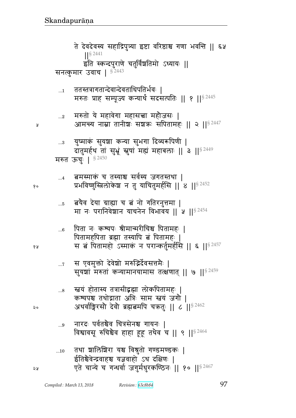विश्वावसू रुचिश्चैव हाहा हूहू तथैव च || ९ ||  $$^{2464}$ तथा शालिशिरा यश्च विश्रुतो गण्डमण्डकः |  $...10$ ईतिश्चैवेन्द्रवाहश्च यज्ञवाहो ऽथ दक्षिणः | एते चान्ये च गन्धर्वा जगुर्मधुरकण्ठिनः || १० || 32467

- नारदः पर्वतश्चैव चित्रसेनश्च गायनः |  $\ldots\!9$
- म्बयं होतास्य तत्रासीद्भह्मा लोकपितामहः |  $...8$ कश्यपश्च तथोद्गाता अत्रिः साम स्त्वयं जगौ | अथर्वाङ्गिरसौ देवौ ब्रह्मबमपि चक्रतुः || ८ ||<sup>§ 2462</sup>
- स एवमुक्तो देवेशो मरुद्भिर्देवसत्तमैः |  $\dots 7$ सुयशां मरुतां कन्यामानयामास तत्क्षणात् || ७ || \$ 2459
- पिता नः कश्यपः श्रीमान्मरीचिश्च पितामहः |  $...6$ पितामहपिता ब्रह्मा तस्यापि बं पितामहः | स बं पितामहो ऽस्माकं न परान्कर्तुमर्हसि || ६ ||<sup>§ 2457</sup>
- ंबयैव देया ग्राह्या च बं नो गतिरनुत्तमा |  $...5$ मा नः परानिवेशान याचनेन विभावय || ५ ||  $$^{2454}$
- 'बमस्माकं च तस्याश्च सर्वस्य जगतस्तथा |  $\dots$ 4 प्रभविष्णुस्त्रिलोकेश न तु याचितुमर्हसि ॥ ४ ॥ 8 2452
- युष्माकं सुयञ्चा कन्या सुभगा दिव्यरूपिणी |  $\ldots 3$ दातुमर्हथ तां सुभ्रूं स्नुषां मह्यं महाबलाः || ३ ||<sup>§ 2449</sup> मरुत ऊंचुः | § 2450
- मरुतो ये महावेगा महासच्चा महौजसः |  $\dots 2$ आमन्त्य नाम्ना तानीशः सश्चकः सपितामहः || २ ||<sup>§ 2447</sup>

¥

१०

१५

२०

จะ

- ततस्तत्रागतान्देवान्देवताधिपतिर्भवः |  $\ldots\!1$ मरुतः प्राह सम्पूज्य कन्यार्थं सदसत्पतिः ॥ १ ॥ <sup>§ 2445</sup>
- ते देवदेवस्य सहाद्रिपुत्र्या इष्टा वरिष्ठाश्च गणा भवन्ति || ६५  $\frac{1}{5}$  2441 इति स्कन्दपुराणे चतुर्विंशतिमो ऽध्यायः || सनत्कुमार उवाच | <sup>§ 2443</sup>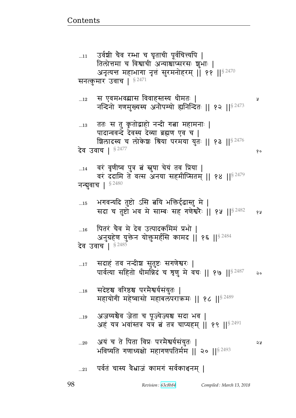Å

 $90$ 

### पर्वतं चास्य वैभ्राजं कामगं सर्वकाश्चनम् ।  $\ldots 21$

- अयं च ते पिता विप्रः परमैश्वर्यसंयुतः |  $...20$ ১ম भविष्यति गणाध्यक्षो महागणपतिर्मम || २० ||  $$^{2493}$
- अजय्यश्वैव जेता च पूज्येज्यश्च सदा भव |  $\dots 19$ अहं यत्र भवांस्तत्र यत्र बं तत्र चाप्यहम् || १९ || 82491
- सदेष्टश्च वरिष्ठश्च परमेश्वर्यसंयुतः |  $...18$ महायोगी महेष्वासो महाबलपराक्रमः || १८ ||<sup>§ 2489</sup>
- सदाहं तव नन्दीश सुतुष्टः सगणेश्वरः |  $\dots17$ पार्वत्या सहितो धीमन्निदं च त्रृणु मे वचः || १७ || १९ || २२  $\mathsf{a}$

## पितरं चैव मे देव उत्पादकमिमं प्रभो |  $\dots 16$ अनुग्रहेण युक्तेन योक्तुमर्हसि कामद || १६ ||<sup>§ 2484</sup> देव उवाच | § 2485

भगवन्यदि तुष्टो ऽसि बयि भक्तिर्दृढास्तु मे |  $\dots$ 15 सदा च तुष्टो भव मे साम्बः सह गणेश्वरैः || १५ || \$ 2482 १५

- वरं वृणीष्व पुत्र तं स्नुषा चेयं तव प्रिया |  $...14$ वरं ददामि ते वत्स अनया सहमीप्सितम् || १४ || 32479 नन्बुवाच | 82480
- ततः स तु कृतोद्वाहो नन्दी गत्ना महामनाः |  $\dots 13$ पादान्ववन्दे देवस्य देव्या ब्रह्मण एव च | शिलादस्य च लोकेशः श्रिया परमया युतः || १३ ||<sup>§ 2476</sup> देव उवाच | § 2477
- स एवमभवब्रास विवाहस्तस्य धीमतः |  $\dots$ 12 नन्दिनो गणमुख्यस्य अनौपम्यो ह्यनिन्दितः || १२ || १२ || 3

# सनत्कुमार उवाच |  $$^{2471}$

उर्वशी चैव रम्भा च घृताची पूर्वचित्त्यपि |  $\dots 11$ तिलोत्तमा च विश्वाची अन्याश्चाप्सरसः शुभाः | अनृत्यन्त महाभागा नृत्तं सुरमनोहरम् | ११ || $^{8\,2470}$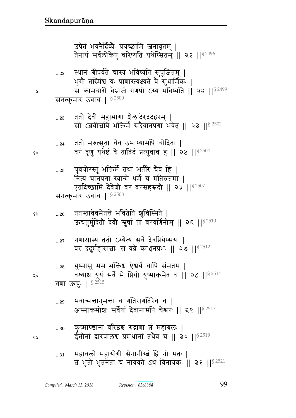...30 f4 ɔxýndB {^हு ؇Ê\_B ଉB xve1 ᅖ Op&dB ज^teு ÌxqdB pqG{ b ᅖᅖ ᅖᅖ§ 2519

...29 w{xഒd4xഒ b `p^`p^F{ b ᅖ L״xfx&|1 ~{F@}B rF{dxt bFౝ^1 ᅖᅖ 
 ᅖᅖ§ 2517

$$
\begin{array}{ll}\n\text{...28} & \text{33} \\
\text{35} & \text{45} \\
\text{46} & \text{56} \\
\text{57} & \text{48} \\
\text{58} & \text{57} \\
\text{69} & \text{60} \\
\text{70} & \text{71} \\
\text{81} & \text{72} \\
\text{93} & \text{94} \\
\text{108} & \text{11} \\
\text{110} & \text{12} \\
\text{130} & \text{130} \\
\text{140} & \text{15} \\
\text{150} & \text{16} \\
\text{160} & \text{17} \\
\text{170} & \text{18} \\
\text{181} & \text{19} \\
\text{192} & \text{193} \\
\text{103} & \text{195} \\
\text{117} & \text{196} \\
\text{129} & \text{197} \\
\text{130} & \text{198} \\
\text{140} & \text{198} \\
\text{151} & \text{198} \\
\text{162} & \text{198} \\
\text{170} & \text{198} \\
\text{181} & \text{199} \\
\text{191} & \text{199} \\
\text{192} & \text{199} \\
\text{103} & \text{199} \\
\text{104} & \text{199} \\
\text{118} & \text{199} \\
\text{129} & \text{199} \\
\text{130} & \text{199} \\
\text{140} & \text{199} \\
\text{151} & \text{199} \\
\text{162} & \text{199} \\
\text{171} & \text{199} \\
\text{181} & \text{199} \\
\text{199} & \text{199} \\
\text{199} & \text{199} \\
\text{199} & \text{199} \\
\text{199} & \text{199} \\
\text{199} & \text{199} \\
\text{199} & \text{199} \\
\text{199} & \text{199} \\
\text{109} & \text{199} \\
\text{100} & \text{199} \\
\text{1100
$$

...27 `\_ு״y pp/ ɐyFɊy ~{F@ rF{ÌyFɍ~y ᅖ {^B rrx@~ಿ1 ~ {ÓF fૄdÌw1 ᅖᅖ 
 ᅖᅖ 4 § 2512

 ...26 ppɕp{F{xFpீF w{pFp |4b%״xpF ᅖ Qbp4x4@rp0 rF{0 4}B pB {^{\_@d&x> ᅖᅖ 
 ᅖᅖ§ 2510

...25 y4{y/^ɕp4 w୯xF@ pq wp@^ bG{ ᅖ dɊyB bdt` ״yxF sxF@ b xp؇ீx ᅖ Xprՠjx rF{F|0 {^B {^~Ör0 ᅖᅖ 
 ᅖᅖ§ 2507 ~dɊf4 x^ P{b ᅖ § 2508

...24 pp/ x؇Ɋ~4p bG{ Pwɐyxt b/rp ᅖ  {^B {6\_4 yqFसB {G p{rB ÌɊy4{b ᅖᅖ 
 ᅖᅖ§ 2504

...23 pp/ rF{& xw` |GerF^rrज^x> ᅖ ~/ Î{&ಿy w୯xF@ ~rG{dt` w{Fp> ᅖᅖ 
 ᅖᅖ§ 2502

~dɊf4 x^ P{b ᅖ § 2500

...22 ͋qdB Ô&t{@pF b״y w{ɔyp ~4t5"apx> ᅖ w6`0 p%״xBு y1 Ì\_BɕɊyɗypF {G ~4sx@f1 ᅖ ~ fxb^) {GÏaF `\_t/ ״y w{ɔyp ᅖᅖ 

 ᅖᅖ§ 2499

उपत भवनादव्यः प्रयच्छााम जनावृतम् | तेनायं सर्वलोकेषु चरिष्यति यथेप्सितम् || २१ ||<sup>§ 2496</sup>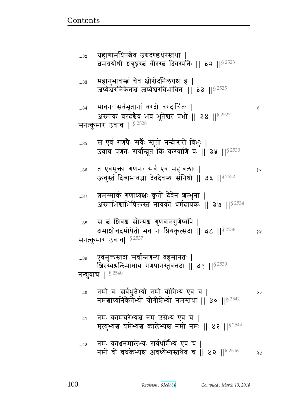बमग्रयोधी शत्रुघ्नस्त्वं वीरस्त्वं दिवस्पतिः || ३२ || $^{8\,2523}$  $_{\rm ...33}$   $\,$  महानुभावस्त्वं चैव क्षीरोदनिलयश्च ह | जप्येश्वरनिकेतश्च जप्येश्वरविभावितः || ३३ || ${}^{8\,2525}$ ...34 w{d1 ~{@w5pdB {^r/ {^rb@p1 ᅖ अस्माकं वरदश्चैव भव भूतेश्वर प्रभो || ३४ ||  $s^{2527}$ सनत्कुमार उवाच |  $$^{2528}$ ... $_{\rm 0.35}$  = स एवं गणपैः सर्वैः स्तुतो नन्दीश्वरो विभुः | उवाच प्रणतः सर्वान्ब्रूत किं करवाणि वः || ३५ ||  ${}^{8\,2530}$ ...36 p X{x4୯ `\_t1 ~{@ X{ xve1 ᅖ  ऊचुस्तं दिव्यभावज्ञा देवदेवस्य संनिधौ || ३६ || $82532$ ...37 बमस्माकं गणाध्यक्षः कृतो देवेन श्रम्भुना | अस्माभिश्चाभिषिक्तस्त्वं नायको धर्मदायकः || ३७ || $8^{2534}$ ... $^{38}$   $\,$  स बं शिवश्च सौम्यश्च गुणवानगुणेष्वपि | क्षमाश्रौचदमोपेतो भव नः प्रियकृत्सदा ।। ३८ ।। $8\,2536$  १४ सनत्कुमार उवाच|  $^{8\,2537}$ ...39 एवमुक्तस्तदा सर्वान्प्रणम्य बहुमानतः | श्चिरस्यञ्जलिमाधाय गणपानस्तुवत्तदा || ३९ || $^{§\ 2539}$ नन्बुवाच |  $$^{2540}$ ...40 विमाने वः सर्वभूतेभ्यो नमो योगिभ्य एव च | २० नमश्चाप्यनिकेतेभ्यो योगीशेभ्यो नमस्तथा || ४० || $8^{2542}$  $_{\ldots41}$  at and and axis are depth and the state  $\vert$ मृत्युभ्यश्च यमेभ्यश्च कालेभ्यश्च नमो नमः || ४१ ||  $8^{2544}$ ... $\overline{42}$  वामः काञ्चनमालेभ्यः सर्वधर्मिभ्य एव च | नमो वो वधकेभ्यश्च अवध्येभ्यस्तथेव च || ४२ || $8^{2546}$  २४

<u>Contents and Contents are the contents of the contents of the contents of the contents of the contents of the contents of the contents of the contents of the contents of the contents of the contents of the contents of the</u>

... $_{32}$  ्यहाणामधिपश्चेव उग्रदण्डधरस्तथा |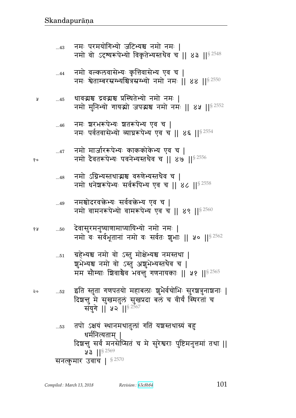... $_{51}$  ्यहेभ्यश्च नमो वो ऽस्तु मोक्षेभ्यश्च नमस्तथा | शुभेभ्यश्च नमो वो ऽस्तु अशुभेभ्यस्तथैव च | मम सौम्याः शिवाश्चैव भवन्तु गणनायकाः ॥ ५१ ॥ $8^{2565}$ २० ...52 इति स्तुता गणपतयो महाबलाः शुभेर्वचोभिः सुरश्चत्रुनाशनाः | दिशन्तु मे सुखमतुलं सुखप्रदा बलं च वीर्यं स्थिरतां च संयुगे || ५२ ||  $82567$ ...53 तपो ऽक्षयं स्थानमथातुलां गतिं यञ्चस्तथाग्र्यं बहु धर्मनित्यताम् | दिशन्तु सर्वं मनसेप्सितं च मे सुरेश्वराः पुष्टिमनुत्तमां तथा ||  $3 \text{ } | \text{ } |$ § 2569 सनत्कुमार उवाच |  $$^{2570}$ 

 ...50 rF{~4^xd4ɔy\_xɍyyɐy/ dx/ dx1 ᅖ नमो वः सर्वभूतानां नमो वः सर्वतः शुभाः || ५० || $8^{2562}$ 

...49 नमश्चोदरवक्तेभ्यः सर्ववक्तेभ्य एव च | नमो वामनरूपेभ्यो वामरूपेभ्य एव च || ४९ || $82560$ 

- ... $_{48}$   $\,$  नमो  $\,$  उग्निभ्यस्तथाद्भाञ्च वरुणेभ्यस्तथेव च  $\,$  | नमो धनेशरूपेभ्यः सर्वरूपिभ्य एव च || ४८ || $8^{2558}$
- ...47 विमो मार्जाररूपेभ्यः काककोकेभ्य एव च | १० विमा देवतरूपेभ्यः पवनेभ्यस्तथैव च || ४७ || $^{\$\,2556}$
- ... $_{46}$  वमः शरभरूपेभ्यः शतरूपेभ्य एव च | नमः पर्वतवासेभ्यो व्याघ्ररूपेभ्य एव च || ४६ || $8^{2554}$
- ४ .....45 धावद्भञ्च द्रवद्भञ्च प्रस्थितेभ्यो नमो नमः | नमो मुनिभ्यो गायद्यो जपद्मश्च नमो नमः || ४५ ||  $82552$
- ...44 नमो वल्कलवासेभ्यः कृत्तिवासेभ्य एव च | नमः श्वेताम्बरस्रग्भ्यश्चित्रस्रग्भ्यो नमो नमः || ४४ ||  $82550$
- ...43 dx1 t^xy/`ɐy/ alɐyு dx/ dx1 ᅖ नमो वो ऽदृश्यरूपेभ्यो विकृतेभ्यस्तथैव च || ४३ || $8^{2548}$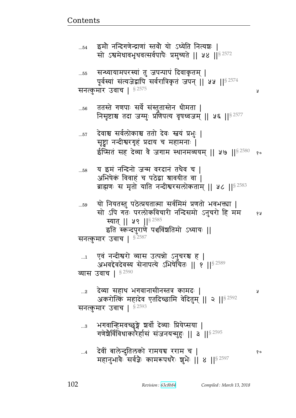Ã

ततस्ते गणपाः सर्वे संस्तुतास्तेन धीमता |  $...56$ निसृष्टाश्च तदा जग्मुः प्रणिपत्य वृषध्वजम् || ५६ || 92577 देवाश्च सर्वलोकाश्च ततो देवः स्त्वयं प्रभुः |  $...57$ सृष्ट्वा नन्दीश्वरगृहं प्रदाय च महामनाः | ईप्सितं सह देव्या वै जगाम स्थानमव्ययम् || ५७ || $^{\$2580}$  $90$ य इमं नन्दिनो जन्म वरदानं तथैव च |  $\dots58$ अभिषेकं विवाहं च पठेद्वा श्रावयीत वा | ब्राह्मणः स मृतो याति नन्दीश्वरसलोकताम् || ५८ || 52583 यो नियतस्तु पठेत्प्रयतात्मा सर्वमिमं प्रणतो भवभक्त्या |  $\dots59$ सो ऽपि गतः परलोकविचारी नन्दिसमो ऽनुचरो हि मम १५ स्यात् || ५९ || 82585 इति स्कन्दपुराणे पञ्चविंशतिमो ऽध्यायः || सनत्कुमार उवाच | <sup>§ 2587</sup> एवं नन्दीश्वरो व्यास उत्पन्नो ऽनुचरश्च ह |  $\dots$ 1 अभवद्देवदेवस्य सेनापत्ये ऽभिषेचितः ॥ १ ॥ ९  $^{18\,2589}$ व्यास उवाच | §<sup>2590</sup> देव्या सहाथ भगवानासीनस्तत्र कामदः |  $\ldots$ 2 R अकरोत्किं महादेव एतदिच्छामि वेदितुम् || २ || 5 2592 सनत्कुमार उवाच | § 2593 भगवान्हिमवच्छुङ्गे श्रर्वो देव्याः प्रियेप्सया |  $\ldots$ 3 गणेशैर्विविधाकारैर्हासं संजनयन्मुहः ॥ ३ ॥  $^{\circ}$  ॥  $^{\circ}$ देवीं बालेन्दुतिलको रामयच रराम च |  $\dots4$ १० महानुभावैः सर्वज्ञैः कामरूपधरैः शुभैः ॥ ४ ॥ 8 2597

इमौ नन्दिगणेन्द्राणां स्तवौ यो ऽध्येति नित्यशः |  $...54$ सो ऽश्वमेधावभृथवत्सर्वपापैः प्रमुच्यते || ५४ || 92572

पूर्वस्यां संत्यजेद्वापि सर्वरात्रिकृतं जपन् || ५५ || § 2574

सन्ध्यायामपरस्यां तु जपन्पापं दिवाकृतम् |

 $...55$ 

सनत्कुमार उवाच | § 2575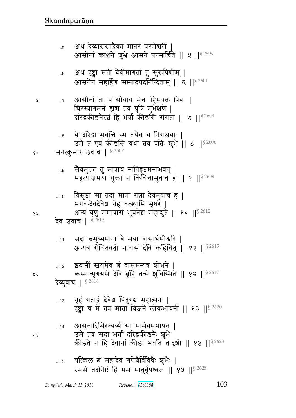आसनादिभिरभ्यर्च्य सा मामेवमभाषत |  $...14$ उमे तव सदा भर्ता दरिद्रकीडनैः शुभे | कीडते न हि देवानां कीडा भवति तारशी || १४ || $5^{2623}$ 

- गृहं गताहं देवेश पितुरब महात्मनः |  $\dots 13$ दृष्ट्वा च मे तत्र माता विजने लोकभावनी || १३ ||<sup>§ 2620</sup>
- इदानीं स्नयमेव बं वासमन्यत्र शोभने  $\dots$ 12 कस्मान्मृगयसे देवि ब्रूहि तन्मे शुचिस्मिते || १२ ||<sup>§ 2617</sup> देव्यवाच | §2618
- सदा बमुच्यमाना वे मया वासार्थमीश्वरि |  $...11$ अन्यत्र रोचितवती नावासं देवि कर्हिचित् || ११ ||<sup>§ 2615</sup>

Å

४ प्र

२०

२५

- विसृष्टा सा तदा मात्रा गत्ना देवमुवाच ह |  $\ldots 10$ भगवन्देवदेवेश नेह वत्स्यामि भूधरे | अन्यं वृणु ममावासं भुवनेश महाबुते || १० || 82612 देव उवाच | 82613
- ्सेवमुक्ता तु मात्राथ नातिहृष्टमनाभवत् |  $...9$ महत्याक्षमया युक्ता न किंचित्तामुवाच ह || ९ || \$ 2609
- सनत्कुमार उवाच | \$2607 १०
- ये दरिद्रा भवन्ति स्म तथैव च निराश्रयाः |  $\ldots\!8$ उमे त एवं क्रीडन्ति यथा तव पतिः शुभे || ८ || 5 2606
- आसीनां तां च सोवाच मेना हिमवतः प्रिया |  $\dots 7$ चिरस्यागमनं ह्यद्य तव पुत्रि शूभेक्षणे | दरिद्रकीडनैस्बं हि भर्त्रा कीडसि संगता || ७ || $^{\$2604}$
- अथ दृष्ट्वा सतीं देवीमागतां तु सुरूपिणीम् |  $...6$ आसनेन महार्हेण सम्पादयदनिन्दिताम् || ६ ||<sup>§ 2601</sup>
- अथ देव्याससादैका मातरं परमेश्वरी |  $...5$ आसीनां काश्चने शुभ्रे आसने परमार्चिते || ५ ||<sup>§ 2599</sup>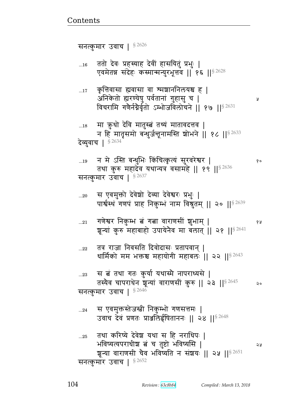तस्यैव चापराधेन शून्यां वाराणसीं कुरु || २३ || $8\,2645$  २० सनत्कुमार उवाच |  $$^{2646}$ ...24 जस एवमुक्तस्तेजस्त्री निकुम्भो गणसत्तमः | उवाच देवं प्रणतः प्राअलिईपिताननः || २४ ||<sup>§ 2648</sup> ... $_{25}$  तथा करिष्ये देवेश यथा स हि नराधिपः | w{ɔyɊyt^s&| ଉB b p4स/ w{ɔy!~ ᅖ शून्या वाराणसी चैव भविष्यति न संश्रयः || २५ ||<sup>§ 2651</sup> सनत्कुमार उवाच |  $$^{2652}$ 

...22 तत्र राजा निवसति दिवोदासः प्रतापवान् | धार्मिको मम भक्तश्च महायोगी महाबलः || २२ || $8^{2643}$ 

...<sub>23</sub> स बं तथा गतः कुर्या यथास्मै नापराध्यसे |

...21 `\_Fౝ^ df4 Ԫw ଉB `ଉ {^\_~&B |4wx> ᅖ  शून्यां कुरु महाबाहो उपायेनैव मा बलात् || २१ ||<sup>§ 2641</sup>

...20 \_ स एवमुक्तो देवेश्वो देव्या देवेश्वरः प्रभुः | पार्श्वस्थ गणपं प्राह निकुम्भं नाम विश्रुतम् || २० || $^{8\,2639}$ 

...19 d xF %ɕp v̺s4w1 fB bɊf6 ɊyB ~4^{^Fౝ^ ᅖ  तथा कुरु महादेव यथान्यत्र वसामहे || १९ ||  $$^{2636}$ सनत्कुमार उवाच |  $$^{2637}$ 

...<sub>18</sub> मा ऋ़धो देवि मातुस्त्वं तथ्यं मातावदत्तव | न हि मातृसमो बन्धुर्जनूनामस्ति शोभने || १८ || $8^{2633}$ देव्युवाच |  $$^{2634}$ 

...17 कृत्तिवासा ह्यवासा वा श्मञ्चाननिलयश्च ह | LdfF p/ എ^ýyF}4 t{@pdB `4~4 b ᅖ विचरामि गणैर्नग्नैर्वृतो ऽम्भोजविलोचने || १७ || ${}^{8\,2631}$ 

...16 वतो देवः प्रहस्याह देवीं हासयितुं प्रभुः | एवमेतन्न संदेहः कस्मान्मन्युरभूत्तव || १६ ||  $$^{2628}$ 

सनत्कुमार उवाच |  $$^{2626}$ 

<u>Contents and Contents are the contents of the contents of the contents of the contents of the contents of the contents of the contents of the contents of the contents of the contents of the contents of the contents of the</u>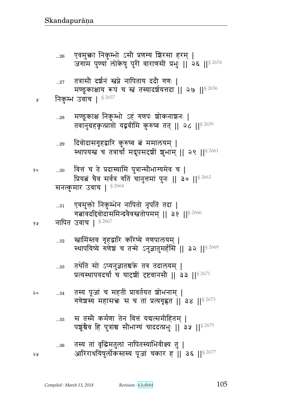|    | $33$ | तथेति सो ऽप्यनुज्ञातश्चके तत्र तदालयम्  <br>प्रत्यस्थापयदर्चां च यादृशीं दृष्टवानसौ    ३३    $5^{2671}$                    |
|----|------|----------------------------------------------------------------------------------------------------------------------------|
| २० | $34$ | तस्य पूजां च महतीं प्रावर्तयत <mark>शोभनाम्  </mark><br>गणेश्वस्य महासच्चः स च तां प्रत्यगृह्णत    ३४    <sup>§ 2673</sup> |
|    | 35   | स तस्मै कर्मणा तेन वित्तं यद्यत्समीहितम्  <br>पश्चूश्चैव हि पुत्रांश्च सौभाग्यं चाददत्प्रभुः    3.4    52675               |
| ১১ | $36$ | तस्य तां वृद्धिमतुलां नापितस्याभिवीक्ष्य तु  <br>आरिराधयिषुर्लोकस्तस्य पूजां चकार ह    ३६    8 2677                        |

स्त्रामिंस्तव गृहद्वारि करिष्ये गणपालयम् |  $...32$ स्थापयिष्ये गणेश च तन्मे ऽनुज्ञातुमर्हसि || ३२ || १८८६९

```
नापित उवाच | 52667
१५
```
१०

एवमुक्तो निकुम्भेन नापितो नृपतिं तदा |  $\ldots 31$ गत्नावदद्दिवोदासमिन्द्रवैवस्ततोपमम् || ३१ ||<sup>§ 2666</sup>

वित्तं च ते प्रदास्यामि पुत्रान्सौभाग्यमेव च |  $...30$ प्रियत्नं चैव सर्वत्र गतिं चानुत्तमां पुनः || ३० || 8 2663 सनत्कुमार उवाच | 82664

- दिवोदासगृहद्वारि कुरुष्व बं ममालयम् |  $...29\,$ स्थापयस्त च तत्रार्चां मद्रूपसदृशीं शूभाम् || २९ || 5 2661
- मण्डूकाक्ष निकुम्भो ऽहं गणपः शोकनाशनः |  $\dots 28$ तवानुग्रहकृत्प्राप्तो यद्ववीमि कुरुष्व तत् || २८ ||<sup>§ 2659</sup>
- निकुम्भ उवाच | § 2657 ¥
- तत्रासो दर्शनं स्त्रप्ने नापिताय ददो गणः |  $\dots 27$ मण्डूकाक्षाय रूपं च स्त्रं तस्यादर्शयत्तदा || २७ || 82656
- एवमुक्ता निकुम्भो ऽसौ प्रणम्य शिरसा हरम् |  $\ldots 26$ जगाम पुण्यां लोकेषु पुरीं वाराणसीं प्रभुः | २६ | | २८54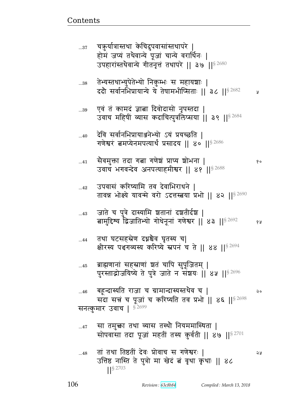## ... $48$  and the part of the pair of the pair  $\begin{array}{ccc} \hline \text{and} & \text{if} & \text{if} & \text{if} & \text{if} & \text{if} & \text{if} & \text{if} & \text{if} & \text{if} & \text{if} & \text{if} & \text{if} & \text{if} & \text{if} & \text{if} & \text{if} & \text{if} & \text{if} & \text{if} & \text{if} & \text{if} & \text{if} & \text{if} & \text{if} & \text{if} & \text{if} & \text$ उत्तिष्ठ नास्ति ते पुत्रो मा खेद बं वृथा कृथाः || ४८ ᅖᅖ§ 2703

- ...47 सा तमुक्ता तथा व्यास तस्थौ नियममास्थिता | सोपवासा तदा पूजां महतीं तस्य कुर्वती || ४७ || $82701$
- ...46 बहून्दास्यति राजा च ग्रामान्दास्यस्तथेव च | २० सदा सत्तं च पूजां च करिष्यति तव प्रभो || ४६ ||  $$^{2698}$ सनत्कुमार उवाच |  $$^{2699}$
- ...45 ब्राह्मणानां सहस्राणां ञ्चतं चापि सुपूजितम् | पुरस्ताद्रोजयिष्ये ते पुत्रे जाते न संशयः || ४५ ||<sup>§ 2696</sup>
- ...44 तथा घटसहस्रेण दध्नश्चैव घृतस्य च| क्षीरस्य पञ्चगव्यस्य करिष्ये स्नपनं च ते || ४४ || १२६९४
- ...43 जाते च पुत्रे दास्यामि शतानां दशतीर्दश | बामुदिश्य द्विजातिभ्यो गोधेनूनां गणेश्वर || ४३ || ${}^{8\,2692}$  १४
- ... $\rm _{42}$   $\,$  उपवासं करिष्यामि तव देवाभिराधने | तावन्न भोक्ष्ये यावन्मे वरो ऽदत्तस्तवया प्रभो || ४२ || $82690$
- ...41 ~G{x4୯ pr `ଉ `\_F|B Ìɍy |/wd ᅖ  उवाच भगवन्देव अनपत्याहमीश्वर || ४१ || 82688
- ...40 देवि सर्वानभिप्रायाञ्जनेभ्यो ऽयं प्रयच्छति | गणेश्वरं बमप्येनमपत्यार्थं प्रसादय || ४० ||  $8^{2686}$
- ...39 एवं तं कामदं ज्ञाबा दिवोदासो नृपस्तदा | उवाच महिषीं व्यास कदाचित्पुत्रलिप्सया || ३९ || $8^{2684}$
- ...38 तेभ्यस्तथाभ्युपेतेभ्यो निकुम्भः स महायञ्चाः | ददौ सर्वानभिप्रायान्ये ये तेषामभीप्सिताः || ३८ || $^{8\,2682}$  अ
- ...37 चक़ुर्यात्रास्तथा केचिदुपवासांस्तथापरे | होमं जप्यं तथैवान्ये पूजां चान्ये वरार्थिनः | उपहारांस्तथैवान्ये गीतनृत्तं तथापरे || ३७ || $^{8\,2680}$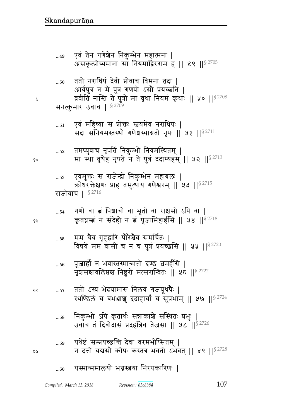#### यस्मान्ममालयो भग्नस्त्वया निरपकारिणः |  $...60$

- यथेष्टं सम्प्रयच्छन्ति देवा वरमभीप्सितम् ।  $...59$ न दत्तो यद्यसौ कोपः कस्तत्र भवतो ऽभवत् || ५९ || \$ 2728
- निकुम्भो ऽपि कृतार्थः सन्नाकाश्चे संस्थितः प्रभुः |  $\dots58$ उवांच तं दिवोदासं प्रदहन्निव तेजसा || ५८ || 82726
- ततो ऽस्य भेदयामास निलयं गजयूथपैः | २०  $\dots 57$ स्थण्डिलं च बभञ्जाशु ददाहार्चां च सुप्रभाम् || ५७ ||<sup>§ 2724</sup>
- पूजार्हो न भवांस्तस्मान्मत्तो दण्डं बमर्हसि |  $\dots56$ नृशसस्रावलिप्तश्च निष्ठुरो मत्सरान्वितः || ५६ || 92722
- मम चैव गृहद्वारि पौरेश्चैव समर्चितः |  $...55$ विषये मम वासी च न च पुत्रं प्रयच्छसि || ५५ || $^{8\,2720}$
- गणो वा त्नं पिञ्चाचो वा भूतो वा राक्षसो ऽपि वा |  $...54$ कृतघ्नस्तं न संदेहो न तं पूजामिहार्हसि || ५४ || \$2718

एवमुक्तः स राजेन्द्रो निकुम्भेन महाबलः |  $\dots53$ कोधरक्तेक्षणः प्राह तमुत्थाय गणेश्वरम् || ५३ ||  $^{82715}$ राजोवाच | §2716

- तमप्युवाच नृपतिं निकुम्भो नियमस्थितम् |  $\dots52$ मा स्था वृथेह नृपते न ते पुत्रं ददाम्यहम् || ५२ ||  $s^{2713}$
- एवं महिष्या स प्रोक्तः स्तवयमेव नराधिपः |  $\dots51$ सदा सनियमस्तस्थो गणेशस्याग्रतो नृपः || ५१ || 82711

ब्रवीति नास्ति ते पुत्रो मा वृथा नियमं कृथाः || ५० ||<sup>§ 2708</sup> सनत्कुमार उवाच | §2709

- ततो नराधिपं देवी प्रोवाच विमना तदा |  $...50\,$ आर्यपुत्र न मे पुत्रं गणपो ऽसौ प्रयच्छति |
- एवं तेन गणेशेन निकुम्भेन महात्मना |  $...49$ असकृत्प्रोच्यमाना सा नियमाद्विरराम ह || ४९ || $82705$

१५

२५

१०

Å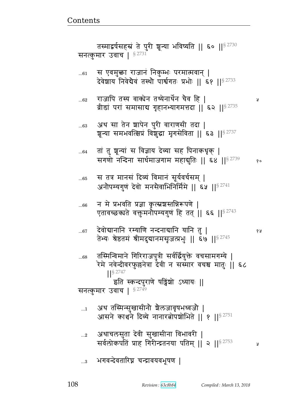Ã

- स तत्र मानसं दिव्यं विमानं सूर्यवर्चसम् ।  $...65$ अनौपम्यगुणं देवो मनसैवाभिनिर्मिमे || ६५ ||<sup>§ 2741</sup> न मे प्रभवति प्रज्ञा कृत्स्नशस्तन्निरूपणे |  $...66$ एतावच्छक्यते वक्तूमनौपम्यगुणं हि तत् || ६६ ||<sup>§ 2743</sup> देवोद्यानानि रम्याणि नन्दनाद्यानि यानि तु |  $...67$ १५ तेभ्यः श्रेष्ठतमं श्रीमदुद्यानमसृजत्प्रभुः || ६७ ||<sup>§ 2745</sup> तस्मिन्विमाने गिरिराजपुत्री सर्वर्द्वियुक्ते वचसामगम्ये |  $...68$ रेमे नवेन्दीवरफुल्लनेत्रा देवी न सस्मार वचश्च मातुः || ६८  $1$ <sup>S</sup> 2747 इति स्कन्दपुराणे पट्विंशो ऽध्यायः || सनत्कुमार उवाच | §2749 अथ तस्मिन्सुखासीनौ शैलजावृषभध्वजौ |  $\dots 1$ आसने कार्श्वने दिव्ये नानारतोपशोभिते || १ ||<sup>§ 2751</sup> अथाचलसुता देवी सुखासीना विभावरी |  $...2$ सर्वलोकपतिं प्राह गिरीन्द्रतनया पतिम् ॥ २ ॥ 8 2753 ă, ...3 भगवन्देवतारिघ्न चन्द्रावयवभूषण |
- तां तु शून्यां स विज्ञाय देव्या सह पिनाकधृक् |  $...64$ सगणो नन्दिना सार्धमाजगाम महाबुतिः || ६४ ||<sup>§ 2739</sup> १०
- अथ सा तेन श्वापेन पुरी वाराणसी तदा | ..63 शून्या समभवत्क्षिप्रं विशुद्धा मृगसेविता || ६३ ||<sup>§ 2737</sup>
- राजापि तस्य वाक्येन तथ्येनार्थेन चैव हि |  $...62$ व्रीडां परां समासाद्य गृहानभ्यागमत्तदा || ६२ || 82735
- स एवमुक्ता राजानं निकुम्भः परमात्मवान् |  $...61$ देवेशाय निवेद्यैवं तस्थौ पार्श्वगतः प्रभोः ॥ ६१ ॥ 82733

तस्माद्वर्षसहस्रं ते पुरी शून्या भविष्यति || ६० ||§ 2730 सनत्कुमार उवाच |  $^{\S\,2731}$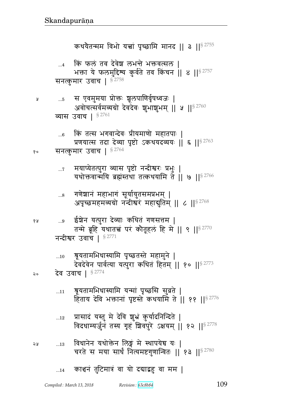- २५ ....13 विधानेन यथोक्तेन लिङ्गं मे स्थापयेच यः | चरते स मया सार्धं नित्यमष्टगुणान्वितः || १३ || ${}^{8\,2780}$
- ...12 प्रासादं यस्तु मे देवि शुभ्रं कुर्यादनिन्दिते | विदधाम्यर्जुनं तस्य गृहं शिवपुरे ऽक्षयम् || १२ ||  $s^{2778}$
- ...11 श्रूयतामभिधास्यामि यन्मां पृच्छसि सुव्रते | हिताय देवि भक्तानां पृष्टस्ते कथयामि ते || ११ || $8\,2776$

### २० देव उवाच |  $$^{2774}$

<sub>...10</sub> त्रूयतामभिधास्यामि पृच्छतस्ते महामुने | देवदेवेन पार्वत्या यत्पुरा कथितं हितम् || १० ||  $s^{2773}$ 

#### नन्दीश्वर उवाच |  $$^{2771}$

- १४ ...9 ईश्वेन यत्पुरा देव्याः कथितं गणसत्तम | तन्मे ब्रूहि यथातच्चं परं कोतूहलं हि मे || ९ ||  $s^{2770}$
- ...8 गणेञ्चानं महाभागं सूर्यायुतसमप्रभम् | अपृच्छमहमव्यग्रो नन्दीश्वरं महासुतिम् || ८ || $^{8\,2768}$
- ...7 मयाप्येतत्पुरा व्यास पृष्टो नन्दीश्वरः प्रभुः | यथोक्तवान्मयि ब्रह्मंस्तथा तत्कथयामि ते || ७ ||  $8^{2766}$

### १० सनत्कुमार उवाच |  $^{\$~2764}$

- ...6 किं तत्स भगवान्देवः प्रीयमाणो महातपाः | प्रणयात्स तदा देव्या पृष्टो ऽकथयदव्ययः || ६ || $8^{2763}$
- व्यास उवाच |  $$^{2761}$
- ...5 ~ X{x4xy Ì/୯1 |5et\_{6@}Ɍ{a1 ᅖ अवोचत्सर्वमव्ययो देवदेवः शुभाशुभम् || ५ ||  $^{8\,2760}$

# सनत्कुमार उवाच |  $\frac{8}{3}$ 2758

किं फलं तव देवेश लभन्ते भक्तवत्सल | भक्ता ये फलमुद्दिश्य कुर्वते तव किंचन || ४ ||  $8^{2757}$ 

कथयैतन्मम विभो यत्त्वां पृच्छामि मानद || ३ || $8^{2755}$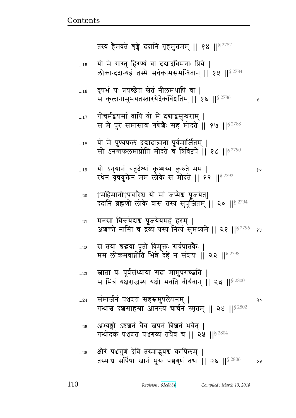У

२०

- अभ्यङ्गो ऽष्टशतं चैव स्नपनं त्रिशतं भवेत् |  $...25$ गन्धोदकं पञ्चशतं पञ्चगव्यं तथैव च || २५ || \$ 2804
- संमार्जनं पञ्चशतं सहस्रमुपलेपनम् |  $\dots$ 24 गन्धाश्च दशसाहस्रा आनन्त्यं चार्चनं स्मृतम् || २४ || \$ 2802
- स्नात्ना यः पूर्वसंध्यायां सदा मामुपगच्छति |  $...23$ स मित्रं यक्षराजस्य यक्षो भवति वीर्यवान् ।। २३ ।।<sup>§ 2800</sup>
- स तया श्रद्धया पूतो विमुक्तः सर्वपातकैः |  $...22$ मम लोकमवाप्नोति भिन्ने देहे न संशयः || २२ || ${}^{\rm S}\,{}^{2798}$
- मनसा चित्तयेद्यश्च पूजयेयमहं हरम् |  $\dots 21$ अशक्तो नास्ति च द्रव्यं यस्य नित्यं सुमध्यमे || २१ ||<sup>§ 2796</sup> १४
- †महिमानो†पचारैश्च यो मां जप्यैश्च पूजयेत्|  $...20$ ददानि ब्रह्मणो लोके वासं तस्य सुपूजितम् ॥ २० ॥ $^{\$2794}$
- यो ऽनुयानं चतुर्दव्यां कृष्णस्य कुरुते मम |  $...19$ १० रथेन वृषयुक्तेन मम लोके स मोदते || १९ ||<sup>§ 2792</sup>
- यो मे पुण्यफलं दद्यादात्मना पूर्वमार्जितम् |  $...18$ सो ऽनन्तफलमाप्नोति मोदते च त्रिविष्टपे || १८ || १२७०
- गोचर्मद्वयसां वापि यो मे दद्याद्वसुन्धराम् |  $\dots$ 17 स मे पुरं समासाब गणेशैः सह मोदते || १७ || १९ 3788
- वृषभं यः प्रयच्छेत श्वेतं नीलमथापि वा |  $...16$ स कुलानामुभयतस्तारयेदेकविंशतिम् || १६ || \$ 2786
- यो मे गास्तु हिरण्यं वा दद्यादविमनाः प्रिये |  $\dots15$ लोकान्ददान्यहं तस्मै सर्वकामसमन्वितान् || १५ ||<sup>§ 2784</sup>

तस्य हैमवते शृङ्गे ददानि गृहमुत्तमम् || १४ ||<sup>§ 2782</sup>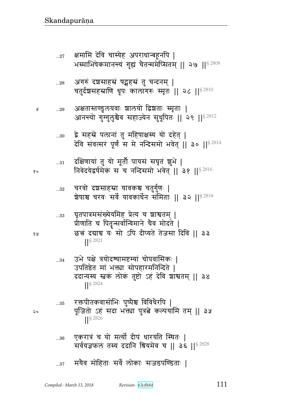- ...36 एकरात्रं च यो मर्त्यो दीपं धारयति स्थितः | सर्वयज्ञफलं तस्य ददानि श्रियमेव च || ३६ ||  $$^{2828}$
- ... $\text{ss}$  रक्तपीतकवासोभिः पुष्पैश्च विविधैरपि | २० पूजितो ऽहं सदा भक्त्या पुत्रत्ने कल्पयामि तम् || ३५ ||§ 2826
- ... $34$  उभे पक्षे त्रयोदश्यामष्टम्यां चोपवासिकः | उपतिष्ठेत मां भक्त्या सोपहारमनिन्दिते | ददान्यस्य स्तकं लोकं तुष्टो ऽहं देवि शाश्वतम् || ३४ ᅖᅖ§ 2824
- ... $\mathrm{_{33}}$  b घृतपात्रमसंख्येयमिह प्रेत्य च शाश्वतम् | प्रौणाति च पितृन्सर्वान्विमाने चैव मोदते |  jB rళૺ y1 ~/ t r&ɍypF pFa~ r{ ᅖᅖ ||§ 2821
- ...32 चरवो दञ्चसाहस्रा यावकश्च चतुर्गुणः | श्रेषाश्च चरवः सर्वे यावकार्धेन संमिताः || ३२ || ${}^{8\,2818}$
- ... $\overline{\mathbf{31}}$  दक्षिणायां तु यो मूर्तौ पायसं सघृतं शुभे |  d{FryFज}@xFfB ~ b d%Ʉr~x/ w{Fp> ᅖᅖ  ᅖᅖ§ 2816
- ...30 द्वे सहस्रे पलानां तु महिषाक्षस्य यो दहेत् | देवि संवत्सरं पूर्णं स मे नन्दिसमो भवेत् || ३० || $^{8\,2814}$
- ...29 Lpɕpýn4 ey{1 |ey/ ज|p1 ״x6p1 ᅖ आनन्त्यो गुग्गुलुश्चैव सहाज्येन सुधूपितः || २९ ||<sup>§ 2812</sup>
- ...28 अगरुं दञ्चसाहस्रं षट्घहस्रं तु चन्दनम् | चतुर्दशसहस्राणि धूपः कालागरुः स्मृतः || २८ || $^{8\,2810}$
- ...27 क्षमामि देवि चास्येह अपराधान्बहूर्नापे | भस्माभिषेकमानन्त्यं गुह्यं चैतन्ममेप्सितम् ॥ २७ ॥ $^{\$2808}$
- 
-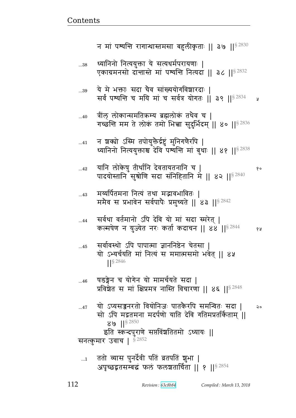112

 $...40$ 

ततो व्यास पुनर्देवी पतिं व्रतपतिं शुभा |  $\dots$ 1 अपृच्छद्वतसम्बद्धं फलं फलशतार्चिता || १ ||<sup>§ 2854</sup>

न शक्यो ऽस्मि तपोयुक्तैर्द्रष्टुं मुनिगणैरपि |  $\dots 41$ ध्यानिनो नित्ययक्ताश्च देवि पश्यन्ति मां बधाः ।। ४१ ।।<sup>§ 2838</sup> यानि लोकेषु तीर्थानि देवतायतनानि च |  $...42$ १० पादयोस्तानि सुश्रोणि सदा संनिहितानि में || ४२ || १२८ || २२ मर्य्यार्पतमना नित्यं तथा मद्भावभावितः |  $...43$ ममैव स प्रभावेन सर्वपापैः प्रमुच्यते || ४३ ||  $8^{2842}$ सर्वथा वर्तमानो ऽपि देवि यो मां सदा स्मरेत् ।  $\ldots$ 44 कल्मषेण न युज्येत नरः कर्ता कदाचन || ४४ || 82844 १५ सर्वावस्थो ऽपि पापात्मा ज्ञाननिष्ठेन चेतसा |  $...45$ यो ऽभ्यर्चयति मां नित्यं स ममात्मसमो भवेत ॥ ४५  $\frac{8}{2846}$ षडङ्गेन च योगेन यो मामर्चयते सदा |  $...46$ प्रविशेत स मां क्षिप्रमत्र नास्ति विचारणा || ४६ || 8 2848 यो ऽप्यसञ्जनरतो वियोनिजः पातकैरपि समन्वितः सदा ।  $...47$  $\mathsf{Q}$ सो ऽपि मद्रतमना मदर्पणो याति देवि गतिमप्रतर्किताम् ॥  $89$   $1$ <sup>§ 2850</sup> इति स्कन्दपुराणे सप्तविंशतितमो ऽध्यायः || सनत्कुमार उवाच | 52852

ये मे भक्ताः सदा चैव सांख्ययोगविशारदाः |  $...39$ सर्वं पश्यन्ति च मयि मां च सर्वत्र योगतः || ३९ || <br/>  $^{2834}$ y

गच्छन्ति मम ते लोकं तमो भित्ना सुदुर्भिदम् || ४० ||<sup>§ 2836</sup>

त्रींल लोकान्समतिकम्य ब्रह्मलोकं तथैव च |

ध्यानिनो नित्ययुक्ता ये सत्यधर्मपरायणाः | ..38 एकाग्रमनसो दान्तास्ते मां पश्यन्ति नित्यदा || ३८ || \$ 2832

न मां पश्यन्ति रागान्धास्तमसा बहुलीकृताः || ३७ || \$ 2830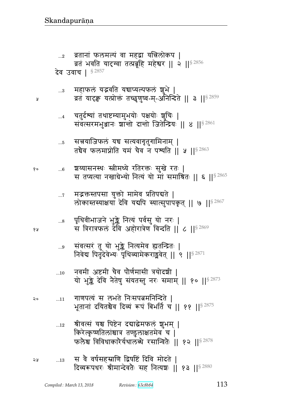- श्रीवत्सं यश्च पिष्टेन दद्याद्धेमफलं शुभम् |  $\dots 12$ किरेत्कृष्णतिलांश्चात्र तण्डुलाक्षतमेव च | फलेश्व विविधाकारेर्यथालब्धे रसान्वितेः || १२ || १२ 3878
- गाणपत्यं स लभते निःसपत्नमनिन्दिते |  $\dots$ 11  $\mathsf{Q} \circ$ भूतानां दयितश्चैव दिव्यं रूपं बिभर्ति च || ११ || 82875
- नवमी अष्टमी चैव पौर्णमासी त्रयोदशी ।  $\dots10$ यो भुङ्के देवि नैतेषु संयतस्तु नरः समाम् || १० || 8 2873
- संवत्सरं तु यो भुङ्के नित्यमेव ह्यतन्द्रितः |  $\ldots\!9$ निवेद्य पितृदेवेभ्यः पृथिव्यामेकराङ्मवेत् || ९ ||  $^{8\,2871}$
- पृथिवीभाजने भुङ्के नित्यं पर्वसु यो नरः |<br>स त्रिरात्रफलं देवि अहोरात्रेण विन्दति || ८ ||§<sup>2869</sup>  $\ldots\!8$
- मद्भक्तस्तपसा युक्तो मामेव प्रतिपद्यते |  $\dots 7$ लोकास्तस्याक्षयां देवि यद्यपि स्यात्सुपापकृतु || ७ || \$ 2867
- श्रय्यासनस्थः स्त्रीमध्ये रतिरक्तः सुखे रतः | १०  $\ldots 6$ स तप्यत्या नखाग्रेभ्यो नित्यं यो मां समाश्रितः || ६ ||<sup>§ 2865</sup>
- सत्त्रयाजिफलं यद्य सत्यवागृतुगामिनाम् |  $\dots 5$ तचैव फलमाप्नोति यमं चैव न पश्यति || ५ || $^{8\,2863}$
- चतुर्दथ्यां तथाष्टम्यामुभयोः पक्षयोः शुचिः |  $\dots 4$ संवत्सरमभुआनः शान्तो दान्तो जितेन्द्रियः || 8 || 82861
- महाफलं यद्भवति यद्याप्यल्पफलं शुभे |  $\ldots\!3$ व्रतं यादृक् यत्प्रोक्तं तच्छूणुष्व-म्-अनिन्दिते || ३ ||<sup>§ 2859</sup>

देव उवाच | §2857

व्रतानां फलमल्पं वा महद्वा यत्निलोकप |  $\dots 2$ व्रतं भवति यादग्वा तत्प्रब्रूहि महेश्वर || २ ||<sup>§ 2856</sup>

१५

Å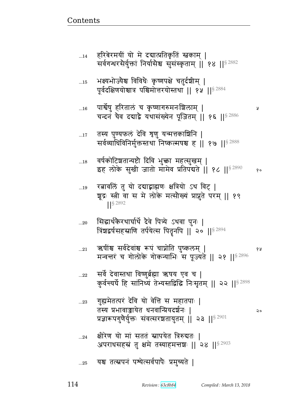|  |  |  | 25 यश्च तत्स्नपनं पश्येत्सर्वपापैः प्रमुच्यते |  |  |
|--|--|--|-----------------------------------------------|--|--|
|--|--|--|-----------------------------------------------|--|--|

- $\mathbb{L}_{24}$  क्षीरेण यो मां सततं स्नापयेत त्रिरुद्यतः । अपराधसहस्रं तु क्षमे तस्याहमन्तशः || २४ ||  $$^{2903}$
- ...23 . गुह्यमेतत्परं देवि यो वेत्ति स महातपाः | p״y Ìw{yFp sd{%ɄÌyr|@d1 ᅖ प्रज्ञारूपगुणैर्युक्तः संवत्सरशतायुतम् || २३ || $^{8\,2901}$
- $_{\rm ...22}$   $\,$  सर्वे देवास्तथा विष्णुर्ब्रह्मा ऋषय एव च | कुर्वन्यर्घे हि सांनिध्यं तेभ्यस्तद्विद्धि निःसृतम् || २२ ||<sup>§ 2898</sup>
- ...21 R}&Bு ~{@rF{Bு ؈tB bऺ/p t4ɔfex> ᅖ  मन्वत्तरं च गोलोके गोकन्याभिः स पूज्यते || २१ ||  $$^{2896}$
- ...20 सिद्धार्थकेरथार्घार्थे देवे पित्र्ये ऽथवा पुनः | त्रिंशद्वर्षसहस्राणि तर्पयेत्स पितृनपि || २० || $^{8\,2894}$
- ...19 रत्नावलिं तु यो दद्याद्वाह्मणः क्षत्रियो ऽथ विट् | शूद्रः स्त्री वा स मे लोके मत्सौख्यं प्राप्नुते परम् || १९ ||§ 2892
- ...18 = वर्षकोटिशतान्यष्टो दिवि भुक्ता महत्सुखम् । इह लोके सुखी जातो मामेव प्रतिपंद्यते | १८ | | ९२४% | १०
- ...17 तस्य पुण्यफलं देवि श्रृणु यन्मत्तकाश्चिनि | सर्वव्याधिविनिर्मुक्तस्तथा निष्कल्मषश्च ह || १७ || $^{8\,2888}$
- ...16 tౝF@}4 ^peB b f6 ɔ\_`؇xd1|ex> ᅖ चन्दनं चैव दद्याद्वे यथासंख्येन पूजितम् || १६ ||  $$^{2886}$
- ...15 भक्ष्यभोज्यैश्च विविधैः कृष्णपक्षे चतुर्दशीम् | पूर्वदक्षिणयोश्चात्र पश्चिमोत्तरयोस्तथा || १५ || $^{\$\,2884}$
- ...14 हरिबेरमयीं यो मे दद्यात्प्रतिकृतिं स्नकाम् । सर्वगन्धरसेर्युक्तां निर्यासेश्व सुसंस्कृताम् ॥ १४ ॥  $s^{2882}$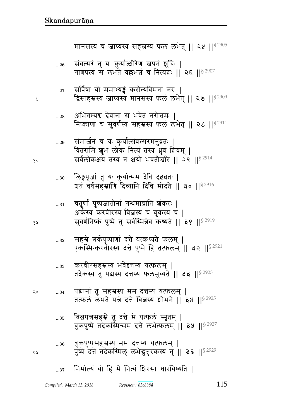|    | 33   | करवीरसहस्रस्य भवेदत्तस्य यत्फलम्  <br>तदेकस्य तु पद्मस्य दत्तस्य फलमुच्यते    ३३    <sup>§ 2923</sup>             |
|----|------|-------------------------------------------------------------------------------------------------------------------|
| २० | $34$ | पद्मानां तु सहस्रस्य मम दत्तस्य यत्फलम्  <br>तत्फल लभते पन्ने दत्ते बिलस्य शोभने    ३४    <sup>§ 2925</sup>       |
|    | 35   | बिल्वपन्नसहस्रे तु दत्ते मे यत्फलं स्मृतम्  <br>बुकपुष्पे तदेकस्मिन्मम दत्ते लभेत्फलम्    ३५    <sup>§ 2927</sup> |
| จง | 36   | बुकपुष्पसहस्रस्य मम दत्तस्य यत्फलम्  <br>पुष्पे दत्ते तदेकस्मिल् लभेद्धत्तूरकस्य तु ॥ ३६ ॥ 8 2929                 |

...32 सहस्रे बर्कपुष्पाणां दत्ते यत्कथ्यते फलम् | एकस्मिन्करवीरस्य दत्ते पुष्पे हि तत्फलम् ॥ ३२ ॥  $s^{2921}$ 

... $\mathrm{_{11}}$  and an intertional and interpretational matrix  $\bm{z}$  is a set of  $\bm{z}$ अर्कस्य करवीरस्य बिलख च बुकस्य च | १४ व्यापानिष्कं पुष्पे तु सर्वस्मिन्नेव कथ्यते || ३१ ||<sup>§ 2919</sup>

- ... $\mathrm{a}$ 0 लिङ्गपूजां तु यः कुर्यान्मम देवि दढव्रतः | शतं वर्षसहस्राणि दिव्यानि दिवि मोदते || ३० || $^{\S\,2916}$
- ...29 समार्जनं च यः कुर्यात्संवत्सरमनुव्रतः वितरामि शुभं लोक नित्यं तस्य धुवं शिवम् | <sub>१०</sub> सर्वलोकक्षये तस्य न क्षयो भवतीर्श्वारे || २९ ||<sup>§ 2914</sup>
- ... $28$  अभिगम्यश्च देवानां स भवेत नरोत्तमः | निष्काणां च सुवर्णस्य सहस्रस्य फलं लभेत् || २८ ||  $$^{2911}$
- ...27 सर्पिषा यो ममाभ्यङ्गं करोत्यविमना नरः | » द्विसाहस्रस्य जाप्यस्य मानसस्य फलं लभेत् || २७ || ९२९ ||
- ...26 संवत्सरं तु यः कुर्यात्क्षीरेण स्नपनं शुचिः | गाणपत्यं स लभते वल्लभबं च नित्यंशः || २६ || ${}^{8\,2907}$

मानसस्य च जाप्यस्य सहस्रस्य फलं लभेत् || २५ ||  $$^{2905}$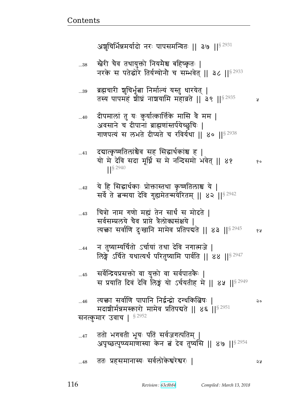$80$ 

68

२०

১১

ब्रह्मचारी शुचिर्भूत्वा निर्माल्यं यस्तु धारयेत् |  $...39$ तस्य पापमहं शीघ्रं नाशयामि महाव्रते || ३९ ||  $$^{2935}$ У दीपमालां तु यः कुर्यात्कार्त्तिके मासि वै मम |  $...40$ अवसाने च दीपानां ब्राह्मणांस्तर्पयेच्छुचिः | गाणपत्यं स लभते दीप्यते च रविर्यथा || ४० ||<sup>§ 2938</sup> दद्यात्कृष्णतिलांश्चेव सह सिद्धार्थकांश्च ह |  $\dots 41$ यो में देवि सदा मूर्ध्नि स मे नन्दिसमों भवेत् || ४१ S 2940 ये हि सिद्धार्थकाः प्रोक्तास्तथा कृष्णतिलाश्च ये |  $...42$ सर्वे ते बन्मया देवि गुह्यमेतन्मयेरितम् || ४२ || 32942 चित्रो नाम गणो मह्यं तेन सार्थं स मोदते |  $...43$ सर्वसम्प्रलये चैव प्राप्ते त्रैलोक्यसंक्षये । त्यक्ता सर्वाणि दुःखानि मामेव प्रतिपद्यते || ४३ ||<sup>§ 2945</sup> न तुष्याम्यर्चितो ऽर्चायां तथा देवि नगात्मजे |  $...44$ लिङ्गे ऽर्चिते यथात्यर्थं परितष्यामि पार्वति ।। ४४ ।।<sup>§ 2947</sup> सर्वेन्द्रियप्रसक्तो वा युक्तो वा सर्वपातकैः |  $...45$ स प्रयाति दिवं देवि लिङ्गं यो ऽर्चयतीह मे ।। ४५ ।।<sup>§ 2949</sup> त्यक्ता सर्वाणि पापानि निर्द्वन्द्वो दग्धकित्विषः ।  $...46$ मदाशीर्मन्नमस्कारो मामेव प्रतिपद्यते || ४६ ||<sup>§ 2951</sup> सनत्कुमार उवाच |  $$^{2952}$ ततो भगवती भूयः पतिं सर्वजगत्पतिम् |  $\dots 47$ अपृच्छत्पुष्प्यमाणास्या केन तं देव तुष्यसि || ४७ ||<sup>§ 2954</sup> ततः प्रहसमानास्यः सर्वलोकेश्वरेश्वरः |  $...48$ 

अश्चचिर्भिन्नमर्यादो नरः पापसमन्वितः ॥ ३७ ॥  $\mathsf{S}^{2931}$ 

नरके स पतेद्धोरे तिर्यग्योनौ च सम्भवेत् || ३८ ||§ 2933

रत्नेरी चैव तथायुक्तो नियमैश्च बहिष्कृतः |

..38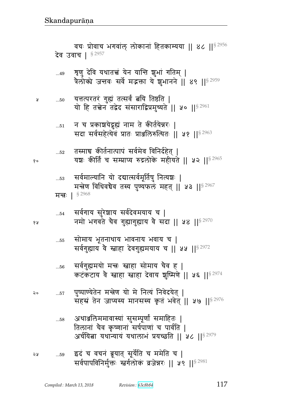- अथाञ्जलिममावास्यां सुसम्पूर्णां समाहितः |  $\dots58$ तिलानां चैव कृष्णानां सर्षपाणां च पार्वति | अर्चयित्ना यथान्यायं यथालाभं प्रयच्छति ॥ ५८ ॥<sup>§ 2979</sup>
- पुष्पाण्येतेन मन्त्रेण यो मे नित्यं निवेदयेत् | २०  $\dots 57$ सहस्रं तेन जाप्यस्य मानसस्य कृतं भवेत् || ५७ || 52976
- सर्वगुह्यमयो मन्त्रः स्त्राहा सोमाय चैव ह |  $\dots56$ कटकटाय वे स्नाहा स्नाहा देवाय शुष्मिणे || ५६ || 8 2974
- सोमाय भूतनाथाय भावनाय भवाय च |  $\dots55$ सर्वगुह्याय वै स्नाहा देवगुह्यमयाय च || ५५ ||§ 2972
- सर्वगाय सुरेशाय सर्वदेवमयाय च |  $\dots54$ नमो भगवते चैव गुह्यागुह्याय वै सदा || ५४ || ९२९७
- सर्वमाल्यानि यो दद्यात्सर्वमूर्तिषु नित्यञ्चः |  $\dots53$ मन्त्रेण विधिवचैव तस्य पुण्यफलं महत् || ५३ || $^{8\,2967}$ मन्तः | 82968
- तस्माच कीर्तनात्पापं सर्वमेव विनिर्दहेत् |  $\dots52$ यशः कीर्तिं च सम्प्राप्य रुद्रलोके महीयते || ५२ ||<sup>§ 2965</sup>
- न च प्रकाशयेद्धृह्यं नाम ते कीर्तयेन्नरः |  $\dots51$ सदा सर्वसहेत्येवं प्रातः प्राञ्जलिरुत्थितः || ५१ ||<sup>§ 2963</sup>
- यत्तत्परतरं गुह्यं तत्सर्वं त्वयि तिष्ठति |  $...50$ यो हि तत्नेन तद्वेद संसाराद्विप्रमुच्यते || ५० || 52961

Å

१०

४ प्र

शृणु देवि यथातत्त्वं येन यान्ति शुभां गतिम् |  $...49$ त्रैलोक्ये जन्तवः सर्वे मद्भक्ता ये शुभानने || ४९ || $^{\S\,2959}$ 

वचः प्रोवाच भगवांल लोकानां हितकाम्यया ।। ४८ ।।<sup>§ 2956</sup> देव उवाच | §2957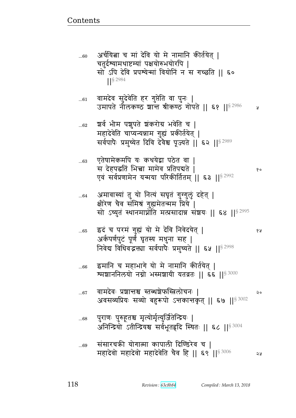| 60     | अर्चयित्ना च मां देवि यो मे नामानि कीर्तयेत्  <br>चतुर्दव्यामथाष्टम्यां पक्षयोरुभयोरपि  <br>सो ऽपि देवि प्रपश्येन्मां वियोनिं न स गच्छति    ६०<br>$1$ <sup>S</sup> 2984  |    |
|--------|--------------------------------------------------------------------------------------------------------------------------------------------------------------------------|----|
| $61$   | ्वामदेव सुदेवेति हर गुप्तेति वा पुनः  <br>उमापते नौलकण्ठ शान्त श्रीकण्ठ गोपते    ६१    <sup>§ 2986</sup>                                                                 | A  |
| $62\,$ | श्वर्व भीम पशुपते शंकरोग्र भवेति च  <br>महादेवेति चाप्यन्यन्नाम गुह्यं प्रकीर्तयेत्  <br>सर्वपापैः प्रमुच्येत दिवि देवैश्व पूज्यते ॥ ६२ ॥ 8 2989                         |    |
| 63     | एतेषामेकमपि यः कथयेद्वा पठेत वा  <br>स देहपद्धतिं भिच्चा मामेव प्रतिपद्यते  <br>एवं सर्वप्रणामेन यन्मया परिकीर्तितम्    ६३    <sup>§ 2992</sup>                          | १० |
| $64$   | अमावास्यां तु यो नित्यं सघृतं गुग्गुलुं दहेत्  <br>क्षीरेण चैव संमिश्रं गुह्यमेतन्मम प्रिये  <br>सो ऽच्युतं स्थानमाप्नोति मत्प्रसादान्न संशयः    ६४    <sup>§ 2995</sup> |    |
| 65     | इदं च परमं गुह्यं यो मे देवि निवेदयेत्  <br>अर्कपर्णपुटं पूर्णं घृतस्य मधुना सह  <br>निवेद्य विधिवद्भक्त्या सर्वपापैः प्रमुच्यते    ६५    8 2998                         | १५ |
| $66$   | इमानि च महाभागे यो मे नामानि कीर्तयेत्  <br>श्मञ्चाननिलयो नग्नो भस्मञ्चायी यतव्रतः    ६६    <sup>§ 3000</sup>                                                            |    |
| 67     | वामदेवः प्रशान्तश्च स्तब्धशेफस्त्रिलोचनः  <br>अवसव्यप्रियः सव्यो बहुरूपो ऽत्तकान्तकृत्    ६७    <sup>§ 3002</sup>                                                        | २० |
| $68\,$ | पुराणः पुरुहूतश्च मृत्योर्मृत्युर्जितेन्द्रियः  <br>अनिन्द्रियो ऽतीन्द्रियश्च सर्वभूतहृदि स्थितः    ६८    <sup>§ 3004</sup>                                              |    |
| 69     | संसारचकी योगात्मा कापाली दिण्डिरेव च  <br>महादेवो महादेवो महादेवेति चैव हि    ६९    <sup>§ 3006</sup>                                                                    | ঽ५ |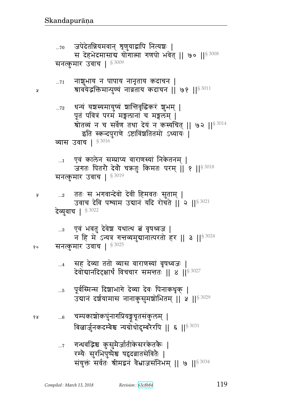- गन्धवद्भिश्च कुसुमैर्जातीकेसरकेतकैः |  $\dots 7$ रम्यैः सुरभिपुष्पेश्च षद्वद्रवातसेवितैः | संयुक्तं सर्वतः श्रीमद्वनं वैभ्राजसंनिभम् || ७ ||<sup>§ 3034</sup>
- चम्पकाशोकपुंनागप्रियङ्गचूतसंकुलम् |  $...6$ बिल्लार्जुनकदम्बेश्च न्यग्रोधोदुम्बरैरपि || ६ || 5 3031
- पूर्वस्मिन्स दिशाभागे देव्या देवः पिनाकधृक् |  $\dots 5$ उद्यानं दर्शयामास नानाकुसुमञ्जोभितम् || ५ ||<sup>§ 3029</sup>
- सह देव्या ततो व्यास वाराणस्यां वृषध्वजः |  $\dots 4$ देवोद्यानदिदृक्षार्थं विचचार समन्ततः || 8 || 3027

```
सनत्कुमार उवाच | $^{3025}१०
```
...3 एवं भवतु देवेश यथात्थ त्नं वृषध्वज | न हि मे ऽन्यत्र गत्तव्यमुद्यानात्परतो हर || ३ || $^{8\,3024}$ 

```
ततः स भगवान्देवो देवीं हिमवतः सुताम् |
 \ldots<sup>2</sup>
       उवाच देवि पश्याम उद्यानं यदि रोचते | २ || $ 3021
देव्युवाच | § 3022
```

```
एवं कालेन सम्प्राप्य वाराणस्यां निकेतनम् |
 \dots1
       जगतः पितरौ देवौ चक्रतुः किमतः परम् || १ ||<sup>§ 3018</sup>
सनत्कुमार उवाच | 53019
```

```
धन्यं यशस्यमायुष्यं शान्तिवृद्धिकरं शुभम् |
\dots 72पूतं पवित्रं परमं मङ्गलानां च मङ्गलम् |
       श्रोतव्यं न च सर्वेण तथा देयं न कस्यचित् || ७२ || 53014
          इति स्कन्दपुराणे ऽष्टाविंशतितमो ऽध्यायः |
व्यास उवाच | $^{3016}
```

```
नाशुभाय न पापाय नानृताय कदाचन |
\ldots71श्रावयेद्धक्तिमान्पुण्यं नाव्रताय कदाचन || ७१ ||^{\$3011}
```

```
सनत्कुमार उवाच | §3009
```
Å

Å

१५

जपेदेतन्नियमवान् त्रृणुयाद्वापि नित्यञ्चः |  $...70$ स देहभेदमासाब योगात्मा गणपो भवेत् || ७० || \$3008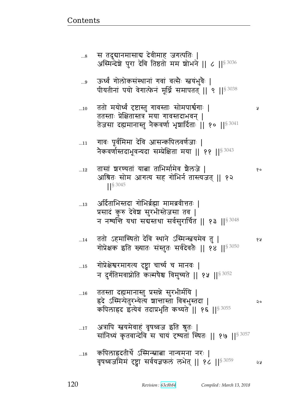- ...17 अत्रापि स्तवयमेवाहं वृषध्वज इति श्रुतः | सांनिध्यं कृतवान्देवि स चायं दृश्यतां स्थितः || १७ || $^{\$ 3057}$
- ...16 ततस्ता दह्यमानास्तु प्रसन्ने सुरभीर्मयि | ×rF %״xɄtFp4^ɐyFɊy |ഒɕp {vw4ɕpr ᅖ कपिलाहद इत्येव तदाप्रभृति कथ्यते || १६ ||§ 3055
- ...15 गोप्रेक्षेश्वरमागत्य दृष्ट्वा चार्च्य च मानवः | न दुर्गतिमवाप्नोति कल्मषैश्च विमुच्यते || १५ ||<sup>§ 3052</sup>
- ...14 pp/ x%͋qp/ rF{ ͋qdF %״xɄ໎yxF{ p4 ᅖ  गोप्रेक्षक इति ख्यातः संस्तुतः सर्वदेवतैः || १४ ||  $\frac{83050}{2}$
- ...13 अर्दिताभिस्तदा गोभिर्ब्रह्मा मामब्रवीत्ततः | प्रसादं कुरु देवेश सुरभीस्तेजसा तव | न नश्यन्ति यथा सबस्तथा सर्वसुरार्चित || १३ || $^{\$3048}$
- ...12 p~B |^ýypB yଉ pwx@xF{ |GeaF ᅖ  आश्रितः सोम आगत्य सह गोभिर्न तास्त्यजत् || १२ ᅖᅖ§ 3045
- ...11 गावः पूर्वमिमा देवि आसन्कपिलवर्णजाः | नेकवर्णास्तदाभूवन्यदा सम्प्रेक्षिता मया || ११ ||§ 3043
- ...10 pp/ xy/Ɍ{ئ सɕp4 `{ɕp1 ~/xtౝ@`1 ᅖ ततस्ताः प्रेक्षितास्तत्र मया गावस्तदाभवन् | तेजसा दह्यमानास्तु नैकवर्णा भृष्ठार्दिताः ॥ १० ॥ $^{\mathrm{S}\,3041}$
- ...9 ऊर्ध्वं गोलोकसंस्थानां गवां वत्सैः स्त्वयंभुवैः | पीयतीनां पयो वेगात्फेनं मूर्ध्नि समापतत् || ९ || ${}^{8\,3038}$
- ...8 स तदुद्यानमासाद्य देवीमाह जगत्पतिः | अस्मिन्देशे पुरा देवि तिष्ठतो मम शोभने || ८ || $^{\$3036}$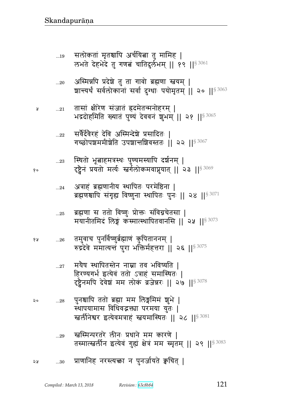- प्राणानिह नरस्त्यक्ता न पुनर्जायते क्वचित् | ২५  $...30$
- स्त्रस्मिन्परतरे लीनः प्रधाने मम कारणे |  $...29$ तस्मात्स्त्वर्लीन इत्येवं गुह्यं क्षेत्रं मम स्मृतम् || २९ ||<sup>§ 3083</sup>
- पुनश्चापि ततो ब्रह्मा मम लिङ्गमिमं शुभे |  $\ldots 28$ २० स्थापयामास विधिवद्भक्ता परमया युतः | खर्लीनेश्वर इत्येवमत्राहं स्तवयमास्थितः || २८ ||<sup>§ 3081</sup>
- मयैष स्थापितस्तेन नाम्ना तव भविष्यति |  $...27$ हिरण्यगर्भ इत्येवं ततो ऽत्राहं समास्थितः | ट्ट्वैनमपि देवेश मम लोकं व्रजेन्नरः || २७ ||<sup>§ 3078</sup>
- तमुवाच पुनर्विष्णुब्रेह्माण कुपिताननम् |  $...26\,$ १५ रुद्रदेवे ममात्यन्तं पुरा भक्तिर्महत्तरा || २६ ||<sup>§ 3075</sup>
- ब्रह्मणा स ततो विष्णुः प्रोक्तः संविग्नचेतसा |  $...25$ मयानीतमिदं लिङ्गं कंस्मात्स्थापितवानसि ॥ २५ ॥<sup>§ 3073</sup>
- अत्राहं ब्रह्मणानीय स्थापितः परमेष्ठिना |  $...24$ ब्रह्मणश्चापि संगृह्य विष्णुना स्थापितः पुनः || २४ || 53071
- स्थितो भूत्वाहमत्रस्थः पुण्यमस्यापि दर्शनम् |  $\ldots 23$ दृष्ट्वैनं प्रयतो मर्त्यः स्वर्गलोकमवाप्नुयात् || २३ ||<sup>§ 3069</sup>
- सर्वैर्देवेरहं देवि अस्मिन्देशे प्रसादितः |  $...22$ गच्छोपश्चममीश्रेति उपशान्तशिवस्ततः || २२ ||<sup>§ 3067</sup>
- तासां क्षीरेण संजातं ह्रदमेतन्मनोहरम् |  $...21\,$ भद्रदोहमिति ख्यातं पुण्यं देववनं शुभम् ॥ २१ ॥ 8 3065
- अस्मिन्नपि प्रदेशे तु ता गावो ब्रह्मणा स्तवम् |  $...20$ ञ्चान्त्यर्थं सर्वलोकानां सर्वा दुग्धाः पयोमृतम् || २० ||<sup>§ 3063</sup>
- सलोकतां मृतश्चापि अर्चयित्ना तु मामिह |  $\dots 19$ लभते देहभेदे तु गणबं चातिदुर्लभम् || १९ || 53061

१०

प्र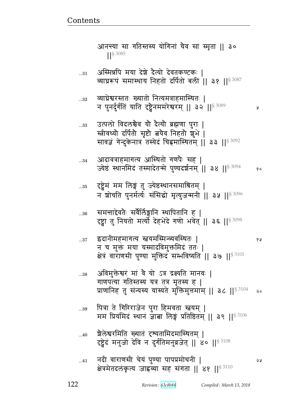- ...41 dr& {^\_~& bFyB t4ýy ttÌx/bd& ᅖ क्षेत्रमेतदलकृत्य जाह्नव्या सह संगता ।। ४१ ।।<sup>§ 3110</sup>
- ...40 श्रैलेश्वरमिति ख्यातं दृष्यतामिदमास्थितम् | दृष्ट्वेदं मनुजो देवि न दुर्गतिमनुव्रजेत् || ४० ||<sup>§ 3108</sup>
- ... $\text{\tiny 39}$  पित्रा ते गिरिराजेन पुरा हिमवता स्त्वयम् | मम प्रियमिद स्थान ज्ञाबा लिङ्ग प्रतिष्ठितम् || ३९ ||  $$^{3106}$
- ... $^{38}$  अविमुक्तेश्वरं मां वै यो ऽत्र द्रक्ष्यति मानवः | गाणपत्या गतिस्तस्य यत्र तत्र मृतस्य ह | प्राणानिह तु संन्यस्य यास्यते मुक्तिमुत्तमाम् || ३८ ||<sup>§ 3104</sup> २०
- ...37 Nrd&xx`Ɋy ໎yx%״xɄɓy{%͋qp1 ᅖ  न च मुक्तं मया यस्मादविमुक्तमिदं ततः | क्षेत्रं वाराणसी पुण्या मुक्तिदं सम्भविष्यति || ३७ || $^{\$~3101}$
- ...36 समन्ताद्देवतैः सर्वैर्लिङ्गानि स्थापितानि ह | दृष्ट्वा तु नियतो मर्त्यो देहभेदे गणो भवेत् || ३६ ||§ 3098
- ...35 दृष्ट्वेमं मम लिङ्गं तु ज्येष्ठस्थानसमाश्रितम् | न शोर्चाते पुनर्मर्त्यः संसिद्धो मृत्युजन्मनी || ३५ ||<sup>§ 3096</sup>
- ...34 आदावत्राहमागत्य आस्थितो गणपैः सह | ज्येष्ठं स्थानमिदं तस्मादेतन्मे पुण्यदर्शनम् ॥ ३४ ॥  $s^{3094}$  %
- ...33 उत्पलो विदलश्चैव यो दैत्यो ब्रह्मणा पुरा | स्त्रीवध्यो दर्पितो सृष्टो बयेव निहतो शुभे | सावज्ञं गेन्दुकेनात्र तस्येदं चिह्नमास्थितम् || ३३ ||<sup>§ 3092</sup>
- ...32 व्याघ्रेश्वरस्ततः ख्यातो नित्यमत्राहमास्थितः | न पुनर्दुर्गतिं याति दृष्ट्वेनममरेश्वरम् || ३२ ||<sup>§ 3089</sup> छ ।
- ...31 अस्मिन्नपि मया देशे दैत्यो देवतकण्टकः | व्याघ्ररूपं समास्थाय निहतो दर्पितो बली || ३१ ||<sup>§ 3087</sup>
- आनन्त्या सा गतिस्तस्य योगिनां चैव सा स्मृता ॥ ३० ||§ 3085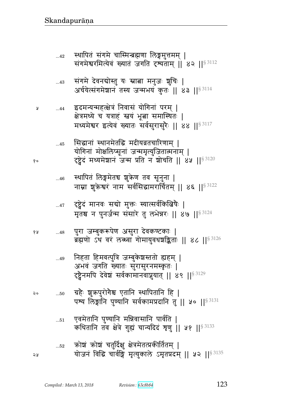|    |            | ब्रह्मणा उथ वर लब्ब्वा गामायुवयञ्चाङ्कताः ।। ४८ ।। $^{\mathrm{3\,GHz}}$                                                                  |
|----|------------|------------------------------------------------------------------------------------------------------------------------------------------|
|    | 49         | निहता हिमवत्पुत्रि जम्बुकेशस्ततो ह्यहम्  <br>अभवं जगति ख्यातः सुरासुरनमस्कृतः  <br>दृष्ट्वेनमपि देवेश सर्वकामानवाप्नुयात्    ४९    53129 |
| २० | $\ldots50$ | ग्रहैः शुक्रपुरोगैश्च एतानि स्थापितानि हि  <br>पश्य लिङ्गानि पुण्यानि सर्वकामप्रदानि तु    ५०    53131                                   |
|    | $\dots51$  | एवमेतानि पुण्यानि मन्निवासानि पार्वति  <br>कथितानि तब क्षेत्रे गुह्यं चान्यदिदं शृणु    ५१    § 3133                                     |
| ১১ | $\dots52$  | कोश्चं कोश्चं चतुर्दिक्षु क्षेत्रमेतत्प्रकीर्तितम्  <br>योजनं विद्धि चार्वङ्गि मृत्युकाले ऽमृतप्रदम्    ५२    <sup>§ 3135</sup>          |

- पुरा जम्बुकरूपेण असुरा देवकण्टकाः |<br>———————————————————— १५  $...48$  $11 \times 1183126$
- दृष्ट्वेदं मानवः सबो मुक्तः स्यात्सर्वकित्बिषैः |  $...47$ मृतश्च न पुनर्जन्म संसारे तु लभेन्नरः || ४७ || \$ 3124
- स्थापितं लिङ्गमेतच शुक्रेण तव सूनुना |  $...46$ नाम्ना शुक्रेश्वरं नाम सर्वसिद्धामरार्चितम् || ४६ ||<sup>§ 3122</sup>
- सिद्धानां स्थानमेतद्धि मदीयव्रतचारिणाम् |  $...45$ योगिनां मोक्षलिप्सूनां जन्ममृत्युजितात्मनाम् | दृष्टेदं मध्यमेशानं जन्म प्रति न शोर्चाते || ४५ || \$ 3120
- इदमन्यन्महत्क्षेत्रं निवासं योगिनां परम् |  $...44$ क्षेत्रमध्ये च यत्राहं स्त्वयं भूत्वा समास्थितः | मध्यमेश्वर इत्येवं ख्यातः सर्वसुरासुरैः || ४४ || 3117

Å

१०

- संगमे देवनबोस्तु यः स्नात्ना मनुजः शुचिः |  $...43$ अर्चयेत्संगमेशानं तस्य जन्मभयं कुतः || ४३ ||<sup>§ 3114</sup>
- स्थापितं संगमे चास्मिन्ब्रह्मणा लिङ्गमुत्तमम् |  $...42$ संगमेश्वरमित्येवं ख्यातं जगति दृश्यताम् ॥ ४२ ॥  ${}^{83112}$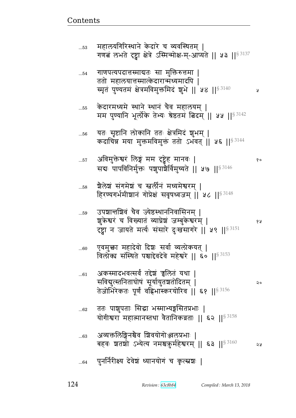|    | $100$ O $-$ O $-$ 1 $\sqrt{11}$ $\sqrt{11}$ $1 \sqrt{11}$ $1 \sqrt{11}$ $1 \sqrt{11}$ $1 \sqrt{11}$ $1 \sqrt{11}$<br>बहवः शतशो ऽभ्येत्य नमश्चकुर्महेश्वरम्    ६३   § 3160 | จง |
|----|---------------------------------------------------------------------------------------------------------------------------------------------------------------------------|----|
| 64 | पुनर्निरीक्ष्य देवेश्चं ध्यानयोगं च कृत्स्नशः                                                                                                                             |    |

...63 Lɓy୯edுG{ |{y/`/eÌw1 ᅖ

- ...62 ततः पाशुपताः सिद्धा भस्माभ्यङ्गसितप्रभाः | योगीश्वरा महात्मानस्तथा वैतानिकव्रताः || ६२ ||  $s^{3158}$
- ...61 अकस्मादभवत्सर्वं तद्देश्चं च्चलितं यथा | ~{ళ4Ɋɕpdph/}B ~5y@y4p|p/rpx> ᅖ तेजोभिरेकतः पूर्णं वह्निभास्करयोरिव || ६१ ||  ${}^{8\,3156}$
- ...60 एवमुक्ता महादेवो दिशः सर्वा व्यलोकयत् | विलोका संस्थिते पश्चाद्देवदेवे महेश्वरे || ६० ||  $s^{3153}$
- ...59 उपञ्चान्तञ्चिवं चैव ज्येष्ठस्थाननिवासिनम् | |4¾F ౝ^B b {ɇypB ɓyÀF|B aɑv4fF ౝ^x> ᅖ  दृष्ट्वा न जायते मर्त्यः संसारे दुःखसागरे || ५९ ||<sup>§ 3151</sup>
- ...58 शैलेशं संगमेशं च स्तर्लीनं मध्यमेश्वरम् | हिरण्यगर्भमीशानं गोप्रेक्षं सवृषध्वजम् | | ५८ |  $|S|^{3148}$
- ...57 L{x4୯F ౝ^B eB xx ࣸF xd{1 ᅖ  सद्यः पापविनिर्मुक्तः पशुपाश्चैर्विमुच्यते || ५७ ||  $s^{3146}$
- ...56 यतः सृष्टानि लोकानि ततः क्षेत्रमिदं शुभम् | कदाचिन्न मया मुक्तमविमुक्तं ततो ऽभवत् || ५६ || $^{\$3144}$
- ...55 केदारमध्यमे स्थाने स्थानं चैव महालयम् । मम पुण्यानि भूर्लोके तेभ्यः श्रेष्ठतमं बिदम् ॥ ५५ ॥  $83142$
- ... $_{54}$  वाणपत्यपदात्तस्माद्यतः सा मुक्तिरुत्तमा | ततो महालयात्तस्मात्केदारान्मध्यमादपि | ״x6pB t4ýypxB FÈx{x4୯xrB |4wF ᅖᅖ ᅖᅖ§ 3140
- ... $_{53}$  महालयगिरिस्थाने केदारे च व्यवस्थितम् | गणबं लभते दृष्ट्वा क्षेत्रे ऽस्मिन्मोक्ष-म्-आप्यते || ५३ ||  $s^{3137}$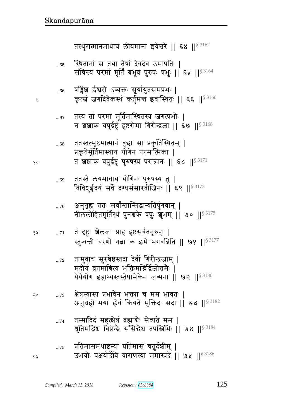श्रुतिमद्भिश्च विप्रेन्द्रैः संसिद्धेश्च तपस्त्रिभिः || ७४ ||<sup>§ 3184</sup> प्रतिमासमथाष्टम्यां प्रतिमासं चतुर्दशीम् ।  $\dots75$ उभयोः पक्षयोर्देवि वाराणस्यां ममास्पदे || ७५ ||§ 3186 จง

तस्मादिदं महत्क्षेत्रं ब्रह्मादैः सेव्यते मम |

- क्षेत्रस्यास्य प्रभावेन भक्त्या च मम भावतः |  $\dots73$ अनुग्रहो मया ह्येवं क्रियते मुक्तिदः सदा || ७३ ||§ 3182
- तामुवाच सुरश्रेष्ठस्तदा देवीं गिरीन्द्रजाम् |  $\dots 72$ मदीयं व्रतमाश्रित्य भक्तिमद्भिर्द्विजोत्तमैः । यैर्यैर्योग इहाभ्यस्तस्तेषामेकेन जन्मना || ७२ || $^{\$3180}$
- तं दृष्ट्वा शैलजा प्राह हृष्टसर्वतनूरुहा |  $...71$ स्तुन्वन्ती चरणौ गत्ना क इमे भगवन्निति || ७१ || 53177
- अनुगृह्य ततः सर्वांस्तान्सिद्धान्यतिपुंगवान् |  $...70$ नीललोहितमूर्तिस्थं पुनश्चके वपुः शुभम् || ७० || \$ 3175
- ततस्ते लयमाधाय योगिनः पुरुषस्य तु | ...69 विविशुर्हृदयं सर्वे दग्धसंसारबीजिनः || ६९ ||<sup>§ 3173</sup>
- ततस्तत्सृष्टमात्मानं बुद्धा सा प्रकृतिस्थितम् |  $...68\,$ प्रकृतेर्मूर्तिमास्थाय योगेन परमात्मिका | तं शशाक वपुर्द्रष्टुं पुरुषस्य परात्मनः || ६८ ||  ${}^{83171}$
- तस्य तां परमां मूर्तिमास्थितस्य जगत्प्रभोः |  $...67$ न शशाक वपुर्द्रष्टुं हृष्टरोमा गिरीन्द्रजा || ६७ ||  $$^{3168}$
- षड्विंश ईश्वरो ऽव्यक्तः सूर्यायुतसमप्रभः |  $...66$ कृत्स्नं जगदिवैकस्थं कर्तुमत्त इवास्थितः || ६६ ||<sup>§ 3166</sup>
- स्थितानां स तथा तेषां देवदेव उमापतिः |  $...65$ संचिन्त्य परमां मूर्तिं बभूव पुरुषः प्रभुः || ६५ || 53164

तस्थुरात्मानमाधाय लीयमाना इवेश्वरे || ६४ || 83162

 $90$ 

१५

२०

 $\dots 74$ 

¥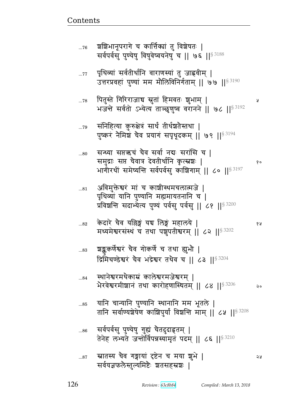|           | $\mathbf{F}$ runnelled the set of the set of $\mathbf{F}$<br>प्रविशन्ति सदाभ्येत्य पुण्यं पर्वसु पर्वसु    ८१    53200 |   |
|-----------|------------------------------------------------------------------------------------------------------------------------|---|
| $\dots82$ | केदारे चैव यल्लिङ्गं यद्य लिङ्गं महालये  <br>मध्यमेश्वरसंस्थं च तथा पशुपतीश्वरम्    ८२    53202                        | ୧ |
| 83        | श्चङ्कर्कर्णेश्वरं चैव गोकर्णे च तथा ह्युभौ  <br>द्रिमिचण्डेश्वरं चैव भद्रेश्वर तथैव च    ८३    <sup>§ 3204</sup>      |   |
| $84$      | स्थानेश्वरमथैकाम्रं कालेश्वरमजेश्वरम्  <br>भैरवेश्वरमीशानं तथा कारोहणास्थितम्    ८४    53206                           |   |
| 85        | यानि चान्यानि पुण्यानि स्थानानि मम भूतले  <br>तानि सर्वाण्यशेषेण काशिपुर्यां विशक्ति माम्    ८५    § 3208              |   |
| $\dots86$ | सर्वपर्वसु पुण्येषु गुह्यं चैतदुदाहृतम्  <br>तेनेह लभ्यते जन्तोर्विपन्नस्यामृतं पदम्    ८६    <sup>§ 3210</sup>        |   |
| 87        | स्नातस्य चैव गङ्गायां दृष्टेन च मया शुभे  <br>सर्वयज्ञफलैस्तुल्यमिष्टैः शतसहस्रशः                                      | Q |

अविमुक्तेश्वरं मां च काशीस्थमचलात्मजे |<br>पथिव्यां यानि पण्यानि महामायतनानि च ।  $\ldots81$ 

सन्ध्या सप्तऋचं चैव सर्वा नद्यः सरांसि च |  $...80$ समुद्राः सप्त चैवात्र देवतीर्थानि कृत्स्रशः | १० भागीरथीं समेष्यन्ति सर्वपर्वसु काशिगाम् || ८० ||§<sup>3197</sup>

संनिहित्या कुरुक्षेत्रं सार्धं तीर्थञ्चतैस्तथा |  $...79$ पुष्करं नैमिशं चैव प्रयागं सपृथूदकम् ॥ ७९ ॥  $^{\$3194}$ 

पितुस्ते गिरिराजाच स्रुतां हिमवतः शुभाम् |  $...78$ भजन्ते सर्वतो ऽभ्येत्य ताञ्छूणुष्व वरानने || ७८ || 53192

पृथिव्यां सर्वतीर्थानि वाराणस्यां तु जाह्नवीम् |  $...77$ उत्तरप्रवहां पुण्यां मम मौलिविनिर्गताम् || ७७ || \$3190

शशिभानूपरागे च कार्त्तिक्यां तु विशेषतः |  $...76$ सर्वपर्वस् पुण्येषु विषुवेष्वयनेषु च || ७६ || \$3188

Å

Å

Ã

 $\circ$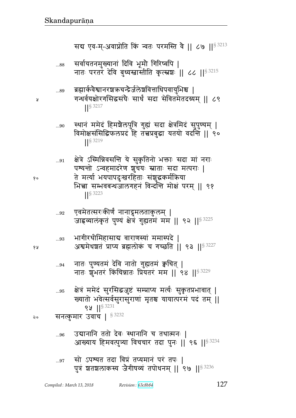- सो ऽपश्यत तदा विप्रं तप्यमानं परं तपः |  $\ldots\!97$ पुत्रं शतशलाकस्य जैगीषव्यं तपोधनम् ॥ ९७ ॥  $\frac{83236}{900}$
- आख्याय हिमवत्पुत्र्या विचचार तदा पुनः || ९६ ||§ 3234
- उद्यानानि ततो देवः स्थानानि च तथात्मनः | ...96
- क्षेत्रं ममेदं सुरसिद्धजुष्टं सम्प्राप्य मर्त्यः सुकृतप्रभावात् |  $...95$ ख्यातो भवेत्सर्वसुरासुराणां मृतश्च यायात्परमं पदं तम् || 8 3231 सनत्कुमार उवाच | 53232
- नातः शुभतरं किंचिन्नातः प्रियतरं मम ।। ९४ ।।<sup>§ 3229</sup>
- नातः पुण्यतमं देवि नातो गुह्यतमं क्वचित् |  $\ldots\!94$
- भागीरथीमिहासाब वाराणस्यां ममास्पदे |  $...93$ अश्वमेधशतं प्राप्य ब्रह्मलोकं च गच्छति || ९३ || 53227
- एवमेतत्सरःकीर्णं नानाद्रुमलताकुलम् |  $\ldots 92$ जाह्रव्यालंकृतं पुण्यं क्षेत्रं गुह्यतमं मम || ९२ ||<sup>§ 3225</sup>
- ते मर्त्या भयपापदुःखरहिताः संशुद्धकर्मक्रिया भिच्चा सम्भवबन्धजालगहनं विन्दन्ति मोक्षं परम् ।। ९१  $\frac{1}{5}$  3223
- स्थानं ममेदं हिमशैलपुत्रि गुह्यं सदा क्षेत्रमिदं सुपुण्यम् |  $...90$ विमोक्षसंसिद्धिफलप्रदं हि तत्त्वप्रबुद्धा यतयो वदन्ति || ९०  $\left| \right|$  \$ 3219

क्षेत्रे ऽस्मिन्निवसन्ति ये सुकृतिनो भक्ताः सदा मां नराः

पश्यन्तो ऽन्वहमादरेण शुचयः स्नाताः सदा मत्पराः |

- ब्रह्मार्कवैश्वानरञ्चऋचन्द्रैर्जलेञ्चवित्ताधिपवायुभिश्च |  $...89$ गन्धर्वयक्षोरगसिद्धसंघैः सार्धं सदा सेवितमेतदग्र्यम् ॥ ८९  $\left| \right|$  \  $\frac{3217}{5}$
- सर्वायतनमुख्यानां दिवि भूमौ गिरिष्वपि |  $...88$ नातः परतरं देवि बुध्यस्त्रास्तीति कृत्स्नशः || ८८ || § 3215

सब एव-म-अवाप्नोति किं न्वतः परमस्ति वै ।। ८७ ।।<sup>§ 3213</sup>

Я

१०

६ २

२०

 $...91$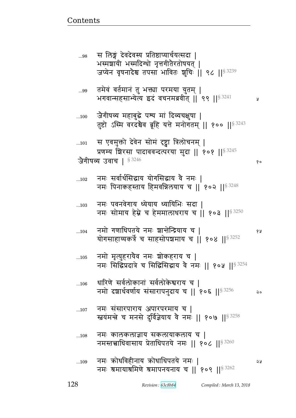| .108 | नमः कालकलाज्ञाय सकलायाकलाय च  <br>नमस्तत्त्वाधिवासाय प्रेताधिपतये नमः    १०८    8 3260       |    |
|------|----------------------------------------------------------------------------------------------|----|
| .109 | नमः क्रोधविहीनाय क्रोधाधिपतये नमः  <br>नमः श्रमायाश्रमिणे श्रमापनयनाय च    १०९    $8^{3262}$ | จง |

- नमः संसारपाराय अपारपरमाय च |  $...107$ स्त्वयमन्त्रे च मनसे दुर्विज्ञेयाय वे नमः || १०७ || 53258
- धारिणे सर्वलोकानां सर्वलोकेश्वराय च |  $...106$ नमो दशार्थवर्णाय संसारापनुदाय च || १०६ ||  $s^{3256}$  $\mathsf{Q} \circ$
- नमो मृत्युहरायैव नमः शोकहराय च |  $...105$ नमः सिद्धिप्रदात्रे च सिद्धिसिद्धाय वे नमः || १०५ ||  $^{83254}$
- नमो गणाधिपतये नमः शान्तेन्द्रियाय च |  $...104$ १५ योगसाहाय्यकर्त्रे च साहसोपश्चमाय च | १०४ || § 3252
- नमः पवनवेगाय ध्येयाय ध्यायिभिः सदा |  $...103$ नमः सोमाय हेम्ने च हेममालाधराय च || १०३ || \$3250
- नमः सर्वार्थसिद्धाय योगसिद्धाय वै नमः |  $...102$ नमः पिनाकहस्ताय हिमवन्निलयाय च || १०२ || 83248
- स एवमुक्तो देवेन सोमं दृष्ट्वा त्रिलोचनम् |  $...101$ प्रणम्य शिरसा पादाववन्दत्परया मुदा || १०१ ||  $^{83245}$ जैगीपव्य उवाच | §3246
- जैगीपव्य महाबुद्धे पश्य मां दिव्यचक्षुषा |  $...100$ तुष्टो ऽस्मि वरदश्चैव ब्रूहि यत्ते मनोगतम् || १०० || 53243
- तमेवं वर्तमानं तु भक्त्या परमया युतम् |  $...99$ भगवान्सहसाभ्येत्य इदं वचनमब्रवीत् | ९९ | | 53241 y
- स लिङ्गं देवदेवस्य प्रतिष्ठाप्यार्चयत्सदा | ...98 भस्मशायी भस्मदिग्धो नृत्तगीतेरतोषयत् | जप्येन वृषनादेश्च तपसा भावितः शुचिः ॥ ९८ ॥  $8^{3239}$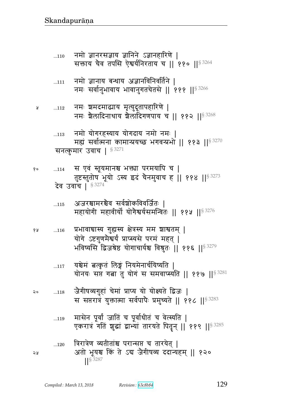त्रिरात्रेण व्यतीतांश्च परान्सप्त च तारयेत् |  $\dots120$ अतो भूयश्च किं ते ऽद्य जैगीषव्य ददान्यहम् || १२० ২५ S 3287

- मासेन पूर्वां जातिं च पूर्वाधीतं च वेत्स्यति |  $...119$ एकरात्रं गतिं शुद्धां द्वाभ्यां तारयते पितृन् || ११९ || 53285
- जैगीपव्यगुहां चेमां प्राप्य यो योक्ष्यते द्विजः | २०  $...118$ स सप्तरात्रं युक्तात्मा सर्वपापैः प्रमुच्यते ॥ ११८ ॥ 53283
- यश्चेमं त्वत्कृतं लिङ्गं नियमेनार्चयिष्यति |  $...117$ योनयः सप्त गत्ना तु योगं स समवाप्स्यति || ११७ || ${}^{3281}$
- प्रभावाचास्य गुह्यस्य क्षेत्रस्य मम शाश्वतम् |  $...116$ योगे ऽष्टगुणमैश्वर्यं प्राप्स्यसे परमं महत् | भविष्यसि द्विजश्रेष्ठ योगाचार्यश्च विश्रुतः || ११६ ||§ 3279
- अजरश्चामरश्चेव सर्वशोकविवर्जितः |  $...115$ महायोगी महावीर्यो योगैश्वर्यसमन्वितः || ११५ || 83276
- स एवं स्तूयमानश्च भक्त्या परमयापि च |  $80$  $...114$ तुष्टस्तुतोष भूयो ऽस्य इदं चैनमुवाच ह || ११४ || 53273 देव उवाच | §<sup>3274</sup>
- नमो योगरहस्याय योगदाय नमो नमः |  $...113$ महां सर्वात्मना कामान्प्रयच्छ भगवन्प्रभो || ११३ ||  $$^{3270}$ सनत्कुमार उवाच |  $$^{3271}$
- नमः शमदमाद्याय मृत्युदूतापहारिणे |  $...112$ नमः शैलादिनाथाय शैलादिगणपाय च || ११२ ||§ 3268

५

6 A

- नमो ज्ञानाय बन्धाय अज्ञानविनिवर्तिने |  $...111$ नमः सर्वानुभावाय भावानुगतचेतसे || १११ ||<sup>§ 3266</sup>
- नमो ज्ञानरसज्ञाय ज्ञानिने ऽज्ञानहारिणे |  $...110$ सक्ताय चैव तपसि ऐश्वर्यनिरताय च || ११० ||<sup>§ 3264</sup>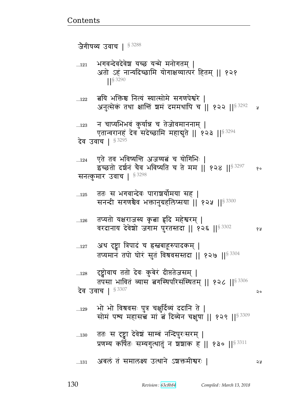| 126          | तप्यतो यक्षराजस्य कृबा हृदि महेश्वरम्  <br>वरदानाय देवेशो जगाम पुरतस्तदा    १२६    53302                                         | 8A |
|--------------|----------------------------------------------------------------------------------------------------------------------------------|----|
| $\dots 127$  | अथ दृष्ट्वा त्रिपादं च हस्नबाहूरुपादकम्  <br>तप्यमानं तपो घोरं सुतं विश्रवसस्तदा    १२७    53304                                 |    |
| 128          | ट्ट्वोवाच ततो देवः कुबेरं दीप्ततेजसम्  <br>तपसा भावितं व्यास तगस्थिपरिसंस्थितम्    १२८    <sup>§ 3306</sup><br>देव उवाच   § 3307 | २० |
| 129          | भो भो विश्रवसः पुत्र चक्षुर्दिव्य ददानि ते  <br>सोमं पश्य महासच्चे मां बं दिव्येन चक्षुषा    १२९    53309                        |    |
| $\dots\!130$ | ततः स दृष्ट्वा देवेशं साम्बं नन्दिपुरःसरम्  <br>प्रणम्य कर्षितः सम्यगुत्थातुं न शशाक ह    १३०    <sup>§ 3311</sup>               |    |
| 131          | अबलं तं समालक्ष्य उत्थाने ऽशक्तमीश्वरः                                                                                           | จง |

...125 वतः सं भगवान्दवः पाराशयामया सह | सनन्दी सगणश्चैव भक्तानुग्रहलिप्सया || १२५ || $^{\$~3300}$ 

...124 एते तव भविष्यन्ति अजय्यत्नं च योगिभिः | इंच्छतो दर्शनं चैव भविष्यति च ते मम || १२४ ||§ 3297 % सनत्कुमार उवाच |  $$^{3298}$ 

... $_{123}$  वाप्यभिभवं कुर्यान्न च तेजोवमाननाम् | एतान्वरानहं देव सदेच्छामि महाबुते || १२३ ||<sup>§ 3294</sup> देव उवाच |  $^{\S\,3295}$ 

...122 बयि भक्तिश्च नित्यं स्यात्सोमे सगणपेश्वरे | अनुत्सेकं तथा क्षान्तिं श्वमं दममथापि च $\,$  || १२२ || $^{8\,3292}$  2

... $_{121}$  भगवन्देवदेवेश यच्छ यन्मे मनोगतम् | अतो ऽहं नान्यदिच्छामि योगाक्षय्यात्परं हितम् || १२१ ᅖᅖ§ 3290

जेगीपव्य उवाच |  $$^{3288}$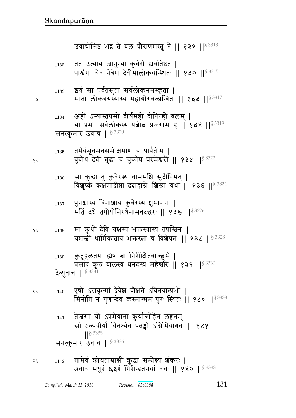Я

१०

|    | सनत्कुमार उवाच   $$^{3336}$                                                                                       |
|----|-------------------------------------------------------------------------------------------------------------------|
| จะ | 142 तामेवं कोधताम्राक्षीं कुद्धां सम्प्रेक्ष्य शंकरः  <br>उवाच मधुरं श्लक्ष्णं गिरीन्द्रतनयां वचः    १४२    53338 |

- तेजसां यो ऽप्रमेयानां कुर्यान्मोहेन लङ्घनम् |  $...141$ सो ऽल्पवीर्यो विनश्येत पतङ्गो ऽग्निमिवागतः ॥ १४१ **IIS 3335**
- एषो ऽसकृन्मां देवेश वीक्षते ऽविनयात्प्रभो | ২०  $...140$ मिनोति न गुणान्देव कस्मान्मम पुरः स्थितः || १४० || 53333
- कुतूहलतया होष तां निरीक्षितवाञ्छुभे |  $...139$ प्रसादं कुरु बालस्य धनदस्य महेर्श्वारे || १३९ || 53330 देव्यवाच | § 3331
- मा कुधो देवि यक्षस्य भक्तस्यास्य तपस्त्रिनः | १५  $\dots\!138$ यशस्त्री धार्मिकश्चाय भक्तस्त्वां च विशेषतः ॥ १३८ ॥ 83328
- पुनश्चास्य विनाशाय कुबेरस्य शुभानना |  $...137$ मतिं दधे तपोयोनिरथैनामवदद्धरः || १३७ || \$ 3326
- सा कुद्धा तु कुबेरस्य वाममक्षि सुदीप्तिमत् |  $\dots\!136$ विशुष्कं कक्षमादीप्ता ददाहाग्नेः शिखा यथा || १३६ ||<sup>§ 3324</sup>
- तमेवंभूतमनसमीक्षमाणं च पार्वतीम् |  $...135$ बुबोध देवी बुद्धा च चुकोप परमेश्वरी || १३५ || 53322
- अहो ऽस्यास्तपसो वीर्यमहो दीप्तिरहो बलम् |  $...134$ या प्रभोः सर्वलोकस्य पत्नीत्वं प्रजगाम ह || १३४ ||<sup>§ 3319</sup> सनत्कमार उवाच | § 3320
- इयं सा पर्वतसुता सर्वलोकनमस्कृता |  $...133$ माता लोकत्रयस्यास्य महायोगबलान्विता || १३३ ||<sup>§ 3317</sup>
- तत उत्थाय जानुभ्यां कुबेरो ह्यवतिष्ठत |  $...132$ पार्श्वगां चैव नेत्रेण देवीमालोकयन्स्थितः || १३२ || 83315

उवाचोत्तिष्ठ भद्रं ते बलं पौराणमस्तु ते || १३१ ||<sup>§ 3313</sup>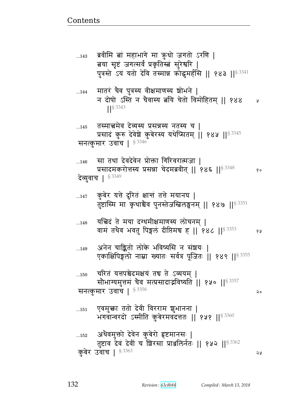बया सृष्टं जगत्सर्वं प्रकृतिस्बं सुरेश्वरि | पुत्रस्ते ऽयं यतो देवि तस्मान्न कोद्धमर्हसि || १४३ ||<sup>§ 3341</sup> मातरं चैव पुत्रस्य वीक्षमाणस्य श्रोभने |  $\dots144$ न दोषो ऽस्ति न चैवास्य बयि चेतो विमोहितम् || १४४ y  $\frac{1}{5}$  3343 तस्मात्तमेव देव्यस्य प्रसन्नस्य नतस्य च |  $...145$ प्रसादं कुरु देवेशे कुबेरस्य यथेप्सितम् || १४५ ||§ 3345 सनत्कुमार उवाच |  $$^{3346}$ सा तथा देवदेवेन प्रोक्ता गिरिवरात्मजा |  $...146$ प्रसादमकरोत्तस्य प्रसन्ना चेदमब्रवीत् || १४६ || § 3348  $\delta$  o देव्युवाच | 8 3349 कुबेर यत्ते दुरितं क्षान्तं तत्ते मयानघ |  $...147$ तुष्टास्मि मा कृथाश्चैव पुनस्तेजस्तिलङ्घनम् || १४७ ||  ${}^{83351}$ यत्तिदं ते मया दग्धमीक्षमाणस्य लोचनम ।  $...148$ वामं तथैव भवतु पिङ्गलं दीप्तिमच ह || १४८ || 53353 १५ अनेन चाङ्कितो लोके भविष्यसि न संशयः |  $...149$ एकाक्षिपिङ्गलो नाम्ना ख्यातः सर्वत्र पूजितः || १४९ ||<sup>§ 3355</sup> चरितं यत्तपश्चेदमक्षयं तद्य ते ऽव्ययम् |  $...150$ सौभाग्यमुत्तमं चैव मत्प्रसादाद्भविष्यति || १५० ||<sup>§ 3357</sup> सनत्कुमार उवाच | 83358 २० एवमुक्ता ततो देवी विरराम शुभानना |  $...151$ भगवान्वरदो ऽस्मीति कुबेरमवदत्ततः || १५१ || 83360 अथैवमुक्तो देवेन कुबेरो हृष्टमानसः |  $...152$ तुष्टाव देवं देवीं च शिरसा प्राअलिर्नतः || १५२ ||§ 3362 कुबेर उवाच | § 3363 จะ

ब्रवीमि बां महाभागे मा क़ुधो जगतो ऽरणि |

 $...143$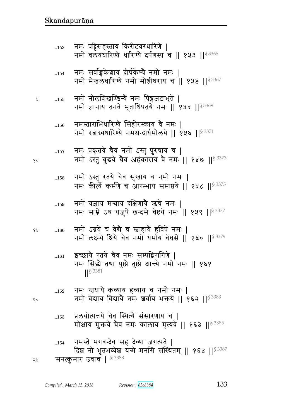|    |     | मोक्षाय मुक्तये चैव नमः कालाय मृत्यवे    १६३   § 3385                                                   |
|----|-----|---------------------------------------------------------------------------------------------------------|
|    | 164 | नमस्ते भगवन्देव सह देव्या जगत्पते  <br>दिश नो भूतभव्येश यन्मे मनसि संस्थितम्    १६४   § <sup>3387</sup> |
| ১১ |     | सनत्कुमार उवाच   § 3388                                                                                 |

...163 प्रलयोत्पत्तये चैव स्थित्यै संसारणाय च |

- ...162 नमः स्त्वधायै कव्याय हव्याय च नमो नमः | २० विमा वेद्याय विद्यायै नमः शर्वाय भक्तये || १६२ || १९३
- ...161  $\;$  इच्छाये रतये चैव नमः सम्पद्विरागिणे | नमः सिद्धे तथा पुष्टो तुष्टो क्षान्त्ये नमो नमः || १६१ ||§ 3381
- १४ ...160 नमो ऽग्नये च वेद्यै च स्त्राहायै हविषे नमः | नमो लक्ष्म्ये श्रिये चैव नमो धर्माय वेधसे || १६० ||  $s^{3379}$
- ...159 नमो यज्ञाय मन्त्राय दक्षिणाये ऋचे नमः | नमः साम्ने ऽथ यजुषे छन्दसे चेष्टये नमः || १५९ ||  $s^{3377}$
- ...158 नमा ऽस्तु रतय चव सुखाय च नमा नमः | नमः कीर्त्यै कर्मणे च आरम्भाय समाप्तये || १५८ ||<sup>§ 3375</sup>
- ...157 नमः प्रकृतये चैव नमो ऽस्तु पुरुषाय च | १० विमा अस्तु बुद्धये चैव अहंकाराय वे नमः || १५७ || १३७
- ...156 नमस्ताराभिधारिण्यै सिंहोरस्काय वै नमः | नमो रत्नाग्र्यधारिण्ये नमश्चन्द्रार्धमोलये || १५६ || $^{\$, 3371}$
- <u>५ …155</u> नमो नीलग्निखण्डिन्यै नमः पिङ्गजटाभृते | नमो ज्ञानाय तनवे भूताधिपतये नमः || १५५ || $83369$
- ...154 विमः सर्वाङ्गकेशाय दीर्घकेश्ये नमो नमः | नमो मेखलधारिण्ये नमो मोञ्जीधराय च || १५४ || $\$$  3367
- ... $_{153}$  नमः पट्टिसहस्ताय किरीटवरधारिणे | नमो वलॅयधारिण्ये धारिण्ये दर्पणस्य च || १५३ || $83365$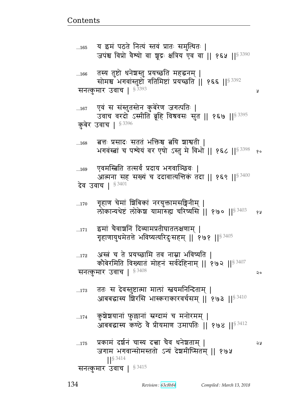Å

२०

 $...174$ 

ततः स देवस्तुष्टात्मा मालां स्नयमनिन्दिताम् |  $...173$ आबबद्धास्य शिरसि भास्कराकारवर्चसम् || १७३ ||<sup>§ 3410</sup>

कुशेशयानां फुल्लानां स्रग्दामं च मनोरमम् |

- अस्त्रं च ते प्रयच्छामि तव नाम्ना भविष्यति |  $...172$ कौबेरमिति विख्यातं मोहनं सर्वदेहिनाम् || १७२ || \$3407 सनत्कुमार उवाच | 53408
- इमां चैवाशनिं दिव्यामप्रतीघातलक्षणाम् |  $...171$ गृहाणायुधमेतत्ते भविष्यत्यरिदुःसहम् || १७१ || १९९
- गृहाण चेमां शिबिकां नरयुक्तामसङ्गिनीम् |  $...170$ लोकान्यथेष्टं लोकेश यामारुह्य चरिष्यसि || १७० ||  $\frac{1}{3}$  3403 68
- एवमस्त्रिति तत्सर्वं प्रदाय भगवाञ्छिवः |  $...169$ आत्मना सह सख्यं च ददावात्यत्तिकं तदा || १६९ ||<sup>§ 3400</sup> देव उवाच |  $$^{3401}$
- 'बत्तः प्रसादः सततं भक्तिश्च बयि शाश्वती |  $...168$ भगवंस्त्वां च पश्येयं वर एषो ऽस्तु मे विभो || १६८ || 53398 १०
- एवं स संस्तुतस्तेन कुबेरेण जगत्पतिः |  $...167$ उवाच वरदो ऽस्मीति ब्रूहि विश्रवसः सुत || १६७ || 53395 कुबेर उवाच | §3396
- तस्य तुष्टो धनेश्वस्तु प्रयच्छति महद्धनम् |  $...166$ सोमश्च भगवांस्तुष्टो गतिमिष्टां प्रयच्छति || १६६ || 53392 सनत्कुमार उवाच | §<sup>3393</sup>
- य इमं पठते नित्यं स्तवं प्रातः समुत्थितः |  $...165$ जपंश्च विप्रो वैश्यो वा शूद्रः क्षत्रिय एव वा || १६५ || 53390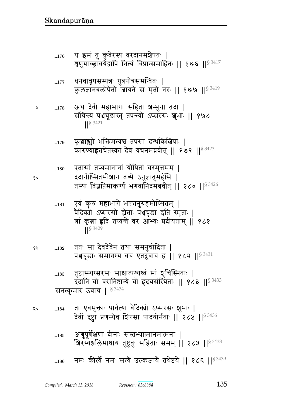- ...186 नमः कीर्त्यै नमः सत्यै उल्कजायै तथेष्टये || १८६ ||<sup>§ 3439</sup>
- ...185 अश्रुपूर्णेक्षणा दीनाः संस्तभ्यात्मानमात्मना | शिरस्यअलिमाधाय तुष्टुवुः सहिताः समम् || १८५ ||<sup>§ 3438</sup>
- <u>20 ...184 ता एवमुक्ताः पार्वत्या वैदिक्यो ऽप्सरसः शुभाः |</u> देवीं दृष्ट्वा प्रणम्यैव शिरसा पादयोर्नताः || १८४ || 53436
- ...183 तुष्टास्म्यप्सरसः साक्षात्पन्थध्वं मां ज्ञुचिस्मिताः । दंदानि वो वरानिष्टान्ये वो हृदयसंस्थिताः || १८३ ||  $$^{3433}$ सनत्कुमार उवाच |  $$^{3434}$
- १४ ...182 ततः सा देवदेवेन तथा समनुचोदिता | पश्चचूडाः समागम्य वच एतदुवाच ह || १८२ ||<sup>§ 3431</sup>
- ...181 एवं कुरु महाभागे भक्तानुग्रहमीप्सितम् | वैदिक्यो ऽप्सरसो ह्येताः पश्चचूडा इति स्मृताः | <u>बां कृबा हृ</u>दि तप्यन्ते वर आभ्यः प्रदीयताम् || १८१ ||§ 3429
- ...180 पुतासां तप्यमानानां योषितां वरमुत्तमम् | १० ददानीप्सितमीश्चान तन्मे ऽनुज्ञातुमर्हसि | तस्या विज्ञप्तिमाकर्ण्य भगवानिदमब्रवीत् || १८० || $^{\$3426}$
- ...179 कृशाञ्चो भक्तिमत्यश्च तपसा दग्धकिबिषाः | कारुण्याहृतचेतस्का देवं वचनमब्रवीत् || १७९ ||  $$^{3423}$
- ...178 Lq rF{& xw` ~p |Ԫw4d pr ᅖ संचिन्त्य पञ्चचूडास्तु तपन्त्यो ऽप्सरसः शुभाः || १७८  $\| \$ <sup>§ 3421</sup>
- ...177 धनवात्रूपसम्पन्नः पुत्रपौत्रसमन्वितः | कुलज्ञानबलोपेतो जायते स मृतो नरः || १७७ || $^{\$~3419}$
- ...176 य इमं तु कुबेरस्य वरदानमञ्जेषतः | त्रृणुयाच्छ्रावयेद्वापि नित्यं विप्रान्समाहितः || १७६ ||  $s$  3417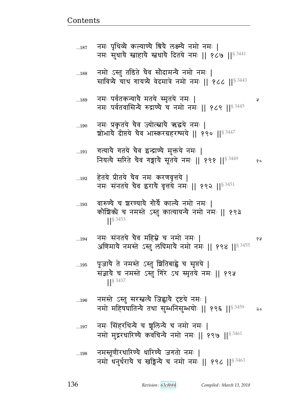- ...197 नमः सिंहरथिन्यै च ञ्चलिन्यै च नमो नमः | नमो मुद्गरधारिण्ये कवचिन्ये नमो नमः || १९७ ||  $83461$
- ...196 नमस्ते ऽस्तु सरस्त्रत्यै जिह्वायै दृष्टये नमः | नमो महिषघातिन्यै तथा सुम्भनिसुम्भयोः || १९६ || $^{\$3459}$  २०
- ...195 पूजायै ते नमस्ते ऽस्तु ञितिबाह्वे च सृप्तये | संज्ञायै च नमस्ते ऽस्तु गिरे ऽथ स्मृतये नमः || १९५  $\frac{1}{5}$  3457
- ...194 dx1 ~BdpyF bG{ xௌF b dx/ dx1 ᅖ  अणिमायै नमस्ते ऽस्तु लघिमायै नमो नमः || १९४ || $^{\$3455}$
- ...193 वारुण्यै च शरण्यायै गोर्यै काल्यै नमो नमः | कोशिको च नमस्ते ऽस्तु कात्यायन्यै नमो नमः || १९३ ᅖᅖ§ 3453
- ...192  $-$  हेतये प्रीतये चैव नमः करणवृत्तये | नमः संनतये चैव इरायै वृत्तये नमः || १९२ ||  $8^{3451}$
- ...191 गत्यायै गतये चैव इन्द्राण्यै मुक्तये नमः | नियत्ये सरिते चैव गङ्गायै सूतये नमः || १९१ || $\S$ <sup>3449</sup> १०
- ...190 वनमः प्रकृतये चैव ज्योत्स्नायै ऋद्धये नमः | शोभाये दीप्तये चैव भास्करग्रहरश्मये ॥ १९० ॥  $8^{3447}$
- ...189 dx1 t{@pfɄyyG xpyF ״x6pyF dx1 ᅖ नमः पर्वतवासिन्यै रुद्राण्यै च नमो नमः || १८९ || $83445$
- ...188 नमो ऽस्तु तडिते चैव सौदामन्यै नमो नमः | सावित्र्ये चाथ गायत्र्ये वेदमात्रे नमो नमः ॥ १८८ ॥  $83443$
- ...187 नमः पृथिव्यै कल्याण्यै श्रियै लक्ष्म्यै नमो नमः । नमः सुधाये स्नाहाये स्नधाये दितये नमः || १८७ ||  $$^{3441}$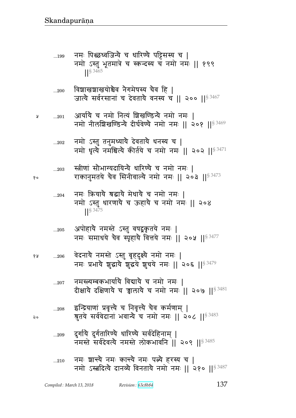- ...209 दुर्गायै दुर्गतारिण्यै धारिण्यै सर्वदेहिनाम् | नमस्ते सर्वदेवत्यै नमस्ते लोकभावनि ॥ २०९ ॥  $83485$
- ...<sub>208</sub> द्धन्द्रियाणां प्रवृत्त्यै च निवृत्त्यै चैव कर्मणाम् | २० श्रुतये सर्ववेदानां भवान्यै च नमो नमः || २०८ || $^{\S\,3483}$
- ...207 वमस्त्यम्बकभार्यायै विद्यायै च नमो नमः | दीक्षाये दक्षिणाये च चालाये च नमो नमः || २०७ ||  $$^{3481}$
- १४ ....206 वेदनाये नमस्ते ऽस्तु बृहदुक्ष्ये नमो नमः | नमः प्रभाये शुद्धाये शुद्धये शुचये नमः || २०६ ||  $83479$
- ...205 अपोहायै नमस्ते ऽस्तु वषद्वकृतये नमः | नमः समाधये चैव स्पृहायै वित्तये नमः || २०५ ||  $s^{3477}$
- ...204 नमः क्रियाये श्रद्धाये मेधाये च नमो नमः | नमो ऽस्तु धारणाये च ऊहाये च नमो नमः || २०४  $\frac{1}{5}$  3475
- ... $_{203}$   $\,$  स्त्रीणां सौभाग्यदायिन्यै धारिण्यै च नमो नमः |  $\mathbf{v}$  , we conside the response to the Ringley and the set of  $\mathbf{v}$  and  $\mathbf{v}$  is  $\mathbf{v}$
- ...202 नमो ऽस्तु तनुमध्यायै देवतायै धनस्य च | नमो धृत्यै नमश्चित्यै कीर्तये च नमो नमः || २०२ ||  ${}^{8\,3471}$
- ४ ....201 आर्यायै च नमो नित्यं शिखण्डिन्यै नमो नमः | नमो नीलशिखण्डिन्ये दीर्घवेण्ये नमो नमः || २०१ ||  $^{\$ 3469}$
- ...200 विशाखशाखयोश्चैव नेगमेषस्य चैव हि जात्ये सर्वरसानां च देवताये वनस्य च || २०० || $83467$
- ...199 नमः पिछ्छध्वजिन्ये च धारिण्ये पट्टिसस्य च | नमो ऽस्तु भूतमात्रे च स्कन्दस्य च नमो नमः || १९९  $|$   $|$   $\frac{3465}{2}$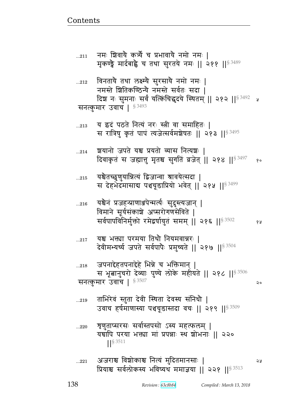- ...220 श्रुणुताप्सरसः सर्वास्तपसो ऽस्य महत्फलम् | यद्यापि परया भक्त्या मां प्रपन्नाः स्थ शोभनाः || २२० ᅖᅖ§ 3511
- ... $_{\rm 219}$   $\,$  ताभिरेवं स्तुता देवी स्थिता देवस्य संनिधौ | उवाच हर्षमाणास्या पञ्चचूडास्तदा वचः || २१९ ||§ 3509
- ... $\overline{218}$  ... जपनाद्देहतपनाद्देहे भिन्ने च भक्तिमान् | स भूबानुचरो देव्याः पुण्ये लोके महीयते || २१८ ||  $^{\$3506}$ सनत्कुमार उवाच |  ${}^{S\,3507}$  |  ${}^{S\,3507}$  |  ${}^{S\,450}$  |  ${}^{S\,450}$  |  ${}^{S\,450}$  |  ${}^{S\,450}$  |  ${}^{S\,450}$  |  ${}^{S\,450}$  |  ${}^{S\,450}$  |  ${}^{S\,450}$  |  ${}^{S\,450}$  |  ${}^{S\,450}$  |  ${}^{S\,450}$  |  ${}^{S\,450}$  |  ${}^{S\$
- ...217 यश्च भक्त्या परमया तिथौ नियमवान्नरः | देवीमभ्यर्च्य जपते सर्वपापैः प्रमुच्यते || २१७ ||<sup>§ 3504</sup>
- ...216 यश्चैनं प्रजहन्प्राणाञ्जपेन्मर्त्यः सुदुस्त्यजान् | विमाने सूर्यसंकाशे अप्सरोगणसेविते | सर्वपापविनिर्मुक्तो रमेद्वर्षायुतं समम् || २१६ || ${}^{8\,3502}$  ... १४
- ...215 यश्चेतच्छृणुयान्नित्यं द्विजान्वा श्रावयेत्सदा | स देहभेदमासाब पश्चचूडाप्रियो भवेत् || २१५ ||  $$^{3499}$
- ...214 श्वयानो जपते यश्च प्रयतो व्यास नित्यशः | दिवाकृतं स जह्यात्तु मृतश्च सुगतिं व्रजेत् || २१४ ||<sup>§ 3497</sup> १०
- ... $_{213}$  y द्यदं पठते नित्यं नरः स्त्री वा समाहितः | स रात्रिषु कृतं पापं त्यजेत्सर्वमशेषतः || २१३ ||<sup>§ 3495</sup>
- ... $_{\rm 212}$   $\,$  विनतायै तथा लक्ष्म्यै सुरसायै नमो नमः | नमस्ते **श्रितिकण्ठिन्यै नमस्ते सर्वतः सदा** | दिश नः सुमनाः सर्वं यत्किंचिद्धदये स्थितम् || २१२ ||<sup>§ 3492</sup> प्र सनत्कुमार उवाच |  $$^{3493}$
- ... $_{211}$  विमः शिवायै कर्च्यै च प्रभावायै नमो नमः | मृकण्ड्वे मार्दबाह्वे च तथा सुरतये नमः || २११ ||  $s^{3489}$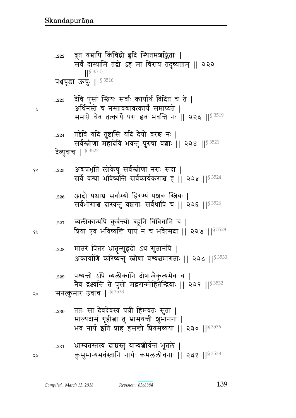...228 मातरं पितरं भ्रातृन्सुहृदो ऽथ सुतानपि | अकार्याणि करिष्यन्तु स्त्रीणां वश्यत्वमागताः || २२८ ||  $s^{3530}$ ...229 पश्यन्तो ऽपि व्यलीकानि दोषान्वैकृत्यमेव च | नेव द्रक्ष्यन्ति ते पुंसो मद्वरान्मोहितेन्द्रियाः || २२९ || $^{\$ 3532}$ २० सनत्कुमार उवाच ।  $^{\S\,3533}$ ...230 ततः सा देवदेवस्य पत्नी हिमवतः सुता | माल्यदामं गृहीबा तु भ्रामयन्ती श्रुभानना | भव नार्य इति प्राह हसन्ती प्रियमव्यया || २३० || $^{\$~3536}$ ...231 भाम्यतस्तस्य दाम्नस्तु यान्यशीर्यन्तं भूतले | २५ व्यालयमवंस्तानि नार्यः कमललोचनाः ॥ २३१ ॥<sup>§ 3538</sup>

- 
- <u>...22</u>7 व्यलीकान्यपि कुर्वन्त्यो बहूनि विविधानि च |  Ìy X{ w{ɔy"ഒ ttB d b w{FɊ~r ᅖᅖ 

 ᅖᅖ§ 3528
- ...226 आदोे पश्चाच सर्वाभ्यो हिरण्यं पञ्चवः स्त्रियः | सर्वभोगांश्च दास्यन्तु वञ्चगाः सर्वथापि च || २२६ || $83526$
- १० ....225 . अबप्रभृति लोकेषु सर्वस्त्रीणां नराः सदा | सर्वे वश्या भविष्यन्ति सर्वकार्यकराश्च ह || २२५ ||  $83524$
- ... $^{224}$  तद्देवि यदि तुष्टासि यदि देयो वरश्च नः | सर्वस्त्रीणां महादेवि भवन्तु पुरुषा वशाः || २२४ ||  $83521$ देव्युवाच | § 3522
- ...223 देवि पुंसां स्त्रियः सर्वाः कार्यार्थं विदितं च ते | <sub>४</sub> अर्थिनस्ते च नस्तावद्यावत्कार्यं समाप्यते | समाप्ते चैव तत्कार्ये परा इव भवन्ति नः || २२३ || $^{\$3519}$
- ...222 ब्रूत यद्यापि किंचिद्रो हृदि स्थितमञ्जङ्किताः | सर्वं दास्यामि तद्वो ऽहं मा चिराय तदुच्यताम् || २२२ ᅖᅖ§ 3515 पश्चचूडा ऊचुः | 83516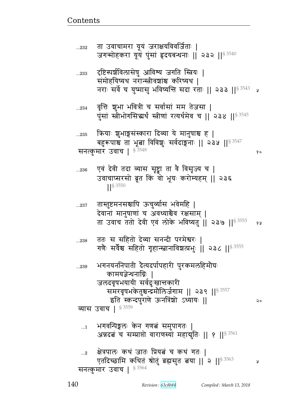१०

२०

- भगवन्पिङ्गलः केन गणत्नं समुपागतः |  $\dots$ 1 अन्नदबं च सम्प्राप्तो वाराणस्यां महादुतिः || १ ||§ 3561
- भगनयननिपाती दैत्यदर्पापहारी पुरकमलहिमौघः ...239 कामयज्ञेन्थनाग्निः । जलदवृषभयायी सर्वदुःखात्तकारी समरवृषभकेतुश्चन्द्रमौलिर्जगाम || २३९ ||<sup>§ 3557</sup> इति स्कन्दपुराणे ऊनत्रिंशो ऽध्यायः || व्यास उवाच |  $$^{3559}$
- ततः स सहितो देव्या सनन्दी परमेश्वरः |  $...238$ गणैः सर्वेश्च सहितो गृहान्स्तानाविशलस्भुः । २३८ ।। 5 3555
- तास्तुष्टमनसश्चापि ऊचुर्व्यास भवेमहि |  $...237$ देवानां मानुषाणां च अवध्याश्चैव रक्षसाम् | ता उवाच ततो देवी एवं लोके भविष्यतु || २३७ ||<sup>§ 3553</sup> 94
- एवं देवी तदा व्यास सृष्ट्वा ता वै विसृज्य च |  $...236$ उवाचाप्सरसो ब्रूत किं वो भूयः करोम्यहम् || २३६  $|$  \section 3550
- क्रियाः शुभाङ्गसंस्कारा दिव्या ये मानुषाश्च ह |  $...235$ बहुरूपाश्च ता भूबा विविशुः सर्वदाङ्गनाः || २३५ ||<sup>§ 3547</sup> सनत्कुमार उवाच |  $$^{3548}$
- वृत्तिः शुभा भवित्री च सर्वासां मम तेजसा |  $...234$ पुंसां स्त्रीभोगसिद्धर्थं स्त्रीणां रत्यर्थमेव च || २३४ || 53545
- दृष्टिस्पर्शविलासेषु आविश्य जगति स्त्रियः |  $...233$ समोहयिष्यथ नरान्स्त्रीवशांश्च करिष्यथ | नराः सर्वे च युष्मासु भविष्यत्ति सदा रताः || २३३ ||<sup>§ 3543</sup> व
- ता उवाचामरा यूयं जराक्षयविवर्जिताः |  $...232$ जगन्मोहकरा यूयं पुंसां हृदयबन्धनाः || २३२ ||<sup>§ 3540</sup>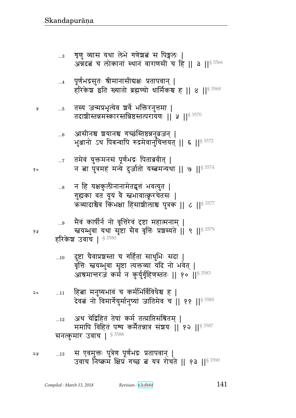- अथ चेद्विहितं तेषां कर्म तत्प्राप्तिसंश्रितम् ।  $\dots 12$ ममापि विहितं पश्य कर्मेतन्नात्र संशयः || १२ || 53587 सनत्कमार उवाच | 53588
- हिबा मनुष्यभावं च कर्मभिर्विविधेश्च ह | २०  $...11$ देवत्नं नो विमार्गेयुर्मानुष्यां जातिमेव च || ११ ||§ 3585
- <u>दुष्टा चैवाप्रश्रस्ता च गर्हिता साधुभिः सदा |</u>  $...10$ वृत्तिः स्तवम्भुवा सृष्टा त्यक्तव्या यदि नो भवेत् | आश्रमान्तरजं कर्म न कुर्युर्गृहिणस्ततः || १० ||<sup>§ 3583</sup>

हरिकेश उवाच | § 3580

- मैवं कार्षीर्न नो वृत्तिरेवं दृष्टा महात्मनाम् | स्तयम्भुवा यथा सृष्टा सेव वृत्तिः प्रशस्यते ॥ ९ ॥ 8 3579
- न हि यक्षकुलीनानामेतद्वृत्तं भवत्युत |  $\ldots 8$ गुह्यका वत यूयं वै स्तभावात्क्नूरचेतसः | ऋव्यादाश्चैव किंभक्षा हिंसाशीलाश्च पुत्रक || ८ || § 3577
- तमेवं युक्तमनसं पूर्णभद्रः पिताब्रवीत् |  $\dots 7$ न ता पुत्रमहं मन्ये दुर्जातो यस्तवमन्यथा || ७ || $^{\$3574}$
- आसीनश्च शयानश्च गच्छस्तिष्ठन्ननुव्रजन् |  $...6$ भुञ्जानो ऽथ पिबन्वापि रुद्रमेवार्नुचिन्तयत् || ६ ||<sup>§ 3572</sup>
- तस्य जन्मप्रभृत्येव श्रवे भक्तिरनुत्तमा |  $...5$ तदाशीस्तन्नमस्कारस्तन्निष्ठस्तत्परायणः || ५ || 93570
- पूर्णभद्रसुतः श्रीमानासीद्यक्षः प्रतापवान् |  $\dots 4$ हरिकेश इति ख्यातो ब्रह्मण्यो धार्मिकश्च ह || ४ ||  $\frac{83568}{1}$
- शृणु व्यास यथा लेभे गणेश्चत्नं स पिङ्गलः |  $\ldots 3$ अन्नदबं च लोकानां स्थानं वाराणसीं च हि || ३ || \$ 3566

१५

१०

Å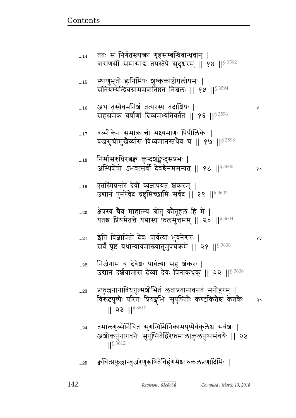$\dots$ 14

| $\dots15$   | स्थाणुभूतो ह्यनिमिषः शुष्ककाष्ठोपलोपमः  <br>संनियम्येन्द्रियग्राममवार्तिष्ठत निश्चलः    १५    <sup>§ 3594</sup>                                      |    |
|-------------|------------------------------------------------------------------------------------------------------------------------------------------------------|----|
| 16          | अथ तस्यैवमनिश्चं तत्परस्य तदाशिषः  <br>सहस्रमेकं वर्षाणां दिव्यमभ्यतिवर्तत    १६    <sup>§ 3596</sup>                                                | R  |
| 17          | वल्मीकेन समाक्रान्तो भक्ष्यमाणः पिपीलिकैः  <br>वज्रसूचीमुखैर्व्यास विध्यमानस्तथैव च    १७    $^{\$3598}$                                             |    |
| 18          | निर्मासरुधिरत्नकु कुन्दञ्चङ्केन्दुसप्रभः  <br>अस्थिशेषो ऽभवत्सर्वो देवश्चैनममन्यत    १८    <sup>§ 3600</sup>                                         | १० |
| 19          | एतस्मिन्नन्तरे देवी व्यज्ञापयत शंकरम्  <br>उद्यानं पुनरेवेदं द्रष्टुमिच्छामि सर्वद    १९    $$^{3602}$                                               |    |
| 20          | क्षेत्रस्य चैव माहात्म्यं श्रोतुं कौतूहलं हि मे  <br>यतश्च प्रियमेतत्ते यद्यास्य फलमुत्तमम्    २०    $^{\$ 3604}$                                    |    |
| $\ldots 21$ | इति विज्ञापितो देवः पार्वत्या भुवनेश्वरः  <br>सर्वं पृष्टं यथान्यायमाख्यातुमुपचक्रमे    २१    53606                                                  | १५ |
| 22          | निर्जगाम च देवेशः पार्वत्या सह शंकरः  <br>उद्यानं दर्शयामास देव्या देवः पिनाकधृक्    २२   § 3608                                                     |    |
| 23          | प्रफुल्लनानाविधगुल्मशोभितं लताप्रतानावनतं मनोहरम्  <br>विरूढपुष्पैः परितः प्रियङ्गुभिः सुपुष्पितैः कण्टकितैश्च केतकैः<br>$   23   ^{83610}$          | ২০ |
| 24          | तमालगुल्मैर्निचितं सुगन्धिभिर्निकामपुष्पैर्बकुलैश्च सर्वशः  <br>अशोकपुनागवनैः सुपुष्पितेर्द्विरेफमालाकुलपुष्पसंचयैः    २४<br>$ $   $\frac{$3612}{ }$ |    |
| 25          | ङ्घचित्प्रफुल्लाम्बुजरेणुरूषितैर्विहंगमैश्वारुकलप्रणादिभिः                                                                                           |    |

ततः स निर्गतस्त्यक्ता गृहसम्बन्धिबान्धवान् |<br>वाराणसीं समासाद्य तपस्तेपे सुदुश्चरम् || १४ ||<sup>§ 3592</sup>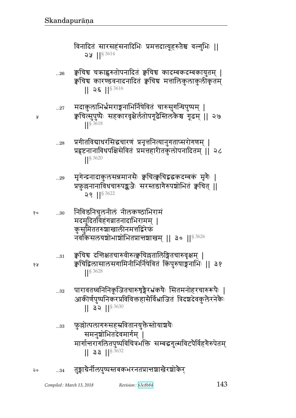# विनादितं सारसहंसनादिभिः प्रमत्तदात्यूहरुतैश्च वल्गुभिः ॥  $22$  || $83614$

क्वचिच चक्राह्वरुतोपनादितं क्वचिच कादम्बकदम्बकायुतम् |  $...26$ क्वचिच कारण्डवनादनादितं क्वचिच मत्तालिकुलाकुलीकृतम्  $|| 2 \xi ||$ <sup>§ 3616</sup>

- मदाकुलाभिर्भ्रमराङ्गनाभिर्निषेवितं चारुसुगन्धिपुष्पम् |  $\ldots 27$ क्वचित्सुपुष्पैः सहकारवृक्षेर्लतोपगूढैस्तिलकैश्च गूढम् || २७ S 3618
- प्रगीतविद्याधरसिद्धचारणं प्रनृत्तनित्यानुगताप्सरोगणम् |  $...28$ प्रहृष्टनानाविधपक्षिसेवितं प्रमत्तहारीतकुलोपनादितम् || २८  $|$  \elleft 3620
- मृगेन्द्रनादाकुलसन्नमानसैः क्वचित्क्वचिद्व इकदम्बकं मृगैः |  $...29$ प्रफुल्लनानाविधचारुपङ्कजैः सरस्तडागैरुपञ्चोभितं क्वचित् ||  $29$   $||$ <sup>§ 3622</sup>
- निविडनिचुलनीलं नीलकण्ठाभिरामं १०  $...30$ मदमुदितविहंगव्रातनादाभिरामम् | कुसुमिततरुघाखालीनमत्तद्विरेफं नॅर्वाकैसलयशोभाशोभितप्रान्तशाखम् ॥ ३० ॥<sup>§ 3626</sup>
	- क्वचिच दन्तिक्षतचारुवीरुत्क्वचिल्लतालिङ्गितचारुवृक्षम् |  $...31$ क्वचिद्विलासालसगामिनीभिर्निषेवितं किंपुरुषाङ्गनाभिः ॥ ३१  $\left| \right|^{5}$  3628
	- पारावतध्वनिनिकृजितचारुशृङ्गैरभ्रंकषैः सितमनोहरचारुरूपैः |  $...32$ आकीर्णपुष्पनिकरप्रविविक्तहासैर्विभ्राजितं त्रिदश्चदेवकुलैरनेकैः  $||$  32  $||$ <sup>§ 3630</sup>
	- फ़॒क़ॖॊत्पलागरुसहस्रवितानयुक्तैस्तोयाश्चयैः  $...33$ समनुशोभितदेवमार्गम् । मार्गान्तरागलितपुष्पविचित्रभक्ति सम्बद्धगुल्मविटपैर्विहगैरुपेतम्  $||$  33  $||$ <sup>§ 3632</sup>
- तुङ्गाग्रेर्नीलपुष्पस्तबकभरनतप्रान्तञ्चाखैरञ्चोकैर्  $\mathsf{a}$  $...34$

५

१५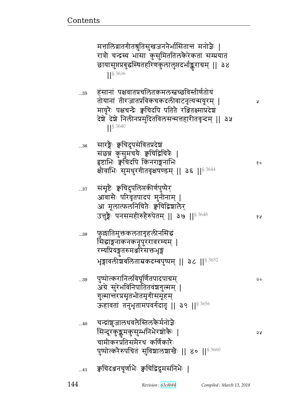|    | मत्तालिव्रातगीतश्रुतिसुखजननेर्भासितान्तं मनोज्ञैः  <br>रात्रौ चन्द्रस्य भासा कुसुमिततिलकैरेकतां सम्प्रयातं<br>छायासुप्तप्रबुद्धस्थितहरिणकुलालुप्तदर्भाङ्कराग्रम्    ३४<br><b>S</b> 3636                                           |    |
|----|-----------------------------------------------------------------------------------------------------------------------------------------------------------------------------------------------------------------------------------|----|
| 35 | हसानां पक्षवातप्रचलितकमलस्तच्छविस्तीर्णतोयं<br>तोयानां तीरजातप्रविकचकदलीवाटनृत्यन्मयूरम्  <br>मायूरैः पक्षचन्द्रैः क्वचिदपि पतितै रञ्जितक्ष्माप्रदेशं<br>देश्चे देश्चे निलीनप्रमुदितविलसन्मत्तहारीतवृन्दम्    ३५<br><b>S</b> 3640 | R  |
| 36 | सारङ्गेः क्वचिदुपसेवितप्रदेश<br>संछन्नं कुसुमचयैः क्वचिद्विचित्रैः  <br>हृष्टाभिः क्वचिदपि किंनराङ्गनाभिः<br>क्षीवाभिः सुमधुरगीतवृक्षषण्डम्    ३६    3644                                                                         | १० |
| 37 | संसृष्टैः क्वचिदुपलिप्तकीर्णपुष्पैर्<br>आवासैः परिवृतपादपं मुनीनाम्  <br>आ मूलात्फलनिचितेः क्वचिद्विशालेर<br>उत्तुङ्गैः पनसमहीरुहैरुपेतम्    ३७    <sup>§ 3648</sup>                                                              | १५ |
| 38 | फुल्लातिमुक्तकलतागृहलीनसिद्धं<br>सिद्धाङ्गनाकनकनूपुररावरम्यम् ।<br>रम्यप्रियङ्गतरुमञ्जरिसक्तभृङ्गं<br>भृङ्गावलीशबलिताम्रकदम्बपुष्पम्    ३८    <sup>§ 3652</sup>                                                                   |    |
| 39 | पुष्पोत्करानिलविघूर्णितपादपाग्रम्<br>अग्रे सुरेभविनिपातितवंशगुल्मम्  <br>गुल्मान्तरप्रसृतभीतमृगीसमूहम्<br>ऊहावतां तनुभृतामपवर्गदातृ    ३९    <sup>§ 3656</sup>                                                                    | २० |
| 40 | चन्द्रांशुजालधवलैस्तिलकैर्मनोज्ञैः<br>सिन्दूरकुङ्कुमकुसुम्भनिभैरश्चोकैः  <br>चामीकरप्रतिसमैरथ कर्णिकारैः<br>पुष्पोत्करैरुपचितं सुविशालशाखैः    ४०    <sup>§ 3660</sup>                                                            | २५ |
| 41 | क्वचिदञ्जनचूर्णाभैः क्वचिद्विद्रुमसनिभैः                                                                                                                                                                                          |    |

144

Revision: 63c8b84

Compiled: March 13, 2018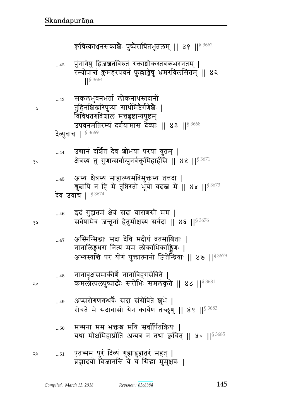| จง | 51 | एतन्मम पुरं दिव्यं गुह्यादृह्यतरं महत्  <br>ब्रह्मादयो विजानन्ति ये च सिद्धा मुमुक्षवः |
|----|----|----------------------------------------------------------------------------------------|

- ... $_{50}$  मन्मना मम भक्तश्च मयि सर्वार्पितक्रियः | यथा मोक्षमिहाप्नोति अन्यत्र न तथा क्वचित् || ५० || $^{\$ 3685}$
- ...49 अप्सरोगणगन्धर्वैः सदा संसेविते ज्ञुभे | रोचते मे सदावासो येन कार्येण तच्छृणु || ४९ ||  $$^{3683}$
- ...48 नानावृक्षसमाकीर्णे नानाविहगसेविते | २० कमलोत्पलपुष्पाद्धैः सरोभिः समलंकृते ॥ ४८ ॥ $^{\mathrm{S}\,3681}$
- ...47 अस्मिन्सिद्धाः सदा देवि मदीयं व्रतमाश्रिताः | नानालिङ्गधरा नित्यं मम लोकाभिकाङ्किणः | अभ्यस्यन्ति परं योगं युक्तात्मानो जितेन्द्रियाः || ४७ ||<sup>§ 3679</sup>
- ...46 इदं गुह्यतमं क्षेत्रं सदा वाराणसी मम |  $_{3}$ ४  $_{8}$ सर्वेषामेव जनूनां हेतुर्मोक्षस्य सर्वदा ॥ ४६ ॥ $^{\rm s}$   $^{3676}$

...45 अस्य क्षेत्रस्य माहात्म्यमविमुक्तस्य तत्तदा | श्रुत्नापि न हि मे तृप्तिरतो भूयो वदस्त्व मे || ४५ || $^{\$ \, 3673}$ देव उवाच |  $$^{3674}$ 

...44 उद्यानं दर्शितं देव शोभया परया युतम् | १० क्षेत्रस्य तु गुणान्सर्वान्पुनर्वक्तुमिहार्हसि || ४४ || $^{\$ 3671}$ 

देव्युवाच |  $$^{3669}$ 

- ...43 सकलभुवनभर्ता लोकनाथस्तदानीं <sub>४</sub> तुहिनशिखरिपुत्र्या सार्धमिष्टेर्गणेशैः | विविधतरुविशालं मत्तहृष्टान्यपुष्टम् उपवनमतिरम्यं दर्शयामास देव्याः || ४३ ||<sup>§ 3668</sup>
- ... $\rm_{42}$  पुंनागेषु द्विजञ्चतविरुतं रक्ताञ्चोकस्तबकभरनतम् | रम्योपान्तं क्लमहरपवनं फुल्लाड्रेषु भ्रमरविलसितम् || ४२ ||§ 3664

क्वचित्काञ्चनसंकाशैः पुष्पैराचितभूतलम् ॥ ४१ ॥ $^{\rm s}$  3662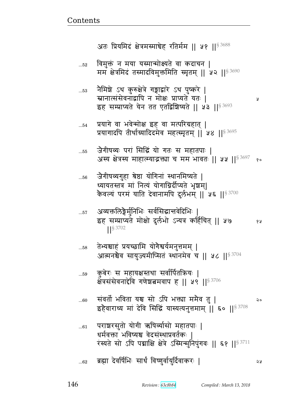Ã

२०

১১

तेभ्यश्चाहं प्रयच्छामि योगैश्वर्यमनुत्तमम् |  $\dots58$ आत्मनश्चैव सायुज्यमीप्सितं स्थानमेव च || ५८ || 53704 कुबेरः स महायक्षस्तथा सर्वार्पितक्रियः | ..59 क्षेत्रसंसेवनाद्देवि गणेशबमवाप ह || ५९ ||<sup>§ 3706</sup> संवर्तो भविता यश्च सो ऽपि भक्त्या ममैव तु |  $...60$ इहैवाराध्य मां देवि सिद्धिं यास्यत्यनुत्तमाम् || ६० || 53708 पराशरसुतो योगी ऋषिर्व्यासो महातपाः |  $...61$ धर्मवक्ता भविष्यश्च वेदसंस्थाप्रवर्तकः । रंस्यते सो ऽपि पद्माक्षि क्षेत्रे ऽस्मिन्मुनिपुंगवः || ६१ ||§ 3711 ब्रह्मा देवर्षिभिः सार्धं विष्णुर्वायुर्दिवाकरः |  $...62$ 

- अव्यक्तलिङ्गैर्मुनिभिः सर्वसिद्धान्तवेदिभिः |  $...57$ इह सम्प्राप्यते मोक्षो दुर्लभो ऽन्यत्र कर्हिचित् || ५७ १५  $1$ <sup>S</sup> 3702
- जैगीषव्यगुहा श्रेष्ठा योगिनां स्थानमिष्यते |  $...56$ ध्यायतस्तत्र मां नित्यं योगाग्निर्दीप्यते भृषाम्। कैवल्यं परमं याति देवानामपि दुर्लभम् ॥ ५६ ॥  $8\,3700$
- जैगीषव्यः परां सिद्धिं यो गतः स महातपाः ।  $...55$ अस्य क्षेत्रस्य माहात्म्याद्भक्त्या च मम भावतः ॥ ५५ ॥ $^{\$ \, 3697}$  $80$
- प्रयागे वा भवेन्मोक्ष इह वा मत्परिग्रहात् |  $...54$ प्रयागादपि तीर्थाग्र्यादिदमेव महत्स्मृतम् || ५४ || § 3695
- नैमिशे ऽथ कुरुक्षेत्रे गङ्गाद्वारे ऽथ पुष्करे |  $\dots53$ स्नानात्संसेवनाद्वापि न मोक्षः प्राप्यते यतः | इह सम्प्राप्यते येन तत एतद्विशिष्यते || ५३ || $^{\$3693}$
- विमुक्तं न मया यस्मान्मोक्ष्यते वा कदाचन |  $\dots52$ मम क्षेत्रमिदं तस्मादविमुक्तमिति स्मृतम् || ५२ || १९ 3690

अतः प्रियमिदं क्षेत्रमस्माचेह रतिर्मम ।। ५१ ।।<sup>§ 3688</sup>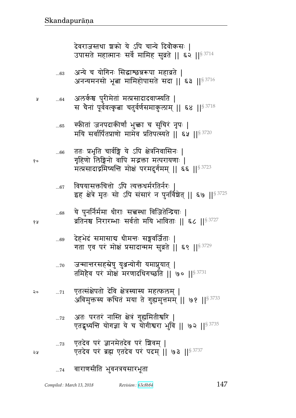## 147

|    | 65         | स्फीतां जनपदाकीर्णां भुक्ता च सुचिरं नृपः  <br>मयि सर्वार्पितप्राणो मामेव प्रतिपत्स्यते    ६५    $s^{3720}$                                                      |
|----|------------|------------------------------------------------------------------------------------------------------------------------------------------------------------------|
| १० | $66$       | ततः प्रभृति चार्वङ्गि ये ऽपि क्षेत्रनिवासिनः  <br>गृहिणो लिङ्गिनो वापि मद्भक्ता मत्परायणाः  <br>मत्प्रसादाद्रमिष्यन्ति मोक्षं परमदुर्गमम्    ६६    $^{\S\,3723}$ |
|    | 67         | विषयासक्तचित्तो ऽपि त्यक्तथर्मरतिर्नरः  <br>इह क्षेत्रे मृतः सो ऽपि संसारं न पुनर्विशेत्    ६७    <sup>§ 3725</sup>                                              |
| १५ | 68         | ्ये पुनर्निर्ममा धीराः सत्त्वस्था विजितेन्द्रियाः  <br>व्रतिनश्च निरारम्भाः सर्वतो मयि भाविताः    ६८    53727                                                    |
|    |            | 69    देहभेदं समासाद्य धीमन्तः सङ्गवर्जिताः  <br>गता एव पर मोक्ष प्रसादान्मम सुव्रते    ६९    <sup>§ 3729</sup>                                                  |
|    | $70$       | जन्मात्तरसहस्रेषु युञ्जन्योगी यमाप्नुयात्  <br>तमिहैव परं मोक्षं मरणादधिगच्छति    ७०    <sup>§ 3731</sup>                                                        |
| २० | $\ldots71$ | एतत्संक्षेपतो देवि क्षेत्रस्यास्य महत्फलम्  <br>अविमुक्तस्य कथितं मया ते गुह्यमुत्तमम्    ७१    <sup>§ 3733</sup>                                                |
|    | 72         | अतः परतरं नास्ति क्षेत्रं गुह्यमितीश्वरि  <br>एतद्दृध्यन्ति योगज्ञा ये च योगीश्वरा भुवि    ७२    <sup>§ 3735</sup>                                               |
| ১ম | $\dots73$  | एतदेव परं ज्ञानमेतदेव परं शिवम्  <br>एतदेव परं ब्रह्म एतदेव परं पदम्    ७३    53737                                                                              |
|    |            | 74 वाराणसीति भुवनत्रयसारभूता                                                                                                                                     |

प्र

 $...64$ 

अन्ये च योगिनः सिद्धाश्छन्नरूपा महाव्रते |  $...63$ अनन्यमनसो भूबा मामिहोपासते सदा || ६३ || § 3716

अलर्कश्च पुरीमेतां मत्प्रसादादवाप्स्यति |

देवराजस्तथा शको ये ऽपि चान्ये दिवौकसः |<br>उपासते महात्मानः सर्वे मामिह सुव्रते || ६२ ||<sup>§ 3714</sup>

स चैनां पूर्ववत्कृता चतुर्वर्णसमाकुलाम् || ६४ || 83718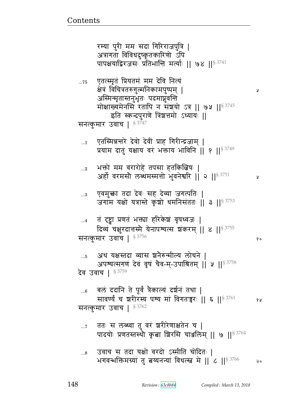रम्या पुरी मम सदा गिरिराजपुत्रि | अत्रागता विविधदुष्कृतकारिणो ऽपि पापक्षयाद्विरजसः प्रतिभान्ति मर्त्याः ।। ७४ ।।<sup>§ 3741</sup> एतत्स्मृतं प्रियतमं मम देवि नित्यं  $...75$ क्षेत्रं विचित्रतरुगुल्मनिकामपुष्पम् | Å अस्मिन्मृतास्तनुभृतः पदमाप्नुवन्ति मोक्षाख्यमेनसि रतापि न संञ्चयो ऽत्र || ७५ || $^{\$3745}$ इति स्कन्दपुराणे त्रिंशत्तमो ऽध्यायः || सनत्कुमार उवाच | § 3747 एतस्मिन्नन्तरे देवो देवीं प्राह गिरीन्द्रजाम् |  $\dots$ 1 प्रयाम दातुं यक्षाय वरं भक्ताय भाविनि ॥ १ ॥ 8 3749 भक्तो मम वरारोहे तपसा हतकिबिषः |  $\ldots 2$ अर्हो वरमसौ लब्धमस्मत्तो भुवनेश्वरि || २ || $^{\$3751}$ У एवमुक्ता तदा देवः सह देव्या जगत्पतिः |  $\ldots 3$ जगाम यक्षो यत्रास्ते कृषो धमनिसंततः || ३ ||<sup>§ 3753</sup> तं दृष्ट्वा प्रणतं भक्त्या हरिकेशं वृषध्वजः | दिव्यं चक्षुरदात्तस्मै येनापश्यत्स शंकरम् || ४ ||  $\frac{83755}{ }$ सनत्कुमार उवाच | § 3756 १० अथ यक्षस्तदा व्यास श्रनेरुन्मील्य लोचने |  $...5$ अपश्यत्सगणं देवं वृषं चैव-म्-उपाश्रितम् || ५ || 53758 देव उवाच | § 3759 बलं ददानि ते पूर्वं त्रैकाल्यं दर्शनं तथा |  $...6$ सावर्ण्यं च शरीरस्य पश्य मां विगतन्नरः || ६ || 53761 १५ सनत्कुमार उवाच | § 3762 ततः स लब्ध्वा तु वरं शरीरेणाक्षतेन च |  $\ldots 7$ पादयोः प्रणतस्तस्थौ कृता शिरसि चाञ्जलिम् || ७ || 3764 उवाच स तदा यक्षो वरदो ऽस्मीति चोदितः |  $...8$ भगवन्भक्तिमग्र्यां तु बय्यनन्यां विधत्स्त्वं मे || ८ ||  $\frac{83766}{2}$ २०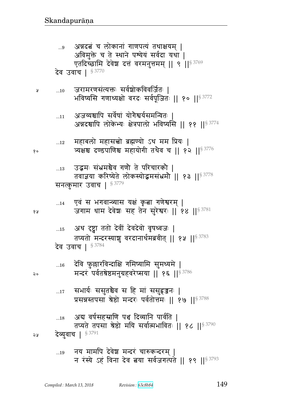- नय मामपि देवेश मन्दरं चारुकन्दरम् |  $\dots 19$ न रंस्ये ऽहं विना देव बया सर्वजगत्पते || १९ || \$ 3793
- देव्युवाच | § 3791 २५
- अब वर्षसहस्राणि पञ्च दिव्यानि पार्वति ।  $...18$ तप्यते तपसा श्रेष्ठो मयि सर्वात्मभावितः || १८ ||§ 3790
- सभार्यः ससुतश्चेव स हि मां ससुहृजनः |  $...17$ प्रसन्नस्तपसा श्रेष्ठो मन्दरः पर्वतोत्तमः || १७ || \$ 3788
- देवि फुल्लारविन्दाक्षि गमिष्यामि सुमध्यमे |  $\dots16$ मन्दरं पर्वतश्रेष्ठमनुग्रहवरेप्सया || १६ || 53786
- देव उवाच | § 3784
- अथ दृष्ट्वा ततो देवीं देवदेवो वृषध्वजः |  $\dots\!15$ तप्यतो मन्दरस्याशु वरदानार्थमब्रवीत् || १५ || 53783
- एवं स भगवान्व्यास यक्षं कृत्वा गणेश्वरम् |  $...14$ जगाम धाम देवेश: सह तेन सुरेश्वर: || १४ ||<sup>§ 3781</sup>
- उद्भमः संभ्रमश्चैव गणौ ते परिचारकौ |  $\dots 13$ तवाज्ञया करिष्येते लोकस्योद्धमसंभ्रमौ || १३ ||<sup>§ 3778</sup> सनत्कुमार उवाच | § 3779
- महाबलो महासच्चो ब्रह्मण्यो ऽथ मम प्रियः |  $\dots 12$ व्यक्षश्च दण्डपाणिश्च महायोगी तथैव च || १२ ||  $8^{3776}$
- अजय्यश्चापि सर्वेषां योगैश्वर्यसमन्वितः ।  $...11$ अन्नदश्चापि लोकेभ्यः क्षेत्रपालो भविष्यसि || ११ ||§ 3774
- जरामरणसंत्यक्तः सर्वशोकविवर्जितः |  $...10$ भविष्यसि गणाध्यक्षो वरदः सर्वपूजितः || १० ||§ 3772
- अन्नदबं च लोकानां गाणपत्यं तथाक्षयम् | ...9 अविमुक्ते च ते स्थाने पश्येयं सर्वदा यथा | एतदिच्छामि देवेश दत्तं वरमनुत्तमम् || ९ || ९ 3769 देव उवाच | § 3770

४ प्र

২०

 $90$ 

Å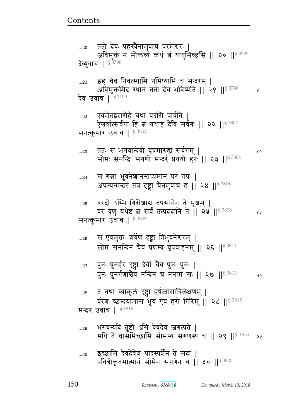...30 इच्छामि देवदेवेश पादस्पर्शेन ते सदा | पवित्रीकृतमात्मानं सोमेन सगणेन च | ३० ||  $$^{3820}$ 

... $_{29}$  भगवन्यदि तुष्टो ऽसि देवदेव जगत्पते | मयि ते वासंमिच्छामि सोमस्य सगणस्य च || २९ || $^{\$3818}$  २४

...28 तं तथा व्याकुलं दृष्ट्वा हर्षजास्राविलेक्षणम् | वरेण च्छन्दयामास भूय एव हरो गिरिम् || २८ ||  $^{\$3815}$ मन्दर उवाच |  $$^{3816}$ 

...27 पुनः पुनर्हरं दृष्ट्वा देवीं चैव पुनः पुनः | पुनः पुनर्गणांश्वेव नन्दिनं च ननाम सः || २७ || $^{\$3813}$  २०

...26 स एवमुक्तः ञ्चर्वेण दृष्ट्वा त्रिभुवनेश्वरम् | सोमं सनन्दिनं चैव प्रणम्य वृषवाहनम् || २६ || ${}^{8}$   $^{3811}$ 

वरं वृणु यथेष्टं बं सर्वं तत्प्रददानि ते || २५ || २३ % सनत्कुमार उवाच |  $$^{3809}$ 

...25 वरदो ऽस्मि गिरीशाद्य तपसानेन ते भृशम् |

...24 जस गत्ना भुवनेशानस्तप्यमानं परं तपः | अपश्यन्मन्दरं तत्र दृष्ट्वा चैनमुवाच ह || २४ ||  $^{\$3806}$ 

...23 pp1 ~ w`{ɄrF{/ {6}x؇എ ~{@`x> ᅖ  सोमः सनन्दिः सगणो मन्दरं प्रययौ हरः || २३ ||  $83804$ 

ऐश्वर्यात्सर्वगा हि त्नं यथाहं देवि सर्वगः || २२ ||§ 3801 सनत्कुमार उवाच |  $$^{3802}$ 

... $_{22}$  पुवमेतद्वरारोहे यथा वदसि पार्वति |

...21 हह चैव निवत्स्यामि गमिष्यामि च मन्दरम् | अविमुक्तमिदं स्थानं ततो देव भविष्यति || २१ || $^{\$3798}$  || देव उवाच |  $^{\S\,3799}$ 

...20 वतो देवः प्रहस्यैनामुवाच परमेश्वरः | अविमुक्तं न मोक्तव्यं कथं त्नं यातुमिच्छसि || २० || $^{\$~3795}$ देव्युवाच |  $$^{3796}$ 

<u>Contents and Contents are the contents of the contents of the contents of the contents of the contents of the contents of the contents of the contents of the contents of the contents of the contents of the contents of the</u>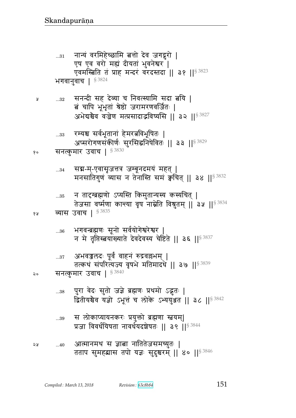आत्मानमथ स ज्ञाबा नातितेजसमच्युतः | ২५  $...40$ तताप सुमहद्यास तपो यज्ञः सुदुश्चरम् || ४० || 53846

- स लोकाप्यायनकरः प्रयुक्तो ब्रह्मणा स्तवयम्|  $...39$ प्रजा विवर्धयिषता नावर्धयदञ्चेषतः || ३९ ||<sup>§ 3844</sup>
- पुरा वेदः सुतो जज्ञे ब्रह्मणः प्रथमो ऽद्भुतः |  $\dots38$ द्वितीयश्चैव यज्ञो ऽभूत्तं च लोके ऽभ्ययुञ्जत || ३८ || 53842
- अभवज्जलदः पूर्वं वाहनं रुद्रवल्लभम् |  $...37$ तत्कथं संपरित्यज्य वृषभे मतिमादधे || ३७ || \$ 3839 सनत्कुमार उवाच | §3840 २०
- भगवन्ब्रह्मणः सूनो सर्वयोगेश्वरेश्वर |  $...36$ न मे तृप्तिस्त्वयांख्याते देवदेवस्य चेष्टिते || ३६ ||§ 3837
- व्यास उवाच | 5 3835 १५

५

- न तादग्ब्रह्मणो ऽप्यस्ति किमुतान्यस्य कस्यचित् |  $\dots35$ तेजसा वर्ष्मणा कान्त्या वृष नाम्नेति विश्नुतम् ॥ ३५ ॥ $^{\$3834}$
- संद्य-म्-एवासृजत्तत्र जम्बूनदमयं महत् |  $...34$ मनसातिगुणं व्यास न तेनास्ति समं क्वचित् || ३४ || ९  $3832$
- सनत्कुमार उवाच | \$3830 १०
- रम्यश्च सर्वभूतानां हेमरत्नविभूषितः |  $...33$ अप्सरोगणसंकीर्णः सुरसिद्धनिषेवितः || ३३ ||<sup>§ 3829</sup>
- सनन्दी सह देव्या च निवत्स्यामि सदा त्नयि |  $...32$ <u>त्वं चापि भूभृतां श्रेष्ठो जरामरणवर्जितः |</u> अभेद्यश्चैव वज्रेण मत्प्रसादाद्भविष्यसि ॥ ३२ ॥  $s^{3827}$
- नान्यं वरमिहेच्छामि बत्तो देव जगद्गुरो |  $...31$ एष एव वरो मह्यं दीयतां भुवनेश्वर | एवमस्बिति तं प्राह मन्दरं वरदस्तदा || ३१ || \$ 3823 भगवानुवाच | § 3824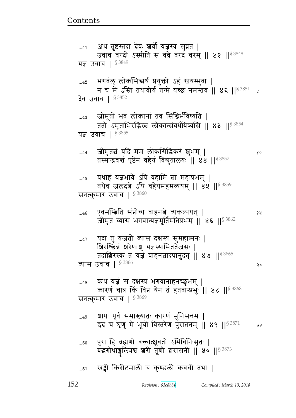|           | यज्ञ उवाच   $$^{3849}$                                                                                                                                |     |
|-----------|-------------------------------------------------------------------------------------------------------------------------------------------------------|-----|
|           | 42     भगवंल्  लोकसिद्धर्थं  प्रयुक्तो  ऽहं  स्नयम्भुवा   <br>न च मे ऽस्ति तथावीर्यं तन्मे यच्छ नमस्तव    ४२    $83851$                               | ୍ତୁ |
|           | देव उवाच   § <sup>3852</sup>                                                                                                                          |     |
| 43        | जीमूतो भव लोकानां तव सिद्धिर्भविष्यति  <br>ततो ऽमृताभिरद्भिस्त्रं लोकान्संवर्धयिष्यसि    ४३    <sup>§ 3854</sup>                                      |     |
|           | यज्ञ उवाच   $$^{3855}$                                                                                                                                |     |
| 44        | जीमूतबं यदि मम लोकसिद्धिकरं शुभम्  <br>तस्माद्भवन्तं पृष्ठेन वहेयं विद्युतालयः    ४४    3857                                                          | १०  |
| 45        | यथाहं यज्ञभावे ऽपि वहामि त्नां महाप्रभम्  <br>तथैव जलदत्ने ऽपि वहेयमहमव्ययम् ॥ ४५ ॥ $\frac{83859}{9}$                                                 |     |
|           | सनत्कुमार उवाच   $$^{3860}$                                                                                                                           |     |
| 46        | एवमस्त्विति संप्रोच्य वाहनत्वे व्यकल्पयत्  <br>जीमूतं व्यास भगवान्यज्ञमूर्तिमतिप्रभम्    ४६    <sup>§ 3862</sup>                                      | १५  |
| $47$      | यदा तु यजतो व्यास दक्षस्य सुमहात्मनः  <br>ग्निरश्छिन्नं घरेणाशु यज्ञस्यामिततेजसः  <br>तदाशिरस्कं तं यज्ञं वाहनत्नादपानुदत्    ४७    <sup>§ 3865</sup> |     |
|           | व्यास उवाच   $$^{3866}$                                                                                                                               | २०  |
| 48        | कथं यज्ञं स दक्षस्य भगवानाहनच्छुभम्  <br>कारणं चात्र किं विप्र येन तं हतवान्प्रभुः    ४८    \$ 3868                                                   |     |
|           | सनत्कुमार उवाच   § 3869                                                                                                                               |     |
| 49        | श्वापः पूर्वं समाख्यातः कारणं मुनिसत्तम  <br>इदं च शृणु मे भूयो विस्तरेण पुरातनम्    ४९    $^{\$3871}$                                                | २५  |
| $50$      | पुरा हि ब्रह्मणो वक्तात्क्षुवतो ऽभिविनिःसृतः  <br>बद्धगोधाङ्गुलित्रश्च शरी तूणी शरासनी   ५०     53873                                                 |     |
| $\dots51$ | खड्गी किरीटमाली च कुण्डली कवची तथा                                                                                                                    |     |

<u>Contents and Contents are the contents of the contents of the contents of the contents of the contents of the contents of the contents of the contents of the contents of the contents of the contents of the contents of the</u>

...41 अथ तुष्टस्तुदा दवः ञ्चवा यज्ञस्य सुव्रत |

उवाच वरदो ऽस्मीति स वव्रे वरदं वरम् || ४१ ||<sup>§ 3848</sup>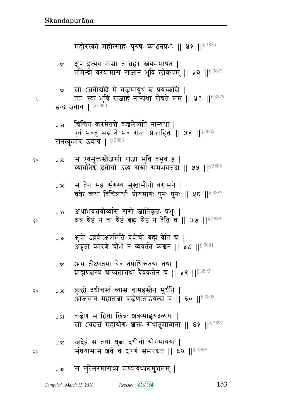|    | UJ     | ब्राह्मणबस्य चाग्र्यबात्तथा देवकृतेन च    ५९    53893                                                |
|----|--------|------------------------------------------------------------------------------------------------------|
| २० | 60     | क्रुद्धो दधीचस्तं व्यास वामहस्तेन मूर्धनि  <br>आजघान महातेजा वज्रेणाताडयत्स च    ६०    53895         |
|    | 61     | वज्रेण स द्विधा छिन्नः शक्रमाह्वयदव्ययः  <br>सो ऽवदत्त्वं महायोगः शक्तः संधातुमात्मना    ६१    53897 |
| ১ম | $62\,$ | स्त्रदेहं स तथा श्रुत्ना दधीचो योगमायया  <br>संधयामास शर्वं च शरणं समपदात    ६२    53899             |
|    | 63     | स सुरेश्वरमाराध्य प्राप्यावध्यत्नमुत्तमम्                                                            |

्यथ तीश्णतया चैव तपोधिकतया तथा ।

क्षुपो ऽब्रवीत्क्षत्रमिति दधीचो ब्रह्म वेति च |  $...58$ अब्रूतां कारणे चोभे न व्यवर्तत कश्चन || ५८ || 53891

- अथाभवत्तयोर्व्यास रागो जातिकृतः प्रभुः |  $\dots57$ क्षत्रं श्रेष्ठं न वा श्रेष्ठं ब्रह्म श्रेष्ठं न वेति च || ५७ || \$ 3889
- स तेन सह संगम्य सुखासीनो वरासने |  $\dots56$ चक्रे कथा विचित्रार्थाः प्रीयमाणः पुनः पुनः || ५६ || \$3887
- स एवमुक्तस्तेजस्त्री राजा भुवि बभूव ह | १०  $\dots55$ च्यावनिश्च दधीचो ऽस्य सखा समभवत्तदा || ५५ || 53885

चिन्तितं करमेतत्ते वज्रमेष्यति नान्यथा |  $...54$ एवं भवतु भद्रं ते भव राजा प्रजाहितः || ५४ ||<sup>§ 3882</sup> सनत्कुमार उवाच | 53883

सो ऽब्रवीद्यदि मे वज्रमायुधं त्नं प्रयच्छसि |  $\dots53$ ततः स्यां भुवि राजाहं नान्यथा रोचते मम || ५३ || 53879 इन्द्र उवाच | §  $3880$ 

Å

१५

 $50$ 

क्षुप इत्येव नाम्ना तं ब्रह्मा स्तवमभाषत |  $...52$ तमिन्द्रो वरयामास राजानं भुवि लोकपम् || ५२ ||<sup>§ 3877</sup>

महोरस्को महोत्साहः पुरुषः काञ्चनप्रभः ॥ ५१ ॥ 83875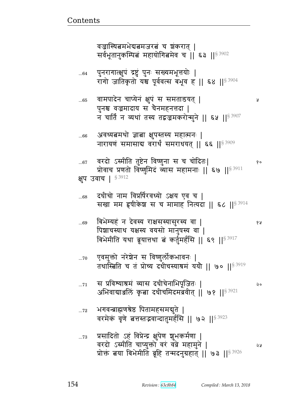प्रसादितो ऽहं विप्रेन्द्र क्षुपेण शुभकर्मणा |  $...73$ वरदो ऽस्मीति चाप्युक्तो वरं वव्रे महामुने | प्रोक्तं बया बिभेमीति ब्रूहि तन्मदनुग्रहात् || ७३ ||<sup>§ 3926</sup>

- भगवन्त्राह्मणश्रेष्ठ पितामहसमयुते |  $...72$ वरमेकं वृणे बत्तस्तद्भवान्दातुमर्हसि || ७२ ||<sup>§ 3923</sup>
- स प्रविश्याश्रमं व्यास दधीचेनाभिपूजितः |  $...71$ २० अभिवाद्याञ्जलिं कृता दधीचमिदमब्रवीत् || ७१ ||<sup>§ 3921</sup>
- एवमुक्तो नरेशेन स विष्णुर्लोकभावनः |  $...70$ तथास्त्रिति च तं प्रोच्य दधीचस्याश्रमं ययौ || ७० || 3919
- बिभेम्यहं न देवस्य राक्षसस्यासुरस्य वा |  $...69$ पिशाचस्याथ यक्षस्य वयसो मानुषस्य वा | बिभेमीति यथा ब्रूयात्तथा बं कर्तुमर्हसि || ६९ ||<sup>§ 3917</sup>
- दधीचो नाम विप्रर्षिरवध्यो ऽक्षय एव च |  $...68$ सखा मम हृषीकेश स च मामाह नित्यदा || ६८ ||<sup>§ 3914</sup>
- वरदो ऽस्मीति तुष्टेन विष्णुना स च चोदितः|  $...67$ १० प्रोवाच प्रणतो विष्णुमिदं व्यास महामनाः || ६७ || 53911 क्षप उवाच | §<sup>3912</sup>
- अवध्यत्नमथो ज्ञात्ना क्षुपस्तस्य महात्मनः |  $...66$ नारायणं समासाद्य वरार्थं समराधयत् | ६६ | | 5 3909
- वामपादेन चाप्येनं क्षुपं स समताडयत् |  $...65$ पुनश्च वज्रमादाय स चैनमहनत्तदा | न चार्ति न व्यथां तस्य तद्वज्रमकरोन्मुने || ६५ || 53907
- Ã

१५

১ম

पुनरागात्क्षुपं द्रष्टुं पुनः संख्यमभूत्तयोः |  $...64$ रागो जातिकृतो यश्च पूर्ववत्स बभूव ह || ६४ ||<sup>§ 3904</sup>

वज्रास्थितमभेदातमजरतं च शंकरात् | सर्वभूतानुकम्पित्नं महायोगित्वमेव च || ६३ ||<sup>§ 3902</sup>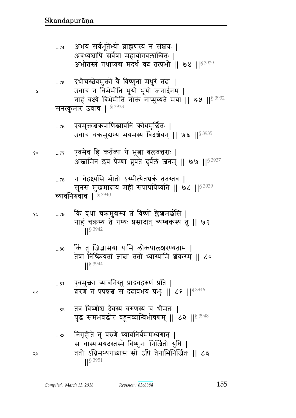| $\dots$ 74   | अभयं सर्वभूतेभ्यो ब्राह्मणस्य न संशयः  <br>अवध्यश्चापि सर्वेषां महायोगबलान्वितः  <br>अभीतस्त्रं तथाप्यद्य मदर्थं वद तत्प्रभो    ७४    $^{\S\,3929}$                                 |
|--------------|-------------------------------------------------------------------------------------------------------------------------------------------------------------------------------------|
|              | $_{75}$ दधीचस्त्वेवमुक्तो वे विष्णुना मधुरं तदा  <br>उवाच न बिभेमीति भूयो भूयो जनार्दनम्  <br>नाहं वक्ष्ये बिभेमीति नौक्तं नाप्युच्यते मया    ७५    53932<br>सनत्कुमार उवाच   83933 |
|              |                                                                                                                                                                                     |
| $\dots76$    | एवमुक्तश्चऋपाणिश्च्यावनिं ऋोधमूर्छितः  <br>उवाच चक्रमुद्यम्य भयमस्य विदर्शयन्    ७६    <sup>§ 3935</sup>                                                                            |
|              | 77 एवमेव हि कर्तव्या ये भूत्ना बलवत्तराः  <br>अस्त्रामिन इव प्रेम्णा ब्रुवते दुर्बलं जनम्    ७७    <sup>§ 3937</sup>                                                                |
|              | <sub>78</sub> न चेद्वक्ष्यसि भीतो ऽस्मीत्येतचक्रं ततस्तव  <br>सूनसं मुखमादाय महीं संप्रापयिष्यति    ७८    § 3939                                                                    |
|              | च्यावनिरुवाच   5 3940                                                                                                                                                               |
| 79           | किं वृथा चक्रमुद्यम्य त्नं विष्णो क्लेश्चमर्छसि  <br>नाहं चक्रस्य ते गम्यः प्रसादात् व्यम्बकस्य तु    ७९<br>  § 3942                                                                |
| 80           | किं तु जिज्ञासया यामि लोकपालश्चरण्यताम्  <br>तेषां निष्क्रियतां ज्ञाबा ततो ध्यास्यामि श्रंकरम् ॥ ८०<br>$18^{3944}$                                                                  |
| $\ldots\!81$ | एवमुक्ता च्यावनिस्तु प्राद्रवद्वरुणं प्रति  <br>शरणं तं प्रपन्नश्च स ददावभयं प्रभुः ॥ ८१ ॥ ९ 3946                                                                                   |
| 82           | तत्र विष्णोश्च देवस्य वरुणस्य च धीमतः  <br>युद्धं समभवद्धोरं बहूनब्दान्विभीषणम्    ८२    <sup>§ 3948</sup>                                                                          |
| 83           | निगृहीते तु वरुणे च्यावनिर्यममभ्यगात्  <br>स चास्याभयदस्तस्मै विष्णुना निर्जितो युधि  <br>ततो ऽग्निमभ्यगाद्यास सो ऽपि तेनाभिनिर्जितः    ८३<br>$1$ <sup>S</sup> 3951                 |

 $\mathbf{\mathsf{a}}$ 

 $\delta$  o

१५

 $\mathfrak{d} \circ$ 

58

155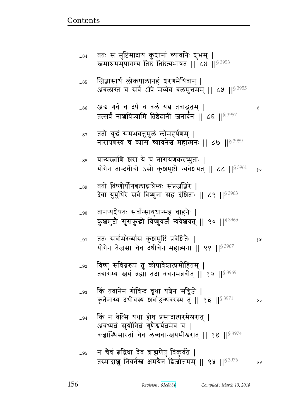| 85           | जिज्ञासार्थं लोकपालानहं घरणमेयिवान्  <br>अबलास्ते च सर्वे ऽपि मय्येव बलमुत्तमम्    ८५    53955                                                    |      |
|--------------|---------------------------------------------------------------------------------------------------------------------------------------------------|------|
| 86           | अब गर्वं च दर्पं च बलं यद्य तवाद्भुतम्  <br>तत्सर्वं नाशयिष्यामि तिष्ठेदानीं जनार्दन    ८६    <sup>§ 3957</sup>                                   | R    |
| $\dots 87$   | ततो युद्धं समभवत्तुमुलं लोमहर्षणम्  <br>नारायणस्य च व्यास च्यावनेश्च महात्मनः    ८७   § <sup>3959</sup>                                           |      |
| 88           | यान्यस्त्राणि श्वरा ये च नारायणकरच्युताः  <br>योगेन तान्दधीचो ऽसौ कुञ्चमुष्टौ न्यवेञ्चयत्    ८८    $^{\$3961}$                                    | १०   |
| 89           | ततो विष्णोर्योगबलाद्गात्रेभ्यः संप्रजज्ञिरे  <br>देवा युयुधिरे सर्वे विष्णुना सह दंशिताः    ८९    <sup>§ 3963</sup>                               |      |
| 90           | तानप्यशेषतः सर्वान्सायुधान्सह वाहनैः  <br>कुश्चमुष्टौ सुसंकुद्धो विष्णुवर्जं न्यवेशयत्    ९०    <sup>§ 3965</sup>                                 |      |
| $\ldots\!91$ | ततः सर्वामरेव्यास कुश्चमुष्टिं प्रवेशितैः  <br>योगेन तेजसा चैव दधीचेन महात्मना    ९१    <sup>§ 3967</sup>                                         | १५   |
| $\ldots 92$  | विष्णुं संविग्नरूपं तु कोपावेशात्प्रमोहितम्  <br>तत्रागम्य स्तवं ब्रह्मा तदा वचनमब्रवीत्    ९२    $$^{3969}$                                      |      |
| $\ldots 93$  | किं तवानेन गोविन्द वृथा यत्नेन सद्विजे  <br>कृतेनास्य दधीचस्य श्रवाहिब्धवरस्य तु    ९३    <sup>§ 3971</sup>                                       | ನಿ ಂ |
| 94           | किं न वेत्सि यथा ह्येष प्रसादात्परमेश्वरात्  <br>अवध्यत्नं सुयोगित गुणैश्वर्यत्नमेव च  <br>वज्रास्थिसारतां चैव लब्धवान्स्नयमीश्वरात् ॥ ९४ ॥§ 3974 |      |
| 95           | न चैवं बद्धिधा देव ब्राह्मणेषु विकुर्वते  <br>तस्मादाशु निवर्तस्त क्षमयेनं द्विजोत्तमम्    ९५    <sup>§ 3976</sup>                                | จง   |

ततः स मुष्टिमादाय कुष्ठानां च्यावनिः <mark>शुभम् |</mark><br>स्त्वमाश्रममुपागम्य तिष्ठ तिष्ठेत्यभाषत || ८४ ||<sup>§ 3953</sup>

 $...84$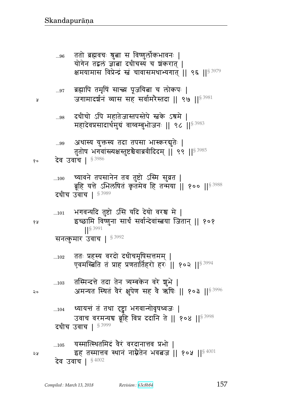จง देव उवाच | §4002

¥

68

२०

च्यावने तपसानेन तव तुष्टो ऽस्मि सुव्रत |  $...100$ ब्रूहि यत्ते ऽभिलषितं कृतमेव हि तन्मया || १०० || 53988 दधीच उवाच | § 3989 भगवन्यदि तुष्टो ऽसि यदि देयो वरश्च मे |  $...101$ इच्छामि विष्णुना सार्थं सर्वान्देवांस्त्रया जितान् || १०१  $|$   $|$  \$ 3991 सनत्कुमार उवाच | § 3992 ततः प्रहस्य वरदो दधीचमृषिसत्तमम् |  $\dots102$ एवमस्त्रिति तं प्राह प्रणतार्तिहरो हरः || १०२ || ९२९ | तस्मिन्दत्ते तदा तेन त्र्यम्बकेन वरे शुभे |  $\dots103$ अमन्यत स्थित वैरं क्षुपेण सह वे ऋषिः || १०३ || 53996 ध्यायत्तं तं तथा दृष्ट्वा भगवान्गोवृषध्वजः |  $...104$ उवाच वरमन्यच ब्रूहि विप्र ददानि ते || १०४ || 53998 दधीच उवाच | § 3999 यस्मात्स्थितमिदं वैरं वरदानात्तव प्रभो |  $...105$ इह तस्मात्तव स्थानं नाम्नैतेन भवत्वज || १०५ ||  $$^{4001}$ 

अथास्य युक्तस्य तदा तपसा भास्करबुतेः |  $\dots99$ तुतोष भगवांस्त्यक्षस्तुष्टश्चेवाब्रवीदिदम् || ९९ ||<sup>§ 3985</sup> देव उवाच | §3986 १०

दधीचो ऽपि महातेजास्तपस्तेपे स्त्रके ऽश्रमे |  $\ldots 98$ महादेवप्रसादार्थमुग्रं वाय्वम्बुभोजनः || ९८ || 53983

ब्रह्मापि तमृषिं सान्त्य पूजयित्वा च लोकपः |  $\dots97$ जगामादर्शनं व्यास सह सर्वामरैस्तदा || ९७ ||<sup>§ 3981</sup>

ततो ब्रह्मवचः श्रुत्ना स विष्णुलोकभावनः |  $...96$ योगेन तद्वलं ज्ञाबा दधीचस्य च शंकरात् | क्षमयामास विप्रेन्द्रं स्त्रं चावासमथाभ्यगात् ।। ९६ ।।  $$^{3979}$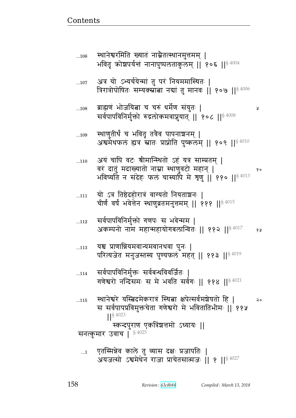Ã

एतस्मिन्नेव काले तु व्यास दक्षः प्रजापतिः |  $\dots$ 1 अयजत्सो ऽश्वमेधेन राजा प्राचेतसात्मजः । १ ॥  $\frac{84027}{364027}$ 

चीर्णं वर्षं भवेत्तेन स्थाणुव्रतमनुत्तमम् || १११ || $84015$ सर्वपापविनिर्मुक्तो गणपः स भवेन्मम |  $...112$ अकम्पनो नाम महान्महायोगबलान्वितः || ११२ || ${}^{8\,4017}$ १५ यश्च प्राणान्नियमवान्यमवानथवा पुनः |  $...113$ परित्यजेत मनुजस्तस्य पुण्यफलं महत् || ११३ ||<sup>§ 4019</sup> सर्वपापविनिर्मुक्तः सर्वबन्धविवर्जितः |  $...114$ गणेश्वरो नन्दिसमः स मे भवति सर्वगः || ११४ || $8\,4021$ स्थानेश्वरे यस्त्विदमेकरात्रं स्थिता क्षपेत्सर्वमशेषतो हि |  $...115$  $20$ स सर्वपापप्रविमुक्तचेता गणेश्वरो मे भवितातिभीमः ॥ ११५  $\frac{1}{5}$  4023 स्कन्दपुराण एकत्रिंशत्तमो ऽध्यायः || सनत्कुमार उवाच | \$4025

- यो ऽत्र तिष्ठेदहोरात्रं वाग्यतो नियताञ्चनः |  $...111$
- अयं चापि वटः श्रीमान्स्थितो ऽहं यत्र साम्प्रतम् |  $...110$ वरं दातुं मदाख्यातो नाम्ना स्थाणुवटो महान् | १० भविष्यति न संदेहः फलं चास्यापि मे शृणु || ११० ||  $^{84013}$
- स्थाणुतीर्थं च भवितृ तवैव पापनाञ्चनम् |  $...109$ अश्वमेधफलं ह्यत्र स्नातः प्राप्नोति पुष्कलम् || १०९ ||<sup>§ 4010</sup>
- ब्राह्मणं भोजयित्ना च चरुं धर्मेण संयुतः |  $...108$ सर्वपापविनिर्मुक्तो रुद्रलोकमवाप्नुयात् || १०८ || \$4008
- अत्र यो ऽभ्यर्चयेन्मां तु परं नियममास्थितः |  $...107$ त्रिरात्रोपोषितः सम्यक्स्रांता नद्यां तु मानवः || १०७ || \$ 4006
- स्थानेश्वरमिति ख्यातं नाम्नेतत्स्थानमुत्तमम् |  $...106$ भवितृ क्रोशपर्यन्तं नानापुष्पलताकुलम् || १०६ ||<sup>§ 4004</sup>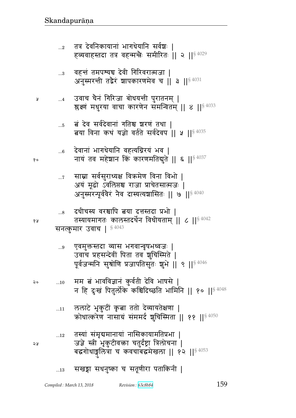### सखड़ा सधनुष्का च सतूणीरा पताकिनी |  $...13$

- तस्यां संमृद्यमानायां नासिकायामतिप्रभा |  $...12\,$ जज्ञे स्त्री भृकुटीवक्ता चतुर्दष्ट्रा त्रिलोचना | बद्धगोधाङ्गुलित्रा च कवचाबद्धमेखला || १२ || 54053
- ललाटे भृकुटीं कृत्वा ततो देव्यायतेक्षणा |  $\dots11$ कोधात्करेण नासाग्रं संममर्द शुचिस्मिता || ११ ||<sup>§ 4050</sup>
- मम बं भावविज्ञानं कुर्वती देवि भाषसे ।  $20$  $...10$ न हि दुःखं पितुर्लोके कश्चिदिच्छति भामिनि || १० ||<sup>§ 4048</sup>
- एवमुक्तस्तदा व्यास भगवान्वृषभध्वजः |  $...9$ उवाच प्रहसन्देवीं पिता तव शुचिस्मिते | पूर्वजन्मनि सुश्रोणि प्रजापतिसुतः शुभे || ९ ||<sup>§ 4046</sup>

सनत्कुमार उवाच | §4043

Å

१०

१५

24

- दधीचस्य वरश्चापि त्वया दत्तस्तदा प्रभो |  $\ldots\!8$ तस्यायमागतः कालस्तदर्थेन विधीयताम् ॥ ८ ॥ ९ ॥ २
- साम्ना सर्वसुराध्यक्ष विक्रमेण विना विभो |  $\dots 7$ अयं मूढो ऽवलिप्तश्च राजा प्राचेतसात्मजः | अनुस्मरन्यूर्ववैरं नैव दास्यत्यशासितः || ७ ||  $^{8\,4040}$
- देवानां भागधेयानि वहत्यग्निरयं भव |  $...6$ नायं तव महेशान किं कारणमतिबुते || ६ ||  $^{8\,4037}$
- बं देव सर्वदेवानां गतिश्च शरणं तथा |  $\dots5$ बया विना कथं यज्ञो वर्तते सर्वदेवप || ५ || \$ 4035
- उवाच चैनं गिरिजा बोधयन्ती पुरातनम् |  $\dots4$ श्लुक्ष्णं मधुरया वाचा कारणेन समन्वितम् || ४ || \$ 4033
- वहन्तं तमपश्यद्य देवी गिरिवरात्मजा |  $\ldots 3$ अनुस्मरत्ती तद्वैरं शापकारणमेव च || 3 || 3 4031
- तत्र देवनिकायानां भागधेयानि सर्वश्चः ।  $\ldots$ <sup>2</sup> हव्यवाहस्तदा तत्र वहन्मन्त्रैः समीरितः || २ ||<sup>§ 4029</sup>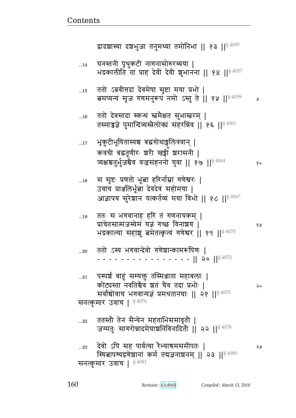| $\dots\!15$ | ततो ऽब्रवीत्तदा देवमेषा सृष्टा मया प्रभो  <br>बमप्यन्यं सृज गणमनुरूपं नमो ऽस्तु ते    १५    <sup>§ 4059</sup>                                                                          | A     |
|-------------|----------------------------------------------------------------------------------------------------------------------------------------------------------------------------------------|-------|
| $\dots16$   | ततो देवस्तदा स्कन्धं स्तमेक्षत सुभास्तरम्  <br>तस्माज्जज्ञे पुमान्दिव्यस्त्रैलोक्यं संहरन्निव    १६    $^{\S\,4061}$                                                                   |       |
| $\dots 17$  | भृकुटीभूषितास्यश्च बद्धगोधाङ्गलित्रवान्  <br>कवची बद्धतूणीरः शरी खड्गी शरासनी  <br>व्यक्षश्चतुर्भुजश्चेव वज्रसंहननो युवा    १७    <sup>§ 4064</sup>                                    | १०    |
| $\dots18$   | स सृष्टः प्रणतो भूबा हरिर्नाम्ना गणेश्वरः  <br>उवाच प्राअलिर्भूत्वा देवदेवं सहोमया  <br>आज्ञापय सुरेशान यत्कर्तव्यं मया विभो    १८   § 4067                                            |       |
| $\dots19$   | ततः स भगवानाह हरि त गणनायकम्  <br>प्राचेतसात्मजस्येमं यज्ञं गच्छ विनाशय  <br>भद्रकाल्या सहाशु बमेतत्कृत्यं गणेश्वर    १९    \$4070                                                     | १ प्र |
| $20$        | ततो ऽस्य भगवान्देवो गणेशान्कामरूपिणः  <br>$- - -   $ 20 $  ^{84072}$                                                                                                                   |       |
| $\dots 21$  | पस्पर्श बाहुं सम्यक्तु तस्मिञ्जाता महाबलाः  <br>कोट्यस्ता नवतिश्चैव श्वतं चैव तदा प्रभोः  <br>सर्वांश्चोवाच भगवान्यज्ञं प्रमथतानघाः    २१    $$^{4075}$<br>$\S 4076$<br>सनत्कुमार उवाच | २०    |
| 22          | ततस्तौ तेन सैन्येन महताभिसमावृतौ  <br>जग्मतुः सागरोन्नादमेघाशनिविनादितौ   २२     ऽ 4078                                                                                                |       |
| 23          | देवो ऽपि सह पार्वत्या रैभ्याश्रमसमीपतः  <br>स्थितापश्यद्रणेशानां कर्म तदाज्ञनाशनम्    २३    $84080$<br>$\frac{1}{5}$ 4081<br>सनत्कमार उवाच                                             | จง    |

घनस्तनी पृथुकटी नागनासोरुरव्यया |<br>भद्रकालीति तां प्राह देवीं देवी शुभानना || १४ ||<sup>§ 4057</sup>  $\dots$ 14

द्वादशास्या दशभुजा तनुमध्या तमोनिभा || १३ ||<sup>§ 4055</sup>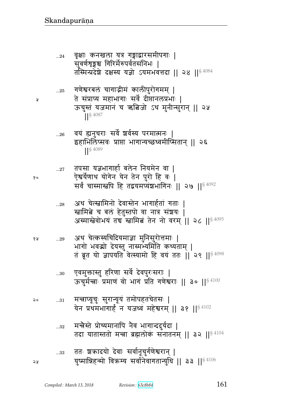- मन्त्रैस्ते प्रोच्यमानापि नैव भागान्ददुर्यदा |  $...32\,$ तदा यातास्ततो मन्त्रा ब्रह्मलोकं सनातनम् || ३२ || $^{\$4104}$
- मन्नाप्यूचुः सुरान्यूयं तमोपहतचेतसः |  $\ldots\!31$ २०
- एवमुक्तास्तु हरिणा सर्वे देवपुरःसराः |  $...30$ ऊचुर्मन्त्राः प्रमाणं वो भागं प्रति गणेश्वराः || ३० || ${}^{8\,4100}$
- 68 भागो भवद्मो देयस्तु नास्मन्यमिति कथ्यताम् | तं ब्रूत यो ज्ञापयति वेत्स्यामो हि वयं ततः || २९ ||<sup>§ 4098</sup>
- अथ चेत्कस्यचिदियमाज्ञा मुनिसुरोत्तमाः |  $...29$
- अथ चेत्स्त्वामिनो देवास्तेन भागार्हतां गताः |  $...28$ खामिबे च बल हेतुस्तपो वा नात्र संशयः | अस्मास्त्रेवोभयं तच स्त्रामित तेन नो वरम् || २८ || \$ 4095
- तपसा यज्ञभागार्हा बलेन नियमेन वा | ऐश्वर्येणाथ योगेन येन तेन पुरो हि वः | सर्वं चास्मास्त्वपि हि तद्वयमप्यंशभागिनः || २७ || < 4092
- वयं ह्यनुचराः सर्वे शर्वस्य परमात्मनः | इहाभिलिप्सवः प्राप्ता भागान्यच्छध्वमीप्सितान् || २६  $\left| \right|^{5\,4089}$
- गणेश्वरबलं चागाद्गीमं कालीपुरोगमम् |  $\ldots 25$ ते संप्राप्य महाभागाः सर्वे दीप्तानलप्रभाः | ऊचुस्तं यजमानं च ऋबिजो ऽथ मुनीन्सुरान् || २५  $\left| \right|^{§}$  4087
- वृक्षाः कनखला यत्र गङ्गाद्वारसमीपगाः |  $...24$ सुवर्णशृङ्गश्च गिरिर्मेरुपर्वतसंनिभः | तस्मिन्प्रदेशे दक्षस्य यज्ञो ऽयमभवत्तदा || २४ || $^{\$4084}$

 $...26$ 

 $...27$ 

y

१०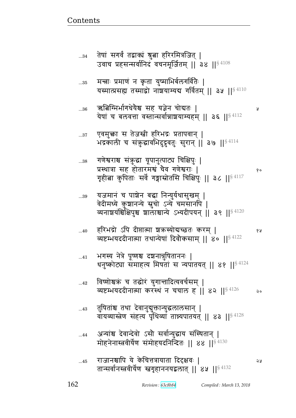১ম

Ã

- राजानश्चापि ये केचित्तत्रायाता दिदृक्षवः |  $...45$ तान्सर्वानस्त्रवीर्येण स्त्रगृहाननयद्वलात् || ४५ || 84132
- अन्यांश्च देवान्देवो ऽसौ सर्वान्युद्धाय संस्थितान् ।  $...44$ मोहनेनास्त्रवीर्येण समोहयदनिर्न्दितः || ४४ || $^{\S\,4130}$
- तुषिताश्च तथा देवानुबुक्तान्युद्धलालसान् |  $...43$ वायव्यास्त्रेण संहत्य पृथिव्यां तान्न्यपातयत् || ४३ ||<sup>§ 4128</sup>
- विष्णोश्चक्रं च तद्धोरं युगान्तादित्यवर्चसम् |  $...42$ व्यष्टम्भयददीनात्मा करस्थं न चचाल ह || ४२ ||  $\frac{84126}{ }$ २०
- भगस्य नेत्रे पूष्णश्च दञ्चनान्नुषिताननः |  $...41$ धनुष्कोट्या समाहत्य मिषतां स न्यपातयत् || ४१ ||<sup>§ 4124</sup>
- हरिभद्रो ऽपि दीप्तात्मा शकस्योदाच्छतः करम् |  $...40$ १५ व्यष्टम्भयददीनात्मा तथान्येषां दिवौकसाम् || ४० || 84122
- यजमानं च पाश्चेन बद्धा निन्युर्यथासुखम् | ..39 वेदीमध्ये कुशानन्ये स्नुचो ऽन्ये चमसानपि | व्यनाशयंश्चिक्षिपुश्च शालाश्चान्ये ऽभ्यदीपयन् || ३९ ||<sup>§ 4120</sup>
- गणेश्वराश्च संकुद्धा यूपानुत्पाट्य चिक्षिपुः |  $\ldots\!38$ प्रस्थात्रा सह होतारमश्चं चैव गणेश्वराः | १० गृहीत्वा कुपिताः सर्वे गङ्गास्रोतसि चिक्षिपुः || ३८ || ${}^{8\,4117}$
- एवमुक्ता स तेजस्त्री हरिभद्रः प्रतापवान् |  $...37$ भद्रकाली च संकुद्धावभिदुदृवतुः सुरान् | 3७ | | 54114
- ऋबिग्मिर्भागधेयैश्च सह यज्ञेन चोद्यतः |  $\ldots 36$ येषां च बलवत्ता वस्तान्सर्वान्नाशयाम्यहम् || ३६ || 94112
- मन्नाः प्रमाणं न कृता युष्माभिर्बलगर्वितैः |  $\dots35$ यस्मात्प्रसह्य तस्माद्वो नाञ्चयाम्यद्य गर्वितम् || ३५ || $\mathbb{S}^{4110}$
- तेषां सगर्वं तद्वाक्यं श्रुत्वा हरिरमित्रजित् |  $...34$ उवाच प्रहसन्सर्वानिदं वचनमूर्जितम् || ३४ ||  $$^{4108}$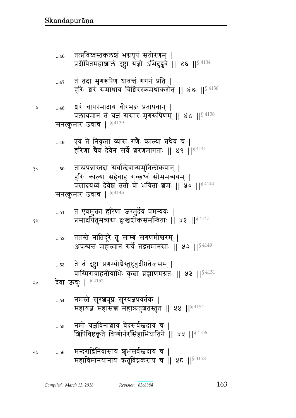|    | 52        | ततस्ते नातिदूरे तु साम्बं सगणमीश्वरम्  <br>अपश्यन्त महात्मानं सर्वे तद्गतमानसाः ॥ ५२ ॥ $^{\$4149}$              |
|----|-----------|-----------------------------------------------------------------------------------------------------------------|
|    | $\dots53$ | ते तं दृष्ट्वा प्रणम्योचैस्तुष्टुवुर्दीप्ततेजसम्  <br>वाग्भिरावाहनीयाभिः कृत्वा ब्रह्माणमग्रतः    ५३    $84151$ |
| २० |           | <b>देवा ऊचुः   §4152</b>                                                                                        |
|    | $\dots54$ | नमस्ते सुरञ्चत्रुघ्न सुरयज्ञप्रवर्तक  <br>महायज्ञ महासच्च महाऋतुशतस्तुत    ५४    $\frac{4154}{3}$               |
|    | 55        | नमो यज्ञविनाशाय वेदसर्वस्त्रदाय च  <br>श्चिपिविष्टकृते विष्णोर्नरसिंहाभिघातिने    ५५    § 4156                  |
| २५ | $56$      | मन्दराद्रिनिवासाय शुभसर्वस्त्रदाय च  <br>महाविमानयानाय ऋतुविघ्नकराय च    ५६    $$^{4158}$                       |

तान्प्रपन्नांस्तदा सर्वान्देवान्समुनिलोकपान् |  $...50$ हरिः काल्या सहैवाह गच्छध्वं सोममव्ययम् | प्रसादयध्वं देवेश ततो वो भविता शमः || ५० || 84144 सनत्कुमार उवाच | §4145

प्रसादयितुमव्यग्रा दुःखश्चोकसमन्विताः || ५१ ||<sup>§ 4147</sup>

त एवमुक्ता हरिणा जग्मुर्देवं प्रमन्यवः |

एवं ते निकृता व्यास गणैः काल्या तथैव च |<br>हरिणा चैव देवेन सर्वे श्वरणमागताः || ४९ ||<sup>§ 4141</sup>  $...49$ 

श्चरं चापरमादाय वीरभद्रः प्रतापवान् |  $...48$ पलायमानं तं यज्ञं ससार मृगरूपिणम् || 86 || 84138 सनत्कुमार उवाच | §4139

प्र

१०

१५

 $\dots51$ 

- तं तदा मृगरूपेण धावन्तं गगनं प्रति |  $...47$ हरिः शरं समाधाय विशिरस्कमथाकरोत् || ४७ || \$4136
- तत्प्रविध्वस्तकलश्चं भग्नयूपं सतोरणम् |  $...46$ प्रदीपितमहाशालं दृष्ट्वा यज्ञो ऽभिदुदृवे || ४६ || 84134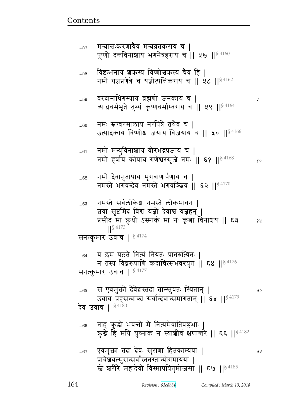विष्टम्भनाय शक्रस्य विष्णोश्चक्रस्य चैव हि |  $...58$ नमो यज्ञप्रणेत्रे च यज्ञोत्पत्तिकराय च || ५८ ||  $84162$ वरदानाधिगम्याय ब्रह्मणो जनकाय च |  $...59$ Ã व्याघ्रचर्मभूते तुभ्यं कृष्णचर्माम्बराय च || ५९ || 94164 नमः स्रग्वरमालाय नरपित्रे तथैव च |  $...60$ उत्पादकाय विष्णोश्च जयाय विजयाय च || ६० ||<sup>§ 4166</sup> नमो मन्युविनाशाय वीरभद्रप्रजाय च |  $...61$ नमो हर्षाय कोपाय गणेश्वरसृजे नमः || ६१ || 84168  $90$ नमो देवानुतापाय मृगबाणार्पणाय च |  $...62$ नमस्ते भगवन्देव नमस्ते भगवञ्छिव || ६२ ||  $$^{4170}$ नमस्ते सर्वलोकेश नमस्ते लोकभावन ।  $...63$ बया सृष्टमिदं विश्वं यज्ञो देवाश्च यज्ञहन् | प्रसीद मा क़ुधो ऽस्माकं मा नः कृत्वा विनाशय || ६३ १५  $18^{4173}$ सनत्कुमार उवाच |  $$^{4174}$ य इमं पठते नित्यं नियतः प्रातरुत्थितः |  $...64$ न तस्य विघ्नरूपाणि कदाचित्संभवन्त्युत | ६४ |  $\mathbb{S}^{4176}$ सनत्कुमार उवाच |  $$^{4177}$ स एवमुक्तो देवेशस्तदा तान्स्तुवतः स्थितान् |  $...65$ २० उवाच प्रहसन्वाकां सर्वान्देवान्समागतान् || ६५ ||<sup>§ 4179</sup> देव उवाच | 84180 नाहं कुद्धो भवन्तो मे नित्यमेवातिवल्लभाः |<br>कुद्धे हि मयि युष्माकं न स्याज्जीवं क्षणान्तरे || ६६ ||<sup>§ 4182</sup>  $...66$ एवमुक्ता तदा देवः सुराणां हितकाम्यया |  $...67$ จง प्रावेशयत्सुरान्सर्वांस्ततस्तान्योगमायया | खे शरीरे महादेवो विस्मापयितुमोजसा || ६७ ||<sup>§ 4185</sup>

मन्नानःकरणायैव मन्नव्रतकराय च |  $...57$ पूष्णो दत्तविनाशाय भगनेत्रहराय च || ५७ ||<sup>§ 4160</sup>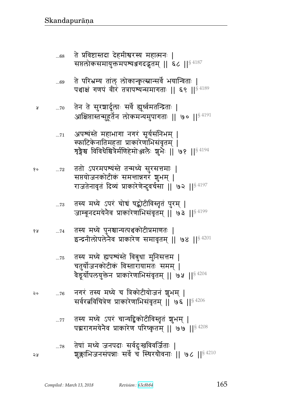Å

|    | प्रभागमयनव प्राकारण पारष्कृतम् ॥ ७७ ॥ $\frac{3.7200}{2.7200}$                                         |
|----|-------------------------------------------------------------------------------------------------------|
| จะ | 78 तेषां मध्ये जनपदाः सर्वदुःखविवर्जिताः  <br>शक्लाभिजनसंपन्नाः सर्वे च स्थिरयोवनाः ॥ ७८ ॥ $$^{4210}$ |

- तस्य मध्ये ऽपरं चान्यद्विकोटीविस्तृतं शुभम् |  $...77$
- नगरं तस्य मध्ये च त्रिकोटीयोजनं शुभम् | २०  $...76$ सर्वरत्नविचित्रेण प्राकारेणाभिसंवृतम् || ७६ ||§ 4206
- तस्य मध्ये ह्यपश्यंस्ते विबुधा मुनिसत्तम |  $...75$ चतुर्योजनकोटीकं विस्तारायामतः समम् | वैड्रर्योपलयुक्तेन प्राकारेणाभिसंवृतम् ॥ ७५ ॥ $^{\$4204}$
- तस्य मध्ये पुनश्चान्यत्पञ्चकोटीप्रमाणतः | १५  $\dots 74$ इन्द्रनीलोपलेनेव प्राकारेण समावृतम् || ७४ ||  $$^{4201}$
- तस्य मध्ये ऽपरं चोचं षद्कोटीविस्तृतं पुरम् |  $\ldots73$ जाम्बूनदमयेनैव प्राकारेणाभिसंवृतम् || ७३ ||<sup>§ 4199</sup>
- ततो ऽपरमपश्यंस्ते तन्मध्ये सुरसत्तमाः | १०  $...72$ सप्तयोजनकोटीकं समत्तान्नगरं शुभम् | राजतेनावृतं दिव्यं प्राकारेणेन्दुवर्चसा || ७२ ||<sup>§ 4197</sup>
- अपश्यंस्ते महाभागा नगरं सूर्यसंनिभम् |  $...71$ स्फाटिकेनातिमहता प्राकारेणाभिसंवृतम् | शृङ्गेश्च विविधेश्चित्रेर्मणिहेमोञ्जलेः शुभेः || ७१ ||<sup>§ 4194</sup>
- तेन ते सुरशार्दूलाः सर्वे ह्यूर्ध्वमतन्द्रिताः |  $...70$ आक्षिप्तास्तन्मुहूर्तेन लोकमन्यमुपागताः || ७० ||<sup>§ 4191</sup>
- ते परिभ्रम्य तांल् लोकान्कृत्स्नान्सर्वे भयान्विताः |  $...69$ पञ्चाक्षं गणपं वीरं तत्रापश्यन्समागताः || ६९ || $84189$
- ते प्रविष्टास्तदा देहमीश्वरस्य महात्मनः |  $...68\,$ सप्तलोकसमायुक्तमपश्यञ्जगदद्भुतम् || ६८ || 84187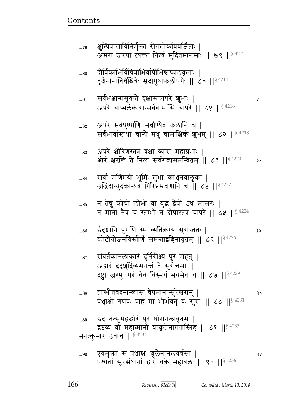५

क्षुत्पिपासाविनिर्मुक्ता रोगशोकविवर्जिताः |<br>अमरा जरया त्यक्ता नित्यं मुदितमानसाः || ७९ ||<sup>§ 4212</sup>  $...79$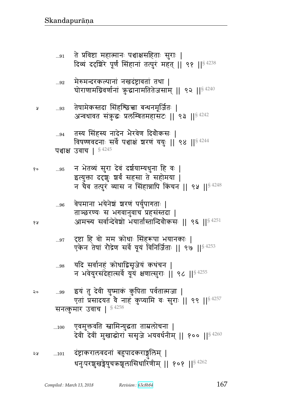Å

१०

१५

२०

- दंष्ट्राकरालवदनां बहुपादकराङ्गलिम् |  $\dots101$ ২५ धनुःपरशुखङ्गेषुचक्रशूलासिधारिणीम् || १०१ ||<sup>§ 4262</sup>
- एवमुक्तवति स्त्रामिन्युद्धता ताम्रलोचना |  $...100$ देवी देवीं मुखाद्धोरां ससुजे भयवर्धनीम् ॥ १०० ॥ $$^{4260}$
- 'इयं तु देवी युष्माकं कुपिता पर्वतात्मजा | ..99 एतां प्रसादयत वे नाहं कुप्यामि वः सुराः || ९९ ||<sup>§ 4257</sup> सनत्कुमार उवाच |  $$4258$
- यदि सर्वानहं कोधाद्विसृजेयं कथंचन |  $\ldots\!98$ न भवेयुरसंदेहात्सर्वे यूयं क्षणात्सुराः ॥ ९८ ॥  $$^{4255}$
- दृष्टा हि वो मम क्रोधाः सिंहरूपा भयानकाः |  $...97$ एकेन तेषां रोद्रेण सर्वे यूयं विनिर्जिताः || ९७ ||§ 4253
- वेपमाना भयेनेश शारणं पर्युपागताः |  $...96$ ताञ्छरण्यः स भगवानुवाच प्रहसंस्तदा | आमच्य सर्वान्देवेशो भयार्तांस्तान्दिवौकसः || ९६ ||<sup>§ 4251</sup>
- न भेतव्यं सुरा देवं दर्शयाम्यधुना हि वः |  $...95$ इत्युक्ता ददृशः श्चर्वं सहसा ते सहोमया | न चैव तत्पुरं व्यास न सिंहान्नापि किंचन || ९५ ||<sup>§ 4248</sup>
- तस्य सिंहस्य नादेन भैरवेण दिवौकसः |  $...94$ विषण्णवदनाः सर्वे पञ्चाक्षं शरणं ययुः ।। ९४ ।।  $$^{4244}$ पश्चाक्ष उवाच |  $$^{4245}$
- तेषामेकस्तदा सिंहश्छिच्चा बन्धनमूर्जितः |  $\ldots 93$ अन्वधावत संकुद्धः प्रलम्बितमहासटः || ९३ ||<sup>§ 4242</sup>
- मेरुमन्दरकल्पानां नखदंष्ट्रावतां तथा |  $\ldots 92$ घोराणामग्निवर्णानां कुद्धानामतितेजसाम् || ९२ ||<sup>§ 4240</sup>
- ते प्रविष्टा महात्मानः पञ्चाक्षसहिताः सुराः |  $...91$ दिव्यं ददृशिरे पूर्णं सिंहानां तत्पुरं महत् || ९१ ||<sup>§ 4238</sup>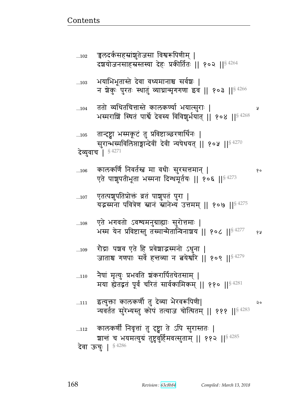|     | न्यवर्तत सुरेभ्यस्तु कोपं तत्याज चोत्थितम्    १११    <sup>§ 42</sup>                                                         |
|-----|------------------------------------------------------------------------------------------------------------------------------|
| 112 | कालकर्णी निवृत्तां तु दृष्ट्वा ते ऽपि सुरास्ततः  <br>शान्तं च भयमत्युग्रं तुष्टुवुर्हिमवत्सुताम्    ११२    <sup>§ 4285</sup> |
|     | <b>देवा ऊचुः   §4286</b>                                                                                                     |

- इत्युक्ता कालकर्णी तु देव्या भैरवरूपिणी|  $\dots111$ २० 83
- नैषां मृत्युः प्रभवति श्रंकरार्पितचेतसाम् |  $...110$ मया ह्येतद्वतं पूर्वं चरितं सार्वकामिकम् || ११० ||<sup>§ 4281</sup>
- रौद्राः पञ्चव एते हि प्रवेशाद्भस्मनो ऽधुना |  $...109$ जाताश्च गणपाः सर्वे हत्तव्या न तयेर्थारे || १०९ ||<sup>§ 4279</sup>
- एते भगवतो ऽवश्यमनुग्राह्याः सुरोत्तमाः |  $...108$ भस्म येन प्रविष्टास्तु तस्मान्मैतान्विनाशय || १०८ || 94277 १५
- एतत्पशुपतिप्रोक्तं व्रतं पाशुपतं पुरा |  $\dots107$ यद्भमना पवित्रेण स्नानं स्नानेभ्यं उत्तमम् || १०७ || \$4275
- कालकर्णि निवर्तस्त मा वधीः सुरसत्तमान् |  $...106$ एते पाशुपतीभूता भस्मना दिग्धमूर्तयः || १०६ ||<sup>§ 4273</sup>
- तान्दृष्ट्वा भस्मकूटं तु प्रविष्टाञ्छरणार्थिनः |  $...105$ सुरान्भस्मविलिप्ताङ्गान्देवीं देवी न्यषेधयत् || १०५ || \$ 4270 देव्युवाच | § 4271
- ततो व्यथितचित्तास्ते कालकर्ण्या भयात्सुराः |  $...104$ भस्मराशिं स्थितं पार्श्वे देवस्य विविशूर्भयात् || १०४ ||§ 4268
- भयाभिभूतास्ते देवा वध्यमानाश्च सर्वेशः |  $...103$ न शेकुः पुरतः स्थातुं व्याघ्रान्मृगगणा इव || १०३ ||<sup>§ 4266</sup>
- . चुलंदर्कसंहस्रांशुतेजसा विश्वरूपिणीम् ।  $...102$ दशयोजनसाहस्रस्तस्या देहः प्रकीर्तितः || १०२ ||<sup>§ 4264</sup>

१०

Å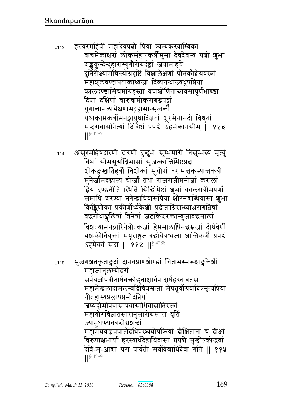- हरवरमहिषीं महादेवपत्नीं प्रियां त्र्यम्बकस्याम्बिकां  $...113$ वाचमेकाक्षरां लोकसंहारकर्त्रीमुमां देवदेवस्य पत्नीं शुभां श्चङ्खकुन्देन्दुहाराम्बुगौरोग्रदंष्ट्रां जयामाहवे दुर्निरीक्ष्यामचिन्त्योग्रदृष्टिं विशालेक्षणां पीतकौशेयवस्त्रां महाश्चलघण्टापताकाध्वजां दिव्यगन्धाज्यधूपप्रियां कालदण्डासिचर्माग्रहस्तां वपाशोणितान्त्रावसापूर्णभाण्डां दिशां दक्षिणां चारुचामीकराबद्धपट्टां युगान्तानलाभेक्षणामट्टहासान्सृजन्तो यथाकामकत्रीमनङ्गायुधाविक्षतां श्रूरसेनानदीं विश्रुतां मन्दरावासनित्यां दिविष्ठां प्रपद्ये ऽहमेकानसीम् ॥ ११३  $\left| \right|^{§}$  4287
- असुरमहिषदारणीं दारणीं दुन्दुभेः सुम्भमारीं निसुम्भस्य मृत्युं  $...114$ विभां सोमसूर्याग्निभासां सृजत्कान्तिमिष्टप्रदां शोकदुःखार्तिहर्त्री विशोकां सुघोरां वरामत्तकस्यात्तकर्त्री मुनेर्जामदग्नस्य चोर्जां तथा राजराज्ञीमनोज्ञां करालां हियं दण्डनीतिं स्थितिं सिद्धिमिष्टां शुभां कालरात्रीमपर्णां समाधिं ञ्चरण्यां नगेन्द्राधिवासप्रियां क्षीरनद्यब्धिवासां ज्ञुभां किङ्किणीकां प्रकीर्णोर्ध्वकेशीं प्रदीप्ताग्निसन्ध्याभ्ररागत्विषां बद्धगोधाङ्गलित्रां त्रिनेत्रां जटाकेशरक्ताम्बुजाबद्धमालां विश्वल्यामनङ्गारिनेत्रोल्कजां हेममालापिनद्धस्रजां दीर्घवेणीं यश्चःकीर्तियुक्तां मयूराङ्गजाबद्धचित्रध्वजां शान्तिकर्त्रीं प्रपद्ये ऽहमेकां संदा || ११४ || 84288

भुजगञ्चतकृताङ्गदां दानवप्राणञ्चौण्डां चिताभस्मरूक्षाङ्गकेशीं  $...115$ महाजानुलम्बोदरा सर्पयज्ञोपवीतार्धवक्तोद्धृताक्षार्धपादार्धहस्तावतंसां महामेखलादामलम्बद्विचित्रस्रजां मेघतूर्योग्रवादित्रनृत्यप्रियां गीतहास्यप्रलापप्रमोदप्रियां जप्यहोमोपवासाप्रवासाधिवासातिरक्तां महायोगविज्ञातसारानुसारोग्रसारां धृति ज्यानुघण्टावबद्धोग्रशब्दां महामेघवज्रप्रपातोदधिप्रख्यघोषक्रियां दीक्षितानां च दीक्षां विरूपाक्षभार्यां हरस्यार्धदेहाधिवासां प्रपद्ये मुखोल्कोद्भवां देवि-म्-आद्यां परां पार्वतीं सर्वविद्याधिदेवां गतिं || ११५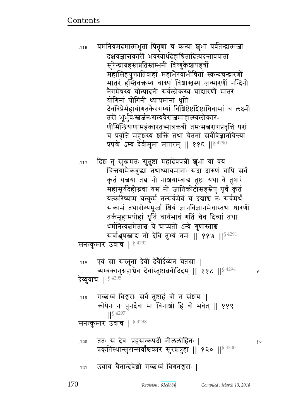y

170

### उवाच चैतान्देवेशो गच्छध्वं विगतच्चराः |  $...121$

## ततः स देवः प्रहसन्कपर्दी नीललोहितः |  $...120$ १० प्रकृतिस्थान्सुरान्सर्वाश्चकार सुरज्ञत्रुहा ।। १२० ।।  $$^{4300}$

गच्छध्वं विच्वराः सर्वे तुष्टाहं वो न संशयः |  $...119$ कोपेन नः पुनर्देवा मा विनाशो हि वो भवेत् || ११९  $\frac{1}{5}$  4297 सनत्कुमार उवाच | §4298

देव्युवाच | § 4295

एवं सा संस्तुता देवी देवैर्दिव्येन चेतसा |  $...118$ त्र्यम्बकानुग्रहाचैव देवांस्तुष्टाब्रवीदिदम् || ११८ || अस्य २२२

सनत्कुमार उवाच |  $$^{4292}$ 

चिन्तयामैकबुद्धा तथाध्यायमानाः सदा दारुणं चापि सर्वं कृतं यत्नया तद्य नो नाशयाम्बाद्य तुष्टा यथा वै तुषारं महासूर्यदेहोद्भवा यच नो जातिकोटीसहस्रेषु पूर्वं कृतं यत्करिष्याम यत्कुर्म तत्सर्वमेवं च दद्याश्च नः सर्वमर्थं सकामं तथारोग्यमूर्जां श्रियं ज्ञानविज्ञानमेधास्तथा धारणीं तर्कमूहामपोहां धृतिं चार्यभावं गतिं चैव दिव्यां तथा धर्मनित्यत्नमेतांश्च ये चाप्यतो ऽन्ये गुणास्तांश्च सर्वाञ्जुषस्ताद्य नो देवि तुभ्यं नमः || ११७ ||<sup>§ 4291</sup>

दिश तु सुखमतः सुतुष्टा महादेवपत्नीं शुभां यां वयं

यमनियमदमात्मभूतां पितृणां च कन्यां शुभां पर्वतेन्द्रात्मजां दक्षयज्ञान्तकारी भवस्यार्धदेहाश्रितादित्यदन्तावपातां सुरेन्द्राग्रहस्तप्रतिस्तम्भनीं विष्णुकेशापहर्त्रीं महासिंहयुक्तातिवाहां महाभैरवाभीषितां स्कन्दचन्द्रारणीं मातरं हस्तिवक्तस्य चाग्र्यां विशाखस्य जन्मारणीं नन्दिनो नैगमेषस्य चोत्पादनीं सर्वलोकस्य चाद्यारणीं मातरं योगिनां योगिनीं ध्यायमानां धृतिं देवविप्रैर्महायोगतर्कैरगम्यां विशिष्टेष्टशिष्टाधिवासां च लक्ष्मीं तरीं भूर्भुवःस्तर्जनःसत्यवैराजमाहात्म्यलोकार-णीमिन्द्रियाणामहंकारतन्मात्रकर्त्रीं तमःसत्त्वरागप्रवृत्तिं परां च प्रवृत्तिं महेशस्य शक्तिं तथा चेतनां सर्वविज्ञानचिन्त्यां प्रपद्ये ऽम्ब देवीमुमां मातरम् || ११६ ||§ 4290

 $...116$ 

 $...117$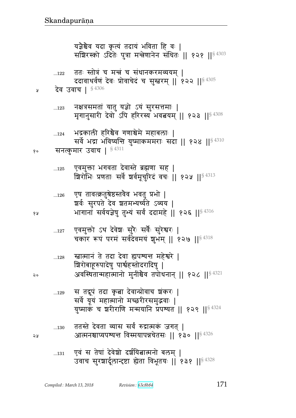| 127 | एवमुक्तो ऽथ देवेशः सुरैः सर्वैः सुरेश्वरः  <br>चकार रूपं परमं सर्वदेवमयं शुभम्    १२७    \$4318                                                       |
|-----|-------------------------------------------------------------------------------------------------------------------------------------------------------|
| 128 | स्त्रात्मानं ते तदा देवा ह्यपश्यन्त महेश्वरे  <br>अवस्थितान्महात्मानो मुनींश्चेव तपोधनान्    १२८    <sup>§ 4321</sup>                                 |
| 129 | स तदूपं तदा कृता देवान्प्रोवाच शंकरः  <br>सर्वे यूयं महात्मानो मच्छरीरसमुद्भवाः  <br>युष्माकं च शरीराणि मन्मयानि प्रपश्यत    १२९    <sup>§ 4324</sup> |
| 130 | ततस्ते देवता व्यास सर्वं रुद्रात्मकं जगत्  <br>आत्मनश्चाप्यपश्यन्तं विस्मयापन्नचेतसः ॥ १३० ॥ $\mathbb{S}^{4326}$                                      |
| 131 | एवं स तेषां देवेशो दर्शयितात्मनो बलम् ।<br>उवाच सुरशार्दूलान्दृष्टा ह्येता विभूतयः    १३१    <sup>§ 4328</sup>                                        |

| 126 | एष तावत्क्रतुश्रेष्ठस्तवैव भवतु प्रभो                               |
|-----|---------------------------------------------------------------------|
|     | श्चर्वः सुरपते देव शतमभ्यर्च्यते ऽव्यय                              |
|     | भागानां सर्वयज्ञेषु तुभ्यं सर्वं ददामहे    १२६    <sup>§ 4316</sup> |

एवमुक्ता भगवता देवास्ते ब्रह्मणा सह |  $...125$ श्रिरोभिः प्रणताः सर्वे शर्वमूर्चुारेदं वचः || १२५ || 84313

#### सनत्कुमार उवाच | § 4311 १०

१५

२०

58

भद्रकाली हरिश्चैव गणाश्चेमे महाबलाः |  $\dots 124$ सर्वे भद्रा भविष्यन्ति युष्माकममराः सदा || १२४ || 84310

नक्षत्रसमतां यातु यज्ञो ऽयं सुरसत्तमाः |  $...123$ मृगानुसारी देवो ऽपि हरिरस्य भवत्वयम् || १२३ || 84308

#### देव उवाच | §4306 ¥

ततः स्तोत्रं च मन्त्रं च संधानकरमव्ययम् |  $...122$ ददावाथर्वणं देवः प्रोवाचेदं च सुस्त्वरम् || १२२ || 84305

यज्ञैश्चेव यदा कृत्यं तदायं भविता हि वः |<br>सश्चिरस्को ऽदितेः पुत्रा मन्त्रेणानेन संधितः || १२१ ||<sup>§ 4303</sup>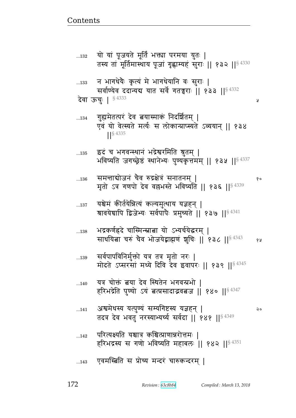Å

#### एवमस्त्रिति स प्रोच्य मन्दरं चारुकन्दरम् |  $...143$

- परित्यक्ष्यति यश्चात्र कश्चित्प्राणान्नरोत्तमः |  $...142$ हरिभद्रस्य स गणो भविष्यति महाबलः || १४२ ||<sup>§ 4351</sup>
- अश्वमेधस्य यत्पुण्यं सम्यगिष्टस्य यज्ञहन् |  $...141$ २० तदत्र देव भवतु नरस्याभ्यर्च्य सर्वदा || १४१ || 84349
- यत्र चोक्तं बया देव स्थितेन भगवन्प्रभो |  $...140$ हरिभद्रेति पुण्यो ऽयं बत्प्रसादाद्भवबज || १४० ||<sup>§ 4347</sup>
- सर्वपापविनिर्मुक्तो यत्र तत्र मृतो नरः |  $...139$ मोदते ऽप्सरसां मध्ये दिवि देव इवापरः || १३९ || \$ 4345
- भद्रकर्णह्रदे चास्मिन्स्नात्ना यो ऽभ्यर्चयेद्धरम् |  $...138$ साधयिता चरुं चैव भोजयेद्वाह्मणं शुचिः || १३८ || 84343 68
- यश्चेमं कीर्तयेन्नित्यं कल्यमुत्थाय यज्ञहन् |  $\dots137$ श्रावयेद्यापि द्विजेभ्यः सर्वपापैः प्रमुच्यते || १३७ ||<sup>§ 4341</sup>
- समत्ताद्योजनं चैव रुद्रक्षेत्रं सनातनम् |  $...136$ १० मृतो ऽत्र गणपो देव वल्लभस्ते भविष्यति || १३६ ||§ 4339
- इदं च भगवन्स्थानं भद्रेश्वरमिति श्रुतम् |  $...135$ भविष्यति जगच्छ्रेष्ठं स्थानेभ्यः पुण्यकृत्तमम् || १३५ || \$ 4337
- गुह्यमेतत्परं देव त्नयास्माकं निदर्शितम् |  $...134$ एवं यो वेत्स्यते मर्त्यः स लोकान्प्राप्स्यते ऽव्ययान् ॥ १३४  $\frac{1}{5}$  4335
- न भागधेयैः कृत्यं मे भागधेयानि वः सुराः |  $...133$ सर्वाण्येव ददान्यद्य यात सर्वे गतन्नुराः || १३३ || 84332 **देवा ऊचुः | § 4333**

यो यां पूजयते मूर्तिं भक्त्या परमया युतः |  $...132$ तस्य तां मूर्तिमास्थाय पूजां गृह्णाम्यहं सुराः || १३२ ||<sup>§ 4330</sup>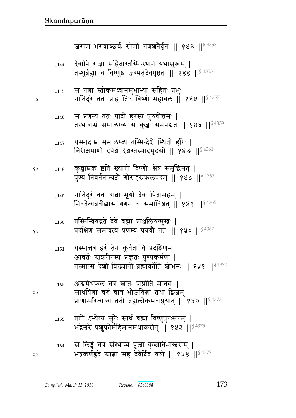|            | $\frac{1}{2}$ $\frac{1}{2}$ $\frac{1}{2}$ $\frac{1}{2}$ $\frac{1}{2}$ $\frac{1}{2}$ $\frac{1}{2}$ $\frac{1}{2}$ $\frac{1}{2}$ $\frac{1}{2}$ $\frac{1}{2}$ $\frac{1}{2}$ $\frac{1}{2}$ $\frac{1}{2}$ $\frac{1}{2}$ $\frac{1}{2}$ $\frac{1}{2}$ $\frac{1}{2}$ $\frac{1}{2}$ $\frac{1}{2}$ $\frac{1}{2}$ $\frac{1}{2}$ |
|------------|---------------------------------------------------------------------------------------------------------------------------------------------------------------------------------------------------------------------------------------------------------------------------------------------------------------------|
| 145        | स गत्ना स्तोकमध्वानमुभाभ्या सहितः प्रभुः  <br>नातिंदूरे ततः प्राह तिष्ठं विष्णो महाबल    १४५    $84357$                                                                                                                                                                                                             |
| 146        | स प्रणम्य ततः पादौ हरस्य पुरुषोत्तमः  <br>तस्थावाम्रं समालम्ब्य स कुडुः समपद्यत    १४६    <sup>§ 4359</sup>                                                                                                                                                                                                         |
| 147        | यस्मादाम्रं समालम्ब्य तस्मिन्देशे स्थितो हरिः  <br>निरीक्षमाणो देवेश्चं देशस्तस्मादभूदसौ    १४७    $^{\S\,4361}$                                                                                                                                                                                                    |
| 148        | कुड़ाम्रक इति ख्यातो विष्णोः क्षेत्रं समृद्धिमत्  <br>पुण्यं निवर्तनान्यष्टौ गोसहस्रफलप्रदम् ॥ १४८ ॥ $^{\$4363}$                                                                                                                                                                                                    |
| 149        | नातिदूरं ततो गत्ना भूयो देवः पितामहम्  <br>निवर्तेत्यब्रवीद्यास गगनं च समाविश्वत्    १४९    <sup>§ 4365</sup>                                                                                                                                                                                                       |
| 150        | तस्मिन्वियद्गते देवे ब्रह्मा प्राञ्जलिरुन्मुखः  <br>प्रदक्षिणं समावृत्य प्रणम्य प्रययौ ततः    १५०   § 4367                                                                                                                                                                                                          |
| $\dots151$ | यस्मात्तत्र हरं तेन कुर्वता वे प्रदक्षिणम्  <br>आवर्तः स्तृश्चरीरस्य प्रकृतः पुण्यकर्मणा  <br>तस्मात्स देशो विख्यातो ब्रह्मावर्तेति शोभनः    १५१    <sup>§ 4370</sup>                                                                                                                                               |
| 152        | अश्वमेधफलं तत्र स्नातः प्राप्नोति मानवः  <br>साधयित्ना चरुं चात्र भोजयित्ना तथा द्विजम्  <br>प्राणान्परित्यज्य ततो ब्रह्मलोकमवाप्नुयात्    १५२    <sup>§ 4373</sup>                                                                                                                                                 |
| 153        | ततो ऽभ्येत्य सुरैः सार्धं ब्रह्मा विष्णुपुरःसरम्  <br>भद्रेश्वरे पशुपतेर्महिमानमथाकरोत्    १५३    <sup>§ 4375</sup>                                                                                                                                                                                                 |
| 154        | स लिङ्गं तत्र संस्थाप्य पूजां कृबातिभास्तराम्  <br>भद्रकर्णह्रदे स्नाबा सह देवेर्दिवं ययो    १५४    54377                                                                                                                                                                                                           |

 $\lambda$ 

१०

१५

२०

२५

देवापि राज्ञा सहितास्तस्मिन्स्थाने यथासुखम् |<br>तस्थर्ब्रह्मा च विष्णश्च जग्मतर्देवपृष्ठतः || १४४ ||<sup>§ 4355</sup>  $...144$ 

जगाम भगवाञ्छर्वः सोमो गणश्चतैर्वृतः || १४३ ||<sup>§ 4353</sup>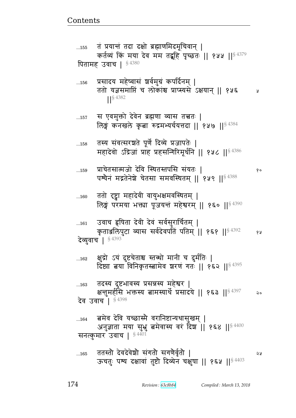१०

बमेव देवि यच्छास्मै वरानिष्टान्यथासुखम् |  $...164$ अनुज्ञाता मया सुभ्रु बमेवास्य वरं दिश || १६४ ||<sup>§ 4400</sup> सनत्कुमार उवाच | § 4401

तदस्य दुष्टभावस्य प्रसन्नस्य महेश्वर |  $...163$ क्षन्तुमर्हासे भक्तस्य तामस्यार्थे प्रसादये || १६३ ||§ 4397  $\mathsf{Q} \circ$ देव उवाच | §4398

क्षुद्रो ऽयं दुष्टचेताश्च स्तब्धो मानी च दुर्मतिः |  $...162$ दिष्ट्या बया विनिकृतस्बामेव शरणं गतः || १६२ || 84395

उवाच हृषिता देवी देवं सर्वसुरार्चितम् |  $...161$ कृताञ्जलिपुटा व्यास सर्वदेवपतिं पतिम् || १६१ || \$ 4392 १५ **देव्युवाच | § 4393** 

ततो दृष्ट्वा महादेवी वायुभक्षमवस्थितम् |  $...160$ लिङ्गं परमया भक्त्या पूजयन्तं महेश्वरम् || १६० ||  $\frac{4390}{360}$ 

प्राचेतसात्मजो देवि स्थितस्तपसि संयतः ।  $...159$ पश्येनं मद्गतेनेशे चेतसा समवस्थितम् || १५९ ||<sup>§ 4388</sup>

तस्य संवत्सरश्चते पूर्णे दिव्ये प्रजापतेः |  $...158$ महादेवो ऽद्रिजां प्राह प्रहसन्गिरिमूर्धनि || १५८ ||<sup>§ 4386</sup>

स एवमुक्तो देवेन ब्रह्मणा व्यास तत्त्वतः |  $\dots157$ लिङ्गं कनखले कृता रुद्रमभ्यर्चयत्तदा || १५७ ||  $$^{4384}$ 

प्रसादय महेष्वासं शर्वमुग्रं कपर्दिनम् |  $...156$ ततो यज्ञसमाप्तिं च लोकांश्च प्राप्स्यसे ऽक्षयान ॥ १५६ Å  $\frac{1}{5}$  4382

तं प्रयान्तं तदा दक्षो ब्रह्माणमिदमूचिवान् |  $...155$ कर्तव्यं किं मया देव मम तद्बूहि पृच्छतः || १५५ || 54379 पितामह उवाच | §4380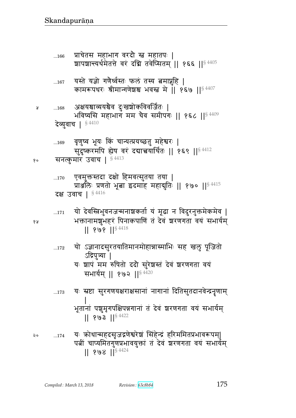यः कोधान्महदसृजद्गणेश्वरेशं सिंहेन्द्रं हरिममितप्रभावरूपम्| २०  $...174$ पत्नीं चाप्यमितगुणप्रभावयुक्तां तं देवं शरणगता वयं सभार्यम्  $|| 808 ||$ <sup>\$4424</sup>

- यः स्रष्टा सुरगणयक्षराक्षसानां नागानां दितिसुतदानवेन्द्रनॄणाम्  $\dots 173$ भूतानां पशुमृगपक्षिपन्नगानां तं देवं श्वरणगता वयं सभार्यम्  $|| 803 ||$ <sup>§ 4422</sup>
- ऽद्रिपुत्र्या | यः शापं मम रुषितो ददौ सुरेशस्तं देवं शरणगता वयं सभार्यम् || १७२ ||<sup>§ 4420</sup>
- यो ऽज्ञानादसुरतयातिमानमोहान्नास्माभिः सह खलु पूजितो  $\dots172$
- यो देवस्त्रिभुवनजन्मनाश्रकर्ता यं मूढा न विदुरनुक्तमेकमेव |  $...171$ भक्तानामशुभहरं पिनाकपाणि तं देवं शरणगता वयं सभार्यम्  $|| 898 ||$   $8418$
- एवमुक्तस्तदा दक्षो हिमवत्सुतया तया |  $...170$ प्रार्श्वोतेः प्रणतो भूबा इदमाह महायुतिः || १७० ||  $^{8\,4415}$ **दक्ष उवाच | §4416**
- वृणुष्व भूयः किं चान्यत्प्रयच्छतु महेश्वरः |  $...169$ सुदुष्करमपि ह्येष वरं दद्यात्त्वयार्थितः || १६९ || अस्य कर कर कर सनत्कुमार उवाच | 84413 १०
- अक्षयश्चाव्ययश्चैव दुःखश्चोकविवर्जितः |  $...168$ भविष्यसि महाभाग मम चैव समीपगः || १६८ ||§ 4409 देव्युवाच | 54410
- यस्ते यज्ञो गणैर्ध्वस्तः फलं तस्य बमाप्नुहि |  $...167$ कामरूपथरः श्रीमान्गणेश्रश्च भवस्त मे ॥ १६७ ॥ $^{\$4407}$
- प्राचेतस महाभाग वरदौ स्त महातपः |  $...166$ शापशान्त्यर्थमेतत्ते वरं दधि तवेप्सितम् || १६६ || 84405

१५

Å

175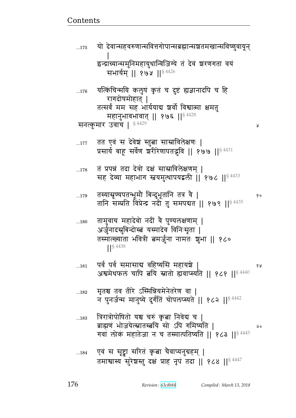Ã

| 184 | एवं स सृष्ट्वा सरितं कृत्वा चैवाप्यनुग्रहम्                   |  |
|-----|---------------------------------------------------------------|--|
|     | तमाश्वास्य सुरेशस्तु दक्ष प्राह नृपं तदा    १८४    $$^{4447}$ |  |

- त्रिरात्रोपोषितो यश्च चरुं कृत्वा निवेद्य च  $...183$ ब्राह्मणं भोजयेत्स्नातस्त्रयि सो ऽपि गमिष्यति ।  $20$ गवां लोकं महातेजा न च तस्मात्पतिष्यति ।। १८३ ।।<sup>§ 4445</sup>
- मृतश्च तव तीरे ऽस्मिन्नियमेनेतरेण वा |  $...182$ न पुनर्जन्म मानुष्ये दुर्गतिं चोपलप्स्यते || १८२ ||<sup>§ 4442</sup>
- पर्व पर्व समासाद्य वहिष्यसि महायञ्चे  $...181$ १५ अश्वमेधफलं चापि त्नयि स्नातो ह्यवाप्स्यति ॥ १८१ ॥ 4440
- तामुवाच महादेवो नदी वै पुण्यलक्षणाम् ।  $...180$ अर्जुनादसूबिन्दोस्त्वं यस्मादेव विनिःसृता | तस्मात्ख्याता भवित्री बमर्जुना नामतः शुभा || १८०
- तस्यासूण्यपतन्भूमौ बिन्दुभूतानि तत्र वै |  $...179$ १० तानि सम्प्रति विप्रेन्द्र नदी तु समपद्यत || १७९ ||  $$^{4435}$
- तं प्रपन्नं तदा देवो दक्षं सास्राविलेक्षणम् ।  $...178$ सह देव्या महाभाग स्नयमुत्थापयद्वली | १७८ | | 84433
- तत एवं स देवेश स्तुत्वा साम्राविलेक्षणः |  $...177$ प्रसार्य बाहू सर्वेण शरीरेणापतद्भवि || १७७ || 84431
- यत्किंचिन्मयि कलृषं कृतं च दुष्टं ह्यज्ञानादपि च हि  $...176$ रागदोषमोहात् | तत्सर्वं मम सह भार्ययाद्य श्रर्वो विश्वात्मा क्षमतु महानुभावभावात् || १७६ || \$4428 सनत्कुमार उवाच | §4429
- यो देवान्सहवरुणान्सवित्तगोपान्सब्रह्मान्सञ्चतमखान्सविष्णवायुन  $...175$ इन्द्राग्र्यान्समुनिमहायुधान्विजिग्ये तं देवं शरणगता वयं सभार्यम् || १७५ ||<sup>§ 4426</sup>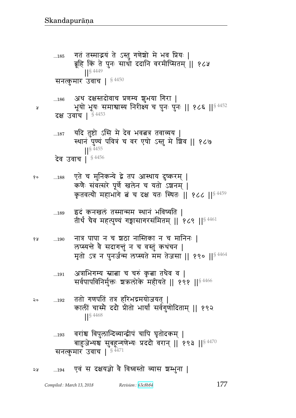$...194$ 

২५

Я

एवं स दक्षयज्ञो वै विध्वस्तो व्यास श्रम्भुना |

देव उवाच | 84456 एते च मुनिकन्ये द्वे तप आस्थाय दुष्करम् | १०  $\dots\!188$ कणैः संवत्सरे पूर्णे खलेन च यतो ऽशनम् | कृतवत्यौ महाभागे बं च दक्ष यतः स्थितः || १८८ || \$4459 इदं कनखलं तस्मान्मम स्थानं भविष्यति । ...189 तीर्थं चैव महत्पुण्यं गङ्गासागरसंमितम् || १८९ || $^{\$}$  $^{4461}$ नात्र पापा न च श्वठा नास्तिका न च मानिनः | 68  $...190$ लप्स्यन्ते वै सदागन्तुं न च वस्तुं कथंचन | मृतो ऽत्र न पुनर्जन्म लप्स्यते मम तेजसा || १९० ||<sup>§ 4464</sup> अत्राभिगम्य स्नात्ना च चरुं कृत्ना तथैव व |  $...191$ सर्वपापविनिर्मुक्तः श्रकलोके महीयते || १९१ ||<sup>§ 4466</sup> ततो गणपतिं तत्र हरिभद्रमयोजयत् | २०  $...192$ कालीं चास्मै ददौ प्रीतो भार्यां सर्वगुणोदिताम् || १९२  $\left| \right|^{§}$  4468 वरांश्च विपुलान्दिव्यान्द्वीपं चापि घृतोदकम् । ...193 बाहुजेभ्यश्च सुबहून्गणेभ्यः प्रददौ वरान् || १९३ ||§ 4470 सनत्कुमार उवाच | 54471

यदि तुष्टो ऽसि मे देव भवत्नत्र तवाव्यय |  $...187$ स्थानं पुण्यं पवित्रं च वर एषो ऽस्तु मे श्रिव || १८७  $\frac{1}{5}$  4455

अथ दक्षस्तदोवाच प्रणम्य शुभया गिरा |  $...186$ भूयो भूयः समाश्वास्य निरीक्ष्य च पुनः पुनः || १८६ || 84452 दक्ष उवाच | \$4453

गतं तस्माद्भयं ते ऽस्तु गणेश्रो मे भव प्रियः |  $\dots\!185$ ब्रूहि किं ते पुनः साधो ददानि वरमीप्सितम् || १८५  $\left|\right|$  \  $\left| \right|$  \  $\left| \right|$  4449 सनत्कुमार उवाच | 54450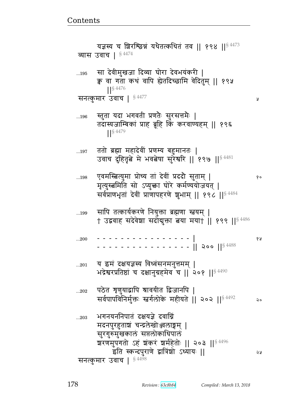|              | यज्ञस्य च शिरश्छिन्नं यथैतत्कथितं तव    १९४    84473<br>व्यास उवाच   <sup>§ 4474</sup>                                                                                      |    |
|--------------|-----------------------------------------------------------------------------------------------------------------------------------------------------------------------------|----|
| $\dots195$   | सा देवीमुखजा दिव्या घोरा देवभयंकरी  <br>क्व वा गता कथं वापि ह्येतदिच्छामि वेदितुम्    १९५<br>$\frac{1}{5}$ 4476<br>सनत्कुमार उवाच   § 4477                                  | R  |
| 196          | स्तुता यदा भगवती प्रणतेः सुरसत्तमेः  <br>तदास्यजाम्बिकां प्राह ब्रूहि किं करवाण्यहम्    १९६<br><b>S</b> 4479                                                                |    |
| 197          | ततो ब्रह्मा महादेवीं प्रणम्य बहुमानतः  <br>उवाच दुहितृत्वे मे भवत्वेषा सुरेश्वरि    १९७    $^{8\,4481}$                                                                     |    |
| 198          | एवमस्बित्युमा प्रोच्य तां देवीं प्रददौ सुताम्  <br>मृत्युस्त्रमिति सो ऽप्युक्ता घोरे कर्मण्ययोजयत्  <br>सर्वप्राणभृतां देवीं प्राणापहरणे शुभाम्    १९८    <sup>§ 4484</sup> | १० |
| 199          | सापि तत्कार्यकरणे नियुक्ता ब्रह्मणा स्तवम्  <br>† उद्ववाह सदेवेशा सदोद्युक्ता त्वया मया†    १९९    <sup>§ 4486</sup>                                                        |    |
| 200          |                                                                                                                                                                             | १५ |
| 201          | य इमं दक्षयज्ञस्य विध्वंसनमनुत्तमम्  <br>भद्रेश्वरप्रतिष्ठां च दक्षानुग्रहमेव च    २०१    84490                                                                             |    |
| $\ldots 202$ | पठेत श्रृणुयाद्वापि श्रावयीत द्विजानपि  <br>सर्वपापविनिर्मुक्तः स्तर्गलोके महीयते    २०२    <sup>§ 4492</sup>                                                               | २० |
| 203          | भगनयननिपातं दक्षयज्ञे दवाग्निं<br>मदनपुरहुताशं चन्द्रलेखोञ्जलाङ्गम्  <br>सुरगुरुमुखकालं सप्तलोकाधिपालं                                                                      |    |
|              | श्वरणमुपगतो ऽहं शंकरं शर्महेतोः    २०३    <sup>§ 4496</sup><br>इति स्कन्दपुराणे द्वात्रिंशो ऽध्यायः   <br>सनत्कुमार उवाच   $$^{4498}$                                       | २५ |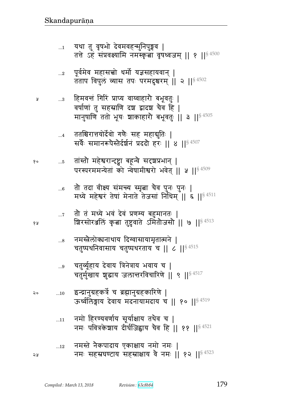| १० | $\dots 5$  | तांस्तो महेश्वरान्दृष्ट्वा बहून्वे सदृशप्रभान्  <br>परस्परममन्येतां को न्वेषामीश्वरो भवेत्    ५    \$ 4509       |
|----|------------|------------------------------------------------------------------------------------------------------------------|
|    | $\dots 6$  | तौ तदा वीक्ष्य संमन्त्य स्मृत्ना चैव पुनः पुनः  <br>मध्ये महेश्वरं तेषां मेनाते तेजसां निषिम्   ६   $ S ^{4511}$ |
| १५ |            | ग्रिरसोरअलिं कृता तुष्टुवाते ऽमितोजसो    ७    <sup>§ 4513</sup>                                                  |
|    |            | 8 नमस्त्रैलोक्यनाथाय दिग्वासायामृतात्मने  <br>चतुष्पर्थनिवासाय चतुष्पथरताय च   ८     8 4515                      |
|    |            | चतुर्व्यूहाय देवाय त्रिनेत्राय भवाय च  <br>चतुर्मुखाय शुद्धाय जलान्तरविचारिणे    ९    <sup>§ 4517</sup>          |
| २० | 10         | इन्द्रानुग्रहकर्त्रे च ब्रह्मानुग्रहकारिणे  <br>ऊर्ध्वलिङ्गाय देवाय मदनायामदाय च    १०    \$4519                 |
|    | 11         | नमो हिरण्यवर्णाय सूर्याक्षाय तथैव च  <br>नमः पवित्रकेशाय दीर्घजिह्वाय चैव हि    ११    \$4521                     |
| ১ম | $\dots 12$ | नमस्ते नैकपादाय एकाक्षाय नमो नमः  <br>नमः सहस्रघण्टाय सहस्राक्षाय वे नमः   १२     १२   54523                     |

 $\mathcal{A}$ 

यथा तु वृषभो देवमवहन्मुनिपुङ्गव |<br>तत्ते ऽहं संप्रवक्ष्यामि नमस्कृत्वा वृषध्वजम् || १ ||<sup>§ 4500</sup>  $\dots$ 1

 $\blacktriangle$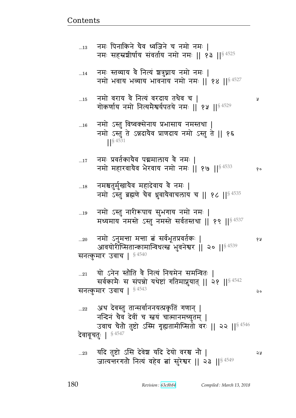सनत्कुमार उवाच |  $^{8\,4543}$  expanding the set of the set of  $\sim$ ...22 अथ देवस्तु तान्सर्वाननयत्प्रकृतिं गणान् | नन्दिनं चैव देवीं च स्त्रयं चात्मानमच्युतम् | उवाच चैतौ तुष्टो ऽस्मि गृह्यतामीप्सितो वरः || २२ ||<sup>§ 4546</sup> देवावूचतुः |  $$^{4547}$ 

... $_{\rm 21}$  यो ऽनेन स्तौति वै नित्यं नियमेन समन्वितः | सर्वकामैः स संपन्नो यथेष्टां गतिमाप्नुयात् || २१ ||§ 4542

...20 dx/ d4xഒ xഒ ଉB ~{@w5pÌ{p@f1 ᅖ  आवयोरीप्सितान्कामान्विधत्स्त्वं भुवनेश्वर || २० ||  $^{\$~4539}$ सनत्कुमार उवाच |  $$^{4540}$ 

...19 नमो ऽस्तु नारीरूपाय सुभगाय नमो नमः | मध्यमाय नमस्ते ऽस्तु नमस्ते सर्वतस्तथा || १९ || $84537$ 

...18 ) नमश्चतुर्मुखायैव महादेवाय वै नमः  $\mid$ नमो ऽस्तु ब्रह्मणे चैव ध्रुवायैवाचलाय च || १८ ||  $$^{4535}$ 

...17 विमः प्रवर्तकायैव पद्ममालाय वै नमः । नमो महारवायैव भैरवाय नमो नमः || १७ ||  $$^{4533}$  ...

... $\frac{16}{2000}$  नमो ऽस्तु विष्वक्सेनाय प्रभासाय नमस्तथा | नमो ऽस्तु ते ऽन्नदायैव प्राणदाय नमो ऽस्तु ते || १६  $\frac{1}{5}$  4531

...15 dx/ {^y {G dɊyB {^ry pqG{ b ᅖ गोकर्णाय नमो नित्यमैश्वर्यपतये नमः || १५ ||  $\frac{84529}{ }$ 

...14 नमः स्तव्याय वै नित्यं श्चत्रुघ्नाय नमो नमः | नमो भवाय भव्याय भावनाय नमो नमः || १४ || $84527$ 

 $_{\ldots13}$  वमः पिनाकिने चैव ध्वजिने च नमो नमः | नमः सहस्रशीर्षाय संवर्ताय नमो नमः || १३ ||  $84525$ 

<u>Contents and Contents are the contents of the contents of the contents of the contents of the contents of the contents of the contents of the contents of the contents of the contents of the contents of the contents of the</u>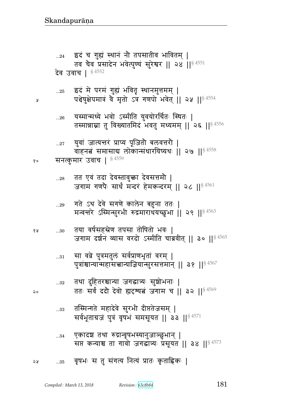- एकादश तथा रुद्रान्वृषभस्यानुजाञ्छुभान् |  $...34\,$ सप्त कन्याश्च ता गावो जगद्धांत्र्यः प्रसूयत || ३४ || \$4573
- तस्मिन्गते महादेवे सुरभी दीप्ततेजसम् |  $...33$ सर्वभूताग्रजं पुत्रं वृषभं समसूयत || ३३ ||<sup>§ 4571</sup>
- तथा दुहितरश्चान्या जगद्धात्र्यः सुशोभनाः |  $...32$ ततः सर्वं ददौ देवो ह्यदृष्यत जगाम च || ३२ ||§ 4569
- सा वव्रे पुत्रमतुलं सर्वप्राणभृतां वरम् |  $\ldots\!31$ पुत्रांश्चान्यान्महासत्त्वान्याज्ञियान्सुरसत्तमान् || ३१ ||<sup>§ 4567</sup>
- तया वर्षसहस्रेण तपसा तोषितो भवः | 6 A  $...30$ जगाम दर्शनं व्यास वरदो ऽस्मीति चाब्रवीत् || ३० ||<sup>§ 4565</sup>
- गते ऽथ देवे सगणे कालेन बहुना ततः |  $...29$ मन्वत्तरे ऽस्मिन्सुरभी रुद्रमाराधयच्छुभा || २९ || 54563
- तत एवं तदा देवस्तावुक्ता देवसत्तमौ |  $...28$ जगाम गणपैः सार्धं मन्दरं हेमकन्दरम् || २८ ||<sup>§ 4561</sup>
- वाहनतं समासाद्य लोकान्संधारयिष्यथः || २७ || \$4558 सनत्कुमार उवाच | §4559 १०

युवां जात्यन्तरं प्राप्य पूजितो बलवत्तरो |

Å

 $\mathsf{a}$ 

 $...27$ 

- यस्मान्मध्ये भवो ऽस्मीति युवयोरर्चितः स्थितः |  $\ldots 26$ तस्मान्नाम्ना तु विख्यातमिदं भवतु मध्यमम् || २६ ||<sup>§ 4556</sup>
- इदं मे परमं गुह्यं भवितृ स्थानमुत्तमम् |  $\dots25$ पञ्चेषुक्षेपमात्रं वे मृतो ऽत्र गणपो भवेत् || २५ || § 4554
- इदं च गुह्यं स्थानं नौ तपसातीव भावितम् |  $...24$ तव चैव प्रसादेन भवेत्पुण्यं सुरेश्वर || २४ || 84551 देव उवाच | §4552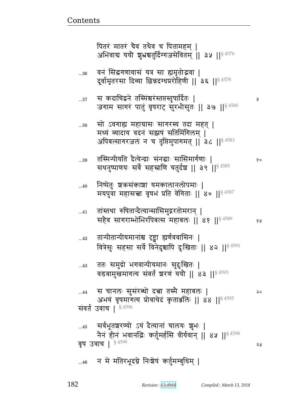## ...46 न मे मतिरभूदग्ने निःशेषं कर्तुमम्बुधिम् |

...38 सो ऽवगाह्य महाग्रासः सागरस्य तदा महत् | मध्यं व्यादाय वदनं सझषं सतिमिंगिलम् । अपिबत्सागरजलं न च तृप्तिमुपागमत् || ३८ || $^{\$\,4583}$ ...39 p%״xɄt&yp rGɊyFɄÊ1 ~Bd1 ~!~x`@\_1 ᅖ  सथनुष्पाणयः सर्वे सहस्राणि चतुर्दश्च || ३९ ||<sup>§ 4585</sup> ...40 निष्पेतुः श्रऋसंकाशा यमकालानलोपमाः | मयपुत्रा महासत्त्वा वृषभं प्रति वेगिताः || ४० || $^{\$~4587}$ ...41 तांस्तथा रुषितान्दैत्यान्सासिमुद्गरतोमरान् | ~G{ ~`^Ԫw/w^tvɊ~ xve1 ᅖᅖ  ᅖᅖ§ 4589  ...42 तान्पीतान्पीयमानांश्च दृष्ट्वा ह्यर्णववासिनः | वित्रेसुः सहसा सर्वे विनेदुश्चापि दुःखिताः || ४२ ||<sup>§ 4591</sup> ...43 ) ततः समुद्रो भगवान्पीयमानः सुदुःखितः | वडवामुखमागत्य संवर्तं शरणं ययौ || ४३ ||  $$^{4593}$ ...44 ~ bde1 ~4~B^ɏs/ rಿ p״xG xve1 ᅖ अभयं वृषमागत्य प्रोवाचेदं कृताञ्जलिः || ४४ || $^{\$~4595}$ संवर्त उवाच |  $^{\S\,4596}$ ...45 सर्वभूतशरण्यो ऽयं दैत्यानां चालयः शुभः | नेनं हीनं भवानद्भिः कर्तुमर्हसि वीर्यवान् || ४५ || $^{\$4598}$  $\overline{q}$ ष उवाच |  $^{8\,4599}$ 

...37 ~ frbजdF p%״xBு^Bɕpबɕp:}r@p1 ᅖ जगाम सागरं पातुं वृषराट् सुरभीसुतः || ३७ || $84580$ 

...36 वनं सिद्धगणावासं यत्र सा ह्यमृतोद्भवा | दूर्वामृतरसा दिव्या छिन्नदग्धप्ररोहिणी || ३६ ||<sup>§ 4578</sup>

<u>Contents and Contents are the contents of the contents of the contents of the contents of the contents of the contents of the contents of the contents of the contents of the contents of the contents of the contents of the</u>

पितरं मातरं चैव तथैव च पितामहम । अभिवाद्य ययौ शुभ्रश्चतुर्दिग्गजसेवितम् ॥ ३५ ॥  $8^{4576}$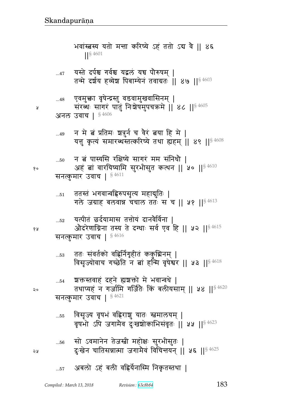- ...56 सो ऽवमानेन तेजस्त्री महोक्षः सुरभीसुतः | <sub>२५</sub> दुःखेन चातिसन्नात्मा जगामैवं विचित्तयन् || ५६ ||<sup>§ 4625</sup>
- ...55 विसृज्य वृषभं वह्रिराञ्च यातः स्तमालयम् | वृषभो ऽपि जगामैव दुःखञ्चोकाभिसंवृतः || ५५ ||<sup>§ 4623</sup>
- सनत्कुमार उवाच |  $$^{4621}$
- ...54 ञक्तस्तवाहं दहने ह्यञ्चक्तो मे भवान्वधे | २० तथाप्यहं न गर्जामि गर्जितेः किं बलीयसाम् ॥ ५४ ॥ $^{\$4620}$
- ... $\,$ 53 वतः संवर्तको वहिर्निगृहीतं ककुञ्चिनम् | विसृज्योवाच गच्छेति न त्नां हन्मि वृषेश्वर || ५३ || $8\,4618$

सनत्कुमार उवाच |  $$^{4616}$ 

- ... $_{52}$  यत्पीतं छर्दयामास तत्तोयं दानवैर्विना | <u>१४</u> औदरेणाग्निना तस्य ते दग्धाः सर्व एव हि || ५२ ||<sup>§ 4615</sup>
- ... $_{51}$  ततस्तं भगवान्वह्रिरुपसृत्य महाद्युतिः | गले जग्राह बलवान्न चचाल ततः स च || ५१ ||  $$^{4613}$

...50 न बं पास्यसि रक्षिष्ये सागरं मम संनिधौ |  $\mathbb{R}^\bullet$  . अहं बां वारयिष्यामि सुरभीसुत कत्थन || ५० || $^{\$~4610}$ सनत्कुमार उवाच |  $$^{4611}$ 

- ...49 न मे बं प्रतिमः शत्रुर्न च वैरं बया हि मे | यत्तु कृत्यं समारब्धस्तत्करिष्ये तथा ह्यहम् ॥ ४९ ॥  $84608$
- अनल उवाच |  $$4606$
- ...48 एवमुक्ता वृषेन्द्रस्तु वडवामुखवासिनम् |  $\mu$   $\frac{1}{8}$  संख्यः सागरं पातुं निःशेषमुपचक्रमे || 86 || $^{8\,4605}$
- ...47 यस्ते दर्पश्च गर्वश्च यद्वलं यच पौरुषम् | तन्मे दर्शय हव्येश पिबाम्येनं तवाग्रतः || ४७ || $^{\$~4603}$

भवांस्त्रस्य यतो मन्ता करिष्ये ऽहं ततो ऽद्य वै || ४६ ||§ 4601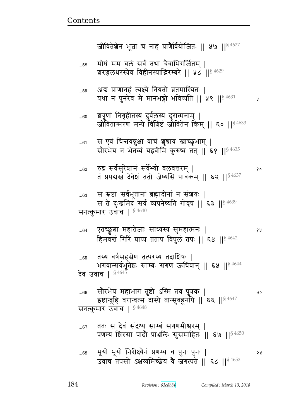- ततः स देवं संदृश्य साम्बं सगणमीश्वरम् |  $...67$ प्रणम्य शिरसा पादौ प्राअलिः सुसमाहितः || ६७ ||<sup>§ 4650</sup>
- सौरभेय महाभाग तुष्टो ऽस्मि तव पुत्रक |  $...66$ २० इष्टान्ब्रूहि वरान्वत्स दास्ये तान्सुबहूर्नापे || ६६ ||<sup>§ 4647</sup> सनत्कुमार उवाच |  $^{\$4648}$
- तस्य वर्षसहस्रेण तत्परस्य तदाशिषः |  $...65$ भगवान्सर्वभूतेशः साम्बः सगण ऊचिवान् || ६५ ||<sup>§ 4644</sup> देव उवाच | § 4645
- एतच्छ्रुबा महातेजाः साध्यस्य सुमहात्मनः |  $...64$ १५ हिमवन्तं गिरिं प्राप्य तताप विपुलं तपः || ६४ || 84642
- स स्रष्टा सर्वभूतानां ब्रह्मादीनां न संशयः |  $...63$ स ते दुःखमिदं सर्वं व्यपनेष्यति गोवृष || ६३ ||<sup>§ 4639</sup> सनत्कुमार उवाच | § 4640
- रुद्रं सर्वसुरेशानं सर्वेभ्यो बलवत्तरम् |  $...62$ तं प्रपद्यस्तं देवेशं ततो जेष्यसि पावकम् || ६२ ||  $^{84637}$
- स एवं चित्तयन्नुक्षा वाचं शुश्राव खाच्छुभाम् |  $...61$ सौरभेय न भेतव्यं यद्भवीमि कुरुष्व तत् || ६१ ||  $\frac{84635}{ }$
- शत्रूणां निगृहीतस्य दुर्बलस्य दुरात्मनाम् |  $...60$ जीवितान्मरणं मन्ये विशिष्टं जीवितेन किम् || ६० ||<sup>§ 4633</sup>
- अब प्राणानहं त्यक्ष्ये नियतो व्रतमास्थितः |  $...59$ यथा न पुनरेवं मे मानभङ्गो भविष्यति || ५९ || 84631 ¥
- मोघं मम बलं सर्वं तथा चैवाभिगर्जितम् ।  $...58$ बरज़लधरस्येव विहीनस्याद्भिरम्बरे || ५८ || 84629

जीवितेशेन भूत्वा च नाहं प्राणैर्वियोजितः || ५७ || $8\,4627$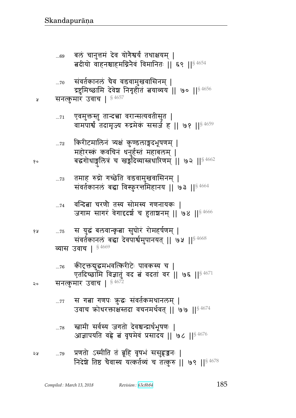- ...78 स्त्रामी सर्वस्य जगतो देवश्वन्द्रार्थभूषणः | आज्ञापयति वह्रे बं वृषमेवं प्रसादय || ७८ || $$^{4676}$
- ...77 ~ स गत्ना गणपः ऋुद्धः संवर्तकमथानलम् | उवाच क्रोधरक्ताक्षेस्तदा वचनमर्थवत् || ७७ ||  $84674$
- ... $\rm{76-}$  कीटक्तद्युद्धमभवत्किरीटेः पावकस्य च | एतदिच्छामि विज्ञातुं वद बं वदतां वर || ७६ || $8\,4671$ २० सनत्कुमार उवाच |  $^{\S\,4672}$
- १४ ...75 स युद्धं बलवान्कृत्वा सुघोरं रोमहर्षणम् | संवर्तकानलं बद्धा देवपार्श्वमुपानयत् || ७५ || १८४६/ व्यास उवाच |  $$4669$
- ... $\scriptstyle\rm 74$  aन्दित्ना चरणौ तस्य सोमस्य गणनायकः | जगाम सागरं वेगादृदर्श च हुताशनम् || ७४ || $84666$
- ... $\rm{73}$  तमाह रुद्रो गच्छेति वडवामुखवासिनम् | संवर्तकानलं बद्धा विस्फुरत्तमिहानय || ७३ || $^{\$\,4664}$
- ...72 किरीटमालिनं त्र्यक्षं कुण्डलाङ्गदभूषणम् | महोरस्कं कवचिनं धनुर्हस्तं महाबलम् | १० बद्धगोधाङ्गुलित्रं च खङ्गदिव्यास्त्रधारिणम् || ७२ ||<sup>§ 4662</sup>
- ... $\scriptstyle\rm 71$  पुवमुक्तस्तु तान्दचा वरान्सत्यवतीसुत | वामपार्श्व तदामृज्य रुद्रमेकं ससर्ज ह || ७१ || $^{\$4659}$
- ४ सनत्कुमारं उवाच |  $$^{4657}$
- ...70 संवर्तकानलं चैव वडवामुखवासिनम् | द्रष्टुमिच्छामि देवेश निगृहीतं बयाव्यय || ७० || $^{8\,4656}$
- ...69 बलं चानुत्तमं देव योगैश्वर्यं तथाक्षयम् | बदीयो वाहनश्चाहमग्निनेवं विमानितः || ६९ || $^{\$4654}$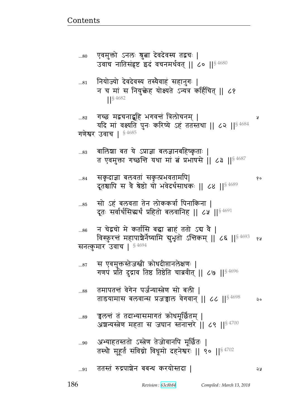| 87           | .स एवमुक्तस्तेजस्त्री कोधदीप्तानलेक्षणः  <br>गणपं प्रति दुद्राव तिष्ठ तिष्ठेति चाब्रवीत्    ८७    <sup>§ 4696</sup> |
|--------------|---------------------------------------------------------------------------------------------------------------------|
| 88           | तमापतन्तं वेगेन पर्जन्यास्त्रेण सो बली  <br>ताडयामास बलवान्स प्रजन्नाल वेगवान्    ८८    <sup>§ 4698</sup>           |
| 89           | चलत्तं तं तदाभ्यासमागतं क्रोधमूर्छितम्  <br>अंशन्यस्त्रेण महता स जघान स्तनान्तरे    ८९    $8\,4700$                 |
| 90           | अभ्याहतस्ततो ऽस्त्रेण तेजोवानपि मूर्छितः  <br>तस्थौ मुहूर्तं संविग्नो विधूमो दहनेश्वरः    ९०    54702               |
| $\ldots\!91$ | ततस्तं रुद्रपाशेन बबन्ध करयोस्तदा                                                                                   |

 $\theta$ 

न चेद्रचो मे कर्तासि बद्धा बाह ततो ऽद्य वै |  $...86$ विस्फुरन्तं महापाश्चेर्नेष्यामि बुभृतो ऽन्तिकम् || ८६ || 54693 68 सनत्कुमार उवाच | 54694

सो ऽहं बलवता तेन लोककर्त्रा पिनाकिना |<br>दूतः सर्वार्थसिद्धर्थं प्रहितो बलवानिह || ८५ ||<sup>§ 4691</sup>  $...85$ 

सकृदाज्ञा बलवतां सकृत्प्रभवतामपि| ...84 दूतश्चापि स वे श्रेष्ठो यो भवेदर्थसाथकः ॥ ८४ ॥ § 4689

बालिशा बत ये ऽप्राज्ञा बलज्ञानबहिष्कृताः | ...83 त एवमुक्ता गच्छन्ति यथा मां बं प्रभाषसे || ८३ ||  $\frac{4687}{3}$ 

गच्छ मद्वचनाद्बहि भगवन्तं त्रिलोचनम् ।  $...82$ यदि मां वक्ष्यति पुनः करिष्ये ऽहं ततस्तथा || ८२ || \$4684 गणेश्वर उवाच |  $$4685$ 

नियोज्यो देवदेवस्य तस्यैवाहं सहानुगः |  $\ldots81$ न च मां स नियुक्तेह योक्ष्यते ऽन्यत्र कर्हिचित् || ८१  $\left| \right|^{5\,4682}$ 

एवमुक्तो ऽनलः श्रुत्ना देवदेवस्य तद्वचः |  $...80$ उवाच नातिसंहृष्ट इदं वचनमर्थवत् || ८० || \$ 4680

 $\mathsf{Q} \circ$ 

Å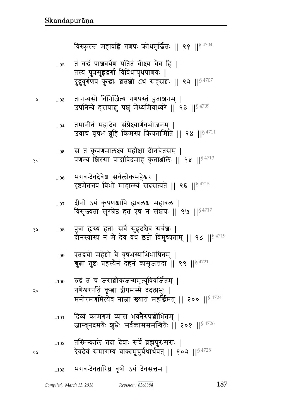- तस्मिन्काले तदा देवाः सर्वे ब्रह्मपुरःसराः |  $\dots102$ देवदेवं समागम्य वाक्यमूचुर्यथार्थवत् || १०२ || $84728$
- दिव्यं कामगमं व्यास भवनैरुपशोभितम ।  $...101$ जाम्बूनदमयैः शुभ्रैः सर्वकामसमन्वितैः || १०१ ||<sup>§ 4726</sup>
- रुद्रं तं च जराशोकजन्ममृत्युविवर्जितम् |  $...100\,$ गणेश्वरपतिं कृता द्वीपमस्मै ददत्प्रभुः | मनोरमणमित्येव नाम्ना ख्यातं महर्द्धिमत् || १०० || $8\,4724$
- एतद्वचो महेश्रो वै वृषभस्याभिभाषितम् |  $...99$ श्रुत्वा तुष्टः प्रहस्यैनं दहनं व्यसृजत्तदा || ९९ ||§ 4721
- पुत्रा ह्यस्य हताः सर्वे सुहृदश्चेव सर्वशः | १५  $\dots98$ दौनस्यास्य न मे देव वध इष्टो विमुच्यताम् ॥ ९८ ॥  $$^{4719}$
- दीनो ऽयं कृपणश्चापि ह्यबलश्च महाबल | ...97 विसृज्यतां सुरश्रेष्ठ हत एष न संशयः || ९७ || $84717$
- भगवन्देवदेवेश सर्वलोकमहेश्वर |  $...96$ दृष्टमेतत्तव विभो माहात्म्यं सदसत्पते || ९६ ||§ 4715
- स तं कृपणमालक्ष्य महोक्षा दीनचेतसम् |  $\dots95$ प्रणम्य शिरसा पादाविदमाह कृताञ्जलिः ।। ९५ ।।  $84713$
- तमानीतं महादेवः संप्रेक्ष्यार्णवभोजनम् |  $\dots94$ उवाच वृषभं ब्रूहि किमस्य क्रियतामिति || ९४ ||<sup>§ 4711</sup>
- तानप्यसौ विनिर्जित्य गणपस्तं हुताञ्चनम् | ...93 उपनिन्ये हरायाशु पशुं मेध्यमिवाध्वरे || ९३ || अर्य/ 1999
- तं बद्धं पाञ्चवर्येण पतितं वीक्ष्य चैव हि ।  $\ldots 92$ तस्य पुत्रसुहृद्वर्गा विविधायुधपाणयः | दुद्रुवुर्गणपं क्रुद्धाः श्वतशो ऽथ सहस्रशः || ९२ ||<sup>§ 4707</sup>

विस्फुरन्तं महावह्निं गणपः क्रोधमूर्छितः || ९१ ||<sup>§ 4704</sup>

 $\mathsf{Q}$ 

२५

Å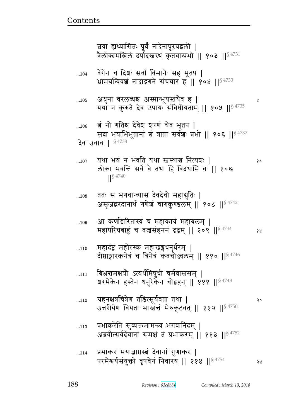|     | 105    अधुना वरलब्धश्च अस्मान्भूयस्तथैव ह  <br>यथा न कुरुते देव उपायः संविधीयताम्    १०५    $^{\$4735}$                          | Å  |
|-----|----------------------------------------------------------------------------------------------------------------------------------|----|
| 106 | ंबं नो गतिश्च देवेश शरणं चैव भूतप  <br>सदा भयाभिभूतानां बं त्राता सर्वश्चः प्रभो    १०६    <sup>§ 4737</sup><br>देव उवाच   §4738 |    |
| 107 | यथा भयं न भवति यथा स्त्रस्थाश्च नित्यञः  <br>लोका भवन्ति सर्वे वै तथा हि विदधामि वः    १०७<br>$\left  \right ^{§\,4740}$         | १० |
| 108 | ततः स भगवान्व्यास देवदेवो महाद्मुतिः  <br>असृजद्वरदानार्थं गणेशं चारुकुण्डलम्    १०८    94742                                    |    |
| 109 | आ कर्णाद्दारितास्यं च महाकायं महाबलम्  <br>महापरिघबाहुं च वज्रसंहननं दृढम्    १०९    <sup>§ 4744</sup>                           | १५ |
| 110 | महादंष्ट्रं महोरस्कं महाखङ्गधनुर्धरम्  <br>दीप्ताङ्गारकनेत्रं च त्रिनेत्रं कवचोञ्जलम् ॥ ११० ॥ $8^{4746}$                         |    |
| 111 | बिभ्रत्तमक्षयौ ऽत्यर्थमिषुधी चर्मवाससम्  <br>बारमेकेन हस्तेन धनुरेकेन चोद्वहन्    १११    $^{\S\,4748}$                           |    |
| 112 | ग्रहनक्षत्रचित्रेण तडित्सूर्यवता तथा  <br>उत्तरीयेण वियता भास्त्रन्तं मेरुकूटवत्    ११२    <sup>§ 4750</sup>                     | २० |
| 113 | प्रभाकरेति सुव्यक्तमामन्त्य भगवानिदम्  <br>अब्रवीत्सर्वदेवानां समक्षं तं प्रभाकरम्    ११३    <sup>§ 4752</sup>                   |    |
| 114 | प्रभाकर मयाज्ञाप्तस्त्वं देवानां गुणाकर  <br>परमैश्वर्यसंयुक्तो वृषवेगं निवारय    ११४    <sup>§ 4754</sup>                       | 59 |

वेगेन च दिशः सर्वा विमानैः सह भूतप |<br>भ्रामयन्विवशं नादाद्रगने संचचार ह || १०४ ||<sup>§ 4733</sup>  $...104$ 

बया ह्यध्यासितः पूर्वं नादेनापूरयद्वली |<br>त्रैलोक्यमखिलं दर्पादस्त्वस्थं कृतवान्प्रभो || १०३ ||<sup>§ 4731</sup>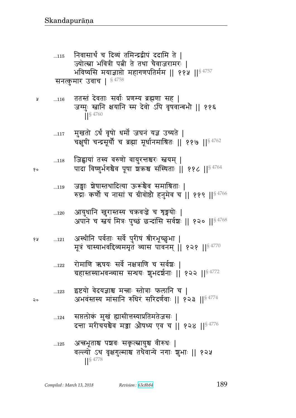- अन्त्रभूताश्च पञ्चवः सकृत्स्नायुश्च वीरुधः |  $\dots125$ वल्ल्यो ऽथ वृक्षगुल्माश्च तथैवान्ये नगाः शुभाः || १२५
- सप्तलोकं मुखं ह्यासीत्तस्याप्रतिमतेजसः ।  $...124$ दन्ता मरीचयश्चैव मञ्जा औषध्य एव च || १२४ ||§ 4776
- इष्टयो वेदयज्ञाश्च मन्त्राः स्तोत्राः फलानि च |  $\dots 123$ अभवंस्तस्य मांसानि रुधिरं सरिदर्णवाः || १२३ ||<sup>§ 4774</sup>
- रोमाणि ऋषयः सर्वे नक्षत्राणि च सर्वशः |  $...122$ ग्रहास्तस्याभवन्व्यास सन्धयः शुभदर्शनाः ॥ १२२ ॥§ 4772
- अस्थीनि पर्वताः सर्वे पुरीषं श्रीरभूच्छुभा | 6 A  $\ldots 121$ मूत्रं चास्याभवदिव्यममृतं व्यास पावनम् || १२१ || अ 4770
- आयुधानि खुरास्तस्य चक्रवज्रे च शृङ्गयोः |  $\dots 120$ अपाने च स्तवं मित्रः पुच्छं छन्दांसि सर्वशः || १२० ||<sup>§ 4768</sup>
- जङ्गाः शेषास्तथादित्या ऊरूंश्चैव समाश्रिताः |  $...119$ रुद्राः कर्णौ च नासां च ग्रीवोष्ठौ हनुमेव च || ११९ || $^{\$4766}$
- जिह्वायां तस्य वरुणो वायुरत्तश्चरः स्तवम् |  $\dots118$ पादा विष्णुर्भगश्चैव पूषा शक्रश्च संस्थिताः ॥ ११८ ॥  $$^{4764}$
- मुखतो ऽर्धं वृषो धर्मो जघनं यज्ञ उच्यते |  $\dots117$ चक्षुषी चन्द्रसूर्यौ च ब्रह्मा मूर्धानमाश्रितः || ११७ || $^{\$4762}$
- ततस्तं देवताः सर्वाः प्रणम्य ब्रह्मणा सह |  $...116$ जग्मुः स्त्रानि क्षयानि स्म देवो ऽपि वृषवान्बभौ || ११६  $84760$
- निवासार्थं च दिव्यं तमिन्द्रद्वीपं ददामि ते |  $...115$ ज्योत्स्ना भवित्री पत्नी ते तथा चैवाजरामरः | भविष्यसि मयाज्ञाप्तो महागणपतिर्मम || ११५ ||§ 4757 सनत्कुमार उवाच |  $$4758$

२०

Å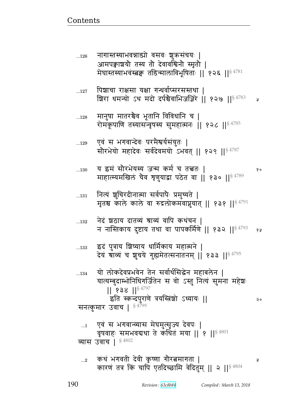सनत्कुमार उवाच |  $$^{4799}$ ...1 एवं स भगवान्व्यास मेघमुत्सृज्य देवपः | वृषवाहः समभवद्यथा ते कथितं मया || १ ||§  $4801$ व्यास उवाच |  $§ 4802$ ...2 fqB w`{p& rF{& f6 ɔ\_ `0^ଉx`p ᅖ कारण तत्र किं चापि एतदिच्छामि वेदितुम् || २ ||  $\frac{84804}{B}$ 

...134 यो लोकदेवप्रभवेन तेन सर्वार्थसिद्धेन महाबलेन | यात्यम्बुदाम्भोनिधिगर्जितेन स वो ऽस्तु नित्यं सुमना महेशः  $|| 838 ||$ <sup>§ 4797</sup> इति स्कन्दपुराणे त्रयस्त्रिंशो ऽध्यायः || ब्राह्म संस्था २०

...133 ) इदं पुत्राय शिष्याय धार्मिकाय महात्मने | देयं श्राव्यं च शुचये गुह्यमेतत्सनातनम् || १३३ ||  $84795$ 

...132 नेदं ञ्चठाय दातव्यं श्राव्यं वापि कथंचन । न नास्तिकाय दुष्टाय तथा वा पापकर्मिणे || १३२ ||<sup>§ 4793</sup> १४

...131 नित्यं शुचिरदीनात्मा सर्वपापैः प्रमुच्यते | मृतश्च काले काले वा रुद्रलोकमवाप्नुयात् || १३१ ||  $$^{4791}$ 

...130 y NxB ~0^wFy״y ax fx@ b pಿp1 ᅖ  माहात्म्यमखिलं चैव त्रृणुयाद्वा पठेत वा || १३० || १५%

...129 एवं स भगवान्देवः परमैश्वर्यसंयुतः | सौरभेयो महादेवः सर्वदेवमयो ऽभवत् || १२९ || $84787$ 

... $_{128}$   $\,$  मानुषा मातरञ्चैव भूतानि विविधानि च | रोमकूपाणि तस्यासन्वृषस्य सुमहात्मनः || १२८ ||  $$^{4785}$ 

...127 पिञ्चाचा राक्षसा यक्षा गन्धर्वाप्सरसस्तथा । श्चिरा धमन्यो ऽथ मदो दर्पश्चैवाभिजज्ञिरे || १२७ || $\S$  $^{4783}$  x

...126 नागास्तस्याभवन्नाड्यो वसवः शुक्रसंचयः | आमपक्वाश्चयो तस्य तो देवावश्विनो स्मृतो | मेघास्तस्याभवंस्त्रकः तडिन्मालाविभूषिताः ॥ १२६ ॥ $\S$   $^{4781}$ 

<u>Contents and Contents are the contents of the contents of the contents of the contents of the contents of the contents of the contents of the contents of the contents of the contents of the contents of the contents of the</u>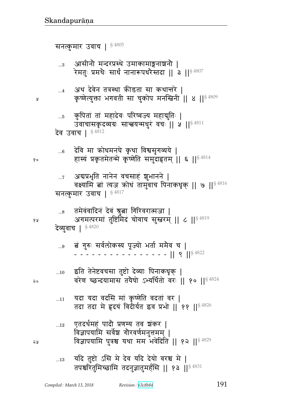...12  $\,$  एतदर्थमहं पादौ प्रणम्य तव ञ्चंकर | विज्ञापयामि सर्वेश गौरवर्णमनुत्तमम् | <u>२५ विज्ञापयामि पुत्रश्च यथा मम भवेदिति || १२ || $^{\S\,4829}$ </u>

... $_{11}$  यदा यदा वदसि मां कृष्णेति वदतां वर | तदा तदा मे हृदयं विदीर्यत इव प्रभो || ११ ||  $\frac{84826}{ }$ 

...10 इति तेनेष्टवचसा तुष्टो देव्याः पिनाकधृक् |  $\infty$  and the posturation of the set of  $\mathbf{F}$  and  $\mathbf{F}$  and  $\mathbf{F}$  are  $\mathbf{F}^{18\,4824}$ 

...9 ଉB `4؇1 ~{@e/f״y t5Ɂy/ wp@ xxG{ b ᅖ - - - - - - - - - - - - - - - || 9 ||<sup>§ 4822</sup>

देव्युवाच | § 4820

तमेवंवादिनं देवं श्रुत्ना गिरिवरात्मजा | १४ व्या अगमत्परमां तुष्टिमिदं चोवाच सुस्तरम् || ८ || २ मी

...7 अद्यप्रभृति नानेन वचसाहं शुभानने | वक्ष्यामि बां त्यज कोधं तामुवाच पिनाकधृक् || ७ ||  $s^{4816}$ सनत्कुमार उवाच |  $$^{4817}$ 

...6 देवि मा क्रोधमनघे कृथा विश्वसुगव्यये |  $\mathbb{R}^\bullet$  हास्यं प्रकृतमेतन्मे कृष्णेति समुदाहृतम् || ६ || $^{\$~4814}$ 

... $_5$  कुपितां तां महादेवः परिष्वज्य महाद्गुतिः | उवाचासकृदव्यग्रः सान्त्वयन्मधुरं वचः | | ५ | | 8 4811 देव उवाच |  $§$ <sup>4812</sup>

...4 31थ देवेन तत्रस्था कीडता सा कथान्तरे | ४ कृष्णेत्युक्ता भगवती सा चुकोप मनस्त्रिनी ।। ४ ।। $^{\$~4809}$ 

...3 आसीनौ मन्दरप्रस्थे उमाकामाङ्गनाश्चनौ | रेमतुः प्रमथैः सार्थं नानारूपथरैस्तदा || ३ || $^{\$~4807}$ 

सनत्कुमार उवाच |  $$^{4805}$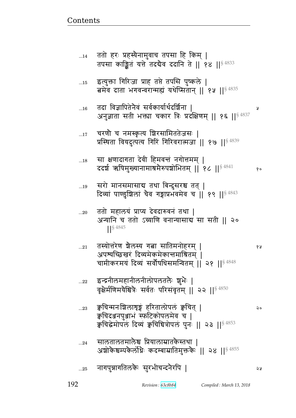| $14$        | ततो हरः प्रहस्यैनामुवाच तपसा हि किम्  <br>तपसा काङ्कित यत्ते तदबैव ददानि ते    १४    \$4833                                                              |    |
|-------------|----------------------------------------------------------------------------------------------------------------------------------------------------------|----|
| $\dots15$   | इत्युक्ता गिरिजा प्राह तप्ते तपसि पुष्कले  <br>त्नमेव दाता भगवन्वरान्मह्यं यथेप्सितान् ।। १५ ।। <sup>§ 4835</sup>                                        |    |
| 16          | तदा विज्ञापितेनैवं सर्वकार्यार्थदर्शिना  <br>अनुज्ञाता सती भक्त्या चकार त्रिः प्रदक्षिणम्    १६    <sup>§ 4837</sup>                                     | R  |
| $\dots 17$  | चरणौ च नमस्कृत्य शिरसामिततेजसः  <br>प्रस्थिता वियदुत्पत्य गिरिं गिरिवरात्मजा    १७    <sup>§ 4839</sup>                                                  |    |
| $18$        | सा क्षणादागता देवी हिमवन्तं नगोत्तमम्  <br>ददर्श ऋषिमुख्यानामाश्रमैरुपशोभितम्    १८    $^{\$}$ $^{4841}$                                                 | १० |
| 19          | सरो मानसमासाब तथा बिन्दुसरश्च तत्  <br>दिव्यां पाण्डुशिलां चैव गङ्गाप्रभवमेव च ॥ १९ ॥ 8 4843                                                             |    |
| 20          | ततो महालयं प्राप्य देवदारुवनं तथा  <br>अन्यानि च ततो ऽग्र्याणि वनान्यासाद्य सा सती    २०<br>$1$ <sup>S</sup> 4845                                        |    |
| $\ldots 21$ | तस्योत्तरेण ग्रैलस्य गत्ना सातिमनोहरम्  <br>अपश्यच्छिखरं दिव्यमेकमेकान्तमाश्रितम् ।<br>चामीकरमयं दिव्यं सर्वौषधिसमन्वितम् ॥ २१ ॥ $^{\$4848}$             | 68 |
| 22          | इन्द्रनीलमहानीलनीलोपलतलैः शुभैः  <br>वृक्षेर्मणिमयेश्वित्रैः सर्वतः परिसंवृतम्    २२    < 4850                                                           |    |
| 23          | क्वचिन्मनःशिलाशृङ्गं हरितालोपलं क्वचित्  <br>क्वचिदञ्जनपुञ्जाभं स्फटिकोपलमेव च  <br>क्वचिद्धेमोपलं दिव्यं क्वचिचित्रोपलं पुनः    २३    <sup>§ 4853</sup> | २० |
| 24          | सालतालतमालैश्च प्रियालाम्रातकेस्तथा ।<br>अशोकेश्वम्पकेर्लोधैः कदम्बाम्रातिमुक्तकैः ॥ २४ ॥ $^{\mathrm{S}\,4855}$                                          |    |
| 25          | नागपुन्नागतिलकैः सुरभीचन्दनैरपि                                                                                                                          | จร |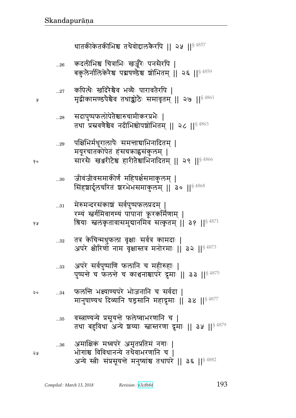¥

१०

 $...30$ 

| १५   | $\ldots 31$ | मेरुमन्दरसंकाशं सर्वपुष्पफलप्रदम्  <br>रम्यं स्वर्गमिवागम्यं पापानां क्रूरकर्मिणाम्  <br>श्रियाः स्वलंकृतावासमुद्यानमिव सत्कृतम्    ३१    <sup>§ 4871</sup> |
|------|-------------|-------------------------------------------------------------------------------------------------------------------------------------------------------------|
|      | $\ldots 32$ | तत्र केचिन्मधुफला वृक्षाः सर्वत्र कामदाः  <br>अपरे क्षीरिणों नाम वृक्षास्तत्र मनोरमाः    ३२    १८२४                                                         |
|      | 33          | अपरे सर्वपुष्पाणि फलानि च महीरुहाः  <br>पुष्पन्ते च फलन्ते च काशनाश्वापरे दूमाः    ३३    \$4875                                                             |
| ನಿ ೦ | 34          | फलन्ति भक्ष्याण्यपरे भोजनानि च सर्वदा  <br>मानुषाण्यथ दिव्यानि षड्रसानि महादूमाः    ३४    <sup>§ 4877</sup>                                                 |
|      | 35          | वस्त्राण्यन्ये प्रसूयन्ते फलेष्वाभरणानि च  <br>तथा बहुविधा अन्ये शय्याः स्तास्तरणा द्रमाः ॥ ३५ ॥ $84879$                                                    |
| จง   | 36          | अमाक्षिकं मध्वपरे अमृतप्रतिमं नगाः  <br>भोगांश्च विविधानन्ये तथैवाभरणानि च  <br>अन्ये स्त्रीः संप्रसूयन्ते मनुष्यांश्च तथापरे    ३६    <sup>§ 4882</sup>    |

पक्षिभिर्मधुरालापैः समन्ताद्याभिनादितम् |  $...29$ मयूरचातकोपेतं हंसचक्राह्वसंकुलम् | सारसैः खञ्जरीटेश्च हारीतेश्चाभिनादितम् || २९ ||  $\frac{84866}{ }$ 

सिंहशार्दूलचरितं शरभेभसमाकुलम् || ३० || 84868

जीवंजीवसमाकीर्णं महिषर्क्षसमाकुलम् |

- सदापुष्पफलोपेतेश्चारुचामीकरप्रभैः |  $\dots 28$ तथा प्रस्रवणेश्चेव नदीभिश्चोपशोभितम् || २८ || $^{\$4863}$
- कपित्थैः खदिरैश्चैव भव्यैः पारावतैरपि ।  $\dots 27$ मृद्वीकामण्डपेश्चेव तथाङ्कोठेः समावृतम् || २७ ||<sup>§ 4861</sup>
- कदलीभिश्च चित्राभिः खर्जूरैः पनसैरपि |  $...26$ बकुलेर्नालिकेरेश्च पद्मषण्डेश्च शोभितम् || २६ || \$ 4859

धातकीकेतकीभिश्च तथैवोद्दालकैरपि || २५ ||<sup>§ 4857</sup>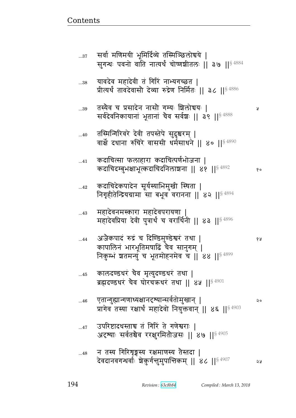| $\ldots\!37$ | सर्वा माणमया भूमादिव्य तास्माञ्छलाचय  <br>सुगन्धः पवनो वाति नात्यर्थं चोष्णञ्चीतलः    ३७    <sup>§ 4884</sup>                              |    |
|--------------|--------------------------------------------------------------------------------------------------------------------------------------------|----|
| 38           | यावदेव महादेवी तं गिरिं नाभ्यगच्छत  <br>प्रीत्यर्थं तावदेवासौ देव्या रुद्रेण निर्मितः    ३८    <sup>§ 4886</sup>                           |    |
| $39$         | तस्यैव च प्रसादेन नासौ गम्यः शिलोद्ययः  <br>सर्वदेवनिकायानां भूतानां चैव सर्वश्चः    ३९    <sup>§ 4888</sup>                               | R  |
| 40           | तस्मिन्गिरिवरे देवी तपस्तेपे सुदुश्चरम्  <br>वार्क्षे दधाना रुचिरे वाससी धर्मसाधने    ४०    $^{\$4890}$                                    |    |
| 41           | कदाचित्सा फलाहारा कदाचित्पर्णभोजना  <br>कदाचिदम्बुभक्षाभूत्कदाचिदनिलाञ्चना    ४१    <sup>§ 4892</sup>                                      | १० |
| $\ldots$ 42  | कदाचिदेकपादेन सूर्यस्याभिमुखी स्थिता  <br>निगृहीतेन्द्रियग्रामा सा बभूव वरानना    ४२    $^{\S\,4894}$                                      |    |
| 43           | महादेवनमस्कारा महादेवपरायणा  <br>महादेवप्रिया देवी पुत्रार्थं च वरार्थिनी    ४३    $^{\$4896}$                                             |    |
| 44           | अजैकपादं रुद्रं च दिण्डिमुण्डेश्वरं तथा  <br>कापालिनं भारभूतिमषाढिं चैव सानुगम्  <br>निकुम्भं शतमन्युं च भूतमोहनमेव च    ४४    $^{\$4899}$ | १५ |
| 45           | कालदण्डधरं चैव मृत्युदण्डधरं तथा  <br>ब्रह्मदण्डधरं चैव घोरचक्रधरं तथा    ४५    94901                                                      |    |
| 46           | एतान्गुह्यान्गणाध्यक्षानदृष्यान्सर्वतोमुखान्  <br>प्रागेव तस्या रक्षार्थं महादेवो नियुक्तवान्    ४६    <sup>§ 4903</sup>                   | २० |
| 47           | उपरिष्टादधस्ताच त गिरिं ते गणेश्वराः  <br>अदृष्याः सर्वतश्चैव ररक्षुरमितोजसः    ४७    <sup>§ 4905</sup>                                    |    |
| 48           | न तस्य गिरिशृङ्गस्य रक्षमाणस्य तेस्तदा  <br>देवदानवगन्धर्वाः श्चेकुर्गन्तुमुपान्तिकम् ॥ ४८ ॥ $^{\$4907}$                                   | २५ |

<u>Contents and Contents are the contents of the contents of the contents of the contents of the contents of the contents of the contents of the contents of the contents of the contents of the contents of the contents of the</u>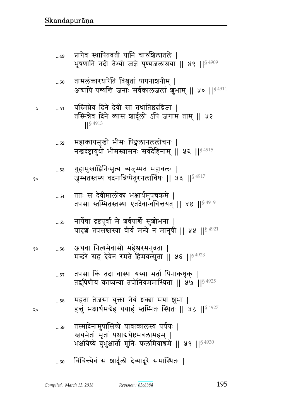- विचिन्त्यैवं स शार्दूलो देव्यादूरे समास्थितः |  $...60$
- तस्मादेनामुपासिष्ये यावत्कालस्य पर्ययः |  $\dots59$ स्त्रयमेतां मृतां पश्चाद्यथेष्टमबलामहम् | भक्षयिष्ये बुभुक्षार्तो मुनिः फलमिवात्रमे || ५९ ||<sup>§ 4930</sup>
- महता तेजसा युक्ता नेयं शक्या मया शुभा |  $\dots58$ हन्तुं भक्षार्थमबेह ययाहं स्तम्भितः स्थितः || ५८ ||<sup>§ 4927</sup>
- तपसा किं तदा वास्या यस्या भर्ता पिनाकधृक् |  $\dots 57$ तद्रूपिणीयं काप्यन्या तपोनियममास्थिता || ५७ ||<sup>§ 4925</sup>
- अथवा नित्यमेवासौ महेश्वरमनुव्रता ।  $\dots56$ मन्दरे सह देवेन रमते हिमवत्सुता || ५६ ||<sup>§ 4923</sup>
- नार्येषा दृष्टपूर्वा मे श्वर्वपार्श्वे सुशोभना |  $\dots 55$ यादृशं तपसञ्चास्या वीर्यं मन्ये न मानुषी || ५५ || \$ 4921
- ततः स देवीमालोक्य भक्षार्थमुपचऋमे |  $\dots$  54 तपसा स्तम्भितस्तस्या एतदेवान्वचिन्तयत् || ५४ ||<sup>§ 4919</sup>
- गुहामुखाद्विनिःसृत्य व्यजृम्भत महाबलः |  $...53$ जृम्भतस्तस्य वदनान्निष्पेतुरनलार्चिषः || ५३ ||<sup>§ 4917</sup>
- महाकायमुखो भीमः पिङ्गलानललोचनः |  $\dots52$ नखदंष्ट्रायुधो भीमस्त्रासनः सर्वदेहिनाम् || ५२ || १९२९
- यस्मिन्नेव दिने देवी सा तथातिष्ठदद्रिजा |  $\dots51$ तस्मिन्नेव दिने व्यास शार्दूलो ऽपि जगाम ताम् || ५१  $\frac{1}{5}$  4913
- तामलंकारधारेति विश्रुतां पापनाशनीम् |  $...50\,$ अद्यापि पश्यन्ति जनाः सर्वकालजलां शुभाम् ॥ ५० ॥<sup>§ 4911</sup>
- प्रागेव स्थापितवती यानि चारुशिलातले |  $...49$ भूषणानि नदी तेभ्यो जज्ञे पुण्यजलाश्रया || ४९ ||<sup>§ 4909</sup>

Å

१५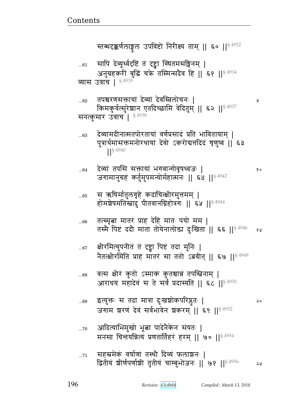|      | स्तब्धदक्कर्णलाङ्गल उपविष्टो निरीक्ष्य ताम्    ६०    <sup>§ 4932</sup>                                                                             |    |
|------|----------------------------------------------------------------------------------------------------------------------------------------------------|----|
| 61   | सापि देव्यूर्ध्वदृष्टिं तं दृष्ट्वा स्थितमसङ्गिनम्  <br>अनुग्रहकरीं बुद्धिं चक्रे तस्मिन्सदैव हि    ६१    <sup>§ 4934</sup><br>व्यास उवाच   § 4935 |    |
| 62   | तपश्चरणसक्तायां देव्यां देवस्त्रिलोचनः  <br>किमकुर्वत्सुरेशान एतदिच्छामि वेदितुम्    ६२    <sup>§ 4937</sup><br>सनत्कुमार उवाच   $$^{4938}$        | y  |
| 63   | देव्यामदीनात्मतपोरतायां वर्णप्रसादं प्रति भावितायाम्  <br>पुत्रार्थमासक्तमनोरथायां देवो ऽकरोदात्तदिदं शृणुष्व    ६३<br>$1$ <sup>§ 4940</sup>       |    |
| 64   | देव्यां तपसि सक्तायां भगवान्गोवृषध्वजः  <br>जगामानुग्रहं कर्तुमुपमन्योर्महात्मनः    ६४    <sup>§ 4942</sup>                                        | १० |
| 65   | स ऋषिर्मातुलगृहे कदाचित्क्षीरमुत्तमम्  <br>होमशेषमतिस्तादु पीतवानग्निहोत्रगः    ६५    <sup>§ 4944</sup>                                            |    |
| 66   | तत्स्मृत्वा मातरं प्राह देहि मातः पयो मम  <br>तस्मै पिष्टं ददौ माता तोयेनालोड़ा दुःखिता    ६६    <sup>§ 4946</sup>                                 | १५ |
| $67$ | क्षीरमित्युपनीतं तं दृष्ट्वा पिष्टं तदा मुनिः  <br>नेतत्क्षीरमिति प्राह मातरं सा ततो ऽब्रवीत्    ६७    <sup>§ 4948</sup>                           |    |
| 68   | वत्स क्षीरं कुतो ऽस्माकं कुतश्चान्नं तपस्त्विनाम्  <br>आराधय महादेवं स ते सर्वं प्रदास्यति    ६८    <sup>§ 4950</sup>                              |    |
| 69   | इत्युक्तः स तदा मात्रा दुःखञ्चोकपरिप्लतः  <br>जगाम शरण देव सर्वभावेन शंकरम् ॥ ६९ ॥ <4952                                                           | २० |
| 70   | आदित्याभिमुखो भूबा पादेनैकेन संयतः  <br>मनसा चिन्तयन्नित्यं प्रणतार्तिहरं हरम्    ७०    < 4954                                                     |    |
| 71   | सहस्रमेकं वर्षाणां तस्थौ दिव्यं फलाञ्चनः  <br>द्वितीयं शीर्णपर्णाशी तृतीयं चाम्बुभोजनः    ७१    <sup>§ 4956</sup>                                  | ২५ |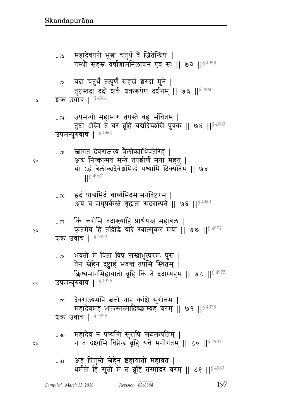- ...<sub>80</sub> महादेवं न पश्यन्ति सुरापि सदसत्पतिम् | २५ व्यास को द्रश्यसि विप्रेन्द्र ब्रूहि यत्ते मनोगतम् || ८० || $^{\$4981}$
- ... $\rm{79}$  देवराज्यमपि बत्तो नाहं कांक्षे सुरोत्तम | महादेवमहं भक्तस्तस्मादिच्छाम्यहं वरम् || ७९ ||  $$^{4978}$ शक उवाच |  $$4979$
- ... $\rm{78}$   $\,$  भवतो मे पिता विप्र सखाभूत्परमः पुरा | तेन स्नेहेन दृष्ट्वाहं भवन्तं तपसि स्थितम् | ङ्गिश्यमानमिहायातो ब्रूहि किं ते ददाम्यहम् || ७८ ||<sup>§ 4975</sup> २० उपमन्युरुवाच |  $^{\S\,4976}$
- शक उवाच |  $§$ <sup>4972</sup>
- ...77 किं करोमि तदाख्याहि प्रार्थयस्त्र महाबल | १४ कृतमेव हि तद्विद्धि यदि स्यात्सुकरं मया || ७७ || $^{\$~4971}$
- ... $\rm{76}$  ट्वदं पाद्यमिदं चार्घ्यमिदमासनविष्टरम् | अयं च मधुपर्कस्ते गृह्यतां सदसत्पते || ७६ ||  $84969$
- ...75 व्हागतं देवराजस्य त्रैलोक्याधिपतेरिह | <sub>१०</sub> अद्य निष्कल्मषं मन्ये तपश्चीर्णं मया महत् | यो ऽहं त्रैलोकादेवेशमिन्द्रं पश्यामि दिक्पतिम् ॥ ७५  $\frac{1}{5}$  4967
- ...<sub>74</sub> उपमन्यो महाभाग तपस्ते बहु संचितम् | तुष्टो ऽस्मि ते वरं ब्रूहि यद्यदिच्छसि पुत्रक || ७४ || $^{\$~4963}$ उपमन्युरुवाच | 84964
- ... $\rm{73}$  यदा चतुर्थं तत्पूर्णं सहस्रं घरदां मुने | तुष्टस्तदा ददौ शर्वः शकरूपेण दर्शनम् || ७३ || $^{\S\,4960}$ ४ शक उवांच |  $$^{4961}$
- ... $\rm{72}$   $\,$  महादेवपरो भूबा चतुर्थं वे जितेन्द्रियः | तस्थौ सहस्रं वर्षाणामनिलाशन एव सः || ७२ ||<sup>§ 4958</sup>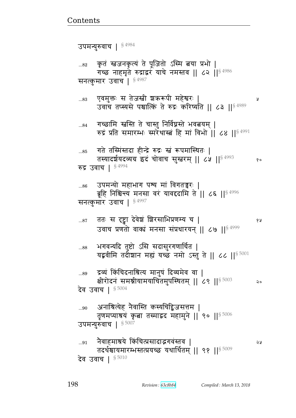...<sub>85</sub> गते तस्मिंस्तदा हीन्द्रे रुद्रः स्त्रं रूपमास्थितः | तस्यादर्शयदव्यग्र इदं चोवाच सुस्तरम् || ८५ || $^{8\,4993}$  ९० रुद्र उवाच |  $$^{4994}$ ...86 उपमन्यो महाभाग पश्य मां विगतन्नुरः | ब्रूहि निश्चिन्त्य मनसा वरं यावद्ददामि ते || ८६ || $^{\S\,4996}$ सनत्कुमार उवाच |  $$^{4997}$ ...87 ततः स दृष्ट्वा देवेञ्चं द्वा कोरसाभिप्रणम्य च | उवाच प्रणतो वाक्यं मनसा संप्रधारयन् || ८७ ||  $84999$ ...88 भगवन्यदि तुष्टो ऽसि सदासुरगणार्चित | यद्भवीमि तदीशान मह्यं यच्छं नमो ऽस्तु ते || ८८ || $^{\$~5001}$ ...89 ट्रव्यं किंचिदनाश्रित्य मानुषं दिव्यमेव वा | क्षीरोदनं समश्नीयामयाचितमुपस्थितम् || ८९ || $^{\$~5003}$  २० देव उवाच |  $$^{5004}$ ...90 अनाश्रित्येह नैवास्ति कस्यचिद्विजसत्तम | तृणमप्याश्रयं कृता तस्माद्वद महामुने || ९० ||  $^{\$5006}$ उपमन्युरुवाच |  $$5007$ ...91 dG{xÔyF fB bɊÌ~rె`{Bɕp{ ᅖ तदर्थश्चायमारम्भस्तत्प्रयच्छ यथार्थितम् || ९१ ||  $^{\$5009}$ देव उवाच |  $$^{5010}$ 

...<sub>84</sub> गच्छामि स्नस्ति ते चास्तु निर्विघ्नस्ते भवत्नयम् |

रुद्रं प्रति समारम्भः स्मरेथास्त्रं हि मां विभो ॥ ८४ ॥ $$^{4991}$ 

...83 X{x4୯1 ~ pFa໎& |¾؈t& xFౝ^1 ᅖ उवाँच तप्स्यसे पश्चात्कि ते रुद्रः करिष्यति || ८३ || $84989$ 

सनत्कुमार उवाच |  $$^{4987}$ 

...82 कृतं स्तडजनकृत्यं ते पूजितो ऽस्मि त्नया प्रभो | गच्छ नाहमृते रुद्राद्वरं याचे नमस्तव || ८२ ||  $$^{4986}$ 

उपमन्युरुवाच | § 4984

<u>Contents and Contents are the contents of the contents of the contents of the contents of the contents of the contents of the contents of the contents of the contents of the contents of the contents of the contents of the</u>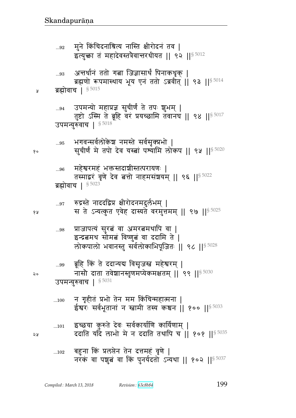- बहुना किं प्रलप्तेन तेन दत्तमहं वृणे |  $\dots102$ नरक वा पशुब वा कि पुनर्यदतो ऽन्यथा || १०२ ||  $^{5.5037}$
- इच्छया कुरुते देवः सर्वकार्याणि कार्यिणाम् |  $...101$ ददाति यादै लाभो मे न ददाति तथापि च ।। १०१ ।। 5 5035
- न गृहीतं प्रभो तेन मम किंचिन्महात्मना |  $...100$ ईश्वरः सर्वभूतानां न स्त्रामी तस्य कश्चन || १०० || 5033
- ब्रूहि किं ते ददान्यद्य विसृजस्त महेश्वरम् |  $\ldots 99$ नासौ दाता तवेशानस्तृणमप्येकमक्षतम् || ९९ || 5030 ২० उपमन्युरुवाच | 85031
- प्राजापत्यं सुरत्नं वा अमरत्नमथापि वा |  $...98$ इन्द्रबमथ सोमब विष्णुबं वा ददामि ते | लोकपालो भवानस्तु सर्वलोकाभिपूजितः || ९८ ||<sup>§ 5028</sup>
- रुद्रस्ते नाददद्विप्र क्षीरोदनमदुर्लभम् |  $...97$ स ते ऽन्यत्कुत एवेह दास्यते वरमुत्तमम् || ९७ || 5025
- महेश्वरमहं भक्तस्तदाशीस्तत्परायणः |  $...96$ तस्माद्वरं वृणे देव बत्तो नाहमसंशयम् || ९६ || 5022 ब्रह्मोवाच |  $$^{5023}$
- भगवन्सर्वलोकेश नमस्ते सर्वसृक्प्रभो  $\ldots\!95$ सूचीर्णं मे तपो देव यस्त्वां पश्यामि लोकप || ९५ ||<sup>§ 5020</sup>
- उपमन्यो महाप्रज्ञ सुचीर्णं ते तपः शुभम् |  $...94$ तुष्टो ऽस्मि ते ब्रूहि वरं प्रयच्छामि तवानघ || ९४ ||<sup>§ 5017</sup> उपमन्युरुवाच | 85018
- ब्रह्मोवाच |  $$^{5015}$ ५
- अन्तर्धानं ततो गत्ना जिज्ञासार्थं पिनाकधृक् |  $\ldots 93$ ब्रह्मणो रूपमास्थाय भूय एनं ततो ऽब्रवीत् || ९३ ||<sup>§ 5014</sup>
- मुने किंचिदनाश्रित्य नास्ति क्षीरोदनं तव |  $...92$ इत्युक्ता तं महादेवस्तत्रैवान्तरधीयत || ९२ || 5012

จม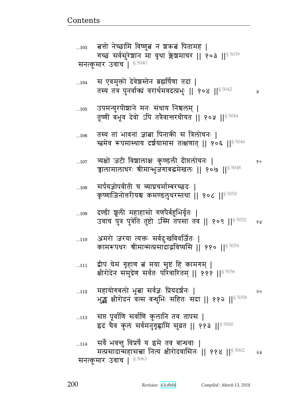Ã

| 114 | सर्वे भवन्तु विप्रर्षे य इमे तव बान्धवाः                 |     |
|-----|----------------------------------------------------------|-----|
|     | मत्प्रसादान्महासच्चा नित्यं क्षीरोदवासिनः    ११४    5062 | 2 y |
|     | सनत्कुमार उवाच   § 5063                                  |     |

- सप्त पूर्वाणि सर्वाणि कुलानि तव तापस |  $\dots113$ इदं चैव कुलं सर्वमनुगृह्णामि सुव्रत || ११३ ||  $\frac{85060}{ }$
- महायोगबलो भूत्ना सर्वज्ञः प्रियदर्शनः |  $...112$ २० भुङ्क क्षीरोदनं वत्स बन्धुभिः सहितः सदा || ११२ ||<sup>§ 5058</sup>
- द्वीपं चेमं गृहाण बं मया सृष्टं हि कामगम् |  $\dots111$ क्षीरोदेन समुद्रेण सर्वतः परिवारितम् || १११ ||<sup>§ 5056</sup>
- अमरो जरया त्यक्तः सर्वदुःखविवर्जितः |  $...110$ कामरूपथरः श्रीमान्मत्प्रसादाद्भविष्यसि || ११० || 5054
- दण्डी श्रूली महाहासो गणपैर्बहुभिर्वृतः |  $...109$ उवाच पुत्र पुत्रेति तुष्टो ऽस्मि तपसा तव || १०९ || $$^{5052}$ १५
- सर्पयज्ञोपवीती च व्याघ्रचर्माम्बरच्छदः |  $...108$ कृष्णाजिनोत्तरीयश्च कमण्डलुधरस्तथा | १०८ || § 5050
- त्र्यक्षो जटी विशालाक्षः कुण्डली दीप्तलोचनः |  $...107$ १० चालामालाधरः श्रीमान्भुजगाबद्धमेखलः || १०७ ||<sup>§ 5048</sup>
- तस्य तां भावनां ज्ञाबा पिनाकी स त्रिलोचनः |  $...106$ स्त्वमेव रूपमास्थाय दर्शयामास तत्क्षणात् || १०६ || 5046
- उपमन्युरपीशाने मनः संधाय निश्चलम् |  $...105$ तूर्ष्णीं बभूव देवो ऽपि तत्रैवान्तरधीयत || १०५ || 5044
- स एवमुक्तो देवेश्वस्तेन ब्रह्मर्षिणा तदा |  $...104$ तस्य तत्र पुनर्वाक्यं वरार्थमवदत्प्रभुः || १०४ || 5042
- बत्तो नेच्छामि विष्णुबं न शक्रबं पितामह |  $...103$ गच्छ सर्वसुरेशान मा वृथा क्लेशमाचर || १०३ || 5039 सनत्कुमार उवाच<sup>1 \$ 5040</sup>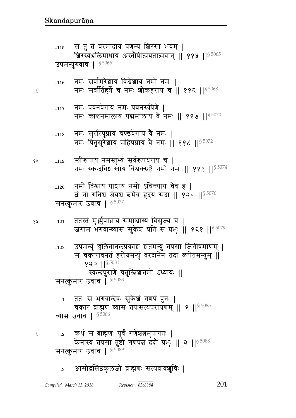...122 उपमन्युं च्वलितानलप्रकाञ्चं ञ्चतमन्युं तपसा जिगीषमाणम् | स चकारावनतं हरोग्रमन्युं वरदानेन तदा व्यपेतमन्युम् || १२२ || $$^{5081}$ : स्कन्दपुराणे चतुस्त्रिंश्चत्तमो ऽध्यायः || सनत्कुमार उवाच |  $$^{5083}$ ... $_1$  ) ततः स भगवान्देवः सुकेश्चं गणपं पुनः | चकार ब्राह्मणं व्यास तपःसत्यपरायणम् || १ || § 5085 व्यास उवाच |  $$^{5086}$  ...2 fqB ~ Îഐ\_1 t5{ئ\_` F|ଉx4t`p1 ᅖ केनास्य तपसा तुष्टो गणपत्नं ददौ प्रभुः || २ ||  $\frac{85088}{90}$ सनत्कुमार उवाच |  $$^{5089}$ ...3 अासीद्वसिष्ठकुलजो ब्राह्मणः सत्यवाक्शुचिः |

१४ ...121 ततस्तं मूर्ध्नुपाघ्राय समाश्वास्य विसृज्य च | जगाम भगवान्व्यास सुकेश प्रति स प्रभुः || १२१ ||<sup>§ 5079</sup>

...120 नमो विश्वाय पाञ्चाय नमो ऽचिन्त्याय चैव ह | त्नं नो गतिश्च श्रेयश्च तमेव हृदयं सदा || १२० ||§ 5076 सनत्कुमार उवाच |  $$^{5077}$ 

१० ...119 स्त्रीरूपाय नमस्तुभ्यं सर्वरूपधराय च | नमः स्कन्दविशाखाय विश्वक्सष्ट्रे नमो नमः || ११९ ||  $$^{5074}$ 

... $_{118}$   $\,$  नमः सुररिपुघ्नाय चण्डवेगाय वे नमः | नमः पितृसुरेशाय महिषघ्नाय वै नमः || ११८ ||  ${}^{8\,5072}$ 

 $_{\ldots117}$  वामः पवनवेगाय नमः पवनरूपिणे | नमः काञ्चनमालाय पद्ममालाय वै नमः || ११७ ||  $$^{5070}$ 

... $_{116}$  विमः सर्वामरेशाय विश्वेशाय नमो नमः | व्याला कर्मः सर्वार्तिहर्त्रे च नमः शोकहराय च || ११६ ||<sup>§ 5068</sup>

उपमन्युरुवाच |  $$^{5066}$ 

...115 स तु तं वरमादाय प्रणम्य शिरसा भवम् | श्चिरस्यञ्जलिमाधाय अस्तोषीत्प्रयतात्मवान् || ११५ || $^{\$~5065}$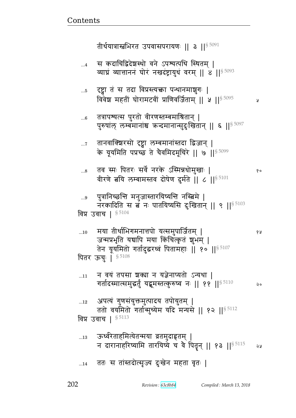ततः स तांस्तदोत्सृज्य दुःखेन महता वृतः |  $...14$ 

ऊर्ध्वरेताहमित्येतन्मया व्रतमुदाहृतम् |  $\dots13$ न दारानाहरिष्यामि तारयिष्ये च वै पितृन् || १३ ||  $s = 5115$ จม

- अपत्यं गुणसंयुक्तमुत्पादय तपोयुतम् |  $...12$ ततो वयमितो गर्तान्मुच्येम यदि मन्यसे || १२ ||<sup>§ 5112</sup> विप्र उवाच | § 5113
- न वयं तपसा शक्या न यज्ञेनाप्यतो ऽन्यथा |  $...11$ गर्तादस्मात्समुद्धर्तुं यद्भमस्तत्कुरुष्वं नः || ११ || $^{\$5110}$ २०
- मया तीर्थाभिगमनात्तपो यत्समुपार्जितम् |  $...10$ १५ जन्मप्रभृति यद्यापि मया किंचित्कृतं शुभम् | तेन यूयमितो गर्तादुद्धरध्वं पितामहाः || १० ||<sup>§ 5107</sup> पितर ऊचुः | 85108
- विप्र उवाच | § 5104

 $...5$ 

- पुत्रानिच्छन्ति मनुजास्तारयिष्यन्ति नस्त्विमे |  $...9$ नरकादिति स ब नः पातयिष्यसि दुःखितान् || ९ || 5103
- तव स्मः पितरः सर्वे नरके ऽस्मिन्नधोमुखाः |  $...8$ वीरणे बयि लम्बामस्तव दोषेण दुर्मते | ८ | | 55101
- तानवाक्शिरसो दृष्ट्वा लम्बमानांस्तदा द्विजान् |  $\dots 7$ के यूयमिति पप्रच्छ ते चैवमिदमूचिरे || ७ || 5099
- तत्रापश्यत्स पुरतो वीरणस्तम्बमाश्रितान् |  $...6$ पुरुषांल् लम्बमानांश्च कन्दमानान्सुदुःखितान् || ६ || 5097
- दृष्ट्वा तं स तदा विप्रस्त्यक्ता पन्थानमाशुगः | विवेश महतीं घोरामटवीं प्राणिवर्जिताम् || ५ || $^{\$5095}$

y

१०

स कदाचिद्विदेशस्थो वने ऽपश्यत्पथि स्थितम् |  $\dots 4$ व्याघ्रं व्यात्ताननं घोरं नखदंष्ट्रायुधं वरम् || 8 || 5093

तीर्थयात्रास्त्वभिरत उपवासपरायणः || ३ || $^{\$~5091}$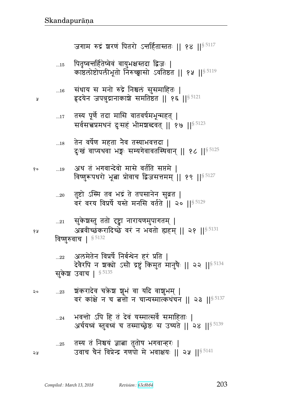- तस्य तं निश्चयं ज्ञाबा तुतोष भगवान्हरः |  $...25\,$ उवाच चैनं विप्रेन्द्र गणपो मे भवाक्षयः || २५ ||§ 5141 จะ
- भवन्तो ऽपि हि तं देवं यस्मात्सर्वे समाहिताः |  $\ldots$ 24 अर्चयध्वं स्तुवध्वं च तस्माच्छ्रेष्ठः स उच्यते || २४ || 5139
- श्चंकरादेव चक्रेश शुभं वा यदि वाशुभम् |  $...23$ २० वरं कांक्षे न च बत्तो न चान्यस्मात्कथंचन || २३ || 5137
- अलमेतेन विप्रर्षे निर्बन्धेन हरं प्रति |  $...22$ देवैरपि न शक्यो ऽसौ द्रष्टुं किमुत मानुषैः || २२ || \$ 5134 सुकेश उवाच | § 5135
- विष्णुरुवाच | § 5132
- सुकेशस्तु ततो दृष्ट्वा नारायणमुपागतम् |  $...21$ अब्रवीच्छंकरादिच्छे वरं न भवतो ह्यहम् || २१ || \$ 5131
- तुष्टो ऽस्मि तव भद्रं ते तपसानेन सुव्रत |  $...20\,$ वरं वरय विप्रर्षे यस्ते मनसि वर्तते || २० || \$5129
- अथ तं भगवान्देवो मासे वर्तति सप्तमे |  $\ldots 19$ विष्णुरूपथरो भूबा प्रोवाच द्विजसत्तमम् || १९ || § 5127
- तेन वर्षेण महता नैव तस्याभवत्तदा |  $...18$ दुःखं वाप्यथवा भङ्गः सम्यगेवावतस्थिवान् ॥ १८ ॥  $85125$
- तस्य पूर्णे तदा मासि वातवर्षमभून्महत् |  $...17$ सर्वसच्चप्रमथनं दुःसहं भीमशब्दवत् || १७ || \$ 5123
- संधाय स मनो रुद्रे निश्चलं सुसमाहितः |  $...16$ हृदयेन जपत्रुद्रानाकाशे समतिष्ठत || १६ ||<sup>§ 5121</sup>
- पितृष्वन्तर्हितेष्वेवं वायुभक्षस्तदा द्विजः |  $\dots15$ काष्ठलोष्टोपलीभूतो निरुच्छ्वासो ऽवतिष्ठत || १५ ||<sup>§ 5119</sup>

जगाम रुद्रं शरणं पितरो ऽन्तर्हितास्ततः || १४ ||<sup>§ 5117</sup>

Å

१५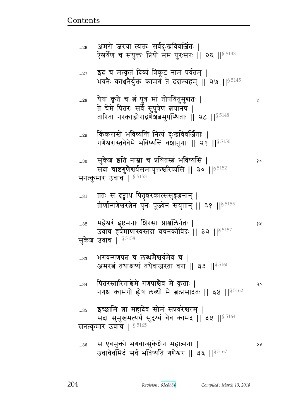|      | सुकश उवाच । उ $^{3120}$                                                                                                      |    |
|------|------------------------------------------------------------------------------------------------------------------------------|----|
| 33   | भगवन्गणपत्नं च लब्धमैश्वर्यमेव च  <br>अमरत्नं तथाक्षय्यं तथैवाजरता वरा    ३३    <sup>§ 5160</sup>                            |    |
| 34   | पितरस्तारिताश्चेमे गणपाश्चेव मे कृताः  <br>नगश्च कामगो होष लब्धो मे बत्प्रसादतः    ३४    5162                                | २० |
| $35$ | इच्छामि त्नां महादेव सोमं सप्रवरेश्वरम्  <br>सदा सुमुखमत्यर्थं सुदृष्यं चैव कामद    ३५    \$ 5164<br>सनत्कुमार उवांच   85165 |    |
| $36$ | स एवमुक्तो भगवान्सुकेशेन महात्मना  <br>उवाचैवमिदं सर्वं भविष्यति गणेश्वर    ३६    <sup>§ 5167</sup>                          | จง |

...32 xFౝ^B ؛सxd1 |^~ Ìૹed@p1 ᅖ  उवाच हर्षमाणास्यस्तदा वचनकोविदः || ३२ ||<sup>§ 5157</sup> सुकेश उवाच |  $^{\S\,5158}$ 

...31 वतः स दृष्ट्वाथ पितृन्नरकात्ससुहृज्जनान् | तीर्णान्गणेश्वरत्नेन पुनः पूज्येन संयुतान् || ३१ ||<sup>§ 5155</sup>

... $\mathrm{30}$  सुकेश इति नाम्ना च प्रथितस्त्रं भविष्यसि |  $\mathrm{_{20}}$ सदा चाष्टगुणेश्वर्यसमायुक्तश्चरिष्यसि || ३० ||  $^{\$~5152}$ सनत्कुमार उवाच |  $$^{5153}$ 

... $_{29}$  किंकरास्ते भविष्यन्ति नित्यं दुःखविवर्जिताः | गणेश्वरास्तवेवेमे भविष्यन्ति वंशानुगाः || २९ ||  $^{\$}$  5150

...28 yF}B f6 pF b ଉB t4È xB p/}yp4x4ళp1 ᅖ त चम ापतरः सव सुपुत्रण बयानघ | तारिता नरकाद्योराद्रणेशल्य सुपस्थिताः || २८ || ${}^{8\,5148}$ 

...27 इदं च मत्कृतं दिव्यं त्रिकूटं नाम पर्वतम् | भवनैः कार्शनैर्युक्तं कामग ते ददाम्यहम् || २७ || \$ 5145

...26 अमरो जरया त्यक्तः सर्वदुःखविवर्जितः | ऐश्वर्येण च संयुक्तः प्रियो मॅम पुरःसरः | २६ ||<sup>§ 5143</sup>

<u>Contents and Contents are the contents of the contents of the contents of the contents of the contents of the contents of the contents of the contents of the contents of the contents of the contents of the contents of the</u>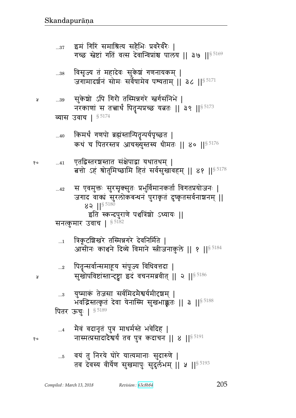नास्मत्प्रसादादैश्वर्यं तव पुत्र कदाचन || ४ || 5191  $\ldots\!5$ 

मैवं वदानृतं पुत्र माधर्मस्ते भवेदिह |  $\dots 4$ 

पितर ऊचुः | 85189

युष्माकं तेजसा सर्वमिदमैश्वर्यमीदृशम् |  $\ldots 3$ भवद्भिस्तत्कृतं देवा येनास्मि सुखभाक्कृतः || 3 || 5188

पितॄन्सर्वान्समाहूय संपूज्य विधिवत्तदा |  $...2$ सुखोपविष्टांस्तान्दृष्ट्वा इदं वचनमब्रवीत् || २ || 5186

त्रिकृटशिखरे तस्मिन्नगरे देवनिर्मिते |  $\dots$ 1 आसीनः काश्चने दिव्ये विमाने स्त्रीजनाकुले || १ ||<sup>§ 5184</sup>

सनत्कुमार उवाच | § 5182

स एवमुक्तः सुरसृक्सुतः प्रभुर्विमानकर्ता विगतप्रयोजनः |  $...42$ जगाद वाक्यं सुरलोकबन्धनं पुराकृतं दुष्कृतसर्वनाश्चनम् ॥ 82  $|$ <sup>§ 5180</sup> इति स्कन्दपुराणे पञ्चत्रिंशो ऽध्यायः ||

एतद्विस्तरञ्चस्तात संक्षेपाद्वा यथातथम् |  $...41$ बत्तो ऽहं श्रोतुमिच्छामि हितं सर्वसुखावहम् || ४१ || 5178

किमर्थं गणपो ब्रह्मंस्तान्पितृन्पर्यपृच्छत |  $...40$ कथं च पितरस्तत्र आचख्युस्तस्य धीमतः || ४० || \$5176

व्यास उवाच | 85174

सुकेशो ऽपि गिरौ तस्मिन्नगरे स्तर्गसंनिभे | Å  $...39$ नरकाणां स तत्त्वार्थं पितृन्पप्रच्छ यत्नतः || ३९ || \$ 5173

विसृज्य तं महादेवः सुकेशं गणनायकम् |  $\dots38$ जगामादर्शनं सोमः सर्वेषामेव पश्यताम् ॥ ३८ ॥  $^{8.5171}$ 

इमं गिरिं समाश्रित्य सहैभिः प्रवरेवरैः ।  $...37$ गच्छ स्तेष्टां गतिं वत्स देवान्विप्रांश्च पालय || ३७ || 5169

१०

Å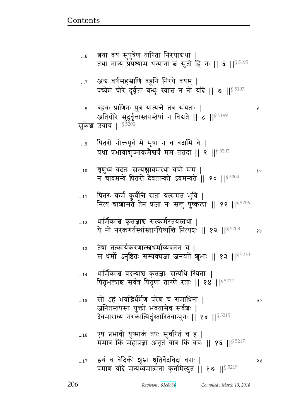Ã

- एष प्रभावो युष्माकं तपः सुचरितं च ह |  $\dots16$ ममात्र किं महाप्रज्ञा अनृत वात्र किं वचः || १६ ||§ 5217
- सो ऽहं भवद्भिर्धर्मेण परेण च समाधिना |  $\dots15$  $\mathsf{Q}$ जनितस्तपसा युक्तो भवतामेव सर्वश्चः | देवमाराध्य नरकात्पितृंस्तारितवान्पुनः || १५ || $^{\$~5215}$
- धार्मिकाश्च वदन्याश्च कृतज्ञाः सत्पथि स्थिताः |  $...14$ पितृभक्ताश्च सर्वत्र पितृणां तारणे रताः || १४ || 5212
- तेषां तत्कार्यकरणात्स्वधर्माच्यवनेन च |  $\dots 13$ स धर्मो ऽनुष्ठितः सम्यक्प्रजा जनयते शुभाः || १३ ||<sup>§ 5210</sup>
- धार्मिकाश्च कृतज्ञाश्च सत्कर्मरतयस्तथा |  $\dots 12$ ये नो नरकगर्तस्थांस्तारयिष्यन्ति नित्यशः ॥ १२ ॥ 5208 १५
- पितरः कर्म कुर्वन्ति सतां यत्संमतं भुवि |  $\ldots\!11$ नित्यं चाशासते तेन प्रजा नः सन्तु पुष्कलाः ॥ ११ ॥ ९ 5206
- शृणुध्वं वदतः सम्यञ्चावमंस्था वचो मम |  $\dots10$ १० न चावमन्ये पितरो देवतान्को ऽवमन्यते || १० ||§ 5204
- पितरो नोक्तपूर्वं मे मृषा न च वदामि वै |  $\ldots\!9$ यथा प्रभावाद्युष्माकमैश्वर्यं मम तत्तदा || ९ || 55202
- बहवः प्राणिनः पुत्र यात्यन्ते तत्र संयताः |  $...8$ अतिघोरे सुदुर्वृत्तास्तपस्तेषां न विद्यते || ८ ||<sup>§ 5199</sup> सकेश उवाच | § 5200
- अब वर्षसहस्राणि बहूनि निरये वयम् |  $\ldots 7$ पच्येम घोरे दुर्वृत्ता बन्धुः स्याच्चं न नो यदि || ७ || 5197
- ्बया वयं सुपुत्रेण तारिता निरयाद्यथा <u>|</u>  $...6$ तथा नान्यं प्रपथ्याम धन्यानां बं सुतो हि नः || ६ || 5195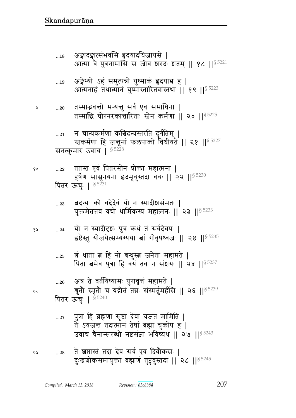| 21         | न चान्यकर्मणा कश्चिदन्यस्तरति दुर्गतिम्  <br>खकर्मणा हि जन्तूनां फलपाको विधीयते    २१    <sup>§ 5227</sup>                                                 |
|------------|------------------------------------------------------------------------------------------------------------------------------------------------------------|
|            | सनत्कुमार उवाच  <br>$\S~5228$                                                                                                                              |
| 22         | ततस्त एवं पितरस्तेन प्रोक्ता महात्मना  <br>हर्षेण सास्नुनयना इदमूचुस्तदा वचः    २२    <sup>§ 5230</sup>                                                    |
|            | पितर ऊचुः   § <sup>5231</sup>                                                                                                                              |
| 23         | बदन्यः को वदेदेवं यो न स्यादीशसंमतः  <br>युक्तमेतत्तव वचो धार्मिकस्य महात्मनः    २३    <sup>§ 5233</sup>                                                   |
|            | 24 ) यो न स्यादीदृशः पुत्र कथं तं सर्वदेवपः  <br>इष्टेस्तु योजयेत्सम्यग्यथा त्वां गोवृषध्वजः    २४    <sup>§ 5235</sup>                                    |
| 25         | बं धाता बं हि नो बन्धुस्बं जनेता महामते  <br>पिता बमेव पुत्रा हि वयं तव न संशयः    २५    $\frac{85237}{35237}$                                             |
| 26         | अत्र ते वर्तयिष्यामः पुरावृत्तं महामते  <br>श्रुतो स्मृतो च यद्गीत तन्नः संस्मर्तुमर्हसि    २६    <sup>§ 5239</sup>                                        |
|            | पितर ऊचुः   § 5240                                                                                                                                         |
| $\dots 27$ | पुत्रा हि ब्रह्मणा सृष्टा देवा यजत मामिति  <br>ते ऽयजन्त तदात्मानं तेषां ब्रह्मा चुकोप ह  <br>उवाच चैनान्संरब्धो नष्टसंज्ञा भविष्यथ    २७    $^{\S\,5243}$ |
| 28         | ते शतास्तं तदा देवं सर्व एव दिवौकसः  <br>दुःखशोकसमायुक्ता ब्रह्माणं तुष्टुवुस्तदा    २८    <sup>§ 5245</sup>                                               |

तस्माद्भवन्तो मन्यन्तु सर्व एव समाधिना |  $...20$ तस्माद्धि घोरनरकातारिताः स्तेन कर्मणा || २० || \$ 5225

Å

१०

१५

२०

२५

- अङ्गेभ्यो ऽहं समुत्पन्नो युष्माक् हृदयाच ह |  $\dots 19$ आत्मनाहं तथात्मानं युष्मांस्तारितवांस्तथा | १९ | | \$ 5223
- अङ्गादङ्गात्संभवसि हृदयादधिजायसे |<br>आत्मा वे पुत्रनामासि स जीव शरदः शतम् || १८ ||<sup>§ 5221</sup>  $\dots\!18$

207

 $||$ <sup>§ 5227</sup>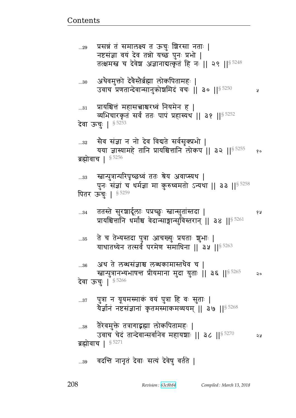¥

## ्वदन्ति नानृतं देवाः सत्यं देवेषु वर्तते |  $...39$

देवा ऊचुः | <sup>§ 5253</sup> सैव संज्ञा न नो देव विद्यते सर्वसुक्प्रभो |  $...32$ यया ज्ञास्यामहे तानि प्रायश्चित्तानि लोकप || ३२ ||<sup>§ 5255</sup>  $8^{\circ}$ ब्रह्मोवाच |  $$^{5256}$ ...33 स्त्रान्पुत्रान्परिपृच्छध्वं ततः श्रेय अवाप्स्यथ | पुनः संज्ञां च धर्मज्ञा मा कुरुध्वमतो ऽन्यथा || ३३ ||<sup>§ 5258</sup> पितर ऊँचुः | § 5259 ततस्ते सुरञ्चार्दूलाः पप्रच्छुः स्त्वान्सुतांस्तदा |<br>प्रायश्चित्तानि धर्माश्च वेदान्साङ्गान्सुविस्तरान् || ३४ ||<sup>§ 5261</sup>  $...34$ १५ ते च तेभ्यस्तदा पुत्रा आचख्युः प्रयताः शुभाः | ...35 याथातथ्येन तत्सर्वं परमेण समाधिना || 3५ || 5263 अथ ते लब्धसंज्ञाश्च लब्धकामास्तथैव च |  $...36$ स्त्वान्पुत्रानभ्यभाषन्त प्रीयमाना मुदा युताः || ३६ ||<sup>§ 5265</sup>  $\mathsf{Q} \circ$ देवा ऊचुः | § 5266 पुत्रा न यूयमस्माकं वयं पुत्रा हि वः सुताः |  $...37$ येर्ज्ञानं नष्टसंज्ञानां कृतमस्माकमव्ययम् || ३७ ||  $^{85268}$ तैरेवमुक्ते तत्रागाद्भ्झा लोकपितामहः |  $...38$ उवाच चेदं तान्देवान्सर्वानेव महायशाः || ३८ || \$ 5270 จะ ब्रह्मोवाच |  $$^{5271}$ 

अथैवमुक्तो देवैस्तैर्ब्रह्मा लोकपितामहः |  $...30$ उवाच प्रणतान्देवान्सानुक्रोश्रमिदं वचः || ३० || \$5250 प्रायश्चित्तं महासच्चाश्चरध्वं नियमेन ह |

व्यभिचारकृतं सर्वं ततः पापं प्रहास्यथ || ३१ || 5252

प्रसन्नं तं समालक्ष्य त ऊचुः शिरसा नताः |  $...29$ नष्टसंज्ञा वयं देव तन्नो यच्छ पुनः प्रभो | तत्क्षमस्त्र च देवेश अज्ञानाबत्कृतं हि नः || २९ ||<sup>§ 5248</sup>

 $...31$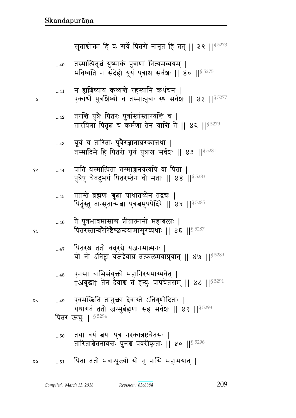| ২० | 49 एवमस्बिति तानुक्ता देवास्ते ऽतिगुणोदिताः                                                                      |
|----|------------------------------------------------------------------------------------------------------------------|
|    | यथागतं ततो जग्मुर्ब्रह्मणा सह सर्वश्चः    ४९    \$5293                                                           |
|    | पितर ऊचुः   85294                                                                                                |
|    | तथा वयं त्नया पुत्र नरकान्नष्टूचेतसः  <br>50<br>तारिताश्चेतनावन्तः पुनश्च प्रवरीकृताः    ५०    <sup>§ 5296</sup> |
| จะ | पिता ततो भवान्पूज्यो यो नु पासि महाभयात्  <br>$\dots51$                                                          |

- एनसा चाभिसंयुक्तो महानिरयभाग्भवेत् |  $...48$ †अबुद्धा† तेन देवाश्च तं ह्न्युः पापचेतसम् || ४८ || § 5291
- पितरश्च ततो ववुरग्रे यजनमात्मनः |  $\dots 47$ यो नो ऽनिष्ट्वा यजेद्देवान्न तत्फलमवाप्नुयात् || ४७ ||<sup>§ 5289</sup>
- ते पुत्रभावमासाब प्रीतात्मानो महाबलाः |  $...46$ पितरस्तान्वरैरिष्टैश्छन्दयामासुरव्यथाः || ४६ || § 5287
- ततस्ते ब्रह्मणः श्रुत्वा याथातथ्येन तद्वचः |  $...45$ पितृस्तु तान्सुतान्मबा पुत्रबमुपपेदिरे || ४५ || 5285
- पाति यस्मात्पिता तस्माज्जनयत्यपि वा पिता |  $...44$ पुत्रेषु चैतदुभयं पितरस्तेन वो मताः || 88 || \$5283

y

१०

१५

- यूयं च तारिताः पुत्रैरज्ञानान्नरकात्तथा |  $...43$ तस्मादिमे हि पितरो यूयं पुत्राश्च सर्वश्चः || ४३ || 5281
- तरन्ति पुत्रैः पितरः पुत्रांस्तांस्तारयन्ति च |  $\ldots$ 42 तारयिता पितृत च कर्मणा तेन यान्ति ते || ४२ || 5279
- न ह्यशिष्याय कथ्यन्ते रहस्यानि कथंचन |  $...41$ एकार्थो पुत्रशिष्यो च तस्मात्पुत्राः स्थ सर्वश्चः ॥ ४१ ॥<sup>§ 5277</sup>
- तस्मात्पितृत्वं युष्माकं पुत्राणां नित्यमव्ययम् |  $...40$ भविष्यति न संदेहो यूयं पुत्राश्च सर्वश्चः || ४० || 5275

सुताश्चोक्ता हि वः सर्वे पितरो नानृतं हि तत् || ३९ || \$ 5273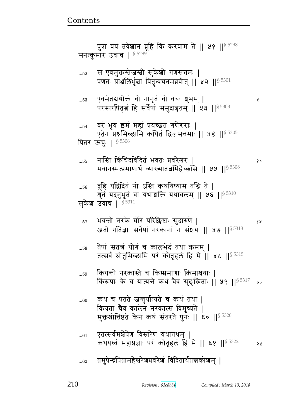## तमुपेन्द्रपितामहेश्वरेश्वप्रवरेशं विदितार्थतत्त्वकोशम् |  $...62$

- एतत्सर्वमशेषेण विस्तरेण यथातथम् ।  $...61$ कथयध्वं महाप्रज्ञाः परं कौतूहलं हि मे || ६१ || \$ 5322 **AS**
- कथं च पतते जन्तुर्यात्यते च कथं तथा |  $...60$ कियता चैव कालेन नरकात्स विमुच्यते | मुक्तश्चोत्तिष्ठते केन कथं संतरते पुनः || ६० || 5320
- कियन्तो नरकास्ते च किम्प्रमाणाः किमाश्रयाः । ...59 किरूपाः के च यात्यन्ते कथं चैव सुदुःखिताः || ५९ ||§ 5317 २०
- तेषां सतत्त्वं योगं च कालभेदं तथा ऋमम् |  $...58$ तत्सर्वं श्रोतुमिच्छामि परं कौतूहलं हि मे || ५८ ||<sup>§ 5315</sup>
- भवन्तो नरके घोरे परिक्लिष्टाः सुदारुणे |  $...57$ १५ अतो गतिज्ञाः सर्वेषां नरकानां न संशयः || ५७ ||<sup>§ 5313</sup>
- ब्रूहि यद्विदितं नो ऽस्ति कथयिष्याम तद्धि ते |  $...56$ श्रुतं यदनुभूतं वा यथाशक्ति यथाबलम् || ५६ || 5310 सकेश उवाच | § 5311
- नास्ति किंचिदविदितं भवतः प्रवरेश्वर  $...55$ भवानस्मत्प्रमाणार्थं व्याख्यातत्नमिहेच्छसि || ५५ || 5308
- वरं भूय इमं मह्यं प्रयच्छत गणेश्वराः |  $\dots54$ एतेन प्रश्नमिच्छामि कथितं द्विजसत्तमाः ॥ ५४ ॥<sup>§ 5305</sup> पितर ऊचुः | 85306
- एवमेतद्यथोक्तं वो नानृतं वो वचः शुभम् | ..53 परस्परपितृत हि सर्वेषां समुदाहृतम् || ५३ || \$5303

Ã

१०

स एवमुक्तस्तेजस्त्री सुकेशो गणसत्तमः |  $\dots52$ प्रणतः प्राञ्जलिर्भूत्वा पितृन्वचनमब्रवीत् || ५२ ||<sup>§ 5301</sup>

पुत्रा वयं तवेशान ब्रूहि किं करवाम ते || ५१ || \$ 5298 सनत्कुमार उवाच |  $$^{5299}$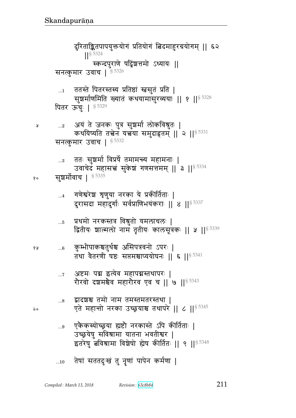तेषां सततदुःखं तु नॄणां पापेन कर्मणा |  $...10$ 

- एकैकस्योच्छ्रया ह्यष्टौ नरकास्ते ऽपि कीर्तिताः |  $\ldots 9$ उच्छ्रयेषु सविश्रामा यातना भवतीश्वर | इतरेषु बविश्रामा विशेषो होष कीर्तितः || ९ ||<sup>§ 5348</sup>
- द्वादशश्च तमो नाम तमस्तमतरस्तथा |  $\ldots\!8$ एते महान्तो नरका उच्छ्रयाश्च तथापरे || ८ ||§ 5345
- अष्टमः पद्म इत्येव महापद्मस्तथापरः |  $\dots 7$ रौरवो दशमश्चैव महारौरव एव च || ७ ||  $\frac{85343}{3}$
- कुम्भीपाकश्चतुर्थश्च असिपत्रवनो ऽपरः |  $...6$ तथा वेतरणी षष्ठः सप्तमश्चाप्ययोघनः || ६ || 5341
- प्रथमो नरकस्तत्र विश्रुतो यमलाचलः |  $...5$ द्वितीयः शाल्मलो नाम तृतीयः कालसूत्रकः || ५ || \$ 5339
- गणेश्वरेश शृणुया नरका ये प्रकीर्तिताः |  $\ldots 4$ दुरासदा महादुर्गाः सर्वप्राणिभयंकराः || ४ ||<sup>§ 5337</sup>
- ततः सुशर्मा विप्रर्षे तमामन्त्य महामनाः |  $\ldots 3$ उवाचेदं महासच्चं सुकेशं गणसत्तमम् || ३ ||<sup>§ 5334</sup> सुशर्मोवाच | 85335 १०
- अयं ते जनकः पुत्र सुश्चर्मा लोकविश्रुतः |  $\ldots 2$ कथयिष्यति तत्त्वेन यत्त्वया समुदाहृतम् ॥ २ ॥  $8^{5331}$ सनत्कुमार उवाच | 8 5332
- ततस्ते पितरस्तस्य प्रतिष्ठां स्त्रसुतं प्रति |  $\dots 1$ सूश्चर्माणमिति ख्यातं कथयामासुरव्ययाः || १ ||<sup>§ 5328</sup> पितर ऊंचुः | § 5329
- दुरिताङ्कितपापयुक्तयोगं प्रतियोगं बिदमाहुरग्रयोगम् || ६२  $|$   $|$  \$ 5324 स्कन्दपुराणे षट्विंशत्तमो ऽध्यायः || सनत्कुमार उवाच | 5 5326

२०

१५

Ã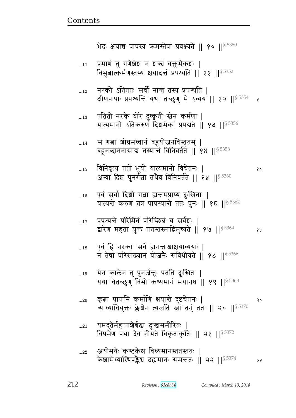- यमदूतेर्महापाश्चेर्बद्धा दुःखसमीरितः |  $...21$ विषमेण पथा देव नीयते विकृताकृतिः || २१ || \$ 5372
- कृबा पापानि कर्माणि क्षयान्ते दुष्टचेतनः |  $...20$ २० व्याध्याधियुक्तः क्लेश्चेन त्यजति स्त्रां तनुं ततः || २० ||<sup>§ 5370</sup>
- येन कालेन तु पुनर्जन्तुः पतति दुःखितः |  $...19$ यथा चैतच्छूणु विभो कथ्यमानं मयानघ || १९ ||§ 5368
- एवं हि नरकाः सर्वे ह्यनन्ताश्चाक्षयाव्ययाः |  $...18$ न तेषां परिसंख्यानं योजनैः संविधीयते || १८ || § 5366
- प्रपश्यन्ते परिमितं परिच्छिन्नं च सर्वशः |  $\dots 17$ १५
- एवं सर्वा दिशो गत्ना ह्यन्तमप्राप्य दुःखिताः |  $...16$ यात्यन्ते करुणं तत्र पापस्यान्ते ततः पुनः || १६ || \$ 5362
- विनिवृत्य ततो भूयो यात्यमानो विचेतनः |  $...15$ अन्यां दिशं पुनर्गत्ना तथैव विनिवर्तते || १५ ||<sup>§ 5360</sup>
- स गत्ना शीघ्रमध्वानं बहुयोजनविस्तृतम् |  $...14$ बहूनब्दाननासाद्य तस्यान्तं विनिवर्तते || १४ || \$5358
- पतितो नरके घोरे दुष्कृती स्तेन कर्मणा |  $\dots 13$ यात्यमानो ऽतिकरुणं दिशमेकां प्रपद्यते || १३ ||<sup>§ 5356</sup>
- नरको ऽतिततः सर्वो नान्तं तस्य प्रपश्यति ।  $\dots$ 12 क्षीणपापाः प्रपश्यन्ति यथा तच्छृणु मे ऽव्यय || १२ ||<sup>§ 5354</sup>
- प्रमाणं तु गणेशेश न शक्यं वक्तुमेकशः |  $...11$ विभुबात्कर्मणस्तस्य क्षयादन्तं प्रपश्यति || ११ ||§ 5352

भेदः क्षयाच पापस्य क्रमस्तेषां प्रवक्ष्यते || १० || \$5350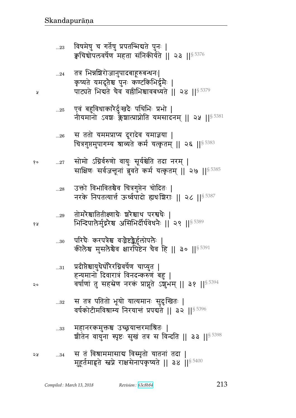Å

१५

- स तं विश्राममासाद्य विस्मृतो यातनां तदा |  $...34$ ১ম मुहूर्तमाहृते स्त्रप्ने राक्षसेनापकृष्यते || ३४ || 5400
- महानरकमुक्तश्च उच्छ्रयात्तरमाश्रितः |  $\dots33$ श्रीतेन वायुना स्पृष्टः सुखं तत्र स विन्दति || ३३ ||§ 5398
- स तत्र पतितो भूयो यात्यमानः सुदुःखितः |  $...32$ वर्षकोटीमविश्राम्य निरयान्तं प्रपद्यते || ३२ ||<sup>§ 5396</sup>
- प्रदीप्तेश्चायुधैर्घोरैरग्निवर्षेण चाप्युत |  $\ldots 31$ हन्यमानो दिवारात्रं विनदन्करुणं बहु | वर्षाणां तु सहस्रेण नरकं प्राप्नुते ऽशुभम् || ३१ ||<sup>§ 5394</sup>
- परिघेः करपत्रेश्च वज्रैष्टङ्कैर्हुलोपलैः |  $...30$ कीलेश्व मुसलेश्वेव क्षारपिष्टेन चैव हि || ३० ||  $^{\$}$  5391
- तोमरेश्चातितीक्ष्णाग्रैः श्ररेश्वाथ परश्वधैः |  $...29$ भिन्दिपालेर्मुद्गरेश्च असिभिर्दीर्घवेधनैः || २९ ||§ 5389
- उक्तो विभावितश्चैव चित्रगुप्तेन चोदितः |  $\ldots 28$ नरके निपतत्यार्त्त ऊर्ध्वपादो ह्यथःशिराः || २८ ||§ 5387
- सोमो ऽग्निर्वरुणो वायुः सूर्यश्चेति तदा नरम् | १०  $...27$ साक्षिणः सर्वजन्तूनां ब्रुवते कर्म यत्कृतम् || २७ ||<sup>§ 5385</sup>
- स ततो यममप्राप्य दूरादेव यमाज्ञया |  $...26\,$ चित्रगुप्तमुपागम्य श्राव्यते कर्म यत्कृतम् || २६ ||<sup>§ 5383</sup>
- एवं बहुविधाकारैर्दुःखदैः पथिभिः प्रभो |  $...25$ नीयमानो ऽवशः क्लेशात्प्राप्नोति यमसादनम् || २५ ||<sup>§ 5381</sup>
- तत्र भिन्नशिरोजानुपादबाहूरुबन्धनः|  $...24$ कृष्यते यमदूतैश्च पुनः कण्टकिभिर्द्धमैः | पाट्यते भिद्यते चैव वल्लीभिश्चावबध्यते || २४ ||§ 5379
- विषमेषु च गर्तेषु प्रपतन्मिद्यते पुनः |  $...23$ क्वचिचोपलवर्षेण महता संनिकीर्यते || २३ ||  $^{\$5376}$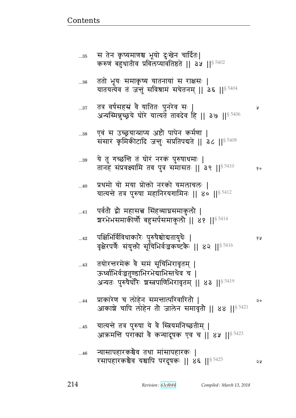| 36         | ततो भूयः समाकृष्य यातनायां स राक्षसः  <br>यातयत्येव तं जन्तुं सविश्रामं सचेतनम्    ३६    <sup>§ 5404</sup>                                                 |    |
|------------|------------------------------------------------------------------------------------------------------------------------------------------------------------|----|
| 37         | तत्र वर्षसहस्रं वै यातितः पुनरेव सः  <br>अन्यस्मिन्नुच्छ्रये घोरे यात्यते तावदेव हि    ३७    $^{5\,5406}$                                                  | R  |
| 38         | एवं स उच्छ्रयान्प्राप्य अष्टौ पापेन कर्मणा  <br>संसारं कृमिकीटादि जन्तुः संप्रतिपद्यते ।। ३८ ।। <sup>§ 5408</sup>                                          |    |
| 39         | ये तु गच्छन्ति तं घोरं नरकं पुरुषाधमाः  <br>तानहं संप्रवक्ष्यामि तव पुत्र समासतः    ३९    $^{\$}$ 5410                                                     | १० |
| 40         | प्रथमो यो मया प्रोक्तो नरको यमलाचलः  <br>यात्यन्ते तत्र पुरुषा महानिरयगामिनः    ४०    <sup>§ 5412</sup>                                                    |    |
| $41$       | पर्वतौ द्वौ महासत्त्व सिंहव्याघ्रसमाकुलौ  <br>श्वरभेभसमाकीर्णौ बहुसर्पसमाकुलौ    ४१    <sup>§ 5414</sup>                                                   |    |
| $\dots 42$ | पक्षिभिर्विविधाकारैः पुरुषैश्चोद्यतायुधैः  <br>वृक्षेरपर्णैः संयुक्तौ सूचिभिर्वज्रकण्टकैः    ४२    $^{\S\,5416}$                                           | १५ |
| 43         | तयोरन्तरमेकं वै समं सूचिभिरावृतम्  <br>ऊर्ध्वाभिर्वज्रतुण्डाभिरभेद्याभिस्तथैव च  <br>अन्यतः पुरुषेर्घारैः श्रस्त्रपाणिभिरावृतम् ।। ४३ ।। $^{\$}$ $^{5419}$ |    |
| 44         | प्राकारेण च लोहेन समन्तात्परिवारितौ  <br>आकाशे चापि लोहेन तो जालेन समावृतो    ४४    <sup>§ 5421</sup>                                                      | २० |
| 45         | यात्यन्ते तत्र पुरुषा ये वै स्त्रियमनिच्छतीम्  <br>आक्रमन्ति पराक्यां वै कन्यादूषक एव च    ४५    <sup>§ 5423</sup>                                         |    |
| 46         | ऱ्यासापहारकश्चैव तथा मांसापहारकः  <br>रसापहारकश्चैव यश्चापि परदूषकः    ४६   § 5425                                                                         | 58 |

स तेन कृष्यमाणश्च भूयो दुःखेन चार्दितः|<br>करुणं बहुधातीव प्रविलप्यावतिष्ठते || ३५ ||<sup>§ 5402</sup>

 $\ldots\!35$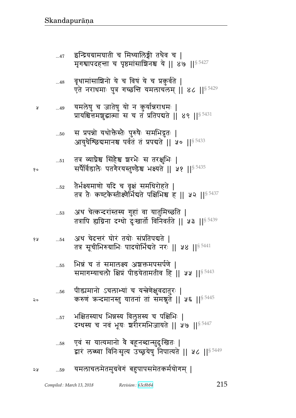| ನಿ ೦ | $\dots56$ | पीड्यमानो ऽचलाभ्यां च यन्त्रेणेक्षुवदातुरः  <br>करुणं कन्दमानस्तु यातनां तां समश्नुते    ५६    <sup>§ 5445</sup> |
|------|-----------|------------------------------------------------------------------------------------------------------------------|
|      | 57        | भक्षितस्याथ भिन्नस्य विलुप्तस्य च पक्षिभिः  <br>दग्धस्य च नवं भूयः श्ररीरमभिजायते    ४७    <sup>§ 5447</sup>     |
|      | $\dots58$ | एवं स यात्यमानो वै बहूनब्दान्सुदुःखितः  <br>द्वारं लब्ध्वा विनिःसृत्य उच्छूयेषु निपात्यते    ५८    5449          |
| 24   | 59        | यमलाचलमेतमुग्रवेगं बहुपापसमेतकर्मयोगम्                                                                           |

Revision: 63c8b84

- भिन्नं च तं समालक्ष्य अशक्तमपसर्पणे ।  $\dots 55$ समागम्याचलो क्षिप्रं पीडयेतामतीव हि || ५५ ||<sup>§ 5443</sup>
- अथ चेदन्तरं घोरं तयोः संप्रतिपद्यते । १५  $...54$ तत्र सूचीभिरुग्राभिः पादयोर्भिद्यते नरः || ५४ || 5441
- अथ चेत्कन्दरांस्तस्य गुहां वा यातुमिच्छति |  $\dots53$ तत्रापि ह्यग्निना दग्धो दुःखार्तो विनिवर्तते || ५३ ||<sup>§ 5439</sup>
- तैर्भक्ष्यमाणो यदि च वृक्षं समधिरोहते |  $...52$ तत्र तैः कण्टकैस्तीक्ष्णैर्भिद्यते पक्षिभिश्च ह || ५२ ||<sup>§ 5437</sup>
- तत्र व्याघ्रेश्च सिंहैश्च शरभैः स तरक्षुभिः |  $\dots51$ सर्पैर्विडालेः पतगेरयस्तुण्डेश्च भक्ष्यते || ५१ || 5435
- स प्रपन्नो यथोक्तैस्तैः पुरुषैः समभिद्रुतः |  $...50\,$ आयुधेश्छिद्यमानश्च पर्वतं तं प्रपद्यते || ५० || \$ 5433
- यमलेषु च जातेषु यो न कुर्यान्नराधमः |  $...49$ प्रायश्चित्तमशुद्धात्मा स च त प्रतिपद्यते | ४९ | | \$ 5431
- वृथामांसाशिनो ये च विषं ये च प्रकुर्वते |  $...48$ एते नराधमाः पुत्र गच्छन्ति यमलाचलम् || ४८ || 5429
- इन्द्रियग्रामघाती च मिथ्यालिङ्गी तथैव च |  $...47$ मृगश्वापदहन्ता च पृष्ठमांसाञ्चिनश्च ये || ४७ || 5427

१०

R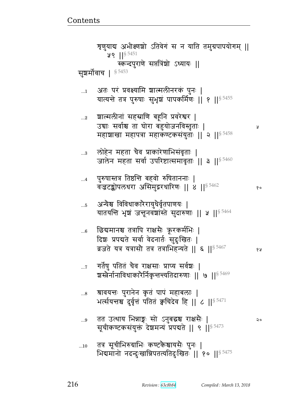|     | $\mathbf{x}$ , and $\mathbf{y}$ , and $\mathbf{x}$ , and $\mathbf{x}$ , and $\mathbf{y}$ , and $\mathbf{x}$ , and $\mathbf{y}$ |
|-----|--------------------------------------------------------------------------------------------------------------------------------|
| .10 | तत्र सूचीभिरुग्राभिः कण्टकैश्चायसैः पुनः  <br>भिद्यमानो नदन्दुःखान्निपतत्यतिदुःखितः ॥ १० ॥ $^{\$}$ $^{5475}$                   |

- तत उत्थाय भिन्नाङ्गः सो ऽनुबद्धश्च राक्षसैः |  $\ldots\!9$ सचीकण्टकसंयक्तं देशमन्यं प्रपद्यते ॥ ९ ॥ $\S$ 5473
- श्रावयन्तः पुरानेन कृतं पापं महाबलाः |  $...8$ भर्त्सयन्तश्च दुर्वृत्तं पतितं क्वचिदेव हि || ८ || 55471
- गर्तेषु पतितं चैव राक्षसाः प्राप्य सर्वश्चः |  $\dots 7$ शस्त्रेर्नानाविधाकारेर्निकृत्तन्यतिदारुणाः || ७ || \$ 5469
- छिद्यमानश्च तत्रापि राक्षसैः क्रूरकर्मभिः |  $...6$ दिशः प्रपद्यते सर्वा वेदनार्तः सुदुःखितः | व्रजते यत्र यत्रासौ तत्र तत्राभिहन्यते || ६ ||  $^{5.5467}$ १५
- अन्येश्च विविधाकारैरायुधैर्वृतपाणयः |  $\dots5$ यातयन्ति भूषं जन्तूनवंशास्ते सुदारुणाः || ५ || 5464
- पुरुषास्तत्र तिष्ठन्ति बहवो रुषिताननाः |  $\dots$ 4 वजटङ्कोपलधरा असिमुद्गरधारिणः || 8 || § 5462 १०
- लोहेन महता चैव प्राकारेणाभिसंवृताः |  $\ldots\!3$ जालेन महता सर्वा उपरिष्टात्समावृताः || ३ ||<sup>§ 5460</sup>
- शाल्मलीनां सहस्राणि बहूनि प्रवरेश्वर |  $\ldots$ 2 उद्याः सर्वाश्च ता घोरा बहुयोजनविस्तृताः | Ã महाशाखा महापत्रा महाकण्टकसंयुताः || २ || 5458
- अतः परं प्रवक्ष्यामि शाल्मलीनरकं पुनः |  $\ldots 1$ यात्यन्ते तत्र पुरुषाः सुभृष्ठां पापकर्मिणः || १ ||<sup>§ 5455</sup>
- सुशर्मोवाच | 85453
- शृणुयाद्य अभीक्ष्णश्चो ऽतिवेगं स न याति तमुग्रपापयोगम् ||  $98$  || $$^{5451}$ स्कन्दपुराणे सप्तत्रिंशो ऽध्यायः ||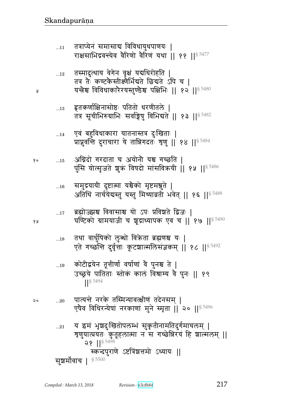$...20\,$ एषैव विधिरन्येषां नरकाणां मुने स्मृता || २० || $^{\$}$  5496 य इमं भृशदुःखितोपलम्भं सुकृतीनामतिदुर्गमाचलम् |  $...21\,$ ग्रुणुयात्प्रयतः कुतूहलात्मा न स गच्छेन्निरयं हि शाल्मलम् || २१ || $8\frac{5498}{5}$ स्कन्दपुराणे ऽष्टत्रिंशत्तमो ऽध्यायः || सुशर्मोवाच | § 5500

- पात्यन्ते नरके तस्मिन्यावत्क्षीणं तदेनसम् |
- कोटीद्वयेन तूत्तीर्णा वर्षाणां वै पुनश्च ते |  $\dots 19$ उच्छूये पातिताः स्तोकं कालं विश्राम्य वै पुनः || १९  $18\,5494$
- तथा वार्धुषिको लुब्धो विक्रेता ब्रह्मणश्च यः |  $\dots18$ एते गच्छन्ति दुर्वृत्ताः कूटशाल्मलिसंज्ञकम् || १८ ||<sup>§ 5492</sup>
- ब्रह्मोज्झ्मश्च विवासाश्च यो ऽपः प्रविश्वते द्विजः ।  $\dots 17$ घण्टिको ग्रामयाजी च शूद्राध्यापक एव च || १७ ||  $$^{5490}$
- समुद्रयायी दुष्टात्मा यश्चैको मृष्टमश्नुते |  $\dots 16$ अतिथिं नार्चयेबस्तु यस्तु मिथ्याव्रती भवेत् || १६ || $^{\S\,5488}$
- अग्निदो गरदाता च अयोनौ यश्च गच्छति | १०  $\dots15$ पुंसि योत्सृजते शुक्रं विषदो मांसविक्रयी || १५ || 5486
- एवं बहुविधाकारा यातनास्तत्र दुःखिताः |  $\dots14$ प्राप्नुवन्ति दुराचारा ये तान्निगदतः श्रृणु || १४ ||<sup>§ 5484</sup>
- हृतकर्णाक्षिनासोष्ठः पतितो धरणीतले |  $\dots13$ तत्र सूचीभिरुग्राभिः सर्वाङ्गेषु विभिद्यते || १३ || 5482
- तस्मादुत्थाय वेगेन वृक्षं यद्यधिरोहति |  $\dots 12$ तत्र ते कण्टकैस्तीक्ष्णैर्भिद्यते छिद्यते ऽपि च । यन्त्रेश्च विविधाकारैरयस्तुण्डैश्च पक्षिभिः ॥ १२ ॥ $^{\$}$   $^{5480}$
- तत्राप्येनं समासाद्य विविधायुधपाणयः |  $...11$ राक्षसाभिद्रवन्त्येव वैरिणो वैरिणं यथा || ११ ||§ 5477

१५

२०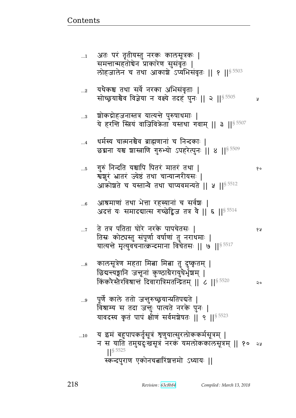| पूर्णे काले ततो जन्तुरुच्छ्रयान्प्रतिपद्यते  <br>विश्राम्य स तदा जन्तुः पात्यते नरके पुनः  <br>यावदस्य कृतं पापं क्षीणं सर्वमशेषतः     ९     § 5523 |                                      |
|-----------------------------------------------------------------------------------------------------------------------------------------------------|--------------------------------------|
| य इमं बहुपापकर्तृसूत्रं शृणुयात्सुरलोककर्मसूत्रम्  <br>न स याति तमुग्रदुःखसूत्रं नरकं यमलोककालसूत्रम्    १०<br>$18\,5525$                           | ২১                                   |
|                                                                                                                                                     | स्कन्दपुराण एकोनचबारिंशत्तमो ऽध्यायः |

- किंकरैस्तैरविश्रान्तं दिवारात्रिमतन्द्रितम् ॥ ८ ॥  $\frac{85520}{2}$
- कालसूत्रेण महता मित्ना मित्ना तु दुष्कृतम् |  $\ldots\!8$ छिद्यन्त्यङ्गानि जन्तूनां कुण्ठाग्रैरायुधैर्भृशम् |
- ते तत्र पतिता घोरे नरके पापचेतसः |  $\dots 7$ १५ तिस्रः कोट्यस्तु संपूर्णा वर्षाणां तु नराथमाः | यात्यन्ते मृत्युवचनात्क्रन्दमाना विचेतसः || ७ || $^{\$~5517}$
- आश्रमाणां तथा भेत्ता रहस्यानां च सर्वश्चः |  $...6$ अदत्तं यः समादद्यात्स गच्छेद्विज तत्र वै || ६ ||  $^{\$}$  5514
- गुरुं निन्दति यश्चापि पितरं मातरं तथा |  $\dots5$ र्येशुरं भ्रातरं ज्येष्ठं तथा चान्यान्गरीयसः | आक्रोशते च यस्तान्वे तथा चाप्यवमन्यते || ५ || 5512
- धर्मस्य चात्मनश्चैव ब्राह्मणानां च निन्दकाः |  $\dots 4$ छद्मना यश्च शास्त्राणि गुरुभ्यो ऽपहरेत्पुनः || ४ || \$ 5509
- श्चोकद्रोहजनास्तत्र यात्यन्ते पुरुषाधमाः |  $\ldots 3$ ये हरन्ति स्त्रियं वाजिविकेता यस्तथा गवाम् || ३ || 5507
- यथैकश्च तथा सर्वे नरका अभिसंवृताः |  $...2$ सोच्छ्रयाश्चेव विज्ञेया न वक्ष्ये तदह पुनः || २ || \$ 5505 y
- अतः परं तृतीयस्तु नरकः कालसूत्रकः |  $\dots$ 1 समन्तान्महतोचेन प्राकारेण सुसंवृतः | लोहजालेन च तथा आकाशे उप्यभिसंवृतः || १ || 5503

 $20$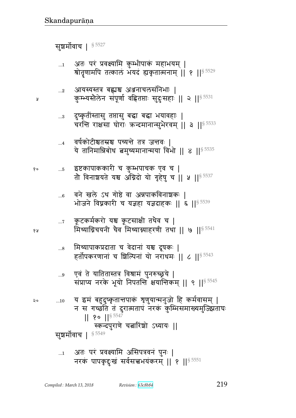नरकं पापकृदुःखं सर्वसत्त्वभयंकरम् ॥ १ ॥  $^{8}$  5551

कुम्भ्यस्तैलेन संपूर्णा वह्नितप्ताः सुदुःसहाः || २ ||<sup>§ 5531</sup> दुष्कृतींस्तासु तप्तासु बद्धा बद्धा भयावहाः |  $...3$ चरन्ति राक्षसा घोराः ऋन्दमानान्सुभैरवम् || ३ || $^{\$}$   $^{5533}$ वर्षकोटीश्वतस्रश्च पच्यन्ते तत्र जन्तवः |  $\dots4$ ये तानिमान्निबोध बमुच्यमानान्मया विभो || ४ || $^{\S\,5535}$ इष्टकापाककारी च कुम्भपाचक एव च |  $...5$ तौ विनाशयते यश्च अग्निदो यो गृहेषु च || ५ || § 5537 वने खले ऽथ गोष्ठे वा अन्नपाकविनाशकः |  $...6$ भोजने विघ्नकारी च यज्ञहा यज्ञदाहकः || ६ ||§ 5539 कूटकर्मकरो यश्च कूटसाक्षी तथैव च |  $\dots 7$ मिथ्याग्निचयनी चैव मिथ्याग्न्याहरणी तथा || ७ || \$ 5541 मिथ्यापाकप्रदाता च वेदानां यश्च दूषकः |  $\ldots\!8$ हर्तोपकरणानां च शिल्पिनां यो नराधमः ॥ ८ ॥  $\frac{85543}{2}$ एवं ते यातितास्तत्र विश्रामं पुनरुच्छूये |  $...9$ संप्राप्य नरके भूयो निपतन्ति क्षयान्तिकम् ॥ ९ ॥  $85545$ य इमं बहुदुष्कृतात्तपाकं शृणुयान्मनुजो हि कर्मवासम् |  $\ldots 10$ न स गच्छति तं दुरात्मतापं नरकं कुम्भिसमाख्यमुज्झिताघः<br>|| १० ||<sup>§ 5547</sup> स्कन्दपुराणे चत्नारिंशो ऽध्यायः ॥ सुशर्मोवाच | § 5549 अतः परं प्रवक्ष्यामि असिपत्रवनं पुनः |  $\dots$ 1

Å

१०

6 A

२०

 $...2$ 

अतः परं प्रवक्ष्यामि कुम्भीपाकं महाभयम् |  $\dots$ 1 श्रोतृणामपि तत्कालं भयदं ह्यकृतात्मनाम् ॥ १ ॥ 8 5529

आयस्यस्तत्र बह्यश्च अञ्जनाचलसंनिभाः |

सञ्चर्मोवाच | § 5527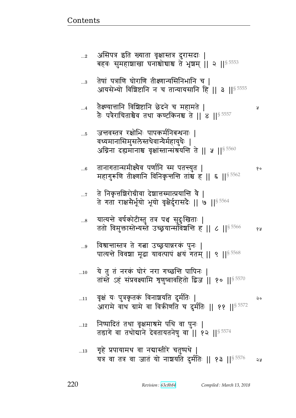Ã

- निष्पादितं तथा वृक्षमाश्रमे पथि वा पुनः |  $\dots 12$ तड़ागे वा तथोद्याने देवतायतनेषु वा || १२ ||  $$^{5574}$
- वृक्षं यः पुत्रकृतकं विनाशयति दुर्मतिः |  $...11$ २० आरामे वाथ ग्रामे वा विकीणति च दुर्मतिः || ११ || \$5572
- ये तु तं नरकं घोरं नरा गच्छन्ति पापिनः |  $...10$ तांस्ते ऽहं संप्रवक्ष्यामि शृणुष्वावहितो द्विज || १० ||<sup>§ 5570</sup>
- विश्रान्तास्तत्र ते गत्ना उच्छ्रयान्नरकं पुनः |  $...9$ पात्यन्ते विवशा मूढा यावत्पापं क्षयं गतम् || ९ || § 5568
- यात्यन्ते वर्षकोटीस्तु तत्र पञ्च सुदुःखिताः |  $...8$ ततो विमुक्तास्तेभ्यस्ते उच्छ्रयान्संविंशन्ति ह || ८ ||<sup>§ 5566</sup> १५
- ते निकृत्तशिरोग्रीवा देशात्तस्मात्प्रयान्ति वै |  $\dots 7$ ते गता राक्षसेर्भूयो भूयो वृक्षेर्दुरासदैः || ७ || 5564
- तानागतान्समीक्ष्यैव पर्णानि स्म पतन्त्युत |  $...6$ महागुरूणि तीक्ष्णानि विनिकृत्तन्ति तांश्च ह || ६ || 5562
- जन्तवस्तत्र रक्षोभिः पापकर्मनिबन्धनाः |  $...5$ वध्यमानासिमुसलेस्तथैवान्यैर्महायुधैः | अग्निना दह्यमानाश्च वृक्षांस्तान्संत्रयन्ति ते || ५ || 5560
- तैक्ष्ण्यात्तानि विशिष्टानि छेदने च महामते ।  $\dots$ 4 तैः पत्रैराचिताश्चैव तथा कण्टकिनश्च ते ।। ४ ।।<sup>§ 5557</sup>
- तेषां पत्राणि घोराणि तीक्ष्णान्यसिनिभानि च |  $\ldots$ 3 आयसेभ्यो विशिष्टानि न च तान्यायसानि हि || ३ ||<sup>§ 5555</sup>
- असिपत्र इति ख्याता वृक्षास्तत्र दुरासदाः |  $...2$ बहवः सुमहाशाखा घनाश्चोद्याश्च ते भृशम् || २ || \$ 5553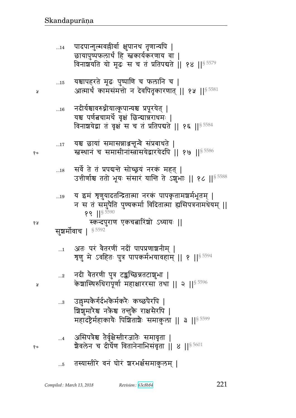У

१०

Ş

| R |             | $88$    $8\,5590$<br>स्कन्दपुराण एकचबारिंशो ऽध्यायः   <br>सुशर्मोवाच   85592                                                                             |
|---|-------------|----------------------------------------------------------------------------------------------------------------------------------------------------------|
|   | $\dots$ 1   | अतः परं वैतरणीं नदीं पापप्रणाञ्चनीम्  <br>त्रृणु मे ऽवहितः पुत्र पापकर्मभयावहाम् ॥ १ ॥ $^{\$~5594}$                                                      |
|   | $\ldots$ 2  | नदी वैतरणी पुत्र टङ्कच्छिन्नतटाशुभा  <br>केशास्थिरुधिरापूर्णा महाक्षाररसा तथा    २    \$ 5596                                                            |
|   | $\ldots\!3$ | उल्लुम्पकैर्गर्दभकैर्मकरैः कच्छपैरपि  <br>शिशुमारेश्व नकेश्व तन्तुके राक्षसेरपि  <br>महादंष्ट्रैर्महाकायैः पिश्चिताशैः समाकुला    ३    <sup>§ 5599</sup> |
| ۰ |             | असिपत्रैश्च तैर्वृक्षेस्तीरजातैः समावृता  <br>ग्रैवलेन च दीर्घेण वितानेनाभिसंवृता    ४    $\frac{8}{5601}$                                               |

- 
- य इमं शृणुयादतन्द्रितात्मा नरकं पापकृतामञ्चर्मभूतम् |  $\dots 19$ न स तं समुपैति पुण्यकर्मा विदितात्मा ह्यसिपत्रनामधेयम् ||
- सर्वे ते तं प्रपद्यन्ते सोच्छ्रयं नरकं महत् |  $\dots18$ उत्तीर्णाश्च ततो भूयः संसारं यान्ति ते ऽशुभाः || १८ ||§ 5588
- यश्च छायां समासन्नाअनून्वे संप्रबाधते |  $...17$ स्तस्थानं च समासीनास्त्रासयेद्वारयेदपि || १७ || \$ 5586
- नदीर्यश्चावरुध्नीयात्कूपान्यश्च प्रपूरयेत् |  $\dots 16$ यश्च पर्णबचामर्थे वृक्षं छिन्यान्नराधमः | विनाशयेद्वा तं वृक्षं स च तं प्रतिपद्यते || १६ || \$ 5584
- यश्चापहरते मूढः पुष्पाणि च फलानि च |  $\dots15$ आत्मार्थं कामसंमत्तो न देवपितृकारणात् || १५ ||<sup>§ 5581</sup>
- पादपान्गुल्मवल्लीर्वा क्षुपानथ तृणान्यपि |  $...14$ छायापुष्पफलार्थं हि स्नकार्यकरणाय वा | विनाशयति यो मूढः स च तं प्रतिपद्यते || १४ || \$ 5579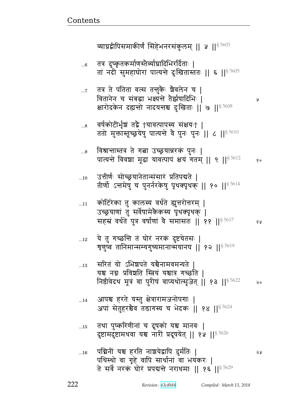Ã

- तथा पुष्करिणीनां च दूषको यश्च मानवः |  $\dots15$ दुष्टामदुष्टामथवा यश्च नारी प्रदूषयेत् || १५ || 55626
- आपश्च हरते यस्तु क्षेत्रारामजनोपगाः |  $...14$ अपां सेतुहरश्चैव तडागस्य च भेदकः || १४ ||<sup>§ 5624</sup>
- सरितं यो ऽभिञ्चपते यश्चैनामवमन्यते  $\dots 13$ यश्च नग्नः प्रविशति स्त्रियं यश्चात्र गच्छति । निष्ठीवेदथ मूत्रं वा पुरीषं वाप्यथोत्सृजेत् || १३ ||<sup>§ 5622</sup> २०
- ये तु गच्छन्ति तं घोरं नरकं दुष्टचेतसः |  $\dots 12$ त्रृणुष्वं तानिमान्सम्यगुच्यमानान्मयानघ || १२ || $^{\$}$ <sup>5619</sup>
- कोटिरेका तु कालस्य वर्धते ह्युत्तरोत्तरम् |  $...11$ उच्छ्रयाणां तु सर्वेषामेकैकस्य पृथक्पृथक् | सहस्रं वर्धते पुत्र वर्षाणां वे समासतः || ११ || \$5617 १५
- उत्तीर्णः सोच्छ्रयानेतान्संसारं प्रतिपद्यते |  $...10$ तीर्णो ऽन्तमेषु च पुनर्नरकेषु पृथक्पृथक् || १० || \$5614
- विश्रान्तास्तत्र ते गत्ना उच्छ्रयान्नरकं पुनः |  $...9$ पात्यन्ते विवशा मूढा यावत्पापं क्षयं गतम् || ९ || 55612  $90$
- वर्षकोटीर्भूष्रं तद्वै †यावत्पापस्य संक्षयः† |  $\ldots\!8$ ततो मुक्तास्तूच्छ्रयेषु पात्यन्ते वै पुनः पुनः || ८ || \$ 5610
- तत्र ते पतिता वत्स तन्तुकैः ग्रैवलेन च |  $\dots 7$ वितानेन च संबद्धा भक्ष्यन्ते तैर्झषादिभिः । क्षारोदकेन दह्यन्तो नादयन्तश्च दुःखिताः || ७ ||<sup>§ 5608</sup>
- तत्र दुष्कृतकर्माणस्तैर्व्याघ्रादिभिरर्दिताः |  $...6$ तां नदीं सुमहाघोरां पात्यन्ते दुःखितास्ततः || ६ || 5605

व्याघ्रद्वीपिसमाकीर्णं सिंहेभनरसंकुलम् || ५ || 55603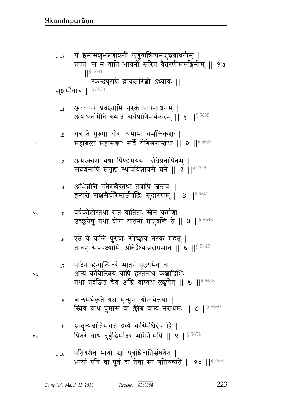$\dots10$ 

- भार्या पतिं वा पुत्रं वा तेषां सा गतिरुच्यते || १० ||<sup>§ 5654</sup>
- भ्रातृन्यश्चातिसंधत्ते द्रव्ये कस्मिंश्चिदेव हि |  $\ldots\!9$ पितरं वाथ दुर्बुद्धिर्मातरं भगिनीमपि || ९ || 55652

पतिर्यश्चैव भार्यां स्त्रां पुत्रांश्चैवातिसंधयेत् |

- बालमर्थकृते यश्च मृत्युना योजयेत्तथा |  $\ldots\!8$ स्त्रियं वाथ पुमांसं वा क्कीबं वान्यं नराधमः || ८ || $\frac{1}{5}$  5650
- पादेन हन्यात्पितरं मातरं पूज्यमेव वा  $\dots 7$ अन्यं कंचित्स्त्रियं वापि हस्तेनाथ कशादिभिः | तथा प्रव्रजितं चैव अग्निं वाप्यथ लङ्घयेत् || ७ ||<sup>§ 5648</sup>
- एते ये यान्ति पुरुषाः सोच्छ्रयं नरकं महत् |  $...6$ तानहं संप्रवक्ष्यामि अनिर्देश्यान्नराधमान् || ६ || 55645
- वर्षकोटीस्तथा सप्त यातिताः स्त्रेन कर्मणा |  $\dots5$ उच्छ्रयेषु तथा घोरां यातनां प्राप्नुवन्ति ते || ५ || 5643
- अभिघ्नन्ति घनैरन्यैस्तथा तत्रापि जन्तवः |  $\dots 4$ हन्यन्ते राक्षसैर्घोरेस्तर्जयद्भिः सुदारुणम् ॥ ४ ॥  $^{8.5641}$
- अयस्कारा यथा पिण्डमयसो ऽग्निप्रतापितम् |  $\ldots$ 3 संदंशेनापि संगृह्य स्थापयितायसे घने || ३ ||<sup>§ 5639</sup>
- यत्र ते पुरुषा घोरा यमाभा यमकिंकराः |  $\ldots 2$ महाबला महासच्चाः सर्वे योगेश्वरास्तथा || २ ||<sup>§ 5637</sup>
- अतः परं प्रवक्ष्यामि नरकं पापनाशनम् |  $\ldots 1$ अयोघनमिति ख्यातं सर्वप्राणिभयंकरम् ॥ १ ॥<sup>§ 5635</sup>
- सुशर्मोवाच | 85633

 $\dots 17$ 

- स्कन्दपुराणे द्वाचत्नारिंशो ऽध्यायः ||
- य इमामशुभप्रणाश्चनीं श्रृणुयान्नित्यमशुद्धबाधनीम् | प्रयतः स न याति भावनीं सरितं वैतरणीमसङ्गिनीम् ॥ १७  $\left| \right|$  \$ 5631

223

१५

२०

१०

Ã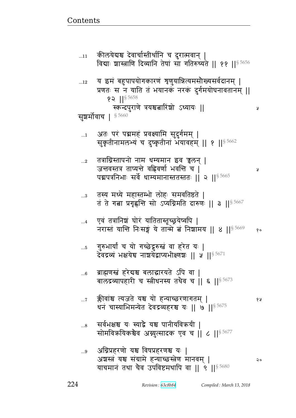Ã

Ã

- अग्निप्रहरणो यश्च विषप्रहरणश्च यः |  $...9$ अशस्त्रं यश्च संग्रामे हन्याच्छस्त्रेण मानवम् | २० याचमानं तथा चैव उपविष्टमथापि वा || ९ ||  $\frac{5680}{900}$
- सर्वभक्षश्च यः स्याद्वै यश्च पानीयविक्रयी |  $\ldots\!8$ सोमविक्रयिकश्चैव अग्नुत्सादक एव च | ८ | | 5677
- क्लीवांश्च त्यजते यश्च यो हन्याच्छरणागतम् |  $\dots 7$ धनं चास्याभिमन्येत देवद्रव्यहरश्च यः || ७ || 5675
- ब्राह्मणस्त्रं हरेदाश्च बलाद्वारयते ऽपि वा |  $...6$ बालद्रव्यापहारी च स्त्रीधनस्य तथैव च || ६ || $^{\$5673}$
- गुरुभार्यां च यो गच्छेद्रुरुस्तं वा हरेत यः |  $...5$ देवद्रव्यं भक्षयेच नाशयेंद्राप्यभीक्ष्णशः || ५ ||  $^{\$5671}$
- एवं तत्रानिशं घोरं यातितास्तूच्छूयेष्वपि |  $\dots 4$ नरास्तं यान्ति निःसङ्गं ये तान्मे बं निशामय || ४ ||<sup>§ 5669</sup> १०
- तस्य मध्ये महास्तम्भो लोहः समवतिष्ठते |  $\ldots 3$ तं ते गत्ना प्रगृह्णन्ति सो ऽप्यग्निमति दारुणः || ३ ||  $8\,5667$
- तत्राग्निस्तापनो नाम धम्यमान इव चुलन् |  $\ldots 2$ जन्तवस्तत्र ताप्यन्ते वह्निवर्णा भवन्ति च | पद्मपत्रनिभाः सर्वे धाम्यमानास्ततस्ततः || २ ||<sup>§ 5665</sup>
- अतः परं पद्ममहं प्रवक्ष्यामि सुदुर्गमम् |  $\dots$ 1 सुकृतीनामलभ्यं च दुष्कृतीनां भयावहम् || १ || 95662
- य इमं बहुपापयोगकारणं शृणुयान्नित्यमसौख्यसर्वदानम् |  $...12$ प्रणतः स न याति तं भयानकं नरकं दुर्गमयोघनावतानम् ॥  $\,$  2 || $\,$  5658 स्कन्दपुराणे त्रयश्चबारिंशो ऽध्यायः || सुशर्मोवाच | 85660
- कीलयेद्यश्च देवार्चास्तीर्थानि च दुरात्मवान् |  $...11$ विद्याः शास्त्राणि दिव्यानि तेषां सा गतिरुच्यते || ११ || 55656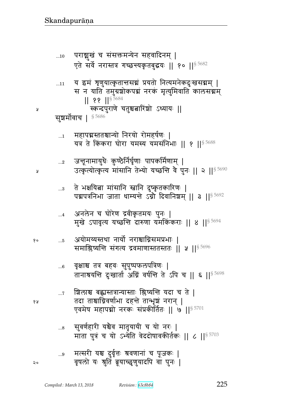- सुवर्णहारी यश्चैव मातृयायी च यो नरः |<br>माता पुत्रं च यो ऽभ्येति वेददोषावकीर्तकः || ८ ||<sup>§ 5703</sup>  $\ldots\!8$
- शिलाश्च बह्यस्तत्रान्यास्ताः श्लिष्यन्ति यदा च ते |  $\dots 7$ तदा ताश्चाग्निवर्णाभा दहन्ते तान्भृष्ठां नरान् | एवमेष महापद्मो नरकः संप्रकीर्तितः || ७ ||<sup>§ 5701</sup>
- वृक्षाश्च तत्र बहवः सुपुष्पफलपत्रिणः |  $...6$ तानाश्रयन्ति दुःखार्ता अग्निं वर्षन्ति ते ऽपि च || ६ ||<sup>§ 5698</sup>
- अयोमय्यस्तथा नार्यो नराश्चाग्निसमप्रभाः | १०  $...5$ समाश्लिष्यन्ति संगत्य द्रवमाणास्ततस्ततः || ५ || \$ 5696
- अनलेन च घोरेण द्रवीकृतमयः पुनः |  $...4$ मुखे ऽपावृत्य यच्छन्ति दारुणा यमकिंकराः || 8 || 5694
- ते भक्षयिबा मांसानि स्नानि दुष्कृतकारिणः |  $\ldots\!3$ पद्मपत्रनिभा जाता धाम्यन्ते ऽग्नो दिवानिशम् || ३ ||<sup>§ 5692</sup>
- जन्तूनामायुधैः कुण्ठेर्निर्घृणाः पापकर्मिणाम् |  $\ldots$ 2 उत्कृत्योत्कृत्य मांसानि तेभ्यो यच्छन्ति वै पुनः || २ || 55690
- महापद्मस्ततश्चान्यो निरयो रोमहर्षणः |  $\ldots\!1$ यत्र ते किंकरा घोरा यमस्य यमसंनिभाः || १ ||<sup>§ 5688</sup>

सूञ्चर्मोवाच | <sup>§ 5686</sup>

- स्कन्दपुराणे चतुश्चत्नारिंशो ऽध्यायः ||
- $|| 88 ||$ <sup>5684</sup>
- स न याति तमुग्रशोकपद्मं नरकं मृत्युमिवाति कालसद्मम्
- य इमं त्रृणुयात्कृतान्तसद्यं प्रयतो नित्यमनेकदुःखसद्यम् |  $...11$

पराञ्चुखं च संसक्तमन्येन सहवादिनम् |  $...10$ एते सर्वे नरास्तत्र गच्छन्त्यकृतबुद्धयः || १० || 5682

२०

१५

¥

Å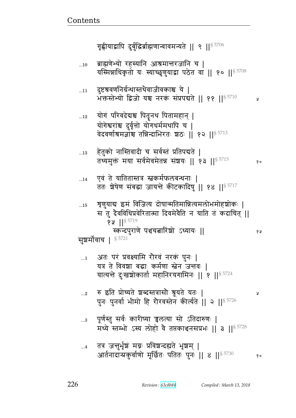ब्राह्मणेभ्यो रहस्यानि आश्रमान्तरजानि च |  $...10$ यस्मिन्नाधिकृतो यः स्याच्छृणुयाद्वा पठेत वा || १० || 5708 दुष्टश्रवणनिर्ग्रन्थास्तथेवाजीवकाश्च ये |  $\dots11$ भक्तस्तेभ्यो द्विजो यश्च नरकं संप्रपद्यते || ११ || 5710 y योगं परिवदेदयश्च पितृनथ पितामहान् |  $...12$ योगेश्वरांश्च दुर्वृत्तो योगधर्ममथापि च | वेदवर्णाश्रमज्ञांश्च तन्निन्दाभिरतः श्चठः || १२ ||<sup>§ 5713</sup> हेतुको नास्तिवादी च सर्वस्तं प्रतिपद्यते |  $\ldots\!13$ तथ्यमुक्तं मया सर्वमेवमेतन्न संशयः || १३ ||<sup>§ 5715</sup> १० एवं ते यातितास्तत्र स्वकर्मफलबन्धनाः |  $...14$ ततः शेषेण संबद्धा जायन्ते कीटकादिषु || १४ ||<sup>§ 5717</sup> शृणुयाद्य इमं विजित्य दोषान्मतिमान्नित्यमलोभमोहश्रोकः |  $\dots15$ स तु दैवविधिप्रवेरितात्मा दिवमेवैति न याति तं कदाचित् ||  $94$   $||$ <sup>§ 5719</sup> स्कन्दपुराणे पञ्चचत्नारिंशो ऽध्यायः || १५ सूञ्चर्मोवाच |  $^{\S\,5721}$ अतः परं प्रवक्ष्यामि रौरवं नरकं पुनः |  $\dots$ 1 यत्र ते विवशा बद्धाः कर्मणा स्तेन जन्तवः | यात्यन्ते दुःखश्चोकार्ता महानिरयगामिनः || १ ||<sup>§ 5724</sup> रु इति प्रोच्यते शब्दस्तत्रासौ श्रूयते यतः |  $\ldots$ 2 Å पुनः पुनर्वा भीमो हि रौरवस्तेन कीर्त्यते || २ || 5726 पूर्णस्तु सर्वः कारीष्या च्चलत्या सो ऽतिदारुणः |  $\ldots\!3$ मध्ये स्तम्भो ऽस्य लोहो वै तप्तकाश्चनसप्रभः || ३ ||  $5728$ तत्र जन्तुर्भृशं मग्नः प्रविशन्दह्यते भृशम् |  $\dots$ 4 आर्तनादान्प्रकुर्वाणो मूर्छितः पतितः पुनः || ४ ||<sup>§ 5730</sup> १०

गृह्णीयाद्वापि दुर्बुद्धिर्ब्राह्मणान्वावमन्यते || ९ ||<sup>§ 5706</sup>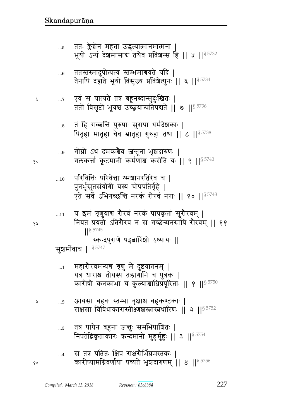| १५ | 11         | य इमं शृणुयाच रौरवं नरकं पापकृतां सुरौरवम्  <br>नियतं प्रयतो ऽतिरौरवं न स गच्छेन्मनसापि रौरवम्    ११<br>$18\,5745$<br>स्कन्दपुराणे षट्वत्नारिंशो ऽध्यायः   <br>सूशर्मोवाच   § 5747 |
|----|------------|------------------------------------------------------------------------------------------------------------------------------------------------------------------------------------|
|    | $\dots$ 1  | महारोरवमन्यच शृणु मे दुष्टयातनम्  <br>यत्र धाराश्च तोयस्य तडागानि च पुत्रक  <br>कारीषी कनकाभा च कुल्याश्चाग्निप्रपूरिताः    १    \$ 5750                                           |
| Ã  | $\ldots$ 2 | आयसा बहवः स्तम्भा वृक्षाश्च बहुकण्टकाः  <br>राक्षसा विविधाकारास्तीक्ष्णश्चस्त्रास्त्रधारिणः    २    ऽ 5752                                                                         |
|    | $\ldots 3$ | तत्र पापेन बहुना जन्तुः समभिपाशितः  <br>निपतेद्विकृताकारः ऋन्दमानो मुहुर्मुहुः    ३    <sup>§ 5754</sup>                                                                           |
| १० |            | स तत्र पतितः क्षिप्रं राक्षसैर्भिन्नमस्तकः  <br>कारीष्यामग्निवर्णायां पच्यते भृशदारुणम्    ४    \$ 5756                                                                            |

परिवित्तिः परिवेत्ता श्मञ्चानरतिरेव च |  $\ldots 10$ पुनर्भूसुतसंयोगी यस्य चोपपतिर्गृहे |<br>एते सर्वे ऽभिगच्छन्ति नरकं रौरवं नराः || १० ||<sup>§ 5743</sup>

गोप्नो ऽथ दमकश्चैव जन्तूनां भृशदारुणः |  $\ldots 9$ गलकर्त्ता कूटमानी कर्मणांश्च करोति यः || ९ ||<sup>§ 5740</sup>

तं हि गच्छन्ति पुरुषाः सुरापा धर्मदेशकाः |  $\ldots\!8$ पितृहा मातृहा चैव भ्रातृहा गुरुहा तथा || ८ || 5738

एवं स यात्यते तत्र बहूनब्दान्सुदुःखितः |  $\dots 7$ ततो विसृष्टो भूयश्च उच्छ्रयान्प्रतिपद्यते || ७ || 5736

ततस्तस्मादुपोत्पत्य स्तम्भमाश्रयते यदि |<br>तेनापि दह्यते भूयो विसृज्य प्रविश्वेत्पुनः || ६ ||<sup>§ 5734</sup>  $...6$ 

ततः क्लेशेन महता उद्धत्यात्मानमात्मना |  $...5$ भूयो ऽन्यं देशमासाब तथैव प्रविशन्स हि || ५ ||§ 5732

१०

Å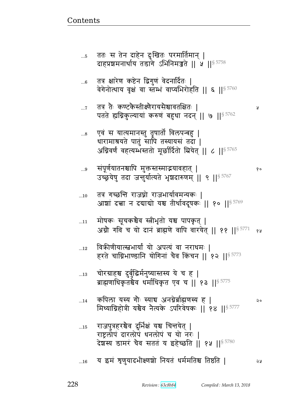| 6           | तत्र क्षारेण कष्टेन द्विगुणं वेदनार्दितः  <br>वेगेनोत्थाय वृक्षं वा स्तम्भं वाप्यभिरोहति    ६    $^{\S\,5760}$                                              |     |
|-------------|-------------------------------------------------------------------------------------------------------------------------------------------------------------|-----|
| $\dots 7$   | तत्र तैः कण्टकेस्तीक्ष्णैरायसैश्चावतक्षितः  <br>पतते ह्यग्निकुल्यायां करुणं बहुधा नदन्    ७    $^{\$5762}$                                                  | प्र |
| $\ldots 8$  | एवं स यात्यमानस्तु तृषातो विलपन्बहु  <br>धारामाश्रयते पातुं सापि तस्यायसं तदा  <br>अग्निवर्णं वहत्यम्भस्ततो मूर्छार्दितो म्रियेत्    ८    <sup>§ 5765</sup> |     |
| $\ldots 9$  | संपूर्णयातनश्चापि मुक्तस्तस्माद्भयावहात्  <br>उच्छ्रयेषु तदा जन्तुर्यात्यते भृशदारुणम् ॥ ९ ॥ ९ २ %                                                          | १०  |
| $\dots10$   | तत्र गच्छत्ति राजघ्नो राजभार्यावमन्यकः  <br>आशां दत्त्वा न दवावो यश्च तीर्थावदूषकः    १०    $^{\S\,5769}$                                                   |     |
| 11          | मोषकः सूचकश्चैव स्त्रीभृतो यश्च पापकृत्  <br>अग्नौ गवि च यो दानं ब्राह्मणे वापि वारयेत्    ११    $$^{5771}$                                                 | १५  |
| $\ldots 12$ | विकीणीयात्स्त्वभार्यां यो अपत्यं वा नराधमः  <br>हरते चाग्निभाण्डानि योगिनां चैव किंचन    १२   § 5773                                                        |     |
| $\dots13$   | चोरग्राहश्च दुर्बुद्धिर्मनुष्यास्तस्य ये च ह  <br>ब्राह्मणाधिकृतश्चेव धर्माधिकृत एव च    १३    <sup>§ 5775</sup>                                            |     |
| 14          | कपिला यस्य गौः स्याच अनग्नेर्ब्राह्मणस्य ह  <br>मिथ्याग्निहोत्री यश्चैव नैत्यके ऽपरिवेषकः ॥ १४ ॥ ऽ 5777                                                     | २०  |
| 15          | राजपुत्रहरश्चैव दुर्भिक्षं यश्च चित्तयेत्  <br>राष्ट्रलोपं दारलोपं धनलोपं च यो नरः  <br>देशस्य डामरं चैव सततं य इहेच्छति ।। १५ ।। $^{\$}$ $^{5780}$         |     |
| $\dots16$   | य इमं शृणुयादभीक्ष्णशो नियतं धर्ममतिश्च तिष्ठति                                                                                                             | ১ম  |

ततः स तेन दाहेन दुःखितः परमार्तिमान् |<br>दाहप्रशमनार्थाय तडागे ऽभिनिमज्जते || ५ ||<sup>§ 5758</sup>

 $...5$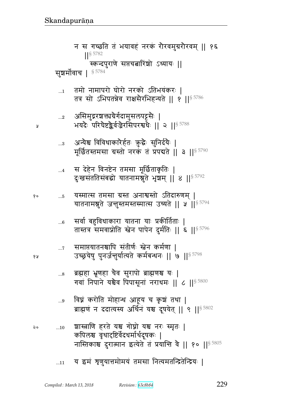- ...10 |ɕ\_ ^pF yு `/ਰ/ yு d^1 ״x6p1 ᅖ कपिलश्च वृथादृष्टिर्वेदधर्मार्थदूषकः | नास्तिकाश्च दुरात्मान इत्येते तं प्रयान्ति वै || १० ||<sup>§ 5805</sup>
- ...9 विघ्नं करोति मोहान्ध आहूय च कृषं तथा | ब्राह्मणं न ददात्यस्य अर्थिनं यश्च दूषयेत् || ९ ||<sup>§ 5802</sup>
- ...8 व्रह्महा भ्रूणहा चैव सुरापो ब्राह्मणश्च यः | गवां निपाने यश्चैव पिपासूनां नराधमः || ८ ||  $\frac{85800}{ }$
- ...7 समाप्तयातनश्चापि संतीर्णः स्त्वेन कर्मणा | १५ उच्छ्रयेषु पुनर्जन्तुर्यात्यते कर्मबन्धनः || ७ ||<sup>§ 5798</sup>
- ...6 सर्वा बहुविधाकारा यातना याः प्रकीर्तिताः । तास्तत्र समवाप्नोति स्त्वेन पापेन दुर्मतिः || ६ ||<sup>§ 5796</sup>
- <u> १० ..5 यस्मात्स तमसा ग्रस्त अनाश्वस्तो ऽतिदारुणम् |</u> यातनामश्नुते जन्तुस्तमस्तस्मात्स उच्यते || ५ ||  $s$   $^{5794}$
- ...4 स देहेन विनष्टेन तमसा मूर्छिताकृतिः | दुःखसंततिसंबद्धो यातनामश्नुते भृषभम् || ४ ||<sup>§ 5792</sup>
- ... $\,$  31न्येश्च विविधाकारेर्हतः कुद्धैः सुनिर्दयैः | मूर्छितस्तमसा ग्रस्तो नरकं तं प्रपद्यते || ३ ||<sup>§ 5790</sup>
- ...2 असिमुद्ररञ्चक्तायेर्गदामुसलपट्टसैः | ४ व्या अयदैः परिघेष्टङ्कैर्वज्रैरसिपरश्वधैः ॥ २ ॥ $^{\$~5788}$
- $_{\rm m1}$  ) तमो नामापरो घोरो नरको ऽतिभयंकरः | तत्र सो ऽभिपतन्नेव राक्षसैरभिहन्यते || १ || $^{\$~5786}$

सुशर्मोवाच |  $$^{5784}$ 

न स गच्छति तं भयावहं नरकं रोरवमुग्ररोरवम् || १६ ᅖᅖ§ 5782 स्कन्दपुराणे सप्तचत्नारिंशो ऽध्यायः ||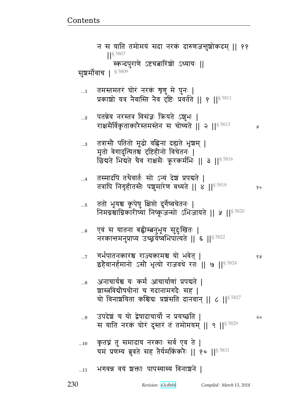## भगवन्न वयं शक्ताः पापस्यास्य विनाशने ।  $...11$

- कृतघ्नं तु समादाय नरकाः सर्व एव ते |  $\dots10$ यमं प्रणम्य ब्रुवते सह तैर्यमकिंकरैः || १० || 5831
- उपदेश च यो द्वेषादाचार्यो न प्रयच्छति ।  $...9$ २० स याति नरकं घोरं दुस्तरं तं तमोमयम् ॥ ९ ॥  $5829$
- अनाचार्यश्च यः कर्म आचार्याणां प्रपद्यते |  $...8$ शास्त्रविद्योपधीनां च गदानामगदैः सह | यो विनाशयिता कश्चिद्यः प्रशंसति दानवान् || ८ || § 5827
- गर्भपातनकारश्च राज्यकामश्च यो भवेत् ।  $\dots 7$ १५ इहैवानर्हमानो ऽसौ भृत्यो राजवधे रते || ७ || 5824
- एवं स यातना बह्वीस्त्रनुभूय सुदुःखितः |  $...6$ नरकात्तमनुप्राप्य उच्छूयेष्वभिपात्यते ॥ ६ ॥ § 5822
- ततो भूयश्च कूपेषु क्षिप्तो दुर्गेष्वचेतनः |  $...5$ निमग्नश्चाग्निकारीष्यां निष्कूजन्सो ऽभिजायते || ५ ||<sup>§ 5820</sup>
- तस्मादपि तथैवार्तः सो ऽन्यं देशं प्रपद्यते |  $\dots$ 4 तत्रापि निगृहीतस्तैः पशुमारेण वध्यते || ४ || § 5818 १०
- तत्रासौ पतितो मूढो वह्निना दह्यते भृषयम् |  $\ldots\!3$ मृतो वेगादुत्थितश्च दृष्टिहीनो विचेतनः | छिद्यते भिद्यते चैव राक्षसैः क्रूरकर्मभिः || ३ || 5816
- पतन्नेव नरस्तत्र विसंज्ञः क्रियते ऽशुभः |  $\ldots$ 2 राक्षसैर्विकृताकारैस्तमस्तेन स चोच्यते || २ ||<sup>§ 5813</sup> У
- तमस्तमतरं घोरं नरकं शृणु मे पुनः |  $\ldots 1$ प्रकाशो यत्र नैवास्ति नैव दृष्टिः प्रवर्तते ।। १ ।।<sup>§ 5811</sup>
- न स याति तमोमयं सदा नरकं दारुणजन्तुशोकदम् ।। ११  $||$ § 5807 स्कन्दपुराणे ऽष्टचबारिंशो ऽध्यायः || सुशर्मोवाच | 85809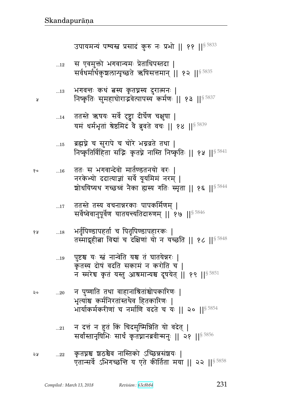- न दत्तं न हुतं किं चिदमुष्मिन्निति यो वदेत् |  $...21$ सर्वांस्तानृषिभिः सार्धं कृतघ्नानब्रवीन्मनुः || २१ ||<sup>§ 5856</sup>
- न पुष्णाति तथा वाहानाश्रितांश्चोपकारिणः |  $...20$ भृत्यांश्च कर्मनिरतांस्तथैव हितकारिणः | भार्याकर्मकरीणां च नर्माणि वदते च यः || २० || \$5854
- पुष्टश्च यः स्त्रं नान्वेति यश्च तं घातयेन्नरः |  $...19$ कृतस्य दोषं वदति सकामं न करोति च | न स्मरेघ कृतं यस्तु आश्रमान्यश्च दूषयेत् || १९ || \$ 5851
- भर्तृपिण्डापहर्ता च पितृपिण्डापहारकः | ४ ह  $\dots\!18$ तस्मादृहीबा विद्यां च दक्षिणां यो न यच्छति || १८ || § 5848
- ततस्ते तस्य वचनान्नरकाः पापकर्मिणम् |  $\dots$ 17 सर्वेष्वेवानुपूर्वेण यातयन्त्यतिदारुणम् || १७ || $^{\$5846}$
- ततः स भगवान्देवो मार्तण्डतनयो वरः |  $...16$ नरकेभ्यो ददात्याज्ञां सर्वे यूयमिमं नरम् | शोधयिष्यथ गच्छध्वं नैका ह्यस्य गतिः स्मृता || १६ ||<sup>§ 5844</sup>
- ब्रह्मघ्ने च सुरापे च चोरे भग्नव्रते तथा |  $\dots15$ निष्कृतिर्विहिता सद्भिः कृतघ्ने नास्ति निष्कृतिः || १५ ||<sup>§ 5841</sup>
- ततस्ते ऋषयः सर्वे दृष्ट्वा दीर्घेण चक्षुषा |  $...14$ यमं धर्मभृतां श्रेष्ठमिदं वे ब्रुवते वचः || १४ || \$5839
- भगवन्तः कथं तस्य कृतघ्नस्य दुरात्मनः |  $\dots 13$ निष्कृतिः सुमहाघोराद्भवेत्पापस्य कर्मणः ॥ १३ ॥<sup>§ 5837</sup>

Я

१०

२०

स एवमुक्तो भगवान्यमः प्रेताधिपस्तदा |  $...12\,$ सर्वधर्मार्थकुशलान्पृच्छते ऋषिसत्तमान् || १२ ||<sup>§ 5835</sup>

उपायमन्यं पश्यस्त प्रसादं कुरु नः प्रभो || ११ ||<sup>§ 5833</sup>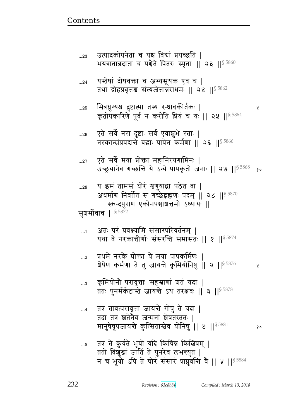तदा तत्र श्वतेनेव जन्मनां शेषतस्ततः | मानुषेषूपजायन्ते कुत्सितास्त्रेव योनिषु || 8 || 5881 तत्र ते कुर्वते भूयो यदि किंचिन्न किल्बिषम् |  $\dots5$ ततो विशुद्धां जातिं ते पुनरेव लभन्युत | न च भूयो ऽपि ते घोर संसारं प्राप्नुवन्ति वे || ५ || 5884

- तत्र तावत्परावृत्ता जायन्ते गोषु ते यदा |  $\dots 4$
- कृमियोनौ परावृत्ताः सहस्राणां श्वतं यदा |  $...3$ ततः पुनर्मर्कटास्ते जायन्ते ऽथ तरक्षवः || ३ || 5878
- प्रथमे नरके प्रोक्ता ये मया पापकर्मिणः ।  $\ldots$ 2 शेषेण कर्मणा ते तु जायन्ते कृमियोनिषु || २ ||<sup>§ 5876</sup> ¥
- अतः परं प्रवक्ष्यामि संसारपरिवर्तनम् |  $\dots$ 1 यथा वे नरकात्तीर्णाः संसरन्ति समासतः | १ | | 55874

सुशर्मोवाच | § 5872

य इमं तामसं घोरं शृणुयाद्वा पठेत वा |  $...28$ अधर्माच निवर्तेत स गच्छेद्रह्मणः पदम् || २८ || \$ 5870 स्कन्दपुराण एकोनपञ्चाशत्तमो ऽध्यायः ||

- एते सर्वे मया प्रोक्ता महानिरयगामिनः |  $...27\,$ उच्छ्रयानेव गच्छन्ति ये ऽन्ये पापकृतो जनाः || २७ ||<sup>§ 5868</sup> १०
- एते सर्वे नरा दुष्टाः सर्व एवाशुभे रताः |  $...26$ नरकान्संप्रपद्यन्ते बद्धाः पापेन कर्मणा ॥ २६ ॥ 5866
- मित्रधुग्यश्च दुष्टात्मा तस्य रन्ध्रावकीर्तकः |  $...25$ कृतोपकारिणे पूर्वं न करोति प्रियं च यः || २५ || \$5864

Ã

- यस्तेषां दोषवक्ता च अभ्यसूयक एव च |  $...24$ तथा द्रोहप्रवृत्तश्च संत्यजेत्तान्नराधमः || २४ || \$ 5862
- उत्पादकोपनेता च यश्च विद्यां प्रयच्छति |  $...23$ भयत्रातान्नदाता च पश्चेते पितरः स्मृताः || २३ || 5860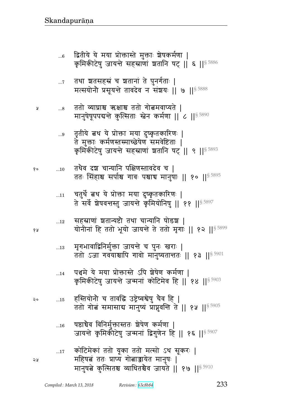- ...17 कोटिमेकां ततो यूका ततो मत्सो ऽथ सूकरः | x}ଉB pp1 Ìɍy `/ଉyFp xd4}1 ᅖ मानुषबे कुत्सितश्च व्याधितश्चैव जायते || १७ || $^{\$}$   $^{5910}$
- ...16 षष्ठाचैव विनिर्मुक्तास्ततः ञ्चेषेण कर्मणा | जायन्ते कृमिकीटेषु जन्मनां द्विगुणेन हि || १६ || $^{\$}$  5907
- २० ....15 हस्तियोनो च तावद्धि उष्ट्रेष्वश्वेषु चैव हि | ततो गोबं समासाय मानुष्यं प्राप्नुवन्ति ते || १५ || $^{\$~5905}$
- ...14 पञ्चमे ये मया प्रोक्तास्ते ऽपि ञ्चेषेण कर्मणा | कृमिकीटेषु जायन्ते जन्मनां कोटिमेव हि || १४ || $\$$  5903
- ... $_{13}$  y मृगभावाद्विनिर्मुक्ता जायन्ते च पुनः खराः | ततो ऽजा गवयाश्चापि गावो मानुष्यतान्ततः || १३ ||  $s$  5901
- ...12 सहस्राणां ञ्चतान्यष्टौ तथा चान्यानि षोडञ्च | १<sub>४</sub> योनीनां हि ततो भूयो जायन्ते ते ततो मृगाः || १२ ||<sup>§ 5899</sup>
- ... $\scriptstyle{11}$  चतुर्थे बथ ये प्रोक्ता मया दुष्कृतकारिणः | ते सर्वे शेषवन्तस्तु जायन्ते कृमियोनिषु || ११ ||  $^{\$}$  5897
- ...10 pqG{ r| bɄyd t\_ɕp{rF{ b ᅖ ततः सिंहाश्च सर्पाश्च गावः पश्चाच मानुषाः || १० || $^{\$~5895}$
- ...9 तृतीये <mark>ब</mark>थ ये प्रोक्ता मया दुष्कृतकारिणः | ते मुक्ताः कर्मणस्तस्माच्छेषेणं समवेष्टिताः | कृमिकीटेषु जायन्ते सहस्राणां शतानि षट् || ९ || $^{\$~5893}$
- ...8 pp/ ɓyÀு Rு pp/ `/ଉx{ɍypF ᅖ मानुषेषूपपद्यन्ते कुत्सिताः स्त्रेन कर्मणा ।।  $\epsilon$  ।।  $^{\$5890}$
- ...<sub>7</sub> तथा ञ्चतसहस्रं च ञ्चतानां ते पुनर्गताः | मत्सयोनौ प्रसूयन्ते तावदेव न संशयः || ७ ||  $$^{5888}$
- ...6 कितीये ये मया प्रोक्तास्ते मुक्ताः शेषकर्मणा | कृमिकीटेषु जायन्ते सहस्राणां शतानि षट् || ६ ||<sup>§ 5886</sup>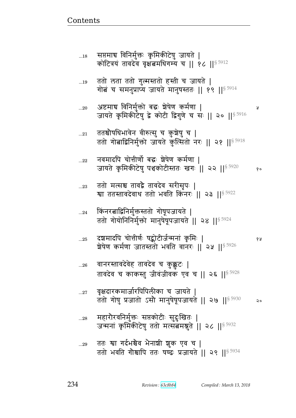| $\ldots$ 29 | ततः श्वा गर्दभश्चैव भैनाशी शुक एव च                             |  |
|-------------|-----------------------------------------------------------------|--|
|             | ततो भवति गौश्चापि ततः षण्ढः प्रजायते    २९    <sup>§ 5934</sup> |  |

- ...28 महारौरवनिर्मुक्तः सप्तकोटीः सुदुःखितः | जन्मनां कृमिकीटेषु ततो मत्संत मश्नुते || २८ ||  $^{\$5932}$
- ... $\rm{^{27}}$  वृक्षदारकमार्जारपिपिलीका च जायते | ततो गोषु प्रजातो ऽसौ मानुषेषूपजायते || २७ || ${}^{8\,5930}$  २०
- ... $_{26}$  वानरस्तावदेवेह तावदेव च कुक्कुटः | तावदेव च काकस्तु जीवंजीवक एव च || २६ ||§ 5928
- ...25 r|xrt b/ீ&\_@1 }ڱ/l&a@xdB f6 x1 ᅖ  शेषेण कर्मणा जातस्ततो भवति वानरः || २५ ||<sup>§ 5926</sup>
- ...24 किंनरबाद्विनिर्मुक्तस्ततो गोषूपजायते | ततो गोयोनिनिर्मुक्तो मानुषेषूपजायते || २४ || $^{\$~5924}$
- ...23 वतो मत्सश्च तावद्वै तावदेव सरीसुपः | श्वा ततस्तावदेवाथ ततो भवति किंनरः || २३ || $^{\$~5922}$
- ...22 वियमादपि चोत्तीर्णो बद्धः श्रेषेण कर्मणा । जायते कृमिकीटेषु पञ्चकोटीस्ततः खगः || २२ ||<sup>§ 5920</sup> १०
- ... $_{21}$  ततश्चोपधिभावेन वीरुत्सु च कुञ्चेषु च | ततो गोबाद्विनिर्मुक्तो जायते कुत्सितो नरः || २१ ||  $^{\$}$  5918
- ...20 Lसxૺ {dx4@୯/ v1 |F}F\_ fx@\_ ᅖ जायते कृमिकीटेपु द्वे कोटी द्विगुणे च सः || २० ||  $^{\$~5916}$
- ...19 ततो लता ततो गुल्मस्ततो हस्ती च जायते | गोबं च समनुप्राप्य जायते मानुषस्ततः || १९ || $^{\$~5914}$
- ...18 सप्तमाच विनिर्मुक्तः कृमिकीटेषु जायते | कोटित्रयं तावदेव वृक्षत्वमधिगम्य च || १८ ||§ 5912

<u>Contents and Contents are the contents of the contents of the contents of the contents of the contents of the contents of the contents of the contents of the contents of the contents of the contents of the contents of the</u>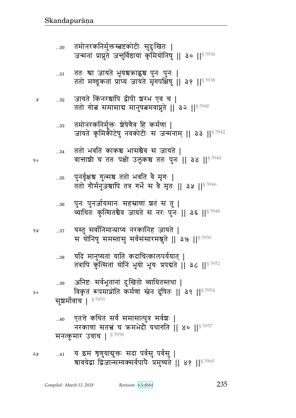- एतत्ते कथितं सर्वं समासात्पुत्र सर्वश्चः |  $...40$ नरकाणां सतत्त्वं च ऋमभेदौ यथागति || ४० || $^{\$5957}$ सनत्कुमार उवाच |  $$^{5958}$
- सुशर्मोवाच | 85955

Å

१०

6 A

- अनिष्टः सर्वभूतानां दुःखितो व्याधितस्तथा |  $...39$ विकृत रूपमाप्नोति कर्मणा स्तेन दूषितः || ३९ ||<sup>§ 5954</sup>
- यदि मानुष्यतां याति कदाचित्कालपर्ययात् |  $...38$ तत्रापि कुत्सितां योनिं भूयो भूयः प्रपद्यते ॥ ३८ ॥ § 5952
- यस्तु सर्वानिमान्प्राप्य नरकानिह जायते |  $...37\,$ स योनिषु समस्तासु सर्वसंसारमश्नुते || 3७ || 5950
- पुनः पुनर्जायमानः सहस्राणां श्वतं स तु |  $\dots\!36$ व्याधितः कुत्सितश्चैव जायते स नरः पुनः || ३६ || 5948
- पुनर्वृक्षश्च गुल्मश्च ततो भवति वै मृगः |  $\ldots\!35$ ततो गोर्मनुजयापि तत्र गर्भे स वे मृतः || ३५ || 5946
- ततो भवति काकश्च भासश्चैव स जायते |  $...34$ वान्ताशी च ततः पक्षी उलूकश्च ततः पुनः || ३४ ||<sup>§ 5944</sup>
- तमोनरकनिर्मुक्तः श्रेषेणैव हि कर्मणा |  $\dots33$ जायते कृमिकीटेषु नवकोटीः स जन्मनाम् || ३३ ||<sup>§ 5942</sup>
- जायते किंनरश्चापि द्वीपी शरभ एव च |  $...32$ ततो गोबं समासाय मानुषबमवाप्नुते || ३२ || $^{\$}$ <sup>5940</sup>
- ततः श्वा जायते भूयश्चक्राह्वश्च पुनः पुनः |  $...31\,$ ततो मण्डूकतां प्राप्य जायते मृगपक्षिषु || ३१ ||<sup>§ 5938</sup>
- तमोनरकनिर्मुक्तस्त्रष्टकोटीः सुदुःखितः |  $...30$ जन्मनां प्राप्नुते जन्तुर्विष्ठायां कृमियोनिषु || ३० ||<sup>§ 5936</sup>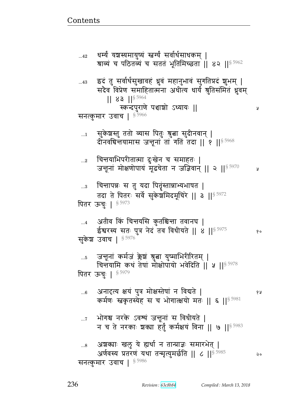श्राव्यं च पठितव्यं च सततं भूतिमिच्छता || ४२ ||<sup>§ 5962</sup> इदं तु सर्वार्थसुखावहं ध्रुवं महानुभावं सुगतिप्रदं शुभम् |  $...43$ सदैव विप्रेण समाहितात्मना अधीत्य धार्यं श्रुतिसंमितं ध्रुवम्  $|| 83 ||$ <sup>§ 5964</sup> स्कन्दपुराणे पञ्चाश्चो ऽध्यायः || Ã सनत्कुमार उवाच | 8 5966 सुकेश्चस्तु ततो व्यास पितुः श्रुत्ना सुदीनवान् |  $\dots$ 1 दीनवर्धिन्तयामास जन्तूनां तां गतिं तदा || १ ||<sup>§ 5968</sup> चित्तयाभिपरीतात्मा दुःखेन च समाहतः |  $\ldots 2$ जन्तूनां मोक्षणोपायं मूढचेता न जज्ञिवान् || २ || \$ 5970 y चित्तापन्नः स तु यदा पितृंस्तान्नाभ्यभाषत |  $\ldots$ 3 तदा ते पितरः सर्वे सुकेशमिदमूचिरे || ३ || 5972 पितर ऊचुः | § 5973 अतीव किं चिन्तयसि कुतश्चिन्ता तवानघ | ईश्वरस्य सतः पुत्र नेदं तव विधीयते || ४ || 5975  $90$ सुकेश उवाच | § 5976 जन्तूनां कर्मजं क्लेशं श्रुता युष्माभिरीरितम् |  $...5$ चिन्तयामि कथं तेषां मोक्षोपायो भवेदिति ॥ ५ ॥ 8 5978 पितर ऊचुः | 85979 अनादृत्य क्षयं पुत्र मोक्षस्तेषां न विद्यते |  $...6$ १५ कर्मणः स्तकृतस्येह स च भोगात्क्षयो मतः || ६ ||<sup>§ 5981</sup> भोगश्च नरके ऽवश्यं जन्तूनां स विधीयते |  $\dots 7$ न च ते नरकाः शक्या हर्तुं कर्मक्षयं विना || ७ || 5983 अशक्याः खलु ये ह्यर्था न तान्प्राज्ञः समारभेत् |  $\ldots 8$ अर्णवस्य प्रतरंणं यथा तन्मृत्युमर्छति || ८ ||<sup>§ 5985</sup> २० सनत्कुमार उवाच |  $$^{5986}$ 

धर्म्यं यञ्चस्यमायुष्यं स्नर्ग्यं सर्वार्थसाधकम् ।

 $...42$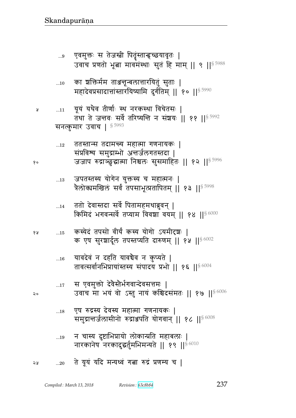- न चास्य दुष्टाभिप्रायो लोकान्प्रति महाबलाः |  $\ldots 19$ नारकानेष नरकादुद्धर्तुमभिमन्यते || १९ ||<sup>§ 6010</sup>
- एष रुद्रस्य देवस्य महात्मा गणनायकः |  $\dots18$ समुद्रान्तर्जलासीनो रुद्राञ्जपति योगवान् || १८ ||§ 6008
- स एवमुक्तो देवैस्तैर्भगवान्देवसत्तमः |  $\dots 17$ उवाच मा भयं वो ऽस्तु नायं कश्चिदसंमतः || १७ ||  $\frac{6006}{ }$
- यावदेवं न दहति यावचैव न कुप्यते |  $\dots16$ तावत्सर्वानभिप्रायांस्तस्य संपादय प्रभो || १६ || $8\,6004$
- कस्येदं तपसो वीर्यं कस्य योगो ऽयमीटृशः । १५  $...15$ क एष सुरशार्दूल तपस्तप्यति दारुणम् || १५ || 6002
- ततो देवास्तदा सर्वे पितामहमथाब्रुवन् |  $\dots$ 14 किमिदं भगवन्सर्वे तप्याम विवशा वयम् || १४ || \$6000
- जपतस्तस्य योगेन युक्तस्य च महात्मनः |  $\dots 13$ त्रैलोक्यमखिलं सर्वं तपसाभूत्प्रतापितम् || १३ ||<sup>§ 5998</sup>
- ततस्तान्स तदामन्त्य महात्मा गणनायकः |  $...12\,$ संप्रविश्य समुद्राम्भो अत्तर्जलगतस्तदा | जजाप रुद्राञ्छुद्धात्मा निश्चलः सुसमाहितः || १२ ||<sup>§ 5996</sup>
- यूयं यथैव तीर्णः स्थ नरकस्था विचेतसः |  $...11$ तथा ते जन्तवः सर्वे तरिष्यन्ति न संशयः || ११ ||<sup>§ 5992</sup> सनत्कुमार उवाच | 8 5993
- का ञक्तिर्मम ताअन्तून्बलात्तारयितुं सुताः |  $...10$ महादेवप्रसादात्तांस्तारयिष्यामि दुर्गतिम् || १० || १९ 5990
- एवमुक्तः स तेजस्त्री पितॄंस्तान्हच्छयावृतः |  $...9$ उवाच प्रणतो भूला मावमंस्थाः सुतं हि माम् ॥ ९ ॥ 55988

१०

 $\mathsf{Q}$ 

Å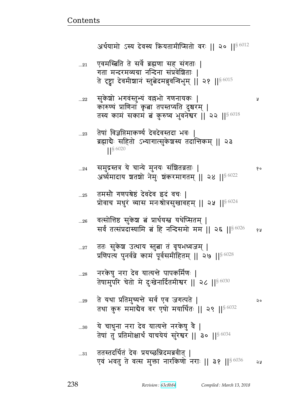Ã

१०

- ये चाधुना नरा देव यात्यन्ते नरकेषु वै |  $...30$ तेषां तु प्रतिमोक्षार्थं याचयेयं सुरेश्वर || ३० || 56034
- ते यथा प्रतिमुच्यन्ते सर्व एव जगत्पते |  $...29$  $\mathsf{Q} \circ$ तथा कुरु ममादैव वर एषो मयार्थितः || २९ ||§ 6032
- नरकेषु नरा देव यात्यन्ते पापकर्मिणः |  $...28$ तेषामुपरि चेतो मे दुःखेनार्दितमीश्वर || २८ || § 6030
- ततः सुकेश उत्थाय स्तुत्ना तं वृषभध्वजम् |  $...27\,$ प्रणिपत्य पुनर्वव्रे कामं पूर्वसमीहितम् || २७ ||  $^{86028}$
- वत्सोत्तिष्ठ सुकेश बं प्रार्थयस्त्र यथेप्सितम् |  $...26$ सर्वं तत्संप्रदास्यामि बं हि नन्दिसमो मम || २६ || 56026 १५
- तमसौ गणपश्रेष्ठं देवदेव इदं वचः |  $...25$ प्रोवाच मधुरं व्यास मनःश्रोत्रसुखावहम् || २५ || ९८ ||
- समुद्रस्तत्र ये चान्ये मुनयः संशितव्रताः |  $\ldots$ 24 अर्घ्यमादाय शतशो नेमुः शंकरमागतम् || २४ || ९८ %
- तेषां विज्ञप्तिमाकर्ण्य देवदेवस्तदा भवः |  $...23\,$ ब्रह्मादैः सहितो ऽभ्यागात्सुकेश्चस्य तदात्तिकम् || २३  $|$   $|$  \$ 6020
- सुकेशो भगवंस्तुभ्यं वल्लभो गणनायकः |  $...22$ कारुण्यं प्राणिनां कृता तपस्तप्यति दुश्चरम् | तस्य कामं सकामं बं कुरुष्व भुवनेश्वर || २२ || \$6018
- एवमस्त्रिति ते सर्वे ब्रह्मणा सह संगताः |  $...21$ गता मन्दरमव्यग्रा नन्दिना संप्रवेशिताः | ते दृष्ट्वा देवमीशानं स्तु बेदमब्रुवन्विभुम् || २१ ||  $\frac{86015}{3}$

अर्थयामो ऽस्य देवस्य क्रियतामीप्सितो वरः ॥ २० ॥ $$^{6012}$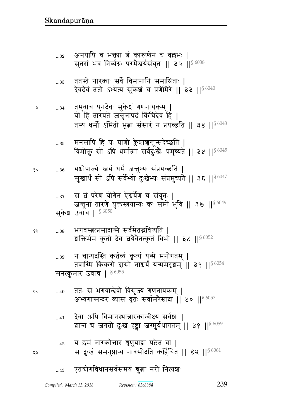- $_{\rm ...42}$   $\,$  य इमं नारकोत्तारं शृणुयाद्वा पठेत वा | <u>२५</u> स दुःखं समनुप्राप्य नावसीदति कर्हिचित् || ४२ ||<sup>§ 6061</sup>
- ...41 देवा अपि विमानस्थान्नारकान्वीक्ष्य सर्वश्चः । ञ्चात्तं च जगतो दुःखं दृष्ट्वा जग्मुर्यथागतम् || ४१ ||<sup>§ 6059</sup>
- ...40 pp1 ~ w`{ɄrF{/ {~:Ɂy `\_dyfx> ᅖ अभ्यगान्मन्दरं व्यास वृतः सर्वामरैस्तदा || ४० || $^{\$~6057}$
- ...39 व चान्यदस्ति कर्तव्यं कृत्यं यन्मे मनोगतम् | तवास्मि किंकरो दासो नाश्चर्यं यन्ममेदृशम् || ३९ || $8\,6054$ सनत्कुमार उवाच |  $$^{6055}$
- १४ …38 भगवंस्त्रतप्रसादान्मे सर्वमेतद्भविष्यति | ग्रक्तिर्मम कुतो देव बयेवैतत्कृतं विभो || ३८ || $^{\$6052}$
- सुकेश उवांच |  $$^{6050}$
- ...37 \_ स बं परेण योगेन ऐश्वर्येण च संयुतः | जनूनां तारणे युक्तस्त्वयान्यः कः समो भुवि || ३७ ||  $^{\$6049}$
- <sub>१० …36</sub> यश्चोपार्ज्य स्त्रयं धर्मं जन्तुभ्यः संप्रयच्छति | सुखार्थं सो ऽपि सर्वेभ्यो दुःखेभ्यः संप्रमुच्यते || ३६ ||<sup>§ 6047</sup>
- ... $_{\rm 35}$  मनसापि हि यः प्राणी क्लेश्वाञ्जन्तून्सदेच्छति | विमोक्तुं सो ऽपि धर्मात्मा सर्वदुःखैः प्रमुच्यते || ३५ ||<sup>§ 6045</sup>
- ...34 px4{b t4drF@{1 ~4fF |B `\_dyfx> ᅖ यो हि तारयते जन्तूनापदं किंचिदेव हि | तस्य धर्मो ऽमितो भूबा संसारं न प्रयच्छति || ३४ || $$^{6043}$
- ...33 ततस्ते नारकाः सर्वे विमानानि समाश्रिताः । देवदेवं ततो ऽभ्येत्य सुकेशं च प्रणेमिरे || इ. || $^{\$~6040}$
- ...32 अनयापि च भक्त्या बं कारुण्येन च वल्लभः | सुतरां भव निर्व्यग्रः परमैश्वर्यसंयुतः || ३२ ||<sup>§ 6038</sup>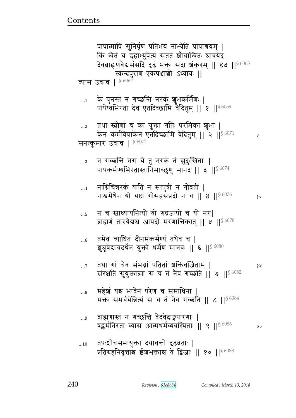- तपःशोचसमायुक्ता दयावन्तो दृढव्रताः |  $\ldots 10$ प्रतिग्रहनिवृत्ताश्च ईश्वभक्ताश्च ये द्विजाः || १० || 86088
- ब्राह्मणास्तं न गच्छन्ति वेदवेदाङ्गपारगाः |  $...9$ पद्धर्मनिरता व्यास आत्मधर्मव्यवस्थिताः || ९ || 86086 २०
- महेशं यश्च भावेन परेण च समाधिना |  $\ldots\!8$ भक्तः समर्चयेन्नित्यं स च तं नैव गच्छति || ८ || 56084
- तथा गां चैव संभग्नां पतितां शक्तिवर्जिताम् |  $\ldots 7$ १५ संरक्षति सुयुक्तात्मा स च तं नैव गच्छति || ७ ||<sup>§ 6082</sup>
- तमेव व्याधितं दीनमकर्मण्यं तथैव च |  $\ldots 6$ शुश्रूषेद्यावदर्थेन युक्तो धर्मेण मानवः || ६ || § 6080
- न च स्वाध्यायनित्यो यो रुद्रजापी च यो नरः|  $\dots 5$ ब्राह्मणं तारयेदाश्च आपदो मरणान्तिकात् || ५ ||  $\frac{86078}{2}$
- नाग्निचिन्नरकं याति न सत्पुत्री न गोव्रती |  $\dots 4$ नाश्वमेधेन यो यष्टा गोसहस्रप्रदो न च || ४ || $86076$
- न गच्छन्ति नरा ये तु नरकं तं सुदुःखिताः |  $\ldots$ 3 पापकर्मण्यभिरतास्तानिमाञ्छूणु मानद || ३ ||<sup>§ 6074</sup>
- तथा स्त्रीणां च का युक्ता गतिः परमिका शुभा |  $...2$ केन कर्मविपाकेन एतदिच्छामि वेदितुम् || २ || $^{8\,6071}$ У सनत्कुमार उवाच |  $$^{6072}$
- के पुनस्तं न गच्छन्ति नरकं शुभकर्मिणः |  $\dots$ 1 पापेष्वभिरता देव एतदिच्छामि वैदितुम् || १ ||<sup>§ 6069</sup>
- व्यास उवाच | 86067
- पापात्मापि सुनिर्घृणं प्रतिभयं नाभ्येति पापाश्रयम् | किं न्वेतं य इहाभ्युपेत्य सततं श्रौचान्वितः श्रावयेद् देवब्राह्मणवैद्यसंसदि दृढं भक्तः सदा शंकरम् || ४३ || 80065 स्कन्दपुराण एकपञ्चाशो ऽध्यायः ||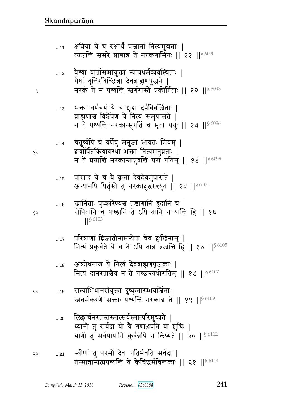- ध्यानी तु सर्वदा यो वै गणाञ्जपति वा शूचिः | योगी तु सर्वपापानि कुर्वन्नपि न लिप्यते || २० ||<sup>§ 6112</sup>
- सत्याभिधानसंयुक्ता दुष्कृतारम्भवर्जिताः|  $\mathfrak{g}\circ$  $\dots 19$ स्तथर्मकरणे सक्ताः पश्यन्ति नरकान्न ते || १९ || \$6109

लिङ्गार्चनरतस्तस्मात्सर्वस्मात्परिमुच्यते |

- अकोधनाश्च ये नित्यं देवब्राह्मणपूजकाः |  $\dots18$ नित्यं दानरताश्चैव न ते गच्छन्त्यधोगतिम् || १८ || $86107$
- परित्राणां द्विजातीनामन्येषां चैव दुःखिनाम् |  $\dots 17$ नित्यं प्रकुर्वते ये च ते ऽपि तान्न व्रजन्ति हि || १७ ||  $$^{6105}$
- खानिताः पुष्करिण्यश्च तडागानि ह्रदानि च |  $\dots16$ रोपितानि व षण्डानि ते ऽपि तानि न यान्ति हि || १६  $\left| \right|^{§}$  6103
- प्रासादं ये च वै कृत्वा देवदेवमुपासते |  $...15$ अन्यानपि पितृंस्ते तु नरकादुद्धरन्सुत || १५ ||  $^{86101}$
- ्चतुर्ष्वपि च वर्णेषु मनुजा भावतः बिवम् |  $...14$ श्वर्वार्पितक्रियावस्था भक्ता नित्यमनुव्रताः | न ते प्रयान्ति नरकान्प्राप्नुवन्ति परां गतिम् || १४ || $86099$
- भक्ता वर्णत्रयं ये च शूद्रा दर्पविवर्जिताः |  $\dots13$ ब्राह्मणांश्च विशेषेण ये नित्यं समुपासते | न ते पश्यन्ति नरकान्सुगतिं च मृता ययुः || १३ || $8\,6096$
- वैश्या वार्तासमायुक्ता न्यायधर्मव्यवस्थिताः |  $...12$ येषां वृत्तिरविच्छिन्ना देवब्राह्मणपूजने | नरकं ते न पश्यन्ति स्तर्गगास्ते प्रकीर्तिताः || १२ || $8\,6093$
- क्षत्रिया ये च रक्षार्थं प्रजानां नित्यमुद्यताः |  $...11$ त्यजन्ति समरे प्राणान्न ते नरकगामिनः || ११ ||§6090

241

१५

 $...20$ 

१०

¥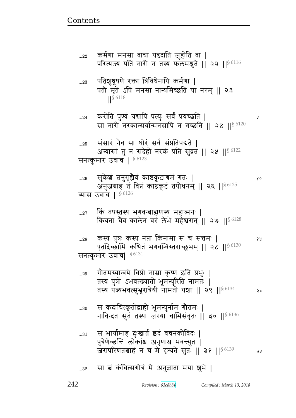y

१५

## सा बं कंचित्सगोत्रं मे अनुज्ञाता मया शुभे |  $...32$

- नाविन्दत सुतं तस्या जरया चाभिसंवृतः || ३० ||<sup>§ 6136</sup> स भार्यामाह दुःखार्त इदं वचनकोविदः |  $...31$ पुत्रेणेच्छन्ति लोकांश्च अनृणाश्च भवन्त्युत | जरापरिणतश्चाहं न च मे दृश्यते सूत: || ३१ || 86139 จม
- स कदाचित्कृतोद्वाहो भूमन्युर्नाम गौतमः |  $...30$
- गौतमस्यान्वये विप्रो नाम्ना कृष्ण इति प्रभुः |  $...29$ तस्य पुत्रो ऽभवत्ख्यातो भूमन्युरिति नामतः | तस्य पत्न्यभवत्सुभ्रूरात्रेयी नामतो यञ्चा || २९ || $^{\$6134}$ २०
- कस्य पुत्रः कस्य नप्ता किंनामा स च सत्तमः |  $\ldots 28$ एतदिच्छामि कथितं भगवन्विस्तराच्छुभम् || २८ ||<sup>§ 6130</sup> सनत्कुमार उवाच|  $^{\S\,6131}$
- किं तपस्तस्य भगवन्त्राह्मणस्य महात्मनः |  $...27$ कियता चैव कालेन वर लेभे महेश्वरात् || २७ || \$6128
- सुकेशं बनुगृहौवं काष्ठकूटाश्रमं गतः |  $...26$ १० अनुजग्राह तं विप्रं काष्ठकूटं तपोधनम् || २६ ||§ 6125 व्यास उवाच |  $§$ 6126
- संसारं नैव सा घोरं सर्वं संप्रतिपद्यते ।  $...25$ अन्यासां तु न संदेहो नरकं प्रति सुव्रत || २५ || § 6122 सनत्कुमार उवाच<sup>186123</sup>
- करोति पुण्यं यचापि पत्युः सर्वं प्रयच्छति |  $...24$ सा नारी नरकान्सर्वान्मनसापि न गच्छति || २४ || § 6120
- पतिशु्र्रषणे रक्ता त्रिविधेनापि कर्मणा |  $...23$ पतौ मृते ऽपि मनसा नान्यमिच्छति या नरम् || २३  $\left| \right|^{§ 6118}$
- कर्मणा मनसा वाचा यद्ददाति जुहोति वा |  $...22$ परित्यज्य पतिं नारी न तस्य फलमश्नुते | २२ | | \$ 6116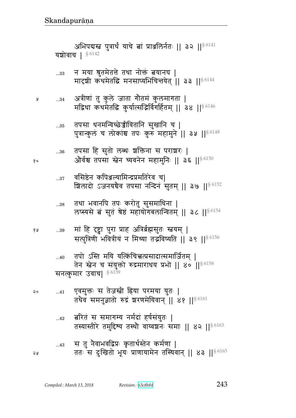स तु नैवाभवद्विप्रः कृतार्थस्तेन कर्मणा |  $...43$ ततः स दुःखितो भूयः प्राणायामेन तस्थिवान् || ४३ || 86165 २५

- .<br>बरितं स समागम्य नर्मदां हर्षसंयुतः |  $...42$ तस्यास्तीरे तमुद्दिश्य तस्थौ वाय्वञ्चनः समाः ॥ ४२ ॥ $$^{6163}$
- एवमुक्तः स तेजस्त्री हिया परमया युतः | २०  $...41$ तथैव समनुज्ञातो रुद्रं शरणमेयिवान् || ४१ ||  $^{86161}$

तपो ऽस्ति मयि यत्किंचित्त्वत्प्रसादात्समार्जितम् |  $...40$ तेन स्तेन च संयुक्तो रुद्रमाराथय प्रभो || ४० || $$^{6158}$ सनत्कुमार उवाच| § 6159

- मां हि दृष्ट्वा पुरा प्राह अत्रिर्ब्रह्मसुतः स्तवम् | १५  $...39$ सत्पुत्रिणी भवित्रीयं न मिथ्या तद्भविष्यति || ३९ || $86156$
- तथा भवानपि तपः करोतु सुसमाधिना |  $\dots38$ लप्स्यसे बं सुतं श्रेष्ठं महायोगबलान्वितम् || ३८ || § 6154
- वसिष्ठेन कपिञ्जल्यामिन्द्रप्रमतिरेव च।  $...37$ ग्रिलादो ऽजनयचैव तपसा नन्दिनं सुतम् || ३७ || ९६८
- तपसा हि सुतो लब्धः शक्तिना स पराशरः |  $...36$ ओर्वश्च तपसा स्नेन च्यवनेन महामुनिः || ३६ || § 6150
- तपसा धनमन्विच्छेञ्जीवितानि सुखानि च |  $\dots35$ पुत्रान्कुलं च लोकांश्च तपः कुरु महामुने || ३५ || 96148
- अत्रीणां तु कुले जाता गौतमं कुलमागता |  $...34$ मद्रिधा कथमेतद्धि कुर्यात्सद्भिर्विगर्हितम् || ३४ ||  $^{\$6146}$
- न मया श्रुतमेतत्ते तथा नोक्तं त्वयानघ |  $\dots33$ मादृशी कथमेतद्धि मनसाप्यभिचिन्तयेत् || ३३ ||<sup>§ 6144</sup>

अभिपद्यस्त पुत्रार्थं याचे बां प्राअलिर्नतः || ३२ ||<sup>§ 6141</sup> यशोवाच |  $§$ <sup>6142</sup>

१०

Å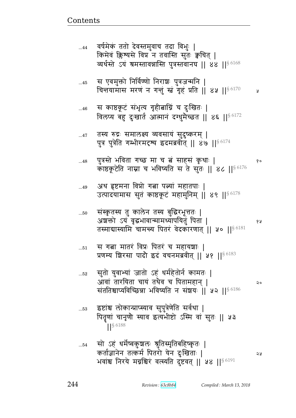১ম

सो ऽहं धर्मेष्वकुञ्चलः श्रुतिस्मृतिबहिष्कृतः |  $\dots 54$ कर्ताज्ञानेन तत्कर्म पितरो येन दुःखिताः | भवांश्च निरये मग्नश्चिरं वर्त्स्यति दुष्टवत् || ५४ || 56191

- इष्टांश्च लोकान्प्राप्स्याव सुपुत्रेणेति सर्वथा |  $...53$ पितॄणां चानृणौ स्याव इत्यभीष्टो ऽस्मि वां सुतः || ५३  $\left| \right|^{§}$  6188
- सुतो युवाभ्यां जातो ऽहं धर्महेतोर्न कामतः |  $\dots52$ आवां तारयिता चायं तथैव च पितामहान् | २० संततिश्चाप्यविच्छिन्ना भविष्यति न संञ्चयः ॥ ५२ ॥ $^{\$6186}$
- स गता मातरं विप्रः पितरं च महायशाः |  $...51$ प्रणम्य शिरसा पादौ इदं वचनमब्रवीत् || ५१ || 86183
- संस्कृतस्य तु कालेन तस्य बुद्धिरभूत्ततः |  $...50$ अशक्तो ऽयं वृद्धभावान्मामध्यापयितुं पिता | ४ ह तस्माद्यास्यामि चामन्त्य पितरं वेदकारणात् || ५० ||  $\frac{86181}{2}$
- अथ हृष्टमना विप्रो गत्ना पत्न्यां महातपाः | ...49 उत्पादयामास सुतं काष्ठकूटं महामुनिम् || ४९ || 86178
- पुत्रस्ते भविता गच्छ मा च त्नं साहसं कृथाः |  $...48$ १० काष्ठकूटेति नाम्ना च भविष्यति स ते सुतः || ४८ || 86176
- तस्य रुद्रः समालक्ष्य व्यवसायं सुदुष्करम् |  $...47$ पुत्र पुत्रेति गम्भीरमदृष्य इदमब्रवीत् || ४७ || 86174
- स काष्ठकूटं संभृत्य गृहीबाग्निं च दुःखितः |  $...46$ विलप्य बहु दुःखार्त आत्मानं दग्धुमैच्छत || ४६ || § 6172
- स एवमुक्तो निर्विण्णो निराशः पुत्रजन्मनि |  $...45$ विन्तयामास मरण न गनुं स्तं गृहं प्रति || ४५ ||  $84$  || ¥
- वर्षमेकं ततो देवस्तमुवाच तदा विभुः |  $...44$ किमेवं क्लिश्यसे विप्र न तवास्ति सुतः क्वचित् | व्यर्थस्ते ऽयं श्रमस्तावन्नास्ति पुत्रस्तवानघ | ४४ || 86168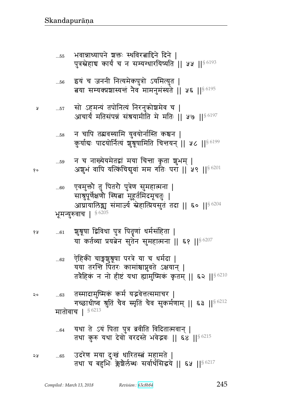- उदरेण मया दुःखं धारितस्त्वं महामते | ২५  $...65$ तथा च बहुभि क्लेश्चोर्लब्धः सर्वार्थसिद्धये || ६५ ||§6217
- यथा ते ऽयं पिता पुत्र ब्रवीति विदितात्मवान् |  $...64$ तथा कुरु यथा देवों वरदस्ते भवेद्भवः || ६४ || 86215
- तस्मादामुष्मिकं कर्म यद्भवेत्तत्समाचर |  $...63$ गच्छाधीष्व श्रुतिं चैव स्मृतिं चैव सुकर्मणाम् || ६३ || § 6212 मातोवाच | 86213
- ऐहिकी चाङ्गश्रुश्रूषा परत्रे या च धर्मदा |  $...62$ यया तरन्ति पितरः कामांश्चाप्नुवते ऽक्षयान् | तत्रैहिकं न नो हीष्टं यथा ह्यामुष्मिकं कृतम् || ६२ ||§6210
- श्चृश्रूषा द्विविधा पुत्र पितॄणां धर्मसंहिता |  $...61\,$ या कर्तव्या प्रयत्नेन सुतेन सुमहात्मना || ६१ || 86207
- भूमन्युरुवाच | 86205
- एवमुक्तो तु पितरो पुत्रेण सुमहात्मना |  $...60$ साश्रुपूर्णेक्षणो स्थिबा मुहूर्तमिदमूचतुः | आघ्रायालिङ्य संमार्ज्य स्नेहात्प्रियसुतं तदा || ६० ||<sup>§ 6204</sup>
- न च नाख्येयमेतद्वां मया चिन्ता कृता शुभम् |  $\dots59$ अशूभं वापि यत्किंचिद्युवां मम गतिः परा || ५९ || \$ 6201
- न चापि तद्यवस्यामि युवयोर्नास्ति कश्चन |  $...58$ कुर्याद्यः पादयोर्नित्यं शु्ब्रूषामिति चित्तयन् || ५८ || § 6199
- सो ऽहमन्यं तपोनित्यं निरनुक्रोश्चमेव च |  $\dots57$ आचार्यं मतिसंपन्नं संश्रयामीति मे मतिः || ५७ || 56197
- इयं च जननी नित्यमेकपुत्रो ऽयमित्युत |  $\dots56$ बया सम्यक्प्रशास्यन्तं नेव मामनुमंस्यते || ५६ || § 6195
- भवान्नाध्यापने शक्तः स्थविरत्नाद्दिने दिने |  $\dots55$ पुत्रस्रेहाच कार्यं च न सम्यग्धारयिष्यति ।। ५५ ।।<sup>§ 6193</sup>

१०

४ ह

२०

Å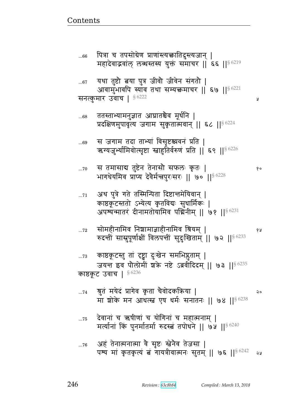Ã

१०

१५

अहं तेनात्मनात्मा वै सृष्टः स्त्रेनैव तेजसा |  $...76$ पश्य मां कृतकृत्यं बं गायत्रीवात्मनः सुतम् || ७६ || § 6242 จง

- देवानां च ऋषीणां च योगिनां च महात्मनाम् |  $\dots75$ मर्त्यानां किं पुनर्मातर्मा रुदस्त तपोधने || ७५ || 94240
- श्रुतं मयेदं प्रागेव कृता चैवोदकऋिया |  $\dots 74$ २० मा शोके मन आधत्स्त्र एष धर्मः सनातनः || ७४ ||  $$^{6238}$
- काष्ठकूटस्तु तां दृष्ट्वा दुःखेन समभिष्ठुताम् |  $...73$ जयन्त इव पौलोमीं शके नष्टे ऽब्रवीदिदम् || ७३ || § 6235 काष्ठकूट उवाच |  $$6236$
- सोमहीनामिव निशामाज्ञाहीनामिव त्रियम् ।  $...72$ रुदन्तीं सासुपूर्णाक्षीं विलपन्तीं सुदुःखिताम् || ७२ || § 6233
- अथ पुत्रे गते तस्मिन्पिता दिष्टात्तमेयिवान् |  $...71$ काष्ठकूटस्ततो ऽभ्येत्य कृतविद्यः सुधार्मिकः | अपश्यन्मातरं दीनामतोयामिव पद्मिनीम् || ७१ || $8\,6231$
- स तमासाब तुष्टेन तेनासौ सफलः कृतः |  $\dots70$ भागधेयमिव प्राप्य देवैर्मन्त्रपुरःसरः || ७० || § 6228
- स जगाम तदा ताभ्यां विसृष्टश्चवनं प्रति | ...69 ऋग्यजुर्भ्यामिवोत्सृष्टा स्नाहुतिर्वरुणं प्रति || ६९ || § 6226
- ततस्ताभ्यामनुज्ञात आघ्रातश्चेव मूर्धनि |  $...68$ प्रदक्षिणमुपावृत्य जगाम सुकृतात्मवान् || ६८ ||§ 6224
- यथा तुष्टौ बया पुत्र जीवौ जीवेन संगतौ |  $...67$ आवामुभावपि स्याव तथा सम्यक्तमाचर || ६७ || § 6221 सनत्कुमार उवाच | §6222
- पित्रा च तपसोग्रेण प्राणांस्त्यक्तातिदुस्त्यजान् |  $...66\,$ महादेवाद्भवांल् लब्धस्तस्य युक्तं समाचर || ६६ || § 6219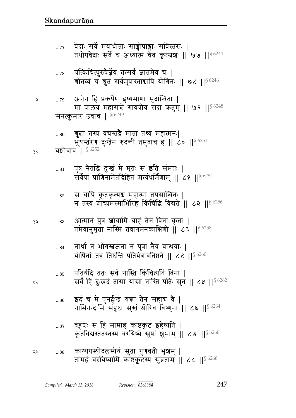|     |                                                                                                     |  | $\mathcal{P}$ and $\mathcal{P}$ and $\mathcal{P}$ |  |
|-----|-----------------------------------------------------------------------------------------------------|--|---------------------------------------------------|--|
| ่จะ | काश्यपस्योदलस्येयं सुता गुणवती भृष्ठाम्  <br>तामहं वरयिष्यामि काष्ठकूटस्य सुव्रताम्    ८८    § 6268 |  |                                                   |  |

बहुशः स हि मामाह काष्ठकूट इहेष्यति |

इदं च मे पुनर्दुःखं यच्चां तेन सहाद्य वै |  $\dots86$ नाभिनन्दामि संहृष्टा सुखं श्रीरिव विष्णुना || ८६ ||§ 6264

कृतविद्यस्ततस्तस्य वरयिष्ये स्नपां शभाम ।। ८७ ।। $8\,6266$ 

- पतिर्यदि ततः सर्वं नास्ति किंचित्पतिं विना ।  $\dots 85$ सर्वं हि दुःखदं तासां यासां नास्ति पतिः सुत || ८५ ||<sup>§ 6262</sup>
- नार्था न भोगस्तजना न पुत्रा नैव बान्धवाः |  $\ldots\!84$ योषितां तत्र तिष्ठन्ति पतिर्यत्रावतिष्ठते || ८४ || $$^{6260}$
- आत्मानं पुत्र शोचामि याहं तेन विना कृता | १५  $\dots83$ तमेवानुमृता नास्मि तवागमनकांक्षिणी || ८३ || $^{\$6258}$
- स चापि कृतकृत्यश्च महात्मा तपसान्वितः |  $\dots82$ न तस्य शोष्यमस्माभिरिह किंचिद्धि विद्यते || ८२ ||  $8\,6256$
- पुत्र नैतद्धि दुःखं मे मृतः स इति संमतः |  $\ldots81$ सर्वेषां प्राणिनामेतद्विहितं मर्त्यधर्मिणाम् || ८१ ||<sup>§ 6254</sup>
- यशोवाच | § 6252 १०
- श्रुत्वा तस्य वचस्तद्वै माता तथ्यं महात्मनः|  $...80$ भूयस्तरेण दुःखेन रुदन्ती तमुवाच ह || ८० ||<sup>§ 6251</sup>
- सनत्कुमार उवाच | \$6249
- अनेन हि प्रकर्षेण हृष्यमाणा मुदान्विता | ...79 मां पालय महासच्चे गायत्रीव संदा क्रतुम् || ७९ || १८२४८
- यत्किंचित्पुरुषैर्ज्ञेयं तत्सर्वं ज्ञातमेव च |  $\dots78$ श्रोतव्यं च श्रुतं सर्वमुपास्ताश्चापि योगिनः || ७८ || § 6246
- वेदाः सर्वे मयाधीताः साङ्गोपाङ्गाः सविस्तराः |  $...77$ तथोपवेदाः सर्वे च अध्यात्मं चैव कृत्स्नशः ॥ ७७ ॥  $\frac{86244}{96}$

२०

 $\dots87$ 

Ã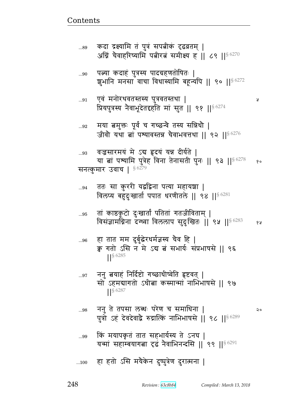$...100$ 

## किं मयापकृतं तात सहभार्यस्य ते ऽनघ | ...99 यन्मां सहाम्बयागता दृढं नैवाभिनन्दसि || ९९ || 86291

हा हतो ऽसि मयैकेन दुष्पुत्रेण दुरात्मना |

- ननु ते तपसा लब्धः परेण च समाधिना | ...98 २० पुत्रो ऽहं देवदेवाद्वै रुद्रात्किं नाभिभाषसे || ९८ || ९८ 5
- ननु बयाहं निर्दिष्टो गच्छाधीष्वेति हृष्टवत् |  $\ldots\!97$ सो ऽहमबागतो ऽधीबा कस्मान्मां नाभिभाषसे || ९७  $\frac{1}{5}$  6287
- हा तात मम दुर्बुद्धेरधर्मज्ञस्य चैव हि |  $...96$ क्व गतो ऽसि न मे ऽब त्नं सभार्यः संप्रभाषसे ॥ ९६  $\frac{1}{5}$  6285
- तां काष्ठकूटो दुःखार्तां पतितां गतजीविताम् | ...95 विसंज्ञामग्निना दग्ध्वा विललाप सुदुःखितः || ९५ ||<sup>§ 6283</sup> 6Я
- ततः सा कुररी यद्वद्विना पत्या महायज्ञा |  $...94$ विलप्य बहुदुःखार्ता पपात धरणीतले || ९४ ||  $$^{6281}$
- वज्रसारमयं मे ऽब हृदयं यन्न दीर्यते | ...93 या बां पश्यामि पुत्रेह विना तेनासती पुनः || ९३ || 93278  $\delta$  o सनत्कुमार उवाच |  $$^{6279}$
- मया बमुक्तः पूर्वं च गच्छन्वे तस्य सन्निधौ |  $\ldots 92$ जीवौ यथा तां पश्यावस्तन्न चैवाभवत्तथा || ९२ || $$^{6276}$
- एवं मनोरथवतस्तस्य पुत्रवतस्तथा |  $\ldots 91$ प्रियपुत्रस्य नेवाभूदेतद्दहति मां सुत || ९१ || $86274$
- Ã
- पत्न्या कदाहं पुत्रस्य पादग्रहणतोषितः |  $...90$ शुभानि मनसा वाचा विधास्यामि बहून्यपि || ९० ||<sup>§ 6272</sup>
- कदा द्रक्ष्यामि तं पुत्रं सपत्नीकं दृढव्रतम् | ...89 अग्निं चैवाहरिष्यामि पत्नीरत्नं समीक्ष्य ह ।। ८९ ।। $^{86270}$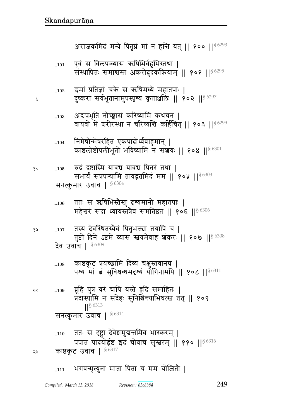Å

महेश्वरं सदा ध्यायंस्तत्रैव समतिष्ठत || १०६ || 86306 तस्य देवस्थितस्यैवं पितृभक्त्या तयापि च | १५  $\dots107$ तुष्टो दिने ऽष्टमे व्यास स्वयमेवाह शकरः || १०७ || 86308 देव उवाच | §6309 काष्ठकूट प्रयच्छामि दिव्यं चक्षुस्तवानघ |  $...108$ पश्य मां बं सुविश्रब्धमदृश्यं योगिनामपि || १०८ ||§ 6311 ब्रूहि पुत्र वरं चापि यस्ते हृदि समाहितः |  $...109$ २० प्रदास्यामि न संदेहः सुनिश्चिन्त्याभिधत्स्त्व तत् || १०९ S 6313 सनत्कुमार उवाच |  $$^{6314}$ ततः स दृष्ट्वा देवेश्वमुद्यत्तमिव भास्करम् |  $...110$ पपात पादयोईष्ट इदं चोवाच सुस्तरम् || ११० || 86316 काष्ठकूट उवाच | §6317 ২५

सनत्कुमार उवाच | 86304 ततः स ऋषिभिस्तैस्तु दृश्यमानो महातपाः |  $...106$ 

रुद्रं द्रष्टास्मि यावच यावच पितरं तथा | १०  $...105$ सभार्यं संप्रपश्यामि तावद्वतमिदं मम || १०५ ||<sup>§ 6303</sup>

निमेषोन्मेषरहित एकपादोर्ध्वबाहुमान् |  $...104$ काष्ठलोष्टोपलीभूतो भविष्यामि न संशयः || १०४ || 56301

अवप्रभृति नोच्छ्वासं करिष्यामि कथंचन |  $...103$ वायवो मे शरीरस्था न चरिष्यन्ति कर्हिचित् || १०३ ||<sup>§ 6299</sup>

इमां प्रतिज्ञां चक्रे स ऋषिमध्ये महातपाः |  $...102$ दुष्करां सर्वभूतानामुपस्पृष्य कृताञ्जलिः ॥ १०२ ॥§6297

एवं स विलपन्व्यास ऋषिभिर्बहुभिस्तथा |  $...101$ संस्थापितः समाश्वस्त अकरोदुदकऋियाम् || १०१ || १८२%

अराजकमिदं मन्ये पितृघ्नं मां न हन्ति यत् || १०० || § 6293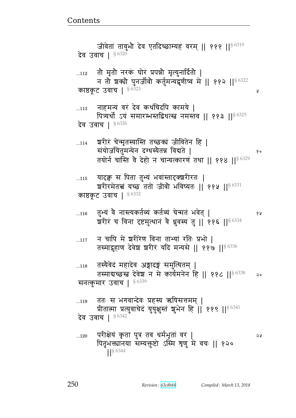...120 t^)FyB f6 p t4È p{ sx@w6pB {^ ᅖ पितृभक्त्यानया संम्यक्तुष्टो ऽस्मि शृणु मे वचः || १२० ||§ 6344

...<sub>119</sub> ततः स भगवान्देवः प्रहस्य ऋषिसत्तमम् | प्रीतात्मा प्रत्युवाचेदं युयुक्षुस्तं शुभेन हि | ११९ ||§ 6341 देव उवाच |  $$6342$ 

...118 तस्यैवेदं महादेव अङ्गादङ्गं समुत्थितम् | तस्माद्यच्छस्त देवेश न मे कार्यमनेन हि ॥ ११८ ॥ $\S$  6338 % २० सनत्कमार उवाच |  $$^{6339}$ 

...117 न चापि मे ञ्चरीरेण विना ताभ्यां रतिः प्रभो | तस्माद्गृहाण देवेश शरीरं यदि मन्यसे || ११७ ||<sup>§ 6336</sup>

...116 p4ɐyB {G dɕɊyfp@ɓyB fp@ɓyB bFxpB w{Fp> ᅖ  शरीरं च विना दृष्टमुत्थानं वे ध्रुवस्य तु || ११६ ||§ 6334

...115 यादृक्व स पिता तुभ्यं भवांस्तादृक्ञशिरतः | श्ररीरमेतत्त्वं यच्छ ततो जीवौ भविष्यतः || ११५ || $\S$  6331 काष्ठकूट उवाच |  $$6332$ 

... $_{114}$   $\,$  ञ्चरीरं चेन्मृतस्यास्ति तच्छक्यं जीवितेन हि | ~By/ayp4xɄyFd rþs״yGpਯ {ళpF ᅖ  तयोर्न चास्ति वे देहो न चान्यत्कारणं तथा || ११४ ||§ 6329

... $_{113}$  ) नाहमन्यं वरं देव कथंचिदपि कामये | पित्र्यर्थो ऽयं समारम्भस्तद्विधत्स्त्वं नमस्तव || ११३ ||§ 6325 देव उवाच |  $$^{6326}$ 

... $_{112}$   $\,$  तो मृतो नरक घोरं प्रपन्नो मृत्युनार्दितो | न तो शक्यो पुनर्जीवो कर्तुमन्यद्वणीष्व मे || ११२ ||<sup>§ 6322</sup> काष्ठकूट उवाच |  $$^{6323}$  |  $\,$ 

जीवेतां तावुभौ देव एतदिच्छाम्यहं वरम् || १११ ||§ 6319 देव उवाच |  $$^{6320}$ 

<u>Contents and Contents are the contents of the contents of the contents of the contents of the contents of the contents of the contents of the contents of the contents of the contents of the contents of the contents of the</u>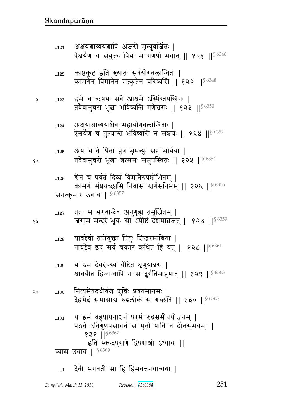१५

२०

 $...128$ 

# देवी भगवती सा हि हिमवत्तनयाव्यया |  $\dots$ 1

- य इमं देवदेवस्य चेष्टितं श्रुणुयान्नरः |  $...129$ श्रावयीत द्विजान्वापि न स दुर्गतिमाप्नुयात् || १२९ ||<sup>§ 6363</sup> नित्यमेतदधीयंश्च शुचिः प्रयतमानसः |  $\dots\!130$ देहभेदं समासाब रुद्रलोकं स गच्छति || १३० ||§ 6365 य इमं बहुपापनाञ्चनं परमं रुद्रसमीपयोजनम् |  $...131$ पठते ऽतिगुणप्रसाधनं स मृतो याति न दीनसंभवम् ||  $939$   $|$ <sup>§ 6367</sup> इति स्कन्दपुराणे द्विपञ्चाशो ऽध्यायः || व्यास उवाच | 86369
- 
- ्यावद्देवी तपोयुक्ता पितुः बिखरमाश्रिता | तावद्देव इदं सर्वं चकार कथितं हि यत् || १२८ ||<sup>§ 6361</sup>
- ततः स भगवान्देव अनुगृह्य तमूर्जितम् |  $...127$ जगाम मन्दरं भूयः सो ऽपीष्टं देशमावजत् || १२७ ||<sup>§ 6359</sup>
- श्वेतं च पर्वतं दिव्यं विमानैरुपशोभितम् ।  $...126$ कामगं संप्रयच्छामि निवासं स्वर्गसंनिभम् ॥ १२६ ॥<sup>§ 6356</sup> सनत्कुमार उवाच | 86357
- अयं च ते पिता पुत्र भूमन्युः सह भार्यया |  $\dots125$ तवैवानुचरो भूत्वा बत्समः समुपस्थितः || १२५ || § 6354
- अक्षयाश्चाव्ययाश्चैव महायोगबलान्विताः |  $\dots 124$ ऐश्वर्येण च तुल्यास्ते भविष्यन्ति न संशयः || १२४ ||§ 6352
- इमे च ऋषयः सर्वे आश्रमे ऽस्मिंस्तपस्त्विनः ।  $...123$ y तवैवानुचरा भूत्वा भविष्यन्ति गणेश्वराः || १२३ || $8,6350$
- ्काष्ठकूट इति ख्यातः सर्वयोगबलान्वितः |  $\dots122$ कामगेन विमानेन मत्कृतेन चरिष्यसि || १२२ ||§6348
- अक्षयश्चाव्ययश्चापि अजरो मृत्युवर्जितः |  $...121$ ऐश्वर्येण च संयुक्तः प्रियो मे गणपो भवान् || १२१ ||§6346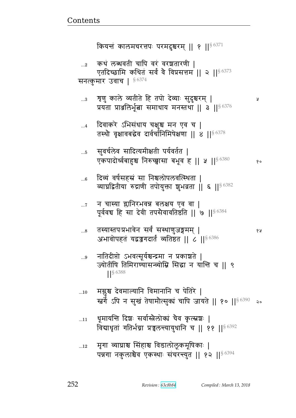कियन्तं कालमचरत्तपः परमदुश्चरम् || १ ||  $\frac{86371}{2}$ कथं लब्धवती चापि वरं वरशतारणी |  $\ldots$ 2 एतदिच्छामि कथितं सर्वं वे विप्रसत्तम || २ ||<sup>§ 6373</sup> सनत्कुमार उवाच | 56374 ग्रुणु काले व्यतीते हि तपो देव्याः सुदुश्चरम् |  $\ldots$ 3 Ã प्रयंता प्राअलिर्भूता समाधाय मनस्तथा || ३ || 86376 दिवाकरे ऽभिसंधाय चक्षुश्च मन एव च |  $\dots 4$ तस्थौ वृक्षावबद्धेव दार्वर्चानिमिषेक्षणा || ४ || § 6378 सुवर्चलेव सादित्यमीक्षती पर्यवर्तत |  $\ldots 5$ एकपादोर्ध्वबाहुश्च निरुच्छ्वासा बभूव ह || ५ || § 6380  $\delta$  o दिव्यं वर्षसहस्रं सा निश्चलोपलवत्स्थिता |  $...6$ व्याघ्रद्वितीया रुद्राणी तपोयुक्ता शुभव्रता || ६ || § 6382 न चास्या ग्लानिरभवन्न बलक्षय एव वा |  $\ldots 7$ पूर्ववच हि सा देवी तपसैवावतिष्ठति || ७ || \$ 6384 तस्यास्तपःप्रभावेन सर्वं सस्थाणुजङ्गमम् |  $...8$ १५ अभावोपहतं यद्वज्जगदार्तं व्यतिष्ठत || ८ || § 6386 नातिदीप्तो ऽभवत्सूर्यश्चन्द्रमा न प्रकाशते ।  $\ldots 9$ ज्योतींषि तिमिराण्यासन्व्योम्नि सिद्धा न यान्ति च ।। ९  $| \ \ 8 \ \ 6388$ मस्रुश्च देवमाल्यानि विमानानि च पेतिरे |  $...10$ र्स्बर्गे ऽपि न सुखं तेषामौत्सुक्यं चापि जायते || १० ||§ 6390  $\mathsf{a}$ धूमायन्ति दिशः सर्वास्त्रैलोक्यं चैव कृत्स्नशः |  $...11$ विद्याधृतां गतिर्भग्ना प्रचलन्त्यायुधानि च || ११ || 86392 मृगा व्याघ्राश्च सिंहाश्च विडालोलूकमूषिकाः |  $...12$ पन्नगा नकुलाश्चैव एकस्थाः संचरन्त्युत || १२ || 86394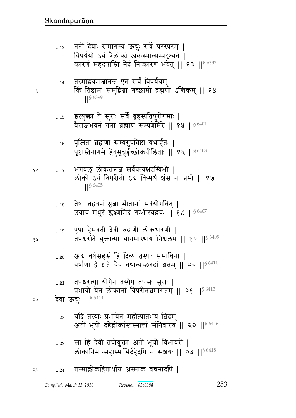| Compiled : March 13, 2018 |  |
|---------------------------|--|
|---------------------------|--|

तस्माल्लोकहितार्थाय अस्माकं वचनादपि | 58  $...24$ 

सा हि देवी तपोयुक्ता अतो भूयो विभावरी |  $...23\,$ लोकानिमान्सहास्माभिर्दहेदपि न संशयः ॥ २३ ॥<sup>§ 6418</sup>

Revision: 63c8b84

253

- यदि तस्याः प्रभावेन महोत्पातभयं बिदम् |  $...22$ अतो भूयो दहेल्लोकांस्तस्मात्तां संनिवारय || २२ || 86416
- प्रभावो येन लोकानां विपरीतत्वमागतम् ॥ २१ ॥<sup>§ 6413</sup> देवा ऊचुः | 86414 २०
- तपश्चरत्या योगेन तस्यैष तपसः सुराः |  $...21$
- अब वर्षसहस्रं हि दिव्यं तस्याः समाधिना |  $...20$ वर्षाणां द्वे श्वते चैव तथान्यच्छरदां शतम् || २० || 86411
- एषा हैमवती देवी रुद्राणी लोकधारणी |  $\dots 19$ तपश्चरति युक्तात्मा योगमास्थाय निश्चलम् || १९ || 86409
- तेषां तद्वचनं श्रुत्वा भीतानां सर्वयोगवित् |  $...18$ उवाच मधुरं स्रुक्ष्णमिदं गम्भीरवद्वचः || १८ || 86407
- भगवंल् लोकतत्त्वज्ञ सर्वप्रत्यक्षदग्विभो |  $\dots 17$ लोको ऽयं विपरीतो ऽब किमर्थं श्रंस नः प्रभो || १७  $|$  \section 6405
- पूजिता ब्रह्मणा सम्यगुपविष्टा यथार्हतः |  $...16$ पृष्टास्तेनागमे हेतुमूचुईच्छोकपीडिताः || १६ ||<sup>§ 6403</sup>
- इत्युक्ता ते सुराः सर्वे बृहस्पतिपुरोगमाः |  $\dots15$ वैराजभवनं गत्ना ब्रह्माणं सम्प्रणेमिरे || १५ ||  $^{86401}$
- 
- $\left| \right|^{56399}$

किं तिष्ठामः समुद्रिग्ना गच्छामो ब्रह्मणो ऽत्तिकम् ॥ १४

विपर्ययो ऽयं त्रैलोको अकस्मात्सम्प्रदृश्यते । कारणं महदत्रास्ति नेदं निष्कारणं भवेत् || १३ ||§6397

ततो देवाः समागम्य ऊचुः सर्वे परस्परम् |

तस्माद्वयमजानन्त एतं सर्वं विपर्ययम् |

 $...13$ 

 $...14$ 

Å

१०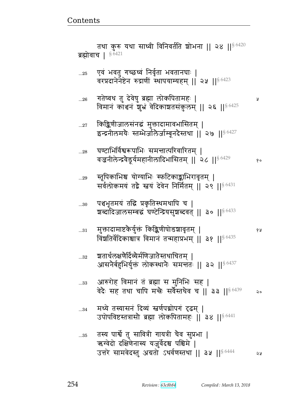एवं भवतु गच्छध्वं निर्वृता भवतानघाः |  $...25\,$ वरप्रदानेनेष्टेन रुद्राणीं स्थापयाम्यहम् || २५ || § 6423 गतेष्वथ तु देवेषु ब्रह्मा लोकपितामहः |  $...26$ Ã विमानं काञ्चनं शुभ्रं वेदिकाशतसंकुलम् || २६ ||§ 6425 किङ्किणीजालसंनद्धं मुक्तादामावभासितम् |  $...27$ इन्द्रनीलमयैः स्तम्भेर्जालेर्जाम्बूनदेस्तथा || २७ ||<sup>§ 6427</sup> घण्टाभिर्विश्वरूपाभिः समन्तात्परिवारितम् ।  $...28$ वज्रनीलेन्द्रवेडूर्यमहानीलादिभासितम् ॥ २८ ॥ १६८४२ १० स्तूपिकाभिश्च योग्याभिः स्फटिकाङ्काभिरावृतम् |  $...29$ सर्वलोकमयं तद्वै स्तयं देवेन निर्मितम् || २९ || 86431 पञ्चभूतमयं तद्धि प्रकृतिस्थमथापि च |  $...30$ शब्दादिजालसम्बद्धं घण्टेन्द्रियसुशब्दवत् || ३० || 86433 मुक्तादामाष्टकैर्युक्तं किङ्किणीषोडञ्चावृतम् |  $...31$ १५ विंशतिर्वेदिकाश्चात्र विमानं तन्महाप्रभम् || ३१ ||  $^{86435}$ श्चतार्धलक्षणेर्दिव्येर्मणिजातेस्तथाचितम् ।  $\ldots 32$ आसनेर्बहुभिर्युक्तं लोकस्थानैः समन्ततः || ३२ ||<sup>§ 6437</sup> आरुरोह विमानं तं ब्रह्मा स मुनिभिः सह | ..33 वेदैः सह तथा चापि मन्त्रैः सर्वैस्तथैव च || ३३ || \$ 6439 २० मध्ये तस्यासनं दिव्यं स्वर्णपद्मोपगं दृढम् |  $...34$ उपोपविष्टस्तत्रासौ ब्रह्मा लोकपितामहः ॥ ३४ ॥ 86441 तस्य पार्श्वे तु सावित्री गायत्री चैव सुप्रभा |  $...35$ ऋग्वेदो दक्षिणेनास्य यजुर्वेदश्च पश्चिमे | उत्तरे सामवेदस्तु अग्रतो ऽथर्वणस्तथा || ३५ ||  $^{86444}$ 2 y

तथा कुरु यथा साध्वी विनिवर्तति शोभना || २४ || § 6420 ब्रह्मोवाच ।  $$^{6421}$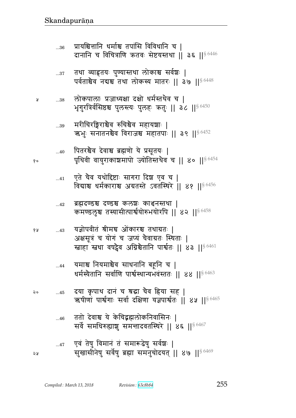| १० | 40          | पितरश्चैव देवाश्च ब्रह्मणो ये प्रसूतयः  <br>पृथिवी वायुराकाश्चमापो ज्योतिस्तथैव च    ४०    <sup>§ 6454</sup>                                                      |
|----|-------------|-------------------------------------------------------------------------------------------------------------------------------------------------------------------|
|    | 41          | एते चैव यथोदिष्टाः सागरा दिञ्च एव च  <br>विद्याश्च धर्मकाराश्च अग्रतस्ते ऽवतस्थिरे ॥ ४१ ॥ 86456                                                                   |
|    | 42          | ब्रह्मदण्डश्च दण्डश्च कलशः काञ्चनस्तथा  <br>कमण्डलृश्च तस्यासीत्पार्श्वयोरुभयोरपि    ४२    $80458$                                                                |
| १५ | 43          | यज्ञोपवीतं श्रीमच ओंकारश्च तथाग्रतः  <br>अक्षसूत्रं च योगं च जप्यं चैवाग्रतः स्थिताः  <br>स्ताहा स्तथा वर्षट्वैव अग्निश्चैतानि पार्श्वतः ॥ ४३ ॥ <sup>§ 6461</sup> |
|    | $\ldots$ 44 | यमाश्च नियमाश्चैव साधनानि बहूनि च  <br>धर्मस्यैतानि सर्वाणि पार्श्वस्थान्यभवंस्ततः ॥ ४४ ॥ $^{\$6463}$                                                             |
| २० | $\dots 45$  | ्दया कृपाथ दानं च श्रद्धा चैव हिया सह  <br>ऋषीणां पार्श्वगाः सर्वा दक्षिणा यज्ञपार्श्वतः ।। ४५ ।। <sup>§ 6465</sup>                                               |
|    | 46          | ततो देवाश्च ये केचिद्भह्मलोकनिवासिनः<br>सर्वे समधिरुह्याशु समन्तादवतस्थिरे    ४६    56467                                                                         |
| २५ | $\dots 47$  | एवं तेषु विमानं तं समारूढेषु सर्वश्चः  <br>सुखासीनेषु सर्वेषु ब्रह्मा समनुचोदयत्    ४७    86469                                                                   |

- 
- मरीचिरङ्गिराश्चेव रुचिश्चेव महायशाः |  $\dots39$ ऋभुः सनातनश्चेव विराजश्च महातपाः || ३९ ||<sup>§ 6452</sup>
- लोकपालाः प्रजाध्यक्षा दक्षो धर्मस्तथैव च |  $...38$ भृगुरत्रिर्वसिष्ठश्च पुलस्त्यः पुलहः क्रतुः || ac || 86450

¥

- तथा व्याहृतयः पुण्यास्तथा लोकाश्च सर्वश्चः |<br>पर्वताश्चेव नद्यश्च तथा लोकस्य मातरः || ३७ ||<sup>§ 6448</sup>  $...37\,$
- प्रायश्चित्तानि धर्माश्च तपांसि विविधानि च |  $...36$ दानानि च विचित्राणि कृतवः सेष्टयस्तथा | ३६ || § 6446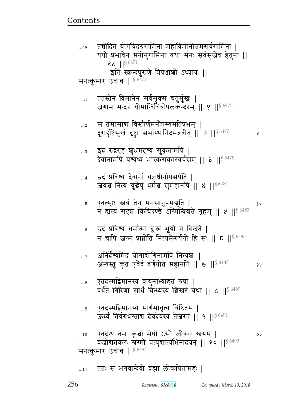У

१५

## ततः स भगवान्देवो ब्रह्मा लोकपितामहः ।  $...11$

एतदन्थं तमः कृता मेघो ऽसौ जीवनः स्तवम् ।  $...10$ २० वज्रोदातकरः स्रग्मी प्रत्युद्यात्यभिनादयन् || १० || 86493 सनत्कुमार उवाच | 56494

एतदस्मद्विमानस्य मार्गमावृत्य विष्ठितम् |

ऊर्ध्वं तिर्यगधस्ताच देवदेवस्य तेजसा ।। ९ ।।  $^{6491}$ 

- $...8$ वर्धते गिरिणा सार्धं विन्ध्यस्य शिखरं यथा || ८ || § 6489
- एतदस्मद्विमानस्य वायुनाभ्याहतं रुषा |
- अनिर्देश्यमिदं योगाद्योगिनामपि नित्यञ्चः |  $\dots 7$ अन्यस्तु कुत एवेदं वर्णयीत महानपि || ७ || \$ 6487
- इदं प्रविश्य धर्मात्मा दुःखं भूयो न विन्दते |  $...6$ न चापि जन्म प्राप्नोति नित्यमैश्वर्यगो हि सः || ६ ||  $^{86485}$
- एतत्सृष्टं स्त्वयं तेन मनसानुपमद्युति |  $\ldots 5$ १० न हास्य सदृशं किंचिदण्डे ऽस्मिन्विद्यते गृहम् ॥ ५ ॥  $\frac{86483}{2}$
- इदं प्रविश्य देवानां यज्ञश्रीर्नापसर्पति |  $\dots$ 4 जयश्च नित्यं युद्धेषु धर्मश्च सुमहानपि || ४ || 6481
- इदं रुद्रगृहं शुभ्रमदृष्यं सुकृतामपि ।  $\ldots$ 3 देवानामपि पश्यध्वं भास्कराकारवर्चसम् ॥ ३ ॥ $^{\$6479}$
- स तमासाब विस्तीर्णमनौपम्यमतिप्रभम् |  $...2$ दूरादृष्टिसुखं दृष्ट्वा सभास्थानिदमब्रवीत् || २ || 56477
- ततस्तेन विमानेन सर्वसृक्स चतुर्मुखः |  $\dots$ 1 जगाम मन्दरं धीमान्विचित्रोपलकन्दरम् ॥ १ ॥ ९ ॥ २
- सनत्कुमार उवाच | §6473
- $...48$ ययौ प्रभावेन मनोनुगामिना यथा मनः सर्वसृजेव हेतुना || 86  $\left| \right|^{86471}$ इति स्कन्दपुराणे त्रिपञ्चाशो ऽध्यायः ||

 $\ldots\!9$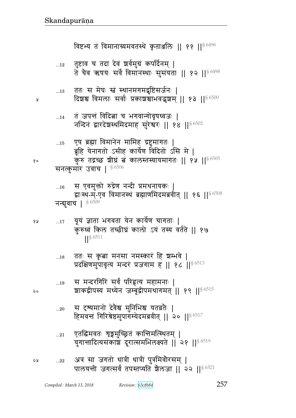$...22$ 

पालयन्ती जगत्सर्वं तपस्तप्यति शेलजा || २२ ||<sup>§ 6521</sup>

257

- युगात्तादित्यसंकाशं दूरात्समभिलक्ष्यते || २१ || 86519
- एतद्धिमवतः शृङ्गमुच्छ्रितं कान्तिमत्स्थितम् |  $...21$

अत्र सा जगतो धात्री धात्री पुत्रमिवोरसम् |

- स दृश्यमानो देवैश्व मुनिभिश्च यतव्रतैः |  $...20$ हिमवन्तं गिरिश्रेष्ठमुपागम्येदमब्रवीत् || २० || $86517$
- $...19$ शाकद्वीपस्य मध्येन जम्बूद्वीपमथागमत् || १९ ||§ 6515
- प्रदक्षिणमुपावृत्य मन्दरं प्रजगाम ह || १८ || § 6513 स मन्दरगिरिं सर्वं परिहृत्य महामनाः |
- $\frac{1}{5}$  6511 ततः स कृबा मनसा नमस्कारं हि श्रम्भवे |  $\dots18$
- यूयं ज्ञाता भगवता येन कार्येण चागताः | १५  $\dots 17$ कुरुध्वं किल तच्छीघ्रं कालो ऽयं तस्य वर्तते || १७
- स एवमुक्तो रुद्रेण नन्दी प्रमथनायकः |  $...16$ द्वाःस्थ-म्-एव विमानस्थं ब्रह्माणमिदमब्रवीत् || १६ || 86508 नन्दावाच | \$6509
- एष ब्रह्मा विमानेन मामिह द्रष्टुमागतः |  $...15$ ब्रूहि येनागतो ऽसीह कार्येण विदितो ऽसि मे | कुरु तद्रच्छ शीघ्रं बं कालस्तस्यायमागतः || १५ ||  $\frac{86505}{5005}$ सनत्कुमार उवाच |  $$^{6506}$
- तं जपन्तं विदित्ना च भगवान्गोवृषध्वजः |  $...14$ नन्दिनं द्वारदेशस्थमिदमाह सुरेश्वरः || १४ || \$ 6502
- ततः स मेघः स्त्रं स्थानमगमद्वष्टिसर्जनः |  $\dots13$ दिशश्च विमलाः सर्वाः प्रकाशश्चाभवद्भशम् ।। १३ ।।<sup>§ 6500</sup>
- तुष्टाव च तदा देवं श्वर्वमुग्रं कपर्दिनम् |  $\dots 12$ ते चैव ऋषयः सर्वे विमानस्थाः सुसंयताः || १२ || $^{\S\,6498}$

विष्टभ्य तं विमानाग्र्यमवतस्थे कृताञ्जलिः ॥ ११ ॥  $86496$ 

y

१०

 $20$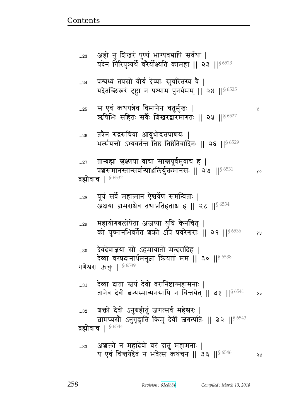स एवं कथयन्नेव विमानेन चतुर्मुखः |  $\ldots 25$ Ã ऋषिभिः सहितः सर्वैः शिखरद्वारमागतः || २५ ||§ 6527 तत्रैनं रुद्रसचिवा आयुधोद्यतपाणयः |  $...26$ भर्त्सयन्तो ऽभ्यवर्तन्त तिष्ठ तिष्ठेतिवादिनः || २६ ||§ 6529 तान्त्रह्मा श्लक्ष्णया वाचा सान्त्वपूर्वमुवाच ह |  $...27$ प्रशंसमानस्तान्सर्वान्प्राअलिर्युक्तमानसः || २७ || 86531 १० ब्रह्मोवाच |  $§$  6532 यूयं सर्वे महात्मान ऐश्वर्येण समन्विताः |  $...28$ अक्षया ह्यमराश्चेव तथाप्रतिहताश्च ह || २८ ||  $\frac{86534}{56534}$ महायोगबलोपेता अजय्या युधि केनचित् |  $...29$ को युष्मानभिवर्तेत शको ऽपि प्रवरेश्वराः || २९ ||§ 6536 68 देवदेवाज्ञया सो ऽहमायातो मन्दरादिह |  $...30$ देव्या वरप्रदानार्थमनुज्ञा क्रियतां मम || ३० || 86538 गणेश्वरा ऊचुः | § 6539 देव्या दाता स्त्वयं देवो वरानिष्टान्महामनाः |  $...31$ तानेव देवी बन्यस्मान्मनसापि न चिन्तयेत् || ३१ ||  $\frac{86541}{ }$  $\mathsf{Q}$  $...32$ बामप्यसौ ऽनुगृह्णाति किमु देवीं जगत्पतिः || ३२ ||<sup>§ 6543</sup> ब्रह्मोवाच |  $$^{6544}$ अशक्तो न महादेवो वरं दातुं महामनाः |  $...33$ य एवं चित्तयेद्देवं न भवेत्स कथंचन || ३३ || $86546$ 

पश्यध्वं तपसो वीर्यं देव्याः सुचरितस्य वै |  $\ldots$ 24

यदेतच्छिखरं दृष्ट्वा न पश्याम पुनर्यमम् || २४ || 96525

अहो नु शिखरं पुण्यं भाग्यवचापि सर्वथा |  $...23$ यदेन गिरिपुत्र्यर्थे वरैर्योक्ष्यति कामहा ।। २३ ।।  $86523$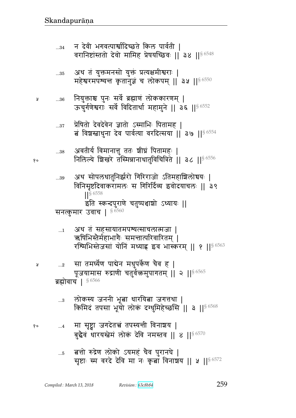- ह्नतो रुद्रेण लोको ऽयमहं चैव पुरानघे |  $...5$ सृष्टाः स्म वरदे देवि मा नः कृतां विनाशय || ५ || 96572
- मा सृष्ट्वा जगदेतत्त्वं तपस्यन्ती विनाशय |  $\dots 4$ बुद्धैवं धारयस्त्रेमं लोकं देवि नमस्तव || ४ || 56570
- लोकस्य जननी भूबा धारयिबा जगत्तथा |  $\ldots\!3$ किमिदं तपसा भूयों लोकं दग्धुमिहेच्छसि || 3 || § 6568
- ब्रह्मोवाच |  $$6566$
- सा तमर्घ्येण पाद्येन मधुपर्केण चैव ह |  $\ldots 2$ पूजयामास रुद्राणी चतुर्वक्तमुपागतम् || २ ||<sup>§ 6565</sup>
- अथ तं सहसायातमपश्यत्साचलात्मजा |  $\dots$ 1 ऋषिभिस्तैर्महाभागैः समन्तात्परिवारितम् । रश्मिभिस्तेजसां योनिं मध्याह्न इव भास्करम् ॥ १ ॥ $^{\$6563}$
- अथ सोपलधातुनिर्झरो गिरिराजो ऽतिमहाशिलोचयः |  $...39$ विनिसृष्टदिवाकरामलः स गिरिर्दिव्य इवोदयाचलः || ३९  $\frac{1}{5}6558$ इति स्कन्दपुराणे चतुष्पञ्चाशो ऽध्यायः || सनत्कुमार उवाच | § 6560
- अवतीर्य विमानात्तु ततः श्रीघ्रं पितामहः |  $...38$ निलिल्ये शिखरे तस्मिन्नानाधातुविचित्रिते || ३८ || § 6556
- प्रेषितो देवदेवेन ज्ञातो ऽस्माभिः पितामह |  $\ldots\!37$ त विशस्त्राधुना देव पार्वत्या वरदित्सया || ३७ || 86554
- नियुक्ताश्च पुनः सर्वे ब्रह्माणं लोककारणम् |  $...36$ ऊचुर्गणेश्वराः सर्वे विदितार्था महामुने || ३६ || § 6552
- अथ तं युक्तमनसो युक्तं प्रत्यक्षमीश्वराः |  $\dots\!35$ महेश्वरमपश्यन्त कृतानुज्ञं च लोकपम् || ३५ || 86550
- न देवी भगवत्पार्श्वादिच्छते किल पार्वती ।  $...34$ वरानिष्टांस्ततो देवो मामिह प्रेषयच्छिवः || ३४ || § 6548

Å

१०

Å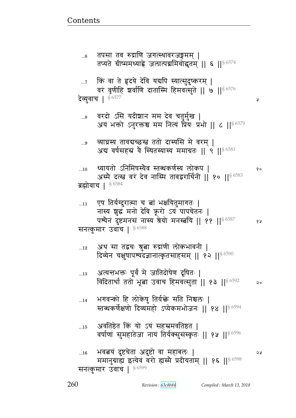...16 w{ଉyB rसbFp Lr 4 स/ { xve1 ᅖ 4 ममानुग्राह्य इत्येवं वरो ह्यस्मै प्रदीयताम् || १६ ||  $$^{6598}$ सनत्कुमार उंवाच |  $$^{6599}$ 

- ...15 अवतिष्ठेत किं यो ऽयं सहस्रमवतिष्ठत । वर्षाणां सुमहातेजा नायं तिर्यक्सुसंस्कृतः || १५ ||<sup>§ 6596</sup>
- <u>...1</u>4 भगवन्को हि लोकेषु तिर्य<del>क्</del>ते सति निश्चलः | स्तब्धकर्णेक्षणो दिव्यमहो ऽप्येकमभोजनः || १४ ||  $$^{6594}$
- ...13 अत्यन्तभक्तः पूर्वं मे जातिदोषेण दूषितः | विदितार्था ततो भूबा उवाच हिमवत्सुता || १३ || $^{\S~6592}$  २०
- ...12 अथ सा तद्वचः श्रुत्वा रुद्राणी लोकभावनी | दिव्येन चक्षुषापश्यदज्ञानात्कृतसाहसम् || १२ || $^{\$~6590}$

 $_{\rm ...11}$  एष तिर्यग्दुरात्मा च बां भक्षयितुमागतः |

नास्य शुद्धं मनो देवि क्रूरो ऽयं पापचेतनः | पश्येनं दुष्टमनसं नास्य श्रेयो मनस्त्रयि || ११ || $^{\S\,6587}$  १४ सनत्कुमार उवाच |  $$^{6588}$ 

- ...10 զyyp/ dx}״yG{ ɕpɏsf\_@״y e/ft ᅖ  अस्मै दत्स्त्व वरं देव नास्मि तावद्वरार्थिनी || १० || $^{\$~6583}$ ब्रह्मोवाच |  $§$  6584
- ...9 व्याघ्रस्य तावद्यच्छस्त ततो दास्यसि मे वरम् | अब वर्षसहस्रं वै स्थितस्यास्य ममाग्रतः ॥ ९ ॥ $^{\rm 6\,6581}$
- ... $s$  वरदो ऽसि यदीशान मम देव चतुर्मुख | अयं भक्तो ऽनुरक्तश्च मम नित्यं प्रैियः प्रभो || ८ ||<sup>§ 6579</sup>

...7 किं वा ते हृदये देवि यद्यपि स्यात्सुदुष्करम् | वरं वृणीहि शर्वाणि दातास्मि हिमवत्सुते || ७ ||  $^{86576}$ देव्यवाच ।  $$^{6577}$ 

...6 तपसा तव रुद्राणि जगत्स्थावरजङ्गमम् | तप्यते ग्रीष्ममध्याह्ने जलात्पद्ममिवोद्धृतम् || ६ ||<sup>§ 6574</sup>

<u>Contents and Contents are the contents of the contents of the contents of the contents of the contents of the contents of the contents of the contents of the contents of the contents of the contents of the contents of the</u>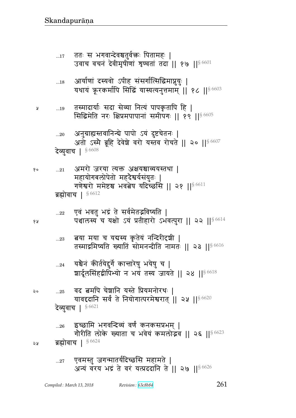- एवमस्तु जगन्मातर्यदिच्छसि महामते |  $...27$ अन्यं वरय भद्रं ते वरं यत्प्रददानि ते || २७ ||  $8\,6626$
- इच्छामि भगवन्दिव्यं वर्णं कनकसप्रभम् |  $...26$ गौरीति लोके ख्याता च भवेयं कमलोद्भव || २६ || § 6623 ब्रह्मोवाच | § 6624 ১১
- वद बमपि चेशानि यस्ते प्रियमनोरथः |  $\ldots 25$ यावद्दानि सर्वं ते नियोगात्परमेश्वरात् || २५ || 86620 **देव्युवाच | § 6621**
- यश्चैनं कीर्तयेद्दुर्गे कान्तारेषु भयेषु च |  $...24\,$ शार्दूलसिंहद्वीपिभ्यो न भयं तस्य जायते || २४ ||§6618
- बया मया च यद्यस्य कृतेयं नन्दिरीदृषी |  $...23$ तस्माद्रमिष्यति ख्यातिं सोमनन्दीति नामतः || २३ ||<sup>§ 6616</sup>
- एवं भवतु भद्रं ते सर्वमेतद्भविष्यति |  $...22\,$ पञ्चालस्य च यक्षो ऽयं प्रतीहारो ऽभवत्पुरा ॥ २२ ॥ 86614

ब्रह्मोवाच | 86612

- अमरो जरया त्यक्त अक्षयश्चाव्ययस्तथा |  $...21$ महायोगबलोपेतो महदैश्वर्यसंयुतः | गणेश्वरो ममेष्टश्च भवत्वेष यदिच्छसि ॥ २१ ॥  $86611$
- देव्युवाच | 86608
- अनुग्राह्यस्तवानिन्चे पापो ऽयं दुष्टचेतनः |  $...20$ अतो ऽस्मै ब्रूहि देवेशे वरो यस्तव रोचते || २० || $8\,6607$
- तस्मादार्याः सदा सेव्या नित्यं पापकृतापि हि |  $\dots 19$ Å सिद्धिमेति नरः क्षिप्रमपापानां समीपगः || १९ || 86605
- आर्याणां दस्यवो ऽपीह संसर्गात्सिद्धिमाप्नुयुः |  $\dots18$ यथायं क्रूरकर्मापि सिद्धिं यास्यत्यनुत्तमाम् ॥ १८ ॥ 86603
- ततः स भगवान्देवश्चतुर्वक्तः पितामहः |  $...17$

१५

 $20$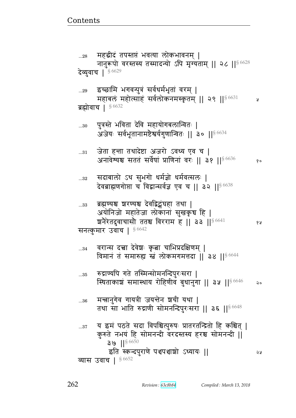देवब्राह्मणगोप्ता च विद्वान्सर्वज्ञ एव च || ३२ || 86638 ब्रह्मण्यश्च श्वरण्यश्च देवद्विद्वंघहा तथा |  $...33$ अयोनिजो महातेजा लोकानां सुखकृच हि | शनेरेतदुवाचासो ततश्च विरराम ह || ३३ || 36641 68 सनत्कुमार उवाच |  $§ 6642$ वरान्स दत्त्वा देवेशः कृत्वा चाभिप्रदक्षिणम् |  $...34$ विमानं तं समारुह्य स्तं लोकमगमत्तदा ।। ३४ ।।  $8\,6644$ रुद्राण्यपि गते तस्मिन्सोमनन्दिपुरःसरा |  $...35$ स्थिताकाशं समास्थाय रोहिणीवं बुधानुगा || ३५ ||  $\frac{86646}{5}$  $20$ मन्नानुगेव गायत्री जयन्तेन शयी यथा |  $...36$ तथा सा भाति रुद्राणी सोमनन्दिपुरःसरा || ३६ || 8648 य इमं पठते सदा विपश्चित्पुरुषः प्रातरतन्द्रितो हि कश्चित् |  $...37$ कुरुते नभयं हि सोमनन्दी वरदस्तस्य हरश्च सोमनन्दी ||  $39$  || $$6650$ इति स्कन्दपुराणे पञ्चपञ्चाशो ऽध्यायः || २५ व्यास उवाच | 86652

सदाबालो ऽथ सुभगो धर्मज्ञो धर्मवत्सलः |  $\ldots 32$ 

जेता हन्ता तथादेष्टा अजरो ऽवध्य एव च |  $\ldots 31$ अनावेश्यश्च सततं सर्वेषां प्राणिनां वरः || ३१ || 86636 १०

पुत्रस्ते भविता देवि महायोगबलान्वितः |  $...30$ अजेयः सर्वभूतानामष्टेश्वर्यगुणान्वितः || ३० ||<sup>§ 6634</sup>

ब्रह्मोवाच | 86632

इच्छामि भगवन्पुत्रं सर्वधर्मभृतां वरम् |  $...29$ महाबलं महोत्साहं सर्वलोकनमस्कृतम् || २९ ||<sup>§ 6631</sup> У

देव्युवाच | 5 6629

महद्रीदं तपस्तप्तं भवत्या लोकभावनम् |  $...28\,$ नानुरूपो वरस्तस्य तस्मादन्यो ऽपि मृग्यताम् || २८ ||  $$^{6628}$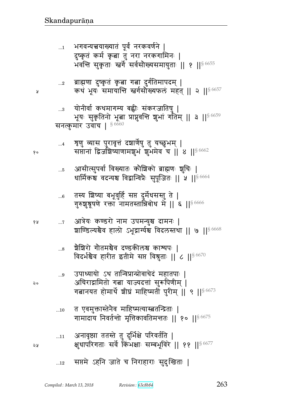# सप्तमे ऽहनि जाते च निराहाराः सुदुःखिताः |  $...12$

| $\dots$ 11 | अनावृष्ठ्या ततस्ते तु दुर्भिक्षे परिवर्तति              |  |
|------------|---------------------------------------------------------|--|
|            | क्षुधापरिगताः सर्वे किंभक्षाः सम्बभूविरे    ११   § 6677 |  |

- त एवमुक्तास्तेनैव माहिष्मत्यास्त्रतन्द्रिताः |  $...10$ गामादाय निवर्तन्तो मृत्तिकावतिमन्ततः || १० ||<sup>§ 6675</sup>
- उपाध्यायो ऽथ तान्विप्रान्प्रोवाचेदं महातपाः |  $...9$ अचिराद्रामितो गत्ना याज्यदत्तां सुरूपिणीम् | गबानयत होमार्थे शीघ्रं माहिष्मतीं पुरीम् || ९ ||<sup>§ 6673</sup>
- ग्रैशिरो गौतमश्चैव दण्डकीलश्च काश्यपः |  $\ldots\!8$ विदर्भश्चैव हारीत इतीमे सप्त विश्रुताः || ८ || § 6670
- आत्रेयः कण्डरो नाम उपमन्युश्च दामनः |  $\dots 7$ शाण्डिल्यश्चैव हालो ऽभूद्रार्ग्यश्च विदलस्तथा || ७ || 6668
- तस्य शिष्या बभूवुर्हि सप्त दुर्मेधसस्तु ते |  $...6$ गुरुशु्र्रूषणे रक्ता नामतस्तान्निबोध में || ६ ||<sup>§ 6666</sup>
- आसीत्सुपर्वा विख्यातः कौशिको ब्राह्मणः शुचिः |  $\dots5$ धार्मिकश्च वदन्यश्च विद्वान्विप्रैः सुपूजितः || ५ || $^{\$~6664}$
- शृणु व्यास पुरावृत्तं दञ्चार्णेषु तु यच्छुभम् |  $\dots$ 4 सप्तानां द्विजशिष्याणामशुभं शुभमेव च || ४ || १६ (662
- योनीर्वा कथमागम्य बह्वीः संकरजातिषु |  $\ldots$ 3 भूयः सुकृतिनो भूत्वा प्राप्नुवन्ति शुभां गतिम् || ३ ||<sup>§ 6659</sup> सनत्कुमार उवाच |  $$6660$
- ब्राह्मणा दुष्कृतं कृत्वा गत्ना दुर्गतिमापदम् |  $...2$ कथं भूयः समायान्ति स्तर्गसौंख्यफलं महत् || २ ||<sup>§ 6657</sup>
- भगवन्यत्त्वयाख्यातं पूर्वं नरकवर्णने |  $\dots$ 1 दुष्कृतं कर्म कृबा तु नरा नरकगामिनः | भवन्ति सुकृताः स्त्वर्गे सर्वसौख्यसमायुताः || १ ||<sup>§ 6655</sup>

१५

 $\mathsf{Q}$ 

১ম

y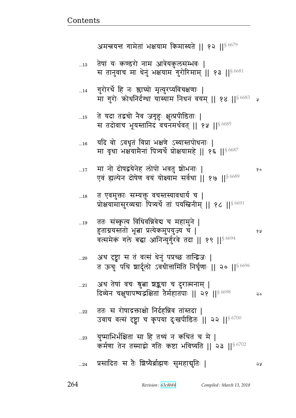|    | प्रोक्षयामासुरव्यग्राः पित्र्यर्थे तां पयस्त्रिनीम्    १८    <sup>§ 6691</sup>                                                               |     |
|----|----------------------------------------------------------------------------------------------------------------------------------------------|-----|
| 19 | ततः संस्कृत्य विधिवन्निवेद्य च महामुने  <br>हुताग्नयस्ततो भूबा प्रत्येकमुपयुज्य च  <br>वत्समेकं गले बद्धा आनिन्युर्गुरवे तदा    १९    § 6694 | 6 A |
| 20 | अथ दृष्ट्वा स तं वत्सं धेनुं पप्रच्छ तान्द्विजः  <br>त ऊचुः पथि शार्दूलो ऽवधीत्तामिति निर्घृणाः ।। २० ।। $8\,6696$                           |     |
| 21 | अथ तेषां वचः श्रुत्वा श्रद्धया च दुरात्मनाम्  <br>दिव्येन चक्षुषापश्यद्भक्षितां तेर्महातपाः    २१    <sup>§ 6698</sup>                       | २०  |
| 22 | ततः स रोषाद्रक्ताक्षो निर्दहन्निव तांस्तदा  <br>उवाच वर्त्स दृष्ट्वा च कृपया दुःखपीडितः    २२    ९ 6700                                      |     |
| 23 | युष्माभिर्भक्षिता सा हि तथ्यं न कथितं च मे  <br>कर्मणा तेन तस्माद्रो गतिः कष्टा भविष्यति    २३    56702                                      |     |
| 24 | प्रसादितः स तैः शिष्यैर्ब्राह्मणः सुमहाद्मुतिः                                                                                               | จง  |
|    |                                                                                                                                              |     |

...18 वि एवमुक्ताः सम्यक्तुं वचस्तस्यावधाय च |

...17 x d/ r/}जyFdF e/t/ w{p4 |/wd1 ᅖ  एवं ह्यल्पेन दोषेण वयं योक्ष्याम सर्वथा || १७ || $8\,6689}$ 

... $_{16}$  यदि वो ऽवधृतं विप्रा भक्षणे ऽस्यास्तपोधनाः | मा वृथा भक्षयामेनां पित्र्यर्थे प्रोक्षयामहे || १६ ||§ 6687

...15 ते यदा तद्वचो नैव जगृहुः क्षुत्प्रपीडिताः | स तदोवाच भूयस्तानिदं वचनमर्थवत् || १५ || $8\,6685$ 

 $_{\ldots 14}$  गुरोरर्थे हि नः श्लाघ्यो मृत्युरप्यविचक्षणाः | मा गुरोः कोधनिर्दग्धा यास्याम निधनं वयम् || १४ || $^{\$\,6683}$  प्र

...13 तेषां यः कण्डरो नाम आत्रेयकुलसम्भवः | स तानुवाच मा धेनुं भक्षयाम<sup>ॅ</sup>गुरोरिमाम् || १३ ||§ 6681

अमन्त्रयन्त गामेतां भक्षयाम किमास्यते || १२ || $8\,6679$ 

<u>Contents and Contents are the contents of the contents of the contents of the contents of the contents of the contents of the contents of the contents of the contents of the contents of the contents of the contents of the</u>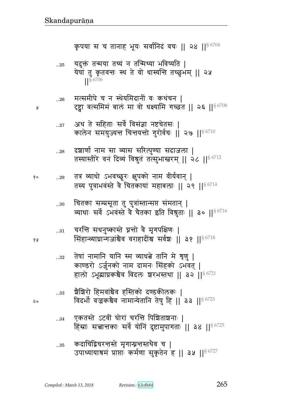- कदाचिद्विचरन्तस्ते मृगान्घ्रन्तस्तथेव च |  $...35$ उपाध्यायाश्रमं प्राप्ताः कर्मणा सुकृतेन ह || ३५ || ९ 6727
- एकतस्ते ऽटवीं घोरां चरन्ति पिश्चिताशनाः |  $...34\,$ हिंस्राः सत्तान्तकाः सर्वे योनिं दुष्टामुपागताः || ३४ || 6725
- ग्रैशिरो हिमवांश्वैव हस्तिको दण्डकीलकः ।  $...33$ विदर्भो वज्रकश्चैव नामान्येतानि तेषु हि || 33 || 86723
- तेषां नामानि यानि स्म व्याधबे तानि मे शृणु |  $\ldots 32$ काण्डरो ऽर्जुनको नाम दामनः सिंहको ऽभवत् | हालो ऽभूब्राघ्रकश्चैव विदलः शरभस्तथा || ३२ || 56721
- चरन्ति सधनुष्कास्ते घ्ननो वे मृगपक्षिणः |  $...31\,$ सिंहान्व्याघ्रान्गजांश्चैव वराहादींश्च सर्वशः || ३१ || 86718
- चितका सम्प्रसूता तु पुत्रांस्तान्सप्त संमतान् |  $...30$ व्याधाः सर्वे ऽभवस्ते वे चेतका इति विश्रुताः ॥ ३० ॥ 86716
- तत्र व्याधो ऽभवच्छूरः क्षुपको नाम वीर्यवान् | १०  $...29\,$ तस्य पुत्राभवंस्ते वै चितकायां महाबलाः ॥ २९ ॥  $86714$
- दश्चार्णा नाम सा व्यास सरित्पुण्या सदाजला |  $...28$ तस्यास्तीरे वनं दिव्यं विश्रुतं तत्सुभास्तरम् || २८ || ९८ || 18
- अथ ते सहिताः सर्वे विसंज्ञा नष्टचेतसः |  $...27$ कालेन समयुज्यन्त चिन्तयन्तो गुरोर्वचः || २७ ||  $^{86710}$
- मत्समीपे च न स्थेयमिदानीं वः कथंचन |  $...26$ ट्ट्वा वत्समिम बाल मा वो धक्ष्यामि गच्छत || २६ || \$ 6708
- यदुक्तं तन्मया तथ्यं न तन्मिथ्या भविष्यति |  $\dots 25$ येषां तु कृतवन्तः स्थ ते वो धास्यन्ति तच्छुभम् || २५  $|$   $|$  \$ 6706

कृपया स च तानाह भूयः सर्वानिदं वचः || २४ || ९८ %

२०

१५

У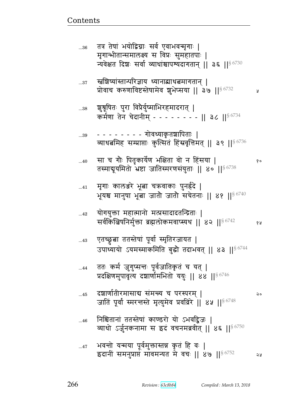| $36$         | तत्र तेषां भयोद्विग्नाः सर्व एवाभवन्मृगाः  <br>मृगान्भीतान्समालक्ष्य स विप्रः सुमहातपाः  <br>न्यवेक्षत दिशः सर्वा व्याधांश्चापश्यदागतान्    ३६    $8\,6730$ |    |
|--------------|-------------------------------------------------------------------------------------------------------------------------------------------------------------|----|
| $37$         | स्तशिष्यांस्तान्परिज्ञाय ध्यानाद्याधत्नमागतान्  <br>प्रोवाच करुणाविष्टस्तेषामेव शुभेप्सया    ३७   § 6732                                                    | A  |
| $\dots$ 38   | शूश्रूषितः पुरा विप्रैर्युष्माभिरहमादरात्  <br>कर्मणा तेन चेदानीम् - - - - - - - -    ३८    86734                                                           |    |
| $\ldots\!39$ | व्याधबमिह सम्प्राप्ताः कुत्सितं हिंस्रवृत्तिमत्    ३९    <sup>§ 6736</sup>                                                                                  |    |
| 40           | सा च गौः पितृकार्येण भक्षिता वो न हिंसया  <br>तस्माबूयमितो भ्रष्टा जातिस्मरणसंयुताः    ४०    8 6738                                                         | १० |
| $41$         | मृगाः कालञ्जरे भूबा चऋवाकाः पुनहेदे  <br>भूयश्च मानुषा भूबा जातौ जातौ सचेतनाः    ४१    ९८740                                                                |    |
| $42$         | योगयुक्ता महात्मानो मत्प्रसादादर्तान्द्रताः  <br>सर्वकित्बिषनिर्मुक्ता ब्रह्मलोकमवाप्स्यथ    ४२    ९८२                                                      | १५ |
| $43$         | एतच्छ्रुत्वा ततस्तेषां पूर्वा स्मृतिरजायत  <br>उपाध्यायो ऽयमस्माकमिति बुद्धौ तदाभवत्    ४३    <sup>§ 6744</sup>                                             |    |
| 44           | ततः कर्म जुगुप्सन्तः पूर्वजातिकृतं च यत्  <br>प्रदक्षिणमुपावृत्य दञ्चार्णामभितो ययुः    ४४    <sup>§ 6746</sup>                                             |    |
| 45           | दश्चार्णातीरमासाद्य संमन्त्य च परस्परम्  <br>जातिं पूर्वां स्मरन्तस्ते मृत्युमेव प्रवव्रिरे    ४५    <sup>§ 6748</sup>                                      | २० |
| 46           | निश्चितानां ततस्तेषां काण्डरो यो ऽभवद्विजः  <br>व्याधो ऽर्जुनकनामा स इदं वचनमब्रवीत्    ४६   § 6750                                                         |    |
| $\dots 47$   | भवन्तो यन्मया पूर्वमुक्तास्तन्न कृतं हि वः  <br>इदानीं समनुप्राप्तं मावमन्यत मे वचः    ४७    $8\%$    $8\%$                                                 | २५ |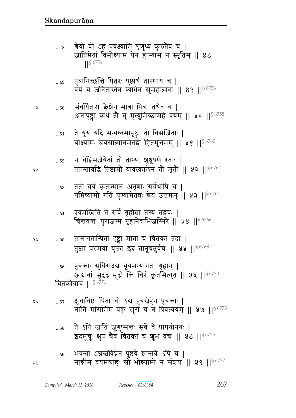- ते ऽपि जातिं जुगुप्सन्तः सर्वे वै पापयोनयः |  $\dots58$ इदमूचुः क्षुपं चैव चितकां च शुभं वचः || ५८ ||§ 6775
- क्षुधाविष्टः पिता वो ऽद्य पुत्रस्नेहेन पुत्रकाः |  $20$  $...57$ नाति मांसमिमं पक्वं सुरां च न पिंबत्ययम् || ५७ ||  $\frac{86773}{ }$
- पुत्रकाः सुचिरादद्य यूयमभ्यागता गृहान् |  $...56$ अद्यावां सुंदृढं मूढौ किं चिरं कृतमित्युत || ५६ || § 6770 चितकोवाच |  $$^{6771}$
- तानागतान्पिता रृष्ट्रा माता च चितका तदा | 6 A  $...55$ तुष्ठ्या परमया युक्ता इदं तानूचतुर्वचः || ५५ || 96768
- एवमस्बिति ते सर्वे गृहीबा तस्य तद्वचः |  $...54$ चिन्तयन्तः पुराजन्म गृहानेवाभिजग्मिरे || ५४ || $^{\$6766}$
- ततो वयं कृतात्मान अनृणाः सर्वथापि च |  $\dots53$ गमिष्यामो गतिं पुण्यामेतन्नः श्रेय उत्तमम् || ५३ || $^{\$6764}$
- न चेद्विसर्जयेतां तो ताभ्यां शु्र्रषुषणे रताः |  $\dots52$ ततस्तावद्धि तिष्ठामो यावत्कालेन तो मृतो || ५२ ||९ 6762
- ते यूयं यदि मन्यध्वमापृष्ट्वा तौ विसर्जिताः |  $\dots51$ योक्ष्यामः श्रेयसात्मानमेतद्वो हितमुत्तमम् || ५१ || $^{\$6760}$
- संवर्धिताश्च क्लेश्चेन मात्रा पित्रा तथैव च |  $...50$ अनापृष्ट्वा कथं तौ तु मृत्युमिच्छामहे वयम् || ५० || ९ 6758
- पुत्रानिच्छन्ति पितरः पुष्टार्थं तारणाय च |  $...49$ वयं च जनितास्तेन व्याधेन सुमहात्मना || ४९ ||<sup>§ 6756</sup>
- श्रेयो वो ऽहं प्रवक्ष्यामि शृणुध्वं कुरुतैव च |  $...48$ जातिमेतां विमोक्ष्याम येन हास्याम न स्मृतिम् || ४८  $186754$

จง

प्र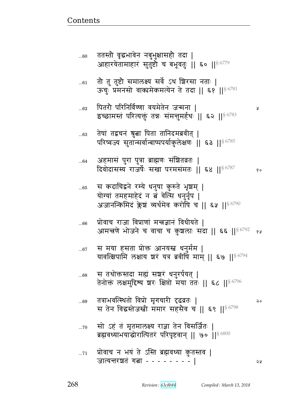- सो ऽहं तं मृतमालक्ष्य राज्ञा तेन विसर्जितः |  $\ldots70$ ब्रह्मवध्याभयाद्धोरात्पितरं परिपृष्टवान् || ७० || 86800
- तत्राभवत्स्थितो विप्रो मृगचारी टृढव्रतः | ...69 स तेन विद्धस्तेजस्ती ममार सहसैव च || ६९ || 86798
- स तथोक्तस्तदा महां सञ्चरं धनुरर्पयत् |  $...68$ तेनोक्तं लक्षमुद्दिश्य शरः क्षिप्तो मया ततः || ६८ || § 6796
- स मया हसता प्रोक्त आनयस्त्र धनुर्मम |  $...67$ यावत्क्षिपामि लक्षाय शरं यत्र ब्रवीषिं माम् || ६७ ||  $^{86794}$
- प्रोवाच राजा विप्राणां मन्त्रज्ञानं विधीयते |  $...66$ आमन्त्रणे भोजने च वाचा च कुशलाः सदा || ६६ ||<sup>§ 6792</sup> १थ
- स कदाचिद्वने रम्ये धनुषा कुरुते भृशम् |  $...65$ योग्यां तमहमाहेदं न तं वेत्सि धनुर्नृप | अजानन्किमिद क्लेश व्यर्थमेव करोपि च || ६५ || ९८७/
- अहमासं पुरा पुत्रा ब्राह्मणः संश्रितव्रतः |  $...64$ दिवोदासस्य राजर्षेः सखा परमसंमतः || ६४ || ९८ %
- तेषां तद्वचनं श्रुत्वा पिता तानिदमब्रवीत् | ..63 परिष्वज्य सुतान्सर्वान्बाष्पपर्याकुलेक्षणः || ६३ ||<sup>§ 6785</sup>
- पितरौ परिनिर्विण्णा वयमेतेन जन्मना |  $...62$ इच्छामस्तं परित्यक्तुं तन्नः संमन्तुमर्हथः || ६२ || 86783
- तो तु तुष्टो समालक्ष्य सर्वे ऽथ शिरसा नताः |  $...61$ ऊचुः प्रमनसो वाक्यमेकमत्येन ते तदा || ६१ ||<sup>§ 6781</sup>
- ततस्तौ वृद्धभावेन नबुभुक्षासहौ तदा |  $...60$ आहारयेतामाहारं सुतुष्टौ च बभूवतुः || ६० || 6779

 $\delta$  o

२०

Ã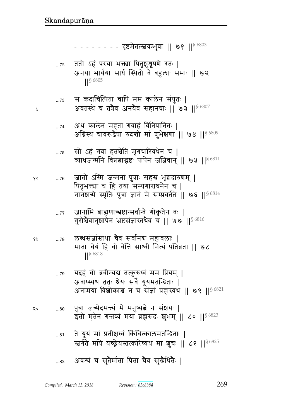|  |  | Compiled: March 13, 2018 | Revision : 63c8b84 |
|--|--|--------------------------|--------------------|
|--|--|--------------------------|--------------------|

- अवश्यं च सुतैर्माता पिता चैव सुखैधितैः |  $\dots82$
- ते यूयं मां प्रतीक्षध्वं किंचित्कालमतन्द्रिताः |  $...81$ स्तर्गते मयि यच्छ्रेयस्तत्करिष्यथ मा शूचः || ८१ || 56825
- पुत्रा जन्मेदमन्त्यं मे मनुष्यत्ने न संशयः |  $...80\,$ इतो मृतेन गत्तव्यं मया ब्रह्मसदः शुभम् || ८० || § 6823
- यदहं वो ब्रवीम्यद्य तत्कुरुध्वं मम प्रियम् |  $...79$ अवाप्स्यथ ततः श्रेयः सर्वे यूयमतन्द्रिताः | अनामया विशोकाश्च न च संज्ञां प्रहास्यथ || ७९ ||§ 6821
- लब्धसंज्ञांस्तथा चैव सर्वानद्य महाबलाः |  $\dots78$ माता चेयं हि वो वेत्ति साध्वी नित्यं पतिव्रता || ७८  $|$  \sep 6818
- जानामि ब्राह्मणान्भ्रष्टान्सर्वान्वै गोकृतेन वः |  $...77$ गुरोश्चैवानुशापेन भ्रष्टसंज्ञांस्तथैव च || ७७ || $^{\$6816}$
- जातो ऽस्मि जन्मनां पुत्राः सहस्रं भृशदारुणम् |  $...76$ पितृभक्त्या च हि तया सम्यगाराधनेन च | नानशन्मे स्मृतिः पुत्रा ज्ञानं मे सम्प्रवर्तते || ७६ || $86814$
- सो ऽहं गवा हतश्चेति मृगचारिवधेन च |  $\dots75$ व्याधजन्मनि विप्रताद्धष्टः पापेन जज्ञिवान् || ७५ ||<sup>§ 6811</sup>
- अथ कालेन महता गवाहं विनिपातितः |  $\dots 74$ अग्निस्थं चावरूढैषा रुदन्ती मां शुभेक्षणा || ७४ || $^{\$6809}$
- स कदाचित्पिता चापि मम कालेन संयुतः |  $\dots 73$ अवतस्थे च तत्रैव अनयैव सहानघाः || ७३ || $86807$
- ततो ऽहं परया भक्त्या पितृशुश्रूषणे रतः |  $\dots 72$ अनया भार्यया सार्थं स्थितो वै बहुलाः समाः || ७२  $186805$

- - - - - - - - दृष्टमेतत्स्त्वयम्भुवा || ७१ ||<sup>§ 6803</sup>

१०

y

४ प्र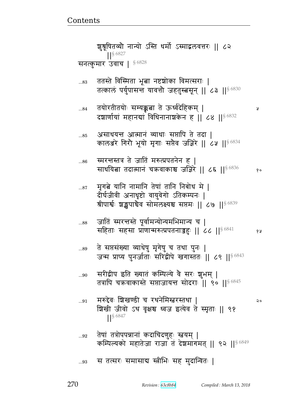### स तत्सरः समासाब स्त्रीभिः सह मुदान्वितः |  $\ldots 93$

- तेषां तत्रोपपन्नानां कदाचिदणुहः स्तवयम् |  $...92$ कम्पिल्यको महातेजा राजा तं देशमागमत् || ९२ ||<sup>§ 6849</sup>
- मरुद्देवः शिखण्डी च रथनेमिस्त्वरस्तथा |  $...91$ २० शिखी जीवो ऽथ वृक्षश्च ध्वज इत्येव ते स्मृताः ॥ ९१  $\left| \right|$  \  $\frac{6847}{50}$
- सरीद्वीप इति ख्यातं कम्पिल्ये वै सरः शुभम् | ...90 तत्रापि चक्रवाकास्ते सप्ताजायन्त सोदराः || ९० || 86845
- ते सप्तसंख्या व्याधेषु मृगेषु च तथा पुनः | ...89 जन्म प्राप्य पुनर्जाताः सरिद्वीपे खगास्ततः || ८९ ||<sup>§ 6843</sup>
- जातिं स्मरत्तस्ते पूर्वामन्योन्यमभिमान्य च | ...88 सहिताः सहसा प्राणान्मरुत्प्रपतनाज्जहः || ८८ || $^{\$6841}$
- मृगत्ने यानि नामानि तेषां तानि निबोध मे |  $...87$ दीर्घजीवी अनाधृष्टो वायुवेगो ऽतिकम्पनः | श्रीपार्श्वः श्चङ्खपाचैव सोमलक्ष्यश्च सप्तमः || ८७ ||§6839
- स्मरन्तस्तत्र ते जातिं मरुत्प्रपतनेन ह |  $...86$ साधयिता तदात्मानं चक्रवाकाश्च जज्ञिरे || ८६ ||§6836  $\delta$  o
- असाधयन्त आत्मानं व्याधाः सप्तापि ते तदा | ...85 कालअरे गिरौ भूयो मृगाः सप्तैव जज्ञिरे || ८५ || ९ 6834
- तयोरतीतयोः सम्यक्कबा ते ऊर्ध्वदेहिकम् | ...84 दशार्णायां महानद्यां विधिनानाशकेन ह || ८४ || § 6832
- ततस्ते विस्मिता भूबा नष्टशोका विमत्सराः | ...83 तत्कालं पर्युपासन्त यावत्तौ जहतुस्बसून् || ८३ ||<sup>§ 6830</sup>

श्चृश्रूषितव्यौ नान्यो ऽस्ति धर्मो ऽस्माद्वलवत्तरः || ८२  $\frac{1}{5}$  6827 सनत्कुमार उवाच | 56828

Ã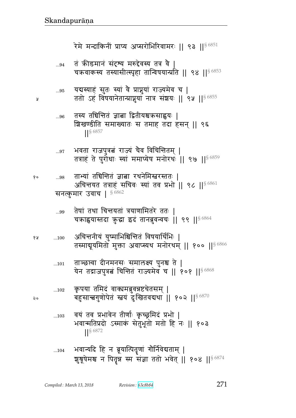तं कीडमानं संदृष्य मरुद्देवस्य तत्र वै |  $...94$ चक्रवाकस्य तस्यासीत्स्पृहा तान्विषयान्प्रति || ९४ ||<sup>§ 6853</sup> यबस्याहं सुतः स्यां वै प्राप्नुयां राज्यमेव च |  $\ldots\!95$ ततो ऽहं विषयानेतान्प्राप्नुयां नात्र संञ्चयः || ९५ ||<sup>§ 6855</sup> तस्य तचिन्तितं ज्ञाबा द्वितीयश्चऋसाह्वयः |  $...96$ <u> श्रिखण्डीति समाख्यातः स तमाह तदा हसन् || ९६</u>  $\frac{1}{5}6857$ भवता राजपुत्रत्नं राज्यं चैव विचिन्तितम् |  $...97$ तत्राहं ते पुरोधाः स्यां ममाप्येष मनोरथः || ९७ || 86859 ताभ्यां तचिन्तितं ज्ञात्ना रथनेमिस्त्वरस्ततः |  $\ldots 98$ अघिन्तयत तत्राहं सचिवः स्यां तव प्रभो || ९८ ||§ 6861 सनत्कुमार उवाच |  $$^{6862}$ तेषां तथा चिन्तयतां त्रयाणामितरे ततः |  $...99$ चक्राह्वयास्तदा कुद्धा इदं तानब्रुवन्वचः || ९९ || 86864 अचिन्तनीयं युष्माभिश्चिन्तितं विषयार्थिभिः |  $\dots100$ तस्माबूयमितो मुक्ता अवाप्स्यथ मनोरथम् || १०० || 56866 ताञ्छस्वा दीनमनसः समालक्ष्य पुनश्च ते |  $...101$ येन तद्राजपुत्रत्नं चिन्तितं राज्यमेव च || १०१ ||§ 6868 कृपया तमिदं वाक्यमब्रुवन्नष्टचेतसम् |  $...102$ बहुसान्त्वगुणोपेतं स्तवं दुःखितवद्यथा || १०२ ||§ 6870 वयं तव प्रभावेन तीर्णाः कृच्छ्रमिदं प्रभो |  $...103$ भवान्मतिप्रदो ऽस्माकं सेतुभूतो मतो हि नः || १०३  $\left| \right|^{56872}$  $...104$ 

रेमे मन्दाकिनीं प्राप्य अप्सरोभिरिवामरः ॥ ९३ ॥§6851

भवान्यदि हि न ब्रूयात्पितृणां गौर्निवेद्यताम् | शुश्रूषेमश्च न पितृन्न स्म संज्ञा ततो भवेत् || १०४ || § 6874

Compiled: March 13, 2018

Å

१०

१५

२०

Revision: 63c8b84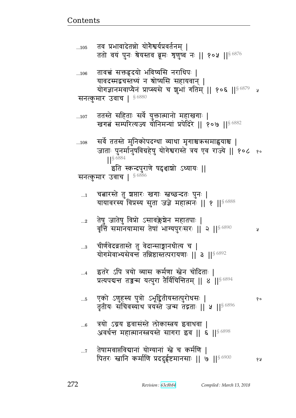- तेषामवाप्तविद्यानां योग्यानां स्त्रे च कर्मणि ।  $\ldots 7$ पितरः स्तानि कर्माणि प्रददुईष्टमानसाः || ७ || १८
- त्रयो ऽग्नय इवासंस्ते लोकास्त्रय इवाथवा |  $...6$ अवर्धन्त महात्मानस्त्रयस्ते सागरा इव || ६ || 86898
- एको ऽणुहस्य पुत्रो ऽभूद्वितीयस्तत्पुरोधसः |  $...5$ तृतीयः सचिवस्याथ त्रयस्ते जन्म तद्गताः || ५ || 96896
- इतरे ऽपि त्रयो व्यास कर्मणा स्तेन चोदिताः |  $\dots 4$ प्रत्यपद्यन्त तज्जन्म यत्पुरा तैर्विचिन्तितम् || ४ || $^{\$~6894}$
- चीर्णवेदव्रतास्ते तु वेदान्साङ्गानधीत्य च |  $...3$ योगमेवाभ्यसेवन्तं तन्निष्ठास्तत्परायणाः || ३ || 86892
- तेषु जातेषु विप्रो ऽसावक्लेश्चेन महातपाः |<br>वृत्तिं समानयामास तेषां भाग्यपुरःसरः || २ ||<sup>§ 6890</sup>  $\ldots 2$ ¥
- चत्नारस्ते तु शसारः खगाः स्वच्छन्दतः पुनः |  $\dots 1$ यायावरस्य विप्रस्य सुता जज्ञे महात्मनः || १ || § 6888
- सर्वे ततस्ते मुनिकोपदग्धा व्याधा मृगाश्चऋसमाह्वयाश्च |  $...108$ जाताः पुनर्मानुषविग्रहेषु योगेश्वरास्ते त्रय एव राज्ये || १०८ १० **S** 6884 इति स्कन्दपुराणे षद्दशाशो ऽध्यायः || सनत्कुमार उवाच | § 6886
- ततस्ते सहिताः सर्वे युक्तात्मानो महाखगाः |  $...107$ खगत्नं सम्परित्यज्य यौनिमन्यां प्रपेदिरे || १०७ || १८४८
- सनत्कुमार उवाच |  $$^{6880}$
- तावच्चं सक्तहृदयो भविष्यसि नराधिपः |  $...106$ यावदस्मद्वचस्तथ्यं न श्रोष्यसि सहायवान् । योगज्ञानमवाप्यैनं प्राप्स्यसे च शुभां गतिम् || १०६ ||§ 6879 श्र
- तव प्रभावादेतन्नो योगैश्वर्यप्रवर्तनम् ।  $...105$ ततो वयं पुनः श्रेयस्तव ब्रूमः शृणुष्व नः || १०५ || ९६%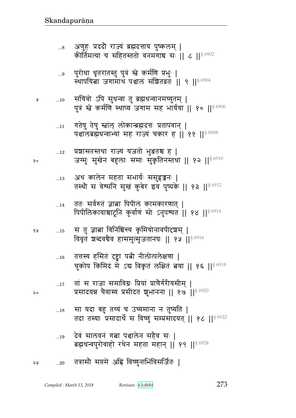|    |             | $10$ 11/12 12/13 12/2 12/2 12/13 12/14/2 11/11<br>चुकोप किमिदं मे ऽब विकृतं लक्षितं बया    १६   §6918   |
|----|-------------|---------------------------------------------------------------------------------------------------------|
| २० | 17          | तां स राजा समाविग्नः प्रियां प्राणैर्गरीयसीम्  <br>प्रसादयन्न चैवास्य प्रसीदत शुभानना    १७    $86920$  |
|    | $\dots 18$  | सा यदा बहु तथ्यं च उच्यमाना न तुष्यति  <br>तदा तस्याः प्रसादार्थे स विष्णुं सम्प्रसादयत्    १८    56922 |
|    | 19          | देवं सालवनं गत्ना पञ्चालेन सहैव सः  <br>ब्रह्मधन्वपुरोवाहो रथेन महता महान्    १९    § 6924              |
| २५ | $\ldots 20$ | तत्रासौ सप्तमे अह्नि विष्णुनाभिविसर्जितः                                                                |

- ततः सर्वरुतं ज्ञाबा पिपीलं कामकारणात् |  $\dots$ 14 पिपीलिकायाश्चाटूनि कुर्वाणं सो ऽनुपश्यत || १४ || § 6914
- अथ कालेन महता सभार्यः ससुहृजनः |  $\dots13$ तस्थौ स वेश्मनि सुखं कुबेर इव पुष्पके || १३ ||  $86912$
- प्रशासतस्तथा राज्यं यजतो भुञ्जतश्च ह |  $...12$ जग्मुः सुखेन बहुलाः समाः सुकृतिनस्तथा || १२ ||<sup>§ 6910</sup>
- गतेषु तेषु स्वांल् लोकान्त्रह्मदत्तः प्रतापवान् |  $...11$ पञ्चालब्रह्मधन्वाभ्यां सह राज्यं चकार ह || ११ || 86908
- सचिवो ऽपि सुधन्वा तु ब्रह्मधन्वानमच्युतम् |  $...10$ पुत्रं स्ते कर्मणि स्थाप्य जगाम सह भार्यया || १० || 56906
- पुरोधा धृतरातस्तु पुत्रं स्त्रे कर्मणि प्रभुः |  $\ldots\!9$ स्थापयिता जगामाथ पञ्चाल संशितव्रतः || ९ || 96904
- अणुहः प्रददौ राज्यं ब्रह्मदत्ताय पुष्कलम् |  $\ldots$ 8 कीर्तिमत्या च सहितस्ततो वनमगाच सः || ८ || § 6902

१०

¥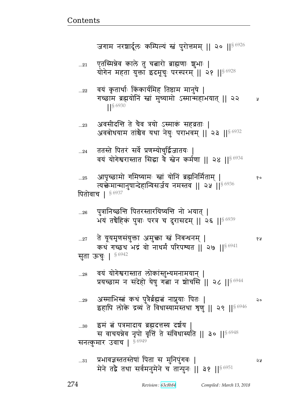|        | 27 ) त यूयमृणसयुक्ता अमुक्ता स्व निबन्धनम् ।<br>कथं गच्छथ भद्रं वो नाधर्मं परिपश्यत    २७    $8\,6941$                        | 68 |
|--------|-------------------------------------------------------------------------------------------------------------------------------|----|
|        | सुता ऊच्:   86942                                                                                                             |    |
| $28\,$ | वयं योगेश्वरास्तात लोकांस्तुभ्यमनामयान्  <br>प्रयच्छाम न संदेहो येषु गत्ना न शोचसि    २८    $$^{6944}$                        |    |
| $29$   | अस्माभिस्त्वं कथं पुत्रैर्ब्रह्मत्नं नाप्नुयाः पितः  <br>इहापि लोके द्रव्य ते विधास्यामंस्तथा शृणु    २९    <sup>§ 6946</sup> | २० |
| 30     | इमं त्नं पत्रमादाय ब्रह्मदत्तस्य दर्शय  <br>स वाचयन्नेव नृपो वृत्तिं ते संविधास्यति    ३०    § 6948                           |    |
|        | सनत्कुमार उवाच   56949                                                                                                        |    |

| भयं तर्घेहिकं पुत्राः परत्र च दुरासदम्    २६    86939 |
|-------------------------------------------------------|
| 27 ते यूयमृणसंयुक्ता अमुक्ता स्त्रं निबन्धनम्         |

पत्रानिच्छन्ति पितरस्तारयिष्यन्ति नो भयात ।

आपृच्छामो गमिष्यामः स्त्रां योनिं ब्रह्मनिर्मिताम् |  $...25$ त्यक्तेमान्मानुषान्देहान्विसर्जय नमस्तव || २५ ।।  $^{\circ}$   $^{6936}$ पितोवाच | 86937

१०

ततस्ते पितरं सर्वे प्रणम्योचुर्द्विजातयः |  $\ldots$ 24 वयं योगेश्वरास्तात सिद्धा वे स्तेन कर्मणा || २४ ||  $^{\$6934}$ 

अवसीदन्ति ते चैव त्रयो ऽस्माकं सहव्रताः |  $...23$ अवबोधयाम तांश्चेव यथा नेयुः पराभवम् || २३ ||§ 6932

वयं कृतार्थाः किंकार्यमिह तिष्ठाम मानुषे |  $...22$ गच्छाम ब्रह्मयोनिं स्त्रां मुच्यामो ऽस्मान्महाभयात् || २२ Å 

एतस्मिन्नेव काले तु चबारो ब्राह्मणाः शुभाः |  $\dots 21$ योगेन महता युक्ता इदमूचुः परस्परम् ॥ २१ ॥ 86928

जगाम नरशार्दूलः कम्पिल्यं स्तं पुरोत्तमम् || २० || \$6926

 $...26$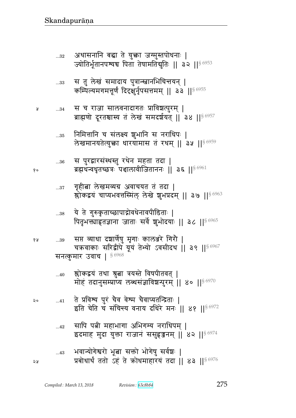सनत्कुमार उवाच | 56968

| 40          | श्लोकद्वयं तथा श्रुता त्रयस्ते विषपीतवत्  <br>मोहं तदानुसम्प्राप्य लब्धसंज्ञाविशन्पुरम्    ४०    86970      |
|-------------|-------------------------------------------------------------------------------------------------------------|
|             | 41 ते प्रविश्य पुरं चैव वेश्म चैवाप्युतन्द्रिताः  <br>इति चेति च संचिन्त्य वनाय दधिरे मनः ॥ ४१ ॥ $8^{6972}$ |
| $\ldots$ 42 | सापि पत्नी महाभागा अभिगम्य नराधिपम्  <br>इदमाह मुदा युक्ता राजानं ससूहृजनम्    ४२    ९८२                    |
| $\dots 43$  | भवान्योगेश्वरो भूबा सक्तो भोगेषु सर्वश्चः  <br>प्रबोधार्थं ततो ऽहं ते कोधमाहारयं तदा    ४३    86976         |

| 38   | ये ते गुरुकृताच्छापाद्नोवधेनावपीडिताः  <br>पितृभक्त्याहृतज्ञाना जाताः सर्वे शुभोदयाः    ३८    ९ 6965      |
|------|-----------------------------------------------------------------------------------------------------------|
| $39$ | सप्त व्याधा दश्चार्णेषु मृगाः कालश्जरे गिरौ  <br>चक्रवाकाः सरिद्वीपे यूयं तेभ्यो ऽवसीदथ । ३९ ॥ $^{86967}$ |

- गृहीत्ना लेखमव्यग्र अवाचयत तं तदा |  $...37\,$ स्रोकद्वयं चाप्यभवत्तस्मिल् लेखे शुभप्रदम् || ३७ || 86963
- स पुरद्वारसंस्थस्तु रथेन महता तदा |  $...36\,$ ब्रह्मधन्वधृतच्छत्रः पञ्चालावीजिताननः || ३६ || 86961
- निमित्तानि च संलक्ष्य शुभानि स नराधिपः |  $...35$ लेखमानयतेत्युक्ता धारयामास तं रथम् || ३५ || 86959
- स च राजा सालवनादागतः प्राविश्वत्पुरम् |  $...34\,$ ब्राह्मणो दूरतश्चास्य तं लेखं समदर्शयत् || ३४ || 86957
- स तु लेखं समादाय पुत्रान्स्त्वानभिचित्तयन् |  $...33$ कम्पिल्यमगमत्तूर्णं दिदृक्षुर्नृपसत्तमम् || ३३ ||  $^{86955}$
- अथासनानि बद्धा ते युक्ता जग्मुस्तपोधनाः |  $...32$ ज्योतिर्भूतानपश्यच पिता तेषामतिद्युतिः || ३२ ||<sup>§ 6953</sup>

१०

१५

 $\mathsf{a}$ 

২५

Å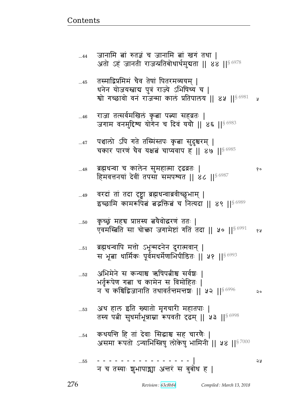|            | न च कश्चिद्विजानाति तथावर्तन्तमन्तशः    ५२    $$^{6996}$                                                          |
|------------|-------------------------------------------------------------------------------------------------------------------|
| 53         | अथ हाल इति ख्यातो मृगचारी महातपाः  <br>तस्य पत्नी सुधर्माभून्नाम्ना रूपवती दृढम् ॥ ५३ ॥ 86998                     |
| $\dots 54$ | कथयन्ति हि तां देवाः सिद्धाश्च सह चारणैः  <br>असमा रूपतो ऽन्याभिस्त्रिषु लोकेषु भामिनी    ५४    <sup>§ 7000</sup> |
| 55         | -------------- <br>न च तस्याः शुभापाञ्चा अन्तरं स बुबोध ह                                                         |

- अभिमेने स कन्याश्च ऋषिपत्नीश्च सर्वशः |  $...52$ भर्तृरूपेण गत्ना च कामेन स विमोहितः |
- ब्रह्मधन्वापि मत्तो ऽभून्मदनेन दुरात्मवान् |  $\ldots 51$ स भूबा धार्मिकः पूर्वमधर्मेणाभिपीडितः || ५१ ||<sup>§ 6993</sup>
- कृच्छूं महच प्राप्तस्य त्वयैवोद्धरणं ततः |  $...50$ एवमस्बिति सा चोक्ता जगामेष्टां गतिं तदा || ५० ||<sup>§ 6991</sup> १५
- वरदां तां तदा दृष्ट्वा ब्रह्मधन्वाब्रवीच्छुभाम् |  $...49$ इच्छामि कामरूपित बद्धक्तित च नित्यदा || ४९ || ९८९ |
- ब्रह्मधन्वा च कालेन सुमहात्मा दृढव्रतः |  $...48$ १० हिमवत्तनयां देवीं तपसा समपश्यत || 86 || \$6987
- पञ्चालो ऽपि गते तस्मिंस्तपः कृबा सुदुश्चरम् |  $\dots 47$ चकार पारणं चैव यक्षत्नं चाप्यवाप ह || ४७ ||  $86985$
- राजा तत्सर्वमखिलं कृता पत्न्या सहवतः |  $...46$ जगाम वनमुद्दिश्य योगेन च दिवं ययौ || ४६ ||  $86983$
- तस्माद्विप्रमिमं चैव तेषां पितरमव्ययम् |  $...45$ धनेन योजयस्ताब पुत्रं राज्ये ऽभिषिच्य च | श्वो गच्छावो वनं राजन्मा कालं प्रतिपालय || ४५ || ९२९ y
- जानामि बां रुतज्ञं च जानामि बां खगं तथा |  $...44$ अतो ऽहं जानती राजन्प्रतिबोधार्थमुबता || ४४ || 56978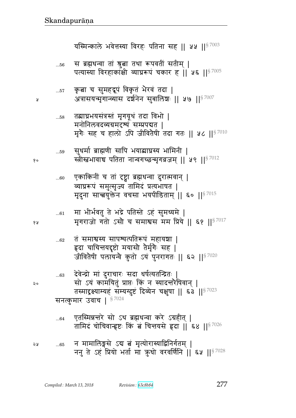न मामालिङ्गसे ऽद्य त्नं मृत्योरास्याद्विनिर्गतम् | ২५  $...65$ ननु ते ऽहं प्रियो भर्ता मा क़ुधो वरवर्णिनि | ६५ | | 57028

एतस्मिन्नन्तरे सो ऽथ ब्रह्मधन्वा करे ऽग्रहीत् |  $...64$ तामिदं चोचिवान्हष्टः किं बं चित्तयसे हृदा || ६४ ||<sup>§ 7026</sup>

देवेन्द्रो मां दुराचारः सदा धर्षत्यतन्द्रितः |  $...63\,$ सो ऽयं कामयितुं प्राप्तः किं न स्यादन्तरैषिवान् | तस्माद्रक्ष्याम्यहं सम्यग्दुष्टं दिव्येन चक्षुषा || ६३ ||<sup>§ 7023</sup> सनत्कुमार उवाच |  $$^{7024}$ 

- तं समाश्वस्य सापश्यत्पतिरूपं महायशा ।  $...62$ हृदा चाचिन्तयदृष्टो मयासौ तेर्मृगैः सह | जीवितेषी पलायन्वे कुतो ऽयं पुनरागतः || ६२ || 87020
- मा भीर्भवतु ते भद्रे पतिस्ते ऽहं सुमध्यमे |  $...61\,$ मृगराजो गतो ऽसौ च समाश्वस मम प्रिये || ६१ || $^{8\,7017}$
- एकाकिनीं च तां दृष्ट्वा ब्रह्मधन्वा दुरात्मवान् |  $...60$ व्याघ्ररूपं समुत्सृज्य तामिदं प्रत्यभाषत | मृदुना सान्त्वयुक्तेन वचसा भयपीडिताम् || ६० || 87015
- सुधर्मा ब्राह्मणी सापि भयाब्याघ्रस्य भामिनी |  $...59$ स्त्रीस्त्रभावाचे पतिता नान्वगच्छन्मृगव्रजम् || ५९ || $^{\$7012}$
- तब्राघ्रभयसंत्रस्तं मृगयूथं तदा विभो |  $\dots58$ मनोनिलवदव्यग्रमदृश्यं सम्प्रपद्यत | मृगैः सह च हालो ऽपि जीवितैषी तदा गतः || ५८ || $^{\$7010}$
- कृत्वा च सुमहद्रूपं विकृतं भैरवं तदा |  $\dots57$ अत्रासयन्मृगान्व्यास दर्शनेन सुबालिशः || ५७ ||<sup>§ 7007</sup>
- स ब्रह्मधन्वा तां श्रुत्वा तथा रूपवतीं सतीम् |  $...56$ पत्यास्या विरहाकांक्षी व्याघ्ररूपं चकार हूं || ५६ || \$7005

यस्मिन्काले भवेत्तस्या विरहः पतिना सह || ५५ ||<sup>§ 7003</sup>

१०

१५

२०

Я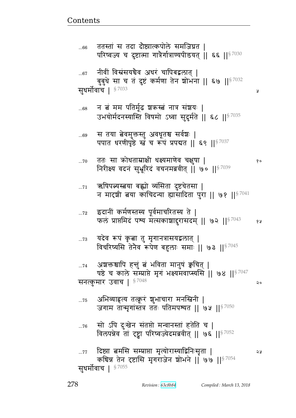Ã

| 76                      | सो ऽपि दुःखेन संतप्तो मन्वानस्तां हतेति च  <br>विलपन्नेव तां दृष्ट्वा परिष्वज्येदमब्रवीत्    ७६    57052       |    |  |
|-------------------------|----------------------------------------------------------------------------------------------------------------|----|--|
|                         | 77 दिष्ठा बमसि सम्प्राप्ता मृत्योरास्याद्विनिःसृता  <br>कघिन्न तेन दृष्टासि मृगराजेन शोभने    ७७    $^{87054}$ | จง |  |
| सूधर्मोवाच   $$^{7055}$ |                                                                                                                |    |  |

अभिव्याह्रत्य तत्कूरं शुभाचारा मनस्त्रिनी |  $...75$ जगाम तान्मृगांस्तत्र ततः पतिमपश्यत || ७५ || $^{8\,7050}$ 

अशक्तश्चापि हन्तुं त्नं भविता मानुषं क्वचित् |  $...74$ पष्ठे च काले सम्प्राप्ते मृगं भक्ष्यमवाप्स्यसि ॥ ७४ ॥ $\frac{87047}{36}$ सनत्कुमार उवाच |  $$^{7048}$ २०

यदेव रूपं कृत्वा तु मृगानत्रासयद्वलात् |  $...73$ विचरिष्यसि तेनैव रूपेण बहुलाः समाः || ७३ ||  $57045$ 

इदानीं कर्मणस्तस्य पूर्वमाचरितस्य ते |  $...72$ फलं प्राप्तमिदं पश्य मत्सकाशादुरासदम् ॥ ७२ ॥  $\frac{87043}{ }$ १५

ऋषिपत्न्यस्त्वया बह्यो व्यसिता दुष्टचेतसा |  $\ldots71$ न मारशी बया काचिदन्या ह्यासादिता पुरा || ७१ ||  $57041$ 

ततः सा क्रोधताम्राक्षी धक्ष्यमाणेव चक्षुषा |  $...70$ १० निरीक्ष्य वदनं सुभ्रूरिदं वचनमब्रवीत् | ७० ||  $57039$ 

स तया त्वेवमुक्तस्तु अवधूतश्च सर्वेशः |  $...69$ पपात धरणीपृष्ठे स्तं च रूपं प्रपद्यत || ६९ || 57037

न तं मम पतिर्मूढ शकस्त्वं नात्र संशयः |  $...68$ उभयोर्मदनस्यास्ति विषमो ऽध्वा सुदुर्मते || ६८ ||<sup>§ 7035</sup>

नीवीं विस्रंसयचैव अधरं चापिबद्वलात् |  $...67$ बुबुधे सा च तं दुष्टं कर्मणा तेन शोभना || ६७ || 57032 सुधर्मोवाच | § <sup>7033</sup>

ततस्तां स तदा दौष्ठात्कपोले समजिघ्रत |  $...66$ परिष्वज्य च दुष्टात्मा गात्रैर्गात्राण्यपीडयत् || ६६ ||§ 7030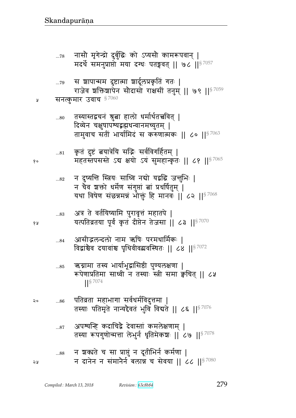- अपश्यन्हि कदाचिद्वै देवास्तां कमलेक्षणाम् |  $\dots 87$ तस्या रूपगुणोन्मत्ता लेभुर्न धृतिमेकशः || ८७ || 57078
- पतिव्रता महाभागा सर्वधर्मविदुत्तमा | २०  $...86$ तस्याः पतिमृते नान्यद्दैवतं भुवि विद्यते || ८६ || $^{\$7076}$
- ऋग्नामा तस्य भार्याभूद्वासिष्ठी पुण्यलक्षणा |  $...85$ रूपेणाप्रतिमा साध्वी न तस्याः स्त्री समा क्वचित् || ८५  $\frac{1}{5}$  7074
- आसीद्भलन्दलो नाम ऋषिः परमधार्मिकः |  $...84$ विद्वांश्चेव दयावांश्च पृथिवीवद्यवस्थितः | ८४ ||  $5^{7072}$
- अत्र ते वर्तयिष्यामि पुरावृत्तं महातपे |  $...83$ यत्पतिव्रतया पूर्वं कृतं दीप्तेन तेजसा || ८३ ||<sup>§ 7070</sup>
- न दुष्यन्ति स्त्रियः साध्वि नद्यो यद्वद्धि जन्तुभिः |  $...82$ न चैव शक्तो धर्मेण संगुप्तां त्वां प्रधर्षितुम् | यथा विषेण संछन्नमन्नं भोक्तुं हि मानवः ॥ ८२ ॥ 87068
- कृतं दुष्टं बयात्रेयि सद्भिः सर्वविगर्हितम् |  $\ldots81$ महतस्तपसस्ते ऽब क्षयो ऽयं सुमहान्कृतः || ८१ || 57065
- तस्यास्तद्वचनं श्रुता हालो धर्मार्थतच्चवित् |  $...80$ दिव्येन चक्षुषापश्यद्भह्मधन्वानमच्युतम् | तामुवाच सतीं भार्यामिदं स करुणात्मकः || ८० ||§7063
- सनत्कुमार उवाच §7060 Å
- स शापान्मम दुष्टात्मा शार्दूलप्रकृतिं गतः |  $\dots79$ राजेव शक्तिशापेन सौदासो राक्षसीं तनुम् || ७९ || $^{\$7059}$
- नासौ मृगेन्द्रो दुर्बुद्धिः को ऽप्यसौ कामरूपवान् |  $\dots 78$ मदर्थे समनुप्राप्तो मया दग्धः पतङ्गवत् || ७८ ||  $87057$

१०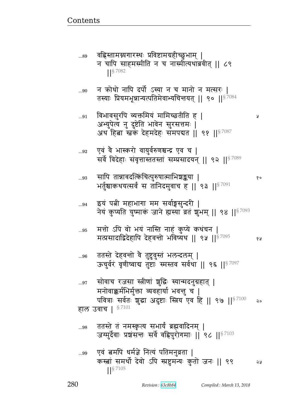ततस्ते तं नमस्कृत्य सभायं ब्रह्मवादिनम् |  $\ldots\!98$ जग्मुर्देवाः प्रशसन्तः सर्वे वह्रिपुरोगमाः || ९८ || 87103

...96 ऊचुर्वरं वृणीष्वाद्य तुष्टाः स्मस्तव सर्वथा ॥ ९६ ॥§7097 सोवाच रजसा स्त्रीणां शुद्धिः स्यान्मदनुग्रहात् |  $...97$ मनोवाक्कर्मभिर्मुक्ता व्यवहार्या भवन्तु च | पवित्राः सर्वतः शुद्धा अदुष्टाः स्त्रिय एव हि || ९७ || $^{8\,7100}$ २० हाल उवाच | 87101

ततस्ते देहवन्तो वै तुष्टुवुस्तं भलन्दलम् |

मत्तो ऽपि वो भयं नास्ति नाहं कुप्ये कथचन |  $...95$ मत्प्रसादाद्विदेहापि देहवन्तो भविष्यथ || ९५ ||<sup>§ 7095</sup>

इयं पत्नी महाभागा मम सर्वाङ्गसुन्दरी |  $...94$ नेयं कुप्यति युष्माकं जाने ह्यस्या व्रतं शुभम् || ९४ ||<sup>§ 7093</sup>

सापि तान्नावदत्किंचित्पुरुषात्माभिश्चङ्कया |  $...93$ १० भर्तुश्चाकथयत्सर्वं स तानिदमुवाच ह || ९३ || ${}^{87091}$ 

एवं वै भास्करो वायुर्वरुणश्चन्द्र एव च |  $...92$ सर्वे विदेहाः संवृत्तास्ततस्तां सम्प्रसादयन् || ९२ ||<sup>§ 7089</sup>

विभावसुरपि व्यक्तमियं मामिच्छतीति हू | ...91 अभ्युपेत्य नु दुष्टेति भावेन सुरसत्तमः | अथ हिबा स्तवं देहमदेहः समपद्यत || ९१ ||<sup>§ 7087</sup>

न क्रोधो नापि दर्पो ऽस्या न च मानो न मत्सरः | ...90 तस्याः प्रियमभून्नान्यत्पतिमेवाभ्यचित्तयत् || ९० || $^{\$7084}$ 

वह्रिस्तामग्न्यगारस्थः प्रविष्टामग्रहीच्छुभाम् | ...89 न चापि साहमस्मीति न च नास्मीत्यथाब्रवीत् || ८९  $\frac{1}{5}$  7082

จง

Ã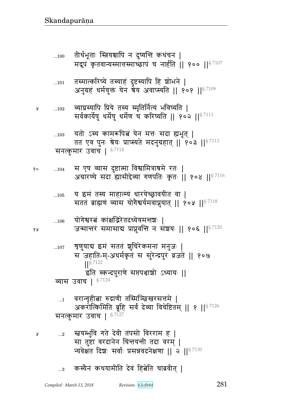- ...3 कस्यैनं कथयामीति देवं हित्नेति चाब्रवीत |
- ...2 ໎yԪw4{ `pF rF{& pt~/ {^^x ᅖ सा तुष्टा वरदानेन चिन्तयन्ती तदा वरम् | न्यवेक्षत दिशः सर्वाः प्रसन्नवदनेक्षणा || २ || ${}^{87130}$
- $_{\rm \ldots1}$   $\,$  वरान्गृहीबा रुद्राणी तस्मिञ्छिखरसत्तमे | अकरोत्किमिति ब्रूहि सर्वं देव्या विचेष्टितम् || १ ||  $s^{7126}$ सनत्कुमार उवाच |  $$^{7127}$
- स जहाति-म्-अधर्मकृतं स सुरेन्द्रपुरं व्रजते || १०७ ᅖᅖ§ 7122 इति स्कन्दपुराणे सप्तपश्चाशो ऽध्यायः || व्यास उवाच |  $$^{7124}$
- $_{\rm ...106}$  योगेश्वरत्वं कांक्षद्भिरेतदध्येयमन्तशः | १४ व्यान्तरं समासाद्य प्राप्नुवन्ति न संशयः || १०६ || १८९

...107 श्रुणुयाद्य इमं सततं शुचिरेकमना मनुजः |

- ...105 य इमं तस्य माहात्म्यं धारयेच्छ्रावयीत वा | सततं ब्राह्मणं व्यास योगैश्वर्यमवाप्नुयात् || १०५ || ${}^{8\,7118}$
- १०  $\quad \ldots 104$  स एष व्यास दुष्टात्मा विश्वामित्राश्रमे रतः | अग्रारण्ये सदा ह्यासीद्देव्या गणपतिः कृतः || १०४ || ${}^{87116}$
- ...103 यतो ऽस्य कामरूपित्वं येन मत्तः सदा ह्यभूत् | तत एव पुनः श्रेयः प्राप्स्यते मदनुग्रहात् || १०३ || $^{\$7113}$ सनत्कुमार उवाच |  $$^{7114}$
- » …102 व्याघ्रस्यापि प्रिये तस्य स्मृतिर्नित्यं भविष्यति | सर्वकार्येषु धर्मेषु धर्मेण च करिष्यति || १०२ || ${}^{87111}$
- ...101 तस्मात्करिष्ये तस्याहं दुष्टस्यापि हि श्रोभने | अनुग्रहं धर्मयुक्तं येन श्रेय अवाप्स्यति || १०१ || $87109$
- ...100 तीर्थभूताः स्त्रियश्चापि न दुष्यन्ति कथंचन | मद्रूपं कृतवान्यस्मात्तस्माच्छापं च नार्हति || १०० || $^{\$~7107}$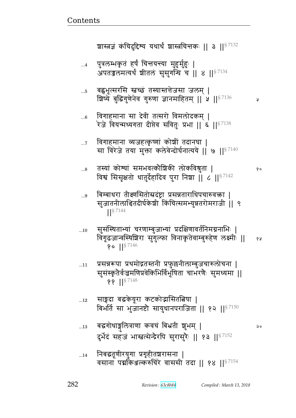$...11$ 

| 14     निबद्धतूणीरयुगा प्रगृहीतञ्चरासना                   |  |
|-----------------------------------------------------------|--|
| वसाना पद्मकिञ्जल्करुचिरे वाससी तदा    १४    $^{\S\,7154}$ |  |

- बद्धगोधाङ्गुलित्राणा कवचं बिभ्रती शुभम् |  $\dots 13$ २० दुर्भेदं सहजं भास्त्रत्सेन्द्रैरपि सुरासुरैः || १३ || 97152
- साङ्गदा बद्धकेयूरा कटकोद्भासितबिषा |  $\dots$ 12 बिभर्ति सा भुजानष्टौ सायुधानपराजिता || १२ ||  $57150$
- प्रसन्नरूपा प्रथमोद्गतस्तनी प्रफुल्लनीलाम्बुजचारुलोचना | सूसंस्कृतैर्वज्रमणिप्रवेकिभिर्विभूषिता चाभरणैः सुमध्यमा ||  $\{ \}$  || $\frac{$7148}{}$
- सुसंस्थिताभ्यां चरणाम्बुजाभ्यां प्रदक्षिणावर्तनिमग्ननाभिः |  $...10$ विगूढजान्वस्थिशिरा सुगुल्फा विनाकृतेवाम्बुरुहेण लक्ष्मी || १५  $\sqrt{9}$  || $\sqrt{5}$  7146
- बिम्बाधरा तीक्ष्णसितोस्रदंष्ट्रा प्रसन्नताराधिपचारुवक्ता |  $...9$ सुजातनीलाश्चितदीर्घकेशी किंचित्समभ्युन्नतरोमराजी || ९  $\frac{1}{5}$  7144
- तस्यां कोश्यां समभवत्कौशिकी लोकविश्नुता |  $...8$ विश्वं सिसृक्षतो धातुर्देहादिव पुरा निश्चा || ८ || 57142

१०

У

- विगाहमाना व्यजहत्कृष्णां कोशीं तदानघा |  $\dots 7$ सा विरेजे तया मुक्ता कलेवेन्दोर्घनात्यये || ७ ||<sup>§ 7140</sup>
- विगाहमाना सा देवी तत्सरो विमलोदकम् ।  $...6$ रेजे वियन्मध्यगता दीप्तेव सवितुः प्रभा || ६ ||<sup>§ 7138</sup>
- बह्वभूत्सरसि स्नच्छं तस्यास्तत्तेजसा जलम् |  $...5$ शिष्ये बुद्धिगुणेनेव गुरुणा ज्ञानमाहितम् || ५ ||  $\frac{8}{7136}$
- पुत्रलम्भकृतं हर्षं चित्तयन्त्या मुहुर्मुहुः |  $\dots 4$ अपतज्जलमत्यर्थं श्रीतलं सुसुगन्धि च || ४ || 37134

शास्त्रज्ञं कंचिदुद्दिश्य यथार्थं शास्त्रचित्तकः || ३ ||<sup>§ 7132</sup>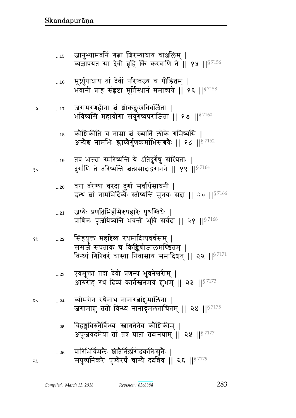- विहङ्गविरुतैर्विन्ध्यः स्नागतेनेव कौशिकीम् |  $\ldots 25$ अपूजयदमेयां तां तत्र प्राप्तां तदानघाम् || २५ || 97177
- व्योमगेन रथेनाथ नानारत्नांशुमालिना |  $...24$ २० जगामाशु ततो विन्ध्यं नानाद्रुमलताचितम् || २४ || $^{87175}$
- एवमुक्ता तदा देवी प्रणम्य भुवनेश्वरीम् |  $\ldots 23$ आरुरोह रथं दिव्यं कार्तस्तनमयं शुभम् || २३ ||<sup>§ 7173</sup>
- सिंहयुक्तं महद्दिव्यं रथमादित्यवर्चसम् |  $...22\,$ ससर्ज सपताकं च किङ्किणीजालमण्डितम् | विन्ध्यं गिरिवरं चास्या निवासाय समादिशत् || २२ ||  $^{87171}$
- जप्यैः प्रणतिभिर्होमैरुपहारैः पृथग्विधैः |  $...21$ प्राणिनः पूजयिष्यन्ति भवन्तीं भुवि सर्वदा || २१ ||<sup>§ 7168</sup>
- वरा वरेण्या वरदा दुर्गा सर्वार्थसाधनी |  $...20$ इत्थं बां नामभिर्दिव्ये स्तोष्यन्ति मुनयः सदा || २० ||<sup>§ 7166</sup>
- तव भक्त्या स्मरिष्यन्ति ये ऽतिदुर्गेषु संस्थिताः |  $\dots 19$ दुर्गाणि ते तरिष्यन्ति बत्प्रसादाद्वरानने || १९ || 87164
- कौशिकीति च नाम्ना बं ख्यातिं लोके गमिष्यसि |  $\dots18$ अन्येश्व नामभिः श्लाघ्येर्गुणकर्माभिसंत्रयैः || १८ ||<sup>§ 7162</sup>
- जरामरणहीना बं शोकदुःखविवर्जिता |  $...17$ भविष्यसि महायोगा संयुगेष्वपराजिता || १७ || ${}^{8\,7160}$
- मूर्ध्नुपाघ्राय तां देवीं परिष्वज्य च पीडितम् |  $\dots16$ भवानी प्राह संहष्टा मूर्तिस्थानं ममाव्यये || १६ || ${}^{87158}$
- जानुभ्यामवनिं गत्ना ग्रिरस्याधाय चाञ्जलिम् |  $\dots15$ व्यज्ञापयत सा देवी ब्रूहि किं करवाणि ते || १५ ||  $57156$

१०

6 A

১ম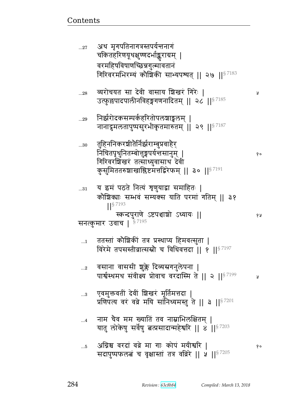|             | चकितहरिणयूथक्षुण्णदभोङ्कराग्रम्  <br>वरमहिषविषाणच्छिन्नगुल्मावतानं                                                                                                                       |    |
|-------------|------------------------------------------------------------------------------------------------------------------------------------------------------------------------------------------|----|
| 28          | गिरिवरमभिरम्यं कौशिकी साभ्यपश्यत्    २७    $^{\$7183}$<br>व्यरोचयत सा देवी वासाय शिखरं गिरेः  <br>उत्फुछपादपालीनविहङ्गगणनादितम्    २८    <sup>§ 7185</sup>                               | R  |
| 29          | निर्झरोदकसम्पर्कहरितोपलशाड्वलम्  <br>नानादूमलतापुष्पसुरभीकृतमारुतम्    २९    $^{87187}$                                                                                                  |    |
| $30\,$      | तुहिननिकरश्रीतेर्निर्झराम्बुप्रवाहेर्<br>निचितपृथुनितम्बोत्तुङ्गपर्यन्तसानुम्  <br>गिरिवरशिखरं तत्साध्युवासाथ देवी<br>कुसुमिततरुशाखाश्लिष्टमत्तद्विरेफम्    ३०    $^{\S\,7191}$          | १० |
| $\ldots 31$ | य इमं पठते नित्यं शृणुयाद्वा समाहितः  <br>कोशिक्याः सम्भवं सम्यक्स याति परमां गतिम्    ३१<br>$1$ <sup>S 7193</sup><br>स्कन्दपुराणे ऽष्टपञ्चाशो ऽध्यायः   <br>सनत्कुमार उवाच   $$^{7195}$ | १५ |
| $\dots$ 1   | ततस्तां कोशिकीं तत्र प्रस्थाप्य हिमवत्सुता  <br>विरेमे तपसस्तीव्रात्सस्रौ च विधिवत्तदा    १    <sup>§ 7197</sup>                                                                         |    |
| $\ldots$ 2  | वसाना वाससी शुक्ले दिव्यस्रगनुलेपना  <br>पार्श्वस्थमथ संवीक्ष्य प्रोवाच वरदास्मि ते    २    $^{\mathrm{S}\,7199}$                                                                        | A  |
|             | $\,$ एवमुक्तवतीं देवीं शिखरं मूर्तिमत्तदा  <br>प्रणिपत्य वरं वव्रे मयि सांनिध्यमस्तु ते    3    $^{87201}$                                                                               |    |
| $\dots 4$   | नाम चैव मम ख्याति तव नाम्नाभिरुक्षितम्  <br>यातु लोकेषु सर्वेषु बत्प्रसादान्महेश्वरि    8    57203                                                                                       |    |
| $\ldots$ 5  | अग्निश्च वरदां वव्रे मा गाः कोपं मयीश्वरि  <br>सदापुष्पफलत्नं च वृक्षास्तां तत्र वव्रिरे    ५    <sup>§ 7205</sup>                                                                       | १० |

Revision: 63c8b84

अथ मृगपतिनागत्रस्तपर्यन्तनागं

 $...27$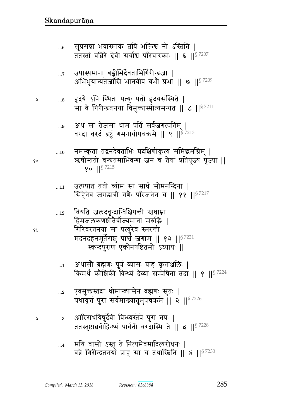- मयि वासो ऽस्तु ते नित्यमेवमादित्यरोधनः |  $\dots 4$ वव्रे गिरीन्द्रतनयां प्राह सा च तथास्त्रिति || ४ || ${}^{8}$   $^{7230}$
- आरिराधयिषुर्देवीं विन्ध्यस्तेपे पुरा तपः |  $\ldots$ 3 ततस्तुष्टाब्रवीद्रिन्ध्यं पार्वती वरदास्मि ते || ३ || 37228
- एवमुक्तस्तदा धीमान्व्यासेन ब्रह्मणः सुतः |  $\ldots 2$ यथावृत्तं पुरा सर्वमाख्यातुमुपचक्रमे || २ ||<sup>§ 7226</sup>
- अथासौ ब्रह्मणः पुत्रं व्यासः प्राह कृतार्श्नालेः |  $\dots$ 1 किमर्थं कौशिकी विन्ध्यं देव्या सम्प्रेषिता तदा ।। १ ।।<sup>§ 7224</sup>
- हिमजलकणश्चीतैर्वीज्यमाना मरुद्भिः | गिरिवरतनया सा पत्युरेव स्मरन्ती मदनदहनमूर्तेराशु पार्श्वं जगाम || १२ ||<sup>§ 7221</sup> स्कन्दपुराण एकोनषष्टितमो ऽध्यायः ॥
- वियति जलदवृन्दान्विक्षिपन्ती स्तधाम्ना  $\dots 12$
- उत्पपात ततो व्योम सा सार्धं सोमनन्दिना |  $...11$ सिंहेनेव जगद्धात्री गणैः परिजनेन च || ११ || $^{8\,7217}$
- नमस्कृता तद्वनदेवताभिः प्रदक्षिणीकृत्य समिद्धमग्निम् ।  $\dots10$ ऋषींस्ततो वन्यतमाभिवन्य जनं च तेषां प्रतिपूज्य पूज्या ||  $\{ \circ \mid \mid \frac{\$}{}^{7215}$
- अथ सा तेजसां धाम पतिं सर्वजगत्पतिम् |  $\ldots\!9$ वरदा वरदं द्रष्टुं गमनायोपचक्रमे || ९ ||<sup>§ 7213</sup>
- हृदये ऽपि स्थिता पत्युः पतौ हृदयसंस्थिते |  $\ldots\!8$ सा वे गिरीन्द्रतनया विमुक्तास्मीत्यमन्यत || ८ || $^{8\,7211}$
- उपास्यमाना बह्वीभिर्देवताभिर्गिरीन्द्रजा |  $\dots 7$ अभिभूयान्यतेजांसि भानवीव बभौ प्रभा ॥ ७ ॥ $$^{7209}$
- सुप्रसन्ना भवास्माकं बयि भक्तिश्च नो ऽस्बिति ।  $...6$ ततस्तां वव्रिरे देवीं सर्वाश्च परिचारकाः || ६ || 57207

१०

१५

Å

Å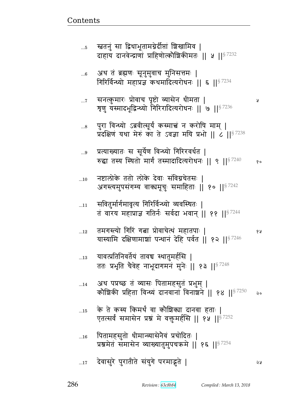- ... $\rm_{16}$  पितामहसुतो धीमान्व्यासेनैवं प्रचोदितः | प्रश्नमेतं समासेन व्याख्यातुमुपचक्रमे || १६ ||<sup>§ 7254</sup>
- ...15 के ते कस्य किमर्थं वा कौशिक्या दानवा हताः | एतत्सर्वं समासेन प्रश्नं मे वक्तुमर्हसि || १५ || $^{\frac{8}{7252}}$
- ...14 अथ पप्रच्छ तं व्यासः पितामहसुतं प्रभुम् | कौशिकी प्रहिता विन्ध्यं दानवानां विनाशने || १४ ||  $$^{7250}$  २०
- ...13 यावत्प्रतिनिवर्तेयं तावच स्थातुमर्हसि | ततः प्रभृति चैवेह नाभूदागमनं मुनेः || १३ || $^{8.7248}$
- ...12 px`ɕɊy/ `^B `ଉ Ì/{bFРqB xpt1 ᅖ  यास्यामि दक्षिणामाश्चां पन्थानं देहि पर्वत || १२ ||  $s^{7246}$
- $_{\rm ...11}$  = सवितुर्मार्गमावृत्य गिरिर्विन्ध्यो व्यवस्थितः | तं वारय महाप्राज्ञ गतिर्नः सर्वदा भवान् ।। ११ ।। $87244$
- ...10 वाष्टालोके ततो लोके देवाः संविग्नचेतसः । अगस्त्यमुपसंगम्य वाक्यमूचुः समाहिताः || १० ||<sup>§ 7242</sup>
- ...9 प्रत्याख्यातः स सूर्येण विन्ध्यो गिरिरवर्धत | रुद्धा तस्य स्थितो मार्गं तस्मादादित्यरोधनः || ९ || $s^{7240}$  %
- ...8 पुरा विन्ध्यो ऽब्रवीत्सूर्यं कस्मात्त्वं न करोषि माम् | प्रदक्षिण यथा मेरुं का ते ऽवज्ञा मयि प्रभो ||  $\epsilon$  ||§ 7238
- ...7 ~dɊf4 x^1 Ì/{b t6स/ ɓy~Fd s&xp ᅖ त्रृणु यस्मादभूद्विन्ध्यो गिरिरादित्यरोधनः || ७ || $^{87236}$
- ...6 अथ तं ब्रह्मणः सूनुमुवाच मुनिसत्तमः | गिरिर्विन्ध्यो महाप्रज्ञ कथमादित्यरोधनः || ६ || $^{87234}$

<u>Contents and Contents are the contents of the contents of the contents of the contents of the contents of the contents of the contents of the contents of the contents of the contents of the contents of the contents of the</u>

...5 स्त्रतनुं सा द्विधाभूतामग्नेर्दीप्तां बिखामिव | दाहाय दानवेन्द्राणां प्राहिणोत्कोशिकीमतः || ५ ||  $s^{7232}$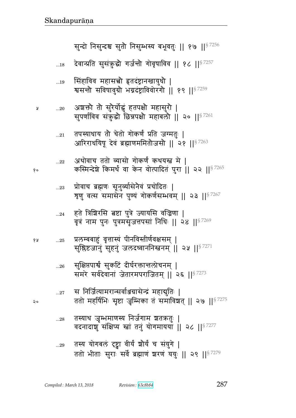|             | $\frac{1}{2}$ $\frac{1}{2}$ $\frac{1}{2}$ $\frac{1}{2}$ $\frac{1}{2}$ $\frac{1}{2}$ $\frac{1}{2}$ $\frac{1}{2}$ $\frac{1}{2}$ $\frac{1}{2}$ $\frac{1}{2}$ $\frac{1}{2}$ $\frac{1}{2}$ $\frac{1}{2}$ |
|-------------|-----------------------------------------------------------------------------------------------------------------------------------------------------------------------------------------------------|
| $\ldots 29$ | तस्य योगबलं दृष्ट्वा वीर्यं श्रौर्यं च संयुगे                                                                                                                                                       |
|             | ततो भीताः सुराः सर्वे ब्रह्माणं शरणं ययुः    २९    <sup>§ 7279</sup>                                                                                                                                |

- तस्याथ जुम्भमाणस्य निर्जगाम शतऋतुः |  $\ldots 28$ वदनादाञ्च संक्षिप्य स्त्रां तनं योगमायया ॥ २८ ॥ $87277$
- स निर्जित्यामरान्सर्वाञ्जग्रासेन्द्रं महाद्मुतिः |  $...27$ ततो महर्षिभिः सृष्टा जृम्भिका तं समाविश्वत् || २७ ||<sup>§ 7275</sup>
- सुक्षिप्तपार्श्वं सुकटिं दीर्घरक्तान्तलोचनम् |  $...26$ समरे सर्वदेवानां जेतारमपराजितम् || २६ ||<sup>§ 7273</sup>
- प्रलम्बबाहुं वृत्तास्यं पीनविस्तीर्णवक्षसम् | १५  $\dots25$ सुश्लिष्टजानुं सुहनुं जलदध्वाननिस्त्वनम् || २५ ||<sup>§ 7271</sup>
- हते त्रिशिरसि बष्टा पुत्रे ज्यायसि वज्रिणा |  $...24$ वृत्रं नाम पुनः पुत्रमसृजत्तपसां निधिः || २४ || $^{\$7269}$
- प्रोवाच ब्रह्मणः सूनुर्व्यासेनैवं प्रचोदितः |  $\ldots 23$ शृणु वत्स समासेन पुण्यं गोकर्णसम्भवम् || २३ || 97267
- अथोवाच ततो व्यासो गोकर्णं कथयस्त्र मे |  $...22\,$ कस्मिन्देशे किमर्थं वा केन वोत्पादितं पुरा ।। २२ ।।  $87265$
- तपस्याधाय तो चेतो गोकर्णं प्रति जग्मतुः |  $...21$ आरिराधयिषू देवं ब्रह्माणममितौजसौ || २१ ||<sup>§ 7263</sup>
- अशक्तो तो सुरेर्योद्धं हतपक्षो महासुरो |  $...20\,$ सुपर्णाविव संकुद्धो छिन्नपक्षो महाबलौ || २० || 37261
- सिंहाविव महासत्त्वौ हृतदंष्ट्रानखायुधौ |  $\dots 19$ श्वसन्तौ सविषावुग्रौ भग्नदंष्ट्राविवोरंगौ || १९ || 57259
- देवान्प्रति सुसंकुद्धौ गर्जन्तौ गोवृषाविव || १८ ||<sup>§ 7257</sup>  $...18$

सुन्दो निसुन्दश्च सुतौ निसुम्भस्य बभूवतुः || १७ ||<sup>§ 7256</sup>

१०

 $\mathsf{a}$ 

Å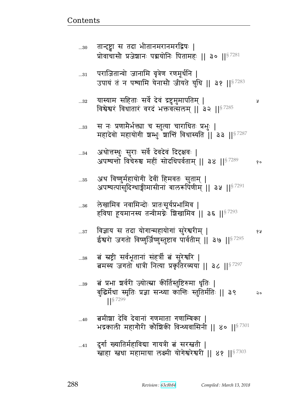¥

१५

दुर्गा ख्यातिर्महाविद्या गायत्री त्नं सरस्त्रती |  $...41$ खाहा स्तथा महामाया लक्ष्मी योगेश्वरेश्वरी || ४१ || 87303

- बमीशा देवि देवानां गणमाता गणाम्बिका  $...40$ भद्रकाली महागौरी कौशिकी विन्ध्यवासिनी || ४० ||<sup>§ 7301</sup>
- बं प्रभा शर्वरी ज्योत्स्ना कीर्तिस्तुष्टिरुमा धृतिः | ..39 बुद्धिर्मेधा स्मृतिः प्रज्ञा सन्ध्या कान्तिः स्तुतिर्मतिः || ३९ २०  $\frac{1}{5}$  7299
- ब स्रष्ट्री सर्वभूतानां संहर्त्री बं सुरेश्वरि |  $...38$ बमस्य जगतो धात्री नित्या प्रकृतिरव्यया || ३८ ||<sup>§ 7297</sup>
- विज्ञाय स तदा योगान्महायोगां सुरेश्वरीम् |  $...37$ ईश्वरो जगतो विष्णुर्जिष्णुस्तुष्टाव पार्वतीम् || ३७ || 37295
- लेखामिव नवामिन्दोः प्रातःसूर्यप्रभामिव |  $...36$ हविषा हूयमानस्य तन्वीमग्नेः शिखामिव || ३६ || $^{8\,7293}$
- अथ विष्णुर्महायोगी देवीं हिमवतः सुताम् |  $\dots35$ अपश्यत्पासुदिग्धाङ्गीमासीनां बालरूपिणीम् || ३५ ||<sup>§ 7291</sup>
- अथोत्तस्थुः सुराः सर्वे देवदेवं दिदृक्षवः |  $...34$ अपश्यन्तो विचेरुश्च महीं सोदधिपर्वताम् || ३४ ||§ 7289 १०
- स नः प्रणामैर्भक्त्या च स्तुत्या चाराधितः प्रभुः |  $...33$ महादेवो महायोगी श्वम्भुः शान्तिं विधास्यति || ३३ ||§ 7287
- यास्याम सहिताः सर्वे देवं द्रष्टुमुमापतिम् |  $...32$ विश्वेश्वरं विधातारं वरदं भक्तवत्सलम् || ३२ || 87285
- पराजितान्वो जानामि वृत्रेण रणमूर्धनि |  $...31$ उपायं तं न पश्यामि येनासौ जीयते युधि || ३१ ||<sup>§ 7283</sup>
- तान्दृष्ट्वा स तदा भीतानमरानमरद्विषः |  $...30$ प्रोवाचासौ प्रजेशानः पद्मयोनिः पितामहः || ३० || 87281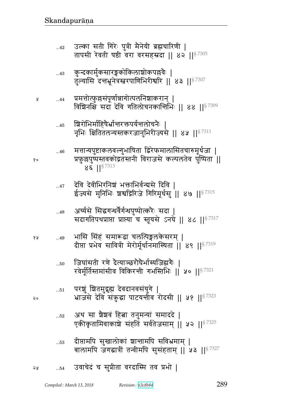Å

१०

- दीप्तामपि सुखालोकां शान्तामपि सविभ्रमाम् ।  $\dots53$ बालामपि जगद्धात्रीं तन्वीमपि सुसंहताम् || ५३ ||<sup>§ 7327</sup>
- अथ सा शैशवं हिता तनुमन्यां समाददे |  $...52$ एकीकृतामिवाकाशे संहतिं सर्वतेजसाम् || ५२ ||<sup>§ 7325</sup>
- परशूं शितमुद्गृह्य देवदानवसंयुगे |  $\dots51$ भ्राजसे देवि संकुद्धा पाटयन्तीव रोदसी || ५१ ||<sup>§ 7323</sup>
- जिघांसती रणे दैत्याञ्छरौघैर्भास्यजिह्मगैः |  $...50$ खर्मर्तिस्तमांसीव विकिरत्ती गभस्तिभिः ॥ ५० ॥  $8^{7321}$
- भासि सिंहं समारूढा चलत्पिङ्गलकेसरम् | १५  $...49$ दीप्ता प्रभेव सावित्री मेरोर्मूर्धानमास्थिता || ४९ ||<sup>§ 7319</sup>
- अर्च्यसे सिद्धगन्धर्वैर्गन्धपुष्पोत्करैः सदा |  $...48$ सदागतिपथप्राप्ता प्राप्त्या च स्तूयसे ऽनघे || ४८ || $^{87317}$
- देवि देवीभिरनिशं भक्ताभिर्वन्वसे दिवि ।  $...47$ ईज्यसे मुनिभिः श्रश्वद्गिरिजे गिरिमूर्धसु ॥ ४७ ॥  $\mathsf{S}^{7315}$
- मत्तान्यपुष्टाकलवल्गुभाषिता द्विरेफमालासितचारुमूर्धजा ।  $...46$ प्रफुल्लपुष्पस्तवकोद्गतस्तनी विराजसे कल्पलतेव पुष्पिता ||  $8\epsilon$  || $8^{7313}$
- श्चिरोभिर्माहिषेर्भ्रान्तरक्तपर्यन्तलोचनैः  $...45$ नृभिः क्षितितलन्यस्तकरजानुभिरीज्यसे || ४५ ||<sup>§ 7311</sup>
- प्रमत्तोत्फुल्लसंपूर्णान्नागोत्पलनिशाकरान् ।  $...44$ विशिनक्षिं सदा देवि गतिलोचनकान्तिभिः || ४४ || 87309
- कुन्दकार्मुकसारङ्गकोकिलाशोकपल्लवैः |  $...43$ तुल्यासि दत्तभूनेत्रस्तरपाणिभिरीश्वरि || ४३ ||<sup>§ 7307</sup>
- उल्का सती गिरेः पुत्री मैनेयी ब्रह्मचारिणी |  $...42$ तापसी रेवती षष्ठी वरा वरसहस्रदा || ४२ || $^{\$7305}$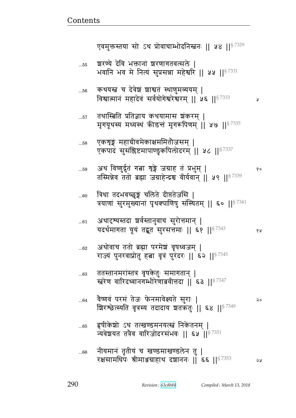У

| $60$       | त्रिधा तदभवच्छृङ्ग चलिते दीप्ततेजसि  <br>त्रयाणां सुरमुख्यानां पृथक्पाणिषु संस्थितम्    ६०    <sup>§ 7341</sup> |     |
|------------|-----------------------------------------------------------------------------------------------------------------|-----|
| $\dots61$  | अथादृश्यस्तदा ञ्चर्वस्तानुवाच सुरोत्तमान्  <br>यदर्थमागता यूयं तद्भूत सुरसत्तमाः    ६१    8 7343                | ४ ह |
| $62\,$     | अथोवाच ततो ब्रह्मा परमेश वृषध्वजम्  <br>राज्यं पुनरवाप्नोतु हत्ना वृत्रं पुरंदरः    ६२    87345                 |     |
| $63\,$     | ततस्तानमरांस्तत्र वृषकेतुः समागतान्  <br>स्त्रेण वारिदध्वानगम्भीरेणाब्रवीत्तदा    ६३    <sup>§ 7347</sup>       |     |
| $\dots 64$ | वैष्णवं परमं तेजः फेनमावेक्ष्यते सुराः  <br>ग्रिरश्छेत्स्यति वृत्रस्य तदादाय शतकतुः    ६४    87349              | २०  |
| $\dots 65$ | हृषीकेशो ऽथ तत्खण्डमनयत्स्त्वं निकेतनम्  <br>न्यवेशयत तत्रैव वारिजोदरसंभवः    ६५    <sup>§ 7351</sup>           |     |
| $66$       | नीयमानं तृतीयं च खण्डमाखण्डलेन तु  <br>रक्षसामधिपः श्रीमाञ्जग्राहाथ दशाननः    ६६    87353                       | 58  |

\* <del>JDA Aud M</del>  $\overline{\phantom{0}}$ 

अथ विष्णुर्द्धतं गत्ना शृङ्गे जग्राह तं प्रभुम् |  $...59$ १० तस्मिन्नेव ततो ब्रह्मा जग्राहेन्द्रश्च वीर्यवान् || ५९ || 57339

एकशृङ्गं महाग्रीवमेकाक्षममितौजसम् |  $\dots58$ एकपादं सुसंश्लिष्टमापाण्डुकपिलोदरम् || ५८ || 87337

तथास्त्रिति प्रतिज्ञाय कथयामास शंकरम् |  $\dots57$ मृगयूथस्य मध्यस्थं क्रीडन्तं मृगरूपिणम् ॥ ५७ ॥ 8 7335

कथयस्त्र च देवेशं शाश्वतं स्थाणुमव्ययम् |  $...56$ विश्वात्मानं महादेवं सर्वयोगेश्वरेश्वरम् || ५६ || 8 7333

शरण्ये देवि भक्तानां शरणागतवत्सले |  $\dots55$ भवानि भव मे नित्यं सुप्रसन्ना महेश्वरि || ५५ || 57331

एवमुक्तस्तया सो ऽथ प्रोवाचाम्भोदनिस्त्वनः || ५४ || 57329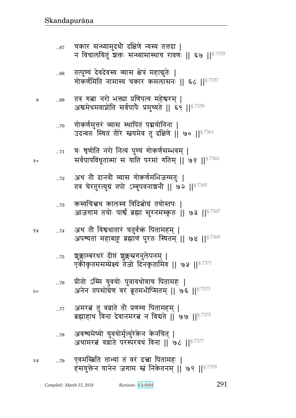- अवश्यमेष्यो युवयोर्मृत्युरेकेन केनचित् |  $\dots78$ अथामरत ववाते परस्परवधं विना || ७८ || 57377
- अमरत्नं तु वव्राते तो प्रणम्य पितामहम् |  $\dots 77$ ब्रह्माहाथ विना देवानमरत्नं न विद्यते || ७७ || $^{\$7375}$
- प्रीतो ऽस्मि युवयोः पुत्रावथोवाच पितामहः |  $...76$ अनेन तपसोग्रेण वर ब्रूतमभीप्सितम् || ७६ || $^{87373}$
- शूक्लाम्बरधरं दीप्तं शुक्लस्नगनुलेपनम् |  $\dots75$ एकीकृतमसम्प्रेक्ष्यं तैजो दिनकृतामिव || ७५ ||<sup>§ 7371</sup>
- अथ तो विश्वधातारं चतुर्वक्तं पितामहम् | 6 A  $\dots 74$ अपश्यतां महाबाहू ब्रह्माणं पुरतः स्थितम् || ७४ || 87369
- कस्यचित्त्वथ कालस्य विदित्नोग्रं तयोस्तपः |  $...73$ आजगाम तयोः पार्श्वं ब्रह्मा सुरनमस्कृतः || ७३ ||<sup>§ 7367</sup>
- अथ तो दानवो व्यास गोकर्णमभिजग्मतुः |  $\dots 72$ तत्र चेरतुरत्युग्रं तपो ऽम्बुपवनाशनौ || ७२ ||<sup>§ 7365</sup>
- यः शृणोति नरो नित्यं पुण्यं गोकर्णसम्भवम् |  $\ldots71$ सर्वपापविधूतात्मा स याति परमां गतिम् || ७१ ||§7363
- गोकर्णमुत्तरं व्यास स्थापितं पद्मयोनिना |  $\dots70$ उदन्वतः स्थितं तीरे स्तवमेव तु दक्षिणे || ७० ||  $^{87361}$
- तत्र गत्ना नरो भक्त्या प्रणिपत्य महेश्वरम् | ...69 अश्वमेधमवाप्नोति सर्वपापैः प्रमुच्यते || ६९ ||<sup>§ 7359</sup>
- तत्पुण्यं देवदेवस्य व्यास क्षेत्रं महाबुतेः |  $\dots68$ गोकर्णमिति नामास्य चकार कमलासनः ॥ ६८ ॥ $^{\$7357}$
- चकार सन्ध्यामुदधौ दक्षिणे न्यस्य तत्तदा |  $...67$ न विचालयितुं शक्तः सन्ध्यामास्थाय रावणः || ६७ || <sup>§ 7355</sup>

१०

২०

Å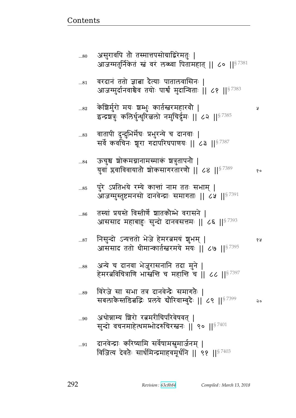| $\ldots81$  | वरदानं ततो ज्ञाबा दैत्याः पातालवासिनः  <br>आजग्मुर्दानवाश्चेव तयोः पार्श्वं मुदान्विताः    ८१    <sup>§ 7383</sup>     |       |
|-------------|------------------------------------------------------------------------------------------------------------------------|-------|
| $\ldots 82$ | केशिर्मुरो मयः शम्भुः कार्तस्तरमहारवौ  <br>इन्द्रशत्रुः कलिर्धुन्धुरिल्ललो नमुचिर्दूमः    ८२    <sup>§ 7385</sup>      | R     |
| $\dots83$   | वातापी दुन्दुभिर्मेषः प्रभुरन्ये च दानवाः  <br>सर्वे कवचिनः श्रूरा गदापरिघपाणयः    ८३    <sup>§ 7387</sup>             |       |
| $\dots84$   | ऊचुश्च शोकमग्नानामस्माकं शत्रुतापनौ  <br>युवां प्लवाविवायातौ शोकसागरतारणौ    ८४    57389                               | १०    |
| 85          | पुरे ऽप्रतिभये रम्ये कान्तां नाम ततः सभाम्  <br>आजग्मुस्तुष्टमनसो दानवेन्द्राः समागताः    ८५    <sup>§ 7391</sup>      |       |
| 86          | तस्यां प्रयस्ते विस्तीर्णे शातकौम्भे वरासने  <br>आससाद महाबाहुः सुन्दो दानवसत्तमः    ८६    <sup>§ 7393</sup>           |       |
| $\dots 87$  | निसुन्दो ऽन्यत्ततो भेजे हेमरत्नमयं शुभम्  <br>आससाद ततो धीमान्कार्तस्त्ररमये मयः    ८७    <sup>§ 7395</sup>            | १ प्र |
| 88          | अन्ये च दानवा भेजुरासनानि तदा मुने  <br>हेमरत्नविचित्राणि भास्त्वन्ति च महान्ति च    ८८    <sup>§ 7397</sup>           |       |
| 89          | विरेजे सा सभा तत्र दानवेन्द्रैः समागतैः  <br>सबलाकेस्तडित्नद्भिः प्रलये बोरिवाम्बुदैः    ८९    $^{\mathrm{S} \, 7399}$ | २०    |
| 90          | अथोन्नाम्य शिरो रत्नमरीचिपरिवेषवत्  <br>सुन्दो वचनमाहेत्थमम्भोदरुचिरस्तनः    ९०    $^{\$7401}$                         |       |
| 91          | दानवेन्द्राः करिष्यामि सर्वेषामसूमार्जनम्  <br>विजित्य देवतैः सार्धमिन्द्रमाहवमूर्धनि    ९१    $^{87403}$              |       |

असुरावपि तो तस्मात्तपसोग्राद्विरेमतुः |<br>आजग्मतुर्निकेतं स्त्रं वरं लब्ध्वा पितामहात् || ८० ||<sup>§ 7381</sup>

 $...80$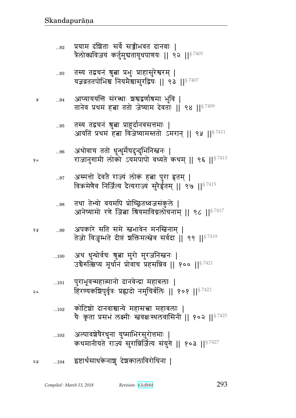| $\dots95$ | तस्य तद्वचन श्रुत्वा प्राहुदानवसत्तमाः  <br>आयतिं प्रथमं हत्ना विजेष्यामस्ततो ऽमरान्    ९५    <sup>§ 7411</sup>              |
|-----------|------------------------------------------------------------------------------------------------------------------------------|
| $96$      | अथोवाच ततो धुन्धुर्मेघदुन्दुभिनिस्त्वनः  <br>राजानुगामी लोको ऽयमपापो वध्यते कथम् ॥ ९६ ॥ 87413                                |
| 97        | अस्मत्तो देवते राज्यं लोकं हत्ना पुरा हृतम्  <br>विक्रमेणैव निर्जित्य दैत्यराज्यं सुरेर्हृतम्    ९७    $^{\mathrm{S}\,7415}$ |
| 98        | तथा तेभ्यो वयमपि प्रोच्छितध्वजसंकुले  <br>आनेप्यामो रणे जित्ना श्रियमाविग्नलोचनाम्    ९८    <sup>§ 7417</sup>                |
| 99        | अपकारे सति समे स्नभावेन मनस्निनाम्  <br>तेजो विजुम्भते दीप्तं शक्तिमत्स्त्वेव सर्वदा    ९९    <sup>§ 7419</sup>              |
| 100       | अथ धुन्थोर्वचः श्रुत्वा मुरो मुरजनिस्त्वनः  <br>उचेरुत्क्षिप्य मूर्थानं प्रोवाच प्रहसन्निव    १००    $^{8\,7421}$            |
| 101       | पुराभूवन्महात्मानो दानवेन्द्रा महाबलाः  <br>हिरण्यकशिपुर्वृत्रः प्रह्लादो नमुचिर्बलिः    १०१    $^{\$7423}$                  |
| 102       | कोटिशो दानवाश्चान्ये महासत्त्वा महाबलाः  <br>यैः कृता प्रसभं लक्ष्मीः स्त्रवक्षःस्थलवासिनी    १०२    <sup>§ 7425</sup>       |
| 103       | अल्पावश्चेषेरधुना युष्माभिरसुरोत्तमाः  <br>कथमानीयते राज्यं सुरान्निर्जित्य संयुगे    १०३    <sup>§ 7427</sup>               |
| 104       | इष्टार्थसाधकेनाशु देशकालाविरोधिना                                                                                            |

आप्याययन्ति संरब्धाः <mark>ञञ्चद्वर्णाश्रमा भुवि |</mark><br>तानेव प्रथमं हबा ततो जेष्याम देवताः || ९४ ||<sup>§ 7409</sup>  $...94$ ¥

तस्य तद्वचनं श्रत्वा प्राहर्दानवसत्तमाः ।

१०

१५

२०

- तस्य तद्वचनं श्रुत्वा प्रभुः प्राहासुरेश्वरम् |<br>यज्ञव्रततपोभिश्च नियमैश्चासुरद्विषः || ९३ ||<sup>§ 7407</sup>  $\dots93$
- प्रयाम दंशिताः सर्वे सञ्जीभवत दानवाः |<br>त्रैलोक्यविजयं कर्तुमुद्यतायुधपाणयः || ९२ ||<sup>§ 7405</sup>  $...92$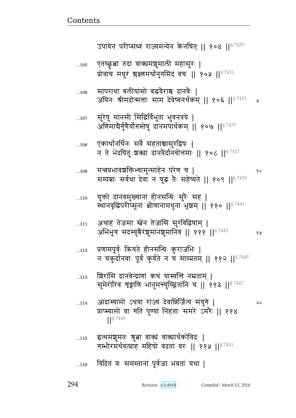- विदितं वः समस्तानां पूर्वजा भवतां यथा |  $...116$
- इत्थमंशुमतः श्रुत्ना वाक्यं वाक्यार्थकोविदः |  $...115$ गम्भीरमर्थवत्प्राह महिषो वदतां वरः || ११५ || $^{8\,7451}$
- आदास्यामो ऽथवा राज्यं देवान्निर्जित्य संयुगे |  $...114$ प्राप्स्यामो वा गतिं पुण्यां निहताः समरे ऽमरैः || ११४  $\left| \right|^{57449}$
- शिरांसि दानवेन्द्राणां कथं यास्यन्ति नम्रताम् |  $...113$ सुमेरोरिव शृङ्गाणि भानुमन्त्युच्छ्रितानि च || ११३ ||<sup>§ 7447</sup>
- प्रणामपूर्वः क्रियते हीनसन्धिः कुराजभिः |  $...112$ न चकुर्दानवाः पूर्वं कुर्वते न च साम्प्रतम् || ११२ ||<sup>§ 7445</sup>
- अथाह तेजसा स्नेन तेजांसि सुरविद्विषाम् |  $...111$ अभिभूय सदस्युचैरंशुमानंशुमानिव || १११ ||<sup>§ 7443</sup>
- युक्तो दानवमुख्यानां हीनसन्धिः सुरैः सह |  $...110$ स्थानवृद्धिपरीप्सूनां क्षीणानामधुना भृषाम् || ११० || 37441
- मन्नप्रभावशक्तिभ्यामुत्साहेन परेण च |  $...109$ सम्पन्नाः सर्वथा देवा न युद्धं तैः सहेष्यते || १०९ ||<sup>§ 7439</sup>
- एकार्थानर्थिनः सर्वे संहताश्चासुरद्विषः |  $...108$ न ते भेदयितुं शक्या दानवैर्दानवोत्तमाः || १०८ ||  $57437$
- सुरेषु मानसी सिद्धिर्विभुता भुवनत्रये |  $...107$ अणिमाद्यैर्गुणैर्योगस्तेषु दानमपार्थकम् ॥ १०७ ॥  $8^{7435}$
- सापराधा बलीयांसो बद्धवेराश्च दानवैः |  $...106$ जयिनः श्रीमदोन्मत्ताः साम देवेष्वनर्थकम् ॥ १०६ ॥ 87433 ¥
- एतच्छूबा तदा वाक्यमंशुमाली महासुरः |  $\dots105$ प्रोवाच मधुरं श्लक्ष्णमर्थानुगमिदं वचः || १०५ ||  $5^{7431}$

उपायेन परीप्सध्वं राज्यमन्येन केनचित् || १०४ || 87429

१५

२०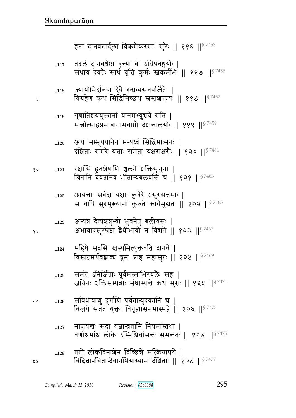| १० | 121         | रक्षांसि हुतशेषाणि चुलने शक्तिसूनुना  <br>श्रितानि देवतानेव भीतान्यबलवन्ति च   १२१    <sup>§ 7463</sup>                  |
|----|-------------|--------------------------------------------------------------------------------------------------------------------------|
|    | 122         | आयत्ताः सर्वदा यक्षाः कुबेरे ऽसुरसत्तमाः  <br>स चापि सुरमुख्यानां कुरुते कार्यमुबतः    १२२    <sup>§ 7465</sup>          |
| १५ | $\dots 123$ | अन्यत्र दैत्यशत्रुभ्यो भुवनेषु बलीयसः  <br>अभावादसुरश्रेष्ठा द्वैधीभावो न विद्यते    १२३    $^{\S\,7467}$                |
|    | 124         | महिषे सदसि स्नर्स्थमित्युक्तवति दानवे  <br>विस्पष्टमर्थवद्वाक्यं द्रुमः प्राह महासुरः ॥ १२४ ॥ $^{\mathrm{S}\,7469}$      |
|    | 125         | समरे ऽनिर्जिताः पूर्वमस्माभिरबलैः सह  <br>जयिनः शक्तिसम्पन्नाः संधास्यन्ते कथं सुराः ॥ १२५ ॥ $^{\$7471}$                 |
| २० | 126         | संविधायाशु दुर्गाणि पर्वतान्युदकानि च  <br>विजये सततं युक्ता विगृह्यासनमास्महे    १२६    $^{\S\,7473}$                   |
|    | 127         | नाञ्चयत्तः सदा यज्ञान्त्रतानि नियमांस्तथा  <br>वर्णाश्रमांश्च लोके ऽस्मिञ्जिघांसत्तः समन्ततः    १२७    <sup>§ 7475</sup> |
| २५ | 128         | ततो लोकविनाश्चेन विच्छिन्ने सत्क्रियापथे  <br>विदित्नापचितान्देवानभियास्याम दंशिताः    १२८    <sup>§ 7477</sup>          |
|    |             |                                                                                                                          |

- अथ सम्भूययानेन मन्यध्वं सिद्धिमात्मनः |  $\dots120$  $\vec{z}$ श्रिताः समरे यत्ताः समेता यक्षगक्षमैः ॥ १२० ॥ $87461$
- गुणातिश्चययुक्तानां यानमभ्युचये सति |  $...119$ मन्त्रोत्साहप्रभावानामवाप्तो देशकालयोः || ११९ ||<sup>§ 7459</sup>
- ज्यायोभिर्दानवा देवे रन्ध्रव्यसनवर्जितैः |  $...118$ विग्रहेण कथं सिद्धिमिच्छथ स्रस्तशक्तयः || ११८ ||<sup>§ 7457</sup>

प्र

तदलं दानवश्रेष्ठा वृत्त्या वो ऽग्निपतङ्गयोः |<br>संधाय देवतैः सार्धं वृत्तिं कुर्मः स्त्वकर्मभिः || ११७ ||<sup>§ 7455</sup>  $...117$ 

हता दानवशार्दूला विक्रमैकरसाः सुरैः || ११६ ||<sup>§ 7453</sup>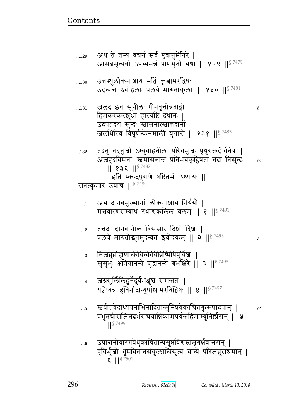Ã

Ã

|   | प्रभूतचीराजिनदर्भसचयान्निकामपर्यन्तर्हिमाम्बुनिर्झरान्    ५<br><b>S</b> 7499                                                                                   |
|---|----------------------------------------------------------------------------------------------------------------------------------------------------------------|
| 6 | उपान्तनीवारगवेधुकाचितान्प्रसुप्तविश्वस्तमृगर्क्षवानरान्  <br>हविर्भुजो धूमवितानसंकुलान्विसृत्य चान्ये परिजघूराश्रमान्   <br>$\binom{5}{1}$   $\binom{5}{7501}$ |

|        | यज्ञष्वन्न हावनादान्यूपाश्चामरावाद्वषः    ४   ९ <sup>7497</sup> |
|--------|-----------------------------------------------------------------|
| $.5\,$ | ऱ्ह्यधीतवेदाध्ययनाभिनादितान्मुनिप्रवेकाचितगुल्मपादपान्          |

- जग्रसुर्लिलिहुर्नेदुर्बभञ्जूश्च समन्ततः |  $\dots 4$
- निजप्नुर्बाह्मणान्केचित्केचिन्निष्पिपिषुर्विशः |  $\ldots$ 3 सुसुभुः क्षत्रियानन्ये शूद्रानन्ये बभाँक्षेरे || ३ ||<sup>§ 7495</sup>
- तत्तदा दानवानीकं विससार दिश्चो दिशः |  $\ldots 2$ प्रलये मारुतोद्धृतमुदन्वत इवोदकम् ॥ २ ॥ 87493
- अथ दानवमुख्यानां लोकनाशाय निर्ययौ |  $\dots$ 1 मत्तवारणसम्बाधं रथाश्वकलिलं बलम् || १ || 97491
- जलधिरिव विघूर्णन्फेनमाली युगान्ते || १३१ ||<sup>§ 7485</sup> तदनु तदनुजो ऽम्बुवाहनीलः परिघभुजः पृथुरक्तदीर्घनेत्रः |  $\dots132$ अजहदविमनाः स्तमासनान्तं प्रतिभयकृद्विषतां तदा निसुन्दः  $80$  $|| 832 ||$ <sup>§7487</sup> इति स्कन्दपुराणे षष्टितमो ऽध्यायः || सनत्कुमार उवाच | §7489
- जलद इव सुनीलः पीनवृत्तोन्नताङ्गो  $...131$ हिमकरकरशुभ्रां हारयष्टिं दधानः उदपतदथ सुन्दः स्नासनात्स्नात्तदानीं
- उत्तस्थुर्लोकनाशाय मतिं कृत्नामरद्विषः |  $\dots130$ उदन्वन्त इवोद्वेलाः प्रलये मारुताकुलाः || १३० ||<sup>§ 7481</sup>
- अथ ते तस्य वचनं सर्व एवानुमेनिरे |  $...129$ आसन्नमृत्यवो ऽपथ्यमन्नं प्राणभृतो यथा || १२९ ||<sup>§ 7479</sup>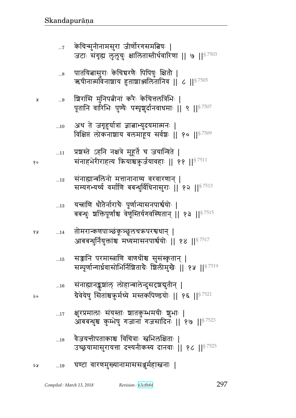| ১১ | $\dots 19$ | घण्टा वारणमुख्यानामाससञ्जुर्महास्त्रनाः |  |
|----|------------|-----------------------------------------|--|

- वैजयन्तीपताकाश्च विचित्राः स्त्वभिलक्षिताः |  $...18$ उच्छ्रयामासुरायत्ता दन्त्यनीकस्य दानवाः ॥ १८ ॥  $8^{7525}$
- क्षुरप्रमालाः संयस्ताः शातकुम्भमयीः शुभाः |  $\dots17$ आववन्धुश्च कुम्भेषु गजानां गजसादिनः || १७ || 87523
- संनाह्यानङ्कुशांल् लोहान्बालेन्दुसदृशयुतीन् |  $\ldots 16$ ग्रेवेयेषु सितांश्चऋर्मध्ये मस्तकपिण्डयोः || १६ || $^{\mathrm{S}\,7521}$
- सञ्जानि परमास्त्राणि बाणधीश्च सुसंस्कृतान् |  $\dots15$ सम्पूर्णान्गार्धवासोभिर्निशिताग्रैः शिलीमुखैः || १५ ||<sup>§ 7519</sup>
- तोमरान्कणपाञ्छंकूञ्छूलचऋपरश्वधान् |  $...14$ आबबन्धुर्नियुक्तांश्च मध्यमासनपार्श्वयोः || १४ ||<sup>§ 7517</sup>
- यच्नाणि धौतेर्नाराचैः पूर्णान्यासनपार्श्वयोः |  $...13$ बबन्धुः शक्तिपूर्णाश्च वेणूंस्तिर्यगवस्थितान् || १३ ||<sup>§ 7515</sup>
- संनाह्यान्बलिनो मत्तानानाय्य वरवारणान् |  $\ldots 12$ सम्यगभ्यर्ष्य वर्माणि बबन्धुर्विधिनासुराः | १२ || 87513
- प्रशस्ते ऽहनि नक्षत्रे मुहूर्ते च जयान्विते |  $\ldots\!11$ संनाहभेरीराहत्य क्रियाश्चक़ुर्जयावहाः ॥ ११ ॥ 8 7511
- अथ ते जगृहुर्यात्रां ज्ञात्नाभ्युदयमात्मनः |  $...10$ विक्षिप्तं लोकनाशाय बलमाहूय सर्वश्चः || १० || $^{\$7509}$
- शिरांसि मुनिपत्नीनां करैः केचित्तलत्रिभिः | ...9 पूतानि वारिभिः पुण्यैः पस्पृशुर्दानवाधमाः ॥ ९ ॥  $^8$   $^{7507}$
- पातयित्नासुराः केचिचरणैः पिपिषुः क्षितौ |  $...8$ ऋषीनात्मविनाशाय हुताशाञ्जलितानिव || ८ ||<sup>§ 7505</sup>
- केचिन्मुनीनामसुरा जीर्णोरगसमत्विषः |  $\dots 7$ जटाः संगृह्य लुलुचुः क्षालितास्तीर्थवारिणा || ७ ||<sup>§ 7503</sup>

 $90$ 

१५

 $\mathsf{Q}$ 

Å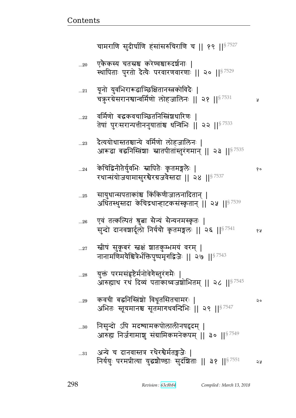चामराणि सुदीर्घाणि हंसांसरुचिराणि च || १९ || $8^{7527}$ ... $_{20}$  एकैकस्य चतस्रश्च करेण्वश्चारुदर्शनाः | स्थापिताः पुरतो देत्यैः परवारणवारणाः || २० ||<sup>§ 7529</sup>  $_{\rm ...21}$   $\quad$  यूनो युवभिरारूढाञ्छिक्षितानस्त्रकोविदैः | b¾4 ^¸F~^dౝɄ{x@\_/ e/aed1 ᅖᅖ 
 ᅖᅖ§ 7531  $_{\rm ...22}$   $\;$  वर्मिणो बद्धकवचाञ्छितनिस्त्रिंशधारिणः | तेषां पुरःसरान्पत्तीननुयातांश्च धन्विभिः || २२ || ${}^{87533}$ ...23 देत्ययोधास्ततश्चान्ये वर्मिणो लोहजालिनः | आरूढा बद्घनिस्त्रिंशाः स्नातपीतांस्तुरंगमान् || २३ || $^{\S\,7535}$ ...24 fF bजd&pGy4@{w1 tpG1 f6 pxeG 1 ᅖ  रथान्संयोजयामासुरश्वेरग्रजवेस्तदा || २४ ||  $^{87537}$ ...25 सायुधान्सपताकांश्च किंकिणीजालनादितान् | अधितस्थुस्तदा केचिद्रथान्हाटकसंस्कृतान् || २५ ||  $s^{7539}$ ...26 एवं तत्कल्पितं श्रुत्वा सैन्यं सैन्यनमस्कृतः | ~4Ʉr/ rd{|r@e/ dy@y0 f6 pxe1 ᅖᅖ 
 ᅖᅖ 5 § 7541  ...27 स्त्रीपं सुकूबरं स्त्रक्षं शातकुम्भमयं वरम् | नानामणिमयैश्वित्रैर्भक्तिपुष्पमृगद्विजैः || २७ ||<sup>§ 7543</sup> ...28 युक्तं परमसंहृष्टैर्मनोवेगेस्तुरंगमैः | आरुह्याथ रथं दिव्यं पताकाध्वजशोभितम् || २८ || $^{\$7545}$ ...29 f{b& vd%ɕB|/ {s5p!~pbx^1 ᅖ अभितः स्तूयमानश्च सूतमागधवन्दिभिः ॥ २९ ॥ $^{\$7547}$ ... $\frac{1}{30}$  निसुन्दो ऽपि मदश्यामकपोलालीनषद्दम् | आरुह्य निर्जगामाशु संग्रामिकमनेकपम् || ३० ||  $87549$ ... $_{31}$   $\,$  अन्ये च दानवास्तत्र रथैरश्वैर्मतङ्गजैः । निर्ययुः परमप्रीत्या युद्धश्रौण्डाः सुदंशिताः || ३१ ||<sup>§ 7551</sup> २५

<u>Contents and Contents are the contents of the contents of the contents of the contents of the contents of the contents of the contents of the contents of the contents of the contents of the contents of the contents of the</u>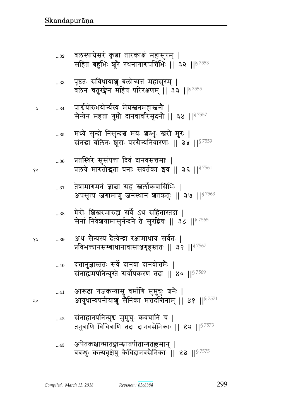...43 LtFpfxpɄpt&pɄ`p߆xd> ᅖ vv̺s41 fɅt{6F}4 fF bڪd{~Gdf1 ᅖᅖ ᅖᅖ§ 7575

...42 ~BddtdɄy4ு x4x4b41 f{bd b ᅖ pd4È\_ {bÈ\_ pr rd{~Gdf1 ᅖᅖ 
 ᅖᅖ§ 7573

...41 M؈o `afɄy~4 {x@\_ x4x4b41 |dG1 ᅖ My4sɄytd&y|4 ~Gdf xீr"ഒdx> ᅖᅖ  ᅖᅖ§ 7571

...40 rீd4ɕpp1 ~{F@ rd{ rd{/ீxG1 ᅖ ~BdഎxtdɄy4ɕpF ~{/@tf^\_B pr ᅖᅖ ᅖᅖ§ 7569

 ...39 Lq ~GɄy״y rGɊyFɄÊ ^xsy ~{@p1 ᅖ Ì{w୯d~ɑvsd{~ૹ`6ؙɕpp1 ᅖᅖ ᅖᅖ§ 7567

...38 xF^/1 |g^x؇എ ~{F@ q ~pɕpr ᅖ ~FdB d{F|yx~4d@ɄrdF pF ~4^ज}1 ᅖᅖ ᅖᅖ§ 7565

...37 pF}x`xdB ଉ ~ ໎e/@f{!~w1 ᅖ Lt~:Ɋy a`x|4 ad͋qdB |p¾p41 ᅖᅖ ᅖᅖ§ 7563

...36 Ìp%͋q^F ~4~Byீ r{B rd{~ீx1 ᅖ  ÌeyF x؇p/p hd1 ~B{p@f N{ ᅖᅖ ᅖᅖ 5 § 7561

...35 xզyF ~4Ʉr/ d~4Ʉrு xy1 |Ԫw41 g^/ x4^1 ᅖ ~Bd ved1 |5^1 t^~GɄyd{^\_1 ᅖᅖ ᅖᅖ§ 7559

 ...34 tౝ@y/؇wy/Ʉy@״y xFh໎dx໎d0 ᅖ ~GɄyFd xp `4ब0 rd{{^~5rd0 ᅖᅖ ᅖᅖ§ 7557

...33 t6हp1 ~B{sy|4 ve/xீB x~4^x> ᅖ veFd bp4^Fd x}B t^^\_x> ᅖᅖ ᅖᅖ§ 7555

...32 ve״y¸F~^B f6 ଉ p^fB x~4^x> ᅖ ~pB vؙw1 |5^G ^qd`ౝtீw1 ᅖᅖ 
 ᅖᅖ§ 7553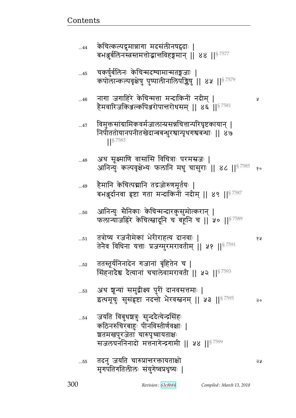| $45$       | चकर्षुर्बलिनः केचिन्मदश्यामान्मतङ्गजाः  <br>कपोलान्कल्पवृक्षेषु पुष्पालीनालिपङ्किषु ।। ४५ ।। $87579$                                                             |      |
|------------|------------------------------------------------------------------------------------------------------------------------------------------------------------------|------|
| $46$       | नागा जगाहिरे केचिन्मत्ता मन्दाकिनीं नदीम्  <br>हैमवारिजकिञ्जल्कपिञ्जरोपान्तरोधसम् ॥ ४६ ॥ $^{\$7581}$                                                             | A    |
| $\dots 47$ | विमुक्तसांग्रामिकवर्मजालान्प्रसन्नचित्तान्परिघृष्टकायान् ।<br>निपीततोयानपनीतखेदान्बबन्धुरश्चान्पृथगश्चबन्धाः    ४७<br>$1$ <sup>S</sup> 7583                      |      |
| 48         | अथ सूक्ष्माणि वासांसि विचित्राः परमस्रजः  <br>आनिन्युः कल्पवृक्षेभ्यः फलानि मधु चासुराः    ४८    <sup>§ 7585</sup> १०                                            |      |
| $49$       | ्हैमानि केचित्पद्मानि तद्रजोरुणमूर्तयः  <br>बभञ्जूर्दानवा हृष्टा गता मन्दाकिनीं नदीम्    ४९    <sup>§ 7587</sup>                                                 |      |
| 50         | आनिन्युः सैनिकाः केचिन्मन्दारकुसुमोत्करान्  <br>फलान्याजहिरे केचित्स्नादूनि च <sup>ं</sup> बहूनि च    ५०    <sup>§ 7589</sup>                                    |      |
| 51         | तत्रोष्य रजनीमेकां भेरीराहत्य दानवाः  <br>तेनैव विधिना यत्ताः प्रजग्मुरमरावतीम्    ५१    $^{87591}$                                                              | १५   |
| 52         | ततस्तूर्यनिनादेन गजानां बृहितेन च  <br>सिंहनादेेश्च देत्यानां चचालेवामरावती    ५२    <sup>§ 7593</sup>                                                           |      |
| $\dots53$  | अथ शून्यां समुद्रीक्ष्य पुरीं दानवसत्तमाः  <br>इत्थमूचुः सुसंहष्टा नदन्तो भैरवस्तनम्    ५३    <sup>§ 7595</sup>                                                  | २०   |
| $\dots54$  | जयति विबुधशत्रुः सुन्ददैत्येन्द्रसिंहः<br>कठिनरुचिरबाहुः पीनविस्तीर्णवक्षाः  <br>श्वतमखपुरजेता चारुपृथ्वायताक्षः<br>सजलघननिनादो मत्तनागेन्द्रगामी    ५४    57599 |      |
| 55         | तदनु जयति चारुप्रान्तरक्तायताक्षो<br>मृगपतिगतिलीलः संयुगेष्वप्रधृष्यः                                                                                            | ನಿಗಿ |

Revision: 63c8b84

Compiled: March 13, 2018

केचित्कल्पद्रुमान्नागा मदसंलीनषद्ववाः |<br>बभञ्जुर्बलिनस्त्रस्तमत्तोद्भान्तविहङ्गमान् || ४४ ||<sup>§ 7577</sup>

 $\ldots$ 44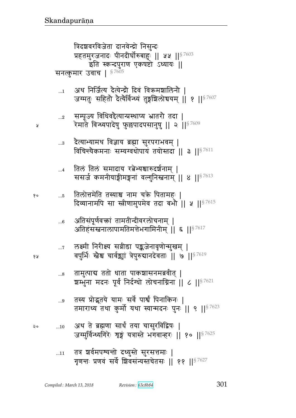$...11$ 

अथ ते ब्रह्मणा सार्थं तया चासुरविद्विषः |  $...10$ जग्मुर्विन्ध्यगिरेः शृङ्गं यत्रास्ते भगवान्हरः || १० ||§ 7625

तत्र शर्वमपश्यन्तो दध्युस्ते सुरसत्तमाः |

- तस्य प्रोद्भूतये यामः सर्वे पार्श्वं पिनाकिनः |  $...9$ तमाराध्य तथा कुर्मो यथा स्यान्मदनः पुनः || ९ || 97623
- तामुत्पाद्य ततो धाता पाकशासनमब्रवीत् ।  $...8$ ष्ठाम्भुना मदनः पूर्वं निर्दग्धो लोचनाग्निना || ८ || $^{\textrm{S}~7621}$
- लक्ष्मी निरीक्ष्य सव्रीडा पङ्कजेनावृणोन्मुखम् |  $\dots 7$ वपुर्भिः स्त्रेश्च चार्वञ्जां त्रेपुरुद्यानदेवताः || ७ ||<sup>§ 7619</sup>
- अतिसंपूर्णवक्तां तामतीन्दीवरलोचनाम् ।  $...6$ अतिहंसस्तनालापामतिमत्तेभगामिनीम् ॥ ६ ॥ $^{\$7617}$
- तिलोत्तमेति तस्याश्च नाम चक्रे पितामहः | १०  $\dots5$ दिव्यानामपि सा स्त्रीणामुपमेव तदा बभौ || ५ || 97615
- तिलं तिलं समादाय रत्नेभ्यश्चारुदर्शनाम् |  $\dots$ 4 ससर्ज कमनीयाङ्गीमङ्गनां वल्गुनिस्तनाम् || ४ ||<sup>§ 7613</sup>
- दैत्याभ्यामथ विज्ञाय ब्रह्मा सुरपराभवम् |  $...3$ विचिन्त्यैकमनाः सम्यग्वधोपायं तयोस्तदा || ३ || $^{87611}$
- सम्पूज्य विधिवद्दैत्यान्प्रस्थाप्य भ्रातरौ तदा |  $\ldots 2$ रेमाते विन्ध्यपादेषु फुल्लपादपसानुषु || २ || ९ /१
- अथ निर्जित्य दैत्येन्द्रौ दिवं विक्रमशालिनौ ।  $\dots$ 1 जग्मतुः सहितौ दैत्यैर्विन्ध्यं तुङ्गशिलोचयम् ॥ १ ॥<sup>§ 7607</sup>

त्रिदशवरविजेता दानवेन्द्रो निसुन्दः प्रहतमुरजनादः पीनदीर्घोरुबाहुः || ५५ ||<sup>§ 7603</sup> इति स्कन्दपुराण एकषष्टो ऽध्यायः || सनत्कुमार उवाच | §7605

१५

 $\mathsf{Q} \circ$ 

Ã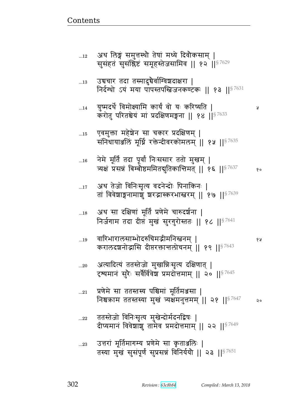| $\dots 23$ | उत्तरां मूर्तिमागम्य प्रणेमे सा कृताञ्जलिः                                |  |
|------------|---------------------------------------------------------------------------|--|
|            |                                                                           |  |
|            | तस्या मुखं सुसंपूर्णं सुप्रसन्नं विनिर्ययो    २३    $^{\mathrm{S}\,7651}$ |  |

...22 ततस्तेजो विनिःसृत्य मुखेन्दोर्मदनद्विषः |

दीप्यमानं विवेशाशु तामेव प्रमदोत्तमाम् || २२ || $8\,7649$ 

- ...21 प्रणेमे सा ततस्तस्य पश्चिमां मूर्तिमञ्जसा | निश्चक्राम ततस्तस्या मुखं व्यक्षमनुत्तमम् || २१ ||  $^{87647}$  २०
- ...20 अत्यादित्यं ततस्तेजो मुखान्निःसृत्य दक्षिणात् | टृश्यमानं सुरैः सर्वैर्विवेश प्रमदोत्तमाम् ॥ २० ॥ $8^{7645}$
- ..<u>.1</u>9 वारिभारालसाम्भोदरुचिमद्भीमनिस्त्वनम् | करालदशनोद्गासि दीप्तरक्तान्तलोचनम् || १९ ||  $87643$
- ...18 अथ सा दक्षिणां मूर्तिं प्रणेमे चारुदर्शना | निर्जगाम तदा दीप्त मुख सुरगुरोस्ततः || १८ || $^{8\,7641}$
- ...17 अथ तेजो विनिःसृत्य वदनेन्दोः पिनाकिनः | तां विवेशाङ्गनामाशु शरद्भास्करभास्त्ररम् || १७ || $^{\$7639}$
- ... $\scriptstyle\rm 16$   $\,$  नेमे मूर्तिं तदा पूर्वां निःससार ततो मुखम् | त्र्यक्षं प्रसन्नं बिम्बौष्ठममितद्गुतिकान्तिमत् || १६ || ${}^{87637}$  %
- ...15 एवमुक्ता महेञ्चेन सा चकार प्रदक्षिणम् | संनिधायाञ्जलिं मूर्धि रक्तेन्दीवरकोमलम् || १५ ||  $8\%$ 7635
- ...14 y4ɔxrqF@ {x/ɗyx fyئ} / y1 f^ɔyp ᅖ करोतु परितश्चेयं मां प्रदक्षिणमङ्गना || १४ ||  $$^{7633}$
- $_{\rm ...13}$   $\,$  उचचार तदा तस्मादुचैर्वाग्विञ्चदाक्षरा | निर्दग्धो ऽयं मया पापस्तपस्त्रिजनकण्टकः || १३ ||  $87631$
- ...12 अथ लिङ्गं समुत्तस्थौ तेषां मध्ये दिवौकसाम् | सुसंहतं सुसंश्लिष्टं समूहस्तेजसामिव || १२ ||<sup>§ 7629</sup>

<u>Contents and Contents are the contents of the contents of the contents of the contents of the contents of the contents of the contents of the contents of the contents of the contents of the contents of the contents of the</u>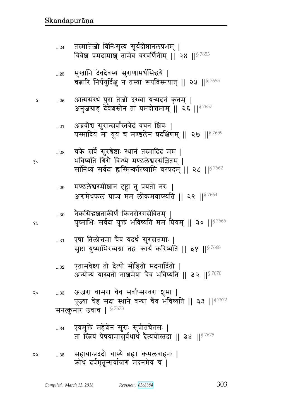<u>20 ...33 अजरा चामरा चैव सर्वाप्सरवरा शुभा |</u>

... $^{\rm 34}$  एवमुक्ते महेञ्चेन सुराः सुप्रीतचेतसः | तां स्त्रियं प्रेषयामासूर्वधार्थं दैत्ययोस्तदा || ३४ ||  $87675$ 

पूज्या चेह सदा स्थाने वन्या चैव भविष्यति || ३३ || $^{87672}$ सनत्कुमार उवाच |  $$^{7673}$ 

- ... $_{32}$  एतामवेक्ष्य तो दैत्यो मोहितो मदनार्दितो | अन्योन्यं यास्यतो नाशमेषां चैव भविष्यति || ३२ || $87670$
- $_{\rm ...31}$   $\,$  एषा तिलोत्तमा चैव यदर्थं सुरसत्तमाः | सृष्टा युष्माभिरव्यग्रा तद्वः कार्यं करिष्यति || ३१ ||  $87668$
- ... $_{\rm 0}$  वेकसिद्धञ्चताकीर्णं किंनरोरगसेवितम १४ युष्माभिः सर्वदा युक्तं भविष्यति ममं प्रियम् || ३० ||<sup>§ 7666</sup>
- ...<sub>29</sub> मण्डलेश्वरमीञ्चानं दृष्ट्वा तु प्रयतो नरः | अश्वमेधफलं प्राप्य मम लोकमवाप्स्यति ।। २९  $1 \frac{87664}{37664}$
- ...28 चके सर्वे सुरश्रेष्ठाः स्थानं तस्मादिदं मम | १० व्याविष्यति गिरो विन्ध्ये मण्डलेश्वरसंज्ञितम् | सांनिध्यं सर्वदा ह्यस्मिन्करिष्यामि वरप्रदम् || २८ ||  $$^{7662}$
- ... $\displaystyle$ 27  $\displaystyle$  अब्रवीच सुरान्सर्वांस्तत्रेदं वचनं शिवः | यस्मादियं मां यूयं च मण्डलेन प्रदक्षिणम् || २७ || $8\,7659$
- » ....26 आत्मसस्य पुरा तुजा दग्ध्वा युन्मदनं कृतम् | अनुजग्राह देवेश्वस्तेन तां प्रमदोत्तमाम् || २६ ||<sup>§ 7657</sup>
- ...25 मुखानि देवदेवस्य सुराणामर्थसिद्धये | चबारि निर्ययुर्दिक्षु न तस्या रूपविस्मयात् || २५ ||<sup>§ 7655</sup>
- ...24 तस्मात्तेजो विनिःसृत्य सूर्यदीप्तानलप्रभम् | विवेश प्रमदामाश्च तामेव वरवर्णिनीम् ॥ २४ ॥  $^{\$7653}$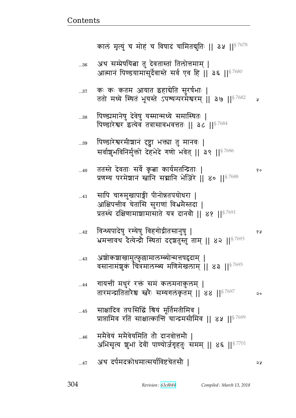|             | कालं मृत्युं च मोहं च विषादं चामितद्गुतिः    ३५    <sup>§ 7678</sup>                                                                                         |    |
|-------------|--------------------------------------------------------------------------------------------------------------------------------------------------------------|----|
| $\dots\!36$ | अथ सम्प्रेषयित्ना तु देवतास्तां तिलोत्तमाम्  <br>आत्मानं पिण्डयामासुर्देवास्ते सर्व एव हि    ३६    <sup>§ 7680</sup>                                         |    |
| $\dots37$   | कः कः कतम आयात इहाबेति सुरर्षभाः  <br>ततो मध्ये स्थितं भूयस्ते ऽपश्यन्परमेश्वरम्    ३७    $^{\$7682}$                                                        | A  |
| 38          | पिण्ड्यमानेषु देवेषु यस्मान्मध्ये समास्थितः<br>पिण्डारेश्वर इत्येव तत्रासावभवत्ततः    ३८    <sup>§ 7684</sup>                                                |    |
| 39          | पिण्डारेश्वरमीशानं दृष्ट्वा भक्त्या तु मानवः  <br>सर्वाशुभविनिर्मुक्तो देहभेदे गणो भवेत्    ३९    <sup>§ 7686</sup>                                          |    |
| 40          | ततस्ते देवताः सर्वे कृत्वा कार्यमतन्द्रिताः  <br>प्रणम्य परमेशानं स्त्रानि सद्मानि भेजिरे ॥ ४० ॥ <sup>§ 7688</sup>                                           | १० |
| $\dots 41$  | सापि चारुमुखापाङ्गी पीनोन्नतपयोधरा  <br>आक्षिपन्तीव चेतांसि सुराणां विभ्रमैस्तदा  <br>प्रतस्थे दक्षिणामाञ्चामासाते यत्र दानवौ    ४१    $^{\mathrm{S}\,7691}$ |    |
| $\dots 42$  | विन्ध्यपादेषु रम्येषु विहगोद्गीतसानुषु  <br>भ्रमत्तावथ देत्येन्द्रौ स्थितां ददृशतुस्तुं ताम्    ४२    37693                                                  | 68 |
| 43          | अशोकशाखामुत्फुल्लामालम्ब्योन्मत्तपद्वदाम् ।<br>वसानामंशुकं चित्रमालम्ब्य मणिमेखलाम्    ४३    <sup>§ 7695</sup>                                               |    |
| $\ldots$ 44 | गायन्तीं मधुरं रक्तं समं कलमनाकुलम्  <br>तारमन्द्रातितारेश्च स्त्रेः सम्यगलंकृतम्    ४४    87697                                                             | २० |
| 45          | साक्षादिव तपःसिद्धिं श्रियं मूर्तिमतीमिव  <br>प्राप्तामिव रतिं साक्षात्कान्तिं चान्द्रमसीमिव    ४५    <sup>§ 7699</sup>                                      |    |
| 46          | ममैवेयं ममैवेयमिति तो दानवोत्तमौ  <br>अभिसृत्य शुभां देवीं पाण्योर्जगृहतुः समम्    ४६    $^{87701}$                                                          |    |
| 47          | अथ दर्पमदक्रोधमात्सर्याविष्टचेतसौ                                                                                                                            | ২५ |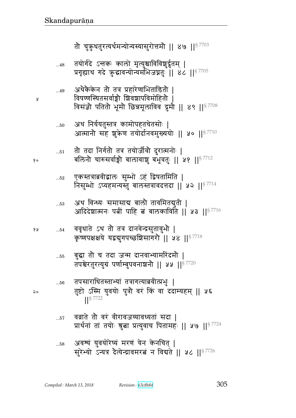$\overline{1}$ 

 $\mathbf{A}$ 

१०

१५

 $\mathsf{Q}\circ$ 

तौ चुक़ुधतुरत्यर्थमन्योन्यस्यासुरोत्तमौ || ४७ ||  $s^{7703}$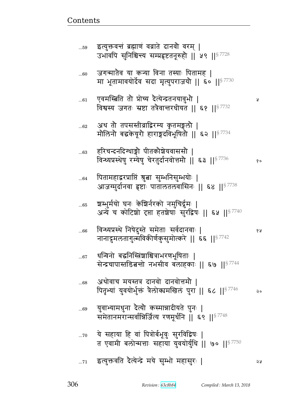| $60$   | जगन्मातैव या कन्या विना तस्याः पितामह  <br>मा भूतामावयोर्देव सदा मृत्युपराजयौ    ६०    87730                          |    |
|--------|-----------------------------------------------------------------------------------------------------------------------|----|
| 61     | एवमस्त्रिति तौ प्रोच्य दैत्येन्द्रतनयावुभौ  <br>विश्वस्य जगतः स्रष्टा तत्रैवान्तरधीयत    ६१    <sup>§ 7732</sup>      | A. |
| $62\,$ | अथ तो तपसस्तीव्राद्विरम्य कृतमङ्गलौ  <br>मोलिनो बद्धकेयूरो हाराङ्गदविभूषितो    ६२    $^{87734}$                       |    |
| 63     | हरिचन्दनदिग्धाङ्गौ पीतकौञ्चेयवाससौ  <br>विन्ध्यप्रस्थेषु रम्येषु चेरतुर्दानवोत्तमौ   ६३    87736                      | १० |
| $64$   | पितामहाद्वरप्राप्तिं श्रुत्ना सुम्भनिसुम्भयोः  <br>आजग्मुर्दानवा हृष्टाः पातालतलवासिनः    ६४    $^{\mathrm{S}\,7738}$ |    |
| $65$   | श्वम्भुर्मयो घनः केशिर्नरको नमुचिर्द्रमः  <br>अन्ये च कोटिशो दृप्ता हतशेषाः सुरद्विषः    ६५    <sup>§ 7740</sup>      |    |
| $66$   | विन्ध्यप्रस्थे निषेदुस्ते समेताः सर्वदानवाः  <br>नानादुमलतागुल्मविकीर्णकुसुमोत्करे    ६६    <sup>§ 7742</sup>         | १५ |
| $67$   | धन्विनो बद्घनिस्त्रिंशाश्चित्राभरणभूषिताः  <br>सेन्द्रचापास्तडित नो नभसीव बलाहकाः    ६७    <sup>§ 7744</sup>          |    |
| 68     | अथोवाच मयस्तत्र दानवो दानवोत्तमौ  <br>पितृभ्यां युवयोर्भुक्तं त्रैलोक्यमखिलं पुरा    ६८    <sup>§ 7746</sup>          | २० |
| $69$   | युवाभ्यामधुना दैत्यौ कस्मान्नादीयते पुनः  <br>समेतानमरान्सर्वान्निर्जित्य रणमूर्धनि    ६९    <sup>§ 7748</sup>        |    |
| 70     | ये सहाया हि वां पित्रोर्बभूवुः सुरविद्विषः<br>त एवामी बलोन्मत्ताः सहाया युवयोर्युधि    ७०    $^{\$7750}$              |    |
| 71     | इत्युक्तवति दैत्येन्द्रे मये सुम्भो महासुरः                                                                           | ১ম |

इत्युक्तवन्तं ब्रह्माणं वव्राते दानवो वरम् |<br>उभावपि सुनिश्चिन्त्य सम्प्रहृष्टतनूरुहो || ५९ ||<sup>§ 7728</sup>

 $...59$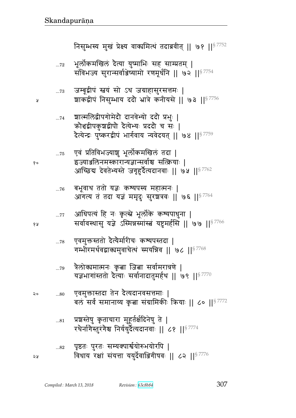प्रश्नस्तेषु कृताचारा मुहूर्तर्क्षदिनेषु ते |  $\ldots81$ रथेर्नागेस्तुरंगेश्च निर्ययुर्देत्यदानवाः || ८१ ||  $^{87774}$ पृष्ठतः पुरतः सम्यक्पार्श्वयोरुभयोरपि |  $\dots82$ विधाय रक्षां संयत्ता ययुर्देवाञ्जिगीषवः || ८२ ||§ 7776 ২५

- एवमुक्तास्तदा तेन दैत्यदानवसत्तमाः |  $...80$ बलं सर्वं समानाय्य कृता संग्रामिकीः क्रियाः || ८० ||<sup>§ 7772</sup>
- त्रैलोक्यमात्मनः कृत्ना जित्ना सर्वामरात्रणे |  $\dots79$ यज्ञभागांस्ततो दैत्याः सर्वानादातुमर्हथ || ७९ ||<sup>§ 7770</sup>
- एवमुक्तस्ततो दैत्यैर्मारीचः कश्यपस्तदा |  $...78$ गम्भीरमर्थवद्वाक्यमुवाचेत्थं स्मयन्निव || ७८ ||  $57768$
- आधिपत्यं हि नः कृत्स्ने भूर्लोके कश्यपाधुना |  $\dots 77$ सर्वावस्थासु यज्ञे ऽस्मिन्नस्मांस्त्रं यष्टुमर्हसि ॥ ७७ ॥ ९ ७७
- बभूवाथ ततो यज्ञः कश्यपस्य महात्मनः |  $...76$ आगत्य तं तदा यज्ञं ममृदुः सुरशत्रवः || ७६ || 37764
- एवं प्रतिविभज्याशु भूर्लोकमखिलं तदा |  $\dots75$ इज्याञ्जलिनमस्कारान्यज्ञान्सर्वाश्च सत्क्रियाः | आच्छिद्य देवतेभ्यस्ते जगृहुर्दैत्यदानवाः || ७५ || 87762
- शाल्मलिद्वीपगोमेदौ दानवेभ्यो ददौ प्रभुः |  $...74$ क्रोशद्वीपकुशद्वीपौ दैत्येभ्यः प्रददौ च सः | दैत्येन्द्रः पुष्करद्वीपं भार्गवाय न्यवेदयत् || ७४ || $^{\mathrm{g}\,7759}$
- जम्बूद्वीपं स्तयं सो ऽथ जग्राहासुरसत्तमः |  $\dots73$ शाकद्वीपं निसुम्भाय ददौ भ्रात्रे कनीयसे || ७३ ||<sup>§ 7756</sup>
- भूर्लोकमखिलं दैत्या युष्माभिः सह साम्प्रतम् |  $...72\,$ संविभज्य सुरान्सर्वाञ्जेष्यामो रणमूर्धनि || ७२ ||<sup>§ 7754</sup>

निसुम्भस्य मुखं प्रेक्ष्य वाक्यमित्थं तदाब्रवीत् || ७१ ||<sup>§ 7752</sup>

१०

१५

२०

¥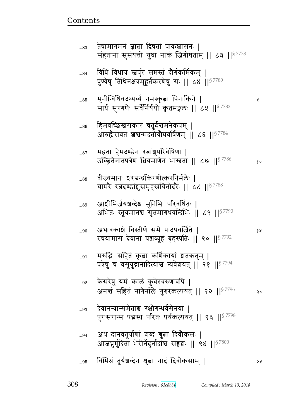| 83          | तेषामागमनं ज्ञाबा द्विषतां पाकशासनः  <br>संहतानां सुसंयत्तो युधा नाकं जिगीषताम्    ८३    <sup>§ 7778</sup>   |    |
|-------------|--------------------------------------------------------------------------------------------------------------|----|
| 84          | विधिं विधाय स्नपुरे समस्तं दौर्गकर्मिकम्  <br>पुण्येषु तिथिनक्षत्रमुहूर्तकरणेषु सः    ८४    ९७               |    |
| 85          | मुनीन्विधिवदभ्यर्च्य नमस्कृत्ना पिनाकिने  <br>सार्धं सुरगणैः सर्वैर्निर्ययो कृतमङ्गलः ॥ ८५ ॥ ९ 7782          | A  |
| $\dots86$   | हिमवच्छिखराकारं चतुर्दत्तमनेकपम्  <br>आरुह्यैरावतं  ञ्चश्वन्मदतोयोघवर्षिणम्    ८६    <sup>§ 7784</sup>       |    |
| 87          | महता हेमदण्डेन रत्नांशुपरिवेषिणा  <br>उच्छितेनातपत्रेण धियमांणेन भास्त्रता    ८७    $^{87786}$               | १० |
| 88          | वीज्यमानः श्वरचन्द्रकिरणोत्करनिर्मलैः  <br>चामरे रत्नदण्डांशुसमूहखचितोदरैः    ८८    $^{\S\,7788}$            |    |
| 89          | आशीभिर्जयश्चब्देश्च मुनिभिः परिवर्धितः  <br>अभितः स्तूयमानश्च सूतमागधवन्दिभिः    ८९    $^{\mathrm{S}\,7790}$ |    |
| 90          | अथावकाश्चे विस्तीर्णे समे पादपवर्जिते  <br>रचयामास देवानां पद्मव्यूहं बृहस्पतिः    ९०    <sup>§ 7792</sup>   | १५ |
| $\ldots 91$ | मरुद्भिः सहितं कृत्वा कर्णिकायां शतऋतुम्  <br>पत्रेषु च वसून्नुद्रानादित्यांश्च न्यवेशयत्   ९१   § 7794      |    |
| $92$        | केसरेषु यमं कालं कुबेरवरुणार्वापे  <br>अनन्तं सहितं नागैर्नाले गुरुरकल्पयत्    ९२    $^{\mathrm{S}\,7796}$   | २० |
| 93          | देवानन्यान्समेतांश्च रक्षोगन्धर्वसेनया  <br>पुरःसरान्स पद्मस्य परितः पर्यकल्पयत्    ९३    <sup>§ 7798</sup>  |    |
| 94          | अथ दानवतूर्याणां शब्दं श्रुत्ना दिवौकसः  <br>आजघुर्मुदिता भेरीर्नेदुर्नादांश्च सङ्घशः ॥ ९४ ॥ 57800           |    |
| 95          | विमिश्रं तूर्यश्चब्देन श्रुत्ना नादं दिवौकसाम्                                                               | ১ম |

<u>Contents and Contents are the contents of the contents of the contents of the contents of the contents of the contents of the contents of the contents of the contents of the contents of the contents of the contents of the</u>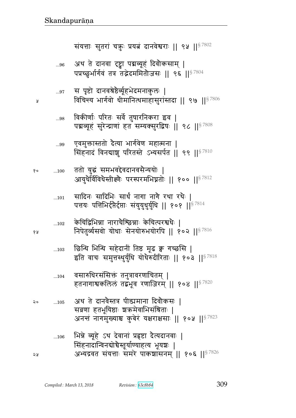| Ã     | 97  | स पृष्टो दानवश्रेष्ठैर्व्यूहभेदमनाकुलः  <br>विचिन्त्य भार्गवो धीमानित्थमाहासुरांस्तदा    ९७    $^{\$7806}$                                                         |
|-------|-----|--------------------------------------------------------------------------------------------------------------------------------------------------------------------|
|       | 98  | विकीर्णाः परितः सर्वे तुषारनिकरा इव  <br>पद्मव्यूहं सुरेन्द्राणां हत सम्यक्सुरद्विषः    ९८    <sup>§ 7808</sup>                                                    |
|       | 99  | एवमुक्तास्ततो दैत्या भार्गवेण महात्मना  <br>सिंहनादं विनद्याश्चु परितस्ते ऽभ्यसर्पत    ९९    $^{\$7810}$                                                           |
| १०    | 100 | ततो युद्धं समभवद्देवदानवसैन्ययोः  <br>आयुधैर्विविधैस्तीक्ष्णैः परस्परमभिघ्नतोः    १००    $^{\$7812}$                                                               |
|       | 101 | सादिनः सादिभिः सार्थं नागा नागै रथा रथैः  <br>पत्तयः पत्तिभिर्दृप्तेर्दृप्ताः संयुयुधुर्युधि    १०१    <sup>§ 7814</sup>                                           |
| ४ प्र | 102 | केचिद्विभिन्ना नाराचैश्छिन्नाः केचित्परश्वधैः  <br>निपेतुर्व्यसवो योधाः सेनयोरुभयोरपि    १०२    $^{\$7816}$                                                        |
|       | 103 | छिन्धि भिन्धि सहेदानीं तिष्ठ मूढ क्व गच्छसि  <br>इति वाचः समुत्तस्थुर्युधि योधैरुदीरिताः    १०३    $^{\$7818}$                                                     |
|       | 104 | वसारुधिरसंसिक्त तनुत्रावरणाचितम्  <br>हतनागाश्वकलिलं तद्बभूव रणाजिरम्    १०४    $^{\$7820}$                                                                        |
| २०    | 105 | अथ ते दानवैस्तत्र पीड्यमाना दिवौकसः  <br>सव्रणा हतभूयिष्ठाः श्रकमेवाभिसंश्रिताः  <br>अनन्तं नागमुख्याश्च कुबेरं यक्षराक्षसाः    १०५    $^{\mathrm{S}\,7823}$       |
| २५    | 106 | भिन्ने व्यूहे ऽथ देवानां प्रहृष्टा दैत्यदानवाः  <br>सिंहनादान्विनद्योचैस्तूर्याण्याहत्य भूयश्चः  <br>अभ्यद्रवत संयत्ताः समरे पाकशासनम्    १०६    <sup>§ 7826</sup> |

संयत्ताः सुतरां चक्रुः प्रयत्नं दानवेश्वराः || ९५ ||  $87802$ 

अथ ते दानवा दृष्ट्वा पद्मव्यूहं दिवोकसाम् |<br>पप्रच्छुर्भार्गवं तत्र तद्भेदममितोजसः || ९६ ||<sup>§ 7804</sup>

 $...96$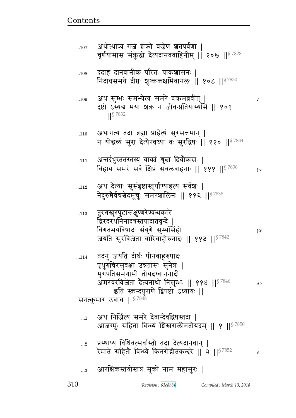| ददाह दानवानीकं परितः पाकश्चासनः  <br>108<br>निदाघसमये दीप्तः शुष्ककक्षमिवानलः    १०८    <sup>§ 7830</sup><br>अथ सुम्भः समभ्येत्य समरे श्रऋमब्रवीत्  <br>109<br>दृष्टो ऽस्यद्य मया श्रक्र न जीवन्प्रतियास्यसि    १०९<br>  §7832<br>अथागत्य तदा ब्रह्मा प्राहेत्थ सुरसत्तमान्  <br>110<br>न योद्धव्यं सुरा दैत्यैरवध्या वः सुरद्विषः    ११०    87834<br>अन्तर्दधुस्ततस्तस्य वाक्यं श्रुत्ना दिवौकसः  <br>111<br>विहाय समरं सर्वे क्षिप्रं सबलवाहनाः    १११    <sup>§ 7836</sup><br>अथ देत्याः सुसंहृष्टास्तूर्याण्याहत्य सर्वेशः  <br>112<br>नेदुरुचैर्वचश्चेदमूचुः समरशालिनः    ११२    87838<br>तुरगखुरपुटान्तक्षुण्णरेण्वन्धकारे<br>113<br>द्विरदरथनिनादत्रस्तपादातवृन्दे  <br>विगतभयविषादः संयुगे सुम्भसिंहो<br>जयति सुरविजेता वारिवाहोरुनादः    ११३    <sup>§ 7842</sup><br>तदनु जयति दीर्घः पीनबाहूरुपादः<br>114<br>पृथुरुचिरसुवक्षा उन्नतांसः सुनेत्रः  <br>मृगपतिसमंगामी तोयदध्वाननादी<br>अमरवरविजेता दैत्यनाथो निसुम्भः    ११४    <sup>§ 7846</sup><br>इति स्कन्दपुराणे द्विषष्टो ऽध्यायः   <br>§7848<br>सनत्कुमार उवाच  <br>अथ निर्जित्य समरे देवान्देवद्विषस्तदा  <br>$\dots$ 1<br>आजग्मुः सहिता विन्ध्यं बिखरालीनतोयदम्    १    <sup>§ 7850</sup><br>प्रस्थाप्य विधिवत्सर्वांस्तौ तदा दैत्यदानवान्  <br>$\ldots 2$<br>रेमाते सहितौ विन्ध्ये किंनरोद्गीतकन्दरे    २    <sup>§ 7852</sup> | R<br>y<br>आरक्षिकस्तयोस्तत्र मूको नाम महासुरः  <br>3 | चूर्णयामास संकुद्धो दैत्यदानववाहिनीम्    १०७    <sup>§ 7828</sup> |    |
|--------------------------------------------------------------------------------------------------------------------------------------------------------------------------------------------------------------------------------------------------------------------------------------------------------------------------------------------------------------------------------------------------------------------------------------------------------------------------------------------------------------------------------------------------------------------------------------------------------------------------------------------------------------------------------------------------------------------------------------------------------------------------------------------------------------------------------------------------------------------------------------------------------------------------------------------------------------------------------------------------------------------------------------------------------------------------------------------------------------------------------------------------------------------------------------------------------------------------------------------------------------------------------------------------|------------------------------------------------------|-------------------------------------------------------------------|----|
|                                                                                                                                                                                                                                                                                                                                                                                                                                                                                                                                                                                                                                                                                                                                                                                                                                                                                                                                                                                                                                                                                                                                                                                                                                                                                                  |                                                      |                                                                   |    |
|                                                                                                                                                                                                                                                                                                                                                                                                                                                                                                                                                                                                                                                                                                                                                                                                                                                                                                                                                                                                                                                                                                                                                                                                                                                                                                  |                                                      |                                                                   |    |
|                                                                                                                                                                                                                                                                                                                                                                                                                                                                                                                                                                                                                                                                                                                                                                                                                                                                                                                                                                                                                                                                                                                                                                                                                                                                                                  |                                                      |                                                                   |    |
|                                                                                                                                                                                                                                                                                                                                                                                                                                                                                                                                                                                                                                                                                                                                                                                                                                                                                                                                                                                                                                                                                                                                                                                                                                                                                                  |                                                      |                                                                   | १० |
|                                                                                                                                                                                                                                                                                                                                                                                                                                                                                                                                                                                                                                                                                                                                                                                                                                                                                                                                                                                                                                                                                                                                                                                                                                                                                                  |                                                      |                                                                   |    |
|                                                                                                                                                                                                                                                                                                                                                                                                                                                                                                                                                                                                                                                                                                                                                                                                                                                                                                                                                                                                                                                                                                                                                                                                                                                                                                  |                                                      |                                                                   | १५ |
|                                                                                                                                                                                                                                                                                                                                                                                                                                                                                                                                                                                                                                                                                                                                                                                                                                                                                                                                                                                                                                                                                                                                                                                                                                                                                                  |                                                      |                                                                   | २० |
|                                                                                                                                                                                                                                                                                                                                                                                                                                                                                                                                                                                                                                                                                                                                                                                                                                                                                                                                                                                                                                                                                                                                                                                                                                                                                                  |                                                      |                                                                   |    |
|                                                                                                                                                                                                                                                                                                                                                                                                                                                                                                                                                                                                                                                                                                                                                                                                                                                                                                                                                                                                                                                                                                                                                                                                                                                                                                  |                                                      |                                                                   |    |
|                                                                                                                                                                                                                                                                                                                                                                                                                                                                                                                                                                                                                                                                                                                                                                                                                                                                                                                                                                                                                                                                                                                                                                                                                                                                                                  |                                                      |                                                                   |    |

310 *Revision : 63c8b84 Compiled : March 13, 2018*

<u>Contents and Contents are the contents of the contents of the contents of the contents of the contents of the contents of the contents of the contents of the contents of the contents of the contents of the contents of the</u>

...107 अथात्थाप्य गज शका वज्रण शतपुवणा |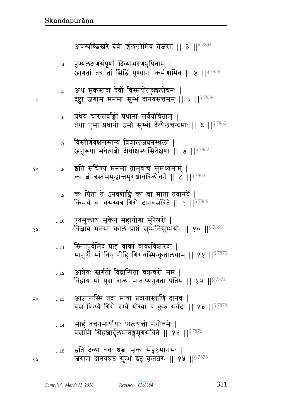| 13 जाज्ञाप्ताास्म तदा मात्रा प्रदायास्त्रााण दानव  <br>वस विन्ध्ये गिरो रम्ये योग्यां च कुरु सर्वदा    १३    <sup>§ 7874</sup> |
|--------------------------------------------------------------------------------------------------------------------------------|
| 14 साहं वचनमार्यायाः पालयन्ती नगोत्तमे  <br>वसामि सिंहशार्दूलमातङ्गमृगसेविते    १४    <sup>§ 7876</sup>                        |
| 15 इति देव्या वच्ः श्रुत्ना मूकः सहृष्टमानसः  <br>जगाम दानवश्रेष्ठं सुम्भं द्रष्टुं कृततरः    १५    $87878$                    |

- विहाय मां पुरा बालां माताप्यनुगता पतिम् || १२ ||<sup>§ 7872</sup> <del>गणि</del> बा
- आत्रेयः स्वर्गतो विद्वान्पिता चक्रचरो मम |  $\dots 12$
- स्मितपूर्वमिदं प्राह वाक्यं वाक्यविशारदा |  $...11$ मानुर्षों मां विजानीहि गिरावस्मिन्कृतालयाम् || ११ ||<sup>§ 7870</sup>
- एवमुक्ताथ मूकेन महायोगा सुरेश्वरी |  $...10$ विज्ञाय मनसा कालं प्राप्तं सम्भनिसम्भयोः ॥ १० ॥ 87868
- कः पिता ते ऽनवद्याङ्गि का वा माता तवानघे |  $\ldots 9$ किमर्थ वा वसस्यत्र गिरौ दानवसेविते || ९ || $^{8\,7866}$
- इति संचिन्त्य मनसा तामुवाच सुमध्यमाम् | १०  $\ldots\!8$ का बं त्रस्तसमुद्धान्तमृगशावविलोचने || ८ ||  $\frac{87864}{37}$

Å

१५

 $\mathsf{Q}$ 

58

- विस्तीर्णवक्षसस्तस्य विशालजघनस्थला |  $\dots 7$ अनुरूपा भवेत्पत्नी दीर्घाक्षस्यासितेक्षणा || ७ || 57862
- यथेयं चारुसर्वाङ्गी प्रधाना सर्वयोषिताम् |  $...6$ तथा पुंसां प्रधानो ऽसौ सुम्भो दैत्येन्द्रचन्द्रमाः || ६ || 57860
- अथ मूकस्तदा देवीं विस्मयोत्फुल्लोचनः |  $...5$ दृष्ट्वा जगाम मनसा सुम्भं दानवसत्तमम् || ५ || 87858
- पुण्यलक्षणसंपूर्णं दिव्याभरणभूषिताम् |  $\dots 4$ आगतां तत्र तां सिद्धिं पुण्यानां कर्मणामिव || ४ ||<sup>§ 7856</sup>

अपश्यच्छिखरे देवीं चलन्तीमिव तेजसा || ३ ||<sup>§ 7854</sup>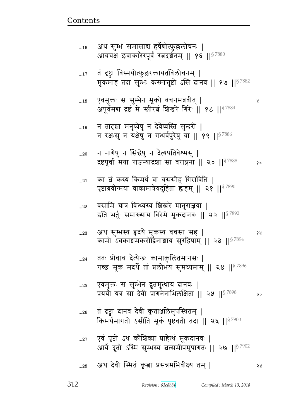|             | पृष्टाब्रवीन्मया वाक्यमात्रेयदुहिता ह्यहम्    २१    <sup>§ 7890</sup>                                               |    |
|-------------|---------------------------------------------------------------------------------------------------------------------|----|
| 22          | वसामि चात्र विन्ध्यस्य शिखरे मातुराज्ञया  <br>इति भर्तुः समाख्याय विरेमे मूकदानवः    २२    87892                    |    |
| 23          | अथ सुम्भस्य हृदये मूकस्य वचसा सह  <br>कामो ऽवकाशमकरोद्विनाशाय सुरद्विषाम् ॥ २३ ॥ ९ ७२९                              | १५ |
| 24          | ततः प्रोवाच दैत्येन्द्रः कामार्कुालेतमानसः  <br>गच्छ मूक मदर्थे तां प्रलोभय सुमध्यमाम् ॥ २४ ॥ $87896$               |    |
| 25          | एवमुक्तः स सुम्भेन द्रुतमुत्थाय दानवः  <br>प्रययो यत्र सा देवी प्रागनेनाभिलक्षिता    २५    <sup>§ 7898</sup>        | २० |
| $\ldots 26$ | तं दृष्ट्वा दानवं देवी कृताञ्जलिमुपस्थितम्  <br>किमर्थमागतो ऽसीति मूकं पृष्टवती तदा    २६    <sup>§ 7900</sup>      |    |
| 27          | एवं पृष्टो ऽथ कौशिक्या प्राहेत्थं मूकदानवः  <br>आर्ये दूतो ऽस्मि सुम्भस्य बत्समीपमुपागतः    २७    <sup>§ 7902</sup> |    |
| 28          | अथ देवी स्मितं कृत्ना प्रसन्नमभिवीक्ष्य तम्                                                                         | จง |

दृष्टपूर्वा मया राजन्यादशा सा वराङ्गना || २० || ९  $^{87888}$  % ... $21$  का बं कस्य किमर्थं वा वससीह गिराविति |

...20 न नागेषु न सिद्धेषु न दैत्यपतिवेश्मसु |

...19 न तादृशा मनुष्येषु न देवेष्वस्ति सुन्दरी | न रक्षःसु न यक्षेषु न गन्धर्वपुरेषु वा || १९ ||  $87886$ 

...18 X{x4୯1 ~ ~4ԪwFd x5f/ {bdxÎ{&p> ᅖ अपूर्वमद्य दृष्टं मे स्त्रीरत शिखरे गिरेः || १८ || $^{\$7884}$ 

...17 तं दृष्ट्वा विस्मयोत्फुल्लरक्तायतविलोचनम् | मूकमाह तदा सुम्भः कस्मात्तुष्टो ऽसि दानव || १७ ||  $$^{7882}$ 

...16 . अथ सुम्भं समासाब हर्षेणोत्फुल्लोचनः | आचचक्ष इवाकारेरपूर्व रत्नदर्शनम् || १६ ||  $^{8\,7880}$ 

<u>Contents and Contents are the contents of the contents of the contents of the contents of the contents of the contents of the contents of the contents of the contents of the contents of the contents of the contents of the</u>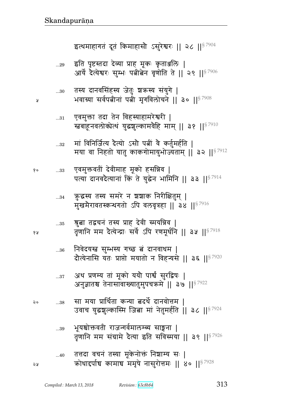श्रुत्वा तद्वचनं तस्य प्राह देवी स्मयन्निव |  $...35$ तृणानि मम दैत्येन्द्राः सर्वे ऽपि रणमूर्धनि || ३५ ||  $57918$ निवेदयस्त्र सुम्भस्य गच्छ बं दानवाधम |  $\dots\!36$ दौत्येनासि यतः प्राप्तो मयातो न विहन्यसे || ३६ ||<sup>§ 7920</sup> अथ प्रणम्य तां मूको ययौ पार्श्वं सुरद्विषः |  $...37$ अनुज्ञातश्च तेनासावाख्यातुमुपचक्रमे || ३७ || 57922 सा मया प्रार्थिता कन्या ब्रदर्थे दानवोत्तम |  $\ldots\!38$ उवाच युद्धशुल्कास्मि जिबा मां नेतुमर्हति || ३८ ||<sup>§ 7924</sup> भूयश्चोक्तवती राजन्गर्वमालम्ब्य साङ्गना |  $...39$ तुणानि मम संग्रामे दैत्या इति संविस्मया ।। ३९ ।। $5^{7926}$ तत्तदा वचनं तस्या मूकेनोक्तं निशाम्य सः |  $...40$ कोधादर्पाच कामाच ममृषे नासुरोत्तमः || ४० || 87928

क़ुद्धय तस्य समरे न शशाक निरीक्षितुम् |  $...34\,$ मुखमैरावतस्कन्धगतो ऽपि वलवृत्रहा || ३४ || 87916

एवमुक्तवतीं देवीमाह मूको हसन्निव |  $\ldots 33$ पत्या दानवदैत्यानां किं ते युद्धेन भामिनि || ३३ ||<sup>§ 7914</sup>

मां विनिर्जित्य दैत्यो ऽसौ पत्नीं वे कर्तुमर्हति |  $...32$ मया वा निहतो यातु काकगोमायुभोज्यताम् || ३२ ||<sup>§ 7912</sup>

एवमुक्ता तदा तेन विहस्याहामरेश्वरी |  $...31\,$ स्त्रबाहूनवलोकोत्थं युद्धशुल्कामवैहि माम् || ३१ ||<sup>§ 7910</sup>

तस्य दानवसिंहस्य जेतुः शक्रस्य संयुगे |  $...30$ भवाग्र्या सर्वपत्नीनां पत्नी मृगविलोचने || ३० ||<sup>§ 7908</sup>

इति पृष्टस्तदा देव्या प्राह मूकः कृताञ्जलिः |  $...29$ आर्ये दैत्येश्वरः सुम्भः पत्नीत्वेन वृणोति ते || २९ ||<sup>§ 7906</sup>

इत्थमाहागतं दूतं किमाहासौ ऽसुरेश्वरः ॥ २८ ॥  $87904$ 

จง

Å

१०

१५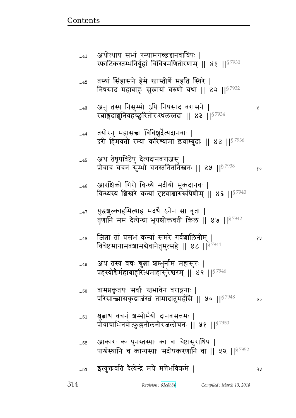| 42        | तस्यां सिंहासने हैमे स्नास्तीर्णे महति स्थिरे  <br>निषसाद महाबाहुः सुखायां वरुणो यथा    ४२    <sup>§ 7932</sup>        |    |
|-----------|------------------------------------------------------------------------------------------------------------------------|----|
| $43$      | अनु तस्य निसुम्भो ऽपि निषसाद वरासने  <br>रत्नाङ्गदांशुनिवहच्छुरितोरःस्थलस्तदा    ४३    <sup>§ 7934</sup>               | R  |
| 44        | तयोरनु महासच्चा विविशुर्दैत्यदानवाः  <br>दरीं हिमवतो रम्यां करिश्यामा इवाम्बुदाः    ४४    <sup>§ 7936</sup>            |    |
| $45$      | अथ तेषूपविष्टेषु दैत्यदानवराजसु  <br>प्रोवाच वचनं सुम्भो घनस्तनितनिस्त्वनः    ४५    $^{\$7938}$                        | १० |
| $46$      | आरक्षिको गिरौ विन्ध्ये मदीयो मूकदानवः  <br>विन्ध्यस्य शिखरे कन्यां दृष्टवांश्वारुरूपिणीम्    ४६   § $^{7940}$          |    |
| $47$      | युद्धशुल्काहमित्याह मदर्थे ऽनेन सा वृता  <br>तृणानि मम दैत्येन्द्रा भूयश्चोक्तवती किल    ४७    <sup>§ 7942</sup>       |    |
| 48        | जि <mark>बा</mark> तां प्रसभं कन्यां समरे गर्वशालिनीम्  <br>विचेष्टमानामवशामबैवानेतुमुत्सहे    ४८    <sup>§ 7944</sup> | १५ |
| 49        | अथ तस्य वचः श्रुत्ना श्रम्भुर्नाम महासुरः  <br>प्रहस्योचैर्महाबाहुरित्थमाहासुरेश्वरम् ॥ ४९ ॥ $^{\mathrm{S}\,7946}$     |    |
| $50$      | वामप्रकृतयः सर्वाः स्तभावेन वराङ्गनाः  <br>परिसान्त्यासकृद्राजंस्त्रं तामादातुमर्हसि    ५०    $^{\S\,7948}$            |    |
| $\dots51$ | ञ्जुत्नाथ वचन् ञम्भोर्मयो दानवसत्तमः  <br>प्रोवाचाभिनवोत्फुल्लनीलनीरजलोचनः    ५१    <sup>§ 7950</sup>                  |    |
| $52\,$    | आकारः कः पुनस्तस्याः का वा चेष्टासुराधिप  <br>पार्श्वस्थानि च कान्यस्याः सदोपकरणानि वा    ५२    <sup>§ 7952</sup>      |    |
| $\dots53$ | इत्युक्तवति दैत्येन्द्रे मये मत्तेभविक्रमे                                                                             | २५ |

...41 अथात्थाय सभा रम्यामगच्छद्दानवााधपः ।

स्फाटिकस्तम्भनिर्यूहां विचित्रमणितोरणाम् || ४१ ||<sup>§ 7930</sup>

<u>Contents and Contents are the contents of the contents of the contents of the contents of the contents of the contents of the contents of the contents of the contents of the contents of the contents of the contents of the</u>

314 *Revision : 63c8b84 Compiled : March 13, 2018*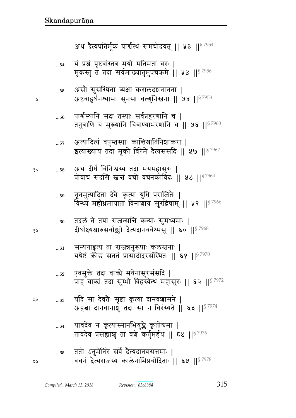|    |        | यथेष्टं क्रीड सततं प्रासादोदरसंस्थितः ॥ ६१ ॥ $^{\$7970}$                                                      |
|----|--------|---------------------------------------------------------------------------------------------------------------|
|    | $62\,$ | एवमुक्ते तदा वाक्ये मयेनासुरसंसदि  <br>प्राह वाक्यं तदा सुम्भो विहस्येत्थं महासुरः    ६२    <sup>§ 7972</sup> |
| २० | $63$   | यदि सा देवतैः सृष्टा कृत्या दानवशासने  <br>अहबा दानवानाशुं तदा सा न विरंस्यते    ६३    <sup>§ 7974</sup>      |
|    | $64$   | यावदेव न कृत्यास्मानभियुङ्के कृतोद्यमा  <br>तावदेव प्रसह्याशु तां वशे कर्तुमर्हथ    ६४    87976               |
| ২५ | $65$   | ततो ऽनुमेनिरे सर्वे दैत्यदानवसत्तमाः  <br>वचनं दैत्यराजस्य कालेनाभिप्रचोदिताः    ६५    <sup>§ 7978</sup>      |

...61 सम्यगाह्रूय ता राजन्ननुरूपाः कुलस्तनाः |

...60 तदलं ते तया राजन्सन्ति कन्याः सुमध्यमाः | १४ व्या दोर्घाक्ष्यश्चारुसर्वाञ्चो देत्यदानववेश्मसु ॥ ६० ॥  $^{\$7968}$ 

...59 नूनमुत्पादिता दवः कृत्या युधि पराजितः | विन्ध्यं महीध्रमायाता विनाञ्चाय सुरद्विषाम् || ५९ ||<sup>§ 7966</sup>

 ...58 Lq r&hئ} d1ౝ״y pr xyx~4^1 ᅖ प्रोवाच सदसि स्त्रन्तं वचो वचनकोविंदः || ५८ ||  $87964$ 

...57 अत्यादित्यं वपुस्तस्याः कान्तिश्चातिनिश्चाकरा | इत्याख्याय तदा मूको विरेमे दैत्यसंसदि || ५७ ||  $^{87962}$ 

...56 पार्श्वस्थानि सदा तस्याः सर्वप्रहरणानि च | तनुत्राणि च मुख्यानि चित्राण्याभरणानि च || ५६ || $87960$ 

...55 . असौ सुसंस्थिता त्र्यक्षा करालदञ्चनानना | ४ अष्टबाहुर्घनश्यामा सुनसा वल्गुनिस्तना ।। ५५ ।। $^{\mathrm{S}~7958}$ 

 $_{\ldots 54}$  यं प्रश्नं पृष्टवांस्तत्र मयो मतिमतां वरः | मूकस्तु तं तदा सर्वमाख्यातुमुपचक्रमे || ५४ ||  $^{87956}$ 

अथ दैत्यपतिर्मूकं पार्श्वस्थं समचोदयत् || ५३ ||  $87954$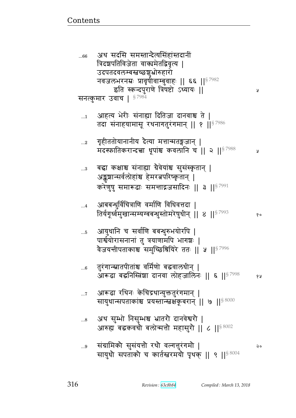| 66          | अप सदास समस्तान्दत्पासहास्तदाना<br>त्रिदशपतिविजेता वाक्यमेतद्विवृत्य  <br>उदपतदवलम्बस्तच्छश्चभोरुहारो                                                            |     |
|-------------|------------------------------------------------------------------------------------------------------------------------------------------------------------------|-----|
|             | नवजलभरनम्नः प्रावृषीवाम्बुवाहः    ६६    87982<br>इति स्कन्दपुराणे त्रिषष्टो ऽध्यायः ॥                                                                            | A   |
|             | सनत्कुमार उवाच   $^{\$~7984}$                                                                                                                                    |     |
| $\dots$ 1   | आहत्य भेरीः संनाह्या दितिजा दानवाश्च ते  <br>तदा संनाहयामासू रथनागतुरंगमान्    १    $^{87986}$                                                                   |     |
| $2$         | गृहीततोयानानीय देत्या मत्तान्मतङ्गजान्  <br>मदस्फातिकरान्दत्ता धूपांश्च कवलानि च    २    <sup>§ 7988</sup>                                                       | R   |
| $\ldots\!3$ | बद्धा कक्षाश्च संनाह्या ग्रैवेयांश्च सुसंस्कृतान्  <br>अङ्कुशान्सर्वलोहांश्च हेमरत्नपरिष्कृतान्  <br>करेणुषु समारूढाः समन्ताद्गजसादिनः    ३    <sup>§ 7991</sup> |     |
| $\dots 4$   | आबबन्धुर्विचित्राणि वर्माणि विधिवत्तदा  <br>तिर्यगृर्ध्वमुखान्सम्यग्बबन्धुस्तोमरेषुधीन्    ४    $^{\$^{7993}}$                                                   | १०  |
| $\dots\!5$  | आयुधानि च सर्वाणि बबन्धुरुभयोरपि  <br>पार्श्वयोरासनानां तु त्रयाणामपि भागञ्चः  <br>वैजयन्तीपताकाश्च समुच्छिश्रियिरे ततः    ५    <sup>§ 7996</sup>                |     |
| $6$         | तुरंगान्स्नातपीतांश्च वर्मिणो बद्धवालधीन्  <br>आरूढा बद्घनिस्त्रिंशा दानवा लोहजालिनः    ६    <sup>§ 7998</sup>                                                   | 6 A |
| $\dots 7$   | आरूढा रथिनः केचिद्रथान्युक्ततुरंगमान्  <br>सायुधान्सपताकाश्च प्रयस्तान्स्वक्षकूबरान्    ७    $^{\$~8000}$                                                        |     |
| 8           | अथ सुम्भो निसुम्भश्च भ्रातरौ दानवेश्वरौ  <br>आरुह्य बद्धकवचौ बलोन्मत्तौ महासुरौ    ८    ९ $\mathrm{^{8\,8002}}$                                                  |     |
| 9           | संग्रामिको सुसंयत्तो रथो वल्गत्तुरंगमो  <br>सायुधो सपताको च कार्तस्तरमयो पृथक्    ९    ९ %                                                                       | २०  |

<del>ندى.</del>

↛

 $\widehat{\mathbb{P}}$ 

 $2TOT$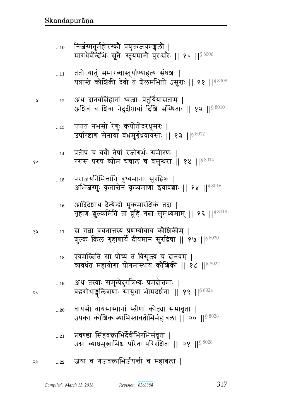- ... $_{21}$  प्रचण्डा सिंहवक्ताभिर्देवीभिरभिसंवृता | उग्रा व्याघ्रमुखाभिश्च परितः परिरक्षिता || २१ || $^{\$8028}$
- ...20 वायसी वायसास्यानां स्त्रीणां कोट्या समावृता | उपका कोशिकास्याभिस्तावतीभिर्महाबला || २० ||<sup>§ 8026</sup>
- ...19 अथ तस्याः समुत्पेदुर्गात्रेभ्यः प्रमदोत्तमाः | २० बद्धगोधाङ्गुलित्राणाः सायुधा भीमदर्शनाः || १९ || $^{\rm 8\,8024}$
- ...18 एवमस्बिति सा प्रोच्य तं विसृज्य च दानवम् | व्यवर्धत महायोगा योगमास्थाय कौशिकी || १८ || ${}^{8\,022}$
- १४  $\quad \ldots 17$  स गत्ना वचनात्तस्य प्रणम्योवाच कोशिकीम् | शुल्कं किल गृहाणार्ये दीयमानं सुरद्विषा || १७ ||<sup>§ 8020</sup>
- ...16 आदिदेशाथ दैत्येन्द्रो मूकमारक्षिकं तदा | गृहाण शुल्कमिति तां ब्रूहि गत्ना सुमध्यमाम् || १६ || $^{\$~8018}$
- ... $\scriptstyle\rm 15$  पराजयनिमित्तानि बुध्यमानाः सुरद्विषः | अभिजग्मुः कृतान्तेन कृष्यमाणा इवावशाः || १५ || $^{\$8016}$
- ...14 प्रतीपं च ववौ तेषां रजोगर्भः समीरणः | १० व्यास परुषं व्योम चचाल च वसुन्धरा || १४ || $^{\$8014}$
- ... $_{13}$  पपात नभसो रेणुः कपोतोदरधूसरः | उपरिष्टाच सेनाया बभ्रमुर्गृधवायसाः || १३ || ${}^{8\,0012}$
- ...12 Lq rd{!~BdB Ɍ{a1 tFp4y@y~px> ᅖ अश्विवं च शिवा नेदुर्दीप्तायां दिशि संस्थिताः || १२ ||<sup>§ 8010</sup>
- ...11 ततो यातुं समारब्धास्तूर्याण्याहत्य संघञ्चः | यत्रास्ते कौशिकी देवी तं शैलमभितो ऽसुराः || ११ || $^{\$8008}$
- ...10 निर्जग्मतुर्महोरस्कौ प्रयुक्तजयमङ्गलौ | मागधैर्वन्दिभिः सूतैः स्तूयमानौ पुरःसरैः || १० || $^{\$~8006}$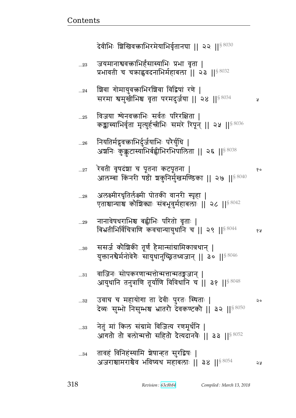| 23     | जयमानाश्ववक्राभिर्हंसास्याभिः प्रभा वृता  <br>प्रभावती च चक्राह्ववदनाभिर्महाबला    २३    <sup>§ 8032</sup>                |    |
|--------|---------------------------------------------------------------------------------------------------------------------------|----|
| $24$   | श्चिवा गोमायुवक्ताभिरश्चिवा विद्विषां रणे  <br>सरमा श्वमुखीभिश्च वृता परमदुर्जया    २४    $^{88034}$                      | Ã  |
| 25     | विजया श्येनवक्राभिः सर्वतः परिरक्षिता  <br>कङ्कास्याभिर्वृता मृत्युर्हन्त्रीभिः समरे रिपून्    २५   § $8036$              |    |
| 26     | नियतिर्मद्भवक्ताभिर्दुर्जयाभिः परैर्युधि  <br>अश्वनिः कुक्कुटास्याभिर्बह्वीभिरभिपालिता    २६    <sup>§ 8038</sup>         |    |
| $27\,$ | रेवती वृषदंशा च पूतना कटपूतना  <br>आलम्बा किंनरी षष्ठी श्चकुनिर्मुखमण्डिका    २७    <sup>§ 8040</sup>                     | १० |
| 28     | अलक्ष्मीरधृतिर्लक्ष्मी पोतकी वानरी स्पृहा  <br>एताश्चान्याश्च कोशिक्याः संबभूवुर्महाबलाः ॥ २८ ॥ <sup>§ 8042</sup>         |    |
| 29     | नानावेषधराभिश्च बह्वीभिः परितो वृताः  <br>बिभ्रतीभिर्विचित्राणि कवचान्यायुधानि च    २९    $^{\$~8044}$                    | १५ |
| $30$   | ससर्ज कोशिकी तूर्णं हैमान्सांग्रामिकात्रथान्  <br>युक्तानश्वेर्मनोवेगेः सायुधानुच्छ्रितध्वजान्    ३०    <sup>§ 8046</sup> |    |
| $31$   | वाजिनः सोपकरणान्मत्तोन्मत्तान्मतङ्गजान्  <br>आयुधानि तनुत्राणि तूर्याणि विविधानि च   ३१     ऽ 3048                        |    |
| 32     | उवाच च महायोगा ता देवीः पुरतः स्थिताः  <br>देव्यः सुम्भो निसुम्भश्च भ्रातरौ देवकण्टकौ    ३२    <sup>§ 8050</sup>          | २० |
| 33     | नेतुं मां किल संग्रामे विजित्य रणमूर्धनि  <br>आगतो तो बलोन्मत्तो सहितो देत्यदानवैः    ३३    <sup>§ 8052</sup>             |    |
| 34     | तावहं विनिहंस्यामि ञ्चेषान्हत सुरद्विषः  <br>अजराश्चामराश्चेव भविष्यथ महाबलाः ॥ ३४ ॥ $^{8\,054}$                          | ২५ |

देवीभिः शिखिवक्राभिरमेयाभिर्वृतानघा || २२ || $^{\$8030}$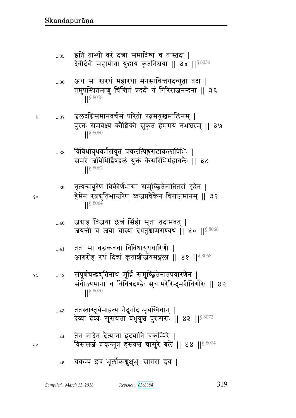|    | 35 | इति ताभ्यो वरं दत्त्वा समादिश्य च तास्तदा  <br>देवीर्देवी महायोगा युद्धाय कृतनिश्चया    ३५    $^{\$8056}$                            |
|----|----|--------------------------------------------------------------------------------------------------------------------------------------|
|    | 36 | अथ सा स्नरथं महारथा मनसाचित्तयदच्युता तदा  <br>तमुपस्थितमाशु चिन्तितं प्रददौ यं गिरिराजनन्दना    ३६<br>$ $ \section 8 8058           |
| y  | 37 | `ञ्चलदग्निसमानवर्चसं परितो रत्नमयूखमालिनम्  <br>पुरतः समवेक्ष्य कौशिकी सुकृतं हेममयं नभश्चरम्    ३७<br>$ $ \sepsals 8060             |
|    | 38 | विविधायुधवर्मसंयुतं प्रचलत्पिङ्गसटाकलापिभिः  <br>समरे जयिभिर्द्विषद्वलं युक्तं केसरिभिर्महाबलैः    ३८<br>$\left \right $ \ 8062      |
| १० | 39 | नृत्यन्मयूरेण विकीर्णभासा समुच्छ्रितेनातितरां दृढेन  <br>हैमेन रत्नद्युतिभास्त्वरेण ध्वजप्रवेकेन विराजमानम्    ३९<br>$ $ $ $ \$ 8064 |
|    | 40 | जग्राह विजया छत्तं सिंही सूता तदाभवत्  <br>जयन्ती च जया चास्या दधतुश्चामराण्यथ    ४०    $^{\$~8066}$                                 |
|    | 41 | ततः सा बद्धकवचा विविधायुधधारिणी  <br>आरुरोह रथं दिव्यं कृताशीर्जयमङ्गला ।। ४१ ।। <sup>§ 8068</sup>                                   |
| १५ | 42 | संपूर्णचन्द्रद्युतिनाथ मूर्ध्नि समुच्छ्रितेनातपवारणेन  <br>संवीज्यमाना च विचित्रदण्डैः सुचामरैरिन्दुमरीचिगौरैः    ४२<br>$  $ § 8070  |
|    | 43 | ततस्तास्तूर्यमाहत्य नेदुर्नादान्पृथग्विधान्  <br>देव्या देव्यः सुसंयत्ता बभूवुश्च पुरःसराः    ४३    8072                             |
| २० | 44 | तेन नादेन दैत्यानां हृदयानि चकम्पिरे  <br>विससजे शकृन्मूत्रं हस्त्यश्वं चासुरे बले    ४४    88074                                    |
|    | 45 | चकम्प इव भूलोकश्रुक्षुभुः सागरा इव                                                                                                   |

Compiled: March 13, 2018

Revision: 63c8b84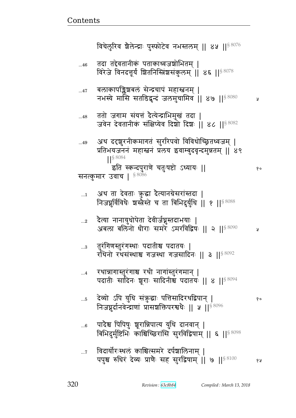विचेलुरिव शैलेन्द्राः पुस्फोटेव नभस्तलम् ॥ ४५ ॥  $8076$ तदा तद्देवतानीकं पताकाध्वजश्रोभितम् ।  $...46$ विरेजे विनदत्तूर्यं शितनिस्त्रिंशसंकुलम् ॥ ४६ ॥  $8078$ बलाकापङ्क्षिबलं सेन्द्रचापं महास्ननम् |  $\dots 47$ नभस्ये मासि सतडिद्वन्दं जलमुचामिव ॥ ४७ ॥ ९ ३०१ У ततो जगाम संयत्तं दैत्येन्द्राभिमुखं तदा |  $...48$ जवेन देवतानीकं संक्षिप्येव दिशेंगे दिशः || ४८ || 88082 अथ ददृशुरनीकमागतं सुररिपवो विविधोच्छ्रितध्वजम् |  $...49$ प्रतिभयजननं महास्तनं प्रलय इवाम्बुदवृन्दमुन्नतम् || ४९ इति स्कन्दपुराणे चतुःषष्टो ऽध्यायः || १० सनत्कुमार उवाच |  $$^{8086}$ अथ ता देवताः कुद्धा दैत्यानग्रेसरांस्तदा |  $\dots 1$ निजघूर्विविधेः शस्त्रेस्ते च ता बिभिदुर्युधि || १ ||<sup>§ 8088</sup> दैत्या नानायुधोपेता देवीर्जघ्नुस्तदाभयाः |  $\ldots 2$ अबला बलिनो धीराः समरे ऽमरविद्विषः || २ ||<sup>§ 8090</sup> y तुरंगिणस्तुरंगस्थाः पदातीश्च पदातयः |  $...3$ रथिनो रथसंस्थाश्च गजस्था गजसादिनः ॥ ३ ॥ $^{\$8092}$ रथान्नागास्तुरंगाश्च रथी नागांस्तुरंगमान् |  $\dots$ 4 पदातीः सादिनः शूराः सादिनीश्च पदातयः || ४ || 8 8094 देव्यो ऽपि युधि संकुद्धाः पत्तिसादिरथद्विपान् |  $\dots 5$ १० निजघूर्दानवेन्द्राणां प्रासशक्तिपरश्वधैः || ५ || ९ 8096 पादेश्च पिपिषुः भूरान्निपात्य युधि दानवान् |  $...6$ बिभिदुर्मुष्टिभिः काश्चिच्छिरांसि सुरविद्विषाम् || ६ ||<sup>§ 8098</sup> विदार्योरःस्थलं काश्चित्समरे दर्पश्चालिनाम् ।  $\dots 7$ पपुश्च रुधिरं देव्यः प्राणैः सह सुरद्विषाम् ।। ७ ।। 88100 १५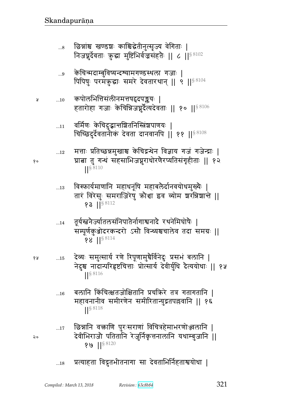छिन्नांश्च खण्डशः काश्चिद्धेतीनुत्सुज्य वेगिताः |  $\ldots\!8$ निजघुर्देवताः कुद्धा मुष्टिभिर्वजसंहतेः || ८ || § 8102 केचिन्मदाम्बुविष्यन्दश्यामगण्डस्थला गजाः |  $\ldots\!9$ पिपिषु परमकुद्धाः समरे देवतारथान् || ९ || 8 8104 कपोलभित्तिसंलीनमत्तपद्वदपङ्कयः |  $...10$ हतारोहा गजाः केचिन्निजघूर्दैत्यदेवताः || १० ||§ 8106 वर्मिणः केचिदुद्भान्तशितनिस्त्रिंशपाणयः |  $...11$ चिच्छिदुर्देवतानीकं देवता दानवानपि || ११ || \$8108 मत्ताः प्रतिच्छन्नमुखाश्च केचिद्रन्थेन विज्ञाय गजं गजेन्द्राः |  $\dots12$ ग्राबा तु गन्धं सहसाभिजन्नुराधोरणैरप्यतिसंगृहीताः || १२ ||§ 8110 विस्फार्यमाणानि महाधनूषि महाबलैर्दानवयोधमुख्यैः |  $\dots13$ तारं विरेसुः समराजिरेषु क्रोधा इव व्योम शरन्निशान्ते ||

**?३** || $§$  8112 तूर्यस्त्रनेज्यातलसंनिपातेर्नागाश्वनादे रथनेमिघोषैः |  $...14$ 

- सम्पूर्णकुओदरकन्दरो ऽसौ विन्ध्यश्चचालेव तदा समग्रः || **98 ||S 8114**
- देव्यः समुत्सार्य रणे रिपूणामुचैर्विनेदुः प्रसभं बलानि | १५  $...15$ नेदुश्च नादान्परिहृष्टचित्ताः प्रोत्सार्य देवीर्युधि दैत्ययोधाः || १५  $||\frac{88116}{1}$ 
	- बलानि किंचित्क्षतजोक्षितानि प्रचक्रिरे तत्र गतागतानि |  $...16$ महावनानीव समीरणेन समीरितान्युद्रतपल्लवानि || १६  $\left| \right|^{§ \, 8118}$
	- छिन्नानि वक्ताणि पुरःसराणां विचित्रहेमाभरणोञ्जलानि |  $...17$ देवीभिराजौ पतितानि रेजुर्निकृत्तनालानि यथाम्बुजानि || १७ || $88120$
	- प्रत्याहता विद्रुतभीतनागा सा देवताभिर्निहताश्वयोधा |  $\dots18$

१०

Å

 $\mathsf{a} \circ$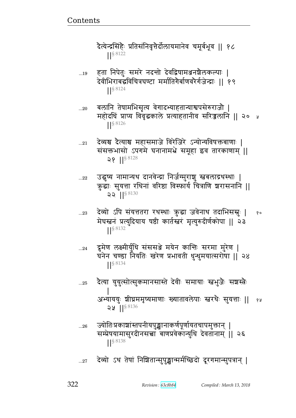दैत्येन्द्रसिंहैः प्रतिसंनिवृत्तैर्दोलायमानेव चमूर्बभूव ।। १८  $|| \frac{1}{5} 8122$ 

- हता निपेतुः समरे नदन्तो देवद्विषामञ्जनशैलकल्पाः |  $...19$ देवीभिराबद्धविचित्रघण्टा मर्मातिगेर्बाणवरेर्गजेन्द्राः || १९  $|| \frac{1}{5} 8124$
- बलानि तेषामभिसृत्य वेगादभ्याहतान्याश्वपसेरुराजौ |  $...20$ महोदधिं प्राप्य विवृद्धकाले प्रत्याहतानीव सरिज्जलानि || २० ५  $\frac{1}{5}$  8126
- देव्यश्च दैत्याश्च महासमाजे विरेजिरे ऽन्योन्यविषक्तबाणाः |  $...21$ संसक्तभासो ऽपगमे घनानामभ्रे समूहा इव तारकाणाम् ॥  $28$  || $88128$
- उद्धृष्य नामान्यथ दानवेन्द्रा निर्जग्मुराशु स्वबलाद्रथस्थाः |  $...22$ क्रुद्धाः सुयत्ता रथिनां वरिष्ठा विस्फार्य चित्राणि ञ्चरासनानि ||  $22$   $||$ <sup>§ 8130</sup>
- देव्यो ऽपि संयत्ततरा रथस्थाः कुद्धा जवेनाथ तदाभिससूः | १०  $...23$ मेघस्तनं प्रत्युदियाय षष्ठी कार्तस्तरं मृत्युरुदीर्णकोपा || २३
- द्रुमेण लक्ष्मीर्युधि संससञ्जे मयेन कान्तिः सरमा मुरेण |  $\ldots$ 24 घनेन चण्डा नियतिः खरेण प्रभावती धुन्धुमयात्सरोषा || २४  $\left| \right|$  \$ 8134
- दैत्या युयुत्सोत्सुकमानसास्ते देवीः समायाः स्त्रभुजैः सञ्चस्त्नैः  $...25$ अभ्याययुः श्रीघ्रममृष्यमाणाः ख्यातावलेपाः स्तरथैः सुयत्ताः ॥ १५  $22$  || $88136$
- ज्योतिःप्रकाशांस्तपनीयपुङ्खानाकर्णपूर्णायतचापमुक्तान् |  $...26$ सम्प्रेषयामासुरदीनसत्त्वा बाणप्रवेकान्युधि देवतानाम् || २६  $\left| \right|^{88138}$
- देव्यो ऽथ तेषां निशितान्सुपुङ्खान्मर्मच्छिदो दूरगमान्सुपत्रान् |  $...27$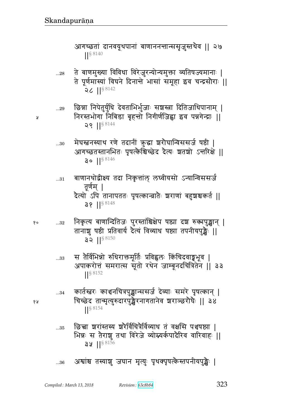आगच्छता दानवयूथपानां बाणाननन्तान्ससृज़ुस्तथैव || २७ ||§ 8140

- 
- ...<sub>28</sub> ते बाणमुख्या विविधा विरेज़ुरन्योन्यमुक्ता व्यतिषज्यमानाः | ते पूर्णमास्यां विघने दिनान्ते भासां समूहा इव चन्द्रसौराः ||  $2C$  || $88142$
- ...29 छिन्ना निपेतुर्युधि देवताभिर्भुजाः सञ्चस्त्रा दितिजाधिपानाम् | <sub>४</sub> निरस्तभोगा निबिडा बृहन्तो निगीर्णजिह्वा इव पन्नगेन्द्राः ||  $29$  || $88144$ 
	- ...30 मेघस्तनस्याथ रणे तदानीं कुद्धा शरौघान्विससर्ज षष्ठी | आगच्छतस्तानभितः पृषत्कैश्चिच्छेद दैत्यः श्वतश्चो ऽन्तरिक्षे ||  $30$   $||$ <sup>§ 8146</sup>
	- ...31 बाणानथोद्वीक्ष्य तदा निकृत्तांल् लष्वीयसो ऽन्यान्विससर्ज तूर्णम् । दैत्यो ऽपि तानापततः पृषत्कान्त्रातैः श्वराणां बहुश्चश्चकर्त ॥  $38$   $||$ <sup>§ 8148</sup>
- १० . ...32 विकृत्य बाणान्दितिजः पुरस्तांश्चिक्षेप षष्ठ्या दश रुक्मपुङ्खान् | तानाशु षष्ठी प्रतिवार्य दैत्यं विव्याथ षष्ठ्या तपनीयपुङ्खैः ।। ३२  $\frac{88150}{ }$ 
	- ...33 स तैर्विभिन्नो रुधिराक्तमूर्तिः प्रविह्वलः किंचिदवाङ्मभूव | अपाकरोत्तं समरात्स सूतो रथेन जाम्बूनदचित्रितेन || ३३ ||§ 8152
- ...34 कार्तस्तरः काञ्चनचित्रपुङ्खान्ससर्ज देव्याः समरे पृषत्कान् । <sub>१५</sub> चिच्छेद तान्मृत्युरुदारपुङ्खैरनागतानेव ञ्चराञ्छरोधैः || ३४ ||§ 8154
	- ... $_{35}$   $\,$  छिच्चा ञ्चरांस्तस्य ञ्चरेर्विचित्रेर्विव्याध तं वक्षसि पञ्चषष्ठ्या | भिन्नः स तैराशु तथा विरेजे व्योम्सर्कपादैरिव वारिवाहः ||  $32$   $||^{88156}$
	- ...36 अश्वाश्च तस्याशु जघान मृत्युः पृथक्पृषत्केस्तपनीयपुर्ङ्खैः |

*Compiled : March 13, 2018 Revision : 63c8b84* 323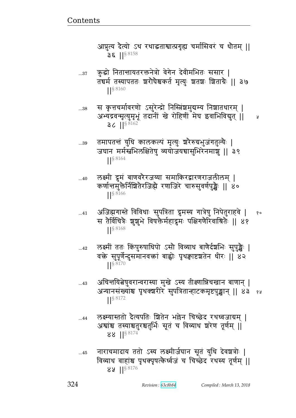आप्नुत्य दैत्यो ऽथ रथाद्धताश्वात्प्रगृह्य चर्मासिवरं च धौतम् ॥  $36$  ||<sup>§ 8158</sup>

क्रुद्धो नितान्तायतरक्तनेत्रो वेगेन देवीमभितः ससार |  $...37$ तद्यर्म तस्यापततः श्वरौघेश्वकर्त मृत्युः शतशः श्रिताग्रैः ।। ३७ S 8160

स कृत्तचर्मावरणो ऽसुरेन्द्रो निस्त्रिंश्चमुद्यम्य निशातधारम् |  $...38$ अभ्यद्रवन्मृत्युमृभूं तदानीं खे रोहिणीं मेघ इवाभिविद्युत् || त्र  $36$  || $88162$ 

तमापतन्तं युधि कालकत्पं मृत्युः श्ररैरुग्रभुजंगतुल्यैः |  $...39$ जघान मर्मस्त्वभिलक्षितेषु व्ययोजयद्यासुभिरेनमाशु || ३९  $\left| \right|$  \$ 8164

लक्ष्मी द्रुमं बाणवरेरजय्या समाकिरद्वारणराजलीलम् |  $...40$ कर्णान्तमुक्तेर्निश्चितेरजिह्मे रणाजिरे चारुसुवर्णपुङ्खैः || ४०  $||\frac{88166}{2}$ 

- अजिह्मगास्ते विविधाः सुपत्रिता द्रुमस्य गात्रेषु निपेतुराहवे | १०  $...41$ स तैर्विचित्रैः शुशुभे विषक्तैर्महाद्रुमः पक्षिगणैरिवाश्रितैः || ४१ S 8168
- लक्ष्मीं ततः किंपुरुषाधिपो ऽसौ विव्याध बाणैर्दश्चभिः सुपुङ्खैः |  $...42$ वक्ते सुपूर्णेन्दुसमानवक्तां बाह्वोः पृथक्वाष्टञ्चतेन धीरः || ४२  $\frac{1}{5}$  8170
- अचिन्तयित्वेषुवरान्वरास्या मुखे ऽस्य तीक्ष्णान्निचखान बाणान् |  $...43$ अन्यानसंख्यांश्च पृथक्शरीरे सुपत्रितान्हाटकमृष्टपुङ्खान् || ४३ १५  $\frac{1}{5}$  8172
- लक्ष्म्यास्ततो दैत्यपतिः श्रितेन भल्लेन चिच्छेद रथध्वजाग्रम् |  $...44$ अश्वांश्च तस्याश्चतुरश्चतुर्भिः सूतं च विव्याध श्ररेण तूर्णम् || 88 ||§ 8174

नाराचमादाय ततो ऽस्य लक्ष्मीर्जघान सूतं युधि देवञ्चत्रोः |  $...45$ विव्याध वाहांश्च पृथक्पृषत्केर्ध्वजं च चिच्छेद रथस्य तूर्णम् ॥ 82  $\frac{1}{5}$  8176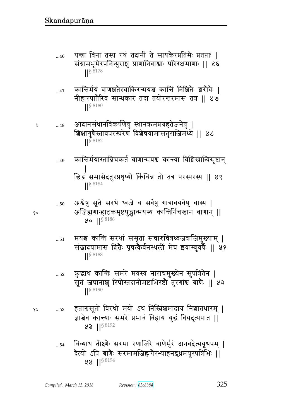- यन्त्रा विना तस्य रथं तदानीं ते सायकैरप्रतिमैः प्रतप्ताः |  $...46$ संग्रामभूमेरपनिन्युराशु प्राणानिवाश्वाः परिरक्षमाणाः || ४६  $|$   $|$   $\frac{1}{8}$  8178
- कान्तिर्मयं बाणञ्चतेरवाकिरन्मयश्च कान्तिं निर्शितैः श्वरोघैः |  $...47$ नीहारपातैरिव सान्धकारं तदा तयोरत्तरमास तत्र || ४७  $\left| \right|^{§ \, 8180}$
- आदानसंधानविकर्षणेषु स्थानक्रमप्रग्रहतेजनेषु | Å  $...48$ ब्रिक्षागुणैस्तावपरस्परेण विशेषयामासतुराजिमध्ये || ४८  $||\frac{88182}{2}$ 
	- कान्तिर्मयास्तान्निचकर्त बाणान्मयश्च कान्त्या विशिखान्विसृष्टान् ..49 छिद्रं समासेदतुरप्रधृष्यौ किंचिन्न तौ तत्र परस्परस्य || ४९ ||§8184
	- अश्वेषु सूते सरथे ध्वजे च सर्वेषु गात्रावयवेषु चास्य |  $...50$ अजिह्मगान्हाटकमृष्टपुञ्ज्ञान्मयस्य कान्तिर्निचखान बाणान् ॥  $90$  || $$8186$
	- मयश्च कान्तिं सरथां ससूतां सचारुचित्रध्वजवाजिमुख्याम् |  $...51$ संछादयामास श्रितैः पृषत्कैर्वनस्थलीं मेघ इवाम्बुवर्षैः || ५१ S 8188
	- क़ुद्धाथ कान्तिः समरे मयस्य नाराचमुख्येन सुपत्रितेन |  $\dots52$ सूतं जघानाशु रिपोस्तदानीमष्टाभिरष्टौ तुरगांश्च बाणैः || ५२ S 8190
- हताश्वसूतो विरथो मयो ऽथ निस्त्रिंशमादाय निशातधारम् | १५  $\dots53$ ज्ञात्नैव कान्त्याः समरे प्रभावं विहाय युद्धं वियदुत्पपात ॥  $93$   $\left| \right|^{88192}$ 
	- विव्याध तीक्ष्णैः सरमा रणाजिरे बाणैर्मुरं दानवदैत्ययूथपम् |  $\dots54$ दैत्यो ऽपि बाणैः सरमामजिह्मगेरभ्याहनद्रृध्रमयूरपत्रिभिः ||  $98$  || $$8194$

१०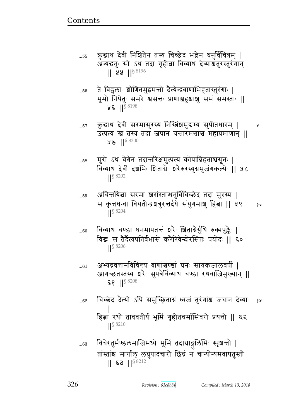$\dots55$ 

क़ुद्धाथ देवी निशितेन तस्य चिच्छेद भल्लेन धर्नुविचित्रम् | अन्यद्धनुः सो ऽथ तदा गृहीत्ना विव्याथ देव्याश्चतुरस्तुरंगान्  $|| \; 22 \; ||^{58196}$ 

- ते विह्वलाः शोणितमुद्वमन्तो दैत्येन्द्रबाणाभिहतास्तुरंगाः |  $...56$ भूमौ निपेतुः समरे श्वसन्तः प्राणाञ्जहश्चाशु समं समस्ताः ॥  $95$   $15^{8198}$
- कुद्धाथ देवी सरमासुरस्य निस्त्रिंशमुद्यम्य सुपीतधारम् |  $\dots 57$ प्र उत्पत्य ख तस्य तदा जघान यन्तारमश्वाश्च महाप्रमाणान || ४७ || $88200$
- मुरो ऽथ वेगेन तदान्तरिक्षमुत्पत्य कोपान्निहताश्वसूतः |  $...58$ विव्याध देवीं दश्रभिः शिताग्रैः शरेरुरस्युग्रभुजंगकल्पैः || ५८  $|$   $|$  \$ 8202
- अचिन्तयित्ना सरमा ञ्चरांस्तान्धनुर्विचिच्छेद तदा मुरस्य | ..59 स कृत्तधन्वा वियतीन्द्रशत्रुरत्तर्दधे संयुगमाशु हित्ना || ५९ १० S 8204
- विव्याध चण्डा घनमापतन्तं श्रोः शिताग्रेर्युधि रुक्मपुङ्कैः |  $...60$ विद्धः स तैर्दैत्यपतिर्बभासे करैरिवेन्दोरसितः पयोदः || ६०  $|$   $|$  \$ 8206
- अभ्यद्रवत्तानविचिन्त्य बाणांश्वण्डां घनः सायकजालवर्षी |  $...61$ आगच्छतस्तस्य श्ररैः सुपत्रैर्विव्याध चण्डा रथवाजिमुख्यान् ||  $58$  || $$8208$
- चिच्छेद दैत्यो ऽपि समुच्छ्रिताग्रं ध्वजं तुरंगांश्च जघान देव्याः १५  $...62$ हित्ना रथो ताववतीर्य भूमिं गृहीतचर्मासिवरो प्रयत्तो || ६२
- विचेरतुर्मण्डलमाजिमध्ये भूमिं तदाग्राङ्गलिभिः स्पृश्चन्तौ | ..63 तांस्तांश्च मार्गांल् लघुपादचारो छिद्रं न चान्योन्यमवापतुस्तो ||  $53$  || $88212$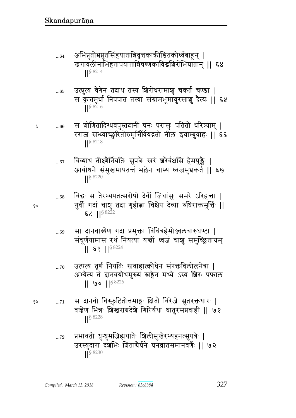- अभिपुतोचपुतसिंहयातान्निवृत्तकाऋीडितकोर्ध्वबाहून् |  $...64$ खगावलीनाभिहतापयातान्निषण्णकाविद्धश्चिरोभिघातान् ।। ६४  $\frac{1}{5}$  8214
- उत्पुत्य वेगेन तदाथ तस्य शिरोधरामाशु चकर्त चण्डा |  $...65$ स कृत्तमूर्धा निपपात तस्यां संग्रामभूमावुरसाशु दैत्यः || ६५
- स ञ्चोणितादिग्धवपुस्तदानीं घनः परासुः पतितो धरित्र्याम् | Å  $...66$ रराज सन्ध्याच्छुरितोरुमूर्त्तिर्वियद्गतो नील इवाम्बुवाहः || ६६  $||$  \$ 8218
	- विव्याध तीक्ष्णैर्नियतिः सुपत्रैः खरं श्रोर्यक्षसि हेमपुङ्खैः |  $...67$ आयोधने संमुखमापतन्तं भल्लेन चास्य ध्वजमुचकर्त || ६७  $\frac{1}{5}$  8220
- $90$

 $...68$ 

- विद्धः स तैरभ्यपतत्सरोषो देवीं जिघांसुः समरे ऽरिहन्ता | गुर्वी गदां चाञ्च तदा गृहीत्ना चिक्षेप देव्या रुधिराक्तमूर्त्तिः ||  $56$   $1$ <sup>S 8222</sup>
- सा दानवाग्र्येण गदा प्रमुक्ता विचित्रहेमोञ्जलचारुघण्टा |  $...69$ संचूर्णयामास रथं नियत्या यत्त्रीं ध्वजं चाशु समुच्छ्रिताग्रम्  $|| 69 ||$ <sup>§ 8224</sup>
- उत्पत्य तूर्णं नियतिः स्तवाहात्क्रोधेन संरक्तविलोलनेत्रा |  $...70$ अभ्येत्य तं दानवयोधमुख्यं खङ्गेन मध्ये ऽस्य शिरः पफाल  $|| \cdot \$  ||  $\frac{1}{5}$  8226
- स दानवो विस्फुटितोत्तमाङ्गः क्षितौ विरेजे सूतरक्तथारः | १५  $...71$ वज्रेण भिन्नः शिखराग्रदेशे गिरिर्यथा धातुरसप्रवाही || ७१ S 8228
	- प्रभावती धुन्धुमजिह्मयातेः बिलीमुखैरभ्यहनत्सुपत्रैः |  $...72$ उरस्युदारा दंशभिः शिताग्रैर्घने घनव्रातसमानवर्णैः || ७२ || \$8230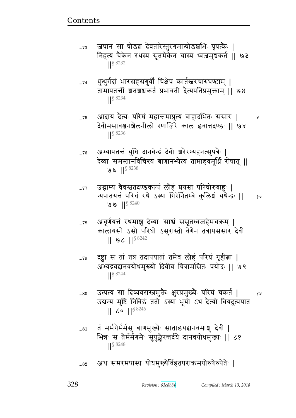जघान सा षोडश देवतारेस्तूरंगमान्योडशभिः पृषत्कैः |  $...73$ निहत्य चैकेन रथस्य सूतमेकेन चास्य ध्वजमुचकर्त || ७३  $\left| \right|$  \ 8232

- धुन्धुर्गदां भारसहस्रगुर्वी चिक्षेप कार्तस्त्वरचारुघण्टाम् |  $...74$ तामापतन्तीं ञ्चतञ्चश्चकर्त प्रभावती दैत्यपतिप्रमुक्ताम् ।। ७४  $\frac{1}{5}$  8234
- आदाय दैत्यः परिघं महान्तमाप्नुत्य वाहादभितः ससार |  $...75$ Å देवीमसावञ्जनशैलनीलो रणाजिरे काल इवात्तदण्डः ॥ ७५  $\left| \right|^{88236}$
- अभ्यापतन्तं युधि दानवेन्द्रं देवी श्ररैरभ्यहनत्सुपत्रैः |  $...76$ देव्या समस्तानविचिन्त्य बाणानभ्येत्य तामाहवमूर्ध्नि रोषात् ॥ ७६ ||§ 8238
- उद्भाम्य वैवस्नतदण्डकल्पं लौहं प्रयस्तं परिघोरुबाहुः |  $...77$ न्यपातयत्तं परिघं रथे ऽस्या गिरेर्नितम्बे कुलिशं यथेन्द्रः || १०  $99 |$ <sup>§ 8240</sup>
- अचूर्णयत्तं रथमाशु देव्याः साश्वं ससूतध्वजहेमचक्रम् |  $...78$ कालायसो ऽसौ परिघो ऽसुरास्तो वेगेन तत्रापससार देवी  $|| 96 ||$ <sup>§ 8242</sup>
- दृष्ट्वा स तां तत्र तदापयातां तमेव लौहं परिघं गृहीत्ना |  $\dots 79$ अभ्यद्रवद्दानवयोधमुख्यो दिवीव चित्रामसितः पयोदः || ७९  $\left| \right|$  \$8244
- उत्पत्य सा दिव्यवरास्त्रमुक्तैः क्षुरप्रमुख्यैः परिघं चकर्त |  $...80$ १५ उद्यम्य मुष्टिं निबिडं ततो ऽस्या भूयो ऽथ दैत्यो वियदुत्पपात  $||$  60  $||$ <sup>§ 8246</sup>
- तं मर्मगेर्मर्मसु बाणमुख्यैः साताडयद्दानवमाशु देवी |  $...81$ भिन्नः स तैर्मर्मगमैः सुपुङ्खैरन्तर्दधे दानवयोधमुख्यः || ८१  $\frac{1}{5}$  8248
- अथ समरमपास्य योधमुख्यैर्विहतपराक्रमपोरुषेरुपेतैः |  $...82$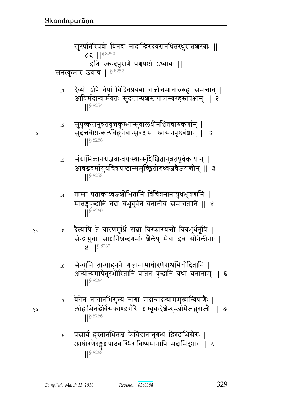सुरपतिरिपवो विनद्य नादान्द्विरदवरानधितस्थुरात्तशक्षतः ||  $62$   $||$ <sup>§ 8250</sup> इति स्कन्दपुराणे पञ्चषष्टो ऽध्यायः || सनत्कुमार उवाच | § 8252

देव्यो ऽपि तेषां विदितप्रयत्ना गजोत्तमानारुरुहुः समन्तात् |  $\dots 1$ आविर्मदान्वष्मेवतः सुदन्तान्प्रञ्चस्तगात्राम्बरहस्तपक्षान् || १  $||$ § 8254

५

१०

१५

- संग्रामिकानग्रजवान्वयःस्थान्सुशिक्षितानुन्नतपूर्वकायान् |  $...3$ आबद्धवर्मायुधचित्रघण्टान्समुच्छ्रितोरुध्वजवैजयन्तीन् || ३  $\frac{1}{5}$  8258
- तासां पताकाध्वजञ्चोभितानि विचित्रनानायुधभूषणानि |  $\ldots$ 4 मातङ्गवृन्दानि तदा बभूवुर्वने वनानीव समागतानि || ४  $|$  \section 8 8260
- दैत्यापि ते वारणमूर्ध्नि सन्ना विस्फारयन्तो विबभुर्धनूषि |  $\dots 5$ सेन्द्रायुधाः साशनिशब्दगर्भाः शैलेषु मेघा इव सनिलीनाः ||  $\mathsf{Q}$  ||  $\{$  8262
	- सेन्यानि तान्याहनने गजानामाधोरणैराश्वभिचोदितानि |  $...6$ अन्योन्यमापेतुरभीरितानि वातेन वृन्दानि यथा घनानाम् || ६  $\frac{1}{5}$  8264
	- वेगेन नागानभिसृत्य नागा मदान्मदश्याममुखान्विषाणैः |  $\dots 7$ लोहाभिनद्धैर्बिसकाण्डगौरैः श्चम्बूकदेशे-र्-अभिजन्नुराजौ || ७  $||\frac{88266}{1}$
	- प्रसार्य हस्तानभितश्च केचिद्दानानुगन्धं द्विरदाभिसेरूः |  $...8$ आधोरणैरङ्कशपादवाग्मिराविध्यमानापि मदाभिदृप्ताः || ८  $||\frac{$}{88268}$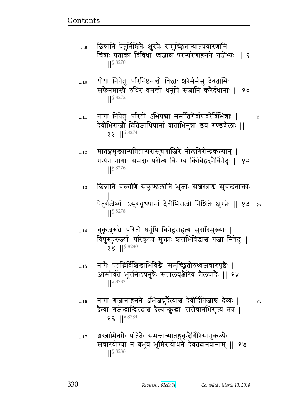- छिन्नानि पेतुर्निशितैः क्षुरप्रैः समुच्छितान्यातपवारणानि |  $...9$ चित्राः पताका विविधा ध्वजाश्च परस्परेणाहनने गजेभ्यः ॥ ९  $| \cdot |$  \$ 8270
- योधा निपेतुः परिनिष्टनन्तो विद्धाः श्ररैर्मर्मसु देवताभिः |  $...10$ सफेनमास्यै रुधिरं वमन्तो धनुषि सञ्जानि करैर्दधानाः ॥ १० S 8272
- नागा निपेतुः परितो ऽभिपद्मा मर्मातिगैर्बाणवरैर्विभिन्नाः | ५  $...11$ देवीभिराजो दितिजाधिपानां वाताभिनुन्ना इव गण्डशैलाः ||  $\{8\}$  || $\frac{$8274}$
- मातङ्गमुख्यान्पतितान्परासूत्रणाजिरे नीलगिरीन्द्रकल्पान् |  $...12$ गन्धेन नागाः समदाः परीत्य विनम्य किंचिद्वदनैर्विनेदुः ॥ १२  $\frac{88276}{5}$
- छिन्नानि वक्ताणि सकुण्डलानि भुजाः सश्चस्त्राश्च सुचन्दनाक्ताः  $...13$ पेतुर्गजेभ्यो ऽसुरयूथपानां देवीभिराजौ निश्चितैः क्षुरप्रैः || १३ १०  $|| \frac{1}{5} 8278$
- चुकूजुरुचैः परितो धनूंषि विनेदुराहत्य सुरारिमुख्याः |  $...14$ विपुस्फुरुज्या परिकृष्य मुक्ता शराभिविद्धाश्च गजा निषेदुः || **98 ||S 8280**
- नागैः पतद्भिर्विशिखाभिविद्धैः समुच्छ्रितोरुध्वजचारुपृष्ठैः |  $...15$ आस्तीर्यते भूरनिलप्रनुन्नैः सतालवृक्षेरिव श्रैलपादैः || १५
- नागा गजानाहनने ऽभिजघुर्दैत्याश्च देवीर्दितिजांश्च देव्यः |  $\dots\!16$ १५ दैत्या गजेन्द्रान्द्विरदाश्च दैत्यान्कुद्धाः सरोषानभिसृत्य तत्र ॥ १६ ||§ 8284
- ञ्चस्त्राभितप्तैः पतितैः समन्तान्मातङ्गवृन्देर्गिरिसानुकल्पैः |  $\dots 17$ संचारयोग्या न बभूव भूमिरायोधने देवतदानवानाम् ॥ १७  $\frac{1}{5}8286$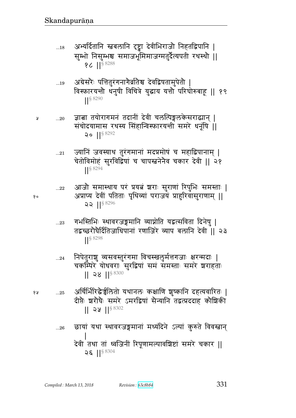- ...18 अभ्यर्दितानि स्नबलानि दृष्ट्वा देवीभिराजौ निहतद्विपानि । सुम्भो निसुम्भश्च समाजभूमिमाजग्मतुर्दैत्यपती रथस्थौ || १८ ||<sup>§ 8288</sup>
- ...19 अग्रेसरेः पत्तितुरंगनागेर्व्रातेश्व देवद्विषतामुपेतो | विस्फारयन्तो धनुषी विचित्रे युद्धाय यत्तो परिघोरुबाहू || १९ ||§ 8290
- ...20 ଉ py/^`xdB prd&B rF{& be%ɊtefF ~^ඃd> ᅖ संचोदयामास रथस्य सिंहान्विस्फारयत्ती समरे धनूंषि || 20 ||§ 8292
	- ...21 ज्यानिं जवस्याथ तुरंगमानां मदप्रमोषं च महाद्विपानाम् | चेतोविमोहं सुरविद्विषां च चापस्त्वनेनैव चकार देवी || २१ ||§ 8294
- ...22 आजो समास्थाय पर प्रयत्न शराः सुराणां रिपुभिः समस्ताः | <sub>१०</sub> अप्राप्य देवीं पतिताः पृथिव्यां पराजयं प्राहुरिवासुराणाम् ॥  $22 | 1$ <sup>§ 8296</sup>
	- ...23 गभस्तिभिः स्थावरजङ्गमानि व्याप्नोति यद्वत्सविता दिनेषु | तद्वच्छरोघैर्दितिजाधिपानां रणाजिरे व्याप बलानि देवी ।। २३ ||§ 8298
	- ...24 निपेतुराशु व्यसवस्तुरंगमा विचस्खलूर्मत्तगजाः क्षरन्मदाः | चकम्पिरे योधवराः सुरद्विषां समं समस्ताः समरे शराहताः  $|| 28 ||$ <sup>§ 8300</sup>
- <u>१५ ..25 अर्चिर्भिरिद्वैन्न</u>्रेलितो यथानलः कक्षाणि शुष्कानि दहत्यवारितः | दीप्तैः शरोघैः समरे ऽमरद्विषां सैन्यानि तद्वत्प्रददाह कौशिकी  $|| 22 ||$ <sup>§ 8302</sup>
	- ...26 द्धायां यथा स्थावरजङ्गमानां मध्यंदिने ऽल्पां कुरुते विवस्नान् ᅖ दवा तथा ता ध्वाजना ारपूणामल्पावाश्वष्टा समर चकार ||  $25$   $15^{8304}$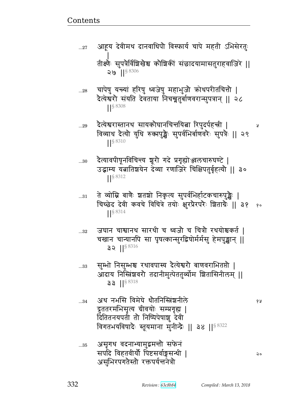Compiled: March 13, 2018

अथ नभसि विमेघे धौतनिस्त्रिंशनीले  $...34$ द्रुततरमभिसृत्य ग्रीवयोः सम्प्रगृह्य | दितितनयपती तो निष्पिपेषाशु देवी

 $33$  || $$^{8318}$ 

१५

२०

Å

 $32$  || $$8316$ सुम्भो निसुम्भश्च रथावपास्य दैत्येश्वरौ बाणवराभितप्तौ |  $...33$ आदाय निस्त्रिंशवरौ तदानीमुत्पेततुर्व्योम शितासिनीलम् ॥

- जघान चाश्वानथ सारथी च ध्वजौ च चित्रौ रथयोश्चकर्त |  $\ldots 32$ चखान चान्यानपि सा पृषत्कान्सुरद्विषोर्मर्मसु हेमपुङ्खान् ॥
- $\frac{1}{5}$  8312 ते व्योम्नि बाणैः श्वतशो निकृत्य सुपर्वभिर्हाटकचारुपुङ्खैः |  $...31$ चिच्छेद देवी कवचे विचित्रे तयोः क्षुरप्रैरपरैः शिताग्रैः || ३१ ् २०  $\left| \right|^{§ \, 8314}$
- $\frac{1}{5}$  8310 दैत्यावपीषूनविचिन्त्य श्रूरो गदे प्रगृह्योञ्जलचारुघण्टे |  $...30$ उद्भाम्य यत्नातिशयेन देव्या रणाजिरे चिक्षिपतुर्वृहत्यौ || ३०
- दैत्येश्वरास्तानथ सायकोघानचित्तयित्वा रिपुदर्पहच्नी | विव्याध देत्यो युधि रुक्मपुङ्खैः सुपर्वभिर्बाणवरैः सुपत्रैः || २९
- चापेषु यन्त्यां हरिषु ध्वजेषु महाभुजौ क्रोधपरीतचित्तौ |  $...28$ दैत्येश्वरौ संयति देवताया निचख्नतुर्बाणवरान्सुपत्रान् || २८ ||§8308
- तीक्ष्णैः सुपत्रैर्विशिखेश्च कौशिकीं संछादयामासतुराहवाजिरे ||  $29$   $1$ <sup>§ 8306</sup>

आहूय देवीमथ दानवाधिपौ विस्फार्य चापे महती ऽभिसेरतुः

 $...27$ 

 $...29$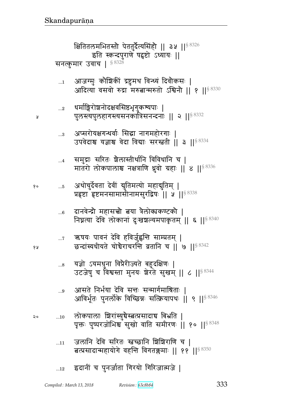|  |  | 12 इदानीं च पुनर्जाता गिरयो गिरिजात्मजे |  |
|--|--|-----------------------------------------|--|
|  |  |                                         |  |

- जलानि देवि सरितः स्वच्छानि शिशिराणि च |  $\dots 11$ बत्प्रसादान्महायोगे वहन्ति विगतक्लमाः || ११ ||§ 8350
- लोकपालाः शिरांस्युचैस्त्रत्प्रसादाच बिभ्रति |  $\dots10$ पृक्तः पुष्परजोभिश्च सुखो वाति समीरणः | १० | | 5 8348
- आसते निर्भया देवि सन्तः सन्मार्गमाश्रिताः | ...9 आविर्भूतः पुनर्लोके विच्छिन्नः सत्क्रियापथः ॥ ९ ॥<sup>§ 8346</sup>
- यज्ञो ऽयमधुना विप्रैरीज्यते बहुदक्षिणः |  $\ldots\!8$ उटजेषु च विश्वस्ता मुनयः शेरते सुखम् || ८ || S 8344
- ऋषयः पावनं देवि हविर्जुह्वन्ति साम्प्रतम् ।  $\dots 7$ छन्दांस्यधीयते चोचैराचरन्ति व्रतानि च || ७ ||  $^{88342}$
- दानवेन्द्रौ महासत्त्वौ तया त्रैलोक्यकण्टकौ |  $...6$ निघ्नत्या देवि लोकानां दुःखश्चल्यमपाकृतम् || ६ || §  $^{8340}$
- अथोचुर्देवता देवीं द्युतिमत्यो महाद्युतिम् |  $\dots 5$ प्रहृष्टा हृष्टमनसामासीनामसुरद्विषः || ५ || 8338
- समुद्राः सरितः श्रैलास्तीर्थानि विविधानि च |  $\dots 4$ मातरो लोकपालाश्च नक्षत्राणि धुवो ग्रहाः || ४ || § 8336
- अप्सरोयक्षगन्धर्वाः सिद्धा नागमहोरगाः |  $\ldots$ 3 उपवेदाश्च यज्ञाश्च वेदा विद्याः सरस्त्वती || ३ || § 8334
- धर्माङ्गिरोशनोदक्षवसिष्ठभृगुकश्यपाः |  $\ldots 2$ पुलस्त्यपुलहागस्त्यसनकात्रिसनन्दनाः || २ || 8332

Å

१०

६ २

२०

आजग्मुः कौशिकीं द्रष्टुमथ विन्ध्यं दिवौकसः |  $\dots$ 1 आदित्या वसवो रुद्रा मरुतान्मरुतो ऽश्विनौ || १ ||<sup>§ 8330</sup>

क्षितितलमभितस्तो पेततुर्दैत्यसिंहो || ३५ ||<sup>§ 8326</sup> इति स्कन्दपुराणे षद्वष्टो ऽध्यायः || सनत्कुमार उवाच | § 8328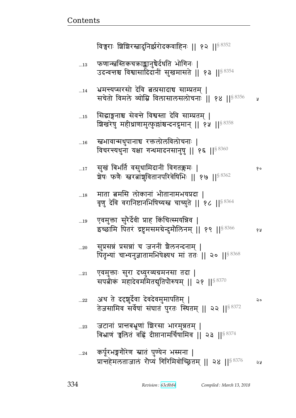| $\dots13$   | फणान्स्नस्तिकचऋाङ्कानुचैर्दधति भोगिनः  <br>उदन्वन्तश्च विश्वासादिदानीं सुखमासते    १३    <sup>§ 8354</sup>         |    |
|-------------|--------------------------------------------------------------------------------------------------------------------|----|
| 14          | भ्रमन्त्यप्सरसो देवि त्नतप्रसादाच साम्प्रतम्  <br>सचेतो विमले व्योम्नि विलासालसलोचनाः    १४    <sup>§ 8356</sup>   | Ã  |
| 15          | सिद्धाङ्गनाश्च सेवन्ते विश्वस्ता देवि साम्प्रतम्  <br>शिखरेषु महीध्राणामुत्फुल्लांश्चन्दनद्रुमान्    १५    ९८ %    |    |
| 16          | <b>खभावान्मधुपानाच</b> रक्तलोलविलोचनाः  <br>विचरन्त्यधुना यक्षा गन्धमादनसानुषु    १६    $^{\$8360}$                |    |
| $\dots17$   | सुखं बिभर्ति वसुधामिदानीं विगतक्लमः  <br>ष्ठोषः फणैः स्त्वरत्नांशुवितानपरिवेषिभिः    १७    <sup>§ 8362</sup>       | १० |
| 18          | माता बमसि लोकानां भीतानामभयप्रदा  <br>वृणु देवि वरानिष्टानभिषिच्यस्त चाच्युते    १८    <sup>§ 8364</sup>           |    |
| 19          | एवमुक्ता सुरेर्देवी प्राह किंचित्स्मयन्निव  <br>इच्छामि पितरं द्रष्टुमसमग्रेन्दुमौलिनम्    १९    <sup>§ 8366</sup> | १५ |
| 20          | सुप्रसन्नं प्रसन्नां च जननीं शैलनन्दनाम्  <br>पितृभ्यां चाभ्यनुज्ञातामभिषेक्ष्यथ मां ततः    २०    8368             |    |
| $\ldots 21$ | एवमुक्ताः सुरा दध्युरव्यग्रमनसा तदा  <br>सपत्नीकं महादेवममितबुतिपौरुषम्    २१    <sup>§ 8370</sup>                 |    |
| 22          | अथ ते दद्दञ्चुर्देवा देवदेवमुमापतिम्  <br>तेजसामिव सर्वेषां संघातं पुरतः स्थितम्    २२    8372                     | २० |
| 23          | जटानां प्रान्तबभ्रूणां शिरसा भारमुन्नतम्  <br>बिभ्राणं चलितं वहिं दीप्तानामर्चिपामिव    २३    $^{\$8374}$          |    |
| $\ldots$ 24 | कर्पूरभङ्गगौरेण स्नातं पुण्येन भस्मना  <br>प्रान्तहेमलताजालं रौप्यं गिरिमिवोच्छ्रितम्    २४    <sup>§ 8376</sup>   | 58 |

विच्वराः शिशिरस्रादुनिर्झरोदकवाहिनः || १२ ||<sup>§ 8352</sup>

<u>Contents and Contents are the contents of the contents of the contents of the contents of the contents of the contents of the contents of the contents of the contents of the contents of the contents of the contents of the</u>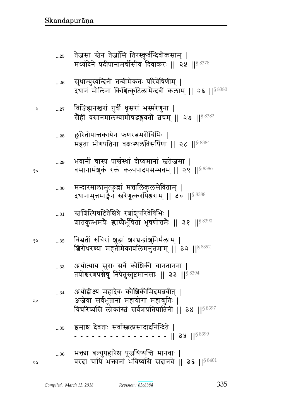| 28          | छुरितोपान्तकायेन फणरत्नमरीचिभिः  <br>महता भोगपतिना वक्षःस्थलविसर्पिणा    २८    <sup>§ 8384</sup>                                                     |
|-------------|------------------------------------------------------------------------------------------------------------------------------------------------------|
| 29          | भवानीं चास्य पार्श्वस्थां दीप्यमानां स्त्रतेजसा  <br>वसानामंशुकं रक्तं कल्पपादपसम्भवम्    २९    <sup>§ 8386</sup>                                    |
| 30          | मन्दारमालामुत्फुल्लां मत्तालिकुलसेविताम्  <br>दधानामुत्तमाङ्गेन स्त्वरेणूत्करपिअराम्    ३०    <sup>§ 8388</sup>                                      |
| 31          | रत्नःशिल्पिघटितैश्चित्रै रत्नांशुपरिवेषिभिः  <br>ञ्चातकुम्भमयेः श्लाष्येर्भूषितां भूषणोत्तमैः    ३१    <sup>§ 8390</sup>                             |
| 32          | बिभ्रतीं रुचिरां शुद्धां शरचन्द्रांशुनिर्मलाम्  <br>ष्ठिरोधरण्या महतीमेकावलिमनुत्तमाम्    ३२    <sup>§ 8392</sup>                                    |
| $33$        | अथोत्थाय सुराः सर्वे कौशिकी चानतानना  <br>तयोश्चरणपद्मेषु निपेतुस्तुष्टमानसाः    ३३    <sup>§ 8394</sup>                                             |
| $\ldots 34$ | अथोद्वीक्ष्य महादेवः कौशिकीमिदमब्रवीत् ।<br>अजेया सर्वभूतानां महायोगा महाबुतिः  <br>विचरिष्यसि लोकांस्त्वं सर्वत्राप्रतिघातिनी    ३४    $^{\$~8397}$ |
| 35          | इमाश्च देवताः सर्वास्त्रत्प्रसादादनिन्दिते  <br>$-$ -    3\,    <sup>§ 8399</sup>                                                                    |
| 36          | भक्त्या बल्युपहारैश्च पूजयिष्यन्ति मानवाः  <br>वरदा चापि भक्तानां भविष्यसि सदानघे    ३६    $8\,8401$                                                 |

- विजिह्मनखरां गुर्वीं धूसरां भस्मरेणुना |<br>सेहीं वसानमालम्बामीषद्भङ्गवतीं त्वचम् || २७ ||<sup>§ 8382</sup>  $...27\,$
- सुधाम्बुस्यन्दिनीं तन्वीमेकतः परिवेषिणीम् |<br>दधानं मौलिना किश्चित्कुटिलामैन्दवीं कलाम् || २६ ||<sup>§ 8380</sup>  $\ldots 26$
- तेजसा स्तेन तेजांसि तिरस्कुर्वन्दिवोकसाम् |<br>मध्यंदिने प्रदीपानामर्चीसीव दिवाकरः || २५ ||<sup>§ 8378</sup>  $\ldots 25$

१०

१५

২०

ঽৼ

Å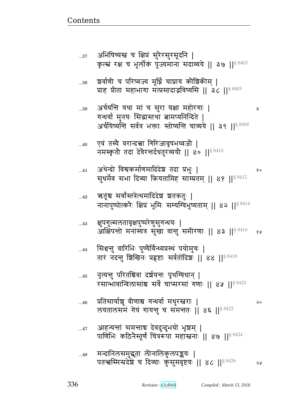Ã

- आहन्यन्तां समन्ताच देवदुन्दुभयो भृशम् |  $...47$ पाणिभिः कठिनैस्तूर्णं चित्ररूपा महास्त्वनाः || ४७ ||<sup>§ 8424</sup>
- प्रतिसार्याशु वीणाश्च गन्धर्वा मधुरस्तराः |  $...46$ २० लयतालसमें गेयं गायन्तु च समन्ततः | ४६ | | 58422
- नृत्यन्तु परितश्चित्रा दर्शयन्तः पृथग्विधान् |  $...45$ रसान्भावान्विलासांश्च सर्वे चाप्सरसां गणाः ।। ४५ ।।<sup>§ 8420</sup>
- सिञ्चन्तु वारिभिः पुण्यैर्विन्ध्यप्रस्थं पयोमुचः |  $\dots$ 44 तारं नदन्तु शिखिनः प्रहृष्टाः सर्वतोदिशः || 88 || 88418
- क्षुपगुल्मलतावृक्षपुष्परेणुसुगन्धयः |  $...43$ आक्षिपत्तो मनांस्यत्र सुखा वान्तु समीरणाः || ४३ || 8416 १५
- ऋतूंश्च सर्वांस्तत्रेत्थमादिदेश शतकतुः |  $...42$ नानापुष्पोत्करैः क्षिप्रं भूमिः सम्यग्विभूष्यताम् || ४२ || 88414
- अथेन्द्रो विश्वकर्माणमादिदेश तदा प्रभुः |  $...41$ १० सुधर्मेव सभा दिव्या क्रियतामिह साम्प्रतम् || ४१ || 88412
- एवं तस्यै वरान्दत्त्वा गिरिजावृषभध्वजौ |  $...40$ नमस्कृतो तदा देवेरन्तर्दधतुरव्ययो || ४० || 8410
- अर्चयन्ति यथा मां च सुरा यक्षा महोरगाः | ..39 गन्धर्वा मुनयः सिद्धास्तथा बामप्यनिन्दिते | अर्घयिष्यन्ति सर्वत्र भक्ताः स्तोष्यन्ति चाव्यये || ३९ ||<sup>§ 8408</sup>
- श्वर्वाणी च परिष्वज्य मूर्ध्नि चाघ्राय कौश्चिकीम् |  $\dots38$ प्राह प्रीता महाभागा मत्प्रसादाद्भविष्यसि || ३८ ||§ 8405
- अभिषिच्यस्त च क्षिप्रं सुरेरसुरसूदनि |  $...37$ कृत्स्नं रक्ष च भूर्लोकं पूज्यमाना सदाव्यये || ३७ ||§  $8403$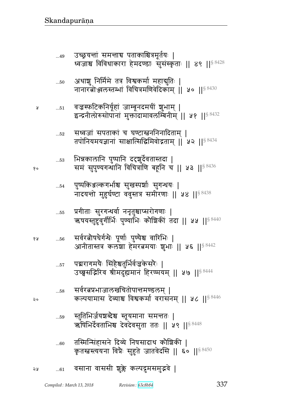$...60$ 

|    | कृतस्तदस्ययना विप्रैः सुहुते जातवेदसि    ६०    <sup>§ 8450</sup> |
|----|------------------------------------------------------------------|
| จง | 61 वसाना वाससी शुक्ले कल्पद्रुमसमुद्भवे                          |

- ऋषिभिर्देवताभिश्च देवदेवसुता ततः || ५९ ||<sup>§ 8448</sup> तस्मिन्सिंहासने दिव्ये निषसादाथ कौशिकी |
- स्तुतिभिर्जयश्चब्देश्च स्तूयमाना समत्ततः |  $\dots59$
- सर्वरत्नप्रभाजालखचितोपान्तमण्डलम् ।  $...58$ कल्पयामास देव्याश्च विश्वकर्मा वरासनम् || ५८ || § 8446
- पद्मरागमयैः सिंहैश्चतुर्भिर्वज्रकेसरैः |  $\dots57$ उच्छसद्भिरिव श्रीमदुह्यमानं हिरण्मयम् || ५७ || ९४९
- सर्वरत्नोषधेर्गन्धैः पूर्णाः पुण्येश्च वारिभिः | ४ प्र  $...56$ आनीतास्तत्र कलशा हेमरतमयाः शुभाः || ५६ || 8442
- प्रगीताः सुरगन्धर्वा ननृतुश्चाप्सरोगणाः |  $\dots55$ ऋषयस्तुष्टुवुर्गीर्भिः पुण्याभिः कौशिकीं तदा || ५५ ||<sup>§ 8440</sup>
- पुष्पकिञ्जल्कगर्भाश्च सुखस्पर्शाः सुगन्धयः |  $\dots54$ नादयन्तो मुहुर्घण्टा ववुस्तत्र समीरणाः || ५४ ||§ 8438
- भिन्नकालानि पुष्पानि ददृशुर्देवतास्तदा |  $...53$ समं सुपुण्यगन्धानि विचित्राणि बहूनि च || ५३ || § 8436
- सध्वजां सपताकां च घण्टास्नननिनादिताम् |  $\dots52$ तपोनियमयज्ञानां साक्षात्सिद्धिमिवोद्गताम् || ५२ || § 8434
- वज्रस्फटिकनिर्यूहां जाम्बूनदमयीं शुभाम् |  $...51$ इन्द्रनीलोरुसोपानां मुक्तादामावलम्बिनीम् ॥ ५१ ॥  $8432$
- अथाशु निर्मिमे तत्र विश्वकर्मा महाद्गुतिः |  $...50$ नानारतोञ्जलस्तम्भां विचित्रमणिवेदिकाम् || ५० || § 8430
- उच्छ्रयन्तां समन्ताच पताकाश्चित्रमूर्तयः |  $...49$ ध्वजाश्च विविधाकारा हेमदण्डाः सुसंस्कृताः || ४९ ||<sup>§ 8428</sup>

१०

 $\mathsf{Q}$ 

५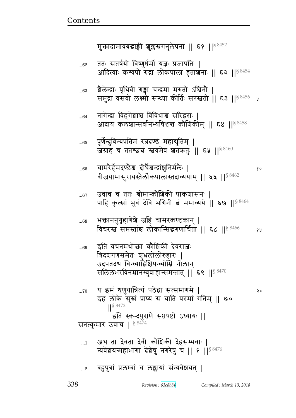#### बहुपुत्रां प्रलम्बां च लङ्कायां संन्यवेशयत् |  $\ldots$ 2

### अथ ता देवता देवी कौश्चिकी देहसम्भवाः |  $\dots$ 1 न्यवेशयन्महाभागा देशेषु नगरेषु च || १ ||  $8\,476$

पूर्णेन्दुबिम्बप्रतिमं रत्नदण्डं महाद्युतिम् |  $...65$ जयाह च ततश्छन्नं स्तवमेव शतकतुः || ६५ || 8460 चामरेर्हेमदण्डैश्च दीर्घेश्वन्द्रांशुनिर्मलैः |  $...66$ १० वीजयामासुरायस्तैर्लोकपालास्तदाव्ययाम् ॥ ६६ ॥<sup>§ 8462</sup> उवाच च ततः श्रीमान्कौश्चिकीं पाकशासनः |  $...67$ पाहि कृत्स्नां भुवं देवि भगिनी बं ममाव्यये || ६७ || 8464 भक्ताननुगृहाणेशे जहि चामरकण्टकान् | ...68 विचरस्त समस्तांश्च लोकान्सिद्धगणार्चिता || ६८ ||<sup>§ 8466</sup> १५ इति वचनमथो<del>क</del>ा कोशिकीं देवराजः ..69 त्रिदशगणसमेतः शुभ्रलोलोरुहारः | उदपतदथ विन्ध्याद्विक्षिपन्व्योम्नि नीलान् सलिलभरविनम्रानम्बुवाहान्समन्तात् || ६९ || $^{\$~8470}$ य इमं शृणुयान्नित्यं पठेद्वा सत्समागमे |  $...70$ २० इह लोके सुख प्राप्य स याति परमां गतिम् || ७० S 8472 इति स्कन्दपुराणे सप्तषष्टो ऽध्यायः || सनत्कुमार उवाच | § 8474

श्चेलेन्द्राः पृथिवी गङ्गा चन्द्रमा मरुतो ऽश्विनौ |  $...63$ समुद्रा वसवो लक्ष्मी सन्ध्या कीर्तिः सरस्त्रती || ६३ ||<sup>§ 8456</sup> श्र

आदाय कलशान्सर्वानभ्यपिश्चन्त कौशिकीम् || ६४ ||§ 8458

नागेन्द्रा विहगेशाश्च विविधाश्च सरिद्वराः |

 $...64$ 

ततः सप्तर्षयो विष्णुर्धर्मो यज्ञः प्रजापतिः |  $...62$ आदित्याः कश्यपो रुद्रा लोकपाला हुताशनाः || ६२ ||<sup>§ 8454</sup>

मुक्तादामावबद्धाङ्गी शुक्लस्रगनुलेपना || ६१ ||<sup>§ 8452</sup>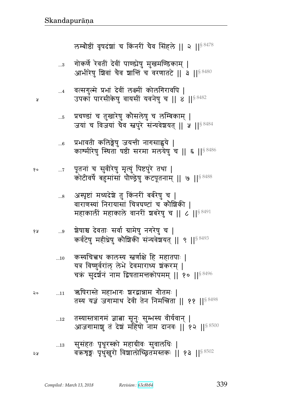सुसंहतः पृथूरस्को महाग्रीवः सुवालधिः |  $...13$ वक्रशृङ्गः पृथुखुरो विशालोच्छितमस्तकः || १३ || 8502 จม

- तस्यास्तत्रागमं ज्ञात्ना सूनुः सुम्भस्य वीर्यवान् |  $...12$ आजगामाशु तं देशं महिषो नाम दानवः || १२ ||<sup>§ 8500</sup>
- ऋषिरास्ते महाभागः श्वरद्वान्नाम गौतमः | २०  $...11$ तस्य यज्ञं जगामाथ देवी तेन निमन्त्रिता || ११ ||<sup>§ 8498</sup>
- कस्यचित्त्वथ कालस्य स्तर्णाक्षे हि महातपाः |  $...10$ यत्र विष्णुर्वराल् लेभे देवमाराध्य शंकरम् | चक्रं सुदर्शनं नाम द्विषतामन्तकोपमम् || १० ||  $8496$
- श्रेषाश्च देवताः सर्वा ग्रामेषु नगरेषु च | ४ प्र  $\ldots 9$ कर्वटेषु महीध्रेषु कौशिकी संन्यवेशयत् || ९ ||§ 8493
- अस्पृष्टां मध्यदेशे तु किंनरीं बर्बरेषु च |  $\ldots$ 8 वाराणस्यां निरायासां चित्रघण्टां च कौशिकी । महाकाली महाकाले वानरी शबरेषु च || ८ || S 8491
- पूतनां च सुवीरेषु मृत्युं पिष्टपुरे तथा | १०  $\dots 7$ कोटीवर्षे बहुमांसां पौण्ड्रेषु कटपूतनाम् || ७ || \$8488
- प्रभावती कलिङ्गेषु जयन्ती नागसाह्वये  $...6$ काश्मीरेषु स्थिता पष्ठी सरमा मलयेषु च || ६ || 8486
- प्रचण्डां च तुखारेषु कौसलेषु च लम्बिकाम् |  $\dots 5$ जयां च विजयां चैव स्तूपुरे संन्यवेशयत् || ५ ||  $88484$
- वत्सगुल्मे प्रभां देवीं लक्ष्मीं कोलगिरावपि |  $\dots 4$ उपकां पारसीकेषु वायसीं यवनेषु च || ४ || 88482

Я

गोकर्णे रेवतीं देवीं पाण्ड्येषु मुखमण्डिकाम् |  $\ldots 3$ आभीरेषु शिवां चैव शान्तिं च वरणातटे || ३ || § 8480

लम्बोष्ठीं वृषदंशां च किंनरीं चैव सिंहले || २ || 8 8478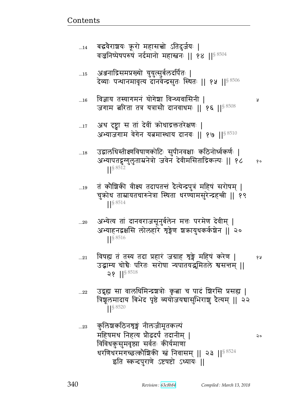२०

 $...22$ 

कुलिशकठिनशृङ्गं नीलजीमूतकल्पं  $...23$ महिषमथ निहत्य प्रौढदर्पं तदानीम् | विविधकुसुमवृष्ट्या सर्वतः कीर्यमाणा धरणिधरमगच्छत्कौशिकी स्तं निवासम् || २३ || $^{\$8524}$ इति स्कन्दपुराणे ऽष्टषष्टो ऽध्यायः ||

उद्भूह्य सा वालधिमिन्द्रञ्चत्रोः कृत्वा च पादं ज्ञिरसि प्रसह्य | त्रिशूलमादाय बिभेद पृष्ठे व्ययोजयचासुभिराशु दैत्यम् ॥ २२  $\left| \right|^{s}$  8520

- विषह्य तं तस्य तदा प्रहारं जग्राह शृङ्गे महिषं करेण | १५  $...21$ उद्भाम्य चोचैः परितः सरोषा न्यपातयद्भूमितले श्वसन्तम् ॥
- अभ्येत्य तां दानवराजसूनुर्बलेन मत्तः परमेण देवीम् |  $...20$ अभ्याहनद्वक्षसि लोलहारे शृङ्गेण श्रकायुथकर्कशेन || २०  $\frac{1}{5}$  8516

 $28$  || $88518$ 

- तं कौशिकी वीक्ष्य तदापतन्तं दैत्येन्द्रपुत्रं महिषं सरोषम् |  $\dots 19$ चुक्रोध ताम्रायतचारुनेत्रा स्थिता धरण्यामसुरेन्द्रह्क्ती || १९  $\frac{1}{5}$  8514
- उद्वालधिस्तीक्ष्णविषाणकोटिः सुपीनवक्षाः कठिनोर्ध्वकर्णः |  $...18$ अभ्यापतद्रुग्गुलुताम्रनेत्रो जवेनं देवीमसिताद्रिकल्पः || १८  $\delta$  o S 8512
- अथ दृष्ट्वा स तां देवीं क्रोधाद्रक्ततरेक्षणः |  $...17$ अभ्याजगाम वेगेन यत्नमास्थाय दानवः ॥ १७ ॥ $88510$
- विज्ञाय तस्यागमनं योगेश्चा विन्ध्यवासिनी |  $...16$ जगाम बरिता तत्र यत्रासौ दानवाधमः || १६ ||<sup>§ 8508</sup>
- Y
- अञ्जनाद्रिसमप्रख्यो युयुत्सुर्बलदर्पितः |  $\dots15$ देव्याः पन्थानमावृत्य दानवेन्द्रसुतः स्थितः || १५ || § 8506
- बद्धवैराशयः क्रूरो महासच्चो ऽतिदुर्जयः |  $...14$ वज्रनिष्पेषपरुषं नर्दमानो महास्तनः ॥ १४ ॥  $8504$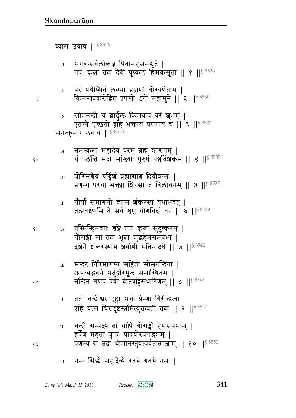## ... $11$  नमः सिद्धे महादेव्ये रतये गतये नमः |

| $\dots$ 10 | नन्दी सम्प्रेक्ष्य तां चापि गौराङ्गीं हेमसप्रभाम्                  |
|------------|--------------------------------------------------------------------|
|            | हर्षेण महता युक्तः पादयोरपतद्भृशम्                                 |
| จง         | प्रणम्य स तदा धीमानस्तुवत्पर्वतात्मजाम्    १०    <sup>§ 8550</sup> |

- ...9 ततो नन्दीश्वरं दृष्ट्वा भक्तं प्रेम्णा गिरीन्द्रजा | एहि वत्स चिरादृष्टस्बमित्युक्तवती तदा || ९ || $^{\$~8547}$
- ...8 मन्दरं गिरिमागम्य सहिता सोमनन्दिना | अपश्यद्भवने भर्तुर्द्वारमूले समास्थितम् | २० विन्दिनं गणपं देवी दीप्तपट्टिसधारिणम $\,$  || ८ || $\,$   $\,$  8545 $\,$
- १४ ...7 तस्मिन्हिमवतः श्रुङ्गे तपः कृत्वा सुदुष्करम् | गोराङ्गी सा तदा भूबा शुद्धहेमसमप्रभा | दर्शने शकरस्याथ शर्वाणी मतिमादधे || ७ || § 8542
- ... $\epsilon$  जोर्या समागमो व्यास न्नंकरस्य यथाभवत् | तत्प्रवक्ष्यामि ते सर्वं शृणु योगविदां वर || ६ ||  $s$  8539
- ... $_5$  ) योगिनश्चैव पड्विंश ब्रह्माद्याश्च दिवौकसः | प्रणम्य परया भक्त्या शिरसा तं त्रिलोचनम् || ५ ||  $88537$
- ...4 विमस्कृत्वा महादेवं परमं ब्रह्म शाश्वतम् | <sub>१०</sub> यं पठन्ति सदा सांख्याः पुरुषं पञ्चविंशकम् ॥ ४ ॥ $^{\$8535}$

### सनत्कुमार उवाच | ९८५३३

- ...3 सोमनन्दी च श्चार्दूलः किमवाप वरं शुभम् | एतन्मे पृच्छतो ब्रूहि भक्ताय प्रणताय च || 3 || $^{8.8532}$
- $_{\rm ...2}$   $\,$  वरं यथेप्सितं लब्ध्वा ब्रह्मणो गोरवर्णताम् | <sub>थ</sub> किमन्यदकरोद्विप्र तपसो ऽन्ते महामुने || २ ||<sup>§ 8530</sup>
- $_{\rm ...1}$  ) भगवन्सर्वलोकज्ञ पितामहसमद्युते । तपः कृत्वा तदा देवी पुष्कलं हिमवत्सुता || १ || $^{\$~8528}$

व्यास उवाच |  $$^{8526}$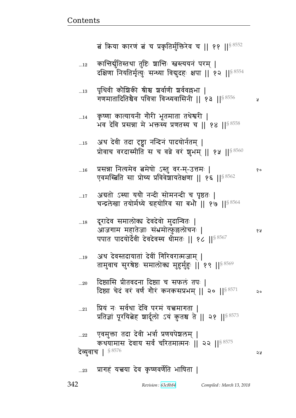#### प्रागहं यत्त्वया देव कृष्णवर्णेति भाषिता |  $...23$

प्रसन्ना नित्यमेव त्नमेषो ऽस्तु वर-म्-उत्तमः |  $...16$ १० एवमस्त्रिति सा प्रोच्य प्रविवेशायतेक्षणा । १६ ।। \$8562 अग्रतो ऽस्या ययौ नन्दी सोमनन्दी च पृष्ठतः |  $\dots17$ चन्द्रलेखा तयोर्मध्ये ग्रहयोरिव सा बभौ || १७ || § 8564 दूरादेव समालोक्य देवदेवो मुदान्वितः |  $...18$ आजगाम महातेजाः संभ्रमोत्फुल्लोचनः | ४ ह पपात पादयोर्देवी देवदेवस्य धीमतः || १८ || \$8567 अथ देवस्तदायातां देवीं गिरिवरात्मजाम् |  $...19$ तामुवाच सुरश्रेष्ठः समालोक्य मुहुर्मुहुः ॥ १९ ॥ 88569 दिष्ठासि प्रीतवदना दिष्ट्या च सफलं तपः |  $...20\,$ दिष्ट्या चेदं वरं वर्णं गौरं कनकसप्रभम् || २० || \$8571 २० प्रियं नः सर्वथा देवि परमं यत्त्वमागता ।  $...21$ प्रतिज्ञां पूरयिबेह शार्दूलो ऽयं कुतश्च ते || २१ || 8573 एवमुक्ता तदा देवी भर्त्रा प्रणयपेशलम् |  $\ldots$ 22 कथयामास देवाय सर्वं चरितमात्मनः || २२ || 8575 देव्युवाच |  $$^{8576}$ **SA** 

अथ देवी तदा दृष्ट्वा नन्दिनं पादयोर्नतम् |  $\dots15$ प्रोवाच वरदास्मीति स च वव्रे वरं शूभम् || १५ || ९४560

- कृष्णा कात्यायनी गौरी भूतमाता तथेश्वरी |  $...14$ भव देवि प्रसन्ना मे भक्तस्य प्रणतस्य च || १४ ||  $88558$
- पृथिवी कौशिकी श्रीश्च शर्वाणी शर्ववल्लभा ।  $\dots$ 13 गणमातादितिश्चैव पवित्रा विन्ध्यवासिनी || १३ ||<sup>§ 8556</sup> У
- कान्तिर्युतिस्तथा तुष्टिः शान्तिः स्तरस्ययनं परम् |  $\dots 12$ दक्षिणा नियतिर्मृत्युः सन्ध्या विद्युदहः क्षपा || १२ || § 8554

बं किया कारणं बं च प्रकृतिर्मुक्तिरेव च || ११ || \$8552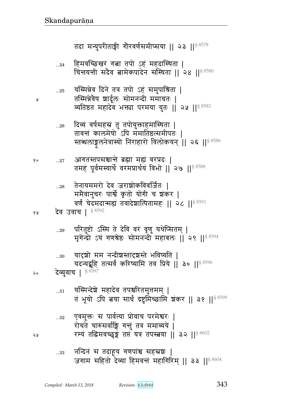5A

Я

 $\ldots 28$ 

- नन्दिनं स तदाहूय गणपांश्च सहस्रशः |  $\dots33$ जगाम सहितो देव्या हिमवन्तं महागिरिम् || ३३ ||<sup>§ 8604</sup>
- एवमुक्तः स पार्वत्या प्रोवाच परमेश्वरः |  $...32\,$ रोचते चारुसर्वाङ्गि गत्तुं तत्र ममाव्यये | रम्यं तद्धिमवच्छुङ्गं तप्तं यत्र तपस्त्वया || ३२ ||  $8602$
- यस्मिन्देशे महादेव तपश्चरितमुत्तमम् |  $...31\,$ तं भूयो ऽपि बया सार्धं द्रष्टुमिच्छामि शंकर || ३१ || 58599
- यदन्यद्बूहि तत्सर्वं करिष्यामि तव प्रिये || ३० || § 8596 देव्युवाच | § 8597 २०
- यादृशो मम नन्दीशस्तादृशस्ते भविष्यति ।  $...30$
- परितुष्टो ऽस्मि ते देवि वरं वृणु यथेप्सितम् |  $...29$ मृगेन्द्रो ऽयं गणश्रेष्ठः सोमनन्दी महाबलः || २९ ||<sup>§ 8594</sup>
- ममैवानुचरः पार्श्वे कृतो योगी च शंकर | वर्णं चेदमदान्मह्यं तवादेशात्पितामहः || २८ || \$8591 देव उवाच | § 8592 १५
- आगतस्तपसश्चान्ते ब्रह्मा मह्यं वरप्रदः | १०  $...27\,$ तमहं पूर्वमस्यार्थे वरमप्रार्थयं विभो || २७ || 88588

तेनायममरो देव जराशोकविवर्जितः |

- दिव्यं वर्षसहस्रं तु तपोयुक्ताहमास्थिता |  $...26\,$ तावन्तं कालमेषो ऽपि ममातिष्ठत्समीपतः । स्तब्धलाङ्गलनेत्रास्यो निराहारो विलोकयन् || २६ ||<sup>§ 8586</sup>
- यस्मिन्नेव दिने तत्र तपो ऽहं समुपाश्रिता |  $\ldots 25$ तस्मिन्नेवेष शार्दूलः सोमनन्दी ममाग्रतः | व्यतिष्ठत महादेव भक्त्या परमया युतः || २५ || \$8583
- हिमवच्छिखरं गत्ना तपो ऽहं महदास्थिता |  $...24$ चिन्तयन्ती सदैव बामेकपादेन संस्थिता || २४ || \$8580

तदा मन्युपरीताङ्गी गौरवर्णसमीप्सया || २३ || $^{\$8578}$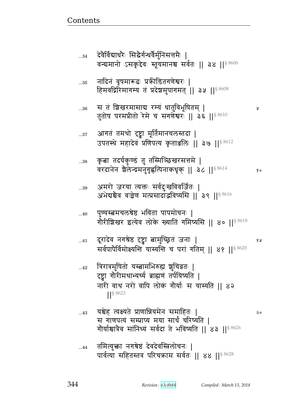- ...43 yுF ɊyɗypF Ì\_ਯyxFd ~xp1 ᅖ स गाणपत्यं सम्प्राप्य मया सार्धं चरिष्यति | गोर्याश्रात्रेव सांनिध्यं सर्वदा ते भविष्यति || ४३ || $88626$
- $_{\ldots42}$  विरात्रमुषितो यस्त्वामभिरुह्य शुचिव्रतः | ट्व्या गौरीमथाभ्यर्च्य ब्राह्मणं तर्पयिष्यति | नारी वाथ नरो वापि लोक गौर्याः स यास्यति || ४२ ᅖᅖ§ 8623
- ...41 r^rF{ d`ÔFह ࣸ ଉx4%ՠÂpB ad1 ᅖ 5  सर्वपापेर्विमोक्ष्यन्ति यास्यन्ति च परां गतिम् || ४१ ||  $88620$
- ...40 पुण्यस्त्वमचलश्रेष्ठ भविता पापमोचनः | गोरीशिखर इत्येव लोके ख्यातिं गमिष्यसि || ४० || ${}^{8\,6618}$
- ...39 अमरो जरया त्यक्तः सर्वदुःखविवर्जितः | अभेद्यश्चैव वज्रेण मत्प्रसादाद्भविष्यसि || ३९ ||  $^{\$8616}$
- ... $\mathrm{^{138}}$  कृत्वा तदर्घकुण्डं तु तस्मिञ्छिखरसत्तमे | वरदानेन शैलेन्द्रमनुगृह्णत्पिनाकधृक् || ३८ || ${}^{8\,8614}$  ... ... ...
- ...37 अागतं तमथो दृष्ट्वा मूर्तिमानचलस्तदा | उपतस्थे महादेवं प्रणिपत्य कृताञ्जलिः || ३७ ||  $8612$
- ...36 ~ pB |g^x~ళ ^ɑyB sp4{w5}px> ᅖ तुतोष परमप्रीतो रेमे च सगर्णेश्वरः || डेर्ढ || ९ ४६ छ ।
	-
- ... $_{35}$  नादिनं वृषमारूढः प्रक्रीडितगणेश्वरः | हिमवद्गिरिमागम्य तं प्रदेशसुपागमत् || ३५ ||  $$^{8608}$
- ...34 देवैर्विद्यार्थरैः सिद्धैर्गन्धर्वैर्मुनिसत्तमैः | वन्द्यमानो ऽसकृद्देवः स्तूयमानश्च सर्वतः ॥ ३४ ॥  $88606$

<u>Contents and Contents are the contents of the contents of the contents of the contents of the contents of the contents of the contents of the contents of the contents of the contents of the contents of the contents of the</u>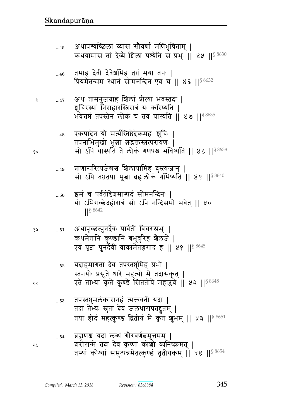शुचिरस्यां निराहारस्त्रिरात्रं यः करिष्यति | भवेत्तप्तं तपस्तेन लोकं च तव यास्यति || ४७ ||<sup>§ 8635</sup> एकपादेन यो मर्त्यस्तिष्ठेदेकमहः शुचिः |  $...48$ तपनाभिमुखो भूबा बद्रक्तस्बत्परायणः | सो ऽपि यास्यति ते लोकं गणपश्च भविष्यति || ४८ ||<sup>§ 8638</sup> १० प्राणान्परित्यजेद्यश्च शिलायामिह दुस्त्यजान् |  $...49$ सो ऽपि तप्ततपा भूबा ब्रह्मलोक गमिष्यति || ४९ ||<sup>§ 8640</sup> इमं च पर्वतोद्देशमास्पदं सोमनन्दिनः |  $...50$ यो ऽभिगच्छेदहोरात्रं सो ऽपि नन्दिसमो भवेत् || ५० S 8642 अथापृच्छत्पुनर्देवः पार्वतीं विचरन्प्रभुः | १५  $\dots51$ कथमेतानि कुण्डानि बभूवुरिह शैलजे | एवं पृष्टा पुनर्देवी वाक्यमेतज़ुगाद ह || ५१ || § 8645 यदाहमागता देव तपस्तप्तुमिह प्रभो |  $...52$ स्तनयोः प्रसूते धारे महत्यौ मे तदासकृत् | एते ताभ्यां कृते कुण्डे सिततोये महाप्लवे || ५२ ||§ 8648 २० तपस्तसुमलंकारानहं त्यक्तवती यदा |  $\dots53$ तदा तेभ्यः स्नुता देव जलधारापतद्रुतम् | तया हीदं महत्कुण्डं द्वितीयं मे कृतं शुभम् || ५३ || 58651 ब्रह्मणश्च यदा लब्धं गौरवर्णत्नमुत्तमम् |  $\dots\!54$ शरीरान्मे तदा देव कृष्णा कोशी व्यनिष्क्रमत् | 24 तस्यां कोश्यां समुत्पन्नमेतत्कुण्डं तृतीयकम् || ५४ ||<sup>§ 8654</sup>

- अथ तामनुजग्राह शिलां प्रीत्या भवस्तदा | Å  $...47$
- तमाह देवी देवेश्वमिह तप्तं मया तपः |  $...46$ प्रियमेतन्मम स्थानं सोमनन्दिन एव च || ४६ ||<sup>§ 8632</sup>
- अथापश्यच्छिलां व्यास सौवर्णां मणिभूषिताम् |  $...45$ कथयामास तां देव्ये शिलां पश्येति स प्रभुः || ४५ || \$8630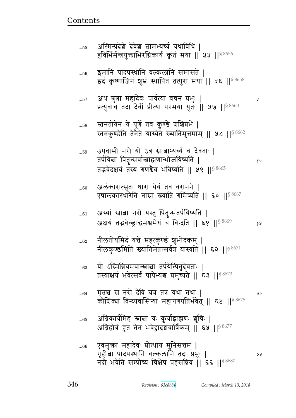|      | एषालकारधारात नाम्ना ख्याति गामप्यात ।। ६० ।।४०००८                                                                                                |      |
|------|--------------------------------------------------------------------------------------------------------------------------------------------------|------|
| $61$ | अस्यां स्नाबा नरो यस्तु पितृन्संतर्पयिष्यति  <br>अक्षयं तद्भवेच्छ्राद्धमश्वमेधं च विन्दति    ६१    8669                                          | 6 A  |
| 62   | नीलतोयमिदं यत्ते महत्कुण्डं शुभोदकम्  <br>नीलकुण्डमिति ख्यातिमेतत्सर्वत्र यास्यति    ६२    8671                                                  |      |
| 63   | यो ऽस्मिन्नियमवान्स्नात्ना तर्पयेत्पितृदेवताः  <br>तस्याक्षयं भवेत्सर्वं पापेभ्यश्च प्रमुच्यते    ६३    8673                                     |      |
| 64   | मृतश्च स नरो देवि यत्र तत्र यथा तथा  <br>कौशिक्या विन्ध्यवासिन्या महागणपतिर्भवेत्    ६४    $^{\$8675}$                                           | ನಿ ೦ |
| 65   | अग्निकार्यमिह स्नात्ना यः कुर्याद्भाह्मणः शुचिः  <br>अग्निहोत्रं हुतं तेन भवेद्वादशवार्षिकम् ॥ ६५ ॥ $8677$                                       |      |
| 66   | एवमुक्ता महादेवः प्रोत्थाय मुनिसत्तम  <br>गृहीत्वा पादपस्थानि वल्कलानि तदा प्रभुः  <br>नदी भवेति सम्प्रोच्य चिक्षेप प्रहसन्निव   ६६    $8\,8680$ | ১১   |

...60 अलकारात्स्नुता धारा यय तव वरानन | एषालंकारधारेति नाम्ना ख्यातिं गमिष्यति || ६० ||<sup>§ 8667</sup>

...59 उपवासी नरो यो ऽत्र स्नात्नाभ्यर्च्य च देवताः | pt@yଉ tp;Ʉ~{@ɄÎഐ\_w/ayɔyp ᅖ  तद्भवेदक्षयं तस्य गणश्चेव भविष्यति || ५९ ||  $8665$ 

... $_{58}$  स्तनतोयेन ये पूर्णे तव कुण्डे श्रशिप्रभे | स्तनकुण्डेति तेनेते यास्येते ख्यातिमुत्तमाम् || ५८ || $^{\$8662}$ 

...57 Lq Ô4ଉ xrF{1 t{@Ɋy {bdB Ìw41 ᅖ प्रत्युवाचे तदा देवीं प्रीत्या परमया युतः || ५७ || § 8660

...56 इमानि पादपस्थानि वल्कलानि समासते | इदं कृष्णाजिनं शुभ्रं स्थापितं तत्पुरा मया || ५६ ||<sup>§ 8658</sup>

...55 अस्मिन्प्रदेशे देवेश बामभ्यर्च्य यथाविधि | हविर्भिर्मन्त्रयुक्ताभिरग्निकार्यं कृतं मया || ५५ ||  $8\,8656$ 

<u>Contents and Contents are the contents of the contents of the contents of the contents of the contents of the contents of the contents of the contents of the contents of the contents of the contents of the contents of the</u>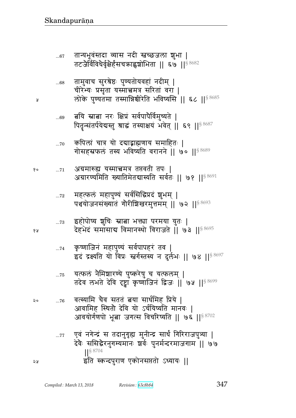$$
0.44
$$
 ११५७ रुग्साजना द्रजना। ७३ ।।  
\n30 ...76 वत्स्यामि चैव सततं बया सार्धमिह प्रिये |  
\n31191मिह स्थितो देवि यो ६र्चयिष्यति मानवः |  
\n311931मिस सूबा जगत्स विचरिष्यति || ७६ ||<sup>§ 8702</sup>  
\n...77 एवं नगेन्द्रं स तदानुगृह्य मुनीन्द्र सार्ध गिरिराजपुत्र्या |  
\nदेवे: ससिद्धेरनुगम्यमानः इार्वः पुनर्मन्दरमाजगाम || ७७  
\n|<sup>§ 8704</sup>  
\nइति स्कन्दपुराण एकोनसप्ततो ०ध्यायः ||

यत्फलं नैमिशारण्ये पुष्करेषु च यत्फलम् |

१५

 $\pmb{\mathsf{y}}$ 

 $\ldots75$